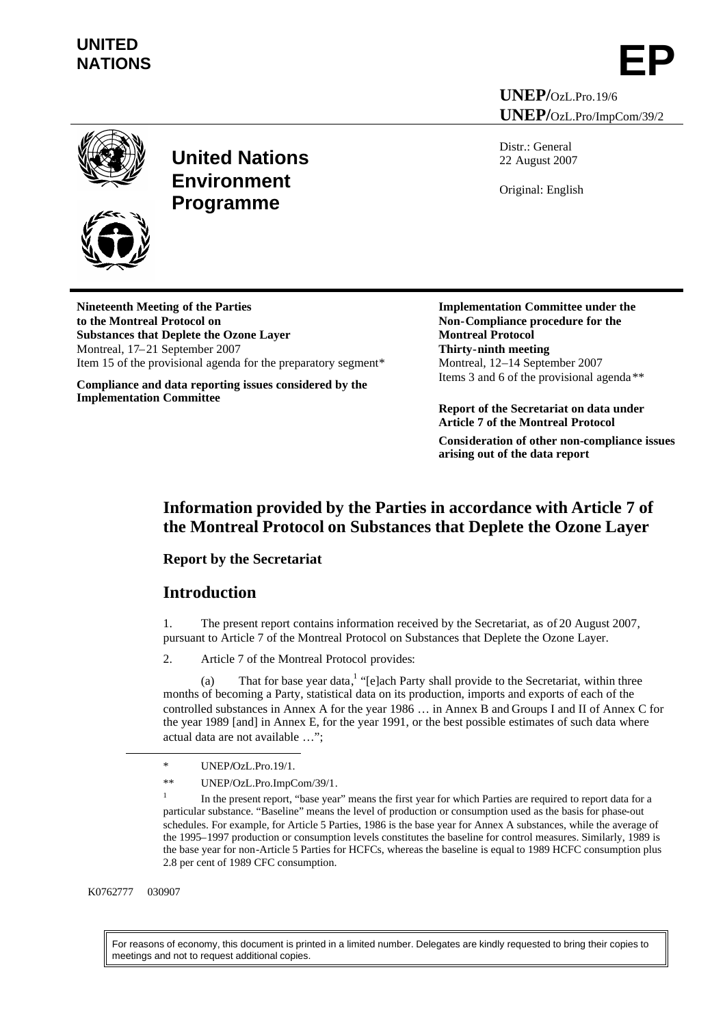# **UNITED** NATIONS **EP**

**UNEP/**OzL.Pro.19/6 **UNEP/**OzL.Pro/ImpCom/39/2





# **United Nations Environment Programme**

Distr.: General 22 August 2007

Original: English

**Nineteenth Meeting of the Parties to the Montreal Protocol on Substances that Deplete the Ozone Layer** Montreal, 17–21 September 2007 Item 15 of the provisional agenda for the preparatory segment\*

**Compliance and data reporting issues considered by the Implementation Committee**

**Implementation Committee under the Non-Compliance procedure for the Montreal Protocol Thirty-ninth meeting** Montreal, 12–14 September 2007 Items 3 and 6 of the provisional agenda\*\*

**Report of the Secretariat on data under Article 7 of the Montreal Protocol**

**Consideration of other non-compliance issues arising out of the data report**

## **Information provided by the Parties in accordance with Article 7 of the Montreal Protocol on Substances that Deplete the Ozone Layer**

## **Report by the Secretariat**

## **Introduction**

1. The present report contains information received by the Secretariat, as of 20 August 2007, pursuant to Article 7 of the Montreal Protocol on Substances that Deplete the Ozone Layer.

2. Article 7 of the Montreal Protocol provides:

(a) That for base year data, "[e]ach Party shall provide to the Secretariat, within three months of becoming a Party, statistical data on its production, imports and exports of each of the controlled substances in Annex A for the year 1986 … in Annex B and Groups I and II of Annex C for the year 1989 [and] in Annex E, for the year 1991, or the best possible estimates of such data where actual data are not available …";

For reasons of economy, this document is printed in a limited number. Delegates are kindly requested to bring their copies to meetings and not to request additional copies.

<sup>\*</sup> UNEP**/**OzL.Pro.19/1.

<sup>\*\*</sup> UNEP/OzL.Pro.ImpCom/39/1.

<sup>1</sup> In the present report, "base year" means the first year for which Parties are required to report data for a particular substance. "Baseline" means the level of production or consumption used as the basis for phase-out schedules. For example, for Article 5 Parties, 1986 is the base year for Annex A substances, while the average of the 1995–1997 production or consumption levels constitutes the baseline for control measures. Similarly, 1989 is the base year for non-Article 5 Parties for HCFCs, whereas the baseline is equal to 1989 HCFC consumption plus 2.8 per cent of 1989 CFC consumption.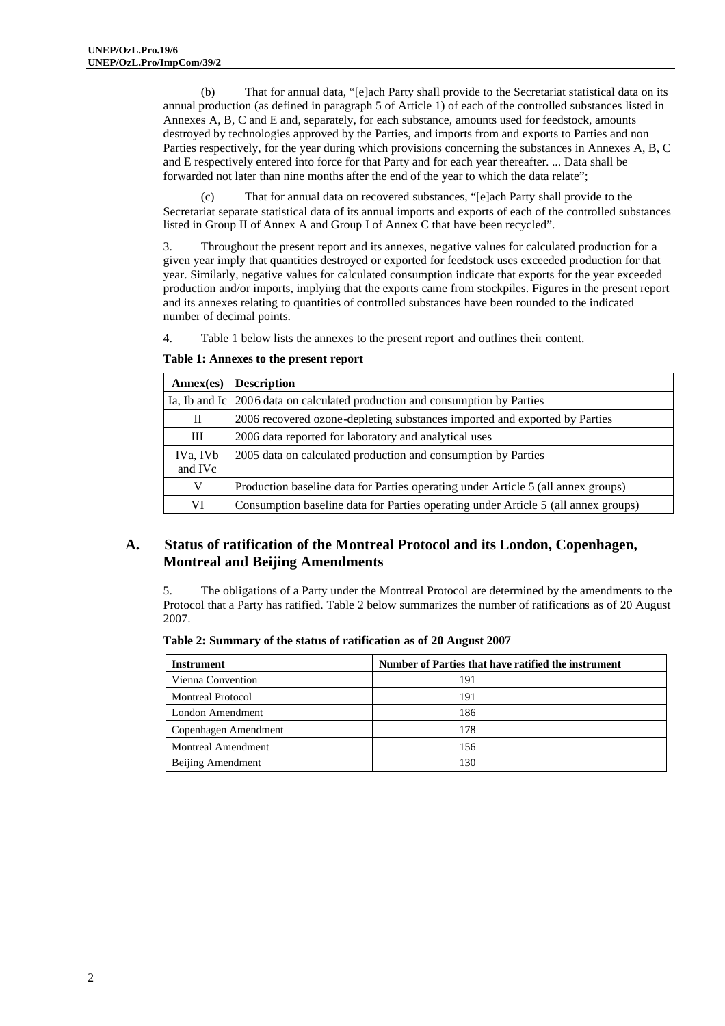(b) That for annual data, "[e]ach Party shall provide to the Secretariat statistical data on its annual production (as defined in paragraph 5 of Article 1) of each of the controlled substances listed in Annexes A, B, C and E and, separately, for each substance, amounts used for feedstock, amounts destroyed by technologies approved by the Parties, and imports from and exports to Parties and non Parties respectively, for the year during which provisions concerning the substances in Annexes A, B, C and E respectively entered into force for that Party and for each year thereafter. ... Data shall be forwarded not later than nine months after the end of the year to which the data relate";

(c) That for annual data on recovered substances, "[e]ach Party shall provide to the Secretariat separate statistical data of its annual imports and exports of each of the controlled substances listed in Group II of Annex A and Group I of Annex C that have been recycled".

3. Throughout the present report and its annexes, negative values for calculated production for a given year imply that quantities destroyed or exported for feedstock uses exceeded production for that year. Similarly, negative values for calculated consumption indicate that exports for the year exceeded production and/or imports, implying that the exports came from stockpiles. Figures in the present report and its annexes relating to quantities of controlled substances have been rounded to the indicated number of decimal points.

4. Table 1 below lists the annexes to the present report and outlines their content.

|  | Table 1: Annexes to the present report |  |  |
|--|----------------------------------------|--|--|
|  |                                        |  |  |

| Annex(es)           | <b>Description</b>                                                                 |
|---------------------|------------------------------------------------------------------------------------|
|                     | Ia, Ib and Ic 2006 data on calculated production and consumption by Parties        |
| П                   | 2006 recovered ozone-depleting substances imported and exported by Parties         |
| Ш                   | 2006 data reported for laboratory and analytical uses                              |
| IVa, IVb<br>and IVc | 2005 data on calculated production and consumption by Parties                      |
| V                   | Production baseline data for Parties operating under Article 5 (all annex groups)  |
| VI                  | Consumption baseline data for Parties operating under Article 5 (all annex groups) |

## **A. Status of ratification of the Montreal Protocol and its London, Copenhagen, Montreal and Beijing Amendments**

5. The obligations of a Party under the Montreal Protocol are determined by the amendments to the Protocol that a Party has ratified. Table 2 below summarizes the number of ratifications as of 20 August 2007.

| <b>Instrument</b>         | Number of Parties that have ratified the instrument |
|---------------------------|-----------------------------------------------------|
| Vienna Convention         | 191                                                 |
| <b>Montreal Protocol</b>  | 191                                                 |
| London Amendment          | 186                                                 |
| Copenhagen Amendment      | 178                                                 |
| <b>Montreal Amendment</b> | 156                                                 |
| Beijing Amendment         | 130                                                 |

**Table 2: Summary of the status of ratification as of 20 August 2007**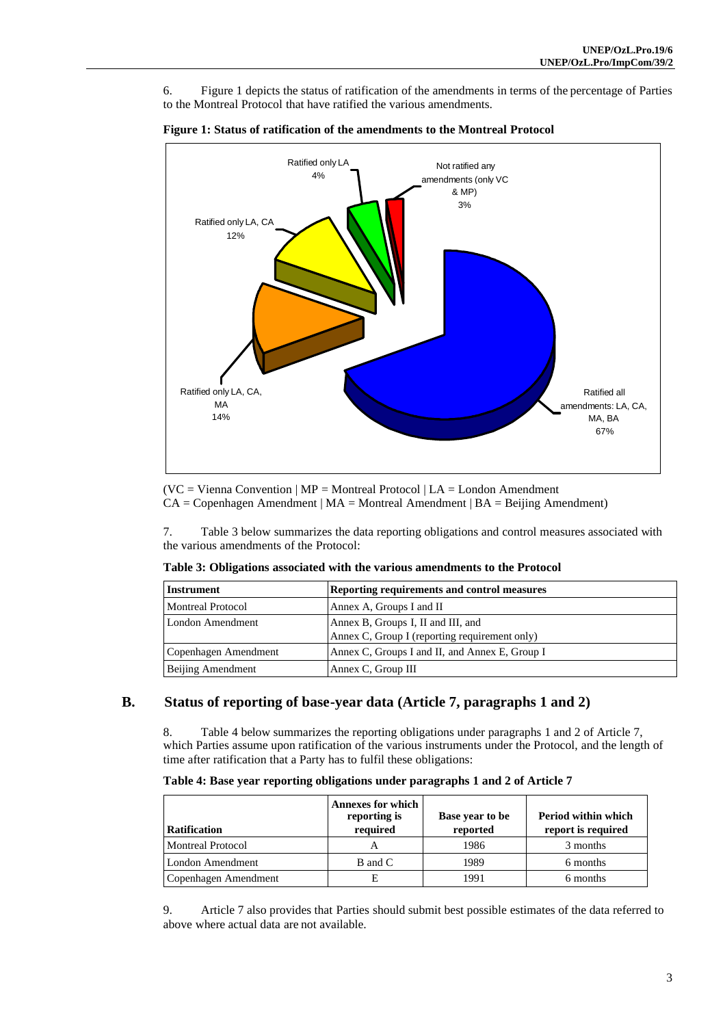6. Figure 1 depicts the status of ratification of the amendments in terms of the percentage of Parties to the Montreal Protocol that have ratified the various amendments.



**Figure 1: Status of ratification of the amendments to the Montreal Protocol**

 $(VC = Vienna Convention | MP = Montreal Protocol | LA = London Amendment$  $CA = Copenhagen$  Amendment |  $MA = Montreal$  Amendment |  $BA = Beijing$  Amendment)

7. Table 3 below summarizes the data reporting obligations and control measures associated with the various amendments of the Protocol:

| Table 3: Obligations associated with the various amendments to the Protocol |  |  |  |
|-----------------------------------------------------------------------------|--|--|--|
|-----------------------------------------------------------------------------|--|--|--|

| Instrument               | Reporting requirements and control measures                                         |
|--------------------------|-------------------------------------------------------------------------------------|
| <b>Montreal Protocol</b> | Annex A, Groups I and II                                                            |
| London Amendment         | Annex B, Groups I, II and III, and<br>Annex C, Group I (reporting requirement only) |
| Copenhagen Amendment     | Annex C, Groups I and II, and Annex E, Group I                                      |
| Beijing Amendment        | Annex C, Group III                                                                  |

## **B. Status of reporting of base-year data (Article 7, paragraphs 1 and 2)**

8. Table 4 below summarizes the reporting obligations under paragraphs 1 and 2 of Article 7, which Parties assume upon ratification of the various instruments under the Protocol, and the length of time after ratification that a Party has to fulfil these obligations:

|  |  | Table 4: Base year reporting obligations under paragraphs 1 and 2 of Article 7 |
|--|--|--------------------------------------------------------------------------------|
|  |  |                                                                                |

| <b>Ratification</b>      | <b>Annexes for which</b><br>reporting is<br>required | <b>Base year to be</b><br>reported | Period within which<br>report is required |
|--------------------------|------------------------------------------------------|------------------------------------|-------------------------------------------|
| <b>Montreal Protocol</b> | A                                                    | 1986                               | 3 months                                  |
| London Amendment         | B and C                                              | 1989                               | 6 months                                  |
| Copenhagen Amendment     | E                                                    | 1991                               | 6 months                                  |

9. Article 7 also provides that Parties should submit best possible estimates of the data referred to above where actual data are not available.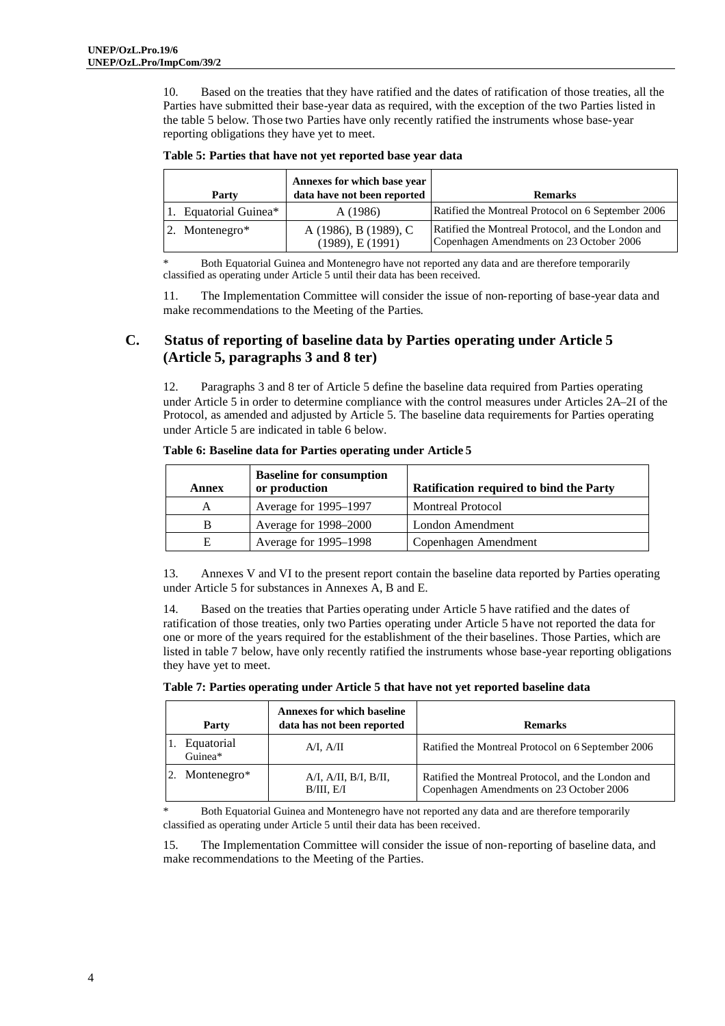10. Based on the treaties that they have ratified and the dates of ratification of those treaties, all the Parties have submitted their base-year data as required, with the exception of the two Parties listed in the table 5 below. Those two Parties have only recently ratified the instruments whose base-year reporting obligations they have yet to meet.

| Party                         | Annexes for which base year<br>data have not been reported | <b>Remarks</b>                                                                                 |
|-------------------------------|------------------------------------------------------------|------------------------------------------------------------------------------------------------|
| 1. Equatorial Guinea*         | A (1986)                                                   | Ratified the Montreal Protocol on 6 September 2006                                             |
| $ 2.$ Montenegro <sup>*</sup> | A (1986), B (1989), C<br>$(1989)$ , E $(1991)$             | Ratified the Montreal Protocol, and the London and<br>Copenhagen Amendments on 23 October 2006 |

**Table 5: Parties that have not yet reported base year data**

Both Equatorial Guinea and Montenegro have not reported any data and are therefore temporarily classified as operating under Article 5 until their data has been received.

11. The Implementation Committee will consider the issue of non-reporting of base-year data and make recommendations to the Meeting of the Parties.

## **C. Status of reporting of baseline data by Parties operating under Article 5 (Article 5, paragraphs 3 and 8 ter)**

12. Paragraphs 3 and 8 ter of Article 5 define the baseline data required from Parties operating under Article 5 in order to determine compliance with the control measures under Articles 2A–2I of the Protocol, as amended and adjusted by Article 5. The baseline data requirements for Parties operating under Article 5 are indicated in table 6 below.

| Annex | <b>Baseline for consumption</b><br>or production | Ratification required to bind the Party |
|-------|--------------------------------------------------|-----------------------------------------|
| A     | Average for 1995–1997                            | <b>Montreal Protocol</b>                |
| B     | Average for 1998–2000                            | London Amendment                        |
| E     | Average for 1995-1998                            | Copenhagen Amendment                    |

**Table 6: Baseline data for Parties operating under Article 5**

13. Annexes V and VI to the present report contain the baseline data reported by Parties operating under Article 5 for substances in Annexes A, B and E.

14. Based on the treaties that Parties operating under Article 5 have ratified and the dates of ratification of those treaties, only two Parties operating under Article 5 have not reported the data for one or more of the years required for the establishment of the their baselines. Those Parties, which are listed in table 7 below, have only recently ratified the instruments whose base-year reporting obligations they have yet to meet.

|                  | Party                 | <b>Annexes for which baseline</b><br>data has not been reported | <b>Remarks</b>                                                                                 |
|------------------|-----------------------|-----------------------------------------------------------------|------------------------------------------------------------------------------------------------|
|                  | Equatorial<br>Guinea* | A/I. A/II                                                       | Ratified the Montreal Protocol on 6 September 2006                                             |
| $\overline{2}$ . | Montenegro*           | $A/I$ , $A/II$ , $B/I$ , $B/II$ ,<br>$B/III$ , $E/I$            | Ratified the Montreal Protocol, and the London and<br>Copenhagen Amendments on 23 October 2006 |

Both Equatorial Guinea and Montenegro have not reported any data and are therefore temporarily classified as operating under Article 5 until their data has been received.

15. The Implementation Committee will consider the issue of non-reporting of baseline data, and make recommendations to the Meeting of the Parties.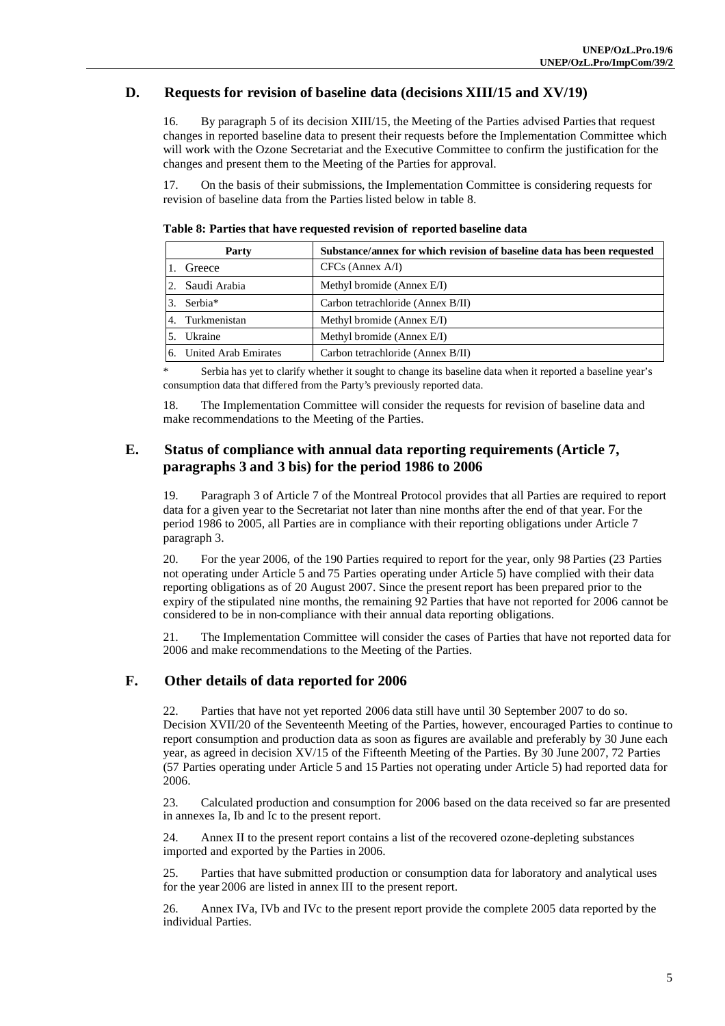## **D. Requests for revision of baseline data (decisions XIII/15 and XV/19)**

16. By paragraph 5 of its decision XIII/15, the Meeting of the Parties advised Parties that request changes in reported baseline data to present their requests before the Implementation Committee which will work with the Ozone Secretariat and the Executive Committee to confirm the justification for the changes and present them to the Meeting of the Parties for approval.

17. On the basis of their submissions, the Implementation Committee is considering requests for revision of baseline data from the Parties listed below in table 8.

|    | Party                | Substance/annex for which revision of baseline data has been requested |
|----|----------------------|------------------------------------------------------------------------|
|    | Greece               | $CFCs$ (Annex A/I)                                                     |
|    | 2. Saudi Arabia      | Methyl bromide (Annex E/I)                                             |
| 3. | Serbia*              | Carbon tetrachloride (Annex B/II)                                      |
| 4. | Turkmenistan         | Methyl bromide (Annex E/I)                                             |
|    | Ukraine              | Methyl bromide (Annex E/I)                                             |
| 6. | United Arab Emirates | Carbon tetrachloride (Annex B/II)                                      |

**Table 8: Parties that have requested revision of reported baseline data**

\* Serbia has yet to clarify whether it sought to change its baseline data when it reported a baseline year's consumption data that differed from the Party's previously reported data.

18. The Implementation Committee will consider the requests for revision of baseline data and make recommendations to the Meeting of the Parties.

## **E. Status of compliance with annual data reporting requirements (Article 7, paragraphs 3 and 3 bis) for the period 1986 to 2006**

19. Paragraph 3 of Article 7 of the Montreal Protocol provides that all Parties are required to report data for a given year to the Secretariat not later than nine months after the end of that year. For the period 1986 to 2005, all Parties are in compliance with their reporting obligations under Article 7 paragraph 3.

20. For the year 2006, of the 190 Parties required to report for the year, only 98 Parties (23 Parties not operating under Article 5 and 75 Parties operating under Article 5) have complied with their data reporting obligations as of 20 August 2007. Since the present report has been prepared prior to the expiry of the stipulated nine months, the remaining 92 Parties that have not reported for 2006 cannot be considered to be in non-compliance with their annual data reporting obligations.

21. The Implementation Committee will consider the cases of Parties that have not reported data for 2006 and make recommendations to the Meeting of the Parties.

## **F. Other details of data reported for 2006**

22. Parties that have not yet reported 2006 data still have until 30 September 2007 to do so. Decision XVII/20 of the Seventeenth Meeting of the Parties, however, encouraged Parties to continue to report consumption and production data as soon as figures are available and preferably by 30 June each year, as agreed in decision XV/15 of the Fifteenth Meeting of the Parties. By 30 June 2007, 72 Parties (57 Parties operating under Article 5 and 15 Parties not operating under Article 5) had reported data for 2006.

23. Calculated production and consumption for 2006 based on the data received so far are presented in annexes Ia, Ib and Ic to the present report.

24. Annex II to the present report contains a list of the recovered ozone-depleting substances imported and exported by the Parties in 2006.

25. Parties that have submitted production or consumption data for laboratory and analytical uses for the year 2006 are listed in annex III to the present report.

26. Annex IVa, IVb and IVc to the present report provide the complete 2005 data reported by the individual Parties.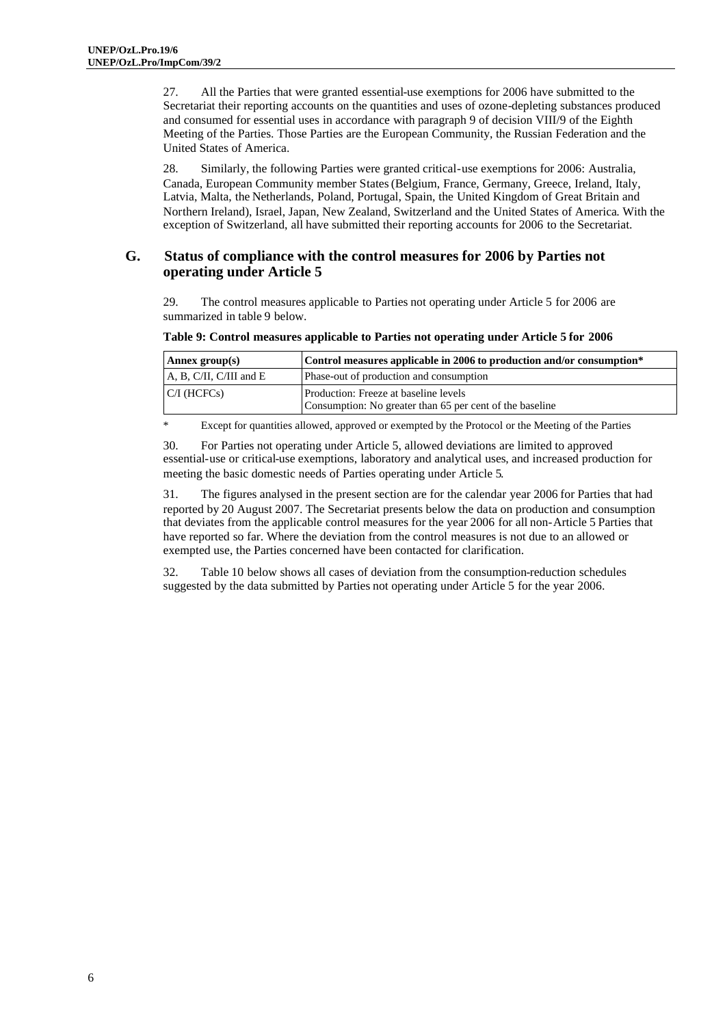27. All the Parties that were granted essential-use exemptions for 2006 have submitted to the Secretariat their reporting accounts on the quantities and uses of ozone-depleting substances produced and consumed for essential uses in accordance with paragraph 9 of decision VIII/9 of the Eighth Meeting of the Parties. Those Parties are the European Community, the Russian Federation and the United States of America.

28. Similarly, the following Parties were granted critical-use exemptions for 2006: Australia, Canada, European Community member States(Belgium, France, Germany, Greece, Ireland, Italy, Latvia, Malta, the Netherlands, Poland, Portugal, Spain, the United Kingdom of Great Britain and Northern Ireland), Israel, Japan, New Zealand, Switzerland and the United States of America. With the exception of Switzerland, all have submitted their reporting accounts for 2006 to the Secretariat.

## **G. Status of compliance with the control measures for 2006 by Parties not operating under Article 5**

29. The control measures applicable to Parties not operating under Article 5 for 2006 are summarized in table 9 below.

| Annex $group(s)$          | Control measures applicable in 2006 to production and/or consumption*                             |
|---------------------------|---------------------------------------------------------------------------------------------------|
| $A, B, C/II, C/III$ and E | Phase-out of production and consumption                                                           |
| $C/I$ (HCFCs)             | Production: Freeze at baseline levels<br>Consumption: No greater than 65 per cent of the baseline |

#### **Table 9: Control measures applicable to Parties not operating under Article 5 for 2006**

\* Except for quantities allowed, approved or exempted by the Protocol or the Meeting of the Parties

30. For Parties not operating under Article 5, allowed deviations are limited to approved essential-use or critical-use exemptions, laboratory and analytical uses, and increased production for meeting the basic domestic needs of Parties operating under Article 5.

31. The figures analysed in the present section are for the calendar year 2006 for Parties that had reported by 20 August 2007. The Secretariat presents below the data on production and consumption that deviates from the applicable control measures for the year 2006 for all non-Article 5 Parties that have reported so far. Where the deviation from the control measures is not due to an allowed or exempted use, the Parties concerned have been contacted for clarification.

32. Table 10 below shows all cases of deviation from the consumption-reduction schedules suggested by the data submitted by Parties not operating under Article 5 for the year 2006.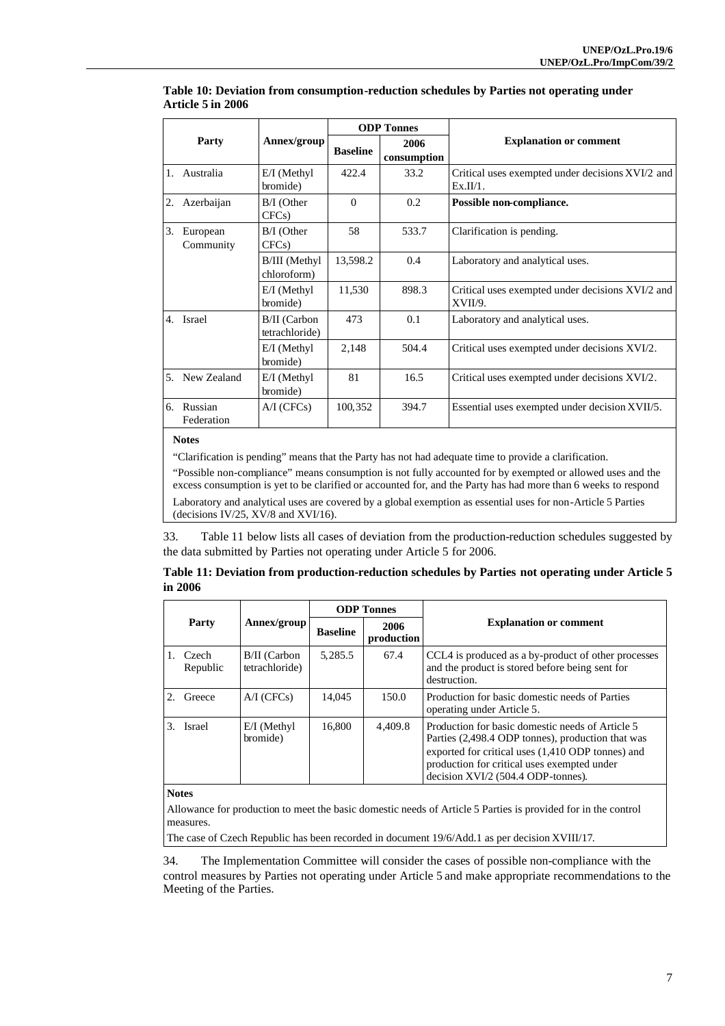|    |                       |                                          |                 | <b>ODP Tonnes</b>   |                                                                 |  |  |
|----|-----------------------|------------------------------------------|-----------------|---------------------|-----------------------------------------------------------------|--|--|
|    | Party                 | Annex/group                              | <b>Baseline</b> | 2006<br>consumption | <b>Explanation or comment</b>                                   |  |  |
|    | 1. Australia          | $E/I$ (Methyl)<br>bromide)               | 422.4           | 33.2                | Critical uses exempted under decisions XVI/2 and<br>$Ex.II/1$ . |  |  |
| 2. | Azerbaijan            | B/I (Other<br>CFCs                       | $\Omega$        | 0.2                 | Possible non-compliance.                                        |  |  |
| 3. | European<br>Community | $B/I$ (Other<br>CFCs                     | 58              | 533.7               | Clarification is pending.                                       |  |  |
|    |                       | B/III (Methyl<br>13,598.2<br>chloroform) |                 | 0.4                 | Laboratory and analytical uses.                                 |  |  |
|    |                       | $E/I$ (Methyl)<br>bromide)               | 11,530          | 898.3               | Critical uses exempted under decisions XVI/2 and<br>XVII/9.     |  |  |
| 4. | Israel                | <b>B/II</b> (Carbon<br>tetrachloride)    | 473             | 0.1                 | Laboratory and analytical uses.                                 |  |  |
|    |                       | $E/I$ (Methyl)<br>bromide)               | 2,148           | 504.4               | Critical uses exempted under decisions XVI/2.                   |  |  |
| 5. | New Zealand           | $E/I$ (Methyl)<br>bromide)               | 81              | 16.5                | Critical uses exempted under decisions XVI/2.                   |  |  |
| б. | Russian<br>Federation | $A/I$ (CFCs)                             | 100,352         | 394.7               | Essential uses exempted under decision XVII/5.                  |  |  |

**Table 10: Deviation from consumption-reduction schedules by Parties not operating under Article 5 in 2006**

#### **Notes**

"Clarification is pending" means that the Party has not had adequate time to provide a clarification.

"Possible non-compliance" means consumption is not fully accounted for by exempted or allowed uses and the excess consumption is yet to be clarified or accounted for, and the Party has had more than 6 weeks to respond Laboratory and analytical uses are covered by a global exemption as essential uses for non-Article 5 Parties

(decisions IV/25, XV/8 and XVI/16).

33. Table 11 below lists all cases of deviation from the production-reduction schedules suggested by the data submitted by Parties not operating under Article 5 for 2006.

| Table 11: Deviation from production-reduction schedules by Parties not operating under Article 5 |  |
|--------------------------------------------------------------------------------------------------|--|
| in 2006                                                                                          |  |

|             |                   |                                |                 | <b>ODP</b> Tonnes  |                                                                                                                                                                                                                                                 |  |  |
|-------------|-------------------|--------------------------------|-----------------|--------------------|-------------------------------------------------------------------------------------------------------------------------------------------------------------------------------------------------------------------------------------------------|--|--|
|             | Party             | Annex/group                    | <b>Baseline</b> | 2006<br>production | <b>Explanation or comment</b>                                                                                                                                                                                                                   |  |  |
|             | Czech<br>Republic | B/II (Carbon<br>tetrachloride) | 5.285.5         | 67.4               | CCL4 is produced as a by-product of other processes<br>and the product is stored before being sent for<br>destruction.                                                                                                                          |  |  |
| $2^{\circ}$ | Greece            | $A/I$ (CFCs)                   | 14,045          | 150.0              | Production for basic domestic needs of Parties<br>operating under Article 5.                                                                                                                                                                    |  |  |
|             | 3. Israel         | $E/I$ (Methyl)<br>bromide)     | 16,800          | 4.409.8            | Production for basic domestic needs of Article 5<br>Parties (2,498.4 ODP tonnes), production that was<br>exported for critical uses (1,410 ODP tonnes) and<br>production for critical uses exempted under<br>decision XVI/2 (504.4 ODP-tonnes). |  |  |
|             | <b>Notes</b>      |                                |                 |                    |                                                                                                                                                                                                                                                 |  |  |

**Notes**

Allowance for production to meet the basic domestic needs of Article 5 Parties is provided for in the control measures.

The case of Czech Republic has been recorded in document 19/6/Add.1 as per decision XVIII/17.

34. The Implementation Committee will consider the cases of possible non-compliance with the control measures by Parties not operating under Article 5 and make appropriate recommendations to the Meeting of the Parties.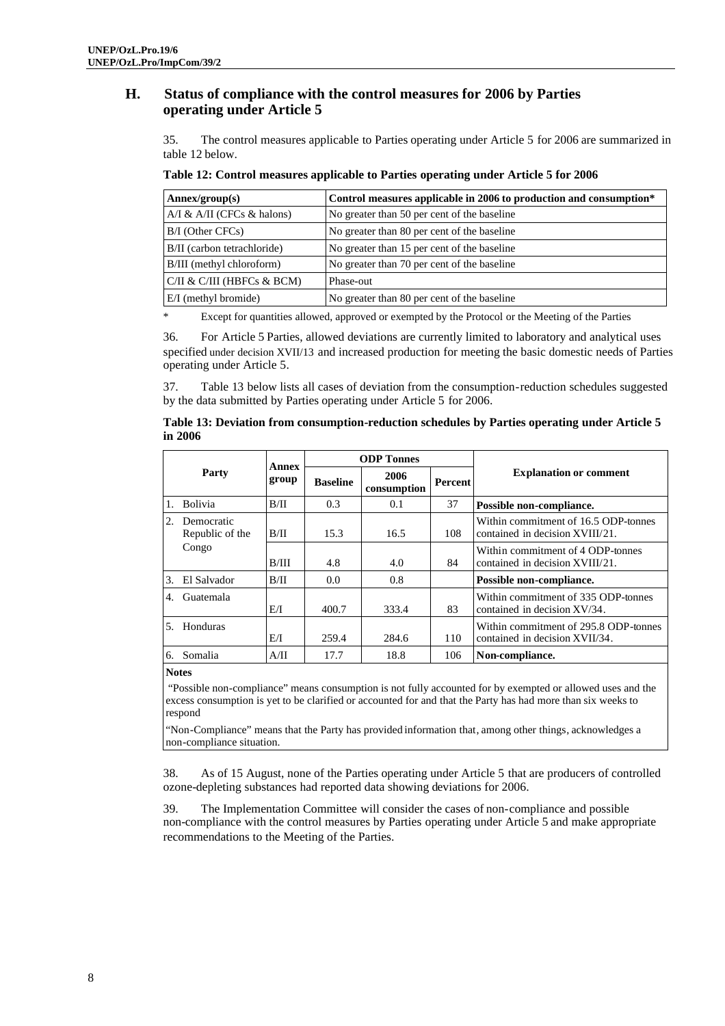## **H. Status of compliance with the control measures for 2006 by Parties operating under Article 5**

35. The control measures applicable to Parties operating under Article 5 for 2006 are summarized in table 12 below.

**Table 12: Control measures applicable to Parties operating under Article 5 for 2006**

| Annex/group(s)               | Control measures applicable in 2006 to production and consumption* |
|------------------------------|--------------------------------------------------------------------|
| $A/I & A/II$ (CFCs & halons) | No greater than 50 per cent of the baseline                        |
| $B/I$ (Other CFCs)           | No greater than 80 per cent of the baseline                        |
| B/II (carbon tetrachloride)  | No greater than 15 per cent of the baseline                        |
| B/III (methyl chloroform)    | No greater than 70 per cent of the baseline                        |
| C/II & C/III (HBFCs & BCM)   | Phase-out                                                          |
| $E/I$ (methyl bromide)       | No greater than 80 per cent of the baseline                        |

\* Except for quantities allowed, approved or exempted by the Protocol or the Meeting of the Parties

36. For Article 5 Parties, allowed deviations are currently limited to laboratory and analytical uses specified under decision XVII/13 and increased production for meeting the basic domestic needs of Parties operating under Article 5.

37. Table 13 below lists all cases of deviation from the consumption-reduction schedules suggested by the data submitted by Parties operating under Article 5 for 2006.

**Table 13: Deviation from consumption-reduction schedules by Parties operating under Article 5 in 2006**

|                |                               | Annex |                 | <b>ODP</b> Tonnes   |                |                                                                         |  |  |
|----------------|-------------------------------|-------|-----------------|---------------------|----------------|-------------------------------------------------------------------------|--|--|
|                | Party                         | group | <b>Baseline</b> | 2006<br>consumption | <b>Percent</b> | <b>Explanation or comment</b>                                           |  |  |
| 1.             | <b>Bolivia</b>                | B/II  | 0.3             | 0.1                 | 37             | Possible non-compliance.                                                |  |  |
| 2.             | Democratic<br>Republic of the | B/II  | 15.3            | 16.5                | 108            | Within commitment of 16.5 ODP-tonnes<br>contained in decision XVIII/21. |  |  |
|                | Congo                         | B/III | 4.8             | 4.0                 | 84             | Within commitment of 4 ODP-tonnes<br>contained in decision XVIII/21.    |  |  |
| $\mathbf{3}$ . | El Salvador                   | B/II  | 0.0             | 0.8                 |                | Possible non-compliance.                                                |  |  |
| 4 <sup>1</sup> | Guatemala                     | E/I   | 400.7           | 333.4               | 83             | Within commitment of 335 ODP-tonnes<br>contained in decision XV/34.     |  |  |
| 5 <sub>1</sub> | Honduras                      | E/I   | 259.4           | 284.6               | 110            | Within commitment of 295.8 ODP-tonnes<br>contained in decision XVII/34. |  |  |
| 6.             | Somalia                       | A/II  | 17.7            | 18.8                | 106            | Non-compliance.                                                         |  |  |

**Notes**

"Possible non-compliance" means consumption is not fully accounted for by exempted or allowed uses and the excess consumption is yet to be clarified or accounted for and that the Party has had more than six weeks to respond

"Non-Compliance" means that the Party has provided information that, among other things, acknowledges a non-compliance situation.

38. As of 15 August, none of the Parties operating under Article 5 that are producers of controlled ozone-depleting substances had reported data showing deviations for 2006.

39. The Implementation Committee will consider the cases of non-compliance and possible non-compliance with the control measures by Parties operating under Article 5 and make appropriate recommendations to the Meeting of the Parties.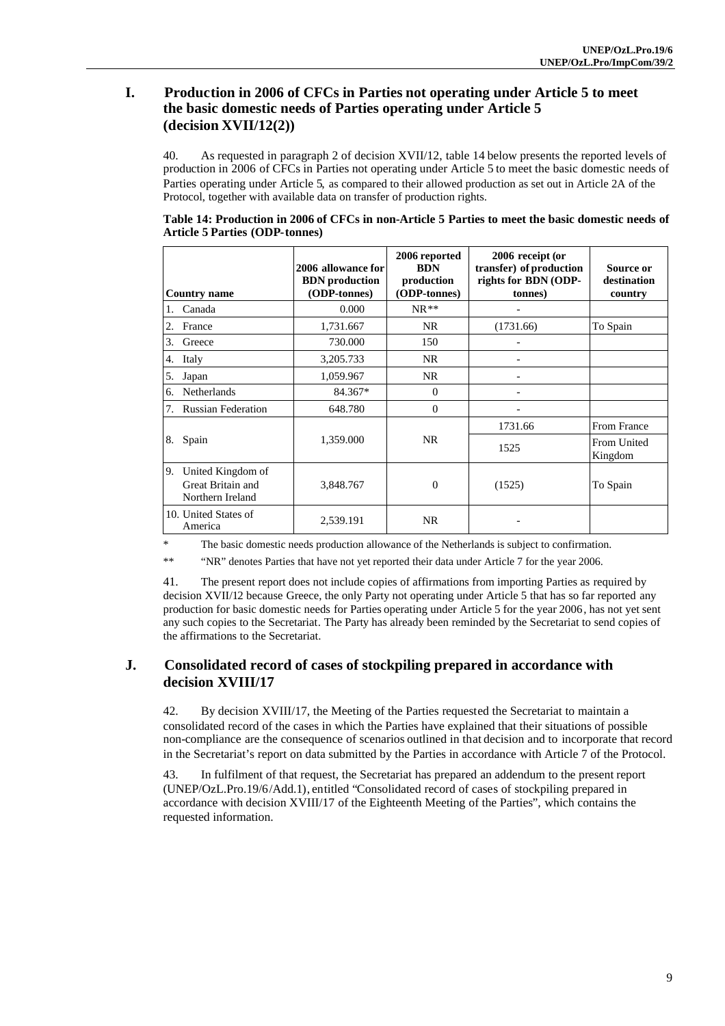## **I. Production in 2006 of CFCs in Parties not operating under Article 5 to meet the basic domestic needs of Parties operating under Article 5 (decision XVII/12(2))**

40. As requested in paragraph 2 of decision XVII/12, table 14 below presents the reported levels of production in 2006 of CFCs in Parties not operating under Article 5 to meet the basic domestic needs of Parties operating under Article 5, as compared to their allowed production as set out in Article 2A of the Protocol, together with available data on transfer of production rights.

| Table 14: Production in 2006 of CFCs in non-Article 5 Parties to meet the basic domestic needs of |  |
|---------------------------------------------------------------------------------------------------|--|
| <b>Article 5 Parties (ODP-tonnes)</b>                                                             |  |

| <b>Country name</b>                                              | 2006 allowance for<br><b>BDN</b> production<br>(ODP-tonnes) | 2006 reported<br><b>BDN</b><br>production<br>(ODP-tonnes) | 2006 receipt (or<br>transfer) of production<br>rights for BDN (ODP-<br>tonnes) | Source or<br>destination<br>country |
|------------------------------------------------------------------|-------------------------------------------------------------|-----------------------------------------------------------|--------------------------------------------------------------------------------|-------------------------------------|
| Canada<br>1.                                                     | 0.000                                                       | $NR**$                                                    |                                                                                |                                     |
| 2.<br>France                                                     | 1,731.667                                                   | NR.                                                       | (1731.66)                                                                      | To Spain                            |
| 3.<br>Greece                                                     | 730.000                                                     | 150                                                       |                                                                                |                                     |
| 4.<br>Italy                                                      | 3,205.733                                                   | NR.                                                       |                                                                                |                                     |
| 5.<br>Japan                                                      | 1,059.967                                                   | NR.                                                       |                                                                                |                                     |
| Netherlands<br>6.                                                | 84.367*                                                     | $\Omega$                                                  |                                                                                |                                     |
| <b>Russian Federation</b><br>7.                                  | 648.780                                                     | $\mathbf{0}$                                              |                                                                                |                                     |
|                                                                  |                                                             |                                                           | 1731.66                                                                        | <b>From France</b>                  |
| 8.<br>Spain                                                      | 1,359.000                                                   | NR.                                                       | 1525                                                                           | From United<br>Kingdom              |
| 9.<br>United Kingdom of<br>Great Britain and<br>Northern Ireland | 3,848.767                                                   | $\overline{0}$                                            | (1525)                                                                         | To Spain                            |
| 10. United States of<br>America                                  | 2,539.191                                                   | NR                                                        |                                                                                |                                     |

\* The basic domestic needs production allowance of the Netherlands is subject to confirmation.

\*\* "NR" denotes Parties that have not yet reported their data under Article 7 for the year 2006.

41. The present report does not include copies of affirmations from importing Parties as required by decision XVII/12 because Greece, the only Party not operating under Article 5 that has so far reported any production for basic domestic needs for Parties operating under Article 5 for the year 2006, has not yet sent any such copies to the Secretariat. The Party has already been reminded by the Secretariat to send copies of the affirmations to the Secretariat.

## **J. Consolidated record of cases of stockpiling prepared in accordance with decision XVIII/17**

42. By decision XVIII/17, the Meeting of the Parties requested the Secretariat to maintain a consolidated record of the cases in which the Parties have explained that their situations of possible non-compliance are the consequence of scenarios outlined in that decision and to incorporate that record in the Secretariat's report on data submitted by the Parties in accordance with Article 7 of the Protocol.

43. In fulfilment of that request, the Secretariat has prepared an addendum to the present report (UNEP/OzL.Pro.19/6/Add.1), entitled "Consolidated record of cases of stockpiling prepared in accordance with decision XVIII/17 of the Eighteenth Meeting of the Parties", which contains the requested information.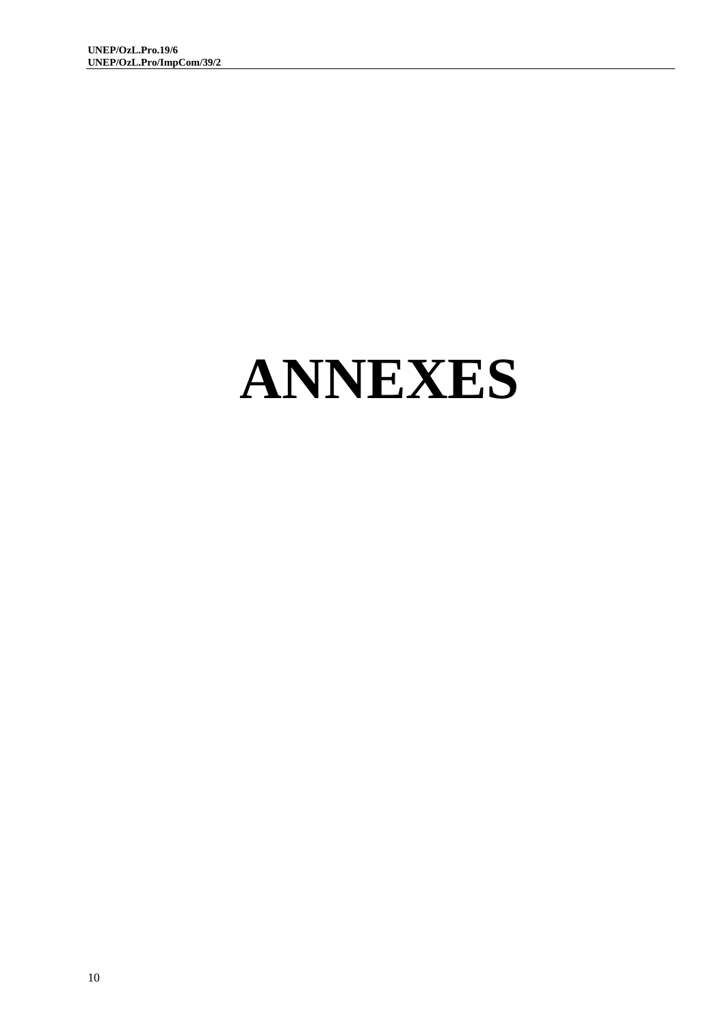# **ANNEXES**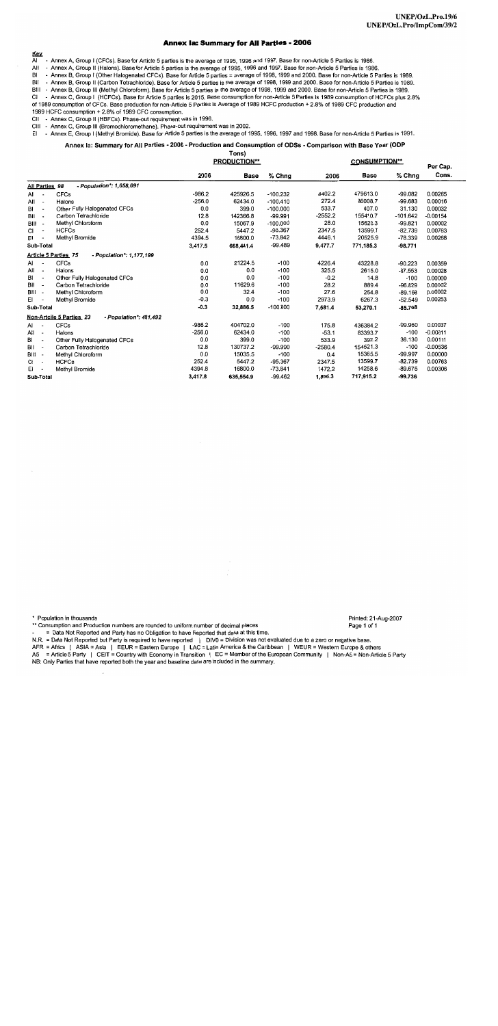#### **Annex Ia: Summary for All Parties - 2006**

<u>Kev</u>

.<br>- Annex A, Group I (CFCs). Base for Article 5 parties is the average of 1995, 1996 and 1997. Base for non-Article 5 Parties is 1986. A<sub>I</sub>

All - Annex A, Group II (Halons). Base for Article 5 parties is the average of 1995, 1996 and 1997. Base for non-Article 5 Parties is 1986.

BI - Annex B, Group I (Other Halogenated CFCs). Base for Article 5 parties = average of 1998, 1999 and 2000. Base for non-Article 5 Parties is 1989.

BII - Annex B, Group II (Carbon Tetrachloride). Base for Article 5 parties is the average of 1998, 1999 and 2000. Base for non-Article 5 Parties is 1989.

BIII - Annex B, Group III (Methyl Chloroform). Base for Article 5 parties is the average of 1998, 1999 and 2000. Base for non-Article 5 Parties is 1989.

CI - Annex C, Group | (HCFCs), Base for Article 5 parties is 2015, Base consumption for non-Article 5 Parties is 1989 consumption of HCFCs plus 2.8% of 1989 consumption of CFCs. Base production for non-Article 5 Parties is Average of 1989 HCFC production + 2.8% of 1989 CFC production and

1989 HCFC consumption + 2.8% of 1989 CFC consumption.

CII - Annex C, Group II (HBFCs). Phase-out requirement was in 1996.

CIII - Annex C, Group III (Bromochloromethane). Phase-out requirement was in 2002.

El - Annex E, Group I (Methyl Bromide). Base for Article 5 parties is the average of 1995, 1996, 1997 and 1998. Base for non-Article 5 Parties is 1991.

#### Annex la: Summary for All Parties - 2006 - Production and Consumption of ODSs - Comparison with Base Year (ODP

|        |                          | TONS)                                                |                     |             |            |           |                      |            |                   |  |
|--------|--------------------------|------------------------------------------------------|---------------------|-------------|------------|-----------|----------------------|------------|-------------------|--|
|        |                          |                                                      | <b>PRODUCTION**</b> |             |            |           | <b>CONSUMPTION**</b> |            |                   |  |
|        |                          |                                                      | 2006                | <b>Base</b> | % Chng     | 2006      | <b>Base</b>          | % Chng     | Per Cap.<br>Cons. |  |
|        | All Parties 98           | - Population*: 1,658,691                             |                     |             |            |           |                      |            |                   |  |
| AI     |                          | <b>CFCs</b>                                          | $-986.2$            | 425926.5    | $-100.232$ | 4402.2    | 479613.0             | $-99.082$  | 0.00265           |  |
| All    |                          | Halons                                               | $-256.0$            | 62434.0     | $-100.410$ | 272.4     | 86008.7              | $-99.683$  | 0.00016           |  |
| BI     |                          | Other Fully Halogenated CFCs                         | 0.0                 | 399.0       | $-100.000$ | 533.7     | 407.0                | 31.130     | 0.00032           |  |
| BII    |                          | Carbon Tetrachloride                                 | 12.8                | 142366.8    | $-99.991$  | $-2552.2$ | 155410.7             | $-101.642$ | $-0.00154$        |  |
| BIII   |                          | Methyl Chloroform                                    | 0.0                 | 15067.9     | $-100.000$ | 28.0      | 15620.3              | $-99.821$  | 0.00002           |  |
| CI     |                          | <b>HCFCs</b>                                         | 252.4               | 5447.2      | $-95.367$  | 2347.5    | 13599.7              | $-82.739$  | 0.00763           |  |
| EI     |                          | <b>Methyl Bromide</b>                                | 4394.5              | 16800.0     | $-73.842$  | 4446.1    | 20525.9              | $-78.339$  | 0.00268           |  |
|        | Sub-Total                |                                                      | 3,417.5             | 668,441.4   | $-99.489$  | 9,477.7   | 771,185.3            | $-98.771$  |                   |  |
|        |                          | Article 5 Parties 75<br>- Population*: 1,177,199     |                     |             |            |           |                      |            |                   |  |
| AI     |                          | CFCs                                                 | 0.0                 | 21224.5     | $-100$     | 4226.4    | 43228.8              | $-90.223$  | 0.00359           |  |
| All    |                          | Halons                                               | 0.0                 | 0.0         | $-100$     | 325.5     | 2615.0               | $-87.553$  | 0.00028           |  |
| BI     |                          | Other Fully Halogenated CFCs                         | 0.0                 | 0.0         | $-100$     | $-0.2$    | 14.8                 | $-100$     | 0.00000           |  |
| BII    |                          | Carbon Tetrachloride                                 | 0.0                 | 11629.6     | $-100$     | 28.2      | 889.4                | $-96.829$  | 0.00002           |  |
| BIII - |                          | Methyl Chloroform                                    | 0.0                 | 32.4        | $-100$     | 27.6      | 254.8                | $-89.168$  | 0.00002           |  |
| EI     |                          | Methyl Bromide                                       | $-0.3$              | 0.0         | $-100$     | 2973.9    | 6267.3               | $-52.549$  | 0.00253           |  |
|        | Sub-Total                |                                                      | $-0.3$              | 32,886.5    | $-100.000$ | 7,581.4   | 53,270.1             | $-85.768$  |                   |  |
|        |                          | Non-Artcile 5 Parties 23<br>- Population*: $481,492$ |                     |             |            |           |                      |            |                   |  |
| AI     |                          | CFCs                                                 | $-986.2$            | 404702.0    | $-100$     | 175.8     | 436384.2             | $-99.960$  | 0.00037           |  |
| All    | $\overline{\phantom{a}}$ | Halons                                               | $-256.0$            | 62434.0     | $-100$     | $-53.1$   | 83393.7              | $-100$     | $-0.00011$        |  |
| BI     |                          | Other Fully Halogenated CFCs                         | 0.0                 | 399.0       | $-100$     | 533.9     | 392.2                | 36.130     | 0.00111           |  |
| BII    |                          | Carbon Tetrachloride                                 | 12.8                | 130737.2    | $-99.990$  | $-2580.4$ | 154521.3             | $-100$     | $-0.00536$        |  |
| BIII   |                          | Methyl Chloroform                                    | 0.0                 | 15035.5     | $-100$     | 0.4       | 15365.5              | -99.997    | 0.00000           |  |
| СI     |                          | <b>HCFCs</b>                                         | 252.4               | 5447.2      | $-95.367$  | 2347.5    | 13599.7              | $-82.739$  | 0.00763           |  |
| EI.    |                          | Methyl Bromide                                       | 4394.8              | 16800.0     | $-73.841$  | 1472.2    | 14258.6              | $-89.675$  | 0.00306           |  |
|        | Sub-Total                |                                                      | 3,417.8             | 635,554.9   | $-99.462$  | 1,896.3   | 717,915.2            | $-99.736$  |                   |  |

\* Population in thousands

\*\* Consumption and Production numbers are rounded to uniform number of decimal places

= Data Not Reported and Party has no Obligation to have Reported that data at this time.

N.R. = Data Not Reported but Party is required to have reported | DIV0 = Division was not evaluated due to a zero or negative base.

AFR = Africa | ASIA = Asia | EEUR = Eastern Europe | LAC = Latin America & the Caribbean | WEUR = Western Europe & others

A5 = Article 5 Party | CEIT = Country with Economy in Transition | EC = Member of the European Community | Non-A5 = Non-Article 5 Party NB: Only Parties that have reported both the year and baseline data are included in the summary.

Printed: 21-Aug-2007 Page 1 of 1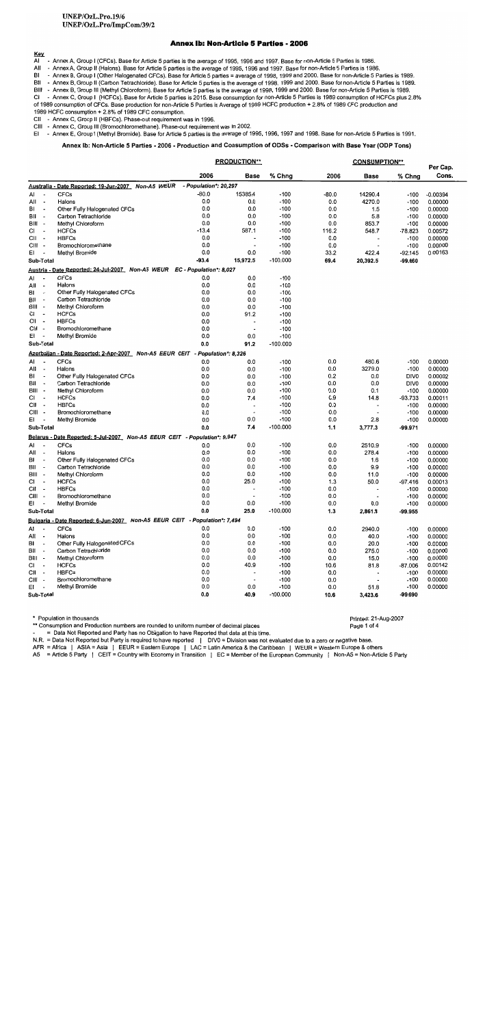#### **Annex Ib: Non-Article 5 Parties - 2006**

Key

- Annex A, Group I (CFCs). Base for Article 5 parties is the average of 1995, 1996 and 1997. Base for non-Article 5 Parties is 1986.  $\overline{AI}$ 

All - Annex A, Group II (Halons). Base for Article 5 parties is the average of 1995, 1996 and 1997. Base for non-Article 5 Parties is 1986.

BI - Annex B, Group I (Other Halogenated CFCs). Base for Article 5 parties = average of 1998, 1999 and 2000. Base for non-Article 5 Parties is 1989.

- Annex B, Group II (Carbon Tetrachloride). Base for Article 5 parties is the average of 1998, 1999 and 2000. Base for non-Article 5 Parties is 1989. BII

BIII - Annex B, Group III (Methyl Chloroform). Base for Article 5 parties is the average of 1998, 1999 and 2000. Base for non-Article 5 Parties is 1989. - Annex C. Group I (HCFCs). Base for Article 5 parties is 2015. Base consumption for non-Article 5 Parties is 1989 consumption of HCFCs plus 2.8%

CL. of 1989 consumption of CFCs. Base production for non-Article 5 Parties is Average of 1989 HCFC production + 2.8% of 1989 CFC production and

1989 HCFC consumption + 2.8% of 1989 CFC consumption.

CII - Annex C, Group II (HBFCs). Phase-out requirement was in 1996.

CIII - Annex C, Group III (Bromochloromethane). Phase-out requirement was in 2002.

El - Annex E, Group I (Methyl Bromide). Base for Article 5 parties is the average of 1995, 1996, 1997 and 1998. Base for non-Article 5 Parties is 1991.

Annex Ib: Non-Article 5 Parties - 2006 - Production and Consumption of ODSs - Comparison with Base Year (ODP Tons)

|                                  |                                                                              |                       | <b>PRODUCTION**</b>      |            |         | <b>CONSUMPTION**</b>     |                  |                   |
|----------------------------------|------------------------------------------------------------------------------|-----------------------|--------------------------|------------|---------|--------------------------|------------------|-------------------|
|                                  |                                                                              | 2006                  | <b>Base</b>              | % Chng     | 2006    | <b>Base</b>              | % Chng           | Per Cap.<br>Cons. |
|                                  | Australia - Date Reported: 19-Jun-2007_ Non-A5 WEUR                          | - Population*: 20,297 |                          |            |         |                          |                  |                   |
| AI<br>$\overline{\phantom{a}}$   | <b>CFCs</b>                                                                  | -80.0                 | 15385.4                  | $-100$     | -80.0   | 14290.4                  | $-100$           | $-0.00394$        |
| All<br>$\overline{\phantom{a}}$  | Halons                                                                       | 0.0                   | 0.0                      | $-100$     | 0.0     | 4270.0                   | -100             | 0.00000           |
| BI<br>$\overline{\phantom{a}}$   | Other Fully Halogenated CFCs                                                 | 0.0                   | 0.0                      | $-100$     | 0.0     | 1.5                      | $-100$           | 0.00000           |
| BII<br>$\overline{\phantom{a}}$  | Carbon Tetrachloride                                                         | 0.0                   | 0.0                      | $-100$     | 0.0     | 5.8                      | $-100$           | 0.00000           |
| BIII<br>$\overline{\phantom{a}}$ | <b>Methyl Chloroform</b>                                                     | 0.0                   | 0.0                      | $-100$     | 0.0     | 853.7                    | $-100$           | 0.00000           |
| СI<br>$\overline{\phantom{a}}$   | <b>HCFCs</b>                                                                 | $-13.4$               | 587.1                    | $-100$     | 116.2   | 548.7                    | $-78.823$        | 0.00572           |
| CII<br>$\overline{\phantom{a}}$  | <b>HBFCs</b>                                                                 | 0.0                   | $\overline{\phantom{a}}$ | $-100$     | $0.0\,$ |                          | $-100$           | 0.00000           |
| CIII<br>$\overline{\phantom{a}}$ | Bromochloromethane                                                           | 0.0                   | ÷,                       | $-100$     | 0.0     |                          | $-100$           | 0.00000           |
| EI<br>$\overline{\phantom{a}}$   | Methyl Bromide                                                               | 0.0                   | 0.0                      | $-100$     | 33.2    | 422.4                    | $-92.145$        | 0.00163           |
| Sub-Total                        |                                                                              | $-93.4$               | 15,972.5                 | $-100.000$ | 69.4    | 20,392.5                 | $-99.660$        |                   |
|                                  | Austria - Date Reported: 24-Jul-2007 Non-A5 WEUR EC - Population*: 8,027     |                       |                          |            |         |                          |                  |                   |
| AI<br>$\overline{a}$             | <b>CFCs</b>                                                                  | 0.0                   | 0.0                      | $-100$     |         |                          |                  |                   |
| AII<br>$\overline{\phantom{a}}$  | Halons                                                                       | 0.0                   | 0.0                      | $-100$     |         |                          |                  |                   |
| BI<br>$\blacksquare$             | Other Fully Halogenated CFCs                                                 | 0.0                   | 0.0                      | -100       |         |                          |                  |                   |
| BII<br>$\overline{\phantom{a}}$  | Carbon Tetrachloride                                                         | 0.0                   | 0.0                      | $-100$     |         |                          |                  |                   |
| BIII<br>$\overline{\phantom{a}}$ | Methyl Chioroform                                                            | 0.0                   | 0.0                      | $-100$     |         |                          |                  |                   |
| СI<br>$\overline{\phantom{a}}$   | <b>HCFCs</b>                                                                 | 0.0                   | 91.2                     | $-100$     |         |                          |                  |                   |
| СII<br>$\overline{\phantom{a}}$  | <b>HBFCs</b>                                                                 | 0.0                   |                          | $-100$     |         |                          |                  |                   |
| CIII -                           | Bromochloromethane                                                           | 0.0                   | $\ddot{\phantom{a}}$     | $-100$     |         |                          |                  |                   |
| EI<br>$\overline{\phantom{a}}$   | Methyl Bromide                                                               | 0.0                   | 0.0                      | $-100$     |         |                          |                  |                   |
| Sub-Total                        |                                                                              | 0.0                   | 91.2                     | $-100.000$ |         |                          |                  |                   |
|                                  | Azerbaijan - Date Reported: 2-Apr-2007 Non-A5 EEUR CEIT - Population*: 8,326 |                       |                          |            |         |                          |                  |                   |
| AI<br>$\overline{\phantom{a}}$   | <b>CFCs</b>                                                                  | 0.0                   | 0.0                      | $-100$     | 0.0     | 480.6                    | $-100$           | 0.00000           |
| All<br>$\overline{\phantom{a}}$  | Halons                                                                       | 0.0                   | 0.0                      | $-100$     | 0.0     | 3279.0                   | $-100$           | 0.00000           |
| BI<br>$\ddot{\phantom{0}}$       | Other Fully Halogenated CFCs                                                 | 0.0                   | 0.0                      | $-100$     | 0.2     | 0.0                      | DIV <sub>0</sub> | 0.00002           |
| BІІ<br>$\overline{\phantom{a}}$  | Carbon Tetrachloride                                                         | 0.0                   | 0.0                      | $-100$     | 0.0     | 0.0                      | DIV <sub>0</sub> | 0.00000           |
| BIII<br>$\sim$                   | Methyl Chloroform                                                            | 0.0                   | 0.0                      | $-100$     | 0.0     | 0.1                      | $-100$           | 0.00000           |
| СI<br>. .                        | <b>HCFCs</b>                                                                 | 0.0                   | 7.4                      | $-100$     | 0.9     | 14.8                     | $-93.733$        | 0.00011           |
| СII<br>$\overline{\phantom{a}}$  | <b>HBFCs</b>                                                                 | 0.0                   |                          | $-100$     | 0.0     |                          | $-100$           | 0.00000           |
| CIII -                           | Bromochloromethane                                                           | 0.0                   |                          | $-100$     | 0.0     |                          | $-100$           | 0.00000           |
| EI<br>$\overline{\phantom{a}}$   | Methyl Bromide                                                               | 0.0                   | 0.0                      | $-100$     | 0,0     | 2.8                      | $-100$           | 0.00000           |
| Sub-Total                        |                                                                              | 0.0                   | 7.4                      | $-100.000$ | 1.1     | 3,777.3                  | -99.971          |                   |
|                                  | Belarus - Date Reported: 5-Jul-2007_ Non-A5 EEUR CEIT - Population*: 9,947   |                       |                          |            |         |                          |                  |                   |
| AI<br>$\overline{\phantom{a}}$   | <b>CFCs</b>                                                                  | 0.0                   | 0.0                      | $-100$     | 0.0     | 2510.9                   | $-100$           | 0.00000           |
| All<br>$\overline{\phantom{a}}$  | Halons                                                                       | 0.0                   | 0.0                      | $-100$     | 0.0     | 278.4                    | $-100$           | 0.00000           |
| BI<br>$\blacksquare$             | Other Fully Halogenated CFCs                                                 | 0.0                   | 0.0                      | $-100$     | 0.0     | 1.6                      | $-100$           | 0.00000           |
| BII<br>$\overline{\phantom{a}}$  | Carbon Tetrachloride                                                         | 0.0                   | 0.0                      | $-100$     | 0.0     | 9.9                      | $-100$           | 0.00000           |
| BIII<br>$\overline{\phantom{a}}$ | Methyl Chloroform                                                            | 0.0                   | 0.0                      | $-100$     | 0.0     | 11.0                     | $-100$           | 0.00000           |
| Сı<br>$\overline{\phantom{a}}$   | <b>HCFCs</b>                                                                 | 0.0                   | 25.0                     | $-100$     | 1.3     | 50.0                     | $-97.416$        | 0.00013           |
| CII<br>$\overline{\phantom{a}}$  | <b>HBFCs</b>                                                                 | 0.0                   | ÷,                       | $-100$     | 0.0     | $\overline{\phantom{a}}$ | $-100$           | 0.00000           |
| CIII<br>$\overline{\phantom{a}}$ | Bromochloromethane                                                           | 0.0                   |                          | $-100$     | 0.0     |                          | $-100$           | 0.00000           |
| ΕI<br>$\overline{\phantom{a}}$   | Methyl Bromide                                                               | 0.0                   | 0.0                      | $-100$     | 0.0     | 0.0                      | $-100$           | 0.00000           |
| Sub-Total                        |                                                                              | 0.0                   | 25.0                     | $-100.000$ | 1.3     | 2,861.8                  | $-99.955$        |                   |
|                                  | Bulgaria - Date Reported: 6-Jun-2007 Non-A5 EEUR CEIT - Population*: 7,494   |                       |                          |            |         |                          |                  |                   |
| Al<br>÷,                         | <b>CFCs</b>                                                                  | 0.0                   | 0.0                      | -100       | 0.0     | 2940.0                   | $-100$           | 0.00000           |
| All<br>$\overline{\phantom{a}}$  | Halons                                                                       | 0.0                   | 0.0                      | $-100$     | 0.0     | 40.0                     | $-100$           | 0.00000           |
| BI<br>÷,                         | Other Fully Halogenated CFCs                                                 | 0.0                   | 0.0                      | $-100$     | 0.0     | 20.0                     | $-100$           | 0.00000           |
| вı<br>$\overline{\phantom{a}}$   | Carbon Tetrachloride                                                         | 0.0                   | 0.0                      | $-100$     | 0.0     | 275.0                    | $-100$           | 0.00000           |
| BIII<br>$\overline{\phantom{a}}$ | Methyl Chloroform                                                            | 0.0                   | 0.0                      | $-100$     | 0.0     | 15.0                     | $-100$           | 0.00000           |
| СI<br>$\overline{\phantom{a}}$   | <b>HCFCs</b>                                                                 | 0.0                   | 40.9                     | $-100$     | 10.6    | 81.8                     | $-87.006$        | 0.00142           |
| СII<br>$\overline{\phantom{a}}$  | <b>HBFCs</b>                                                                 | 0.0                   |                          | $-100$     | 0.0     |                          | $-100$           | 0.00000           |
| CIII<br>$\overline{\phantom{a}}$ | Bromochloromethane                                                           | 0.0                   |                          | $-100$     | 0.0     |                          | $-100$           | 0.00000           |
| El<br>$\overline{\phantom{a}}$   | Methyl Bromide                                                               | 0.0                   | 0.0                      | $-100$     | 0.0     | 51.8                     | $-100$           | 0.00000           |
| Sub-Total                        |                                                                              | 0.0                   | 40.9                     | $-100.000$ | 10.6    | 3.423.6                  | -99.690          |                   |

\* Population in thousands

\*\* Consumption and Production numbers are rounded to uniform number of decimal places

= Data Not Reported and Party has no Obligation to have Reported that data at this time.

N.R. = Data Not Reported but Party is required to have reported | DIV0 = Division was not evaluated due to a zero or negative base.

AFR = Africa | ASIA = Asia | EEUR = Eastern Europe | LAC = Latin America & the Caribbean | WEUR = Western Europe & others

A5 = Article 5 Party | CEIT = Country with Economy in Transition | EC = Member of the European Community | Non-A5 = Non-Article 5 Party

## Printed: 21-Aug-2007

Page 1 of 4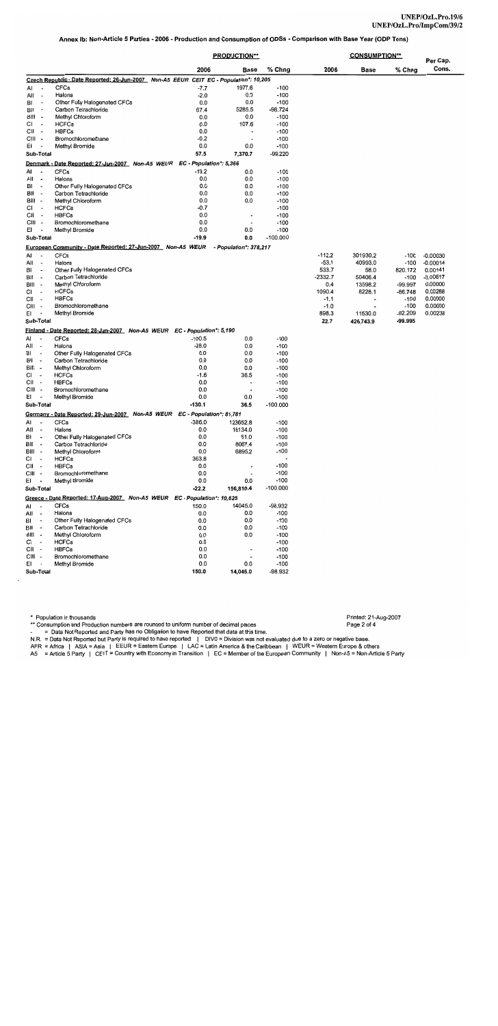#### Annex Ib: Non-Article 5 Parties - 2006 - Production and Consumption of ODSs - Comparison with Base Year (ODP Tons)

|                                                             |                                                                                       | <b>PRODUCTION**</b> |                          |                          | <b>CONSUMPTION**</b> |                |           |                   |
|-------------------------------------------------------------|---------------------------------------------------------------------------------------|---------------------|--------------------------|--------------------------|----------------------|----------------|-----------|-------------------|
|                                                             |                                                                                       | 2006                | Base                     | % Chng                   | 2006                 | Base           | % Chng    | Per Cap.<br>Cons. |
|                                                             | Czech Republic - Date Reported: 26-Jun-2007 Non-A5 EEUR CEIT EC - Population*: 10,205 |                     |                          |                          |                      |                |           |                   |
| $\overline{a}$<br>AI                                        | <b>CFCs</b>                                                                           | -7.7                | 1977.6                   | $-100$                   |                      |                |           |                   |
| All<br>$\overline{\phantom{a}}$                             | Halons                                                                                | $-2.0$              | 0.0                      | $-100$                   |                      |                |           |                   |
| BI<br>$\overline{\phantom{a}}$                              | Other Fully Halogenated CFCs                                                          | 0.0                 | 0.0                      | -100                     |                      |                |           |                   |
| BII<br>$\overline{\phantom{a}}$                             | Carbon Tetrachloride                                                                  | 67.4                | 5285.5                   | -98.724                  |                      |                |           |                   |
| BIII<br>$\tilde{\phantom{a}}$                               | Methyl Chloroform                                                                     | 0.0                 | 0.0                      | $-100$                   |                      |                |           |                   |
| СI<br>$\blacksquare$                                        | <b>HCFCs</b>                                                                          | 0.0                 | 107.6                    | $-100$                   |                      |                |           |                   |
| СII<br>$\blacksquare$                                       | <b>HBFCs</b>                                                                          | 0.0                 |                          | $-100$                   |                      |                |           |                   |
| CIII<br>$\ddot{\phantom{a}}$                                | Bromochloromethane                                                                    | $-0.2$              | $\overline{\phantom{a}}$ | $-100$                   |                      |                |           |                   |
| EL<br>$\overline{\phantom{a}}$                              | Methyl Bromide                                                                        | 0.0                 | 0.0                      | $-100$                   |                      |                |           |                   |
| Sub-Total                                                   |                                                                                       | 57.5                | 7,370.7                  | $-99.220$                |                      |                |           |                   |
|                                                             | Denmark - Date Reported: 27-Jun-2007 Non-A5 WEUR EC - Population*: 5,366              |                     |                          |                          |                      |                |           |                   |
| AI<br>$\ddot{\phantom{0}}$                                  | <b>CFCs</b>                                                                           | $-19.2$             | 0.0                      | $-100$                   |                      |                |           |                   |
| All<br>$\overline{\phantom{a}}$<br>$\overline{\phantom{a}}$ | Halons                                                                                | 0.0<br>0.0          | 0.0<br>0.0               | $-100$<br>$-100$         |                      |                |           |                   |
| BI<br>BII<br>$\overline{\phantom{a}}$                       | Other Fully Halogenated CFCs<br>Carbon Tetrachloride                                  | 0.0                 | 0.0                      | $-100$                   |                      |                |           |                   |
| BIII<br>$\overline{\phantom{a}}$                            | Methyl Chloroform                                                                     | 0.0                 | 0.0                      | $-100$                   |                      |                |           |                   |
| СI<br>$\overline{\phantom{a}}$                              | <b>HCFCs</b>                                                                          | -0.7                |                          | $-100$                   |                      |                |           |                   |
| CІІ<br>$\overline{\phantom{a}}$                             | <b>HBFCs</b>                                                                          | 0.0                 | $\overline{\phantom{a}}$ | $-100$                   |                      |                |           |                   |
| CIII                                                        | Bromochloromethane                                                                    | 0.0                 | $\overline{\phantom{a}}$ | $-100$                   |                      |                |           |                   |
| E۱<br>$\overline{\phantom{a}}$                              | <b>Methyl Bromide</b>                                                                 | 0.0                 | 0.0                      | $-100$                   |                      |                |           |                   |
| Sub-Total                                                   |                                                                                       | -19.9               | 0.0                      | $-100.000$               |                      |                |           |                   |
|                                                             | European Community - Date Reported: 27-Jun-2007 Non-A5 WEUR                           |                     | - Population*: 378,217   |                          |                      |                |           |                   |
| Al<br>$\blacksquare$                                        | <b>CFCs</b>                                                                           |                     |                          |                          | -112.2               | 301930.2       | $-100$    | $-0.00030$        |
| All<br>$\overline{\phantom{a}}$                             | Halons                                                                                |                     |                          |                          | $-53.1$              | 40993.0        | -100      | $-0.00014$        |
| в١<br>$\blacksquare$                                        | Other Fully Halogenated CFCs                                                          |                     |                          |                          | 533.7                | 58.0           | 820.172   | 0.00141           |
| $\overline{\phantom{a}}$<br>BII                             | Carbon Tetrachloride                                                                  |                     |                          |                          | -2332.7              | 50406.4        | -100      | $-0.00617$        |
| BIII<br>$\blacksquare$                                      | Methyl Chloroform                                                                     |                     |                          |                          | 0.4                  | 13598.2        | -99.997   | 0.00000           |
| СI.<br>$\overline{\phantom{a}}$                             | <b>HCFCs</b>                                                                          |                     |                          |                          | 1090.4               | 8228.1         | $-86.748$ | 0.00288           |
| СII<br>$\overline{\phantom{a}}$                             | <b>HBFCs</b>                                                                          |                     |                          |                          | $-1.1$               | $\blacksquare$ | $-100$    | 0.00000           |
| CIII<br>$\overline{\phantom{a}}$                            | Bromochloromethane                                                                    |                     |                          |                          | $-1.0$               |                | $-100$    | 0.00000           |
| EL                                                          | <b>Methyl Bromide</b>                                                                 |                     |                          |                          | 898.3                | 11530.0        | $-92.209$ | 0.00238           |
| Sub-Total                                                   |                                                                                       |                     |                          |                          | 22.7                 | 426,743.9      | -99.995   |                   |
|                                                             | Finland - Date Reported: 28-Jun-2007 Non-A5 WEUR EC - Population*: 5,190              |                     |                          |                          |                      |                |           |                   |
| Al<br>$\overline{\phantom{a}}$                              | <b>CFCs</b>                                                                           | $-100.5$            | 0.0                      | $-100$                   |                      |                |           |                   |
| All<br>$\overline{\phantom{a}}$                             | Halons                                                                                | $-28.0$             | 0.0                      | $-100$                   |                      |                |           |                   |
| BI<br>$\overline{\phantom{a}}$                              | Other Fully Halogenated CFCs                                                          | 0.0                 | 0.0                      | $-100$                   |                      |                |           |                   |
| BII<br>$\overline{\phantom{a}}$                             | Carbon Tetrachlonde                                                                   | 0.0                 | 0.0                      | $-100$                   |                      |                |           |                   |
| Bill<br>$\overline{\phantom{a}}$                            | Methyl Chloroform                                                                     | 0.0                 | 0.0                      | $-100$                   |                      |                |           |                   |
| СI<br>$\overline{a}$                                        | HCFCs                                                                                 | $-1.6$              | 36.5                     | $-100$                   |                      |                |           |                   |
| CII -                                                       | <b>HBFCs</b>                                                                          | 0.0                 | $\overline{\phantom{a}}$ | $-100$                   |                      |                |           |                   |
| CIII                                                        | Bromochloromethane                                                                    | 0.0                 | $\overline{a}$           | $-100$                   |                      |                |           |                   |
| EL<br>$\overline{\phantom{a}}$                              | Methyl Bromide                                                                        | 0.0                 | 0.0                      | $-100$                   |                      |                |           |                   |
| Sub-Total                                                   |                                                                                       | $-130.1$            | 36.5                     | $-100.000$               |                      |                |           |                   |
|                                                             | Germany - Date Reported: 29-Jun-2007 Non-A5 WEUR EC - Population*: 81,781             |                     |                          |                          |                      |                |           |                   |
| AI                                                          | <b>CFCs</b>                                                                           | $-386.0$            | 123652.8                 | -100                     |                      |                |           |                   |
| All<br>$\overline{\phantom{a}}$                             | Halons                                                                                | 0.0                 | 18134.0                  | $-100$                   |                      |                |           |                   |
| BI<br>$\cdot$                                               | Other Fully Halogenated CFCs                                                          | 0.0                 | 61.0                     | $-100$                   |                      |                |           |                   |
| BII<br>$\overline{\phantom{a}}$                             | Carbon Tetrachloride                                                                  | 0.0                 | 8067.4                   | -100                     |                      |                |           |                   |
| BIII -                                                      | Methyl Chloroform                                                                     | 0.0                 | 6895.2                   | $-100$                   |                      |                |           |                   |
| СI<br>$\overline{\phantom{a}}$                              | HCFCs                                                                                 | 363.8               |                          |                          |                      |                |           |                   |
| CII-                                                        | <b>HBFCs</b>                                                                          | 0.0                 |                          | $-100$                   |                      |                |           |                   |
| CIII -                                                      | Bromochloromethane                                                                    | 0.0                 |                          | -100                     |                      |                |           |                   |
| EL<br>$\overline{\phantom{a}}$                              | Methyl Bromide                                                                        | 0.0                 | 0.0                      | $-100$                   |                      |                |           |                   |
| Sub-Total                                                   |                                                                                       | -22.2               | 156,810.4                | $-100.000$               |                      |                |           |                   |
|                                                             | Greece - Date Reported: 17-Aug-2007 Non-A5 WEUR EC - Population*: 10,625              |                     |                          |                          |                      |                |           |                   |
| AI<br>$\overline{a}$                                        | <b>CFCs</b>                                                                           | 150.0               | 14045.0                  | -98.932                  |                      |                |           |                   |
| All<br>$\overline{\phantom{a}}$                             | Halons                                                                                | 0.0                 | 0.0                      | $-100$                   |                      |                |           |                   |
| вı                                                          | Other Fully Halogenated CFCs                                                          | 0.0                 | 0.0                      | $-100$                   |                      |                |           |                   |
| BII<br>$\overline{\phantom{a}}$                             | Carbon Tetrachlonde                                                                   | 0.0                 | 0.0                      | $-100$                   |                      |                |           |                   |
| BIII<br>$\overline{\phantom{a}}$                            | Methyl Chloroform                                                                     | 0.0                 | 0.0                      | $-100$                   |                      |                |           |                   |
| СI<br>$\overline{\phantom{a}}$                              | <b>HCFCs</b>                                                                          | 0.0                 |                          | $-100$                   |                      |                |           |                   |
| CII<br>$\overline{\phantom{a}}$                             | <b>HBFCs</b>                                                                          | 0.0                 |                          | $-100$                   |                      |                |           |                   |
| CIII -                                                      | Bromochloromethane                                                                    | 0.0                 |                          | $-100$                   |                      |                |           |                   |
| EI<br>$\overline{\phantom{a}}$<br>Sub Total                 | Methyl Bromide                                                                        | 0.0<br>150 Q        | 0.0<br>14.045.0          | $-100$<br><b>-QR Q32</b> |                      |                |           |                   |
|                                                             |                                                                                       |                     |                          |                          |                      |                |           |                   |

\* Population in thousands

\*\* Consumption and Production numbers are rounded to uniform number of decimal places

= Data Not Reported and Party has no Obligation to have Reported that data at this time.

- = Data Not Reported and Party has no Obligation to have Reported that data at this time.<br>N.R. = Data Not Reported but Party is required to have reported | DIV0 = Division was not evaluated due to a zero or negative base.

#### Printed: 21-Aug-2007 Page 2 of 4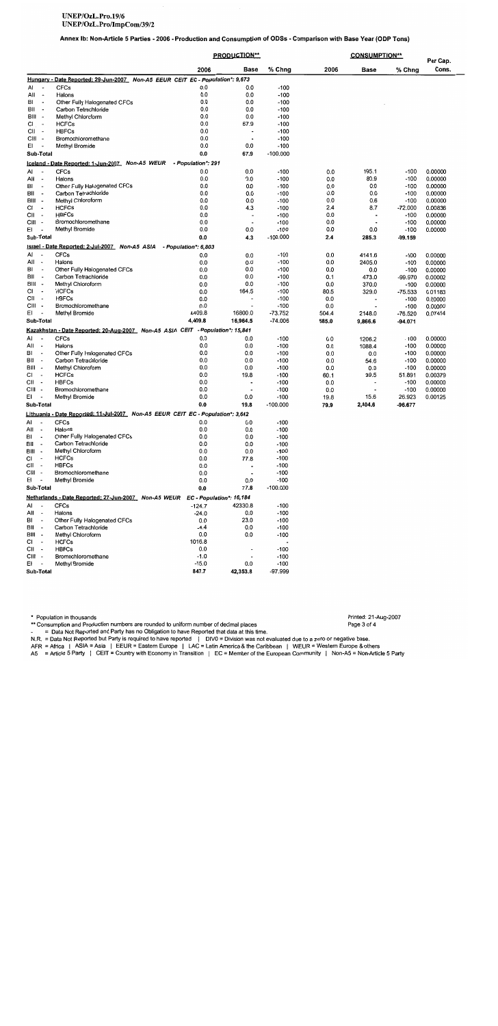Annex Ib: Non-Article 5 Parties - 2006 - Production and Consumption of ODSs - Comparison with Base Year (ODP Tons)

|                                       |                                                                                  |                          | <b>PRODUCTION**</b>      |                |             | <b>CONSUMPTION**</b> |                     |                    |  |
|---------------------------------------|----------------------------------------------------------------------------------|--------------------------|--------------------------|----------------|-------------|----------------------|---------------------|--------------------|--|
|                                       |                                                                                  | 2006                     | <b>Base</b>              | % Chng         | 2006        | Base                 | % Chng              | Per Cap.<br>Cons.  |  |
|                                       | Hungary - Date Reported: 29-Jun-2007_ Non-A5 EEUR CEIT EC - Population*: 9,673   |                          |                          |                |             |                      |                     |                    |  |
| AI<br>$\overline{\phantom{a}}$        | <b>CFCs</b>                                                                      | 0.0                      | 0.0                      | $-100$         |             |                      |                     |                    |  |
| All<br>$\overline{\phantom{a}}$       | Halons                                                                           | 0.0                      | 0.0                      | $-100$         |             |                      |                     |                    |  |
| BI<br>$\overline{\phantom{a}}$        | Other Fully Halogenated CFCs                                                     | 0.0                      | 0.0                      | $-100$         |             |                      |                     |                    |  |
| Bil<br>$\overline{\phantom{a}}$       | Carbon Tetrachloride                                                             | 0.0                      | 0.0                      | $-100$         |             |                      |                     |                    |  |
| BIII -                                | Methyl Chloroform                                                                | 0.0                      | 0.0                      | -100           |             |                      |                     |                    |  |
| СI                                    | <b>HCFCs</b>                                                                     | 0.0                      | 67.9                     | $-100$         |             |                      |                     |                    |  |
| СII<br>$\overline{\phantom{a}}$       | <b>HBFCs</b>                                                                     | 0.0                      | $\blacksquare$           | -100           |             |                      |                     |                    |  |
| CIII -                                | Bromochloromethane                                                               | 0.0                      | $\blacksquare$           | -100           |             |                      |                     |                    |  |
| EL                                    | Methyl Bromide                                                                   | 0.0                      | 0.0                      | -100           |             |                      |                     |                    |  |
| Sub-Total                             | Iceland - Date Reported: 1-Jun-2007 Non-A5 WEUR - Population*: 291               | 0.0                      | 67.9                     | $-100.000$     |             |                      |                     |                    |  |
| AI                                    | <b>CFCs</b>                                                                      | 0.0                      | 0.0                      | $-100$         | 0.0         | 195.1                | $-100$              | 0.00000            |  |
| All<br>$\overline{\phantom{a}}$       | Halons                                                                           | 0.0                      | 0.0                      | $-100$         | 0.0         | 80.9                 | $-100$              | 0.00000            |  |
| BI<br>$\overline{\phantom{a}}$        | Other Fully Halogenated CFCs                                                     | 0.0                      | 0.0                      | -100           | 0.0         | 0.0                  | -100                | 0.00000            |  |
| ВII<br>$\overline{\phantom{a}}$       | Carbon Tetrachloride                                                             | 0.0                      | 0.0                      | $-100$         | 0.0         | 0.0                  | $-100$              | 0.00000            |  |
| BIII -                                | Methyl Chloroform                                                                | 0.0                      | 0.0                      | $-100$         | 0.0         | 0.6                  | $-100$              | 0.00000            |  |
| СI<br>$\overline{\phantom{a}}$        | <b>HCFCs</b>                                                                     | 0.0                      | 4.3                      | $-100$         | 2.4         | 8.7                  | $-72.000$           | 0.00836            |  |
| CII<br>$\sim$                         | <b>HBFCs</b>                                                                     | 0.0                      | $\overline{a}$           | -100           | 0.0         | $\blacksquare$       | $-100$              | 0.00000            |  |
| CIII -                                | Bromochloromethane                                                               | 0.0                      | $\overline{\phantom{a}}$ | -100           | 0.0         |                      | $-100$              | 0.00000            |  |
| ΕI<br>. .                             | Methyl Bromide                                                                   | 0.0                      | 0.0                      | $-100$         | 0.0         | 0.0                  | $-100$              | 0.00000            |  |
| Sub-Total                             |                                                                                  | 0.0                      | 4.3                      | $-100.000$     | 2.4         | 285.3                | $-99.159$           |                    |  |
|                                       | Israel - Date Reported: 2-Jul-2007 Non-A5 ASIA                                   | - Population*: 6,803     |                          |                |             |                      |                     |                    |  |
| Aſ<br>$\overline{\phantom{a}}$        | <b>CFCs</b>                                                                      | 0.0                      | 0.0                      | -100           | 0.0         | 4141.6               | $-100$              | 0.00000            |  |
| All<br>$\overline{\phantom{a}}$       | Halons                                                                           | 0.0                      | 0.0                      | $-100$         | 0.0         | 2405.0               | $-100$              | 0.00000            |  |
| ВΙ<br>$\overline{\phantom{a}}$        | Other Fully Halogenated CFCs                                                     | 0.0                      | 0.0                      | $-100$         | 0.0         | 0.0                  | $-100$              | 0.00000            |  |
| ВII<br>$\overline{\phantom{a}}$       | Carbon Tetrachloride                                                             | 0.0                      | 0.0                      | $-100$         | 0.1         | 473.0                | -99.970             | 0.00002            |  |
| BIII -                                | Methyl Chloroform                                                                | 0.0                      | 0.0                      | -100           | 0.0         | 370.0                | $-100$              | 0.00000            |  |
| СI<br>$\overline{\phantom{a}}$<br>СII | <b>HCFCs</b><br><b>HBFCs</b>                                                     | 0.0<br>0.0               | 164.5                    | -100<br>$-100$ | 80.5<br>0.0 | 329.0                | $-75.533$<br>$-100$ | 0.01183            |  |
| $\overline{\phantom{a}}$<br>cıı -     | Bromochloromethane                                                               | 0.0                      |                          | -100           | 0.0         |                      | $-100$              | 0.00000<br>0.00000 |  |
| EL<br>$\overline{\phantom{a}}$        | Methyl Bromide                                                                   | 4409.8                   | 16800.0                  | -73.752        | 504.4       | 2148.0               | -76.520             | 0.07414            |  |
| Sub-Total                             |                                                                                  | 4,409.8                  | 16,964.5                 | $-74.006$      | 585.0       | 9,866.6              | -94.071             |                    |  |
|                                       | Kazakhstan - Date Reported: 20-Aug-2007_ Non-A5 ASIA CEIT - Population*: 15,841  |                          |                          |                |             |                      |                     |                    |  |
| AI<br>$\overline{\phantom{a}}$        | <b>CFCs</b>                                                                      | 0.0                      | 0.0                      | $-100$         | 0.0         | 1206.2               | $-100$              | 0.00000            |  |
| AII<br>$\overline{\phantom{a}}$       | Halons                                                                           | 0.0                      | 0.0                      | $-100$         | 0.0         | 1088.4               | $-100$              | 0.00000            |  |
| BI<br>$\overline{\phantom{a}}$        | Other Fully Halogenated CFCs                                                     | 0.0                      | 0.0                      | $-100$         | 0.0         | 0.0                  | $-100$              | 0.00000            |  |
| BII<br>$\overline{\phantom{a}}$       | Carbon Tetrachloride                                                             | 0.0                      | 0.0                      | $-100$         | 0.0         | 54.6                 | $-100$              | 0.00000            |  |
| BIII<br>$\overline{\phantom{a}}$      | Methyl Chloroform                                                                | 0.0                      | 0.0                      | $-100$         | 0.0         | 0.3                  | $-100$              | 0.00000            |  |
| СI                                    | <b>HCFCs</b>                                                                     | 0.0                      | 19.8                     | $-100$         | 60.1        | 39.5                 | 51.891              | 0.00379            |  |
| СII<br>$\overline{\phantom{a}}$       | <b>HBFCs</b>                                                                     | 0.0                      | $\ddot{\phantom{0}}$     | -100           | 0.0         | ٠                    | -100                | 0.00000            |  |
| CIII -                                | Bromochloromethane                                                               | 0.0                      |                          | $-100$         | 0.0         |                      | $-100$              | 0.00000            |  |
| ΕI<br>$\overline{\phantom{a}}$        | Methyl Bromide                                                                   | 0.0                      | 0.0                      | $-100$         | 19.8        | 15.6                 | 26.923              | 0.00125            |  |
| Sub-Total                             |                                                                                  | 0.0                      | 19.8                     | $-100.000$     | 79.9        | 2,404.6              | $-96.677$           |                    |  |
|                                       | Lithuania - Date Reported: 11-Jul-2007_ Non-A5 EEUR CEIT EC - Population*: 3,642 |                          |                          |                |             |                      |                     |                    |  |
| AI<br>$\blacksquare$                  | <b>CFCs</b>                                                                      | 0.0                      | 0.0                      | $-100$         |             |                      |                     |                    |  |
| All                                   | Halons                                                                           | 0.0                      | 0.0                      | $-100$         |             |                      |                     |                    |  |
| BI<br>$\overline{\phantom{a}}$        | Other Fully Halogenated CFCs                                                     | 0.0                      | 0.0                      | $-100$         |             |                      |                     |                    |  |
| BII<br>$\overline{\phantom{a}}$       | Carbon Tetrachloride                                                             | 0.0                      | 0.0                      | $-100$         |             |                      |                     |                    |  |
| BIII -<br>СI<br>$\sim$                | Methyl Chloroform<br><b>HCFCs</b>                                                | 0.0<br>0.0               | 0.0<br>77.8              | -100<br>-100   |             |                      |                     |                    |  |
| CII -                                 | <b>HBFCs</b>                                                                     | 0.0                      |                          | -100           |             |                      |                     |                    |  |
| CIII -                                | Bromochloromethane                                                               | 0.0                      |                          | -100           |             |                      |                     |                    |  |
| EI -                                  | Methyl Bromide                                                                   | 0.0                      | 0.0                      | $-100$         |             |                      |                     |                    |  |
| Sub-Total                             |                                                                                  | 0.0                      | 77.8                     | $-100.000$     |             |                      |                     |                    |  |
|                                       | Netherlands - Date Reported: 27-Jun-2007__ Non-A5_WEUR                           | EC - Population*: 16,184 |                          |                |             |                      |                     |                    |  |
| Al<br>. .                             | <b>CFCs</b>                                                                      | $-124.7$                 | 42330.8                  | $-100$         |             |                      |                     |                    |  |
| All<br>$\sim$                         | Halons                                                                           | $-24.0$                  | 0.0                      | $-100$         |             |                      |                     |                    |  |
| BI<br>$\overline{\phantom{a}}$        | Other Fully Halogenated CFCs                                                     | 0.0                      | 23.0                     | -100           |             |                      |                     |                    |  |
| BII<br>$\overline{\phantom{a}}$       | Carbon Tetrachloride                                                             | -4.4                     | 0.0                      | $-100$         |             |                      |                     |                    |  |
| BIII -                                | Methyl Chloroform                                                                | 0.0                      | 0.0                      | $-100$         |             |                      |                     |                    |  |
| СI<br>$\overline{\phantom{a}}$        | <b>HCFCs</b>                                                                     | 1016.8                   |                          |                |             |                      |                     |                    |  |
| CII -                                 | <b>HBFCs</b>                                                                     | 0.0                      |                          | -100           |             |                      |                     |                    |  |
| CIII -                                | Bromochloromethane                                                               | $-1.0$                   |                          | -100           |             |                      |                     |                    |  |
| EI                                    | Methyl Bromide                                                                   | $-15.0$                  | 0.0                      | -100           |             |                      |                     |                    |  |
| Sub-Total                             |                                                                                  | 847.7                    | 42,353.8                 | -97.999        |             |                      |                     |                    |  |

\* Population in thousands

\*\* Consumption and Production numbers are rounded to uniform number of decimal places

= Data Not Reported and Party has no Obligation to have Reported that data at this time.

- Bata Not Reported but Party is required to have reported | DIVO = Division was not evaluated due to a zero or negative base.<br>AFR = Africa | ASIA = Asia | EEUR = Eastern Europe | LAC = Latin America & the Caribbean | WEUR

Printed: 21-Aug-2007

Page 3 of 4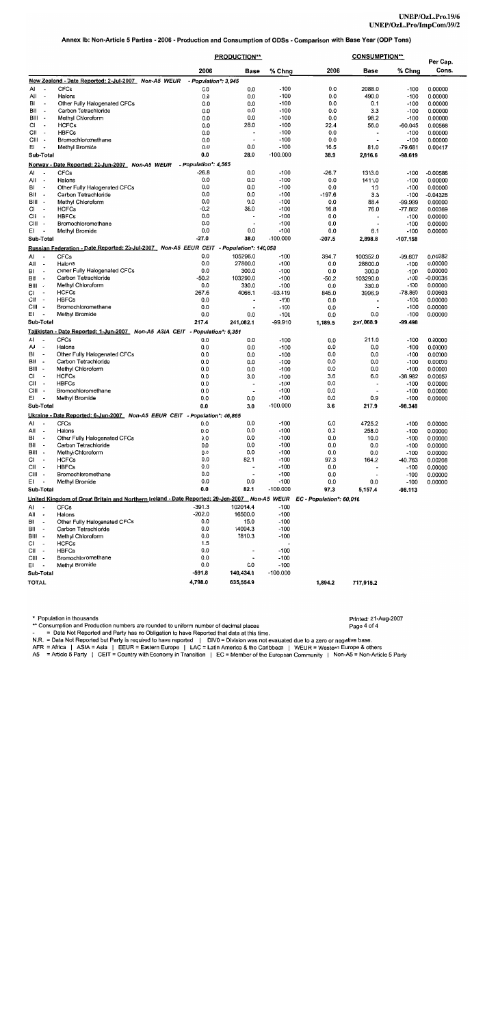#### Annex Ib: Non-Article 5 Parties - 2006 - Production and Consumption of ODSs - Comparison with Base Year (ODP Tons)

|                                                                    |                                                                                               | <b>PRODUCTION**</b>  |                                 |                  | Per Cap.                 |                                  |                   |                    |
|--------------------------------------------------------------------|-----------------------------------------------------------------------------------------------|----------------------|---------------------------------|------------------|--------------------------|----------------------------------|-------------------|--------------------|
|                                                                    |                                                                                               | 2006                 | <b>Base</b>                     | % Chng           | 2006                     | Base                             | % Chng            | Cons.              |
|                                                                    | New Zealand - Date Reported: 2-Jul-2007 Non-A5 WEUR                                           | - Population*: 3,945 |                                 |                  |                          |                                  |                   |                    |
| AI<br>÷,                                                           | <b>CFCs</b>                                                                                   | 0.0                  | 0.0                             | $-100$           | 0.0                      | 2088.0                           | $-100$            | 0.00000            |
| All<br>$\overline{\phantom{a}}$                                    | Haions                                                                                        | 0.0                  | 0.0                             | $-100$           | 0.0                      | 490.0                            | $-100$            | 0.00000            |
| BI<br>$\overline{\phantom{a}}$                                     | Other Fully Halogenated CFCs                                                                  | 0.0                  | 0.0                             | $-100$           | 0.0                      | 0.1                              | $-100$            | 0.00000            |
| BII<br>$\overline{\phantom{a}}$                                    | Carbon Tetrachloride                                                                          | 0.0                  | 0.0                             | $-100$           | 0.0                      | 3.3                              | $-100$            | 0.00000            |
| BIII<br>$\overline{\phantom{a}}$<br>СI<br>$\overline{\phantom{a}}$ | Methyl Chloroform<br><b>HCFCs</b>                                                             | 0.0                  | 0.0                             | $-100$           | 0.0                      | 98.2                             | $-100$            | 0.00000            |
| СII<br>$\overline{\phantom{a}}$                                    | <b>HBFCs</b>                                                                                  | 0.0<br>0.0           | 28.0                            | $-100$<br>$-100$ | 22.4<br>0.0              | 56.0<br>$\overline{\phantom{a}}$ | $-60.045$         | 0.00568            |
| CIII<br>$\overline{\phantom{a}}$                                   | Bromochloromethane                                                                            | 0.0                  | $\overline{a}$                  | $-100$           | 0.0                      |                                  | $-100$<br>$-100$  | 0.00000<br>0.00000 |
| EL<br>$\overline{\phantom{a}}$                                     | Methyl Bromide                                                                                | 0.0                  | 0.0                             | $-100$           | 16.5                     | 81.0                             | -79.681           | 0.00417            |
| Sub-Total                                                          |                                                                                               | 0.0                  | 28.0                            | $-100.000$       | 38.9                     | 2,816.6                          | $-98.619$         |                    |
|                                                                    | Norway - Date Reported: 22-Jun-2007 Non-A5 WEUR                                               | - Population*: 4,565 |                                 |                  |                          |                                  |                   |                    |
| AI<br>$\overline{\phantom{a}}$                                     | <b>CFCs</b>                                                                                   | $-26.8$              | 0.0                             | $-100$           | $-26.7$                  | 1313.0                           | $-100$            | $-0.00586$         |
| All<br>$\overline{\phantom{a}}$                                    | Halons                                                                                        | 0.0                  | 0.0                             | $-100$           | 0.0                      | 1411.0                           | $-100$            | 0.00000            |
| BI<br>$\overline{\phantom{a}}$                                     | Other Fully Halogenated CFCs                                                                  | 0.0                  | 0.0                             | $-100$           | 0.0                      | 1.0                              | $-100$            | 0.00000            |
| BII<br>$\overline{\phantom{a}}$                                    | Carbon Tetrachloride                                                                          | 0.0                  | 0.0                             | $-100$           | $-197.6$                 | 3.3                              | $-100$            | $-0.04328$         |
| BIII<br>$\overline{\phantom{a}}$                                   | Methyl Chloroform                                                                             | 0.0                  | 0.0                             | $-100$           | 0.0                      | 88.4                             | -99.999           | 0.00000            |
| СI<br>$\overline{\phantom{a}}$<br>CII<br>$\blacksquare$            | <b>HCFCs</b><br><b>HBFCs</b>                                                                  | $-0.2$<br>0.0        | 38.0<br>$\overline{a}$          | $-100$<br>$-100$ | 16.8<br>0.0              | 76.0                             | $-77.862$         | 0.00369            |
| CIII<br>$\overline{\phantom{a}}$                                   | Bromochloromethane                                                                            | 0.0                  | ٠                               | $-100$           | 0.0                      | $\blacksquare$                   | $-100$<br>$-100$  | 0.00000<br>0.00000 |
| EI<br>$\overline{a}$                                               | Methyl Bromide                                                                                | 0.0                  | 0.0                             | $-100$           | 0.0                      | 6.1                              | $-100$            | 0.00000            |
| Sub-Total                                                          |                                                                                               | -27.0                | 38.0                            | $-100.000$       | $-207.5$                 | 2,898.8                          | $-107.158$        |                    |
|                                                                    | Russian Federation - Date Reported: 23-Jul-2007 Non-A5 EEUR CEIT - Population*: 140,058       |                      |                                 |                  |                          |                                  |                   |                    |
| AI<br>$\blacksquare$                                               | <b>CFCs</b>                                                                                   | 0.0                  | 105296.0                        | $-100$           | 394.7                    | 100352.0                         | -99.607           | 0.00282            |
| Ail<br>$\overline{\phantom{a}}$                                    | Halons                                                                                        | 0.0                  | 27800.0                         | $-100$           | 0.0                      | 28800.0                          | $-100$            | 0.00000            |
| BI<br>$\overline{\phantom{a}}$                                     | Other Fully Halogenated CFCs                                                                  | 0.0                  | 300.0                           | $-100$           | 0.0                      | 300.0                            | $-100$            | 0.00000            |
| <b>BII</b><br>$\overline{\phantom{a}}$                             | Carbon Tetrachloride                                                                          | $-50.2$              | 103290.0                        | $-100$           | $-50.2$                  | 103290.0                         | $-100$            | $-0.00036$         |
| BIII<br>$\overline{\phantom{a}}$                                   | Methyl Chloroform                                                                             | 0.0                  | 330.0                           | $-100$           | 0.0                      | 330.0                            | $-100$            | 0.00000            |
| СI<br>$\overline{\phantom{a}}$                                     | <b>HCFCs</b>                                                                                  | 267.6                | 4066.1                          | $-93.419$        | 845.0                    | 3996.9                           | $-78.860$         | 0.00603            |
| CII<br>$\overline{\phantom{a}}$                                    | <b>HBFCs</b>                                                                                  | 0.0                  | $\overline{\phantom{a}}$        | $-100$           | 0.0                      | $\qquad \qquad \blacksquare$     | $-100$            | 0.00000            |
| CIII -<br>EI                                                       | Bromochloromethane<br>Methyl Bromide                                                          | 0.0<br>0.0           | $\cdot$                         | $-100$<br>$-100$ | 0.0                      | $\overline{\phantom{a}}$         | $-100$            | 0.00000            |
| Sub-Total                                                          |                                                                                               | 217.4                | 0.0<br>241,082.1                | $-99.910$        | 0.0                      | 0.0                              | $-100$            | 0.00000            |
|                                                                    |                                                                                               |                      |                                 |                  | 1,189.5                  | 237,068.9                        | -99.498           |                    |
|                                                                    | Taiikistan - Date Reported: 1-Jun-2007 Non-A5 ASIA CEIT - Population*: 6,351                  |                      |                                 |                  |                          |                                  |                   |                    |
| AI<br>Ail<br>$\overline{\phantom{a}}$                              | <b>CFCs</b><br>Halons                                                                         | 0.0<br>0.0           | 0.0<br>0.0                      | $-100$<br>$-100$ | 0.0                      | 211.0                            | $-100$            | 0.00000            |
| BI<br>$\blacksquare$                                               | Other Fully Halogenated CFCs                                                                  | 0.0                  | 0.0                             | $-100$           | 0.0<br>0.0               | 0.0<br>0.0                       | $-100$<br>$-100$  | 0.00000<br>0.00000 |
| BII<br>$\ddot{\phantom{0}}$                                        | Carbon Tetrachloride                                                                          | 0.0                  | 0.0                             | $-100$           | 0.0                      | 0.0                              | $-100$            | 0.00000            |
| BIII -                                                             | Methyl Chloroform                                                                             | 0.0                  | 0.0                             | $-100$           | 0.0                      | 0.0                              | $-100$            | 0.00000            |
| СI<br>$\overline{\phantom{a}}$                                     | <b>HCFCs</b>                                                                                  | 0.0                  | 3.0                             | $-100$           | 3.6                      | 6.0                              | $-38.982$         | 0.00057            |
| СII<br>$\overline{\phantom{a}}$                                    | <b>HBFCs</b>                                                                                  | 0.0                  | $\overline{\phantom{a}}$        | $-100$           | 0.0                      | $\overline{\phantom{a}}$         | $-100$            | 0.00000            |
| CIII -                                                             | Bromochloromethane                                                                            | 0.0                  | $\overline{\phantom{a}}$        | $-100$           | 0.0                      | $\overline{\phantom{a}}$         | $-100$            | 0.00000            |
| ΕI                                                                 | Methyl Bromide                                                                                | 0.0                  | 0.0                             | $-100$           | 0.0                      | 0.9                              | $-100$            | 0.00000            |
| Sub-Total                                                          |                                                                                               | 0.0                  | 3.0                             | $-100.000$       | 3.6                      | 217.9                            | $-98.348$         |                    |
|                                                                    | Ukraine - Date Reported: 6-Jun-2007 Non-A5 EEUR CEIT - Population*: 46,865                    |                      |                                 |                  |                          |                                  |                   |                    |
| AI<br>$\overline{\phantom{a}}$                                     | <b>CFCs</b>                                                                                   | 0.0                  | 0.0                             | $-100$           | 0.0                      | 4725.2                           | $-100$            | 0.00000            |
| All<br>$\overline{\phantom{a}}$                                    | Halons                                                                                        | 0.0                  | 0.0                             | $-100$           | 0.0                      | 258.0                            | $-100$            | 0.00000            |
| BI<br>$\overline{\phantom{a}}$                                     | Other Fully Halogenated CFCs                                                                  | 0.0                  | 0.0                             | $-100$           | 0.0                      | 10.0                             | $-100$            | 0.00000            |
| BII<br>$\overline{\phantom{a}}$<br>Bill -                          | Carbon Tetrachloride                                                                          | 0.0                  | 0.0                             | $-100$           | 0.0                      | 0.0                              | $-100$            | 0.00000            |
| СI                                                                 | Methyl Chloroform<br><b>HCFCs</b>                                                             | 0.0<br>0.0           | 0.0<br>82.1                     | $-100$<br>$-100$ | 0.0<br>97.3              | 0.0                              | $-100$            | 0.00000            |
| СII<br>÷                                                           | <b>HBFCs</b>                                                                                  | 0.0                  | $\overline{\phantom{a}}$        | $-100$           | 0.0                      | 164.2                            | -40.763<br>$-100$ | 0.00208<br>0.00000 |
| CIII -                                                             | Bromochloromethane                                                                            | 0.0                  | $\overline{\phantom{a}}$        | $-100$           | 0.0                      | $\ddot{\phantom{0}}$             | $-100$            | 0.00000            |
| EI                                                                 | Methyl Bromide                                                                                | 0.0                  | 0.0                             | $-100$           | 0.0                      | 0.0                              | $-100$            | 0.00000            |
| Sub-Total                                                          |                                                                                               | 0.0                  | 82.1                            | $-100.000$       | 97.3                     | 5,157.4                          | $-98.113$         |                    |
|                                                                    | United Kingdom of Great Britain and Northern Ireland - Date Reported: 29-Jun-2007 Non-A5 WEUR |                      |                                 |                  | EC - Population*: 60,016 |                                  |                   |                    |
| AI                                                                 | <b>CFCs</b>                                                                                   | $-391.3$             | 102014.4                        | $-100$           |                          |                                  |                   |                    |
| All<br>$\overline{\phantom{a}}$                                    | Halons                                                                                        | $-202.0$             | 16500.0                         | $-100$           |                          |                                  |                   |                    |
| BI<br>$\overline{\phantom{a}}$                                     | Other Fully Halogenated CFCs                                                                  | 0.0                  | 15.0                            | $-100$           |                          |                                  |                   |                    |
| BII<br>$\overline{\phantom{a}}$                                    | Carbon Tetrachloride                                                                          | 0.0                  | 14094.3                         | $-100$           |                          |                                  |                   |                    |
| BIII -                                                             | Methyl Chloroform                                                                             | 0.0                  | 7810.3                          | $-100$           |                          |                                  |                   |                    |
| СI<br>$\overline{\phantom{a}}$                                     | <b>HCFCs</b>                                                                                  | 1.5                  |                                 |                  |                          |                                  |                   |                    |
| CII -<br>CIII -                                                    | <b>HBFCs</b>                                                                                  | 0.0                  | $\overline{\phantom{a}}$        | $-100$           |                          |                                  |                   |                    |
| EI<br>$\overline{\phantom{a}}$                                     | Bromochloromethane<br>Methyl Bromide                                                          | 0.0<br>0.0           | $\overline{\phantom{a}}$<br>0.0 | $-100$<br>$-100$ |                          |                                  |                   |                    |
| Sub-Total                                                          |                                                                                               | -591.8               | 140,434.0                       | $-100.000$       |                          |                                  |                   |                    |
|                                                                    |                                                                                               |                      |                                 |                  |                          |                                  |                   |                    |
| <b>TOTAL</b>                                                       |                                                                                               | 4,798.0              | 635,554.9                       |                  | 1,894.2                  | 717,915.2                        |                   |                    |

\* Population in thousands

\*\* Consumption and Production numbers are rounded to uniform number of decimal places

- = Data Not Reported and Party has no Obligation to have Reported that data at this time.

- Bata Not Reported but Party is required to have reported | DIV0 = Division was not evaluated due to a zero or negative base.<br>AFR = Africa | ASIA = Asia | EEUR = Eastern Europe | LAC = Latin America & the Caribbean | WEUR

Printed: 21-Aug-2007 Page 4 of 4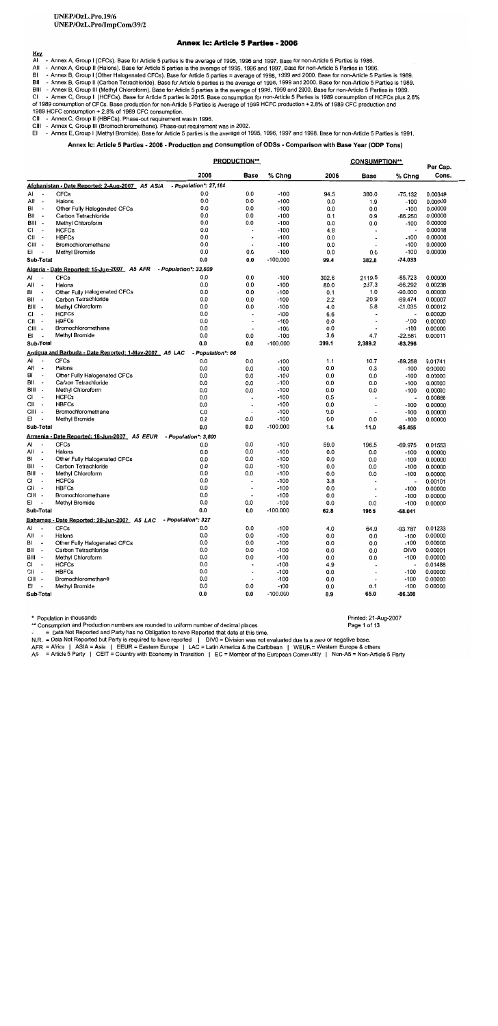#### **Annex Ic: Article 5 Parties - 2006**

**Key** 

EI

 $\overline{AI}$ - Annex A, Group I (CFCs). Base for Article 5 parties is the average of 1995, 1996 and 1997. Base for non-Article 5 Parties is 1986.

All - Annex A, Group II (Halons). Base for Article 5 parties is the average of 1995, 1996 and 1997. Base for non-Article 5 Parties is 1986.

BI - Annex B, Group I (Other Halogenated CFCs). Base for Article 5 parties = average of 1998, 1999 and 2000. Base for non-Article 5 Parties is 1989.

- Annex B, Group II (Carbon Tetrachloride). Base for Article 5 parties is the average of 1998, 1999 and 2000. Base for non-Article 5 Parties is 1989. BII

Blil - Annex B, Group III (Methyl Chloroform). Base for Article 5 parties is the average of 1998, 1999 and 2000. Base for non-Article 5 Parties is 1989.

CI - Annex C, Group I (HCFCs). Base for Article 5 parties is 2015. Base consumption for non-Article 5 Parties is 1989 consumption of HCFCs plus 2.8% of 1989 consumption of CFCs. Base production for non-Article 5 Parties is Average of 1989 HCFC production + 2.8% of 1989 CFC production and

1989 HCFC consumption + 2.8% of 1989 CFC consumption.

CII - Annex C, Group II (HBFCs). Phase-out requirement was in 1996.

CIII - Annex C, Group III (Bromochloromethane). Phase-out requirement was in 2002.

- Annex E, Group I (Methyl Bromide). Base for Article 5 parties is the average of 1995, 1996, 1997 and 1998. Base for non-Article 5 Parties is 1991.

Annex Ic: Article 5 Parties - 2006 - Production and Consumption of ODSs - Comparison with Base Year (ODP Tons)

|                                  |                                                                                | <b>PRODUCTION**</b>   |                          |            |       | Per Cap.                 |                          |         |
|----------------------------------|--------------------------------------------------------------------------------|-----------------------|--------------------------|------------|-------|--------------------------|--------------------------|---------|
|                                  |                                                                                | 2006                  | <b>Base</b>              | % Chng     | 2006  | Base                     | % Chng                   | Cons.   |
|                                  | Afghanistan - Date Reported: 2-Aug-2007 A5 ASIA                                | - Population*: 27,184 |                          |            |       |                          |                          |         |
| AI<br>÷,                         | <b>CFCs</b>                                                                    | 0.0                   | 0.0                      | $-100$     | 94.5  | 380,0                    | $-75.132$                | 0.00348 |
| All<br>$\blacksquare$            | Halons                                                                         | 0.0                   | 0.0                      | $-100$     | 0.0   | 1.9                      | $-100$                   | 0.00000 |
| BI<br>$\blacksquare$             | Other Fully Halogenated CFCs                                                   | 0.0                   | 0.0                      | $-100$     | 0.0   | 0.0                      | $-100$                   | 0.00000 |
| BII<br>$\sim$                    | Carbon Tetrachloride                                                           | 0.0                   | 0.0                      | $-100$     | 0.1   | 0.9                      | $-86.250$                | 0.00000 |
| BIII<br>$\overline{\phantom{a}}$ | Methyl Chloroform                                                              | 0.0                   | 0.0                      | $-100$     | 0.0   | 0.0                      | $-100$                   | 0.00000 |
| СI<br>$\overline{\phantom{a}}$   | <b>HCFCs</b>                                                                   | 0.0                   | $\overline{\phantom{a}}$ | $-100$     | 4.8   | $\overline{\phantom{a}}$ | $\overline{\phantom{a}}$ | 0.00018 |
| CII<br>$\overline{\phantom{a}}$  | <b>HBFCs</b>                                                                   | 0.0                   | $\overline{\phantom{a}}$ | $-100$     | 0.0   | $\blacksquare$           | $-100$                   | 0.00000 |
| CШ<br>$\overline{\phantom{a}}$   | Bromochloromethane                                                             | 0.0                   | ٠                        | $-100$     | 0.0   | $\overline{\phantom{a}}$ | $-100$                   | 0.00000 |
| EI                               | Methyl Bromide                                                                 | 0.0                   | 0.0                      | $-100$     | 0.0   | 0.0                      | $-100$                   | 0.00000 |
| Sub-Total                        |                                                                                | 0.0                   | 0.0                      | $-100.000$ | 99.4  | 382.8                    | $-74.033$                |         |
|                                  | Algeria - Date Reported: 15-Jun-2007 A5 AFR                                    | - Population*: 33,609 |                          |            |       |                          |                          |         |
| AI<br>$\overline{\phantom{a}}$   | CFCs                                                                           | 0.0                   | 0.0                      | $-100$     | 302.6 | 2119.5                   | $-85.723$                | 0.00900 |
| All<br>$\overline{\phantom{a}}$  | Halons                                                                         | 0.0                   | 0.0                      | $-100$     | 80.0  | 237.3                    | $-66.292$                | 0.00238 |
| BI<br>$\overline{\phantom{a}}$   | Other Fully Halogenated CFCs                                                   | 0.0                   | 0.0                      | $-100$     | 0.1   | 1.0                      | $-90.000$                | 0.00000 |
| Bll<br>$\overline{\phantom{a}}$  | Carbon Tetrachloride                                                           | 0.0                   | 0.0                      | $-100$     | 2.2   | 20.9                     | $-89.474$                | 0.00007 |
| BIII<br>$\overline{\phantom{a}}$ | Methyl Chloroform                                                              | 0.0                   | 0.0                      | $-100$     | 4.0   | 5.8                      | $-31.035$                | 0.00012 |
| ٠.                               | <b>HCFCs</b>                                                                   | 0.0                   | $\overline{\phantom{a}}$ | $-100$     | 6.6   | $\overline{\phantom{a}}$ |                          | 0.00020 |
| СI                               | <b>HBFCs</b>                                                                   | 0.0                   |                          | $-100$     | 0.0   |                          | $-100$                   |         |
| СII<br>$\overline{\phantom{a}}$  |                                                                                |                       | $\overline{\phantom{a}}$ |            |       |                          |                          | 0.00000 |
| CIII -                           | Bromochloromethane                                                             | 0.0                   | $\overline{\phantom{a}}$ | $-100$     | 0.0   | $\overline{\phantom{a}}$ | $-100$                   | 0.00000 |
| ΕI<br>$\overline{\phantom{a}}$   | Methyl Bromide                                                                 | 0.0                   | 0.0                      | $-100$     | 3.6   | 4.7                      | $-22.581$                | 0.00011 |
| Sub-Total                        |                                                                                | 0.0                   | 0.0                      | $-100.000$ | 399.1 | 2,389.2                  | -83.296                  |         |
|                                  | Antigua and Barbuda - Date Reported: 1-May-2007_ A5_LAC                        | - Population*: 66     |                          |            |       |                          |                          |         |
| AI<br>$\blacksquare$             | <b>CFCs</b>                                                                    | 0.0                   | 0.0                      | $-100$     | 1.1   | 10.7                     | $-89.258$                | 0.01741 |
| Ail<br>$\overline{\phantom{a}}$  | Halons                                                                         | 0.0                   | 0.0                      | $-100$     | 0.0   | 0.3                      | $-100$                   | 0.00000 |
| BI<br>$\overline{\phantom{a}}$   | Other Fully Halogenated CFCs                                                   | 0.0                   | 0.0                      | $-100$     | 0.0   | 0.0                      | $-100$                   | 0.00000 |
| BII<br>$\overline{\phantom{a}}$  | Carbon Tetrachloride                                                           | 0.0                   | 0.0                      | $-100$     | 0.0   | 0.0                      | $-100$                   | 0.00000 |
| BIII<br>$\overline{\phantom{a}}$ | Methyl Chloroform                                                              | 0.0                   | 0.0                      | $-100$     | 0.0   | 0.0                      | $-100$                   | 0.00000 |
| СI<br>$\overline{\phantom{a}}$   | <b>HCFCs</b>                                                                   | 0.0                   | $\overline{\phantom{a}}$ | $-100$     | 0.5   | $\blacksquare$           |                          | 0.00686 |
| СII<br>$\overline{\phantom{a}}$  | <b>HBFCs</b>                                                                   | 0.0                   | $\overline{\phantom{a}}$ | $-100$     | 0.0   | $\overline{\phantom{a}}$ | $-100$                   | 0.00000 |
| CIII -                           | Bromochloromethane                                                             | 0.0                   | $\overline{\phantom{a}}$ | $-100$     | 0.0   | $\blacksquare$           | $-100$                   | 0.00000 |
| EI                               | Methyl Bromide                                                                 | 0.0                   | 0.0                      | $-100$     | 0.0   | 0.0                      | $-100$                   | 0.00000 |
| Sub-Total                        |                                                                                | 0.0                   | 0.0                      | $-100.000$ | 1.6   | 11.0                     | $-85.455$                |         |
|                                  | <u> Armenia - Date Reported: 18-Jun-2007 _ A5  EEUR _ - Population*: 3,800</u> |                       |                          |            |       |                          |                          |         |
| Al<br>$\overline{\phantom{a}}$   | <b>CFCs</b>                                                                    | 0.0                   | 0.0                      | $-100$     | 59.0  | 196.5                    | $-69.975$                | 0.01553 |
| All<br>$\overline{\phantom{a}}$  | Halons                                                                         | 0.0                   | 0.0                      | $-100$     | 0.0   | 0.0                      | $-100$                   | 0.00000 |
| BI<br>$\overline{\phantom{a}}$   | Other Fully Halogenated CFCs                                                   | 0.0                   | 0.0                      | $-100$     | 0.0   | 0.0                      | $-100$                   | 0.00000 |
| ВII<br>$\overline{\phantom{a}}$  | Carbon Tetrachloride                                                           | 0.0                   | 0.0                      | $-100$     | 0.0   | 0.0                      | $-100$                   | 0.00000 |
| BIII<br>$\ddot{\phantom{1}}$     | <b>Methyl Chloroform</b>                                                       | 0.0                   | 0.0                      | $-100$     | 0.0   | 0.0                      | $-100$                   | 0.00000 |
| СI<br>$\overline{\phantom{a}}$   | <b>HCFCs</b>                                                                   | 0.0                   | ÷,                       | $-100$     | 3.8   | $\overline{\phantom{a}}$ |                          | 0.00101 |
| СII<br>$\overline{\phantom{a}}$  | <b>HBFCs</b>                                                                   | 0.0                   | $\overline{\phantom{a}}$ | $-100$     | 0.0   | $\tilde{\phantom{a}}$    | $-100$                   | 0.00000 |
| CIII<br>$\sim$                   | Bromochloromethane                                                             | 0.0                   | $\overline{\phantom{a}}$ | $-100$     | 0.0   | $\overline{\phantom{a}}$ | $-100$                   | 0.00000 |
| ΕL<br>$\overline{\phantom{a}}$   | Methyl Bromide                                                                 | 0.0                   | 0.0                      | $-100$     | 0.0   | 0.0                      | -100                     | 0.00000 |
| Sub-Total                        |                                                                                | 0.0                   | 0.0                      | $-100.000$ | 62.8  | 196.5                    | -68.041                  |         |
|                                  | Bahamas - Date Reported: 28-Jun-2007 A5 LAC                                    | - Population*: 327    |                          |            |       |                          |                          |         |
| Al                               | <b>CFCs</b>                                                                    | 0.0                   | 0.0                      | $-100$     | 4.0   | 64.9                     | -93.787                  | 0.01233 |
| All<br>$\overline{\phantom{a}}$  | Halons                                                                         | 0.0                   | 0.0                      | $-100$     | 0.0   | 0.0                      | $-100$                   | 0.00000 |
| BI<br>$\overline{\phantom{a}}$   | Other Fully Halogenated CFCs                                                   | 0.0                   | 0.0                      | $-100$     | 0.0   | 0.0                      | $-100$                   | 0.00000 |
| BII<br>$\overline{\phantom{a}}$  | Carbon Tetrachloride                                                           | 0.0                   | 0.0                      | $-100$     | 0.0   | 0.0                      | DIV <sub>0</sub>         | 0.00001 |
| BIII -                           | Methyl Chloroform                                                              | 0.0                   | 0.0                      | $-100$     | 0.0   | 0.0                      | $-100$                   | 0.00000 |
| СI<br>$\overline{\phantom{a}}$   | <b>HCFCs</b>                                                                   | 0.0                   |                          | $-100$     | 4.9   |                          |                          | 0.01488 |
| CII -                            | <b>HBFCs</b>                                                                   | 0.0                   | $\blacksquare$           | $-100$     | 0.0   | $\blacksquare$           | $-100$                   | 0.00000 |
| CIII -                           | Bromochloromethane                                                             | 0.0                   | $\overline{\phantom{a}}$ | $-100$     | 0.0   | $\overline{\phantom{a}}$ | $-100$                   | 0.00000 |
| EI<br>$\sim$                     | Methyl Bromide                                                                 | 0.0                   | 0.0                      | $-100$     | 0.0   | 0.1                      | -100                     | 0.00000 |
| Sub-Total                        |                                                                                | 0.0                   | 0.0                      | $-100.000$ | 8.9   | 65.0                     | -86.308                  |         |
|                                  |                                                                                |                       |                          |            |       |                          |                          |         |

\* Population in thousands

\*\* Consumption and Production numbers are rounded to uniform number of decimal places

= Data Not Reported and Party has no Obligation to have Reported that data at this time.

N.R. = Data Not Reported but Party is required to have reported | DIVO = Division was not evaluated due to a zero or negative base.<br>AFR = Africa | ASIA = Asia | EEUR = Eastern Europe | LAC = Latin America & the Caribbean |

A5 = Article 5 Party | CEIT = Country with Economy in Transition | EC = Member of the European Community | Non-A5 = Non-Article 5 Party

Page 1 of 13

Printed: 21-Aug-2007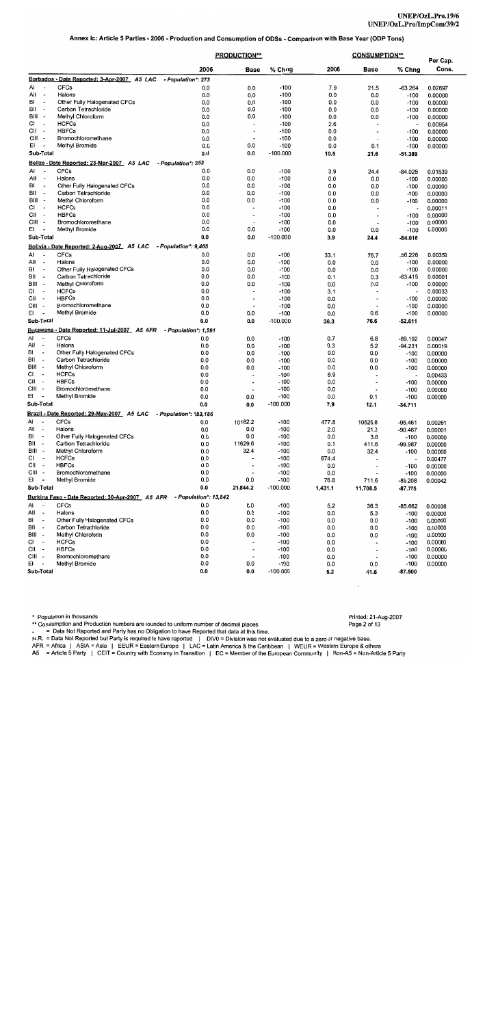#### Annex Ic: Article 5 Parties - 2006 - Production and Consumption of ODSs - Comparison with Base Year (ODP Tons)

| Cons.<br>2006<br>% Chng<br>2006<br>% Chng<br><b>Base</b><br><b>Base</b><br>Barbados - Date Reported: 3-Apr-2007 A5 LAC<br>- Population*: 273<br>Al<br><b>CFCs</b><br>0.0<br>0.0<br>$-100$<br>7.9<br>21.5<br>$-63.264$<br>0.02897<br>0.0<br>0.0<br>$-100$<br>0.0<br>0.0<br>Halons<br>$-100$<br>0.00000<br>All<br>$\overline{\phantom{a}}$<br>0.0<br>0.0<br>$-100$<br>0.0<br>BI<br>Other Fully Halogenated CFCs<br>0.0<br>$-100$<br>0.00000<br>$\overline{\phantom{a}}$<br>Carbon Tetrachloride<br>0.0<br>0.0<br>$-100$<br>0.0<br>0.0<br>$-100$<br>0.00000<br>ВII<br>$\overline{\phantom{a}}$<br>Methyl Chloroform<br>0.0<br>0.0<br>$-100$<br>0.0<br>0.0<br>0.00000<br>BIII<br>-100<br>٠.<br>СI<br><b>HCFCs</b><br>0.0<br>$-100$<br>2.6<br>0.00954<br>$\blacksquare$<br>$\blacksquare$<br><b>HBFCs</b><br>CII -<br>0.0<br>$-100$<br>0.0<br>$-100$<br>0.00000<br>$\overline{\phantom{a}}$<br>$\ddot{\phantom{0}}$<br>CIII -<br>0.0<br>$-100$<br>0.0<br>$-100$<br>0.00000<br>Bromochloromethane<br>$\overline{\phantom{a}}$<br>$\overline{\phantom{a}}$<br>EL<br>Methyl Bromide<br>0.0<br>0.0<br>$-100$<br>0.0<br>0.1<br>$-100$<br>0.00000<br>٠.<br>Sub-Total<br>$-100.000$<br>0.0<br>0.0<br>10.5<br>21.6<br>$-51.389$<br>Belize - Date Reported: 23-Mar-2007 A5 LAC<br>- Population*: 253<br><b>CFCs</b><br>0.0<br>0.0<br>$-100$<br>3.9<br>24.4<br>AI<br>$-84.025$<br>0.01539<br>$\overline{\phantom{a}}$<br>Halons<br>$-100$<br>0.0<br>Ail<br>0.0<br>0.0<br>0.0<br>$-100$<br>0.00000<br>$\overline{\phantom{a}}$<br>BI<br>Other Fully Halogenated CFCs<br>0.0<br>0.0<br>$-100$<br>0.0<br>0.0<br>$-100$<br>0.00000<br>$\overline{\phantom{a}}$<br>BII<br>Carbon Tetrachloride<br>0.0<br>0.0<br>$-100$<br>0.0<br>0.0<br>0.00000<br>-100<br>$\overline{\phantom{a}}$<br>BIII -<br>0.0<br>0.0<br>$-100$<br>0.0<br>0.0<br>$-100$<br>0.00000<br>Methyl Chloroform<br><b>HCFCs</b><br>0.0<br>$-100$<br>0.0<br>0.00011<br>СI<br>$\overline{\phantom{a}}$<br>$\overline{\phantom{a}}$<br>٠<br><b>HBFCs</b><br>$-100$<br>СII<br>0.0<br>0.0<br>$-100$<br>0.00000<br>$\overline{\phantom{a}}$<br>٠<br>$\overline{\phantom{a}}$<br>CIII -<br>Bromochloromethane<br>0.0<br>$-100$<br>0.0<br>$-100$<br>0.00000<br>٠<br>$-100$<br>0.0<br>EI<br>Methyl Bromide<br>0.0<br>0.0<br>0.0<br>$-100$<br>0.00000<br>$\overline{\phantom{a}}$<br>$-100.000$<br>Sub-Total<br>0.0<br>0.0<br>3.9<br>24.4<br>-84.016<br>Bolivia - Date Reported: 2-Aug-2007 A5 LAC<br>- Population*: 9,465<br><b>CFCs</b><br>0.0<br>AI<br>0.0<br>$-100$<br>33.1<br>75.7<br>-56.226<br>0.00350<br>$\overline{\phantom{a}}$<br>0.0<br>$-100$<br>0.0<br>All<br>Halons<br>0.0<br>0.0<br>$-100$<br>0.00000<br>$\overline{\phantom{a}}$<br>BI<br>$-100$<br>0.0<br>Other Fully Halogenated CFCs<br>0.0<br>0.0<br>0.0<br>$-100$<br>0.00000<br>$\overline{\phantom{a}}$<br>BII<br>Carbon Tetrachlonde<br>0.0<br>0.0<br>$-100$<br>0.1<br>0.3<br>$-63.415$<br>0.00001<br>٠.<br>Methyl Chloroform<br>0.0<br>0.0<br>$-100$<br>0.0<br>0.0<br>$-100$<br>0.00000<br>BIII -<br><b>HCFCs</b><br>0.0<br>$-100$<br>3.1<br>СI<br>0.00033<br>$\overline{\phantom{a}}$<br>$\overline{\phantom{a}}$<br>$\overline{\phantom{a}}$<br>$\blacksquare$<br><b>HBFCs</b><br>0.0<br>$-100$<br>0.0<br>$-100$<br>СII<br>0.00000<br>$\overline{\phantom{a}}$<br>$\overline{a}$<br>$\blacksquare$<br>0.0<br>$-100$<br>0.0<br>0.00000<br>CIII -<br>Bromochloromethane<br>$-100$<br>$\overline{\phantom{a}}$<br>Methyl Bromide<br>0.0<br>0.0<br>$-100$<br>0.0<br>0.6<br>$-100$<br>0.00000<br>EI<br>0.0<br>0.0<br>$-100.000$<br>36.3<br>Sub-Total<br>76.6<br>-52.611<br>Botswana - Date Reported: 11-Jul-2007 A5 AFR<br>- Population*: 1,591<br><b>CFCs</b><br>$-100$<br>AI<br>0.0<br>0.0<br>0.7<br>6.8<br>$-89.192$<br>0.00047<br>$-100$<br>All<br>Hatons<br>0.0<br>0.0<br>0.3<br>5.2<br>-94.231<br>0.00019<br>$\overline{\phantom{a}}$<br>ВI<br>Other Fully Halogenated CFCs<br>0.0<br>0.0<br>$-100$<br>0.0<br>0.0<br>-100<br>0.00000<br>$\overline{\phantom{a}}$<br>0.0<br>Carbon Tetrachloride<br>0.0<br>$-100$<br>0.0<br>0.0<br>вıı<br>-100<br>0.00000<br>$\overline{\phantom{a}}$<br>0.0<br>$-100$<br>Methyl Chloroform<br>0.0<br>0.0<br>0.0<br>BIII -<br>-100<br>0.00000<br><b>HCFCs</b><br>0.0<br>$-100$<br>6.9<br>0.00433<br>СI<br>$\overline{\phantom{a}}$<br>$\cdot$<br>$\ddot{\phantom{0}}$<br><b>HBFCs</b><br>0.0<br>$-100$<br>0.0<br>СII<br>$-100$<br>0.00000<br>$\overline{\phantom{a}}$<br>$\overline{\phantom{a}}$<br>$\overline{\phantom{0}}$<br>0.0<br>$-100$<br>0.0<br>CIII -<br>Bromochloromethane<br>$-100$<br>0.00000<br>$\blacksquare$<br>$\blacksquare$<br>EI<br>0.0<br>0.0<br>$-100$<br>0.0<br>Methyl Bromide<br>0.1<br>$-100$<br>0.00000<br>$\overline{\phantom{a}}$<br>Sub-Total<br>0.0<br>0.0<br>$-100.000$<br>7.9<br>12.1<br>$-34.711$<br>Brazil - Date Reported: 29-May-2007 A5 LAC<br>- Population*: 183,186<br><b>CFCs</b><br>AI<br>0.0<br>10182.2<br>$-100$<br>477.8<br>10525.8<br>$-95.461$<br>0.00261<br>$\blacksquare$<br>0.0<br>0.0<br>$-100$<br>2.0<br>All<br>21.3<br>$-90.487$<br>Halons<br>0.00001<br>$\overline{\phantom{a}}$<br>BI<br>0.0<br>0.0<br>$-100$<br>0.0<br>3.8<br>Other Fully Halogenated CFCs<br>$-100$<br>0.00000<br>$\overline{\phantom{a}}$<br>0.0<br>11629.6<br>BII<br>$\overline{\phantom{a}}$<br>Carbon Tetrachloride<br>$-100$<br>0.1<br>411.6<br>-99.987<br>0.00000<br>BIII -<br>Methyl Chloroform<br>0.0<br>32.4<br>$-100$<br>0.0<br>32.4<br>0.00000<br>-100<br>СI<br><b>HCFCs</b><br>0.0<br>$-100$<br>874.4<br>0.00477<br>$\overline{\phantom{a}}$<br>$\overline{\phantom{a}}$<br><b>HBFCs</b><br>СII<br>0.0<br>$-100$<br>0.0<br>$\overline{\phantom{a}}$<br>$-100$<br>0.00000<br>$\blacksquare$<br>$-100$<br>CIII -<br>Bromochloromethane<br>0.0<br>0.0<br>$-100$<br>0.00000<br>$\overline{\phantom{a}}$<br>$\overline{\phantom{a}}$<br>ΕI<br><b>Methyl Bromide</b><br>0.0<br>0.0<br>$-100$<br>76.8<br>711.6<br>$-89.208$<br>0.00042<br>$\overline{\phantom{a}}$<br>0.0<br>21,844.2<br>$-100.000$<br>11,706.5<br>Sub-Total<br>1,431.1<br>-87.775<br>Burkina Faso - Date Reported: 30-Apr-2007_ A5 AFR<br>- Population*: 13,842<br><b>CFCs</b><br>AI<br>0.0<br>0.0<br>$-100$<br>5.2<br>36.3<br>$-85.662$<br>0.00038<br>Halons<br>0.0<br>0.0<br>$-100$<br>0.0<br>5.3<br>All<br>-100<br>0.00000<br>$\overline{\phantom{a}}$<br>BI<br>0.0<br>0.0<br>0.0<br>Other Fully Halogenated CFCs<br>$-100$<br>0.0<br>$-100$<br>0.00000<br>$\ddot{\phantom{0}}$<br>0.0<br>0.0<br>$-100$<br>0.0<br>0.0<br>BII<br>Carbon Tetrachloride<br>0.00000<br>$\overline{\phantom{a}}$<br>-100<br>0.0<br>$-100$<br>0.0<br>BIII -<br>Methyl Chloroform<br>0.0<br>0.0<br>$-100$<br>0.00000<br>СI<br><b>HCFCs</b><br>0.0<br>$-100$<br>0.0<br>$-100$<br>0.00000<br>$\overline{\phantom{a}}$<br>$\ddot{\phantom{0}}$<br><b>HBFCs</b><br>0.0<br>$-100$<br>0.0<br>СII<br>$\overline{\phantom{a}}$<br>$-100$<br>0.00000<br>$\overline{a}$<br>٠<br>0.0<br>CIII -<br>Bromochloromethane<br>$-100$<br>0.0<br>$-100$<br>0.00000<br>$\overline{\phantom{a}}$<br>0.0<br>Εı<br>0.0<br>$-100$<br>0.0<br>0.0<br>Methyl Bromide<br>-100<br>0.00000<br>$\overline{\phantom{a}}$ |           | <b>PRODUCTION**</b> |     |            |     | <b>CONSUMPTION**</b> |           |          |  |
|---------------------------------------------------------------------------------------------------------------------------------------------------------------------------------------------------------------------------------------------------------------------------------------------------------------------------------------------------------------------------------------------------------------------------------------------------------------------------------------------------------------------------------------------------------------------------------------------------------------------------------------------------------------------------------------------------------------------------------------------------------------------------------------------------------------------------------------------------------------------------------------------------------------------------------------------------------------------------------------------------------------------------------------------------------------------------------------------------------------------------------------------------------------------------------------------------------------------------------------------------------------------------------------------------------------------------------------------------------------------------------------------------------------------------------------------------------------------------------------------------------------------------------------------------------------------------------------------------------------------------------------------------------------------------------------------------------------------------------------------------------------------------------------------------------------------------------------------------------------------------------------------------------------------------------------------------------------------------------------------------------------------------------------------------------------------------------------------------------------------------------------------------------------------------------------------------------------------------------------------------------------------------------------------------------------------------------------------------------------------------------------------------------------------------------------------------------------------------------------------------------------------------------------------------------------------------------------------------------------------------------------------------------------------------------------------------------------------------------------------------------------------------------------------------------------------------------------------------------------------------------------------------------------------------------------------------------------------------------------------------------------------------------------------------------------------------------------------------------------------------------------------------------------------------------------------------------------------------------------------------------------------------------------------------------------------------------------------------------------------------------------------------------------------------------------------------------------------------------------------------------------------------------------------------------------------------------------------------------------------------------------------------------------------------------------------------------------------------------------------------------------------------------------------------------------------------------------------------------------------------------------------------------------------------------------------------------------------------------------------------------------------------------------------------------------------------------------------------------------------------------------------------------------------------------------------------------------------------------------------------------------------------------------------------------------------------------------------------------------------------------------------------------------------------------------------------------------------------------------------------------------------------------------------------------------------------------------------------------------------------------------------------------------------------------------------------------------------------------------------------------------------------------------------------------------------------------------------------------------------------------------------------------------------------------------------------------------------------------------------------------------------------------------------------------------------------------------------------------------------------------------------------------------------------------------------------------------------------------------------------------------------------------------------------------------------------------------------------------------------------------------------------------------------------------------------------------------------------------------------------------------------------------------------------------------------------------------------------------------------------------------------------------------------------------------------------------------------------------------------------------------------------------------------------------------------------------------------------------------------------------------------------------------------------------------------------------------------------------------------------------------------------------------------------------------------------------------------------------------------------------------------------------------------------------------------------------------------------------------------------------------------------------------------------------------------------------------------------------------------------------------------------------------------------------------------------------------------------------------------------------------------------------------------------------------------------------------------------------------------------------------------------------------------------------------------------------------------------------------------------------------------------------------------------------------------------------------------------------------------------------------------------------------------------------------------------------------------------------------------------------------------------------------------------------------------------------------------------------------|-----------|---------------------|-----|------------|-----|----------------------|-----------|----------|--|
|                                                                                                                                                                                                                                                                                                                                                                                                                                                                                                                                                                                                                                                                                                                                                                                                                                                                                                                                                                                                                                                                                                                                                                                                                                                                                                                                                                                                                                                                                                                                                                                                                                                                                                                                                                                                                                                                                                                                                                                                                                                                                                                                                                                                                                                                                                                                                                                                                                                                                                                                                                                                                                                                                                                                                                                                                                                                                                                                                                                                                                                                                                                                                                                                                                                                                                                                                                                                                                                                                                                                                                                                                                                                                                                                                                                                                                                                                                                                                                                                                                                                                                                                                                                                                                                                                                                                                                                                                                                                                                                                                                                                                                                                                                                                                                                                                                                                                                                                                                                                                                                                                                                                                                                                                                                                                                                                                                                                                                                                                                                                                                                                                                                                                                                                                                                                                                                                                                                                                                                                                                                                                                                                                                                                                                                                                                                                                                                                                                                                                                                                                                                                                                                                                                                                                                                                                                                                                                                                                                                                                                                                                                               |           |                     |     |            |     |                      |           | Per Cap. |  |
|                                                                                                                                                                                                                                                                                                                                                                                                                                                                                                                                                                                                                                                                                                                                                                                                                                                                                                                                                                                                                                                                                                                                                                                                                                                                                                                                                                                                                                                                                                                                                                                                                                                                                                                                                                                                                                                                                                                                                                                                                                                                                                                                                                                                                                                                                                                                                                                                                                                                                                                                                                                                                                                                                                                                                                                                                                                                                                                                                                                                                                                                                                                                                                                                                                                                                                                                                                                                                                                                                                                                                                                                                                                                                                                                                                                                                                                                                                                                                                                                                                                                                                                                                                                                                                                                                                                                                                                                                                                                                                                                                                                                                                                                                                                                                                                                                                                                                                                                                                                                                                                                                                                                                                                                                                                                                                                                                                                                                                                                                                                                                                                                                                                                                                                                                                                                                                                                                                                                                                                                                                                                                                                                                                                                                                                                                                                                                                                                                                                                                                                                                                                                                                                                                                                                                                                                                                                                                                                                                                                                                                                                                                               |           |                     |     |            |     |                      |           |          |  |
|                                                                                                                                                                                                                                                                                                                                                                                                                                                                                                                                                                                                                                                                                                                                                                                                                                                                                                                                                                                                                                                                                                                                                                                                                                                                                                                                                                                                                                                                                                                                                                                                                                                                                                                                                                                                                                                                                                                                                                                                                                                                                                                                                                                                                                                                                                                                                                                                                                                                                                                                                                                                                                                                                                                                                                                                                                                                                                                                                                                                                                                                                                                                                                                                                                                                                                                                                                                                                                                                                                                                                                                                                                                                                                                                                                                                                                                                                                                                                                                                                                                                                                                                                                                                                                                                                                                                                                                                                                                                                                                                                                                                                                                                                                                                                                                                                                                                                                                                                                                                                                                                                                                                                                                                                                                                                                                                                                                                                                                                                                                                                                                                                                                                                                                                                                                                                                                                                                                                                                                                                                                                                                                                                                                                                                                                                                                                                                                                                                                                                                                                                                                                                                                                                                                                                                                                                                                                                                                                                                                                                                                                                                               |           |                     |     |            |     |                      |           |          |  |
|                                                                                                                                                                                                                                                                                                                                                                                                                                                                                                                                                                                                                                                                                                                                                                                                                                                                                                                                                                                                                                                                                                                                                                                                                                                                                                                                                                                                                                                                                                                                                                                                                                                                                                                                                                                                                                                                                                                                                                                                                                                                                                                                                                                                                                                                                                                                                                                                                                                                                                                                                                                                                                                                                                                                                                                                                                                                                                                                                                                                                                                                                                                                                                                                                                                                                                                                                                                                                                                                                                                                                                                                                                                                                                                                                                                                                                                                                                                                                                                                                                                                                                                                                                                                                                                                                                                                                                                                                                                                                                                                                                                                                                                                                                                                                                                                                                                                                                                                                                                                                                                                                                                                                                                                                                                                                                                                                                                                                                                                                                                                                                                                                                                                                                                                                                                                                                                                                                                                                                                                                                                                                                                                                                                                                                                                                                                                                                                                                                                                                                                                                                                                                                                                                                                                                                                                                                                                                                                                                                                                                                                                                                               |           |                     |     |            |     |                      |           |          |  |
|                                                                                                                                                                                                                                                                                                                                                                                                                                                                                                                                                                                                                                                                                                                                                                                                                                                                                                                                                                                                                                                                                                                                                                                                                                                                                                                                                                                                                                                                                                                                                                                                                                                                                                                                                                                                                                                                                                                                                                                                                                                                                                                                                                                                                                                                                                                                                                                                                                                                                                                                                                                                                                                                                                                                                                                                                                                                                                                                                                                                                                                                                                                                                                                                                                                                                                                                                                                                                                                                                                                                                                                                                                                                                                                                                                                                                                                                                                                                                                                                                                                                                                                                                                                                                                                                                                                                                                                                                                                                                                                                                                                                                                                                                                                                                                                                                                                                                                                                                                                                                                                                                                                                                                                                                                                                                                                                                                                                                                                                                                                                                                                                                                                                                                                                                                                                                                                                                                                                                                                                                                                                                                                                                                                                                                                                                                                                                                                                                                                                                                                                                                                                                                                                                                                                                                                                                                                                                                                                                                                                                                                                                                               |           |                     |     |            |     |                      |           |          |  |
|                                                                                                                                                                                                                                                                                                                                                                                                                                                                                                                                                                                                                                                                                                                                                                                                                                                                                                                                                                                                                                                                                                                                                                                                                                                                                                                                                                                                                                                                                                                                                                                                                                                                                                                                                                                                                                                                                                                                                                                                                                                                                                                                                                                                                                                                                                                                                                                                                                                                                                                                                                                                                                                                                                                                                                                                                                                                                                                                                                                                                                                                                                                                                                                                                                                                                                                                                                                                                                                                                                                                                                                                                                                                                                                                                                                                                                                                                                                                                                                                                                                                                                                                                                                                                                                                                                                                                                                                                                                                                                                                                                                                                                                                                                                                                                                                                                                                                                                                                                                                                                                                                                                                                                                                                                                                                                                                                                                                                                                                                                                                                                                                                                                                                                                                                                                                                                                                                                                                                                                                                                                                                                                                                                                                                                                                                                                                                                                                                                                                                                                                                                                                                                                                                                                                                                                                                                                                                                                                                                                                                                                                                                               |           |                     |     |            |     |                      |           |          |  |
|                                                                                                                                                                                                                                                                                                                                                                                                                                                                                                                                                                                                                                                                                                                                                                                                                                                                                                                                                                                                                                                                                                                                                                                                                                                                                                                                                                                                                                                                                                                                                                                                                                                                                                                                                                                                                                                                                                                                                                                                                                                                                                                                                                                                                                                                                                                                                                                                                                                                                                                                                                                                                                                                                                                                                                                                                                                                                                                                                                                                                                                                                                                                                                                                                                                                                                                                                                                                                                                                                                                                                                                                                                                                                                                                                                                                                                                                                                                                                                                                                                                                                                                                                                                                                                                                                                                                                                                                                                                                                                                                                                                                                                                                                                                                                                                                                                                                                                                                                                                                                                                                                                                                                                                                                                                                                                                                                                                                                                                                                                                                                                                                                                                                                                                                                                                                                                                                                                                                                                                                                                                                                                                                                                                                                                                                                                                                                                                                                                                                                                                                                                                                                                                                                                                                                                                                                                                                                                                                                                                                                                                                                                               |           |                     |     |            |     |                      |           |          |  |
|                                                                                                                                                                                                                                                                                                                                                                                                                                                                                                                                                                                                                                                                                                                                                                                                                                                                                                                                                                                                                                                                                                                                                                                                                                                                                                                                                                                                                                                                                                                                                                                                                                                                                                                                                                                                                                                                                                                                                                                                                                                                                                                                                                                                                                                                                                                                                                                                                                                                                                                                                                                                                                                                                                                                                                                                                                                                                                                                                                                                                                                                                                                                                                                                                                                                                                                                                                                                                                                                                                                                                                                                                                                                                                                                                                                                                                                                                                                                                                                                                                                                                                                                                                                                                                                                                                                                                                                                                                                                                                                                                                                                                                                                                                                                                                                                                                                                                                                                                                                                                                                                                                                                                                                                                                                                                                                                                                                                                                                                                                                                                                                                                                                                                                                                                                                                                                                                                                                                                                                                                                                                                                                                                                                                                                                                                                                                                                                                                                                                                                                                                                                                                                                                                                                                                                                                                                                                                                                                                                                                                                                                                                               |           |                     |     |            |     |                      |           |          |  |
|                                                                                                                                                                                                                                                                                                                                                                                                                                                                                                                                                                                                                                                                                                                                                                                                                                                                                                                                                                                                                                                                                                                                                                                                                                                                                                                                                                                                                                                                                                                                                                                                                                                                                                                                                                                                                                                                                                                                                                                                                                                                                                                                                                                                                                                                                                                                                                                                                                                                                                                                                                                                                                                                                                                                                                                                                                                                                                                                                                                                                                                                                                                                                                                                                                                                                                                                                                                                                                                                                                                                                                                                                                                                                                                                                                                                                                                                                                                                                                                                                                                                                                                                                                                                                                                                                                                                                                                                                                                                                                                                                                                                                                                                                                                                                                                                                                                                                                                                                                                                                                                                                                                                                                                                                                                                                                                                                                                                                                                                                                                                                                                                                                                                                                                                                                                                                                                                                                                                                                                                                                                                                                                                                                                                                                                                                                                                                                                                                                                                                                                                                                                                                                                                                                                                                                                                                                                                                                                                                                                                                                                                                                               |           |                     |     |            |     |                      |           |          |  |
|                                                                                                                                                                                                                                                                                                                                                                                                                                                                                                                                                                                                                                                                                                                                                                                                                                                                                                                                                                                                                                                                                                                                                                                                                                                                                                                                                                                                                                                                                                                                                                                                                                                                                                                                                                                                                                                                                                                                                                                                                                                                                                                                                                                                                                                                                                                                                                                                                                                                                                                                                                                                                                                                                                                                                                                                                                                                                                                                                                                                                                                                                                                                                                                                                                                                                                                                                                                                                                                                                                                                                                                                                                                                                                                                                                                                                                                                                                                                                                                                                                                                                                                                                                                                                                                                                                                                                                                                                                                                                                                                                                                                                                                                                                                                                                                                                                                                                                                                                                                                                                                                                                                                                                                                                                                                                                                                                                                                                                                                                                                                                                                                                                                                                                                                                                                                                                                                                                                                                                                                                                                                                                                                                                                                                                                                                                                                                                                                                                                                                                                                                                                                                                                                                                                                                                                                                                                                                                                                                                                                                                                                                                               |           |                     |     |            |     |                      |           |          |  |
|                                                                                                                                                                                                                                                                                                                                                                                                                                                                                                                                                                                                                                                                                                                                                                                                                                                                                                                                                                                                                                                                                                                                                                                                                                                                                                                                                                                                                                                                                                                                                                                                                                                                                                                                                                                                                                                                                                                                                                                                                                                                                                                                                                                                                                                                                                                                                                                                                                                                                                                                                                                                                                                                                                                                                                                                                                                                                                                                                                                                                                                                                                                                                                                                                                                                                                                                                                                                                                                                                                                                                                                                                                                                                                                                                                                                                                                                                                                                                                                                                                                                                                                                                                                                                                                                                                                                                                                                                                                                                                                                                                                                                                                                                                                                                                                                                                                                                                                                                                                                                                                                                                                                                                                                                                                                                                                                                                                                                                                                                                                                                                                                                                                                                                                                                                                                                                                                                                                                                                                                                                                                                                                                                                                                                                                                                                                                                                                                                                                                                                                                                                                                                                                                                                                                                                                                                                                                                                                                                                                                                                                                                                               |           |                     |     |            |     |                      |           |          |  |
|                                                                                                                                                                                                                                                                                                                                                                                                                                                                                                                                                                                                                                                                                                                                                                                                                                                                                                                                                                                                                                                                                                                                                                                                                                                                                                                                                                                                                                                                                                                                                                                                                                                                                                                                                                                                                                                                                                                                                                                                                                                                                                                                                                                                                                                                                                                                                                                                                                                                                                                                                                                                                                                                                                                                                                                                                                                                                                                                                                                                                                                                                                                                                                                                                                                                                                                                                                                                                                                                                                                                                                                                                                                                                                                                                                                                                                                                                                                                                                                                                                                                                                                                                                                                                                                                                                                                                                                                                                                                                                                                                                                                                                                                                                                                                                                                                                                                                                                                                                                                                                                                                                                                                                                                                                                                                                                                                                                                                                                                                                                                                                                                                                                                                                                                                                                                                                                                                                                                                                                                                                                                                                                                                                                                                                                                                                                                                                                                                                                                                                                                                                                                                                                                                                                                                                                                                                                                                                                                                                                                                                                                                                               |           |                     |     |            |     |                      |           |          |  |
|                                                                                                                                                                                                                                                                                                                                                                                                                                                                                                                                                                                                                                                                                                                                                                                                                                                                                                                                                                                                                                                                                                                                                                                                                                                                                                                                                                                                                                                                                                                                                                                                                                                                                                                                                                                                                                                                                                                                                                                                                                                                                                                                                                                                                                                                                                                                                                                                                                                                                                                                                                                                                                                                                                                                                                                                                                                                                                                                                                                                                                                                                                                                                                                                                                                                                                                                                                                                                                                                                                                                                                                                                                                                                                                                                                                                                                                                                                                                                                                                                                                                                                                                                                                                                                                                                                                                                                                                                                                                                                                                                                                                                                                                                                                                                                                                                                                                                                                                                                                                                                                                                                                                                                                                                                                                                                                                                                                                                                                                                                                                                                                                                                                                                                                                                                                                                                                                                                                                                                                                                                                                                                                                                                                                                                                                                                                                                                                                                                                                                                                                                                                                                                                                                                                                                                                                                                                                                                                                                                                                                                                                                                               |           |                     |     |            |     |                      |           |          |  |
|                                                                                                                                                                                                                                                                                                                                                                                                                                                                                                                                                                                                                                                                                                                                                                                                                                                                                                                                                                                                                                                                                                                                                                                                                                                                                                                                                                                                                                                                                                                                                                                                                                                                                                                                                                                                                                                                                                                                                                                                                                                                                                                                                                                                                                                                                                                                                                                                                                                                                                                                                                                                                                                                                                                                                                                                                                                                                                                                                                                                                                                                                                                                                                                                                                                                                                                                                                                                                                                                                                                                                                                                                                                                                                                                                                                                                                                                                                                                                                                                                                                                                                                                                                                                                                                                                                                                                                                                                                                                                                                                                                                                                                                                                                                                                                                                                                                                                                                                                                                                                                                                                                                                                                                                                                                                                                                                                                                                                                                                                                                                                                                                                                                                                                                                                                                                                                                                                                                                                                                                                                                                                                                                                                                                                                                                                                                                                                                                                                                                                                                                                                                                                                                                                                                                                                                                                                                                                                                                                                                                                                                                                                               |           |                     |     |            |     |                      |           |          |  |
|                                                                                                                                                                                                                                                                                                                                                                                                                                                                                                                                                                                                                                                                                                                                                                                                                                                                                                                                                                                                                                                                                                                                                                                                                                                                                                                                                                                                                                                                                                                                                                                                                                                                                                                                                                                                                                                                                                                                                                                                                                                                                                                                                                                                                                                                                                                                                                                                                                                                                                                                                                                                                                                                                                                                                                                                                                                                                                                                                                                                                                                                                                                                                                                                                                                                                                                                                                                                                                                                                                                                                                                                                                                                                                                                                                                                                                                                                                                                                                                                                                                                                                                                                                                                                                                                                                                                                                                                                                                                                                                                                                                                                                                                                                                                                                                                                                                                                                                                                                                                                                                                                                                                                                                                                                                                                                                                                                                                                                                                                                                                                                                                                                                                                                                                                                                                                                                                                                                                                                                                                                                                                                                                                                                                                                                                                                                                                                                                                                                                                                                                                                                                                                                                                                                                                                                                                                                                                                                                                                                                                                                                                                               |           |                     |     |            |     |                      |           |          |  |
|                                                                                                                                                                                                                                                                                                                                                                                                                                                                                                                                                                                                                                                                                                                                                                                                                                                                                                                                                                                                                                                                                                                                                                                                                                                                                                                                                                                                                                                                                                                                                                                                                                                                                                                                                                                                                                                                                                                                                                                                                                                                                                                                                                                                                                                                                                                                                                                                                                                                                                                                                                                                                                                                                                                                                                                                                                                                                                                                                                                                                                                                                                                                                                                                                                                                                                                                                                                                                                                                                                                                                                                                                                                                                                                                                                                                                                                                                                                                                                                                                                                                                                                                                                                                                                                                                                                                                                                                                                                                                                                                                                                                                                                                                                                                                                                                                                                                                                                                                                                                                                                                                                                                                                                                                                                                                                                                                                                                                                                                                                                                                                                                                                                                                                                                                                                                                                                                                                                                                                                                                                                                                                                                                                                                                                                                                                                                                                                                                                                                                                                                                                                                                                                                                                                                                                                                                                                                                                                                                                                                                                                                                                               |           |                     |     |            |     |                      |           |          |  |
|                                                                                                                                                                                                                                                                                                                                                                                                                                                                                                                                                                                                                                                                                                                                                                                                                                                                                                                                                                                                                                                                                                                                                                                                                                                                                                                                                                                                                                                                                                                                                                                                                                                                                                                                                                                                                                                                                                                                                                                                                                                                                                                                                                                                                                                                                                                                                                                                                                                                                                                                                                                                                                                                                                                                                                                                                                                                                                                                                                                                                                                                                                                                                                                                                                                                                                                                                                                                                                                                                                                                                                                                                                                                                                                                                                                                                                                                                                                                                                                                                                                                                                                                                                                                                                                                                                                                                                                                                                                                                                                                                                                                                                                                                                                                                                                                                                                                                                                                                                                                                                                                                                                                                                                                                                                                                                                                                                                                                                                                                                                                                                                                                                                                                                                                                                                                                                                                                                                                                                                                                                                                                                                                                                                                                                                                                                                                                                                                                                                                                                                                                                                                                                                                                                                                                                                                                                                                                                                                                                                                                                                                                                               |           |                     |     |            |     |                      |           |          |  |
|                                                                                                                                                                                                                                                                                                                                                                                                                                                                                                                                                                                                                                                                                                                                                                                                                                                                                                                                                                                                                                                                                                                                                                                                                                                                                                                                                                                                                                                                                                                                                                                                                                                                                                                                                                                                                                                                                                                                                                                                                                                                                                                                                                                                                                                                                                                                                                                                                                                                                                                                                                                                                                                                                                                                                                                                                                                                                                                                                                                                                                                                                                                                                                                                                                                                                                                                                                                                                                                                                                                                                                                                                                                                                                                                                                                                                                                                                                                                                                                                                                                                                                                                                                                                                                                                                                                                                                                                                                                                                                                                                                                                                                                                                                                                                                                                                                                                                                                                                                                                                                                                                                                                                                                                                                                                                                                                                                                                                                                                                                                                                                                                                                                                                                                                                                                                                                                                                                                                                                                                                                                                                                                                                                                                                                                                                                                                                                                                                                                                                                                                                                                                                                                                                                                                                                                                                                                                                                                                                                                                                                                                                                               |           |                     |     |            |     |                      |           |          |  |
|                                                                                                                                                                                                                                                                                                                                                                                                                                                                                                                                                                                                                                                                                                                                                                                                                                                                                                                                                                                                                                                                                                                                                                                                                                                                                                                                                                                                                                                                                                                                                                                                                                                                                                                                                                                                                                                                                                                                                                                                                                                                                                                                                                                                                                                                                                                                                                                                                                                                                                                                                                                                                                                                                                                                                                                                                                                                                                                                                                                                                                                                                                                                                                                                                                                                                                                                                                                                                                                                                                                                                                                                                                                                                                                                                                                                                                                                                                                                                                                                                                                                                                                                                                                                                                                                                                                                                                                                                                                                                                                                                                                                                                                                                                                                                                                                                                                                                                                                                                                                                                                                                                                                                                                                                                                                                                                                                                                                                                                                                                                                                                                                                                                                                                                                                                                                                                                                                                                                                                                                                                                                                                                                                                                                                                                                                                                                                                                                                                                                                                                                                                                                                                                                                                                                                                                                                                                                                                                                                                                                                                                                                                               |           |                     |     |            |     |                      |           |          |  |
|                                                                                                                                                                                                                                                                                                                                                                                                                                                                                                                                                                                                                                                                                                                                                                                                                                                                                                                                                                                                                                                                                                                                                                                                                                                                                                                                                                                                                                                                                                                                                                                                                                                                                                                                                                                                                                                                                                                                                                                                                                                                                                                                                                                                                                                                                                                                                                                                                                                                                                                                                                                                                                                                                                                                                                                                                                                                                                                                                                                                                                                                                                                                                                                                                                                                                                                                                                                                                                                                                                                                                                                                                                                                                                                                                                                                                                                                                                                                                                                                                                                                                                                                                                                                                                                                                                                                                                                                                                                                                                                                                                                                                                                                                                                                                                                                                                                                                                                                                                                                                                                                                                                                                                                                                                                                                                                                                                                                                                                                                                                                                                                                                                                                                                                                                                                                                                                                                                                                                                                                                                                                                                                                                                                                                                                                                                                                                                                                                                                                                                                                                                                                                                                                                                                                                                                                                                                                                                                                                                                                                                                                                                               |           |                     |     |            |     |                      |           |          |  |
|                                                                                                                                                                                                                                                                                                                                                                                                                                                                                                                                                                                                                                                                                                                                                                                                                                                                                                                                                                                                                                                                                                                                                                                                                                                                                                                                                                                                                                                                                                                                                                                                                                                                                                                                                                                                                                                                                                                                                                                                                                                                                                                                                                                                                                                                                                                                                                                                                                                                                                                                                                                                                                                                                                                                                                                                                                                                                                                                                                                                                                                                                                                                                                                                                                                                                                                                                                                                                                                                                                                                                                                                                                                                                                                                                                                                                                                                                                                                                                                                                                                                                                                                                                                                                                                                                                                                                                                                                                                                                                                                                                                                                                                                                                                                                                                                                                                                                                                                                                                                                                                                                                                                                                                                                                                                                                                                                                                                                                                                                                                                                                                                                                                                                                                                                                                                                                                                                                                                                                                                                                                                                                                                                                                                                                                                                                                                                                                                                                                                                                                                                                                                                                                                                                                                                                                                                                                                                                                                                                                                                                                                                                               |           |                     |     |            |     |                      |           |          |  |
|                                                                                                                                                                                                                                                                                                                                                                                                                                                                                                                                                                                                                                                                                                                                                                                                                                                                                                                                                                                                                                                                                                                                                                                                                                                                                                                                                                                                                                                                                                                                                                                                                                                                                                                                                                                                                                                                                                                                                                                                                                                                                                                                                                                                                                                                                                                                                                                                                                                                                                                                                                                                                                                                                                                                                                                                                                                                                                                                                                                                                                                                                                                                                                                                                                                                                                                                                                                                                                                                                                                                                                                                                                                                                                                                                                                                                                                                                                                                                                                                                                                                                                                                                                                                                                                                                                                                                                                                                                                                                                                                                                                                                                                                                                                                                                                                                                                                                                                                                                                                                                                                                                                                                                                                                                                                                                                                                                                                                                                                                                                                                                                                                                                                                                                                                                                                                                                                                                                                                                                                                                                                                                                                                                                                                                                                                                                                                                                                                                                                                                                                                                                                                                                                                                                                                                                                                                                                                                                                                                                                                                                                                                               |           |                     |     |            |     |                      |           |          |  |
|                                                                                                                                                                                                                                                                                                                                                                                                                                                                                                                                                                                                                                                                                                                                                                                                                                                                                                                                                                                                                                                                                                                                                                                                                                                                                                                                                                                                                                                                                                                                                                                                                                                                                                                                                                                                                                                                                                                                                                                                                                                                                                                                                                                                                                                                                                                                                                                                                                                                                                                                                                                                                                                                                                                                                                                                                                                                                                                                                                                                                                                                                                                                                                                                                                                                                                                                                                                                                                                                                                                                                                                                                                                                                                                                                                                                                                                                                                                                                                                                                                                                                                                                                                                                                                                                                                                                                                                                                                                                                                                                                                                                                                                                                                                                                                                                                                                                                                                                                                                                                                                                                                                                                                                                                                                                                                                                                                                                                                                                                                                                                                                                                                                                                                                                                                                                                                                                                                                                                                                                                                                                                                                                                                                                                                                                                                                                                                                                                                                                                                                                                                                                                                                                                                                                                                                                                                                                                                                                                                                                                                                                                                               |           |                     |     |            |     |                      |           |          |  |
|                                                                                                                                                                                                                                                                                                                                                                                                                                                                                                                                                                                                                                                                                                                                                                                                                                                                                                                                                                                                                                                                                                                                                                                                                                                                                                                                                                                                                                                                                                                                                                                                                                                                                                                                                                                                                                                                                                                                                                                                                                                                                                                                                                                                                                                                                                                                                                                                                                                                                                                                                                                                                                                                                                                                                                                                                                                                                                                                                                                                                                                                                                                                                                                                                                                                                                                                                                                                                                                                                                                                                                                                                                                                                                                                                                                                                                                                                                                                                                                                                                                                                                                                                                                                                                                                                                                                                                                                                                                                                                                                                                                                                                                                                                                                                                                                                                                                                                                                                                                                                                                                                                                                                                                                                                                                                                                                                                                                                                                                                                                                                                                                                                                                                                                                                                                                                                                                                                                                                                                                                                                                                                                                                                                                                                                                                                                                                                                                                                                                                                                                                                                                                                                                                                                                                                                                                                                                                                                                                                                                                                                                                                               |           |                     |     |            |     |                      |           |          |  |
|                                                                                                                                                                                                                                                                                                                                                                                                                                                                                                                                                                                                                                                                                                                                                                                                                                                                                                                                                                                                                                                                                                                                                                                                                                                                                                                                                                                                                                                                                                                                                                                                                                                                                                                                                                                                                                                                                                                                                                                                                                                                                                                                                                                                                                                                                                                                                                                                                                                                                                                                                                                                                                                                                                                                                                                                                                                                                                                                                                                                                                                                                                                                                                                                                                                                                                                                                                                                                                                                                                                                                                                                                                                                                                                                                                                                                                                                                                                                                                                                                                                                                                                                                                                                                                                                                                                                                                                                                                                                                                                                                                                                                                                                                                                                                                                                                                                                                                                                                                                                                                                                                                                                                                                                                                                                                                                                                                                                                                                                                                                                                                                                                                                                                                                                                                                                                                                                                                                                                                                                                                                                                                                                                                                                                                                                                                                                                                                                                                                                                                                                                                                                                                                                                                                                                                                                                                                                                                                                                                                                                                                                                                               |           |                     |     |            |     |                      |           |          |  |
|                                                                                                                                                                                                                                                                                                                                                                                                                                                                                                                                                                                                                                                                                                                                                                                                                                                                                                                                                                                                                                                                                                                                                                                                                                                                                                                                                                                                                                                                                                                                                                                                                                                                                                                                                                                                                                                                                                                                                                                                                                                                                                                                                                                                                                                                                                                                                                                                                                                                                                                                                                                                                                                                                                                                                                                                                                                                                                                                                                                                                                                                                                                                                                                                                                                                                                                                                                                                                                                                                                                                                                                                                                                                                                                                                                                                                                                                                                                                                                                                                                                                                                                                                                                                                                                                                                                                                                                                                                                                                                                                                                                                                                                                                                                                                                                                                                                                                                                                                                                                                                                                                                                                                                                                                                                                                                                                                                                                                                                                                                                                                                                                                                                                                                                                                                                                                                                                                                                                                                                                                                                                                                                                                                                                                                                                                                                                                                                                                                                                                                                                                                                                                                                                                                                                                                                                                                                                                                                                                                                                                                                                                                               |           |                     |     |            |     |                      |           |          |  |
|                                                                                                                                                                                                                                                                                                                                                                                                                                                                                                                                                                                                                                                                                                                                                                                                                                                                                                                                                                                                                                                                                                                                                                                                                                                                                                                                                                                                                                                                                                                                                                                                                                                                                                                                                                                                                                                                                                                                                                                                                                                                                                                                                                                                                                                                                                                                                                                                                                                                                                                                                                                                                                                                                                                                                                                                                                                                                                                                                                                                                                                                                                                                                                                                                                                                                                                                                                                                                                                                                                                                                                                                                                                                                                                                                                                                                                                                                                                                                                                                                                                                                                                                                                                                                                                                                                                                                                                                                                                                                                                                                                                                                                                                                                                                                                                                                                                                                                                                                                                                                                                                                                                                                                                                                                                                                                                                                                                                                                                                                                                                                                                                                                                                                                                                                                                                                                                                                                                                                                                                                                                                                                                                                                                                                                                                                                                                                                                                                                                                                                                                                                                                                                                                                                                                                                                                                                                                                                                                                                                                                                                                                                               |           |                     |     |            |     |                      |           |          |  |
|                                                                                                                                                                                                                                                                                                                                                                                                                                                                                                                                                                                                                                                                                                                                                                                                                                                                                                                                                                                                                                                                                                                                                                                                                                                                                                                                                                                                                                                                                                                                                                                                                                                                                                                                                                                                                                                                                                                                                                                                                                                                                                                                                                                                                                                                                                                                                                                                                                                                                                                                                                                                                                                                                                                                                                                                                                                                                                                                                                                                                                                                                                                                                                                                                                                                                                                                                                                                                                                                                                                                                                                                                                                                                                                                                                                                                                                                                                                                                                                                                                                                                                                                                                                                                                                                                                                                                                                                                                                                                                                                                                                                                                                                                                                                                                                                                                                                                                                                                                                                                                                                                                                                                                                                                                                                                                                                                                                                                                                                                                                                                                                                                                                                                                                                                                                                                                                                                                                                                                                                                                                                                                                                                                                                                                                                                                                                                                                                                                                                                                                                                                                                                                                                                                                                                                                                                                                                                                                                                                                                                                                                                                               |           |                     |     |            |     |                      |           |          |  |
|                                                                                                                                                                                                                                                                                                                                                                                                                                                                                                                                                                                                                                                                                                                                                                                                                                                                                                                                                                                                                                                                                                                                                                                                                                                                                                                                                                                                                                                                                                                                                                                                                                                                                                                                                                                                                                                                                                                                                                                                                                                                                                                                                                                                                                                                                                                                                                                                                                                                                                                                                                                                                                                                                                                                                                                                                                                                                                                                                                                                                                                                                                                                                                                                                                                                                                                                                                                                                                                                                                                                                                                                                                                                                                                                                                                                                                                                                                                                                                                                                                                                                                                                                                                                                                                                                                                                                                                                                                                                                                                                                                                                                                                                                                                                                                                                                                                                                                                                                                                                                                                                                                                                                                                                                                                                                                                                                                                                                                                                                                                                                                                                                                                                                                                                                                                                                                                                                                                                                                                                                                                                                                                                                                                                                                                                                                                                                                                                                                                                                                                                                                                                                                                                                                                                                                                                                                                                                                                                                                                                                                                                                                               |           |                     |     |            |     |                      |           |          |  |
|                                                                                                                                                                                                                                                                                                                                                                                                                                                                                                                                                                                                                                                                                                                                                                                                                                                                                                                                                                                                                                                                                                                                                                                                                                                                                                                                                                                                                                                                                                                                                                                                                                                                                                                                                                                                                                                                                                                                                                                                                                                                                                                                                                                                                                                                                                                                                                                                                                                                                                                                                                                                                                                                                                                                                                                                                                                                                                                                                                                                                                                                                                                                                                                                                                                                                                                                                                                                                                                                                                                                                                                                                                                                                                                                                                                                                                                                                                                                                                                                                                                                                                                                                                                                                                                                                                                                                                                                                                                                                                                                                                                                                                                                                                                                                                                                                                                                                                                                                                                                                                                                                                                                                                                                                                                                                                                                                                                                                                                                                                                                                                                                                                                                                                                                                                                                                                                                                                                                                                                                                                                                                                                                                                                                                                                                                                                                                                                                                                                                                                                                                                                                                                                                                                                                                                                                                                                                                                                                                                                                                                                                                                               |           |                     |     |            |     |                      |           |          |  |
|                                                                                                                                                                                                                                                                                                                                                                                                                                                                                                                                                                                                                                                                                                                                                                                                                                                                                                                                                                                                                                                                                                                                                                                                                                                                                                                                                                                                                                                                                                                                                                                                                                                                                                                                                                                                                                                                                                                                                                                                                                                                                                                                                                                                                                                                                                                                                                                                                                                                                                                                                                                                                                                                                                                                                                                                                                                                                                                                                                                                                                                                                                                                                                                                                                                                                                                                                                                                                                                                                                                                                                                                                                                                                                                                                                                                                                                                                                                                                                                                                                                                                                                                                                                                                                                                                                                                                                                                                                                                                                                                                                                                                                                                                                                                                                                                                                                                                                                                                                                                                                                                                                                                                                                                                                                                                                                                                                                                                                                                                                                                                                                                                                                                                                                                                                                                                                                                                                                                                                                                                                                                                                                                                                                                                                                                                                                                                                                                                                                                                                                                                                                                                                                                                                                                                                                                                                                                                                                                                                                                                                                                                                               |           |                     |     |            |     |                      |           |          |  |
|                                                                                                                                                                                                                                                                                                                                                                                                                                                                                                                                                                                                                                                                                                                                                                                                                                                                                                                                                                                                                                                                                                                                                                                                                                                                                                                                                                                                                                                                                                                                                                                                                                                                                                                                                                                                                                                                                                                                                                                                                                                                                                                                                                                                                                                                                                                                                                                                                                                                                                                                                                                                                                                                                                                                                                                                                                                                                                                                                                                                                                                                                                                                                                                                                                                                                                                                                                                                                                                                                                                                                                                                                                                                                                                                                                                                                                                                                                                                                                                                                                                                                                                                                                                                                                                                                                                                                                                                                                                                                                                                                                                                                                                                                                                                                                                                                                                                                                                                                                                                                                                                                                                                                                                                                                                                                                                                                                                                                                                                                                                                                                                                                                                                                                                                                                                                                                                                                                                                                                                                                                                                                                                                                                                                                                                                                                                                                                                                                                                                                                                                                                                                                                                                                                                                                                                                                                                                                                                                                                                                                                                                                                               |           |                     |     |            |     |                      |           |          |  |
|                                                                                                                                                                                                                                                                                                                                                                                                                                                                                                                                                                                                                                                                                                                                                                                                                                                                                                                                                                                                                                                                                                                                                                                                                                                                                                                                                                                                                                                                                                                                                                                                                                                                                                                                                                                                                                                                                                                                                                                                                                                                                                                                                                                                                                                                                                                                                                                                                                                                                                                                                                                                                                                                                                                                                                                                                                                                                                                                                                                                                                                                                                                                                                                                                                                                                                                                                                                                                                                                                                                                                                                                                                                                                                                                                                                                                                                                                                                                                                                                                                                                                                                                                                                                                                                                                                                                                                                                                                                                                                                                                                                                                                                                                                                                                                                                                                                                                                                                                                                                                                                                                                                                                                                                                                                                                                                                                                                                                                                                                                                                                                                                                                                                                                                                                                                                                                                                                                                                                                                                                                                                                                                                                                                                                                                                                                                                                                                                                                                                                                                                                                                                                                                                                                                                                                                                                                                                                                                                                                                                                                                                                                               |           |                     |     |            |     |                      |           |          |  |
|                                                                                                                                                                                                                                                                                                                                                                                                                                                                                                                                                                                                                                                                                                                                                                                                                                                                                                                                                                                                                                                                                                                                                                                                                                                                                                                                                                                                                                                                                                                                                                                                                                                                                                                                                                                                                                                                                                                                                                                                                                                                                                                                                                                                                                                                                                                                                                                                                                                                                                                                                                                                                                                                                                                                                                                                                                                                                                                                                                                                                                                                                                                                                                                                                                                                                                                                                                                                                                                                                                                                                                                                                                                                                                                                                                                                                                                                                                                                                                                                                                                                                                                                                                                                                                                                                                                                                                                                                                                                                                                                                                                                                                                                                                                                                                                                                                                                                                                                                                                                                                                                                                                                                                                                                                                                                                                                                                                                                                                                                                                                                                                                                                                                                                                                                                                                                                                                                                                                                                                                                                                                                                                                                                                                                                                                                                                                                                                                                                                                                                                                                                                                                                                                                                                                                                                                                                                                                                                                                                                                                                                                                                               |           |                     |     |            |     |                      |           |          |  |
|                                                                                                                                                                                                                                                                                                                                                                                                                                                                                                                                                                                                                                                                                                                                                                                                                                                                                                                                                                                                                                                                                                                                                                                                                                                                                                                                                                                                                                                                                                                                                                                                                                                                                                                                                                                                                                                                                                                                                                                                                                                                                                                                                                                                                                                                                                                                                                                                                                                                                                                                                                                                                                                                                                                                                                                                                                                                                                                                                                                                                                                                                                                                                                                                                                                                                                                                                                                                                                                                                                                                                                                                                                                                                                                                                                                                                                                                                                                                                                                                                                                                                                                                                                                                                                                                                                                                                                                                                                                                                                                                                                                                                                                                                                                                                                                                                                                                                                                                                                                                                                                                                                                                                                                                                                                                                                                                                                                                                                                                                                                                                                                                                                                                                                                                                                                                                                                                                                                                                                                                                                                                                                                                                                                                                                                                                                                                                                                                                                                                                                                                                                                                                                                                                                                                                                                                                                                                                                                                                                                                                                                                                                               |           |                     |     |            |     |                      |           |          |  |
|                                                                                                                                                                                                                                                                                                                                                                                                                                                                                                                                                                                                                                                                                                                                                                                                                                                                                                                                                                                                                                                                                                                                                                                                                                                                                                                                                                                                                                                                                                                                                                                                                                                                                                                                                                                                                                                                                                                                                                                                                                                                                                                                                                                                                                                                                                                                                                                                                                                                                                                                                                                                                                                                                                                                                                                                                                                                                                                                                                                                                                                                                                                                                                                                                                                                                                                                                                                                                                                                                                                                                                                                                                                                                                                                                                                                                                                                                                                                                                                                                                                                                                                                                                                                                                                                                                                                                                                                                                                                                                                                                                                                                                                                                                                                                                                                                                                                                                                                                                                                                                                                                                                                                                                                                                                                                                                                                                                                                                                                                                                                                                                                                                                                                                                                                                                                                                                                                                                                                                                                                                                                                                                                                                                                                                                                                                                                                                                                                                                                                                                                                                                                                                                                                                                                                                                                                                                                                                                                                                                                                                                                                                               |           |                     |     |            |     |                      |           |          |  |
|                                                                                                                                                                                                                                                                                                                                                                                                                                                                                                                                                                                                                                                                                                                                                                                                                                                                                                                                                                                                                                                                                                                                                                                                                                                                                                                                                                                                                                                                                                                                                                                                                                                                                                                                                                                                                                                                                                                                                                                                                                                                                                                                                                                                                                                                                                                                                                                                                                                                                                                                                                                                                                                                                                                                                                                                                                                                                                                                                                                                                                                                                                                                                                                                                                                                                                                                                                                                                                                                                                                                                                                                                                                                                                                                                                                                                                                                                                                                                                                                                                                                                                                                                                                                                                                                                                                                                                                                                                                                                                                                                                                                                                                                                                                                                                                                                                                                                                                                                                                                                                                                                                                                                                                                                                                                                                                                                                                                                                                                                                                                                                                                                                                                                                                                                                                                                                                                                                                                                                                                                                                                                                                                                                                                                                                                                                                                                                                                                                                                                                                                                                                                                                                                                                                                                                                                                                                                                                                                                                                                                                                                                                               |           |                     |     |            |     |                      |           |          |  |
|                                                                                                                                                                                                                                                                                                                                                                                                                                                                                                                                                                                                                                                                                                                                                                                                                                                                                                                                                                                                                                                                                                                                                                                                                                                                                                                                                                                                                                                                                                                                                                                                                                                                                                                                                                                                                                                                                                                                                                                                                                                                                                                                                                                                                                                                                                                                                                                                                                                                                                                                                                                                                                                                                                                                                                                                                                                                                                                                                                                                                                                                                                                                                                                                                                                                                                                                                                                                                                                                                                                                                                                                                                                                                                                                                                                                                                                                                                                                                                                                                                                                                                                                                                                                                                                                                                                                                                                                                                                                                                                                                                                                                                                                                                                                                                                                                                                                                                                                                                                                                                                                                                                                                                                                                                                                                                                                                                                                                                                                                                                                                                                                                                                                                                                                                                                                                                                                                                                                                                                                                                                                                                                                                                                                                                                                                                                                                                                                                                                                                                                                                                                                                                                                                                                                                                                                                                                                                                                                                                                                                                                                                                               |           |                     |     |            |     |                      |           |          |  |
|                                                                                                                                                                                                                                                                                                                                                                                                                                                                                                                                                                                                                                                                                                                                                                                                                                                                                                                                                                                                                                                                                                                                                                                                                                                                                                                                                                                                                                                                                                                                                                                                                                                                                                                                                                                                                                                                                                                                                                                                                                                                                                                                                                                                                                                                                                                                                                                                                                                                                                                                                                                                                                                                                                                                                                                                                                                                                                                                                                                                                                                                                                                                                                                                                                                                                                                                                                                                                                                                                                                                                                                                                                                                                                                                                                                                                                                                                                                                                                                                                                                                                                                                                                                                                                                                                                                                                                                                                                                                                                                                                                                                                                                                                                                                                                                                                                                                                                                                                                                                                                                                                                                                                                                                                                                                                                                                                                                                                                                                                                                                                                                                                                                                                                                                                                                                                                                                                                                                                                                                                                                                                                                                                                                                                                                                                                                                                                                                                                                                                                                                                                                                                                                                                                                                                                                                                                                                                                                                                                                                                                                                                                               |           |                     |     |            |     |                      |           |          |  |
|                                                                                                                                                                                                                                                                                                                                                                                                                                                                                                                                                                                                                                                                                                                                                                                                                                                                                                                                                                                                                                                                                                                                                                                                                                                                                                                                                                                                                                                                                                                                                                                                                                                                                                                                                                                                                                                                                                                                                                                                                                                                                                                                                                                                                                                                                                                                                                                                                                                                                                                                                                                                                                                                                                                                                                                                                                                                                                                                                                                                                                                                                                                                                                                                                                                                                                                                                                                                                                                                                                                                                                                                                                                                                                                                                                                                                                                                                                                                                                                                                                                                                                                                                                                                                                                                                                                                                                                                                                                                                                                                                                                                                                                                                                                                                                                                                                                                                                                                                                                                                                                                                                                                                                                                                                                                                                                                                                                                                                                                                                                                                                                                                                                                                                                                                                                                                                                                                                                                                                                                                                                                                                                                                                                                                                                                                                                                                                                                                                                                                                                                                                                                                                                                                                                                                                                                                                                                                                                                                                                                                                                                                                               |           |                     |     |            |     |                      |           |          |  |
|                                                                                                                                                                                                                                                                                                                                                                                                                                                                                                                                                                                                                                                                                                                                                                                                                                                                                                                                                                                                                                                                                                                                                                                                                                                                                                                                                                                                                                                                                                                                                                                                                                                                                                                                                                                                                                                                                                                                                                                                                                                                                                                                                                                                                                                                                                                                                                                                                                                                                                                                                                                                                                                                                                                                                                                                                                                                                                                                                                                                                                                                                                                                                                                                                                                                                                                                                                                                                                                                                                                                                                                                                                                                                                                                                                                                                                                                                                                                                                                                                                                                                                                                                                                                                                                                                                                                                                                                                                                                                                                                                                                                                                                                                                                                                                                                                                                                                                                                                                                                                                                                                                                                                                                                                                                                                                                                                                                                                                                                                                                                                                                                                                                                                                                                                                                                                                                                                                                                                                                                                                                                                                                                                                                                                                                                                                                                                                                                                                                                                                                                                                                                                                                                                                                                                                                                                                                                                                                                                                                                                                                                                                               |           |                     |     |            |     |                      |           |          |  |
|                                                                                                                                                                                                                                                                                                                                                                                                                                                                                                                                                                                                                                                                                                                                                                                                                                                                                                                                                                                                                                                                                                                                                                                                                                                                                                                                                                                                                                                                                                                                                                                                                                                                                                                                                                                                                                                                                                                                                                                                                                                                                                                                                                                                                                                                                                                                                                                                                                                                                                                                                                                                                                                                                                                                                                                                                                                                                                                                                                                                                                                                                                                                                                                                                                                                                                                                                                                                                                                                                                                                                                                                                                                                                                                                                                                                                                                                                                                                                                                                                                                                                                                                                                                                                                                                                                                                                                                                                                                                                                                                                                                                                                                                                                                                                                                                                                                                                                                                                                                                                                                                                                                                                                                                                                                                                                                                                                                                                                                                                                                                                                                                                                                                                                                                                                                                                                                                                                                                                                                                                                                                                                                                                                                                                                                                                                                                                                                                                                                                                                                                                                                                                                                                                                                                                                                                                                                                                                                                                                                                                                                                                                               |           |                     |     |            |     |                      |           |          |  |
|                                                                                                                                                                                                                                                                                                                                                                                                                                                                                                                                                                                                                                                                                                                                                                                                                                                                                                                                                                                                                                                                                                                                                                                                                                                                                                                                                                                                                                                                                                                                                                                                                                                                                                                                                                                                                                                                                                                                                                                                                                                                                                                                                                                                                                                                                                                                                                                                                                                                                                                                                                                                                                                                                                                                                                                                                                                                                                                                                                                                                                                                                                                                                                                                                                                                                                                                                                                                                                                                                                                                                                                                                                                                                                                                                                                                                                                                                                                                                                                                                                                                                                                                                                                                                                                                                                                                                                                                                                                                                                                                                                                                                                                                                                                                                                                                                                                                                                                                                                                                                                                                                                                                                                                                                                                                                                                                                                                                                                                                                                                                                                                                                                                                                                                                                                                                                                                                                                                                                                                                                                                                                                                                                                                                                                                                                                                                                                                                                                                                                                                                                                                                                                                                                                                                                                                                                                                                                                                                                                                                                                                                                                               |           |                     |     |            |     |                      |           |          |  |
|                                                                                                                                                                                                                                                                                                                                                                                                                                                                                                                                                                                                                                                                                                                                                                                                                                                                                                                                                                                                                                                                                                                                                                                                                                                                                                                                                                                                                                                                                                                                                                                                                                                                                                                                                                                                                                                                                                                                                                                                                                                                                                                                                                                                                                                                                                                                                                                                                                                                                                                                                                                                                                                                                                                                                                                                                                                                                                                                                                                                                                                                                                                                                                                                                                                                                                                                                                                                                                                                                                                                                                                                                                                                                                                                                                                                                                                                                                                                                                                                                                                                                                                                                                                                                                                                                                                                                                                                                                                                                                                                                                                                                                                                                                                                                                                                                                                                                                                                                                                                                                                                                                                                                                                                                                                                                                                                                                                                                                                                                                                                                                                                                                                                                                                                                                                                                                                                                                                                                                                                                                                                                                                                                                                                                                                                                                                                                                                                                                                                                                                                                                                                                                                                                                                                                                                                                                                                                                                                                                                                                                                                                                               |           |                     |     |            |     |                      |           |          |  |
|                                                                                                                                                                                                                                                                                                                                                                                                                                                                                                                                                                                                                                                                                                                                                                                                                                                                                                                                                                                                                                                                                                                                                                                                                                                                                                                                                                                                                                                                                                                                                                                                                                                                                                                                                                                                                                                                                                                                                                                                                                                                                                                                                                                                                                                                                                                                                                                                                                                                                                                                                                                                                                                                                                                                                                                                                                                                                                                                                                                                                                                                                                                                                                                                                                                                                                                                                                                                                                                                                                                                                                                                                                                                                                                                                                                                                                                                                                                                                                                                                                                                                                                                                                                                                                                                                                                                                                                                                                                                                                                                                                                                                                                                                                                                                                                                                                                                                                                                                                                                                                                                                                                                                                                                                                                                                                                                                                                                                                                                                                                                                                                                                                                                                                                                                                                                                                                                                                                                                                                                                                                                                                                                                                                                                                                                                                                                                                                                                                                                                                                                                                                                                                                                                                                                                                                                                                                                                                                                                                                                                                                                                                               |           |                     |     |            |     |                      |           |          |  |
|                                                                                                                                                                                                                                                                                                                                                                                                                                                                                                                                                                                                                                                                                                                                                                                                                                                                                                                                                                                                                                                                                                                                                                                                                                                                                                                                                                                                                                                                                                                                                                                                                                                                                                                                                                                                                                                                                                                                                                                                                                                                                                                                                                                                                                                                                                                                                                                                                                                                                                                                                                                                                                                                                                                                                                                                                                                                                                                                                                                                                                                                                                                                                                                                                                                                                                                                                                                                                                                                                                                                                                                                                                                                                                                                                                                                                                                                                                                                                                                                                                                                                                                                                                                                                                                                                                                                                                                                                                                                                                                                                                                                                                                                                                                                                                                                                                                                                                                                                                                                                                                                                                                                                                                                                                                                                                                                                                                                                                                                                                                                                                                                                                                                                                                                                                                                                                                                                                                                                                                                                                                                                                                                                                                                                                                                                                                                                                                                                                                                                                                                                                                                                                                                                                                                                                                                                                                                                                                                                                                                                                                                                                               |           |                     |     |            |     |                      |           |          |  |
|                                                                                                                                                                                                                                                                                                                                                                                                                                                                                                                                                                                                                                                                                                                                                                                                                                                                                                                                                                                                                                                                                                                                                                                                                                                                                                                                                                                                                                                                                                                                                                                                                                                                                                                                                                                                                                                                                                                                                                                                                                                                                                                                                                                                                                                                                                                                                                                                                                                                                                                                                                                                                                                                                                                                                                                                                                                                                                                                                                                                                                                                                                                                                                                                                                                                                                                                                                                                                                                                                                                                                                                                                                                                                                                                                                                                                                                                                                                                                                                                                                                                                                                                                                                                                                                                                                                                                                                                                                                                                                                                                                                                                                                                                                                                                                                                                                                                                                                                                                                                                                                                                                                                                                                                                                                                                                                                                                                                                                                                                                                                                                                                                                                                                                                                                                                                                                                                                                                                                                                                                                                                                                                                                                                                                                                                                                                                                                                                                                                                                                                                                                                                                                                                                                                                                                                                                                                                                                                                                                                                                                                                                                               |           |                     |     |            |     |                      |           |          |  |
|                                                                                                                                                                                                                                                                                                                                                                                                                                                                                                                                                                                                                                                                                                                                                                                                                                                                                                                                                                                                                                                                                                                                                                                                                                                                                                                                                                                                                                                                                                                                                                                                                                                                                                                                                                                                                                                                                                                                                                                                                                                                                                                                                                                                                                                                                                                                                                                                                                                                                                                                                                                                                                                                                                                                                                                                                                                                                                                                                                                                                                                                                                                                                                                                                                                                                                                                                                                                                                                                                                                                                                                                                                                                                                                                                                                                                                                                                                                                                                                                                                                                                                                                                                                                                                                                                                                                                                                                                                                                                                                                                                                                                                                                                                                                                                                                                                                                                                                                                                                                                                                                                                                                                                                                                                                                                                                                                                                                                                                                                                                                                                                                                                                                                                                                                                                                                                                                                                                                                                                                                                                                                                                                                                                                                                                                                                                                                                                                                                                                                                                                                                                                                                                                                                                                                                                                                                                                                                                                                                                                                                                                                                               |           |                     |     |            |     |                      |           |          |  |
|                                                                                                                                                                                                                                                                                                                                                                                                                                                                                                                                                                                                                                                                                                                                                                                                                                                                                                                                                                                                                                                                                                                                                                                                                                                                                                                                                                                                                                                                                                                                                                                                                                                                                                                                                                                                                                                                                                                                                                                                                                                                                                                                                                                                                                                                                                                                                                                                                                                                                                                                                                                                                                                                                                                                                                                                                                                                                                                                                                                                                                                                                                                                                                                                                                                                                                                                                                                                                                                                                                                                                                                                                                                                                                                                                                                                                                                                                                                                                                                                                                                                                                                                                                                                                                                                                                                                                                                                                                                                                                                                                                                                                                                                                                                                                                                                                                                                                                                                                                                                                                                                                                                                                                                                                                                                                                                                                                                                                                                                                                                                                                                                                                                                                                                                                                                                                                                                                                                                                                                                                                                                                                                                                                                                                                                                                                                                                                                                                                                                                                                                                                                                                                                                                                                                                                                                                                                                                                                                                                                                                                                                                                               |           |                     |     |            |     |                      |           |          |  |
|                                                                                                                                                                                                                                                                                                                                                                                                                                                                                                                                                                                                                                                                                                                                                                                                                                                                                                                                                                                                                                                                                                                                                                                                                                                                                                                                                                                                                                                                                                                                                                                                                                                                                                                                                                                                                                                                                                                                                                                                                                                                                                                                                                                                                                                                                                                                                                                                                                                                                                                                                                                                                                                                                                                                                                                                                                                                                                                                                                                                                                                                                                                                                                                                                                                                                                                                                                                                                                                                                                                                                                                                                                                                                                                                                                                                                                                                                                                                                                                                                                                                                                                                                                                                                                                                                                                                                                                                                                                                                                                                                                                                                                                                                                                                                                                                                                                                                                                                                                                                                                                                                                                                                                                                                                                                                                                                                                                                                                                                                                                                                                                                                                                                                                                                                                                                                                                                                                                                                                                                                                                                                                                                                                                                                                                                                                                                                                                                                                                                                                                                                                                                                                                                                                                                                                                                                                                                                                                                                                                                                                                                                                               |           |                     |     |            |     |                      |           |          |  |
|                                                                                                                                                                                                                                                                                                                                                                                                                                                                                                                                                                                                                                                                                                                                                                                                                                                                                                                                                                                                                                                                                                                                                                                                                                                                                                                                                                                                                                                                                                                                                                                                                                                                                                                                                                                                                                                                                                                                                                                                                                                                                                                                                                                                                                                                                                                                                                                                                                                                                                                                                                                                                                                                                                                                                                                                                                                                                                                                                                                                                                                                                                                                                                                                                                                                                                                                                                                                                                                                                                                                                                                                                                                                                                                                                                                                                                                                                                                                                                                                                                                                                                                                                                                                                                                                                                                                                                                                                                                                                                                                                                                                                                                                                                                                                                                                                                                                                                                                                                                                                                                                                                                                                                                                                                                                                                                                                                                                                                                                                                                                                                                                                                                                                                                                                                                                                                                                                                                                                                                                                                                                                                                                                                                                                                                                                                                                                                                                                                                                                                                                                                                                                                                                                                                                                                                                                                                                                                                                                                                                                                                                                                               |           |                     |     |            |     |                      |           |          |  |
|                                                                                                                                                                                                                                                                                                                                                                                                                                                                                                                                                                                                                                                                                                                                                                                                                                                                                                                                                                                                                                                                                                                                                                                                                                                                                                                                                                                                                                                                                                                                                                                                                                                                                                                                                                                                                                                                                                                                                                                                                                                                                                                                                                                                                                                                                                                                                                                                                                                                                                                                                                                                                                                                                                                                                                                                                                                                                                                                                                                                                                                                                                                                                                                                                                                                                                                                                                                                                                                                                                                                                                                                                                                                                                                                                                                                                                                                                                                                                                                                                                                                                                                                                                                                                                                                                                                                                                                                                                                                                                                                                                                                                                                                                                                                                                                                                                                                                                                                                                                                                                                                                                                                                                                                                                                                                                                                                                                                                                                                                                                                                                                                                                                                                                                                                                                                                                                                                                                                                                                                                                                                                                                                                                                                                                                                                                                                                                                                                                                                                                                                                                                                                                                                                                                                                                                                                                                                                                                                                                                                                                                                                                               |           |                     |     |            |     |                      |           |          |  |
|                                                                                                                                                                                                                                                                                                                                                                                                                                                                                                                                                                                                                                                                                                                                                                                                                                                                                                                                                                                                                                                                                                                                                                                                                                                                                                                                                                                                                                                                                                                                                                                                                                                                                                                                                                                                                                                                                                                                                                                                                                                                                                                                                                                                                                                                                                                                                                                                                                                                                                                                                                                                                                                                                                                                                                                                                                                                                                                                                                                                                                                                                                                                                                                                                                                                                                                                                                                                                                                                                                                                                                                                                                                                                                                                                                                                                                                                                                                                                                                                                                                                                                                                                                                                                                                                                                                                                                                                                                                                                                                                                                                                                                                                                                                                                                                                                                                                                                                                                                                                                                                                                                                                                                                                                                                                                                                                                                                                                                                                                                                                                                                                                                                                                                                                                                                                                                                                                                                                                                                                                                                                                                                                                                                                                                                                                                                                                                                                                                                                                                                                                                                                                                                                                                                                                                                                                                                                                                                                                                                                                                                                                                               |           |                     |     |            |     |                      |           |          |  |
|                                                                                                                                                                                                                                                                                                                                                                                                                                                                                                                                                                                                                                                                                                                                                                                                                                                                                                                                                                                                                                                                                                                                                                                                                                                                                                                                                                                                                                                                                                                                                                                                                                                                                                                                                                                                                                                                                                                                                                                                                                                                                                                                                                                                                                                                                                                                                                                                                                                                                                                                                                                                                                                                                                                                                                                                                                                                                                                                                                                                                                                                                                                                                                                                                                                                                                                                                                                                                                                                                                                                                                                                                                                                                                                                                                                                                                                                                                                                                                                                                                                                                                                                                                                                                                                                                                                                                                                                                                                                                                                                                                                                                                                                                                                                                                                                                                                                                                                                                                                                                                                                                                                                                                                                                                                                                                                                                                                                                                                                                                                                                                                                                                                                                                                                                                                                                                                                                                                                                                                                                                                                                                                                                                                                                                                                                                                                                                                                                                                                                                                                                                                                                                                                                                                                                                                                                                                                                                                                                                                                                                                                                                               |           |                     |     |            |     |                      |           |          |  |
|                                                                                                                                                                                                                                                                                                                                                                                                                                                                                                                                                                                                                                                                                                                                                                                                                                                                                                                                                                                                                                                                                                                                                                                                                                                                                                                                                                                                                                                                                                                                                                                                                                                                                                                                                                                                                                                                                                                                                                                                                                                                                                                                                                                                                                                                                                                                                                                                                                                                                                                                                                                                                                                                                                                                                                                                                                                                                                                                                                                                                                                                                                                                                                                                                                                                                                                                                                                                                                                                                                                                                                                                                                                                                                                                                                                                                                                                                                                                                                                                                                                                                                                                                                                                                                                                                                                                                                                                                                                                                                                                                                                                                                                                                                                                                                                                                                                                                                                                                                                                                                                                                                                                                                                                                                                                                                                                                                                                                                                                                                                                                                                                                                                                                                                                                                                                                                                                                                                                                                                                                                                                                                                                                                                                                                                                                                                                                                                                                                                                                                                                                                                                                                                                                                                                                                                                                                                                                                                                                                                                                                                                                                               |           |                     |     |            |     |                      |           |          |  |
|                                                                                                                                                                                                                                                                                                                                                                                                                                                                                                                                                                                                                                                                                                                                                                                                                                                                                                                                                                                                                                                                                                                                                                                                                                                                                                                                                                                                                                                                                                                                                                                                                                                                                                                                                                                                                                                                                                                                                                                                                                                                                                                                                                                                                                                                                                                                                                                                                                                                                                                                                                                                                                                                                                                                                                                                                                                                                                                                                                                                                                                                                                                                                                                                                                                                                                                                                                                                                                                                                                                                                                                                                                                                                                                                                                                                                                                                                                                                                                                                                                                                                                                                                                                                                                                                                                                                                                                                                                                                                                                                                                                                                                                                                                                                                                                                                                                                                                                                                                                                                                                                                                                                                                                                                                                                                                                                                                                                                                                                                                                                                                                                                                                                                                                                                                                                                                                                                                                                                                                                                                                                                                                                                                                                                                                                                                                                                                                                                                                                                                                                                                                                                                                                                                                                                                                                                                                                                                                                                                                                                                                                                                               |           |                     |     |            |     |                      |           |          |  |
|                                                                                                                                                                                                                                                                                                                                                                                                                                                                                                                                                                                                                                                                                                                                                                                                                                                                                                                                                                                                                                                                                                                                                                                                                                                                                                                                                                                                                                                                                                                                                                                                                                                                                                                                                                                                                                                                                                                                                                                                                                                                                                                                                                                                                                                                                                                                                                                                                                                                                                                                                                                                                                                                                                                                                                                                                                                                                                                                                                                                                                                                                                                                                                                                                                                                                                                                                                                                                                                                                                                                                                                                                                                                                                                                                                                                                                                                                                                                                                                                                                                                                                                                                                                                                                                                                                                                                                                                                                                                                                                                                                                                                                                                                                                                                                                                                                                                                                                                                                                                                                                                                                                                                                                                                                                                                                                                                                                                                                                                                                                                                                                                                                                                                                                                                                                                                                                                                                                                                                                                                                                                                                                                                                                                                                                                                                                                                                                                                                                                                                                                                                                                                                                                                                                                                                                                                                                                                                                                                                                                                                                                                                               |           |                     |     |            |     |                      |           |          |  |
|                                                                                                                                                                                                                                                                                                                                                                                                                                                                                                                                                                                                                                                                                                                                                                                                                                                                                                                                                                                                                                                                                                                                                                                                                                                                                                                                                                                                                                                                                                                                                                                                                                                                                                                                                                                                                                                                                                                                                                                                                                                                                                                                                                                                                                                                                                                                                                                                                                                                                                                                                                                                                                                                                                                                                                                                                                                                                                                                                                                                                                                                                                                                                                                                                                                                                                                                                                                                                                                                                                                                                                                                                                                                                                                                                                                                                                                                                                                                                                                                                                                                                                                                                                                                                                                                                                                                                                                                                                                                                                                                                                                                                                                                                                                                                                                                                                                                                                                                                                                                                                                                                                                                                                                                                                                                                                                                                                                                                                                                                                                                                                                                                                                                                                                                                                                                                                                                                                                                                                                                                                                                                                                                                                                                                                                                                                                                                                                                                                                                                                                                                                                                                                                                                                                                                                                                                                                                                                                                                                                                                                                                                                               |           |                     |     |            |     |                      |           |          |  |
|                                                                                                                                                                                                                                                                                                                                                                                                                                                                                                                                                                                                                                                                                                                                                                                                                                                                                                                                                                                                                                                                                                                                                                                                                                                                                                                                                                                                                                                                                                                                                                                                                                                                                                                                                                                                                                                                                                                                                                                                                                                                                                                                                                                                                                                                                                                                                                                                                                                                                                                                                                                                                                                                                                                                                                                                                                                                                                                                                                                                                                                                                                                                                                                                                                                                                                                                                                                                                                                                                                                                                                                                                                                                                                                                                                                                                                                                                                                                                                                                                                                                                                                                                                                                                                                                                                                                                                                                                                                                                                                                                                                                                                                                                                                                                                                                                                                                                                                                                                                                                                                                                                                                                                                                                                                                                                                                                                                                                                                                                                                                                                                                                                                                                                                                                                                                                                                                                                                                                                                                                                                                                                                                                                                                                                                                                                                                                                                                                                                                                                                                                                                                                                                                                                                                                                                                                                                                                                                                                                                                                                                                                                               |           |                     |     |            |     |                      |           |          |  |
|                                                                                                                                                                                                                                                                                                                                                                                                                                                                                                                                                                                                                                                                                                                                                                                                                                                                                                                                                                                                                                                                                                                                                                                                                                                                                                                                                                                                                                                                                                                                                                                                                                                                                                                                                                                                                                                                                                                                                                                                                                                                                                                                                                                                                                                                                                                                                                                                                                                                                                                                                                                                                                                                                                                                                                                                                                                                                                                                                                                                                                                                                                                                                                                                                                                                                                                                                                                                                                                                                                                                                                                                                                                                                                                                                                                                                                                                                                                                                                                                                                                                                                                                                                                                                                                                                                                                                                                                                                                                                                                                                                                                                                                                                                                                                                                                                                                                                                                                                                                                                                                                                                                                                                                                                                                                                                                                                                                                                                                                                                                                                                                                                                                                                                                                                                                                                                                                                                                                                                                                                                                                                                                                                                                                                                                                                                                                                                                                                                                                                                                                                                                                                                                                                                                                                                                                                                                                                                                                                                                                                                                                                                               |           |                     |     |            |     |                      |           |          |  |
|                                                                                                                                                                                                                                                                                                                                                                                                                                                                                                                                                                                                                                                                                                                                                                                                                                                                                                                                                                                                                                                                                                                                                                                                                                                                                                                                                                                                                                                                                                                                                                                                                                                                                                                                                                                                                                                                                                                                                                                                                                                                                                                                                                                                                                                                                                                                                                                                                                                                                                                                                                                                                                                                                                                                                                                                                                                                                                                                                                                                                                                                                                                                                                                                                                                                                                                                                                                                                                                                                                                                                                                                                                                                                                                                                                                                                                                                                                                                                                                                                                                                                                                                                                                                                                                                                                                                                                                                                                                                                                                                                                                                                                                                                                                                                                                                                                                                                                                                                                                                                                                                                                                                                                                                                                                                                                                                                                                                                                                                                                                                                                                                                                                                                                                                                                                                                                                                                                                                                                                                                                                                                                                                                                                                                                                                                                                                                                                                                                                                                                                                                                                                                                                                                                                                                                                                                                                                                                                                                                                                                                                                                                               |           |                     |     |            |     |                      |           |          |  |
|                                                                                                                                                                                                                                                                                                                                                                                                                                                                                                                                                                                                                                                                                                                                                                                                                                                                                                                                                                                                                                                                                                                                                                                                                                                                                                                                                                                                                                                                                                                                                                                                                                                                                                                                                                                                                                                                                                                                                                                                                                                                                                                                                                                                                                                                                                                                                                                                                                                                                                                                                                                                                                                                                                                                                                                                                                                                                                                                                                                                                                                                                                                                                                                                                                                                                                                                                                                                                                                                                                                                                                                                                                                                                                                                                                                                                                                                                                                                                                                                                                                                                                                                                                                                                                                                                                                                                                                                                                                                                                                                                                                                                                                                                                                                                                                                                                                                                                                                                                                                                                                                                                                                                                                                                                                                                                                                                                                                                                                                                                                                                                                                                                                                                                                                                                                                                                                                                                                                                                                                                                                                                                                                                                                                                                                                                                                                                                                                                                                                                                                                                                                                                                                                                                                                                                                                                                                                                                                                                                                                                                                                                                               |           |                     |     |            |     |                      |           |          |  |
|                                                                                                                                                                                                                                                                                                                                                                                                                                                                                                                                                                                                                                                                                                                                                                                                                                                                                                                                                                                                                                                                                                                                                                                                                                                                                                                                                                                                                                                                                                                                                                                                                                                                                                                                                                                                                                                                                                                                                                                                                                                                                                                                                                                                                                                                                                                                                                                                                                                                                                                                                                                                                                                                                                                                                                                                                                                                                                                                                                                                                                                                                                                                                                                                                                                                                                                                                                                                                                                                                                                                                                                                                                                                                                                                                                                                                                                                                                                                                                                                                                                                                                                                                                                                                                                                                                                                                                                                                                                                                                                                                                                                                                                                                                                                                                                                                                                                                                                                                                                                                                                                                                                                                                                                                                                                                                                                                                                                                                                                                                                                                                                                                                                                                                                                                                                                                                                                                                                                                                                                                                                                                                                                                                                                                                                                                                                                                                                                                                                                                                                                                                                                                                                                                                                                                                                                                                                                                                                                                                                                                                                                                                               |           |                     |     |            |     |                      |           |          |  |
|                                                                                                                                                                                                                                                                                                                                                                                                                                                                                                                                                                                                                                                                                                                                                                                                                                                                                                                                                                                                                                                                                                                                                                                                                                                                                                                                                                                                                                                                                                                                                                                                                                                                                                                                                                                                                                                                                                                                                                                                                                                                                                                                                                                                                                                                                                                                                                                                                                                                                                                                                                                                                                                                                                                                                                                                                                                                                                                                                                                                                                                                                                                                                                                                                                                                                                                                                                                                                                                                                                                                                                                                                                                                                                                                                                                                                                                                                                                                                                                                                                                                                                                                                                                                                                                                                                                                                                                                                                                                                                                                                                                                                                                                                                                                                                                                                                                                                                                                                                                                                                                                                                                                                                                                                                                                                                                                                                                                                                                                                                                                                                                                                                                                                                                                                                                                                                                                                                                                                                                                                                                                                                                                                                                                                                                                                                                                                                                                                                                                                                                                                                                                                                                                                                                                                                                                                                                                                                                                                                                                                                                                                                               |           |                     |     |            |     |                      |           |          |  |
|                                                                                                                                                                                                                                                                                                                                                                                                                                                                                                                                                                                                                                                                                                                                                                                                                                                                                                                                                                                                                                                                                                                                                                                                                                                                                                                                                                                                                                                                                                                                                                                                                                                                                                                                                                                                                                                                                                                                                                                                                                                                                                                                                                                                                                                                                                                                                                                                                                                                                                                                                                                                                                                                                                                                                                                                                                                                                                                                                                                                                                                                                                                                                                                                                                                                                                                                                                                                                                                                                                                                                                                                                                                                                                                                                                                                                                                                                                                                                                                                                                                                                                                                                                                                                                                                                                                                                                                                                                                                                                                                                                                                                                                                                                                                                                                                                                                                                                                                                                                                                                                                                                                                                                                                                                                                                                                                                                                                                                                                                                                                                                                                                                                                                                                                                                                                                                                                                                                                                                                                                                                                                                                                                                                                                                                                                                                                                                                                                                                                                                                                                                                                                                                                                                                                                                                                                                                                                                                                                                                                                                                                                                               | Sub-Total | 0.0                 | 0.0 | $-100.000$ | 5.2 | 41.6                 | $-87.500$ |          |  |

\* Population in thousands

\*\* Consumption and Production numbers are rounded to uniform number of decimal places

- = Data Not Reported and Party has no Obligation to have Reported that data at this time.<br>N.R. = Data Not Reported and Party is required to have Reported | DIVO = Division was not evaluated due to a zero or negative base.

A5 = Article 5 Party | CEIT = Country with Economy in Transition | EC = Member of the European Community | Non-A5 = Non-Article 5 Party

Printed: 21-Aug-2007 Page 2 of 13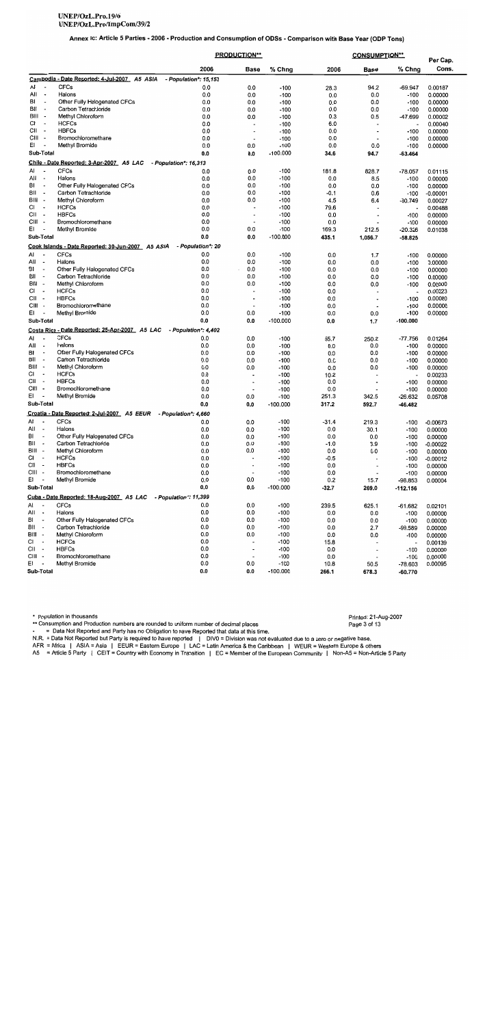#### Annex Ic: Article 5 Parties - 2006 - Production and Consumption of ODSs - Comparison with Base Year (ODP Tons)

|                                                                   |                                                      |                       | <b>PRODUCTION**</b>      |                  |             | <b>CONSUMPTION**</b>         |                          |                    |  |
|-------------------------------------------------------------------|------------------------------------------------------|-----------------------|--------------------------|------------------|-------------|------------------------------|--------------------------|--------------------|--|
|                                                                   |                                                      | 2006                  | Base                     | % Chng           | 2006        | Base                         | % Chng                   | Per Cap.<br>Cons.  |  |
|                                                                   | Cambodia - Date Reported: 4-Jul-2007 A5 ASIA         | - Population*: 15,153 |                          |                  |             |                              |                          |                    |  |
| Al<br>$\overline{\phantom{a}}$                                    | <b>CFCs</b>                                          | 0.0                   | 0.0                      | $-100$           | 28.3        | 94.2                         | $-69.947$                | 0.00187            |  |
| All<br>$\overline{\phantom{a}}$                                   | Halons                                               | 0.0                   | 0.0                      | $-100$           | 0.0         | 0.0                          | -100                     | 0.00000            |  |
| BI<br>$\overline{\phantom{a}}$                                    | Other Fully Halogenated CFCs                         | 0.0                   | 0.0                      | $-100$           | 0.0         | 0.0                          | $-100$                   | 0.00000            |  |
| вıı<br>٠.                                                         | Carbon Tetrachloride                                 | 0.0                   | 0.0                      | $-100$           | 0.0         | 0.0                          | -100                     | 0.00000            |  |
| BIII -                                                            | Methyl Chloroform                                    | 0.0                   | 0.0                      | $-100$           | 0.3         | 0.5                          | -47.699                  | 0.00002            |  |
| СI<br>$\overline{\phantom{a}}$                                    | <b>HCFCs</b>                                         | 0.0                   | $\blacksquare$           | $-100$           | 6.0         | $\overline{a}$               | ÷,                       | 0.00040            |  |
| CII<br>$\overline{\phantom{a}}$                                   | <b>HBFCs</b>                                         | 0.0                   | $\overline{\phantom{a}}$ | $-100$           | 0.0         | $\overline{\phantom{a}}$     | $-100$                   | 0.00000            |  |
| CIII -                                                            | Bromochloromethane                                   | 0.0                   | $\blacksquare$           | $-100$           | 0.0         | $\blacksquare$               | $-100$                   | 0.00000            |  |
| EI<br>$\overline{\phantom{a}}$                                    | Methyl Bromide                                       | 0.0                   | 0.0                      | $-100$           | 0.0         | 0.0                          | $-100$                   | 0.00000            |  |
| Sub-Total                                                         |                                                      | 0.0                   | 0.0                      | $-100.000$       | 34.6        | 94.7                         | -63.464                  |                    |  |
|                                                                   | Chile - Date Reported: 3-Apr-2007 A5 LAC             | - Population*: 16,313 |                          |                  |             |                              |                          |                    |  |
| Al<br>$\overline{\phantom{a}}$                                    | <b>CFCs</b>                                          | 0.0                   | 0.0                      | -100             | 181.8       | 828.7                        | $-78.057$                | 0.01115            |  |
| All<br>$\overline{\phantom{a}}$                                   | Halons                                               | 0.0                   | 0.0                      | $-100$           | 0,0         | 8.5                          | $-100$                   | 0.00000            |  |
| BI<br>$\overline{\phantom{a}}$                                    | Other Fully Halogenated CFCs                         | 0.0                   | 0.0                      | $-100$           | 0.0         | 0.0                          | $-100$                   | 0.00000            |  |
| ВII<br>$\overline{\phantom{a}}$                                   | Carbon Tetrachloride                                 | 0.0                   | 0.0                      | $-100$           | $-0.1$      | 0.6                          | -100                     | $-0.00001$         |  |
| BIII -                                                            | Methyl Chloroform                                    | 0.0<br>0.0            | 0.0<br>$\blacksquare$    | $-100$<br>$-100$ | 4.5         | 6.4                          | $-30.749$                | 0.00027            |  |
| СI<br>$\overline{\phantom{a}}$<br>СII<br>$\overline{\phantom{a}}$ | <b>HCFCs</b><br><b>HBFCs</b>                         | 0.0                   | $\blacksquare$           | $-100$           | 79.6<br>0.0 | $\qquad \qquad \blacksquare$ | $-100$                   | 0.00488<br>0.00000 |  |
| CIII -                                                            | Bromochloromethane                                   | 0.0                   | $\overline{\phantom{a}}$ | $-100$           | 0.0         |                              | $-100$                   | 0.00000            |  |
| ΕI<br>$\overline{\phantom{a}}$                                    | Methyl Bromide                                       | 0.0                   | 0.0                      | $-100$           | 169.3       | 212.5                        | $-20.326$                | 0.01038            |  |
| Sub-Total                                                         |                                                      | 0.0                   | 0.0                      | $-100.000$       | 435.1       | 1,056.7                      | $-58.825$                |                    |  |
|                                                                   | Cook Islands - Date Reported: 30-Jun-2007. A5 ASIA   | - Population*: 20     |                          |                  |             |                              |                          |                    |  |
| Al<br>$\overline{\phantom{a}}$                                    | <b>CFCs</b>                                          | 0.0                   | 0.0                      | $-100$           | 0.0         | 1.7                          | $-100$                   | 0.00000            |  |
| All<br>$\overline{\phantom{a}}$                                   | Halons                                               | 0.0                   | 0.0                      | $-100$           | 0.0         | 0.0                          | $-100$                   | 0.00000            |  |
| ВI<br>$\overline{\phantom{a}}$                                    | Other Fully Halogenated CFCs                         | 0.0                   | 0.0                      | $-100$           | 0.0         | 0.0                          | $-100$                   | 0.00000            |  |
| BII<br>$\overline{\phantom{a}}$                                   | Carbon Tetrachloride                                 | 0.0                   | 0.0                      | -100             | 0.0         | 0.0                          | $-100$                   | 0.00000            |  |
| BIII -                                                            | Methyl Chloroform                                    | 0.0                   | 0.0                      | -100             | 0.0         | 0.0                          | $-100$                   | 0.00000            |  |
| СI<br>$\overline{\phantom{a}}$                                    | <b>HCFCs</b>                                         | 0.0                   | ÷,                       | $-100$           | 0.0         |                              | $\overline{a}$           | 0.00223            |  |
| СII<br>$\overline{\phantom{a}}$                                   | <b>HBFCs</b>                                         | 0.0                   | $\overline{\phantom{a}}$ | $-100$           | 0.0         | $\blacksquare$               | $-100$                   | 0.00000            |  |
| CIII -                                                            | Bromochloromethane                                   | 0.0                   | $\blacksquare$           | $-100$           | 0.0         | $\blacksquare$               | $-100$                   | 0.00000            |  |
| ΕI                                                                | Methyl Bromide                                       | 0.0                   | 0.0                      | $-100$           | 0.0         | 0.0                          | $-100$                   | 0.00000            |  |
| Sub-Total                                                         |                                                      | 0.0                   | 0.0                      | $-100.000$       | 0,0         | 1.7                          | $-100,000$               |                    |  |
|                                                                   | Costa Rica - Date Reported: 25-Apr-2007 A5 LAC       | - Population*: 4,402  |                          |                  |             |                              |                          |                    |  |
| AI<br>$\overline{\phantom{a}}$                                    | <b>CFCs</b>                                          | 0.0                   | 0.0                      | $-100$           | 55.7        | 250.2                        | -77.756                  | 0.01264            |  |
| All<br>$\overline{\phantom{a}}$                                   | Halons                                               | 0.0                   | 0.0                      | $-100$           | 0.0         | 0.0                          | $-100$                   | 0.00000            |  |
| BI<br>$\overline{\phantom{a}}$                                    | Other Fully Halogenated CFCs                         | 0.0                   | 0.0                      | $-100$           | 0.0         | 0.0                          | $-100$                   | 0.00000            |  |
| BII<br>$\overline{\phantom{a}}$                                   | Carbon Tetrachloride                                 | 0.0                   | 0.0                      | $-100$           | 0.0         | 0.0                          | $-100$                   | 0.00000            |  |
| BIII -                                                            | Methyl Chloroform                                    | 0.0                   | 0.0                      | $-100$           | 0.0         | 0.0                          | $-100$                   | 0.00000            |  |
| СI<br>$\overline{\phantom{a}}$                                    | <b>HCFCs</b>                                         | 0.0                   | $\overline{\phantom{a}}$ | $-100$           | 10.2        |                              | $\overline{\phantom{a}}$ | 0.00233            |  |
| СH<br>$\overline{\phantom{a}}$                                    | <b>HBFCs</b>                                         | 0.0                   | $\cdot$                  | $-100$           | 0.0         | $\overline{\phantom{a}}$     | $-100$                   | 0.00000            |  |
| CIII -                                                            | Bromochloromethane                                   | 0.0                   | $\cdot$                  | $-100$           | 0.0         |                              | $-100$                   | 0.00000            |  |
| EI<br>$\overline{a}$                                              | Methyl Bromide                                       | 0.0                   | 0.0                      | $-100$           | 251.3       | 342.5                        | $-26.632$                | 0.05708            |  |
| Sub-Total                                                         |                                                      | 0.0                   | 0.0                      | $-100.000$       | 317.2       | 592.7                        | -46.482                  |                    |  |
|                                                                   | Croatia - Date Reported: 2-Jul-2007 A5 EEUR          | - Population*: 4.660  |                          |                  |             |                              |                          |                    |  |
| AI<br>$\overline{\phantom{a}}$                                    | <b>CFCs</b>                                          | 0.0                   | 0.0                      | $-100$           | $-31.4$     | 219.3                        | $-100$                   | $-0.00673$         |  |
| All<br>$\overline{\phantom{a}}$                                   | Halons                                               | 0.0                   | 0.0                      | $-100$           | 0.0         | 30.1                         | $-100$                   | 0.00000            |  |
| в١<br>$\blacksquare$                                              | Other Fully Halogenated CFCs                         | 0.0                   | 0.0                      | $-100$           | 0.0         | 0.0                          | $-100$                   | 0.00000            |  |
| BII<br>$\overline{\phantom{a}}$                                   | Carbon Tetrachloride                                 | 0.0                   | 0.0                      | $-100$           | -1.0        | 3.9                          | $-100$                   | $-0.00022$         |  |
| BIII -                                                            | Methyl Chloroform                                    | 0.0                   | 0.0                      | $-100$           | 0.0         | 0.0                          | $-100$                   | 0.00000            |  |
| СI<br>$\overline{\phantom{a}}$                                    | <b>HCFCs</b>                                         | 0.0                   | $\overline{\phantom{a}}$ | $-100$           | $-0.5$      |                              | $-100$                   | $-0.00012$         |  |
| СII<br>$\sim$                                                     | <b>HBFCs</b>                                         | 0.0                   | $\overline{\phantom{a}}$ | $-100$           | 0.0         | $\overline{\phantom{a}}$     | $-100$                   | 0.00000            |  |
| CIII -                                                            | Bromochloromethane                                   | 0.0                   | $\overline{\phantom{a}}$ | $-100$           | 0.0         |                              | $-100$                   | 0.00000            |  |
| E۱<br>$\overline{\phantom{a}}$                                    | Methyl Bromide                                       | 0.0                   | 0.0                      | $-100$           | 0.2         | 15.7                         | $-98.853$                | 0.00004            |  |
| Sub-Total                                                         |                                                      | 0.0                   | 0.0                      | $-100.000$       | $-32.7$     | 269.0                        | $-112.156$               |                    |  |
|                                                                   | Cuba - Date Reported: 18-Aug-2007 A5 LAC             | - Population*: 11,399 |                          |                  |             |                              |                          |                    |  |
| Al<br>$\overline{\phantom{a}}$                                    | <b>CFCs</b><br>Halons                                | 0.0<br>0.0            | 0.0<br>0.0               | -100<br>$-100$   | 239.5       | 625.1<br>0.0                 | $-61.682$                | 0.02101            |  |
| All<br>$\blacksquare$<br>ВI                                       |                                                      | 0.0                   | 0.0                      | $-100$           | 0.0<br>0.0  |                              | $-100$                   | 0.00000            |  |
| $\overline{\phantom{a}}$<br>$\sim$                                | Other Fully Halogenated CFCs<br>Carbon Tetrachloride |                       |                          |                  |             | 0.0                          | $-100$                   | 0.00000            |  |
| BII<br>BIII -                                                     | Methyl Chloroform                                    | 0.0<br>0.0            | 0.0<br>0.0               | $-100$<br>$-100$ | 0.0<br>0.0  | 2.7<br>0.0                   | $-99.589$<br>$-100$      | 0.00000            |  |
| СI<br>$\overline{\phantom{a}}$                                    | <b>HCFCs</b>                                         | 0.0                   | ÷,                       | $-100$           | 15.8        |                              | $\overline{\phantom{a}}$ | 0.00000<br>0.00139 |  |
| CII -                                                             | <b>HBFCs</b>                                         | 0.0                   | ÷                        | $-100$           | 0.0         | $\overline{\phantom{a}}$     | $-100$                   | 0.00000            |  |
| CIII -                                                            | Bromochloromethane                                   | 0.0                   | $\overline{\phantom{a}}$ | $-100$           | 0.0         |                              | $-100$                   | 0.00000            |  |
| EI<br>$\overline{\phantom{a}}$                                    | Methyl Bromide                                       | 0.0                   | 0.0                      | $-100$           | 10.8        | 50.5                         | $-78.603$                | 0.00095            |  |
| Sub-Total                                                         |                                                      | 0.0                   | 0.0                      | $-100.000$       | 266.1       | 678.3                        | $-60.770$                |                    |  |
|                                                                   |                                                      |                       |                          |                  |             |                              |                          |                    |  |

\* Population in thousands

\*\* Consumption and Production numbers are rounded to uniform number of decimal places

 $\mathbb{R}^2$ = Data Not Reported and Party has no Obligation to have Reported that data at this time.

N.R. = Data Not Reported but Party is required to have reported | DIV0 = Division was not evaluated due to a zero or negative base.<br>AFR = Africa | ASIA = Asia | EEUR = Eastern Europe | LAC = Latin America & the Caribbean |

A5 = Article 5 Party | CEIT = Country with Economy in Transition | EC = Member of the European Community | Non-A5 = Non-Article 5 Party

Printed: 21-Aug-2007 Page 3 of 13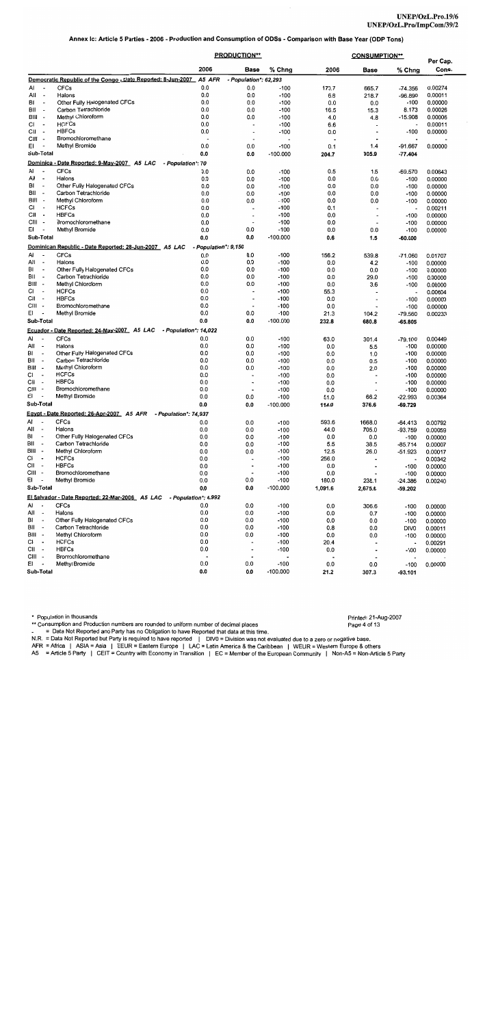|                                                 |                                                                      | <b>PRODUCTION**</b>      |                                            |                  |              | Per Cap.                                             |                          |                    |
|-------------------------------------------------|----------------------------------------------------------------------|--------------------------|--------------------------------------------|------------------|--------------|------------------------------------------------------|--------------------------|--------------------|
|                                                 |                                                                      | 2006                     | <b>Base</b>                                | % Chng           | 2006         | <b>Base</b>                                          | % Chna                   | Cons.              |
|                                                 | Democratic Republic of the Congo - Date Reported: 8-Jun-2007         | A5 AFR                   | - Population*: 62,293                      |                  |              |                                                      |                          |                    |
| Al<br>$\overline{\phantom{a}}$                  | <b>CFCs</b>                                                          | 0.0                      | 0.0                                        | $-100$           | 170.7        | 665.7                                                | -74.356                  | 0.00274            |
| All<br>$\overline{\phantom{a}}$                 | Halons                                                               | 0.0                      | 0.0                                        | $-100$           | 6.8          | 218.7                                                | $-96.890$                | 0.00011            |
| BI<br>$\overline{\phantom{a}}$                  | Other Fully Halogenated CFCs                                         | 0.0                      | 0.0                                        | $-100$           | 0.0          | 0.0                                                  | $-100$                   | 0.00000            |
| BII<br>٠.                                       | Carbon Tetrachloride                                                 | 0.0                      | 0.0                                        | $-100$           | 16.5         | 15.3                                                 | 8.173                    | 0.00026            |
| BIII -                                          | Methyl Chloroform                                                    | 0.0                      | 0.0                                        | $-100$           | 4.0          | 4.8                                                  | $-15.908$                | 0.00006            |
| СI<br>$\overline{\phantom{a}}$                  | <b>HCFCs</b>                                                         | 0.0                      | $\blacksquare$                             | $-100$           | 6.6          |                                                      | $\blacksquare$           | 0.00011            |
| СII<br>$\overline{\phantom{a}}$                 | <b>HBFCs</b>                                                         | 0.0                      | $\blacksquare$                             | $-100$           | 0.0          |                                                      | $-100$                   | 0.00000            |
| CIII -                                          | Bromochloromethane                                                   |                          |                                            |                  |              |                                                      |                          |                    |
| EI                                              | Methyl Bromide                                                       | 0.0                      | 0.0                                        | $-100$           | 0.1          | 1.4                                                  | -91.667                  | 0.00000            |
| Sub-Total                                       |                                                                      | 0.0                      | 0.0                                        | $-100.000$       | 204.7        | 905.9                                                | -77.404                  |                    |
|                                                 | Dominica - Date Reported: 9-May-2007 A5 LAC<br>- Population*: 70     |                          |                                            |                  |              |                                                      |                          |                    |
| Al                                              | <b>CFCs</b>                                                          | 0.0                      | 0.0                                        | $-100$           | 0.5          | 1.5                                                  | -69.570                  | 0.00643            |
| All<br>$\overline{\phantom{a}}$                 | Halons                                                               | 0.0                      | 0.0                                        | $-100$           | 0.0          | 0.0                                                  | $-100$                   | 0.00000            |
| BI<br>$\overline{\phantom{a}}$                  | Other Fully Halogenated CFCs                                         | 0.0                      | 0.0                                        | $-100$           | 0.0          | 0.0                                                  | $-100$                   | 0.00000            |
| BII<br>$\overline{\phantom{a}}$                 | Carbon Tetrachloride                                                 | 0.0                      | 0.0                                        | $-100$           | 0.0          | 0.0                                                  | -100                     | 0.00000            |
| BIII -                                          | Methyl Chloroform                                                    | 0.0                      | 0.0                                        | $-100$           | 0.0          | 0.0                                                  | -100                     | 0.00000            |
| СI<br>$\overline{\phantom{a}}$                  | <b>HCFCs</b>                                                         | 0.0                      | $\overline{a}$                             | $-100$           | 0.1          |                                                      | $\ddot{\phantom{0}}$     | 0.00211            |
| CІІ<br>$\overline{\phantom{a}}$                 | <b>HBFCs</b><br>Bromochloromethane                                   | 0.0<br>0.0               | $\blacksquare$<br>$\overline{\phantom{a}}$ | $-100$<br>$-100$ | 0.0<br>0.0   | $\overline{\phantom{a}}$<br>$\overline{\phantom{a}}$ | $-100$<br>-100           | 0.00000<br>0.00000 |
| CIII -<br>ΕI<br>$\overline{\phantom{a}}$        |                                                                      | 0.0                      | 0.0                                        | $-100$           | 0.0          | 0.0                                                  | -100                     | 0.00000            |
| Sub-Total                                       | Methyl Bromide                                                       | 0.0                      | 0.0                                        | $-100.000$       | 0.6          | 1.5                                                  | -60.000                  |                    |
|                                                 | <u> Dominican Republic - Date Reported: 28-Jun-2007 _ A5_LAC</u>     | - Population*: 9,150     |                                            |                  |              |                                                      |                          |                    |
| Al<br>$\overline{\phantom{a}}$                  | <b>CFCs</b>                                                          | 0.0                      | 0.0                                        | $-100$           | 156.2        | 539.8                                                | -71.060                  | 0.01707            |
| All<br>$\overline{\phantom{a}}$                 | Halons                                                               | 0.0                      | 0.0                                        | $-100$           | 0.0          | 4.2                                                  | -100                     | 0.00000            |
| ВI<br>÷                                         | Other Fully Halogenated CFCs                                         | 0.0                      | 0.0                                        | $-100$           | 0.0          | 0.0                                                  | $-100$                   | 0.00000            |
| BII<br>$\overline{\phantom{a}}$                 | Carbon Tetrachloride                                                 | 0.0                      | 0.0                                        | $-100$           | 0.0          | 29.0                                                 | $-100$                   | 0.00000            |
| BIII<br>$\overline{\phantom{a}}$                | Methyl Chloroform                                                    | 0.0                      | 0.0                                        | $-100$           | 0.0          | 3.6                                                  | -100                     | 0.00000            |
| СI<br>$\overline{\phantom{a}}$                  | <b>HCFCs</b>                                                         | 0.0                      | $\blacksquare$                             | $-100$           | 55.3         |                                                      | $\overline{\phantom{a}}$ | 0.00604            |
| CII<br>$\overline{\phantom{a}}$                 | <b>HBFCs</b>                                                         | 0.0                      | $\overline{a}$                             | $-100$           | 0.0          |                                                      | -100                     | 0.00000            |
| CIII -                                          | Bromochloromethane                                                   | 0.0                      |                                            | $-100$           | 0.0          |                                                      | $-100$                   | 0.00000            |
| ΕI<br>$\ddot{\phantom{0}}$                      | Methyl Bromide                                                       | 0.0                      | 0.0                                        | $-100$           | 21.3         | 104.2                                                | $-79.560$                | 0.00233            |
| Sub-Total                                       |                                                                      | 0.0                      | 0.0                                        | $-100.000$       | 232.8        | 680.8                                                | $-65.805$                |                    |
|                                                 | Ecuador - Date Reported: 24-May-2007 A5 LAC<br>- Population*: 14,022 |                          |                                            |                  |              |                                                      |                          |                    |
| AI<br>$\overline{\phantom{a}}$                  | <b>CFCs</b>                                                          | 0.0                      | 0.0                                        | $-100$           | 63.0         | 301.4                                                | $-79.100$                | 0.00449            |
| All<br>$\overline{\phantom{a}}$                 | Halons                                                               | 0.0                      | 0.0                                        | $-100$           | 0.0          | 5.5                                                  | $-100$                   | 0.00000            |
| BI<br>$\blacksquare$                            | Other Fully Halogenated CFCs                                         | 0.0                      | 0.0                                        | $-100$           | 0.0          | 1.0                                                  | $-100$                   | 0.00000            |
| ВII<br>$\overline{\phantom{a}}$                 | Carbon Tetrachloride                                                 | 0.0                      | 0.0                                        | $-100$           | 0.0          | 0.5                                                  | $-100$                   | 0.00000            |
| BIII<br>$\overline{\phantom{a}}$                | Methyl Chloroform                                                    | 0.0                      | 0.0                                        | $-100$           | 0.0          | 2.0                                                  | -100                     | 0.00000            |
| СI<br>$\overline{\phantom{a}}$                  | <b>HCFCs</b>                                                         | 0.0                      | ٠                                          | $-100$           | 0.0          |                                                      | -100                     | 0.00000            |
| СII<br>$\overline{\phantom{a}}$                 | <b>HBFCs</b>                                                         | 0.0                      | $\overline{\phantom{a}}$                   | $-100$           | 0.0          | ٠                                                    | $-100$                   | 0.00000            |
| CIII<br>$\overline{\phantom{a}}$                | Bromochloromethane                                                   | 0.0                      | ٠                                          | $-100$           | 0.0          |                                                      | -100                     | 0.00000            |
| ΕI                                              | Methyl Bromide                                                       | 0.0                      | 0.0                                        | $-100$           | 51.0         | 66.2                                                 | $-22.993$                | 0.00364            |
| Sub-Total                                       |                                                                      | 0.0                      | 0.0                                        | $-100.000$       | 114.0        | 376.6                                                | $-69.729$                |                    |
|                                                 | Eavpt - Date Reported: 26-Apr-2007 A5 AFR<br>- Population*: 74,937   |                          |                                            |                  |              |                                                      |                          |                    |
| AI<br>$\overline{\phantom{a}}$                  | <b>CFCs</b>                                                          | 0.0                      | 0.0                                        | $-100$           | 593.6        | 1668.0                                               | $-64.413$                | 0.00792            |
| All<br>$\overline{\phantom{a}}$                 | Halons                                                               | 0.0                      | 0.0                                        | $-100$           | 44.0         | 705.0                                                | -93.759                  | 0.00059            |
| BI<br>$\overline{\phantom{a}}$                  | Other Fully Halogenated CFCs                                         | 0.0                      | 0.0                                        | $-100$           | 0.0          | 0.0                                                  | $-100$                   | 0.00000            |
| BII<br>$\overline{\phantom{a}}$                 | Carbon Tetrachlonde                                                  | 0.0                      | 0.0                                        | $-100$           | 5.5          | 38.5                                                 | $-85.714$                | 0.00007            |
| BIII -                                          | Methyl Chloroform                                                    | 0.0                      | 0.0                                        | -100             | 12.5         | 26.0                                                 | -51.923                  | 0.00017            |
| СI<br>$\overline{\phantom{a}}$<br>СII<br>$\sim$ | <b>HCFCs</b><br><b>HBFCs</b>                                         | 0.0<br>0.0               | $\ddot{\phantom{0}}$                       | $-100$<br>$-100$ | 256.0<br>0.0 | $\overline{\phantom{a}}$                             | $\ddot{\phantom{0}}$     | 0.00342            |
| CIII -                                          | <b>Bromochloromethane</b>                                            | 0.0                      |                                            | $-100$           | 0.0          |                                                      | $-100$<br>$-100$         | 0.00000<br>0.00000 |
| EI<br>$\overline{\phantom{a}}$                  | Methyl Bromide                                                       | 0.0                      | 0.0                                        | $-100$           | 180.0        | 238.1                                                | $-24.386$                | 0.00240            |
| Sub-Total                                       |                                                                      | 0.0                      | 0.0                                        | $-100.000$       | 1,091.6      | 2,675.6                                              | -59.202                  |                    |
|                                                 | <u> El Salvador - Date Reported: 22-Mar-2006</u> A5 LAC              | - Population*: 6,992     |                                            |                  |              |                                                      |                          |                    |
| Al<br>$\overline{\phantom{a}}$                  | <b>CFCs</b>                                                          | 0.0                      | 0.0                                        | $-100$           | 0.0          | 306.6                                                | -100                     | 0.00000            |
| All<br>$\overline{\phantom{a}}$                 | Halons                                                               | 0.0                      | 0.0                                        | $-100$           | 0.0          | 0.7                                                  | $-100$                   | 0.00000            |
| В١<br>$\blacksquare$                            | Other Fully Halogenated CFCs                                         | 0.0                      | 0.0                                        | -100             | 0.0          | 0.0                                                  | -100                     | 0.00000            |
| ВII<br>$\overline{\phantom{a}}$                 | Carbon Tetrachloride                                                 | 0.0                      | 0.0                                        | -100             | 0.8          | 0.0                                                  | DIV0                     | 0.00011            |
| BIII<br>$\sim$                                  | Methyl Chloroform                                                    | 0.0                      | 0.0                                        | $-100$           | 0.0          | 0.0                                                  | $-100$                   | 0.00000            |
| C١<br>$\overline{\phantom{a}}$                  | <b>HCFCs</b>                                                         | 0.0                      | $\blacksquare$                             | -100             | 20.4         |                                                      | $\ddot{\phantom{0}}$     | 0.00291            |
| СII<br>$\overline{\phantom{a}}$                 | <b>HBFCs</b>                                                         | 0.0                      | $\overline{a}$                             | $-100$           | 0.0          | $\hat{\phantom{a}}$                                  | -100                     | 0.00000            |
| CIII -                                          | Bromochloromethane                                                   | $\overline{\phantom{a}}$ | $\blacksquare$                             |                  |              |                                                      | $\overline{\phantom{a}}$ |                    |
| ΕI<br>$\overline{\phantom{a}}$                  | Methyl Bromide                                                       | 0.0                      | 0.0                                        | $-100$           | 0.0          | 0.0                                                  | -100                     | 0.00000            |
| Sub-Total                                       |                                                                      | 0.0                      | 0.0                                        | $-100.000$       | 21.2         | 307.3                                                | -93.101                  |                    |

\* Population in thousands

\*\* Consumption and Production numbers are rounded to uniform number of decimal places

= Data Not Reported and Party has no Obligation to have Reported that data at this time.

-<br>N.R. = Data Not Reported but Party is required to have reported | DIV0 = Division was not evaluated due to a zero or negative base.<br>AFR = Africa | ASIA = Asia | EEUR = Eastern Europe | LAC = Latin America & the Caribbean

A5 = Article 5 Party | CEIT = Country with Economy in Transition | EC = Member of the European Community | Non-A5 = Non-Article 5 Party

Printed: 21-Aug-2007 Page 4 of 13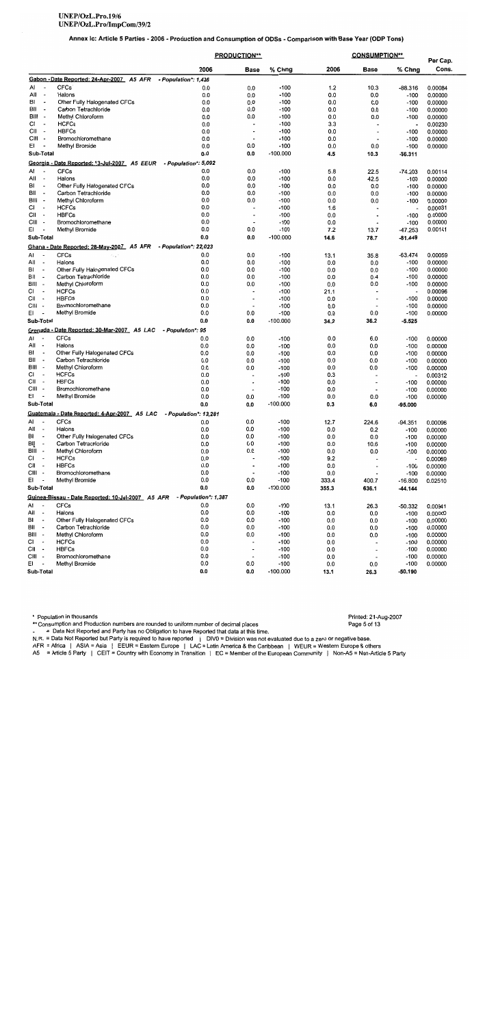#### Annex Ic: Article 5 Parties - 2006 - Production and Consumption of ODSs - Comparison with Base Year (ODP Tons)

|                                             |                                                             |                       | <b>PRODUCTION**</b>      |                      | <b>CONSUMPTION**</b> |                          |                          | Per Cap.           |
|---------------------------------------------|-------------------------------------------------------------|-----------------------|--------------------------|----------------------|----------------------|--------------------------|--------------------------|--------------------|
|                                             |                                                             | 2006                  | <b>Base</b>              | % Chng               | 2006                 | <b>Base</b>              | % Chng                   | Cons.              |
|                                             | Gabon - Date Reported: 24-Apr-2007 A5 AFR                   | - Population*: 1.426  |                          |                      |                      |                          |                          |                    |
| Al<br>$\overline{\phantom{a}}$              | <b>CFCs</b>                                                 | 0.0                   | 0.0                      | $-100$               | 1.2                  | 10.3                     | -88.316                  | 0.00084            |
| All<br>$\overline{\phantom{a}}$             | Halons                                                      | 0.0                   | 0.0                      | $-100$               | 0.0                  | 0,0                      | $-100$                   | 0.00000            |
| BI<br>$\overline{\phantom{a}}$              | Other Fully Halogenated CFCs                                | 0.0                   | 0.0                      | $-100$               | 0.0                  | 0.0                      | $-100$                   | 0.00000            |
| BII<br>$\overline{\phantom{a}}$             | Carbon Tetrachloride                                        | 0.0                   | 0.0                      | $-100$               | 0.0                  | 0.0                      | $-100$                   | 0.00000            |
| BIII -                                      | Methyl Chloroform                                           | 0.0                   | 0.0                      | $-100$               | 0.0                  | 0.0                      | $-100$                   | 0.00000            |
| СI<br>$\sim$                                | <b>HCFCs</b>                                                | 0.0                   | $\ddot{\phantom{0}}$     | $-100$               | 3.3                  | $\blacksquare$           | $\blacksquare$           | 0.00230            |
| CII<br>$\sim$                               | <b>HBFCs</b>                                                | 0.0                   | $\blacksquare$           | $-100$               | 0.0                  | $\overline{a}$           | -100                     | 0.00000            |
| CIII -                                      | Bromochloromethane                                          | 0.0<br>0.0            | $\overline{\phantom{a}}$ | $-100$               | 0.0                  | $\overline{a}$           | $-100$                   | 0.00000<br>0.00000 |
| EI<br>$\overline{\phantom{a}}$              | Methyl Bromide                                              |                       | 0.0                      | $-100$               | 0.0                  | 0.0                      | $-100$                   |                    |
| Sub-Total                                   |                                                             | 0.0                   | 0.0                      | $-100,000$           | 4.5                  | 10.3                     | $-56.311$                |                    |
| $\overline{\phantom{a}}$                    | Georgia - Date Reported: 13-Jul-2007 A5 EEUR<br><b>CFCs</b> | - Population*: 5,092  |                          |                      |                      |                          |                          | 0.00114            |
| Al<br>All<br>$\overline{\phantom{a}}$       | Halons                                                      | 0.0<br>0.0            | 0.0<br>0.0               | $-100$<br>$-100$     | 5.8<br>0.0           | 22.5<br>42.5             | -74.203<br>$-100$        | 0.00000            |
| BI<br>$\overline{\phantom{a}}$              | Other Fully Halogenated CFCs                                | 0.0                   | 0.0                      | $-100$               | 0.0                  | 0.0                      | $-100$                   | 0.00000            |
| BII<br>$\overline{\phantom{a}}$             | Carbon Tetrachloride                                        | 0.0                   | 0.0                      | $-100$               | 0.0                  | 0.0                      | $-100$                   | 0.00000            |
| BIII -                                      | Methyl Chloroform                                           | 0.0                   | 0.0                      | -100                 | 0.0                  | 0.0                      | $-100$                   | 0.00000            |
| C.<br>٠.                                    | <b>HCFCs</b>                                                | 0.0                   |                          | $-100$               | 1.6                  | $\ddot{\phantom{0}}$     |                          | 0.00031            |
| СII<br>$\overline{\phantom{a}}$             | <b>HBFCs</b>                                                | 0.0                   | $\overline{\phantom{a}}$ | $-100$               | 0.0                  | $\overline{\phantom{a}}$ | $-100$                   | 0.00000            |
| CIII -                                      | Bromochloromethane                                          | 0.0                   | $\overline{\phantom{a}}$ | $-100$               | 0.0                  | $\blacksquare$           | $-100$                   | 0.00000            |
| EL                                          | Methyl Bromide                                              | 0.0                   | 0.0                      | $-100$               | 7.2                  | 13.7                     | -47.253                  | 0.00141            |
| Sub-Total                                   |                                                             | 0.0                   | 0.0                      | $-100.000$           | 14.6                 | 78.7                     | -81.449                  |                    |
|                                             | Ghana - Date Reported; 28-May-2007 A5 AFR                   | - Population*: 22,023 |                          |                      |                      |                          |                          |                    |
| AI<br>$\overline{\phantom{a}}$              | <b>CFCs</b><br>r., 1                                        | 0.0                   | 0.0                      | $-100$               | 13.1                 | 35.8                     | $-63.474$                | 0.00059            |
| All<br>$\overline{\phantom{a}}$             | Halons                                                      | 0.0                   | 0.0                      | $-100$               | 0.0                  | 0.0                      | $-100$                   | 0.00000            |
| BI<br>$\overline{\phantom{a}}$              | Other Fully Halogenated CFCs                                | 0.0                   | 0.0                      | $-100$               | 0.0                  | 0.0                      | $-100$                   | 0.00000            |
| Bll<br>$\overline{\phantom{a}}$             | Carbon Tetrachloride                                        | 0.0                   | 0.0                      | $-100$               | 0.0                  | 0.4                      | $-100$                   | 0.00000            |
| BIII<br>$\sim$                              | Methyl Chloroform                                           | 0.0                   | 0.0                      | $-100$               | 0.0                  | 0.0                      | $-100$                   | 0.00000            |
| СI<br>$\blacksquare$                        | <b>HCFCs</b>                                                | 0.0                   | $\overline{\phantom{a}}$ | $-100$               | 21.1                 | $\overline{a}$           | $\overline{\phantom{a}}$ | 0.00096            |
| СII<br>$\overline{\phantom{a}}$             | <b>HBFCs</b>                                                | 0.0                   | $\overline{\phantom{a}}$ | $-100$               | 0.0                  | $\overline{a}$           | -100                     | 0.00000            |
| CIII -                                      | Bromochloromethane                                          | 0,0                   | $\overline{\phantom{a}}$ | $-100$               | 0.0                  | $\overline{a}$           | $-100$                   | 0.00000            |
| EI                                          | Methyl Bromide                                              | 0.0                   | 0.0                      | $-100$               | 0.0                  | 0.0                      | $-100$                   | 0.00000            |
| Sub-Total                                   |                                                             | 0.0                   | 0.0                      | $-100.000$           | 34.2                 | 36.2                     | $-5.525$                 |                    |
|                                             | Grenada - Date Reported: 30-Mar-2007 A5 LAC                 | - Population*: 95     |                          |                      |                      |                          |                          |                    |
| AI<br>$\overline{\phantom{a}}$              | <b>CFCs</b>                                                 | 0.0                   | 0.0                      | $-100$               | 0.0                  | 6.0                      | $-100$                   | 0.00000            |
| All<br>$\overline{\phantom{a}}$             | Halons                                                      | 0.0                   | 0.0                      | $-100$               | 0.0                  | 0.0                      | $-100$                   | 0.00000            |
| BI<br>$\overline{\phantom{a}}$              | Other Fully Halogenated CFCs                                | 0.0                   | 0.0                      | $-100$               | 0.0                  | 0.0                      | $-100$                   | 0.00000            |
| BII<br>$\blacksquare$                       | Carbon Tetrachloride                                        | 0.0                   | 0.0                      | $-100$               | 0.0                  | 0.0                      | -100                     | 0.00000            |
| BIII<br>$\sim$                              | Methyl Chloroform                                           | 0.0                   | 0.0                      | $-100$               | 0.0                  | 0.0                      | -100                     | 0.00000            |
| СI<br>$\overline{\phantom{a}}$              | <b>HCFCs</b>                                                | 0.0                   | $\overline{\phantom{a}}$ | $-100$               | 0.3                  | $\overline{a}$           | $\overline{a}$           | 0.00312            |
| СH<br>$\overline{\phantom{a}}$              | <b>HBFCs</b>                                                | 0.0                   | ٠                        | $-100$               | 0.0                  | $\blacksquare$           | $-100$                   | 0.00000            |
| CIII -                                      | Bromochloromethane                                          | 0.0                   | $\cdot$                  | $-100$               | 0.0                  | $\overline{\phantom{a}}$ | $-100$                   | 0.00000            |
| EI<br>$\overline{\phantom{a}}$              | Methyl Bromide                                              | 0.0                   | 0.0                      | $-100$               | 0.0                  | 0.0                      | $-100$                   | 0.00000            |
| Sub-Total                                   |                                                             | 0.0                   | 0.0                      | $-100.000$           | 0.3                  | 6.0                      | -95.000                  |                    |
|                                             | Guatemala - Date Reported: 4-Apr-2007 A5 LAC                | - Population*: 13,281 |                          |                      |                      |                          |                          |                    |
| AI<br>$\overline{\phantom{a}}$              | <b>CFCs</b>                                                 | 0.0                   | 0.0                      | $-100$               | 12.7                 | 224.6                    | -94.351                  | 0.00096            |
| All<br>$\overline{\phantom{a}}$             | Halons                                                      | 0.0                   | 0.0                      | $-100$               | 0.0                  | 0.2                      | -100                     | 0.00000            |
| BI<br>$\overline{\phantom{a}}$              | Other Fully Halogenated CFCs                                | 0.0                   | 0.0                      | $-100$               | 0.0                  | 0.0                      | $-100$                   | 0.00000            |
| ВŲ<br>$\overline{\phantom{a}}$              | Carbon Tetrachloride                                        | 0.0                   | 0.0                      | $-100$               | 0.0                  | 10.6                     | $-100$                   | 0.00000            |
| BIII -                                      | Methyl Chloroform                                           | 0.0                   | 0.0                      | $-100$               | 0.0                  | 0.0                      | $-100$                   | 0.00000            |
| СI<br>$\overline{\phantom{a}}$              | <b>HCFCs</b>                                                | 0.0                   | $\overline{\phantom{a}}$ | $-100$               | 9.2                  |                          | ÷                        | 0.00069            |
| СII<br>$\overline{\phantom{a}}$             | <b>HBFCs</b>                                                | 0.0                   | $\overline{\phantom{a}}$ | $-100$               | 0.0                  | $\overline{a}$           | $-100$                   | 0.00000            |
| CIII -                                      | Bromochloromethane                                          | 0.0                   | $\overline{\phantom{a}}$ | $-100$               | 0.0                  |                          | $-100$                   | 0.00000            |
| EI<br>$\overline{\phantom{a}}$<br>Sub-Total | Methyl Bromide                                              | 0.0<br>0.0            | 0.0<br>0.0               | $-100$<br>$-100.000$ | 333.4<br>355.3       | 400.7<br>636.1           | $-16.800$<br>-44.144     | 0.02510            |
|                                             | Guinea-Bissau - Date Reported: 10-Jul-2007 A5 AFR           | - Population*: 1,387  |                          |                      |                      |                          |                          |                    |
| Ai                                          | <b>CFCs</b>                                                 | 0.0                   | 0.0                      | $-100$               | 13.1                 | 26.3                     | -50.332                  | 0.00941            |
| All<br>$\overline{\phantom{a}}$             | Halons                                                      | 0.0                   | 0.0                      | $-100$               | 0.0                  | 0.0                      | $-100$                   | 0.00000            |
| ΒI<br>$\overline{\phantom{a}}$              | Other Fully Halogenated CFCs                                | 0.0                   | 0.0                      | $-100$               | 0.0                  | 0.0                      | $-100$                   | 0.00000            |
| ВII<br>$\overline{\phantom{a}}$             | Carbon Tetrachloride                                        | 0.0                   | 0.0                      | $-100$               | 0.0                  | 0.0                      | -100                     | 0.00000            |
| BIII -                                      | Methyl Chloroform                                           | 0.0                   | 0.0                      | $-100$               | 0.0                  | 0.0                      | $-100$                   | 0.00000            |
| СI<br>$\overline{\phantom{a}}$              | <b>HCFCs</b>                                                | 0.0                   |                          | $-100$               | 0.0                  | $\overline{a}$           | $-100$                   | 0.00000            |
| CII -                                       | <b>HBFCs</b>                                                | 0.0                   | $\overline{a}$           | $-100$               | 0.0                  | $\overline{\phantom{a}}$ | $-100$                   | 0.00000            |
| CIII -                                      | Bromochloromethane                                          | 0.0                   |                          | $-100$               | 0.0                  |                          | $-100$                   | 0.00000            |
| EI<br>$\overline{\phantom{a}}$              | Methyl Bromide                                              | 0.0                   | 0.0                      | $-100$               | 0.0                  | 0.0                      | $-100$                   | 0.00000            |
| Sub-Total                                   |                                                             | 0.0                   | 0.0                      | $-100.000$           | 13.1                 | 26.3                     | -50.190                  |                    |

\* Population in thousands

\*\* Consumption and Production numbers are rounded to uniform number of decimal places

= Data Not Reported and Party has no Obligation to have Reported that data at this time.

N.R. = Data Not Reported but Party is required to have reported | DIV0 = Division was not evaluated due to a zero or negative base.<br>AFR = Africa | ASIA = Asia | EEUR = Eastern Europe | LAC = Latin America & the Caribbean |

A5 = Article 5 Party | CEIT = Country with Economy in Transition | EC = Member of the European Community | Non-A5 = Non-Article 5 Party

Printed: 21-Aug-2007 Page 5 of 13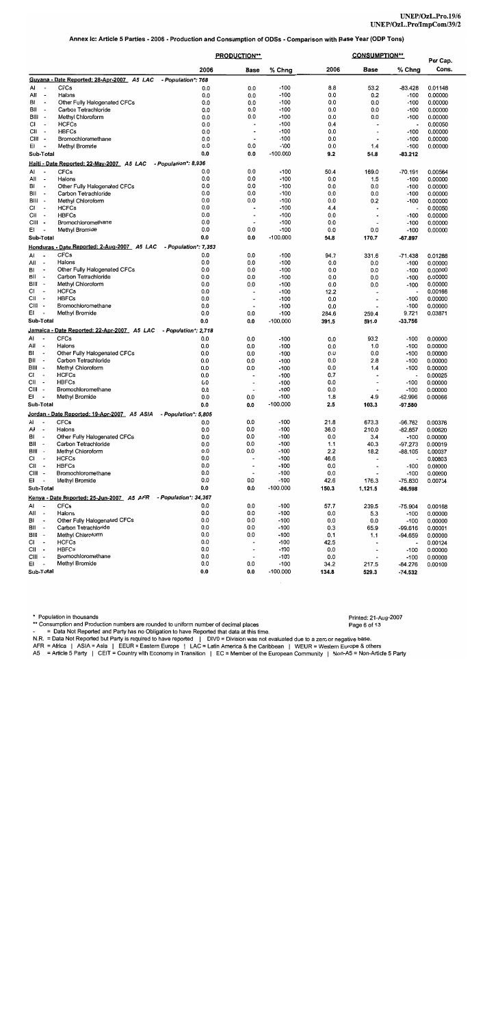Printed: 21-Aug-2007

Page 6 of 13

|                                                                   |                                                      |                       | <b>PRODUCTION**</b>                                  |                      |                | <b>CONSUMPTION**</b>            |                              |                    |  |
|-------------------------------------------------------------------|------------------------------------------------------|-----------------------|------------------------------------------------------|----------------------|----------------|---------------------------------|------------------------------|--------------------|--|
|                                                                   |                                                      | 2006                  | <b>Base</b>                                          | % Chng               | 2006           | Base                            | % Chng                       | Per Cap.<br>Cons.  |  |
|                                                                   | Guyana - Date Reported: 28-Apr-2007 A5 LAC           | - Population*: 768    |                                                      |                      |                |                                 |                              |                    |  |
| Al                                                                | <b>CFCs</b>                                          | 0.0                   | 0.0                                                  | $-100$               | 8.8            | 53.2                            | $-83.428$                    | 0.01148            |  |
| All<br>$\overline{\phantom{a}}$                                   | Halons                                               | 0.0                   | 0.0                                                  | $-100$               | 0.0            | 0.2                             | $-100$                       | 0.00000            |  |
| BI<br>$\overline{\phantom{a}}$                                    | Other Fully Halogenated CFCs                         | 0.0                   | 0.0                                                  | $-100$               | 0.0            | 0.0                             | $-100$                       | 0.00000            |  |
| BII<br>$\overline{\phantom{a}}$                                   | Carbon Tetrachloride                                 | 0.0                   | 0.0                                                  | $-100$               | 0.0            | 0.0                             | -100                         | 0.00000            |  |
| BIII -                                                            | Methyl Chloroform                                    | 0.0                   | 0.0                                                  | $-100$               | 0.0            | 0.0                             | $-100$                       | 0.00000            |  |
| СI<br>$\overline{\phantom{a}}$<br>CII<br>$\overline{\phantom{a}}$ | <b>HCFCs</b><br><b>HBFCs</b>                         | 0.0                   |                                                      | $-100$               | 0.4            | $\overline{a}$                  | $\overline{\phantom{a}}$     | 0.00050            |  |
| CIII -                                                            | Bromochloromethane                                   | 0.0<br>0.0            | $\overline{\phantom{a}}$<br>$\overline{\phantom{a}}$ | $-100$<br>$-100$     | 0.0<br>0.0     | $\overline{\phantom{a}}$        | $-100$                       | 0.00000            |  |
| EI                                                                | Methyl Bromide                                       | 0.0                   | 0.0                                                  | $-100$               | 0.0            | $\overline{\phantom{a}}$<br>1.4 | $-100$<br>$-100$             | 0.00000<br>0.00000 |  |
| Sub-Total                                                         |                                                      | 0.0                   | 0.0                                                  | $-100.000$           | 9.2            | 54.8                            | $-83.212$                    |                    |  |
|                                                                   | Haiti - Date Reported: 22-May-2007 A5 LAC            | - Population*: 8,936  |                                                      |                      |                |                                 |                              |                    |  |
| AI<br>$\overline{\phantom{a}}$                                    | <b>CFCs</b>                                          | 0.0                   | 0.0                                                  | $-100$               | 50.4           | 169.0                           | -70.191                      | 0.00564            |  |
| All<br>$\overline{\phantom{a}}$                                   | Halons                                               | 0.0                   | 0.0                                                  | $-100$               | 0.0            | 1.5                             | $-100$                       | 0.00000            |  |
| BI<br>$\cdot$                                                     | Other Fully Halogenated CFCs                         | 0.0                   | 0.0                                                  | $-100$               | 0.0            | 0.0                             | $-100$                       | 0.00000            |  |
| BII<br>۰.                                                         | Carbon Tetrachloride                                 | 0.0                   | 0.0                                                  | $-100$               | 0.0            | 0.0                             | $-100$                       | 0.00000            |  |
| BIII -                                                            | Methyl Chloroform                                    | 0.0                   | 0.0                                                  | $-100$               | 0.0            | 0.2                             | $-100$                       | 0.00000            |  |
| СI<br>$\overline{\phantom{a}}$                                    | <b>HCFCs</b>                                         | 0.0                   | $\tilde{\phantom{a}}$                                | $-100$               | 4.4            | $\overline{a}$                  | $\overline{a}$               | 0.00050            |  |
| СII<br>$\overline{\phantom{a}}$                                   | <b>HBFCs</b>                                         | 0.0                   | $\overline{\phantom{a}}$                             | $-100$               | 0.0            | $\overline{\phantom{a}}$        | $-100$                       | 0.00000            |  |
| CIII-                                                             | Bromochloromethane                                   | 0.0                   | $\overline{\phantom{a}}$                             | $-100$               | 0.0            |                                 | $-100$                       | 0.00000            |  |
| EI<br>$\overline{\phantom{a}}$                                    | Methyl Bromide                                       | 0.0                   | 0.0                                                  | $-100$               | 0.0            | 0.0                             | $-100$                       | 0.00000            |  |
| Sub-Total                                                         |                                                      | 0.0                   | 0.0                                                  | $-100.000$           | 54.8           | 170.7                           | -67.897                      |                    |  |
|                                                                   | Honduras - Date Reported: 2-Aug-2007 A5 LAC          | - Population*: 7,353  |                                                      |                      |                |                                 |                              |                    |  |
| Al<br>$\overline{\phantom{a}}$                                    | <b>CFCs</b>                                          | 0.0                   | 0.0                                                  | $-100$               | 94.7           | 331.6                           | -71.438                      | 0.01288            |  |
| All<br>$\overline{\phantom{a}}$                                   | Halons                                               | 0.0                   | 0.0                                                  | $-100$               | 0.0            | 0.0                             | $-100$                       | 0.00000            |  |
| BI<br>$\overline{\phantom{a}}$                                    | Other Fully Halogenated CFCs                         | 0.0                   | 0.0                                                  | $-100$               | 0.0            | 0.0                             | $-100$                       | 0.00000            |  |
| BII<br>$\overline{\phantom{a}}$                                   | Carbon Tetrachloride                                 | 0.0                   | 0.0                                                  | $-100$               | 0.0            | 0.0                             | $-100$                       | 0.00000            |  |
| BIII<br>$\overline{\phantom{a}}$                                  | Methyl Chloroform                                    | 0.0                   | 0.0                                                  | $-100$               | 0.0            | 0.0                             | -100                         | 0.00000            |  |
| СI<br>$\overline{\phantom{a}}$                                    | <b>HCFCs</b>                                         | 0.0                   | $\overline{\phantom{a}}$                             | $-100$               | 12.2           |                                 | $\overline{\phantom{a}}$     | 0.00166            |  |
| СII<br>$\overline{\phantom{a}}$                                   | <b>HBFCs</b>                                         | 0.0                   | $\blacksquare$                                       | $-100$               | 0.0            | $\overline{\phantom{a}}$        | $-100$                       | 0.00000            |  |
| CIII -<br>EI<br>$\overline{\phantom{a}}$                          | Bromochloromethane                                   | 0.0                   | ٠                                                    | $-100$               | 0.0            |                                 | $-100$                       | 0.00000            |  |
| Sub-Total                                                         | Methyl Bromide                                       | 0.0<br>0.0            | 0.0<br>0.0                                           | $-100$<br>$-100.000$ | 284.6<br>391.5 | 259.4                           | 9.721                        | 0.03871            |  |
|                                                                   |                                                      |                       |                                                      |                      |                | 591.0                           | $-33.756$                    |                    |  |
|                                                                   | Jamaica - Date Reported: 22-Apr-2007_ A5 LAC         | - Population*: 2,718  |                                                      |                      |                |                                 |                              |                    |  |
| AI                                                                | <b>CFCs</b>                                          | 0.0                   | 0.0                                                  | $-100$               | 0.0            | 93.2                            | $-100$                       | 0.00000            |  |
| All<br>$\overline{\phantom{a}}$<br>BI<br>$\overline{\phantom{a}}$ | Halons                                               | 0.0<br>0.0            | 0.0                                                  | $-100$               | 0.0            | 1.0                             | $-100$                       | 0.00000            |  |
| BII<br>$\overline{\phantom{a}}$                                   | Other Fully Halogenated CFCs<br>Carbon Tetrachloride | 0.0                   | 0.0<br>0.0                                           | $-100$               | 0.0            | 0.0                             | $-100$                       | 0.00000            |  |
| BIII -                                                            | Methyl Chloroform                                    | 0.0                   | 0.0                                                  | $-100$<br>$-100$     | 0.0<br>0.0     | 2.8<br>1.4                      | $-100$<br>$-100$             | 0.00000            |  |
| СI<br>$\overline{\phantom{a}}$                                    | <b>HCFCs</b>                                         | 0.0                   | $\blacksquare$                                       | $-100$               | 0.7            | $\blacksquare$                  | $\overline{\phantom{a}}$     | 0.00000<br>0.00025 |  |
| СII<br>$\overline{\phantom{a}}$                                   | <b>HBFCs</b>                                         | 0.0                   | $\overline{\phantom{m}}$                             | $-100$               | 0.0            | $\overline{\phantom{0}}$        | -100                         | 0.00000            |  |
| CIII -                                                            | <b>Bromochloromethane</b>                            | 0.0                   | $\overline{\phantom{0}}$                             | $-100$               | 0.0            |                                 | $-100$                       | 0.00000            |  |
| ΕI                                                                | Methyl Bromide                                       | 0.0                   | 0.0                                                  | $-100$               | 1.8            | 4.9                             | $-62.996$                    | 0.00066            |  |
| Sub-Total                                                         |                                                      | 0.0                   | 0.0                                                  | $-100.000$           | 2.5            | 103.3                           | $-97.580$                    |                    |  |
|                                                                   | Jordan - Date Reported: 19-Apr-2007 A5 ASIA          | - Population*: 5,805  |                                                      |                      |                |                                 |                              |                    |  |
| AI                                                                | <b>CFCs</b>                                          | 0.0                   | 0.0                                                  | $-100$               | 21.8           | 673.3                           | -96.762                      | 0.00376            |  |
| All<br>$\overline{\phantom{a}}$                                   | Halons                                               | 0.0                   | 0.0                                                  | $-100$               | 36.0           | 210.0                           | $-82.857$                    | 0.00620            |  |
| BI<br>$\overline{\phantom{a}}$                                    | Other Fully Halogenated CFCs                         | 0.0                   | 0.0                                                  | $-100$               | 0.0            | 3.4                             | $-100$                       | 0.00000            |  |
| вı<br>$\overline{\phantom{a}}$                                    | Carbon Tetrachloride                                 | 0.0                   | 0.0                                                  | $-100$               | 1.1            | 40.3                            | -97.273                      | 0.00019            |  |
| BIII -                                                            | Methyl Chloroform                                    | 0.0                   | 0.0                                                  | $-100$               | 2.2            | 18.2                            | -88.105                      | 0.00037            |  |
| СI<br>$\overline{\phantom{a}}$                                    | <b>HCFCs</b>                                         | 0.0                   | ٠                                                    | $-100$               | 46.6           | ٠                               | $\overline{\phantom{a}}$     | 0.00803            |  |
| CII -                                                             | <b>HBFCs</b>                                         | 0.0                   | ٠                                                    | $-100$               | 0.0            |                                 | $-100$                       | 0.00000            |  |
| CIII -                                                            | Bromochloromethane                                   | 0.0                   | ٠                                                    | $-100$               | 0.0            |                                 | $-100$                       | 0.00000            |  |
| ΕI<br>$\overline{\phantom{a}}$                                    | Methyl Bromide                                       | 0.0                   | 0.0                                                  | $-100$               | 42.6           | 176.3                           | -75.830                      | 0.00734            |  |
| Sub-Total                                                         |                                                      | 0.0                   | 0.0                                                  | $-100.000$           | 150.3          | 1,121.5                         | $-86.598$                    |                    |  |
|                                                                   | Kenya - Date Reported: 25-Jun-2007 A5 AFR            | - Population*: 34,367 |                                                      |                      |                |                                 |                              |                    |  |
| AI<br>$\overline{\phantom{a}}$                                    | <b>CFCs</b>                                          | 0.0                   | 0.0                                                  | $-100$               | 57.7           | 239.5                           | $-75.904$                    | 0.00168            |  |
| All<br>$\overline{\phantom{a}}$                                   | Halons                                               | 0.0                   | 0.0                                                  | $-100$               | 0.0            | 5.3                             | $-100$                       | 0.00000            |  |
| BI<br>$\ddot{\phantom{0}}$                                        | Other Fully Halogenated CFCs                         | 0.0                   | 0.0                                                  | $-100$               | 0.0            | 0.0                             | $-100$                       | 0.00000            |  |
| BII<br>$\overline{\phantom{a}}$                                   | Carbon Tetrachlonde                                  | 0.0                   | 0.0                                                  | $-100$               | 0.3            | 65.9                            | $-99.616$                    | 0.00001            |  |
| BIII -                                                            | Methyl Chloroform                                    | 0.0                   | 0.0                                                  | $-100$               | 0.1            | 1.1                             | -94.659                      | 0.00000            |  |
| СI<br>$\blacksquare$                                              | <b>HCFCs</b>                                         | 0.0                   | ÷                                                    | $-100$               | 42.5           | $\blacksquare$                  | $\qquad \qquad \blacksquare$ | 0.00124            |  |
| СII<br>$\overline{\phantom{a}}$<br>CIII -                         | <b>HBFCs</b><br>Bromochloromethane                   | 0.0<br>0.0            | $\overline{\phantom{a}}$                             | $-100$               | 0.0            | $\blacksquare$                  | $-100$                       | 0.00000            |  |
| EI<br>$\overline{\phantom{a}}$                                    | Methyl Bromide                                       | 0.0                   | $\overline{a}$<br>0.0                                | $-100$<br>$-100$     | 0.0<br>34.2    | $\blacksquare$<br>217.5         | $-100$<br>$-84.276$          | 0.00000<br>0.00100 |  |
| Sub-Total                                                         |                                                      | 0.0                   | 0.0                                                  | $-100.000$           | 134.8          | 529.3                           | $-74.532$                    |                    |  |

\* Population in thousands

\*\* Consumption and Production numbers are rounded to uniform number of decimal places

= Data Not Reported and Party has no Obligation to have Reported that data at this time.

- Data Not Reported but Party is required to have reported | DIV0 = Division was not evaluated due to a zero or negative base.<br>AFR = Africa | ASIA = Asia | EEUR = Eastem Europe | LAC = Latin America & the Caribbean | WEUR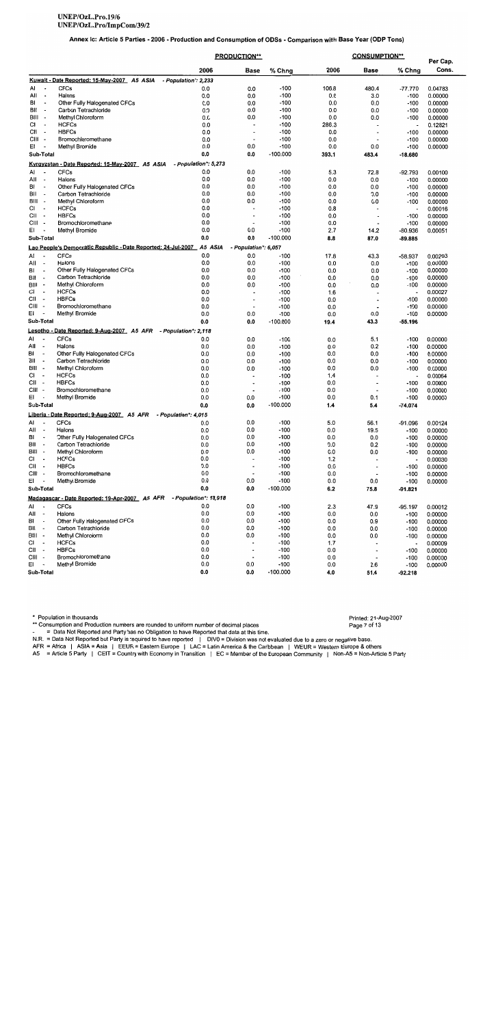Annex Ic: Article 5 Parties - 2006 - Production and Consumption of ODSs - Comparison with Base Year (ODP Tons)

|                                                             |                                                                                      |                      | <b>PRODUCTION**</b>                        |                  |            | <b>CONSUMPTION**</b>     |                              |                    |
|-------------------------------------------------------------|--------------------------------------------------------------------------------------|----------------------|--------------------------------------------|------------------|------------|--------------------------|------------------------------|--------------------|
|                                                             |                                                                                      | 2006                 | <b>Base</b>                                | % Chng           | 2006       | <b>Base</b>              | % Chng                       | Per Cap.<br>Cons.  |
|                                                             | Kuwait - Date Reported: 15-May-2007 A5 ASIA                                          | - Population*: 2,233 |                                            |                  |            |                          |                              |                    |
| AI                                                          | <b>CFCs</b>                                                                          | 0.0                  | 0.0                                        | $-100$           | 106.8      | 480.4                    | -77.770                      | 0.04783            |
| All<br>$\overline{\phantom{a}}$                             | Halons                                                                               | 0.0                  | 0.0                                        | $-100$           | 0.0        | 3.0                      | $-100$                       | 0.00000            |
| BI                                                          | Other Fully Halogenated CFCs                                                         | 0.0                  | 0.0                                        | $-100$           | 0.0        | 0.0                      | $-100$                       | 0.00000            |
| BII                                                         | Carbon Tetrachloride                                                                 | 0.0                  | 0.0                                        | $-100$           | 0.0        | 0.0                      | $-100$                       | 0.00000            |
| BIII -                                                      | Methyl Chloroform                                                                    | 0.0                  | 0.0                                        | $-100$           | 0.0        | 0.0                      | $-100$                       | 0.00000            |
| СI<br>СII<br>٠.                                             | <b>HCFCs</b><br><b>HBFCs</b>                                                         | 0.0<br>0.0           | ÷,                                         | $-100$           | 286.3      |                          | $\qquad \qquad \blacksquare$ | 0.12821            |
| CIII -                                                      | Bromochloromethane                                                                   | 0.0                  | $\overline{a}$<br>$\overline{\phantom{a}}$ | $-100$<br>$-100$ | 0.0<br>0.0 | $\overline{a}$           | $-100$                       | 0.00000<br>0.00000 |
| EI<br>$\overline{\phantom{a}}$                              | Methyl Bromide                                                                       | 0.0                  | 0.0                                        | $-100$           | 0.0        | 0.0                      | -100<br>$-100$               | 0.00000            |
| Sub-Total                                                   |                                                                                      | 0.0                  | 0.0                                        | $-100.000$       | 393.1      | 483.4                    | $-18.680$                    |                    |
|                                                             | Kyrgyzstan - Date Reported: 15-May-2007_ A5 ASIA                                     | - Population*: 5,273 |                                            |                  |            |                          |                              |                    |
| Al<br>$\overline{\phantom{a}}$                              | <b>CFCs</b>                                                                          | 0.0                  | 0.0                                        | $-100$           | 5.3        | 72.8                     | $-92.793$                    | 0.00100            |
| All<br>$\overline{\phantom{a}}$                             | Halons                                                                               | 0.0                  | 0.0                                        | $-100$           | 0.0        | 0.0                      | $-100$                       | 0.00000            |
| BI<br>$\overline{\phantom{a}}$                              | Other Fully Halogenated CFCs                                                         | 0.0                  | 0.0                                        | $-100$           | 0.0        | 0.0                      | $-100$                       | 0.00000            |
| BII<br>$\overline{\phantom{a}}$                             | Carbon Tetrachloride                                                                 | 0.0                  | 0.0                                        | $-100$           | 0.0        | 0.0                      | $-100$                       | 0.00000            |
| BIII -                                                      | Methyl Chloroform                                                                    | 0.0                  | 0.0                                        | $-100$           | 0.0        | 0.0                      | $-100$                       | 0.00000            |
| СI<br>٠.                                                    | <b>HCFCs</b>                                                                         | 0.0                  | $\overline{\phantom{a}}$                   | $-100$           | 0.8        |                          | $\overline{\phantom{a}}$     | 0.00016            |
| CII<br>٠.                                                   | <b>HBFCs</b>                                                                         | 0.0                  | $\overline{\phantom{0}}$                   | $-100$           | 0.0        | $\ddot{\phantom{0}}$     | $-100$                       | 0.00000            |
| CIII -                                                      | Bromochloromethane                                                                   | 0.0                  | $\overline{a}$                             | $-100$           | 0.0        | $\overline{a}$           | $-100$                       | 0.00000            |
| EI                                                          | Methyl Bromide                                                                       | 0.0                  | 0.0                                        | $-100$           | 2.7        | 14.2                     | $-80.936$                    | 0.00051            |
| Sub-Total                                                   |                                                                                      | 0.0                  | 0.0                                        | $-100.000$       | 8.8        | 87.0                     | $-89.885$                    |                    |
|                                                             | Lao People's Democratic Republic - Date Reported: 24-Jul-2007 A5 ASIA<br><b>CFCs</b> |                      | - Population*: 6,057                       |                  |            |                          |                              |                    |
| Al<br>$\overline{\phantom{a}}$<br>All<br>. .                | Halons                                                                               | 0.0                  | 0.0                                        | $-100$           | 17.8       | 43.3                     | $-58.937$                    | 0.00293            |
| BI<br>$\overline{\phantom{a}}$                              | Other Fully Halogenated CFCs                                                         | 0.0<br>0.0           | 0.0<br>0.0                                 | $-100$<br>$-100$ | 0.0        | 0.0                      | $-100$                       | 0.00000            |
| ВII<br>$\overline{\phantom{a}}$                             | Carbon Tetrachloride                                                                 | 0.0                  | 0.0                                        | $-100$           | 0.0<br>0.0 | 0.0<br>0.0               | $-100$<br>$-100$             | 0.00000            |
| BIII -                                                      | Methyl Chloroform                                                                    | 0.0                  | 0.0                                        | $-100$           | 0.0        | 0.0                      | $-100$                       | 0.00000<br>0.00000 |
| СI<br>$\overline{\phantom{a}}$                              | <b>HCFCs</b>                                                                         | 0.0                  | $\overline{\phantom{a}}$                   | $-100$           | 1.6        | $\blacksquare$           | $\overline{\phantom{a}}$     | 0.00027            |
| СII<br>$\overline{\phantom{a}}$                             | <b>HBFCs</b>                                                                         | 0.0                  | $\overline{a}$                             | $-100$           | 0.0        | $\overline{\phantom{a}}$ | $-100$                       | 0.00000            |
| CIII -                                                      | Bromochloromethane                                                                   | 0.0                  | $\overline{a}$                             | $-100$           | 0.0        | $\overline{\phantom{a}}$ | $-100$                       | 0.00000            |
| ΕI                                                          | Methyl Bromide                                                                       | 0.0                  | 0.0                                        | $-100$           | 0.0        | 0.0                      | $-100$                       | 0.00000            |
| Sub-Total                                                   |                                                                                      | 0.0                  | 0.0                                        | $-100.000$       | 19.4       | 43.3                     | -55.196                      |                    |
|                                                             | Lesotho - Date Reported: 9-Aug-2007 A5 AFR                                           | - Population*: 2,118 |                                            |                  |            |                          |                              |                    |
| AI<br>$\overline{a}$                                        | <b>CFCs</b>                                                                          | 0.0                  | 0.0                                        | $-100$           | 0.0        | 5.1                      | $-100$                       | 0.00000            |
| AII<br>$\overline{\phantom{a}}$                             | Halons                                                                               | 0.0                  | 0.0                                        | $-100$           | 0.0        | 0.2                      | $-100$                       | 0.00000            |
| BI<br>$\overline{\phantom{a}}$                              | Other Fully Halogenated CFCs                                                         | 0.0                  | 0.0                                        | $-100$           | 0.0        | 0.0                      | $-100$                       | 0.00000            |
| BII<br>$\overline{\phantom{a}}$                             | Carbon Tetrachloride                                                                 | 0.0                  | 0.0                                        | $-100$           | 0.0        | 0.0                      | $-100$                       | 0.00000            |
| BIII<br>$\overline{\phantom{a}}$                            | Methyl Chloroform                                                                    | 0.0                  | 0.0                                        | $-100$           | 0.0        | 0.0                      | $-100$                       | 0.00000            |
| СI<br>$\overline{\phantom{a}}$                              | <b>HCFCs</b>                                                                         | 0.0                  | $\ddot{\phantom{0}}$                       | $-100$           | 1.4        | $\overline{\phantom{a}}$ | $\overline{\phantom{a}}$     | 0.00064            |
| СII<br>$\sim$                                               | <b>HBFCs</b>                                                                         | 0.0                  | $\ddot{\phantom{0}}$                       | $-100$           | 0.0        | $\overline{\phantom{a}}$ | $-100$                       | 0.00000            |
| CIII<br>$\overline{\phantom{a}}$                            | Bromochloromethane                                                                   | 0.0                  | $\blacksquare$                             | $-100$           | 0.0        | $\overline{\phantom{a}}$ | $-100$                       | 0.00000            |
| EI<br>$\overline{\phantom{a}}$                              | Methyl Bromide                                                                       | 0.0                  | 0.0                                        | $-100$           | 0.0        | 0.1                      | $-100$                       | 0.00000            |
| Sub-Total                                                   |                                                                                      | 0.0                  | 0.0                                        | $-100.000$       | 1.4        | 5.4                      | -74.074                      |                    |
|                                                             | Liberia - Date Reported: 9-Aug-2007 A5 AFR                                           | - Population*: 4,015 |                                            |                  |            |                          |                              |                    |
| AI<br>$\overline{\phantom{a}}$                              | <b>CFCs</b>                                                                          | 0.0                  | 0.0                                        | $-100$           | 5.0        | 56.1                     | -91.096                      | 0.00124            |
| All<br>$\overline{\phantom{a}}$<br>$\overline{\phantom{a}}$ | Halons                                                                               | 0.0                  | 0.0                                        | -100             | 0.0        | 19.5                     | -100                         | 0.00000            |
| BI<br>BII<br>$\overline{\phantom{a}}$                       | Other Fully Halogenated CFCs<br>Carbon Tetrachloride                                 | 0.0<br>0.0           | 0.0<br>0.0                                 | $-100$<br>$-100$ | 0.0        | 0.0                      | $-100$                       | 0.00000            |
| BIII -                                                      | Methyl Chloroform                                                                    | 0.0                  | 0.0                                        | $-100$           | 0.0<br>0.0 | 0.2<br>0.0               | $-100$<br>$-100$             | 0.00000            |
| СI<br>$\overline{\phantom{a}}$                              | <b>HCFCs</b>                                                                         | 0.0                  |                                            | $-100$           | 1.2        | $\overline{\phantom{a}}$ |                              | 0.00000<br>0.00030 |
| CII -                                                       | <b>HBFCs</b>                                                                         | 0.0                  | $\overline{\phantom{a}}$                   | $-100$           | 0.0        | $\overline{a}$           | $-100$                       | 0.00000            |
| CIII -                                                      | Bromochloromethane                                                                   | 0.0                  | $\overline{\phantom{a}}$                   | $-100$           | 0.0        | $\overline{a}$           | -100                         | 0.00000            |
| ΕI<br>$\overline{\phantom{a}}$                              | Methyl Bromide                                                                       | 0.0                  | 0.0                                        | $-100$           | 0.0        | 0.0                      | $-100$                       | 0.00000            |
| Sub-Total                                                   |                                                                                      | 0.0                  | 0.0                                        | $-100.000$       | 6.2        | 75.8                     | -91.821                      |                    |
|                                                             | Madagascar - Date Reported: 19-Apr-2007    A5 AFR - Population*: 18,918              |                      |                                            |                  |            |                          |                              |                    |
| Al<br>$\overline{\phantom{a}}$                              | <b>CFCs</b>                                                                          | 0.0                  | 0.0                                        | $-100$           | 2.3        | 47.9                     | $-95.197$                    | 0.00012            |
| All<br>$\overline{\phantom{a}}$                             | Halons                                                                               | 0.0                  | 0.0                                        | $-100$           | 0.0        | 0.0                      | -100                         | 0.00000            |
| BI<br>$\overline{\phantom{a}}$                              | Other Fully Halogenated CFCs                                                         | 0.0                  | 0.0                                        | $-100$           | 0.0        | 0.9                      | $-100$                       | 0.00000            |
| BII<br>$\overline{\phantom{a}}$                             | Carbon Tetrachloride                                                                 | 0.0                  | 0.0                                        | $-100$           | 0.0        | 0.0                      | $-100$                       | 0.00000            |
| BIII<br>$\overline{\phantom{a}}$                            | Methyl Chloroform                                                                    | 0.0                  | 0.0                                        | $-100$           | 0.0        | 0.0                      | $-100$                       | 0.00000            |
| СI<br>$\overline{\phantom{a}}$                              | <b>HCFCs</b>                                                                         | 0.0                  | $\overline{\phantom{a}}$                   | $-100$           | 1.7        |                          | $\blacksquare$               | 0.00009            |
| CII -                                                       | <b>HBFCs</b>                                                                         | 0.0                  | $\overline{\phantom{a}}$                   | $-100$           | 0.0        | $\overline{\phantom{a}}$ | $-100$                       | 0.00000            |
| CIII -                                                      | Bromochloromethane                                                                   | 0.0                  |                                            | $-100$           | 0.0        | $\overline{a}$           | $-100$                       | 0.00000            |
| EI                                                          | Methyl Bromide                                                                       | 0.0                  | 0.0                                        | $-100$           | 0.0        | 2.6                      | $-100$                       | 0.00000            |
| Sub-Total                                                   |                                                                                      | 0.0                  | 0.0                                        | $-100.000$       | 4.0        | 51.4                     | $-92.218$                    |                    |

\* Population in thousands

\*\* Consumption and Production numbers are rounded to uniform number of decimal places

= Data Not Reported and Party has no Obligation to have Reported that data at this time.

- Data Not Reported but Party iles no Obligation to have Reported late data at this time.<br>N.R. = Data Not Reported but Party is required to have reported | DIVO = Division was not evaluated due to a zero or negative base.<br>

Printed: 21-Aug-2007 Page 7 of 13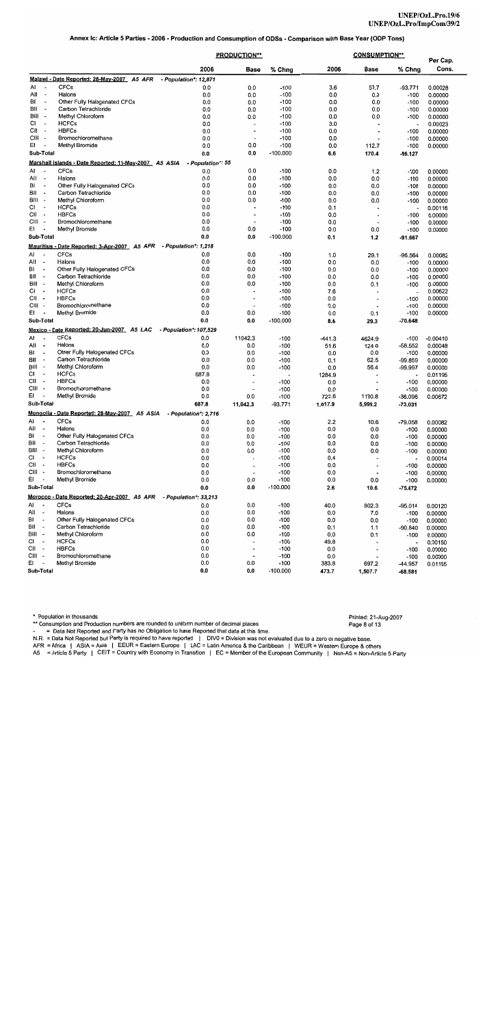#### Annex Ic: Article 5 Parties - 2006 - Production and Consumption of ODSs - Comparison with Base Year (ODP Tons)

|                                                                   |                                                       | <b>PRODUCTION**</b>      |                          |                      | <b>CONSUMPTION**</b> | Per Cap.                 |                                    |                    |
|-------------------------------------------------------------------|-------------------------------------------------------|--------------------------|--------------------------|----------------------|----------------------|--------------------------|------------------------------------|--------------------|
|                                                                   |                                                       | 2006                     | <b>Base</b>              | % Chng               | 2006                 | <b>Base</b>              | % Chng                             | Cons.              |
|                                                                   | Malawi - Date Reported: 28-May-2007 A5 AFR            | - Population*: 12,871    |                          |                      |                      |                          |                                    |                    |
| AI<br>$\overline{\phantom{a}}$                                    | <b>CFCs</b>                                           | 0.0                      | 0.0                      | $-100$               | 3.6                  | 57.7                     | -93.771                            | 0,00028            |
| All<br>$\overline{\phantom{a}}$                                   | Halons                                                | 0.0                      | 0.0                      | $-100$               | 0.0                  | 0.0                      | $-100$                             | 0.00000            |
| BI<br>$\overline{\phantom{a}}$                                    | Other Fully Halogenated CFCs                          | 0.0                      | 0.0                      | $-100$               | 0.0                  | 0.0                      | $-100$                             | 0.00000            |
| BII<br>$\overline{\phantom{a}}$                                   | Carbon Tetrachloride                                  | 0.0                      | 0.0                      | $-100$               | 0.0                  | 0.0                      | $-100$                             | 0.00000            |
| BIII<br>$\overline{\phantom{a}}$                                  | Methyl Chloroform                                     | 0.0                      | 0.0                      | $-100$               | 0.0                  | 0.0                      | $-100$                             | 0.00000            |
| СI<br>$\blacksquare$                                              | <b>HCFCs</b>                                          | 0.0                      | $\overline{a}$           | $-100$               | 3.0                  |                          | $\blacksquare$                     | 0.00023            |
| CII<br>$\overline{\phantom{a}}$                                   | <b>HBFCs</b>                                          | 0.0                      | $\overline{\phantom{a}}$ | $-100$               | 0.0                  |                          | $-100$                             | 0.00000            |
| CIII<br>$\overline{\phantom{a}}$                                  | Bromochloromethane                                    | 0.0                      | $\overline{\phantom{a}}$ | $-100$               | 0.0                  |                          | $-100$                             | 0.00000            |
| EL<br>$\overline{\phantom{a}}$<br>Sub-Total                       | Methyl Bromide                                        | 0.0                      | 0.0                      | $-100$               | 0.0                  | 112.7                    | $-100$<br>$-96.127$                | 0.00000            |
|                                                                   |                                                       | 0.0<br>- Population*: 55 | 0.0                      | $-100.000$           | 6.6                  | 170.4                    |                                    |                    |
|                                                                   | Marshall Islands - Date Reported: 11-May-2007 A5 ASIA |                          | 0.0                      | $-100$               |                      | 1.2                      |                                    |                    |
| AI<br>$\overline{\phantom{a}}$<br>All<br>$\overline{\phantom{a}}$ | <b>CFCs</b><br>Halons                                 | 0.0<br>0.0               | 0.0                      | $-100$               | 0.0<br>0.0           | 0.0                      | $-100$<br>$-100$                   | 0.00000<br>0.00000 |
| BI<br>$\overline{\phantom{a}}$                                    | Other Fully Halogenated CFCs                          | 0.0                      | 0.0                      | $-100$               | 0.0                  | 0.0                      | $-100$                             | 0.00000            |
| BII<br>$\overline{\phantom{a}}$                                   | Carbon Tetrachloride                                  | 0.0                      | 0.0                      | $-100$               | 0.0                  | 0.0                      | -100                               | 0.00000            |
| BIII<br>$\overline{\phantom{a}}$                                  | Methyl Chloroform                                     | 0.0                      | 0.0                      | $-100$               | 0.0                  | 0.0                      | $-100$                             | 0.00000            |
| СI<br>÷,                                                          | <b>HCFCs</b>                                          | 0.0                      |                          | $-100$               | 0.1                  |                          | $\overline{\phantom{a}}$           | 0.00116            |
| CII<br>$\overline{\phantom{a}}$                                   | <b>HBFCs</b>                                          | 0.0                      | $\rightarrow$            | $-100$               | 0.0                  | $\overline{\phantom{a}}$ | $-100$                             | 0.00000            |
| CIII<br>$\overline{\phantom{a}}$                                  | Bromochioromethane                                    | 0.0                      | $\overline{\phantom{a}}$ | $-100$               | 0.0                  |                          | $-100$                             | 0.00000            |
| EI<br>$\overline{\phantom{a}}$                                    | <b>Methyl Bromide</b>                                 | 0.0                      | 0.0                      | $-100$               | 0.0                  | 0.0                      | $-100$                             | 0.00000            |
| Sub-Total                                                         |                                                       | 0.0                      | 0.0                      | $-100.000$           | 0.1                  | $1.2$                    | -91.667                            |                    |
|                                                                   | Mauritius - Date Reported: 3-Apr-2007 A5 AFR          | - Population*: 1,218     |                          |                      |                      |                          |                                    |                    |
| AI<br>$\blacksquare$                                              | <b>CFCs</b>                                           | 0.0                      | 0.0                      | $-100$               | 1.0                  | 29.1                     | -96.564                            | 0.00082            |
| All<br>$\blacksquare$                                             | Halons                                                | 0.0                      | 0.0                      | $-100$               | 0.0                  | 0.0                      | $-100$                             | 0.00000            |
| ΒІ<br>$\overline{a}$                                              | Other Fully Halogenated CFCs                          | 0.0                      | 0.0                      | $-100$               | 0.0                  | 0.0                      | -100                               | 0.00000            |
| BII<br>$\blacksquare$                                             | Carbon Tetrachloride                                  | 0.0                      | 0.0                      | $-100$               | 0.0                  | 0.0                      | $-100$                             | 0.00000            |
| BIII<br>$\overline{\phantom{a}}$                                  | Methyl Chloroform                                     | 0.0                      | 0.0                      | $-100$               | 0.0                  | 0.1                      | $-100$                             | 0.00000            |
| СI<br>$\overline{\phantom{a}}$                                    | <b>HCFCs</b>                                          | 0.0<br>0.0               | $\overline{\phantom{a}}$ | $-100$<br>$-100$     | 7.6<br>0.0           |                          | $\overline{\phantom{a}}$<br>$-100$ | 0.00622            |
| CII<br>$\overline{\phantom{a}}$<br>CIII<br>$\ddot{\phantom{0}}$   | <b>HBFCs</b><br>Bromochloromethane                    | 0.0                      | $\overline{\phantom{a}}$ | $-100$               | 0.0                  | $\overline{\phantom{a}}$ | $-100$                             | 0.00000<br>0.00000 |
| Eľ                                                                | Methyl Bromide                                        | 0.0                      | 0.0                      | $-100$               | 0.0                  | 0.1                      | $-100$                             | 0.00000            |
| Sub-Total                                                         |                                                       | 0.0                      | 0.0                      | $-100.000$           | 8.6                  | 29.3                     | $-70.648$                          |                    |
|                                                                   | Mexico - Date Reported: 20-Jun-2007 A5 LAC            | - Population*: 107,529   |                          |                      |                      |                          |                                    |                    |
| AI                                                                | <b>CFCs</b>                                           | 0.0                      | 11042.3                  | $-100$               | $-441.3$             | 4624.9                   | -100                               | $-0.00410$         |
| All<br>$\overline{\phantom{a}}$                                   | Halons                                                | 0.0                      | 0.0                      | $-100$               | 51.6                 | 124.6                    | $-58.552$                          | 0.00048            |
| BI<br>$\blacksquare$                                              | Other Fully Halogenated CFCs                          | 0.0                      | 0.0                      | $-100$               | 0.0                  | 0.0                      | -100                               | 0.00000            |
| BII<br>$\blacksquare$                                             | Carbon Tetrachloride                                  | 0.0                      | 0.0                      | $-100$               | 0.1                  | 62.5                     | -99.859                            | 0.00000            |
| BIII<br>$\overline{\phantom{a}}$                                  | Methyl Chloroform                                     | 0.0                      | 0.0                      | $-100$               | 0.0                  | 56.4                     | -99.997                            | 0.00000            |
| СI<br>$\overline{\phantom{a}}$                                    | <b>HCFCs</b>                                          | 687.8                    | $\overline{\phantom{a}}$ |                      | 1284.9               |                          | $\overline{\phantom{a}}$           | 0.01195            |
| CII<br>$\overline{\phantom{a}}$                                   | <b>HBFCs</b>                                          | 0.0                      | $\overline{\phantom{a}}$ | $-100$               | 0.0                  | $\overline{\phantom{a}}$ | $-100$                             | 0.00000            |
| CIII<br>$\overline{a}$                                            | Bromochloromethane                                    | 0.0                      | $\overline{\phantom{a}}$ | $-100$               | 0.0                  |                          | $-100$                             | 0.00000            |
| EI<br>$\overline{\phantom{a}}$                                    | Methyl Bromide                                        | 0.0                      | 0.0                      | $-100$               | 722.6                | 1130.8                   | $-36.096$                          | 0.00672            |
| Sub-Total                                                         |                                                       | 687,8                    | 11,042.3                 | $-93.771$            | 1,617.9              | 5,999.2                  | $-73.031$                          |                    |
|                                                                   | Mongolia - Date Reported: 28-May-2007 A5 ASIA         | - Population*: 2,716     |                          |                      |                      |                          |                                    |                    |
| AI<br>$\overline{\phantom{a}}$                                    | <b>CFCs</b>                                           | 0.0                      | 0.0                      | $-100$               | 2.2                  | 10.6                     | -79.058                            | 0.00082            |
| All<br>$\overline{\phantom{a}}$                                   | Halons                                                | 0.0                      | $_{0.0}$                 | $-100$               | 0.0                  | 0.0                      | -100                               | 0.00000            |
| BI<br>$\overline{\phantom{a}}$<br>$\overline{\phantom{a}}$        | Other Fully Halogenated CFCs                          | 0.0<br>0.0               | 0.0<br>0.0               | $-100$<br>$-100$     | $0.0\,$<br>0.0       | 0.0                      | $-100$                             | 0.00000            |
| BII<br>BIII -                                                     | Carbon Tetrachloride<br>Methyl Chloroform             | 0.0                      | 0.0                      | $-100$               | 0.0                  | 0.0<br>0.0               | $-100$<br>$-100$                   | 0.00000<br>0.00000 |
| CI<br>$\overline{\phantom{a}}$                                    | <b>HCFCs</b>                                          | 0.0                      | $\blacksquare$           | $-100$               | 0.4                  |                          | $\blacksquare$                     | 0.00014            |
| CII<br>$\overline{\phantom{a}}$                                   | <b>HBFCs</b>                                          | 0.0                      | $\blacksquare$           | $-100$               | 0.0                  | $\overline{\phantom{m}}$ | $-100$                             | 0.00000            |
| CIII -                                                            | Bromochloromethane                                    | 0.0                      | $\overline{\phantom{a}}$ | $-100$               | 0.0                  |                          | $-100$                             | 0.00000            |
| EI<br>$\overline{\phantom{a}}$                                    | Methyl Bromide                                        | 0.0                      | 0.0                      | $-100$               | 0.0                  | 0.0                      | $-100$                             | 0.00000            |
| Sub-Total                                                         |                                                       | 0.0                      | 0.0                      | $-100.000$           | 2.6                  | 10.6                     | -75.472                            |                    |
|                                                                   | Morocco - Date Reported: 20-Apr-2007 A5 AFR           | - Population*: 33,213    |                          |                      |                      |                          |                                    |                    |
| Al<br>$\overline{\phantom{a}}$                                    | <b>CFCs</b>                                           | 0.0                      | 0.0                      | $-100$               | 40.0                 | 802.3                    | -95.014                            | 0.00120            |
| All<br>$\overline{\phantom{a}}$                                   | Halons                                                | 0.0                      | 0.0                      | $-100$               | 0.0                  | 7.0                      | $-100$                             | 0.00000            |
| В١<br>$\overline{\phantom{a}}$                                    | Other Fully Halogenated CFCs                          | 0.0                      | 0.0                      | $-100$               | 0.0                  | 0.0                      | -100                               | 0.00000            |
| ВII<br>$\overline{\phantom{a}}$                                   | Carbon Tetrachloride                                  | 0.0                      | 0.0                      | $-100$               | 0.1                  | 1.1                      | -90.840                            | 0.00000            |
| Bill -                                                            | Methyl Chloroform                                     | 0.0                      | 0.0                      | $-100$               | 0.0                  | 0.1                      | $-100$                             | 0.00000            |
| СI<br>$\overline{\phantom{a}}$                                    | <b>HCFCs</b>                                          | 0.0                      |                          | $-100$               | 49.8                 |                          | $\ddot{\phantom{0}}$               | 0.00150            |
| CII -                                                             | <b>HBFCs</b>                                          | 0.0                      | $\overline{\phantom{a}}$ | $-100$               | 0.0                  | $\overline{\phantom{a}}$ | $-100$                             | 0.00000            |
| CIII -                                                            | Bromochloromethane                                    | 0.0                      | $\overline{a}$           | $-100$               | 0.0                  |                          | $-100$                             | 0.00000            |
| EI<br>$\overline{\phantom{a}}$<br>Sub-Total                       | <b>Methyl Bromide</b>                                 | 0.0<br>0.0               | 0.0<br>0.0               | $-100$<br>$-100.000$ | 383.8<br>473.7       | 697.2                    | -44.957                            | 0.01155            |
|                                                                   |                                                       |                          |                          |                      |                      | 1,507.7                  | -68.581                            |                    |

\* Population in thousands

\*\* Consumption and Production numbers are rounded to uniform number of decimal places

= Data Not Reported and Party has no Obligation to have Reported that data at this time.  $\mathbf{r}$ 

N.R. = Data Not Reported but Party is required to have reported | DIVO = Division was not evaluated due to a zero or negative base.<br>AFR = Africa | ASIA = Asia | EEUR = Eastern Europe | LAC = Latin America & the Caribbean

Printed: 21-Aug-2007 Page 8 of 13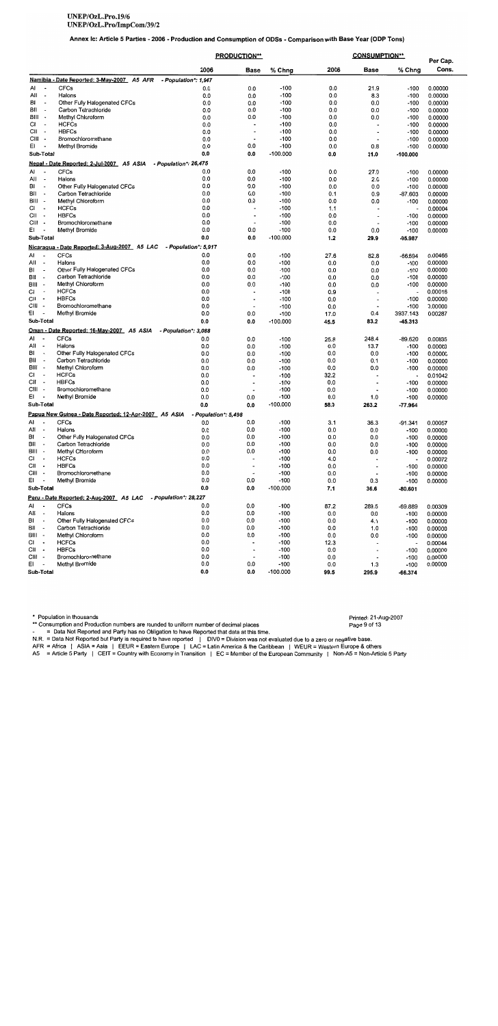#### Annex Ic: Article 5 Parties - 2006 - Production and Consumption of ODSs - Comparison with Base Year (ODP Tons)

|                                                                   |                                                       |                       | <b>PRODUCTION**</b>              |                  |            | <b>CONSUMPTION**</b>     |                  |                    |
|-------------------------------------------------------------------|-------------------------------------------------------|-----------------------|----------------------------------|------------------|------------|--------------------------|------------------|--------------------|
|                                                                   |                                                       | 2006                  | Base                             | % Chng           | 2006       | Base                     | % Chng           | Per Cap.<br>Cons.  |
|                                                                   | Namibia - Date Reported: 3-May-2007 A5 AFR            | - Population*: 1,947  |                                  |                  |            |                          |                  |                    |
| AI                                                                | <b>CFCs</b>                                           | 0.0                   | 0.0                              | $-100$           | 0.0        | 21.9                     | $-100$           | 0.00000            |
| All<br>$\overline{\phantom{a}}$                                   | Halons                                                | 0.0                   | 0.0                              | $-100$           | 0.0        | 8.3                      | $-100$           | 0.00000            |
| BI<br>$\overline{\phantom{a}}$                                    | Other Fully Halogenated CFCs                          | 0.0                   | 0.0                              | $-100$           | 0.0        | 0.0                      | $-100$           | 0.00000            |
| BII<br>. .                                                        | Carbon Tetrachloride                                  | 0.0                   | 0.0                              | $-100$           | 0.0        | 0.0                      | $-100$           | 0.00000            |
| $BIII -$                                                          | Methyl Chloroform                                     | 0.0                   | 0.0                              | $-100$           | 0.0        | 0.0                      | $-100$           | 0.00000            |
| СI<br>$\overline{\phantom{a}}$                                    | <b>HCFCs</b>                                          | 0.0<br>0.0            | $\overline{\phantom{a}}$         | $-100$<br>$-100$ | 0.0<br>0.0 | $\ddot{\phantom{0}}$     | $-100$<br>$-100$ | 0.00000            |
| СII<br>$\overline{\phantom{a}}$                                   | <b>HBFCs</b><br>Bromochloromethane                    | 0.0                   | $\overline{\phantom{a}}$         | -100             | 0.0        | $\overline{\phantom{a}}$ | $-100$           | 0.00000<br>0.00000 |
| CIII -<br>ΕI                                                      | Methyl Bromide                                        | 0.0                   | 0.0                              | $-100$           | 0.0        | 0.8                      | $-100$           | 0.00000            |
| Sub-Total                                                         |                                                       | 0.0                   | 0.0                              | $-100.000$       | 0.0        | 31.0                     | -100.000         |                    |
|                                                                   | Nepal - Date Reported: 2-Jul-2007 A5 ASIA             | - Population*: 26,475 |                                  |                  |            |                          |                  |                    |
| AI<br>$\overline{\phantom{a}}$                                    | <b>CFCs</b>                                           | 0.0                   | 0.0                              | $-100$           | 0.0        | 27.0                     | $-100$           | 0.00000            |
| AII<br>$\overline{\phantom{a}}$                                   | Halons                                                | 0.0                   | 0.0                              | $-100$           | 0.0        | 2.0                      | $-100$           | 0.00000            |
| BI                                                                | Other Fully Halogenated CFCs                          | 0.0                   | 0.0                              | $-100$           | 0.0        | 0.0                      | $-100$           | 0.00000            |
| BII<br>$\overline{\phantom{a}}$                                   | Carbon Tetrachloride                                  | 0.0                   | 0.0                              | $-100$           | 0.1        | 0.9                      | $-87.603$        | 0.00000            |
| BIII -                                                            | Methyl Chloroform                                     | 0.0                   | 0.0                              | $-100$           | 0.0        | 0.0                      | $-100$           | 0.00000            |
| СI<br>$\overline{\phantom{a}}$                                    | <b>HCFCs</b>                                          | 0.0                   | ۰                                | -100             | 1.1        | ٠                        |                  | 0.00004            |
| CII<br>$\overline{\phantom{a}}$                                   | <b>HBFCs</b>                                          | 0.0                   | $\blacksquare$                   | $-100$           | 0.0        | $\overline{\phantom{a}}$ | $-100$           | 0.00000            |
| CIII -                                                            | Bromochloromethane                                    | 0.0                   | $\overline{a}$                   | $-100$           | 0.0        | $\overline{a}$           | $-100$           | 0.00000            |
| EI<br>$\overline{\phantom{a}}$                                    | Methyl Bromide                                        | 0.0                   | 0.0                              | $-100$           | 0.0        | 0.0                      | $-100$           | 0.00000            |
| Sub-Total                                                         |                                                       | 0.0                   | 0.0                              | $-100.000$       | 1.2        | 29.9                     | -95.987          |                    |
|                                                                   | Nicaragua - Date Reported: 3-Aug-2007 A5 LAC          | - Population*: 5,917  |                                  |                  |            |                          |                  |                    |
| AI<br>$\overline{\phantom{a}}$                                    | <b>CFCs</b>                                           | 0.0                   | 0.0                              | $-100$           | 27.6       | 82.8                     | -66.694          | 0.00466            |
| All<br>$\overline{\phantom{a}}$                                   | Halons                                                | 0.0                   | 0.0                              | $-100$           | 0.0        | 0,0                      | $-100$           | 0.00000            |
| BI<br>$\overline{\phantom{a}}$                                    | Other Fully Halogenated CFCs                          | 0.0                   | 0.0                              | $-100$           | 0.0        | 0.0                      | $-100$           | 0.00000<br>0.00000 |
| BII<br>$\overline{\phantom{a}}$<br>Bill<br>$\sim$                 | Carbon Tetrachloride                                  | 0.0<br>0.0            | 0.0<br>0.0                       | $-100$<br>$-100$ | 0.0<br>0.0 | 0.0<br>0.0               | -100<br>$-100$   | 0.00000            |
| СI<br>$\overline{\phantom{a}}$                                    | Methyl Chloroform<br><b>HCFCs</b>                     | 0.0                   | $\overline{a}$                   | $-100$           | 0.9        | ٠                        |                  | 0.00016            |
| СII<br>$\overline{\phantom{a}}$                                   | <b>HBFCs</b>                                          | 0.0                   | $\blacksquare$                   | $-100$           | 0.0        | $\overline{a}$           | $-100$           | 0.00000            |
| CIII -                                                            | Bromochloromethane                                    | 0.0                   | $\overline{\phantom{a}}$         | $-100$           | 0.0        | $\ddot{\phantom{0}}$     | $-100$           | 0.00000            |
| ΕI<br>$\overline{\phantom{a}}$                                    | Methyl Bromide                                        | 0.0                   | 0.0                              | $-100$           | 17.0       | 0.4                      | 3937.143         | 0.00287            |
| Sub-Total                                                         |                                                       | 0.0                   | 0.0                              | $-100.000$       | 45.5       | 83.2                     | -45.313          |                    |
|                                                                   | Oman - Date Reported: 16-May-2007 A5 ASIA             | - Population*: 3,088  |                                  |                  |            |                          |                  |                    |
| Al<br>$\overline{\phantom{a}}$                                    | <b>CFCs</b>                                           | 0.0                   | 0.0                              | $-100$           | 25.8       | 248.4                    | $-89.620$        | 0.00835            |
| All<br>$\overline{\phantom{a}}$                                   | Halons                                                | 0.0                   | 0.0                              | $-100$           | 0.0        | 13.7                     | $-100$           | 0.00000            |
| BI<br>$\overline{\phantom{a}}$                                    | Other Fully Halogenated CFCs                          | 0.0                   | 0.0                              | $-100$           | 0.0        | 0.0                      | $-100$           | 0.00000            |
| BII<br>$\overline{\phantom{a}}$                                   | Carbon Tetrachloride                                  | 0.0                   | 0.0                              | $-100$           | 0.0        | 0.1                      | $-100$           | 0.00000            |
| BIII -                                                            | Methyl Chloroform                                     | 0.0                   | 0.0                              | $-100$           | 0.0        | 0.0                      | $-100$           | 0.00000            |
| СI<br>$\overline{\phantom{a}}$                                    | <b>HCFCs</b>                                          | 0.0                   | $\ddot{\phantom{0}}$             | $-100$           | 32.2       |                          | $\blacksquare$   | 0.01042            |
| CII<br>$\overline{\phantom{a}}$                                   | <b>HBFCs</b>                                          | 0.0                   | ٠                                | $-100$           | 0.0        | $\overline{\phantom{a}}$ | $-100$           | 0.00000            |
| CIII<br>$\overline{\phantom{a}}$                                  | Bromochloromethane                                    | 0.0                   | ٠                                | $-100$           | 0.0        | ٠                        | $-100$           | 0.00000            |
| ΕI<br>$\overline{\phantom{a}}$                                    | <b>Methyl Bromide</b>                                 | 0.0                   | 0.0                              | $-100$           | 0.0        | 1.0                      | $-100$           | 0.00000            |
| Sub-Total                                                         |                                                       | 0.0                   | 0.0                              | $-100.000$       | 58.0       | 263.2                    | -77.964          |                    |
|                                                                   | Papua New Guinea - Date Reported: 12-Apr-2007 A5 ASIA | - Population*: 5,498  |                                  |                  |            |                          |                  |                    |
| AI                                                                | <b>CFCs</b>                                           | 0.0                   | 0.0                              | $-100$           | 3.1        | 36.3                     | $-91.341$        | 0.00057            |
| All<br>$\overline{\phantom{a}}$                                   | Halons                                                | 0.0                   | 0.0                              | $-100$           | 0.0        | 0.0                      | $-100$           | 0.00000            |
| BI<br>$\overline{\phantom{a}}$                                    | Other Fully Halogenated CFCs                          | 0.0                   | 0.0                              | $-100$           | 0.0        | 0.0                      | $-100$           | 0.00000            |
| вı<br>$\overline{\phantom{a}}$                                    | Carbon Tetrachloride                                  | 0.0                   | 0.0                              | $-100$           | 0.0        | 0.0                      | $-100$           | 0.00000            |
| BIII -                                                            | Methyl Chloroform                                     | 0.0                   | 0.0                              | $-100$           | 0.0        | 0.0                      | $-100$           | 0.00000            |
| СI<br>$\overline{\phantom{a}}$<br>СII<br>$\overline{\phantom{a}}$ | <b>HCFCs</b><br><b>HBFCs</b>                          | 0.0<br>0.0            | $\overline{a}$<br>$\blacksquare$ | $-100$<br>$-100$ | 4.0<br>0.0 | $\blacksquare$           | $-100$           | 0.00072<br>0.00000 |
| CIII -                                                            | Bromochloromethane                                    | 0.0                   | $\blacksquare$                   | $-100$           | 0.0        |                          | $-100$           | 0.00000            |
| ΕI<br>$\overline{\phantom{a}}$                                    | Methyl Bromide                                        | 0.0                   | 0.0                              | $-100$           | 0.0        | 0.3                      | $-100$           | 0.00000            |
| Sub-Total                                                         |                                                       | 0.0                   | 0.0                              | $-100.000$       | 7.1        | 36.6                     | $-80.601$        |                    |
|                                                                   | Peru - Date Reported: 2-Aug-2007 A5 LAC               | - Population*: 28,227 |                                  |                  |            |                          |                  |                    |
| AI<br>$\overline{\phantom{a}}$                                    | <b>CFCs</b>                                           | 0.0                   | 0.0                              | $-100$           | 87.2       | 289.5                    | -69.889          | 0.00309            |
| All<br>$\overline{\phantom{a}}$                                   | Halons                                                | 0.0                   | 0.0                              | $-100$           | 0.0        | 0.0                      | $-100$           | 0.00000            |
| В١<br>$\overline{\phantom{a}}$                                    | Other Fully Halogenated CFCs                          | 0.0                   | 0.0                              | $-100$           | 0.0        | 4.1                      | $-100$           | 0.00000            |
| ВII<br>$\overline{\phantom{a}}$                                   | Carbon Tetrachloride                                  | 0.0                   | 0.0                              | $-100$           | 0.0        | 1.0                      | $-100$           | 0.00000            |
| Bill -                                                            | Methyl Chloroform                                     | 0.0                   | 0.0                              | -100             | 0.0        | 0.0                      | $-100$           | 0.00000            |
| СI<br>$\overline{\phantom{a}}$                                    | <b>HCFCs</b>                                          | 0.0                   | $\blacksquare$                   | $-100$           | 12.3       |                          |                  | 0.00044            |
| СII<br>$\overline{\phantom{a}}$                                   | <b>HBFCs</b>                                          | 0.0                   | $\blacksquare$                   | $-100$           | 0.0        | ٠                        | $-100$           | 0.00000            |
| CIII -                                                            | Bromochloromethane                                    | 0.0                   |                                  | $-100$           | 0.0        |                          | $-100$           | 0.00000            |
| EI<br>$\overline{\phantom{a}}$                                    | Methyl Bromide                                        | 0.0                   | 0.0                              | $-100$           | 0.0        | 1.3                      | -100             | 0.00000            |
| Sub-Total                                                         |                                                       | 0.0                   | 0.0                              | $-100.000$       | 99.5       | 295.9                    | -66.374          |                    |

\* Population in thousands

\*\* Consumption and Production numbers are rounded to uniform number of decimal places

= Data Not Reported and Party has no Obligation to have Reported that data at this time.

-<br>N.R. = Data Not Reported but Party is required to have reported | DIV0 = Division was not evaluated due to a zero or negative base.<br>AFR = Africa | ASIA = Asia | EEUR = Eastern Europe | LAC = Latin America & the Caribbean

#### Printed: 21-Aug-2007 Page 9 of 13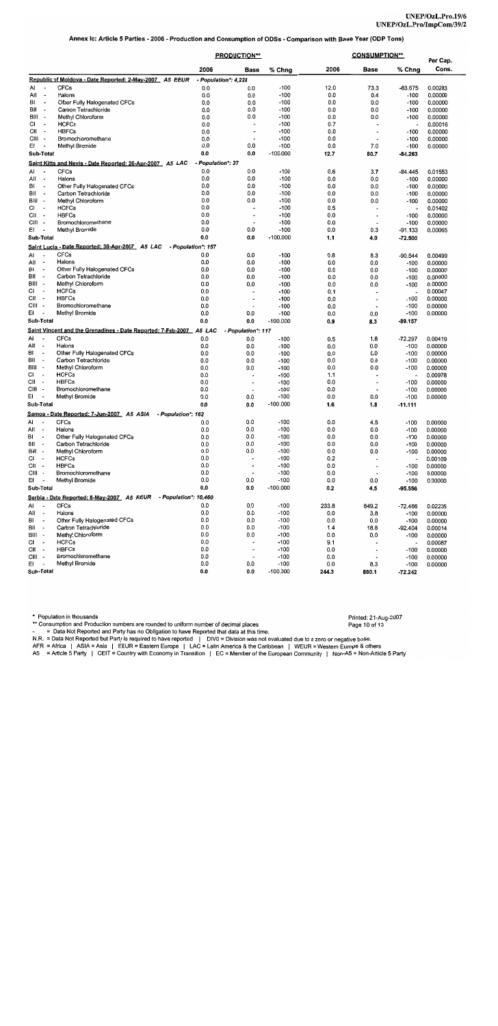|                                                                    |                                                                     |                       | <b>PRODUCTION**</b> |                                            |                  |            | <u>CONSUMPTION**</u>                                 |                          |                    |  |
|--------------------------------------------------------------------|---------------------------------------------------------------------|-----------------------|---------------------|--------------------------------------------|------------------|------------|------------------------------------------------------|--------------------------|--------------------|--|
|                                                                    |                                                                     |                       | 2006                | <b>Base</b>                                | % Chng           | 2006       | Base                                                 | % Chng                   | Per Cap.<br>Cons.  |  |
|                                                                    | Republic of Moldova - Date Reported: 2-May-2007 A5 EEUR             |                       |                     | - Population*: 4,228                       |                  |            |                                                      |                          |                    |  |
| AI<br>$\overline{\phantom{a}}$                                     | <b>CFCs</b>                                                         |                       | 0.0                 | 0.0                                        | $-100$           | 12.0       | 73.3                                                 | $-83.675$                | 0.00283            |  |
| AII<br>$\overline{\phantom{a}}$                                    | Halons                                                              |                       | 0.0                 | 0.0                                        | $-100$           | 0.0        | 0.4                                                  | $-100$                   | 0.00000            |  |
| BI<br>$\overline{\phantom{a}}$                                     | Other Fully Halogenated CFCs                                        |                       | 0.0                 | 0.0                                        | $-100$           | 0.0        | 0.0                                                  | $-100$                   | 0.00000            |  |
| BII<br>$\overline{\phantom{a}}$                                    | Carbon Tetrachloride                                                |                       | 0.0                 | 0.0                                        | $-100$           | 0.0        | 0.0                                                  | $-100$                   | 0.00000            |  |
| BIII<br>$\overline{\phantom{a}}$<br>СI<br>$\overline{\phantom{a}}$ | Methyl Chloroform<br><b>HCFCs</b>                                   |                       | 0.0                 | 0.0                                        | $-100$           | 0.0        | 0.0                                                  | $-100$                   | 0.00000            |  |
| СII<br>$\overline{\phantom{a}}$                                    | <b>HBFCs</b>                                                        |                       | 0.0<br>0.0          | $\blacksquare$<br>$\overline{\phantom{a}}$ | $-100$<br>$-100$ | 0.7<br>0.0 | $\overline{a}$<br>$\overline{\phantom{a}}$           | $\tilde{\phantom{a}}$    | 0.00016            |  |
| CIII<br>$\overline{\phantom{a}}$                                   | Bromochloromethane                                                  |                       | 0.0                 | ×,                                         | $-100$           | 0.0        | $\overline{\phantom{a}}$                             | $-100$<br>$-100$         | 0.00000<br>0.00000 |  |
| EI<br>÷,                                                           | Methyl Bromide                                                      |                       | 0.0                 | 0.0                                        | $-100$           | 0.0        | 7.0                                                  | $-100$                   | 0.00000            |  |
| Sub-Total                                                          |                                                                     |                       | 0.0                 | 0.0                                        | $-100.000$       | 12.7       | 80.7                                                 | -84.263                  |                    |  |
|                                                                    | Saint Kitts and Nevis - Date Reported: 26-Apr-2007 A5 LAC           |                       | - Population*: 37   |                                            |                  |            |                                                      |                          |                    |  |
| Al<br>٠                                                            | <b>CFCs</b>                                                         |                       | 0.0                 | 0.0                                        | $-100$           | 0.6        | 3.7                                                  | -84.445                  | 0.01553            |  |
| All<br>$\blacksquare$                                              | Halons                                                              |                       | 0.0                 | 0.0                                        | $-100$           | 0.0        | 0.0                                                  | $-100$                   | 0.00000            |  |
| вı<br>$\blacksquare$                                               | Other Fully Halogenated CFCs                                        |                       | 0.0                 | 0.0                                        | $-100$           | 0.0        | 0.0                                                  | $-100$                   | 0.00000            |  |
| BII<br>$\overline{\phantom{a}}$                                    | Carbon Tetrachloride                                                |                       | 0.0                 | 0.0                                        | $-100$           | 0.0        | 0.0                                                  | $-100$                   | 0.00000            |  |
| BIII<br>$\overline{\phantom{a}}$                                   | Methyl Chloroform                                                   |                       | 0.0                 | 0.0                                        | $-100$           | 0.0        | 0.0                                                  | -100                     | 0.00000            |  |
| СI<br>$\overline{\phantom{a}}$                                     | <b>HCFCs</b>                                                        |                       | 0.0                 | ÷,                                         | $-100$           | 0.5        | $\overline{a}$                                       | $\overline{\phantom{a}}$ | 0.01402            |  |
| СII<br>$\overline{\phantom{a}}$                                    | <b>HBFCs</b>                                                        |                       | 0.0                 | $\overline{\phantom{a}}$                   | $-100$           | 0.0        | $\blacksquare$                                       | -100                     | 0.00000            |  |
| CIII<br>$\ddot{\phantom{0}}$                                       | Bromochloromethane                                                  |                       | 0.0                 | $\overline{\phantom{a}}$                   | $-100$           | 0.0        |                                                      | $-100$                   | 0.00000            |  |
| EI<br>$\overline{a}$                                               | Methyl Bromide                                                      |                       | 0.0                 | 0.0                                        | $-100$           | 0.0        | 0.3                                                  | -91.133                  | 0.00065            |  |
| Sub-Total                                                          |                                                                     |                       | 0.0                 | 0.0                                        | $-100.000$       | 1.1        | 4.0                                                  | $-72.500$                |                    |  |
|                                                                    | Saint Lucia - Date Reported: 30-Apr-2007 A5 LAC                     | - Population*: 157    |                     |                                            |                  |            |                                                      |                          |                    |  |
| AI<br>$\overline{\phantom{a}}$                                     | <b>CFCs</b>                                                         |                       | 0.0                 | 0.0                                        | $-100$           | 0.8        | 8.3                                                  | $-90.544$                | 0.00499            |  |
| Ali<br>$\overline{\phantom{a}}$                                    | Halons                                                              |                       | 0.0                 | 0.0                                        | $-100$           | 0.0        | 0.0                                                  | $-100$                   | 0.00000            |  |
| BI<br>÷                                                            | Other Fully Halogenated CFCs                                        |                       | 0.0                 | 0.0                                        | $-100$           | 0.0        | 0.0                                                  | $-100$                   | 0.00000            |  |
| BII<br>÷,<br>BIII<br>$\overline{a}$                                | Carbon Tetrachloride                                                |                       | 0.0                 | 0.0                                        | $-100$           | 0.0        | 0.0                                                  | $-100$                   | 0.00000            |  |
| СI<br>$\overline{\phantom{a}}$                                     | Methyl Chloroform<br><b>HCFCs</b>                                   |                       | 0.0<br>0.0          | 0.0                                        | $-100$           | 0.0        | 0.0                                                  | $-100$                   | 0.00000            |  |
| СII<br>$\overline{\phantom{a}}$                                    | <b>HBFCs</b>                                                        |                       | 0.0                 | $\blacksquare$<br>$\overline{\phantom{a}}$ | $-100$<br>$-100$ | 0.1<br>0.0 | $\overline{\phantom{m}}$<br>$\overline{\phantom{a}}$ | $\overline{\phantom{a}}$ | 0.00047            |  |
| CIII -                                                             | Bromochloromethane                                                  |                       | 0.0                 |                                            | $-100$           | 0.0        | $\qquad \qquad \blacksquare$                         | $-100$<br>$-100$         | 0.00000<br>0.00000 |  |
| EI                                                                 | Methyl Bromide                                                      |                       | 0.0                 | 0.0                                        | $-100$           | 0.0        | 0.0                                                  | $-100$                   | 0.00000            |  |
| Sub-Total                                                          |                                                                     |                       | 0.0                 | 0.0                                        | $-100.000$       | 0.9        | 8.3                                                  | -89.157                  |                    |  |
|                                                                    | Saint Vincent and the Grenadines - Date Reported: 7-Feb-2007 A5 LAC |                       |                     | - Population*: 117                         |                  |            |                                                      |                          |                    |  |
| AI<br>$\blacksquare$                                               | <b>CFCs</b>                                                         |                       | 0.0                 | 0.0                                        | $-100$           | 0.5        | 1.8                                                  | $-72.297$                | 0.00419            |  |
| All<br>$\blacksquare$                                              | Halons                                                              |                       | 0.0                 | 0.0                                        | $-100$           | 0.0        | 0.0                                                  | $-100$                   | 0.00000            |  |
| BI<br>$\overline{\phantom{a}}$                                     | Other Fully Halogenated CFCs                                        |                       | 0.0                 | 0.0                                        | $-100$           | 0.0        | 0.0                                                  | $-100$                   | 0.00000            |  |
| BII<br>$\overline{a}$                                              | Carbon Tetrachloride                                                |                       | 0.0                 | 0.0                                        | $-100$           | 0.0        | 0.0                                                  | $-100$                   | 0.00000            |  |
| BIII<br>$\overline{\phantom{a}}$                                   | Methyl Chloroform                                                   |                       | 0.0                 | 0.0                                        | $-100$           | 0.0        | 0.0                                                  | $-100$                   | 0.00000            |  |
| СI<br>$\overline{\phantom{a}}$                                     | <b>HCFCs</b>                                                        |                       | 0.0                 | $\overline{a}$                             | $-100$           | 1.1        | $\blacksquare$                                       | $\overline{\phantom{a}}$ | 0.00978            |  |
| CII -                                                              | <b>HBFCs</b>                                                        |                       | 0.0                 | $\qquad \qquad \blacksquare$               | $-100$           | 0.0        | $\ddot{\phantom{0}}$                                 | $-100$                   | 0.00000            |  |
| CIII                                                               | Bromochloromethane                                                  |                       | 0.0                 | $\overline{a}$                             | $-100$           | 0.0        |                                                      | $-100$                   | 0.00000            |  |
| EI -                                                               | <b>Methyl Bromide</b>                                               |                       | 0.0                 | 0.0                                        | $-100$           | 0.0        | 0.0                                                  | $-100$                   | 0.00000            |  |
| Sub-Total                                                          |                                                                     |                       | 0.0                 | 0.0                                        | $-100.000$       | 1.6        | 1.8                                                  | $-11.111$                |                    |  |
|                                                                    | Samoa - Date Reported: 7-Jun-2007 A5 ASIA                           | - Population*: 162    |                     |                                            |                  |            |                                                      |                          |                    |  |
| AI                                                                 | <b>CFCs</b>                                                         |                       | 0.0                 | 0.0                                        | $-100$           | 0.0        | 4.5                                                  | $-100$                   | 0.00000            |  |
| All<br>$\overline{\phantom{a}}$                                    | Halons                                                              |                       | 0.0                 | 0.0                                        | $-100$           | 0.0        | 0.0                                                  | $-100$                   | 0.00000            |  |
| BI<br>$\overline{\phantom{a}}$                                     | Other Fully Halogenated CFCs                                        |                       | 0.0                 | 0.0                                        | $-100$           | 0.0        | 0.0                                                  | $-100$                   | 0.00000            |  |
| BII -                                                              | Carbon Tetrachloride                                                |                       | 0.0                 | 0.0                                        | $-100$           | 0.0        | 0.0                                                  | $-100$                   | 0.00000            |  |
| BIII -<br>СI<br>$\overline{\phantom{a}}$                           | Methyl Chloroform<br><b>HCFCs</b>                                   |                       | 0.0                 | 0.0                                        | $-100$           | 0.0        | 0.0                                                  | $-100$                   | 0.00000            |  |
| CII -                                                              | <b>HBFCs</b>                                                        |                       | 0.0<br>0.0          | $\overline{\phantom{a}}$<br>$\blacksquare$ | $-100$<br>$-100$ | 0.2<br>0.0 | ÷,                                                   | ÷                        | 0.00109            |  |
| CIII -                                                             | Bromochloromethane                                                  |                       | 0.0                 | $\overline{\phantom{a}}$                   | $-100$           | 0.0        | $\overline{\phantom{a}}$<br>×,                       | $-100$<br>$-100$         | 0.00000<br>0.00000 |  |
| EI<br>$\overline{\phantom{a}}$                                     | Methyl Bromide                                                      |                       | 0.0                 | $0.0\,$                                    | $-100$           | 0.0        | 0.0                                                  | $-100$                   | 0.00000            |  |
| Sub-Total                                                          |                                                                     |                       | 0.0                 | 0.0                                        | $-100.000$       | 0.2        | 4.5                                                  | -95.556                  |                    |  |
|                                                                    | Serbia - Date Reported: 8-May-2007 A5 EEUR                          | - Population*: 10.460 |                     |                                            |                  |            |                                                      |                          |                    |  |
| Al<br>$\overline{\phantom{a}}$                                     | <b>CFCs</b>                                                         |                       | 0.0                 | 0.0                                        | $-100$           | 233.8      | 849.2                                                | $-72.466$                | 0.02235            |  |
| All<br>$\sim$                                                      | Halons                                                              |                       | 0.0                 | 0.0                                        | $-100$           | 0.0        | 3.8                                                  | $-100$                   | 0.00000            |  |
| BI<br>$\blacksquare$                                               | Other Fully Halogenated CFCs                                        |                       | 0.0                 | 0.0                                        | $-100$           | 0.0        | 0.0                                                  | $-100$                   | 0.00000            |  |
| BII<br>$\overline{\phantom{a}}$                                    | Carbon Tetrachloride                                                |                       | 0.0                 | 0.0                                        | $-100$           | 1.4        | 18.8                                                 | $-92.404$                | 0.00014            |  |
| BIII -                                                             | Methyl Chloroform                                                   |                       | 0.0                 | 0.0                                        | $-100$           | 0.0        | 0.0                                                  | $-100$                   | 0.00000            |  |
| СI<br>$\blacksquare$                                               | <b>HCFCs</b>                                                        |                       | 0.0                 | $\overline{a}$                             | $-100$           | 9.1        |                                                      | $\blacksquare$           | 0.00087            |  |
| CII -                                                              | <b>HBFCs</b>                                                        |                       | 0.0                 | $\overline{\phantom{a}}$                   | $-100$           | 0.0        | $\ddot{\phantom{0}}$                                 | -100                     | 0.00000            |  |
| CIII -                                                             | Bromochloromethane                                                  |                       | 0.0                 | $\blacksquare$                             | $-100$           | 0.0        |                                                      | $-100$                   | 0.00000            |  |
| EI                                                                 | Methyl Bromide                                                      |                       | 0.0                 | 0.0                                        | $-100$           | 0.0        | 8.3                                                  | $-100$                   | 0.00000            |  |
| Sub-Total                                                          |                                                                     |                       | 0.0                 | 0.0                                        | $-100.000$       | 244.3      | 880.1                                                | $-72.242$                |                    |  |

\* Population in thousands

\*\* Consumption and Production numbers are rounded to uniform number of decimal places

= Data Not Reported and Party has no Obligation to have Reported that data at this time.

- Data Not Reported but Party is required to have reported | DIV0 = Division was not evaluated due to a zero or negative base.<br>AFR = Africa | ASIA = Asia | EEUR = Eastern Europe | LAC = Latin America & the Caribbean | WEUR

Printed: 21-Aug-2007

Page 10 of 13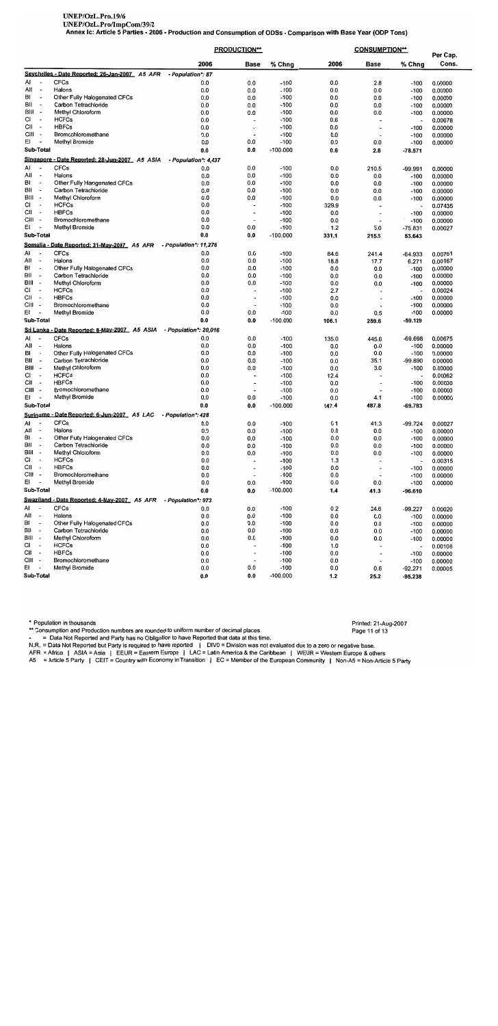Annex Ic: Article 5 Parties - 2006 - Production and Consumption of ODSs - Comparison with Base Year (ODP Tons)

|                                                                     |                                                      | <b>PRODUCTION**</b>   |                                     |                  | <b>CONSUMPTION**</b> | Per Cap.                        |                                    |                    |
|---------------------------------------------------------------------|------------------------------------------------------|-----------------------|-------------------------------------|------------------|----------------------|---------------------------------|------------------------------------|--------------------|
|                                                                     |                                                      | 2006                  | <b>Base</b>                         | % Chng           | 2006                 | <b>Base</b>                     | % Chng                             | Cons.              |
|                                                                     | Sevchelles - Date Reported: 26-Jan-2007_ A5 AFR      | - Population*: 87     |                                     |                  |                      |                                 |                                    |                    |
| AI<br>$\overline{\phantom{a}}$                                      | <b>CFCs</b>                                          | 0.0                   | 0.0                                 | $-100$           | 0.0                  | 2.8                             | $-100$                             | 0.00000            |
| All<br>$\overline{\phantom{a}}$                                     | Halons                                               | 0.0                   | 0.0                                 | $-100$           | 0.0                  | 0.0                             | $-100$                             | 0.00000            |
| BI<br>$\overline{\phantom{a}}$                                      | Other Fully Halogenated CFCs                         | 0.0                   | 0.0                                 | $-100$           | 0.0                  | 0.0                             | $-100$                             | 0.00000            |
| BII<br>$\overline{\phantom{a}}$                                     | Carbon Tetrachloride                                 | 0.0                   | 0.0                                 | $-100$           | 0.0                  | 0.0                             | $-100$                             | 0.00000            |
| BIII -<br>СI<br>$\sim$                                              | Methyl Chloroform<br><b>HCFCs</b>                    | 0,0<br>0.0            | 0.0<br>$\qquad \qquad \blacksquare$ | $-100$<br>$-100$ | 0.0<br>0.6           | 0.0<br>$\overline{a}$           | $-100$<br>$\overline{\phantom{a}}$ | 0.00000<br>0.00678 |
| CII<br>$\overline{\phantom{a}}$                                     | <b>HBFCs</b>                                         | 0.0                   | $\overline{\phantom{a}}$            | $-100$           | 0.0                  | $\overline{\phantom{a}}$        | $-100$                             | 0.00000            |
| CIII -                                                              | Bromochloromethane                                   | 0.0                   | $\bullet$                           | $-100$           | 0.0                  | ٠                               | $-100$                             | 0.00000            |
| EI<br>÷,                                                            | <b>Methyl Bromide</b>                                | 0.0                   | 0.0                                 | $-100$           | 0.0                  | 0.0                             | $-100$                             | 0.00000            |
| Sub-Total                                                           |                                                      | 0.0                   | 0.0                                 | $-100.000$       | 0.6                  | 2.8                             | $-78.571$                          |                    |
|                                                                     | Singapore - Date Reported: 28-Jun-2007_ A5 ASIA      | - Population*: 4,437  |                                     |                  |                      |                                 |                                    |                    |
| Al<br>$\overline{\phantom{a}}$                                      | <b>CFCs</b>                                          | 0.0                   | 0.0                                 | $-100$           | 0.0                  | 210.5                           | $-99.991$                          | 0.00000            |
| All<br>$\overline{\phantom{a}}$                                     | Halons                                               | 0.0                   | 0.0                                 | $-100$           | 0.0                  | 0.0                             | $-100$                             | 0.00000            |
| BI<br>$\overline{\phantom{a}}$                                      | Other Fully Halogenated CFCs                         | 0.0                   | 0.0                                 | $-100$           | 0.0                  | 0.0                             | $-100$                             | 0.00000            |
| BII<br>$\overline{\phantom{a}}$                                     | Carbon Tetrachloride                                 | 0.0                   | 0.0                                 | $-100$           | 0.0                  | 0.0                             | $-100$                             | 0.00000            |
| BIII<br>$\overline{\phantom{a}}$<br>СI<br>$\overline{\phantom{a}}$  | Methyl Chloroform<br><b>HCFCs</b>                    | 0.0<br>0.0            | 0.0<br>$\blacksquare$               | $-100$<br>-100   | 0.0<br>329.9         | 0.0<br>$\overline{\phantom{a}}$ | $-100$<br>$\overline{\phantom{a}}$ | 0.00000<br>0.07435 |
| СII<br>$\overline{\phantom{a}}$                                     | <b>HBFCs</b>                                         | 0.0                   | $\overline{\phantom{a}}$            | $-100$           | 0.0                  | $\overline{\phantom{a}}$        | $-100$                             | 0.00000            |
| CIII -                                                              | Bromochloromethane                                   | 0.0                   |                                     | $-100$           | 0.0                  | $\overline{\phantom{a}}$        | $-100$                             | 0.00000            |
| E١                                                                  | Methyl Bromide                                       | 0.0                   | 0.0                                 | $-100$           | 1.2                  | 5.0                             | $-75.831$                          | 0.00027            |
| Sub-Total                                                           |                                                      | 0.0                   | 0.0                                 | $-100.000$       | 331.1                | 215.5                           | 53.643                             |                    |
|                                                                     | Somalia - Date Reported: 31-May-2007_ A5 AFR         | - Population*: 11.276 |                                     |                  |                      |                                 |                                    |                    |
| AI<br>$\overline{\phantom{a}}$                                      | <b>CFCs</b>                                          | 0.0                   | 0.0                                 | $-100$           | 84.6                 | 241.4                           | $-64.933$                          | 0.00751            |
| All<br>$\overline{\phantom{a}}$                                     | Halons                                               | 0.0                   | 0.0                                 | $-100$           | 18.8                 | 17.7                            | 6.271                              | 0.00167            |
| BI<br>$\overline{\phantom{a}}$<br>BII<br>$\overline{\phantom{a}}$   | Other Fully Halogenated CFCs<br>Carbon Tetrachloride | 0.0<br>0.0            | 0.0<br>0.0                          | $-100$<br>$-100$ | 0.0<br>0.0           | 0.0<br>0.0                      | $-100$<br>$-100$                   | 0.00000<br>0.00000 |
| BIII -                                                              | Methyl Chloroform                                    | 0.0                   | 0.0                                 | $-100$           | 0.0                  | 0.0                             | -100                               | 0.00000            |
| СI<br>$\overline{\phantom{a}}$                                      | <b>HCFCs</b>                                         | 0.0                   | $\overline{\phantom{a}}$            | $-100$           | 2.7                  | $\blacksquare$                  | $\overline{\phantom{a}}$           | 0.00024            |
| CII<br>$\overline{\phantom{a}}$                                     | <b>HBFCs</b>                                         | 0.0                   | $\overline{\phantom{a}}$            | $-100$           | 0.0                  | $\overline{\phantom{a}}$        | -100                               | 0.00000            |
| CIII -                                                              | Bromochloromethane                                   | 0.0                   | $\overline{\phantom{a}}$            | $-100$           | 0.0                  | $\overline{\phantom{a}}$        | $-100$                             | 0.00000            |
| EI<br>$\overline{\phantom{a}}$                                      | Methyl Bromide                                       | 0.0                   | 0.0                                 | $-100$           | 0.0                  | 0.5                             | $-100$                             | 0.00000            |
| Sub-Total                                                           |                                                      | 0.0                   | 0.0                                 | $-100.000$       | 106.1                | 259.6                           | $-59.129$                          |                    |
|                                                                     | Sri Lanka - Date Reported: 8-May-2007 A5 ASIA        | - Population*: 20,016 |                                     |                  |                      |                                 |                                    |                    |
| Al<br>$\overline{\phantom{a}}$                                      | <b>CFCs</b>                                          | 0.0                   | 0.0                                 | $-100$           | 135.0                | 445.6                           | $-69.698$                          | 0.00675            |
| All<br>$\overline{\phantom{a}}$                                     | Halons                                               | 0.0                   | 0.0                                 | $-100$           | 0.0                  | 0.0                             | $-100$                             | 0.00000            |
| BI<br>$\blacksquare$                                                | Other Fully Halogenated CFCs                         | 0.0                   | 0.0                                 | $-100$           | 0.0                  | 0.0                             | $-100$                             | 0.00000            |
| BII<br>$\overline{\phantom{a}}$<br>BIII<br>$\overline{\phantom{a}}$ | Carbon Tetrachloride<br>Methyl Chloroform            | 0.0<br>0.0            | 0.0<br>0.0                          | $-100$<br>$-100$ | 0.0<br>0.0           | 35.1<br>3.0                     | $-99.890$<br>-100                  | 0.00000<br>0.00000 |
| СI<br>$\overline{\phantom{a}}$                                      | <b>HCFCs</b>                                         | 0.0                   |                                     | $-100$           | 12.4                 |                                 | ٠                                  | 0.00062            |
| CII<br>٠.                                                           | <b>HBFCs</b>                                         | 0.0                   | $\overline{\phantom{a}}$            | $-100$           | 0.0                  | $\blacksquare$                  | -100                               | 0.00000            |
| CIII -                                                              | Bromochloromethane                                   | 0.0                   | $\overline{\phantom{a}}$            | $-100$           | 0.0                  | $\blacksquare$                  | $-100$                             | 0.00000            |
| EI                                                                  | <b>Methyl Bromide</b>                                | 0.0                   | 0.0                                 | $-100$           | 0.0                  | 4.1                             | $-100$                             | 0.00000            |
| Sub-Total                                                           |                                                      | 0.0                   | 0.0                                 | $-100.000$       | 147.4                | 487.8                           | $-69.783$                          |                    |
|                                                                     | Suriname - Date Reported: 6-Jun-2007 A5 LAC          | - Population*: 428    |                                     |                  |                      |                                 |                                    |                    |
| AI<br>$\overline{\phantom{a}}$                                      | <b>CFCs</b>                                          | $0.0\,$               | $0.0\,$                             | $-100$           | 0.1                  | 41.3                            | $-99.724$                          | 0.00027            |
| All<br>$\overline{\phantom{a}}$                                     | Halons                                               | 0.0                   | 0.0                                 | $-100$           | 0.0                  | 0.0                             | $-100$                             | 0.00000            |
| BI<br>$\overline{\phantom{a}}$                                      | Other Fully Halogenated CFCs                         | 0.0                   | 0.0                                 | $-100$           | 0.0                  | 0.0                             | -100                               | 0.00000            |
| BII<br>$\sim$                                                       | Carbon Tetrachloride                                 | 0.0                   | 0.0                                 | $-100$           | 0.0                  | 0.0                             | $-100$                             | 0.00000            |
| BIII -<br>СI<br>$\overline{\phantom{a}}$                            | Methyl Chloroform<br><b>HCFCs</b>                    | 0.0<br>0.0            | 0.0<br>$\blacksquare$               | $-100$<br>$-100$ | 0.0<br>1.3           | 0.0                             | $-100$<br>$\overline{a}$           | 0.00000<br>0.00315 |
| CII -                                                               | <b>HBFCs</b>                                         | 0.0                   | $\overline{\phantom{a}}$            | $-100$           | 0.0                  | $\overline{\phantom{a}}$        | $-100$                             | 0.00000            |
| CIII -                                                              | Bromochloromethane                                   | 0.0                   | $\overline{\phantom{a}}$            | $-100$           | 0.0                  | $\tilde{\phantom{a}}$           | $-100$                             | 0.00000            |
| EI                                                                  | <b>Methyl Bromide</b>                                | 0.0                   | 0.0                                 | $-100$           | 0.0                  | 0.0                             | $-100$                             | 0.00000            |
| Sub-Total                                                           |                                                      | 0.0                   | 0.0                                 | $-100.000$       | 1.4                  | 41.3                            | $-96.610$                          |                    |
|                                                                     | Swaziland - Date Reported: 4-May-2007_ A5 AFR        | - Population*: 973    |                                     |                  |                      |                                 |                                    |                    |
| AI                                                                  | <b>CFCs</b>                                          | 0.0                   | 0.0                                 | $-100$           | 0.2                  | 24.6                            | $-99.227$                          | 0.00020            |
| All<br>$\overline{\phantom{a}}$                                     | Halons                                               | 0.0                   | 0.0                                 | $-100$           | 0.0                  | 0.0                             | $-100$                             | 0.00000            |
| BI<br>$\overline{\phantom{a}}$                                      | Other Fully Halogenated CFCs                         | 0.0                   | 0.0                                 | $-100$           | 0.0                  | 0.0                             | $-100$                             | 0.00000            |
| ВII<br>$\sim$<br>BIII -                                             | Carbon Tetrachloride<br>Methyl Chloroform            | 0.0<br>0.0            | 0.0<br>0.0                          | $-100$<br>$-100$ | 0.0<br>0.0           | 0.0<br>0.0                      | -100<br>-100                       | 0.00000<br>0.00000 |
| СI<br>$\overline{\phantom{a}}$                                      | <b>HCFCs</b>                                         | 0.0                   | ÷,                                  | $-100$           | 1.0                  |                                 | $\overline{a}$                     | 0.00108            |
| CII -                                                               | <b>HBFCs</b>                                         | 0.0                   | $\overline{\phantom{a}}$            | $-100$           | 0.0                  | $\overline{\phantom{a}}$        | $-100$                             | 0.00000            |
| CIII -                                                              | Bromochloromethane                                   | 0.0                   | $\overline{\phantom{a}}$            | $-100$           | 0.0                  | $\overline{\phantom{a}}$        | $-100$                             | 0.00000            |
| EI<br>$\overline{\phantom{a}}$                                      | Methyl Bromide                                       | 0.0                   | 0.0                                 | $-100$           | 0.0                  | 0.6                             | $-92.271$                          | 0.00005            |
| Sub-Total                                                           |                                                      | 0.0                   | 0.0                                 | $-100.000$       | $1.2$                | 25.2                            | $-95.238$                          |                    |

\* Population in thousands

\*\* Consumption and Production numbers are rounded to uniform number of decimal places

= Data Not Reported and Party has no Obligation to have Reported that data at this time.

-<br>N.R. = Data Not Reported but Party is required to have reported | DIV0 = Division was not evaluated due to a zero or negative base.<br>AFR = Africa | ASIA = Asia | EEUR = Eastern Europe | LAC = Latin America & the Caribbean

Printed: 21-Aug-2007 Page 11 of 13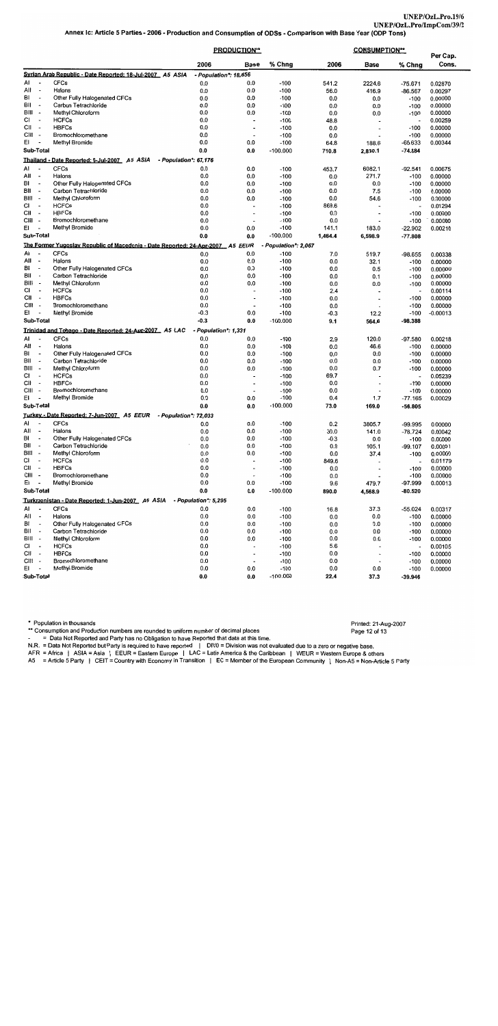|                                           |                                                                                |                              | <b>PRODUCTION**</b>             |                      |             | <b>CONSUMPTION**</b>     |                          |                    |
|-------------------------------------------|--------------------------------------------------------------------------------|------------------------------|---------------------------------|----------------------|-------------|--------------------------|--------------------------|--------------------|
|                                           |                                                                                | 2006                         | <b>Base</b>                     | % Chng               | 2006        | Base                     | % Chng                   | Per Cap.<br>Cons.  |
|                                           | Syrian Arab Republic - Date Reported: 18-Jul-2007 A5 ASIA                      | - Population*: 18,856        |                                 |                      |             |                          |                          |                    |
| AI                                        | <b>CFCs</b>                                                                    | 0.0                          | 0.0                             | -100                 | 541.2       | 2224.6                   | -75.671                  | 0.02870            |
| All<br>$\overline{\phantom{a}}$           | Halons                                                                         | 0.0                          | 0.0                             | -100                 | 56.0        | 416.9                    | $-86.567$                | 0.00297            |
| BI                                        | Other Fully Halogenated CFCs                                                   | 0.0                          | 0.0                             | $-100$               | 0.0         | 0.0                      | $-100$                   | 0.00000            |
| BII<br>$\overline{\phantom{a}}$           | Carbon Tetrachloride                                                           | 0.0                          | 0.0                             | -100                 | 0.0         | 0.0                      | $-100$                   | 0.00000            |
| BIII -                                    | Methyl Chloroform                                                              | 0.0                          | 0.0                             | $-100$               | 0.0         | 0.0                      | $-100$                   | 0.00000            |
| СI<br>$\overline{\phantom{a}}$            | <b>HCFCs</b>                                                                   | 0.0                          | $\overline{a}$                  | $-100$               | 48.8        |                          | ÷,                       | 0.00259            |
| CII<br>$\overline{\phantom{a}}$           | <b>HBFCs</b><br>Bromochloromethane                                             | 0.0                          | $\overline{\phantom{a}}$        | $-100$               | 0.0         |                          | $-100$                   | 0.00000            |
| CIII -<br>EI                              | Methyl Bromide                                                                 | 0.0<br>0.0                   | $\overline{\phantom{a}}$<br>0.0 | $-100$<br>$-100$     | 0.0<br>64.8 | 188.6                    | $-100$<br>$-65.633$      | 0.00000<br>0.00344 |
| Sub-Total                                 |                                                                                |                              |                                 | $-100.000$           |             |                          |                          |                    |
|                                           | Thailand - Date Reported: 6-Jul-2007 A5 ASIA                                   | 0.0<br>- Population*: 67,176 | 0.0                             |                      | 710.8       | 2,830.1                  | -74.884                  |                    |
| Al<br>$\overline{\phantom{a}}$            | <b>CFCs</b>                                                                    | 0.0                          |                                 | $-100$               | 453.7       |                          |                          |                    |
| All<br>$\overline{\phantom{a}}$           | Halons                                                                         | 0.0                          | 0.0<br>0.0                      | $-100$               | 0.0         | 6082.1<br>271.7          | $-92.541$<br>$-100$      | 0.00675<br>0.00000 |
| BI<br>$\overline{\phantom{a}}$            | Other Fully Halogenated CFCs                                                   | 0.0                          | 0.0                             | $-100$               | 0.0         | 0.0                      | $-100$                   | 0.00000            |
| BII<br>$\overline{\phantom{a}}$           | Carbon Tetrachloride                                                           | 0.0                          | 0.0                             | $-100$               | 0.0         | 7.5                      | $-100$                   | 0.00000            |
| BIII -                                    | Methyl Chloroform                                                              | 0.0                          | 0.0                             | $-100$               | 0.0         | 54.6                     | $-100$                   | 0.00000            |
| СI<br>$\overline{\phantom{a}}$            | <b>HCFCs</b>                                                                   | 0.0                          | $\overline{a}$                  | $-100$               | 869.6       |                          | $\overline{a}$           | 0.01294            |
| СII<br>$\overline{\phantom{a}}$           | <b>HBFCs</b>                                                                   | 0.0                          | $\overline{\phantom{a}}$        | $-100$               | 0.0         |                          | $-100$                   | 0.00000            |
| CIII -                                    | Bromochloromethane                                                             | 0.0                          | $\overline{\phantom{a}}$        | $-100$               | 0.0         |                          | $-100$                   | 0.00000            |
| EI.                                       | Methyl Bromide                                                                 | 0.0                          | 0.0                             | $-100$               | 141.1       | 183.0                    | $-22.902$                | 0.00210            |
| Sub-Total                                 |                                                                                | 0.0                          | 0.0                             | $-100.000$           | 1,464.4     | 6,598.9                  | $-77.808$                |                    |
|                                           | The Former Yugoslav Republic of Macedonia - Date Reported: 24-Apr-2007 A5 EEUR |                              |                                 | - Population*: 2,067 |             |                          |                          |                    |
| AI                                        | <b>CFCs</b>                                                                    | 0.0                          | 0.0                             | $-100$               | 7.0         | 519.7                    | $-98.655$                | 0.00338            |
| All<br>$\overline{\phantom{a}}$           | Halons                                                                         | 0.0                          | 0.0                             | $-100$               | 0.0         | 32.1                     | $-100$                   | 0.00000            |
| BI<br>$\overline{\phantom{a}}$            | Other Fully Halogenated CFCs                                                   | 0.0                          | 0.0                             | $-100$               | 0.0         | 0.5                      | $-100$                   | 0.00000            |
| BII<br>$\overline{\phantom{a}}$           | Carbon Tetrachloride                                                           | 0.0                          | 0.0                             | $-100$               | 0.0         | 0.1                      | $-100$                   | 0.00000            |
| BIII<br>$\overline{\phantom{a}}$          | Methyl Chloroform                                                              | 0.0                          | 0.0                             | $-100$               | 0.0         | 0.0                      | $-100$                   | 0.00000            |
| СI<br>$\overline{\phantom{a}}$            | <b>HCFCs</b>                                                                   | 0.0                          | $\overline{\phantom{a}}$        | $-100$               | 2.4         | $\ddot{\phantom{0}}$     | $\overline{\phantom{a}}$ | 0.00114            |
| СII<br>$\overline{\phantom{a}}$           | <b>HBFCs</b>                                                                   | 0.0                          | $\blacksquare$                  | $-100$               | 0.0         | $\overline{\phantom{a}}$ | $-100$                   | 0.00000            |
| CIII -                                    | Bromochloromethane                                                             | 0.0                          | $\overline{\phantom{a}}$        | $-100$               | 0.0         |                          | $-100$                   | 0.00000            |
| EI                                        | Methyl Bromide                                                                 | $-0.3$                       | 0.0                             | $-100$               | -0.3        | 12.2                     | $-100$                   | $-0.00013$         |
| Sub-Total                                 |                                                                                | $-0.3$                       | 0.0                             | $-100.000$           | 9.1         | 564.6                    | -98.388                  |                    |
|                                           | Trinidad and Tobago - Date Reported: 24-Apr-2007 A5 LAC                        | - Population*: 1,331         |                                 |                      |             |                          |                          |                    |
| AI                                        | <b>CFCs</b>                                                                    | 0.0                          | 0.0                             | $-100$               | 2.9         | 120.0                    | $-97.580$                | 0.00218            |
| All<br>$\overline{\phantom{a}}$           | Halons                                                                         | 0.0                          | 0.0                             | $-100$               | 0.0         | 46.6                     | $-100$                   | 0.00000            |
| BI<br>$\overline{\phantom{a}}$            | Other Fully Halogenated CFCs                                                   | 0.0                          | 0.0                             | $-100$               | 0.0         | 0.0                      | $-100$                   | 0.00000            |
| BII<br>$\overline{\phantom{a}}$           | Carbon Tetrachloride                                                           | 0.0                          | 0.0                             | $-100$               | 0.0         | 0.0                      | $-100$                   | 0.00000            |
| BIII<br>$\overline{\phantom{a}}$          | Methyl Chloroform                                                              | 0.0                          | 0.0                             | $-100$               | 0.0         | 0.7                      | $-100$                   | 0.00000            |
| CI<br>$\overline{\phantom{a}}$            | <b>HCFCs</b><br><b>HBFCs</b>                                                   | 0.0                          | $\overline{\phantom{a}}$        | $-100$               | 69.7        |                          | $\overline{\phantom{a}}$ | 0.05239            |
| CII<br>$\overline{\phantom{a}}$<br>CIII - |                                                                                | 0.0<br>0.0                   | $\overline{\phantom{a}}$        | $-100$               | 0.0         | $\overline{\phantom{a}}$ | $-100$                   | 0.00000            |
| EI                                        | Bromochloromethane<br>Methyl Bromide                                           | 0.0                          | 0.0                             | $-100$<br>$-100$     | 0.0<br>0.4  | 1.7                      | $-100$<br>$-77.165$      | 0.00000<br>0.00029 |
| Sub-Total                                 |                                                                                | 0.0                          | 0.0                             | $-100.000$           | 73.0        | 169.0                    | $-56.805$                |                    |
|                                           | Turkey - Date Reported: 7-Jun-2007 A5 EEUR                                     | <i>- Population*: 72,033</i> |                                 |                      |             |                          |                          |                    |
| Al<br>$\overline{\phantom{a}}$            | <b>CFCs</b>                                                                    | 0.0                          | 0.0                             | $-100$               | 0.2         | 3805.7                   | -99.995                  | 0.00000            |
| All<br>$\overline{\phantom{a}}$           | Halons                                                                         | 0.0                          | 0.0                             | $-100$               | 30.0        | 141.0                    | $-78.724$                | 0.00042            |
| BI<br>$\overline{\phantom{a}}$            | Other Fully Halogenated CFCs                                                   | 0.0                          | 0.0                             | $-100$               | $-0.3$      | 0.0                      | $-100$                   | 0.00000            |
| BII<br>$\overline{\phantom{a}}$           | Carbon Tetrachloride                                                           | 0.0                          | 0.0                             | $-100$               | 0.9         | 105.1                    | $-99.107$                | 0.00001            |
| BIII -                                    | Methyl Chloroform                                                              | 0.0                          | 0.0                             | $-100$               | 0.0         | 37.4                     | $-100$                   | 0.00000            |
| CI<br>$\overline{\phantom{a}}$            | <b>HCFCs</b>                                                                   | 0.0                          | $\overline{\phantom{a}}$        | $-100$               | 849.6       |                          | $\blacksquare$           | 0.01179            |
| CII -                                     | <b>HBFCs</b>                                                                   | 0.0                          | $\overline{\phantom{a}}$        | $-100$               | 0.0         | $\overline{\phantom{a}}$ | $-100$                   | 0.00000            |
| CIII -                                    | Bromochloromethane                                                             | 0.0                          | ÷                               | $-100$               | 0.0         |                          | $-100$                   | 0.00000            |
| EI                                        | Methyl Bromide                                                                 | 0.0                          | 0.0                             | $-100$               | 9.6         | 479.7                    | $-97.999$                | 0.00013            |
| Sub-Total                                 |                                                                                | 0.0                          | 0.0                             | $-100.000$           | 890.0       | 4,568.9                  | $-80.520$                |                    |
|                                           | Turkmenistan - Date Reported: 1-Jun-2007 A5 ASIA                               | - Population*: 5,295         |                                 |                      |             |                          |                          |                    |
| AI                                        | <b>CFCs</b>                                                                    | 0.0                          | 0.0                             | $-100$               | 16.8        | 37.3                     | $-55.024$                | 0.00317            |
| All<br>$\sim$                             | Halons                                                                         | 0.0                          | 0.0                             | $-100$               | 0.0         | 0.0                      | $-100$                   | 0.00000            |
| BI<br>$\overline{\phantom{a}}$            | Other Fully Halogenated CFCs                                                   | 0.0                          | 0.0                             | $-100$               | 0.0         | 0.0                      | $-100$                   | 0.00000            |
| BII<br>$\overline{\phantom{a}}$           | Carbon Tetrachloride                                                           | 0.0                          | 0.0                             | $-100$               | 0.0         | 0.0                      | $-100$                   | 0.00000            |
| BIII -                                    | Methyl Chloroform                                                              | 0.0                          | 0.0                             | $-100$               | 0.0         | 0.0                      | $-100$                   | 0.00000            |
| СI<br>$\overline{\phantom{a}}$            | <b>HCFCs</b>                                                                   | 0.0                          | $\overline{a}$                  | $-100$               | 5.6         |                          | $\overline{\phantom{a}}$ | 0.00105            |
| CII -                                     | <b>HBFCs</b>                                                                   | 0.0                          | $\overline{\phantom{a}}$        | -100                 | 0.0         | $\overline{\phantom{a}}$ | $-100$                   | 0.00000            |
| CIII -                                    | Bromochloromethane                                                             | 0.0                          | $\overline{a}$                  | $-100$               | 0.0         |                          | $-100$                   | 0.00000            |
| EL<br>$\overline{\phantom{a}}$            | Methyl Bromide                                                                 | 0.0                          | 0.0                             | -100                 | 0.0         | 0.0                      | $-100$                   | 0.00000            |
| Sub-Total                                 |                                                                                | 0.0                          | 0.0                             | $-100.000$           | 22.4        | 37.3                     | $-39.946$                |                    |

\* Population in thousands

\*\* Consumption and Production numbers are rounded to uniform number of decimal places

and in = Data Not Reported and Party has no Obligation to have Reported that data at this time.

N.R. = Data Not Reported but Party is required to have reported | DIV0 = Division was not evaluated due to a zero or negative base.

AFR = Africa | ASIA = Asia | EEUR = Eastern Europe | LAC = Latin America & the Caribbean | WEUR = Western Europe & others<br>AFR = Africa | ASIA = Asia | EEUR = Eastern Europe | LAC = Latin America & the Caribbean | WEUR = We

Printed: 21-Aug-2007 Page 12 of 13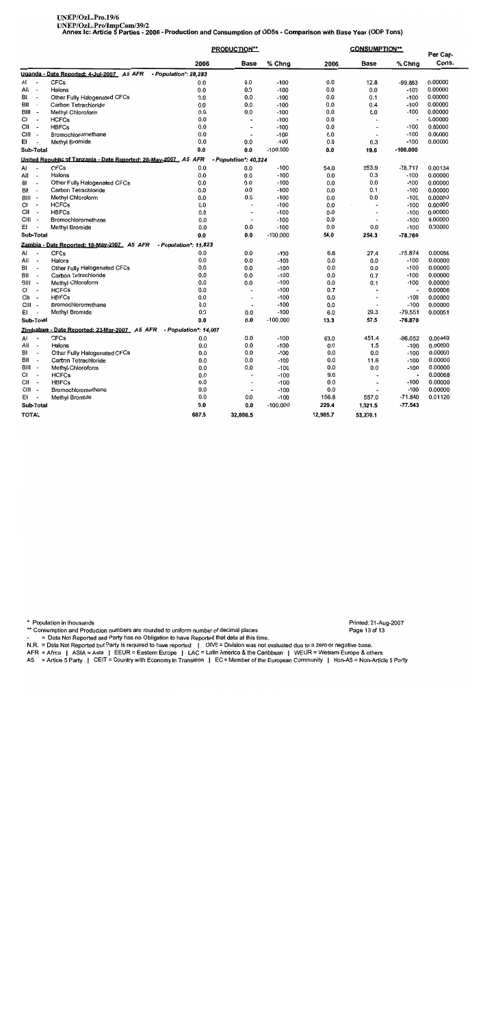## UNEP/OzL.Pro.19/6

UNEP/OZEN<br>UNEP/OZELPro/ImpCom/39/2<br>Annex Ic: Article 5 Parties - 2006 - Production and Consumption of ODSs - Comparison with Base Year (ODP Tons)

|              |                          |                                                                 | <b>PRODUCTION**</b>     |                          |            | <b>CONSUMPTION**</b> |                          |                          |         |
|--------------|--------------------------|-----------------------------------------------------------------|-------------------------|--------------------------|------------|----------------------|--------------------------|--------------------------|---------|
|              |                          |                                                                 | 2006                    | <b>Base</b>              | % Chng     | 2006                 | Base                     | % Chng                   | Cons.   |
|              |                          | Uganda - Date Reported: 4-Jul-2007_ A5 AFR                      | - Population*: $28,283$ |                          |            |                      |                          |                          |         |
| AI           |                          | <b>CFCs</b>                                                     | 0.0                     | 0.0                      | $-100$     | 0.0                  | 12.8                     | $-99.883$                | 0.00000 |
| All          | $\overline{\phantom{a}}$ | Halons                                                          | 0.0                     | 0.0                      | $-100$     | 0.0                  | 0.0                      | $-100$                   | 0.00000 |
| BI           | $\ddot{\phantom{0}}$     | Other Fully Halogenated CFCs                                    | 0.0                     | 0.0                      | $-100$     | 0.0                  | 0.1                      | $-100$                   | 0.00000 |
| BII          |                          | Carbon Tetrachloride                                            | 0.0                     | 0.0                      | $-100$     | 0.0                  | 0.4                      | $-100$                   | 0.00000 |
| BIII         | $\overline{\phantom{a}}$ | Methyl Chloroform                                               | 0.0                     | 0.0                      | $-100$     | 0.0                  | 0.0                      | $-100$                   | 0.00000 |
| СI           |                          | <b>HCFCs</b>                                                    | 0.0                     | $\overline{\phantom{a}}$ | $-100$     | 0.0                  | $\overline{a}$           | $\ddot{\phantom{0}}$     | 0.00000 |
| CII          |                          | <b>HBFCs</b>                                                    | 0.0                     | $\overline{\phantom{a}}$ | $-100$     | 0.0                  | $\overline{\phantom{a}}$ | $-100$                   | 0.00000 |
| CIII -       |                          | Bromochloromethane                                              | 0.0                     | $\overline{\phantom{a}}$ | $-100$     | 0.0                  | $\overline{a}$           | $-100$                   | 0.00000 |
| EI           |                          | Methyl Bromide                                                  | 0.0                     | 0.0                      | $-100$     | 0.0                  | 6.3                      | $-100$                   | 0.00000 |
|              | Sub-Total                |                                                                 | 0.0                     | 0.0                      | $-100.000$ | 0.0                  | 19.6                     | -100.000                 |         |
|              |                          | United Republic of Tanzania - Date Reported: 28-May-2007 A5 AFR |                         | - Population*: 40,324    |            |                      |                          |                          |         |
| AI           | $\overline{\phantom{a}}$ | <b>CFCs</b>                                                     | 0.0                     | 0.0                      | $-100$     | 54.0                 | 253.9                    | $-78.717$                | 0.00134 |
| All          | $\overline{\phantom{a}}$ | Halons                                                          | 0.0                     | 0.0                      | $-100$     | 0.0                  | 0.3                      | $-100$                   | 0.00000 |
| BI           | $\blacksquare$           | Other Fully Halogenated CFCs                                    | 0.0                     | 0.0                      | $-100$     | 0.0                  | 0.0                      | $-100$                   | 0.00000 |
| BII          | $\overline{\phantom{a}}$ | Carbon Tetrachloride                                            | 0.0                     | 0.0                      | $-100$     | 0.0                  | 0.1                      | $-100$                   | 0.00000 |
| BIII -       |                          | Methyl Chloroform                                               | 0.0                     | 0.0                      | $-100$     | 0.0                  | 0.0                      | $-100$                   | 0.00000 |
| СI           | $\overline{\phantom{a}}$ | <b>HCFCs</b>                                                    | 0.0                     | ÷,                       | $-100$     | 0.0                  | J.                       | $-100$                   | 0.00000 |
| СII          | $\blacksquare$           | <b>HBFCs</b>                                                    | 0.0                     | $\overline{\phantom{a}}$ | $-100$     | 0.0                  | $\overline{\phantom{a}}$ | $-100$                   | 0.00000 |
| CIII -       |                          | Bromochloromethane                                              | 0.0                     | $\overline{a}$           | $-100$     | 0.0                  | ÷,                       | $-100$                   | 0.00000 |
| EI           |                          | Methyl Bromide                                                  | 0.0                     | 0.0                      | $-100$     | 0.0                  | 0.0                      | $-100$                   | 0.00000 |
|              | Sub-Total                |                                                                 | 0.0                     | 0.0                      | $-100.000$ | 54.0                 | 254.3                    | $-78.765$                |         |
|              |                          | Zambia - Date Reported: 18-May-2007_ A5 AFR                     | - Population : 11,823   |                          |            |                      |                          |                          |         |
| AI           | $\overline{\phantom{a}}$ | <b>CFCs</b>                                                     | 0.0                     | 0.0                      | $-100$     | 6.6                  | 27.4                     | $-75.874$                | 0.00056 |
| All          | $\sim$                   | Halons                                                          | 0.0                     | 0.0                      | $-100$     | 0.0                  | 0.0                      | $-100$                   | 0.00000 |
| BI           | $\overline{\phantom{a}}$ | Other Fully Halogenated CFCs                                    | 0.0                     | 0.0                      | $-100$     | 0.0                  | 0.0                      | $-100$                   | 0.00000 |
| BII          | $\overline{\phantom{a}}$ | Carbon Tetrachloride                                            | 0.0                     | 0.0                      | $-100$     | 0.0                  | 0.7                      | $-100$                   | 0.00000 |
| BIII -       |                          | Methyl Chloroform                                               | 0.0                     | 0.0                      | $-100$     | 0.0                  | 0.1                      | $-100$                   | 0.00000 |
| СI           | $\overline{\phantom{a}}$ | <b>HCFCs</b>                                                    | 0.0                     | $\overline{a}$           | $-100$     | 0.7                  |                          | $\overline{\phantom{a}}$ | 0.00006 |
| СII          | ÷                        | <b>HBFCs</b>                                                    | 0.0                     | $\overline{\phantom{0}}$ | $-100$     | 0.0                  | ÷,                       | $-100$                   | 0.00000 |
| CIII -       |                          | Bromochloromethane                                              | 0.0                     | $\overline{a}$           | $-100$     | 0.0                  |                          | $-100$                   | 0.00000 |
| EI           |                          | Methyl Bromide                                                  | 0.0                     | 0.0                      | $-100$     | 6.0                  | 29.3                     | $-79.551$                | 0.00051 |
|              | Sub-Total                |                                                                 | 0.0                     | 0.0                      | $-100.000$ | 13.3                 | 57.5                     | $-76.870$                |         |
|              |                          | Zimbabwe - Date Reported: 23-Mar-2007_ A5 AFR                   | - Population*: 14,007   |                          |            |                      |                          |                          |         |
| AI           | $\overline{a}$           | <b>CFCs</b>                                                     | 0.0                     | 0.0                      | $-100$     | 63.0                 | 451.4                    | $-86.052$                | 0.00449 |
| All          | $\overline{a}$           | Halons                                                          | 0.0                     | 0.0                      | $-100$     | 0.0                  | 1.5                      | $-100$                   | 0.00000 |
| BI           | $\overline{a}$           | Other Fully Halogenated CFCs                                    | 0.0                     | 0.0                      | $-100$     | 0.0                  | 0.0                      | $-100$                   | 0.00000 |
| BII          | $\overline{\phantom{a}}$ | Carbon Tetrachloride                                            | 0.0                     | 0.0                      | $-100$     | 0.0                  | 11.6                     | $-100$                   | 0.00000 |
| BIII         | $\overline{\phantom{a}}$ | Methyl Chloroform                                               | 0.0                     | 0.0                      | $-100$     | 0.0                  | 0.0                      | $-100$                   | 0.00000 |
| СI           | $\overline{\phantom{a}}$ | <b>HCFCs</b>                                                    | 0.0                     | $\overline{a}$           | $-100$     | 9.6                  |                          | $\ddot{\phantom{0}}$     | 0.00068 |
| СII          | $\tilde{\phantom{a}}$    | <b>HBFCs</b>                                                    | 0.0                     | ÷.                       | $-100$     | 0.0                  | $\overline{a}$           | $-100$                   | 0.00000 |
| CIII -       |                          | Bromochloromethane                                              | 0.0                     | $\overline{a}$           | $-100$     | 0.0                  |                          | $-100$                   | 0.00000 |
| EI           |                          | Methyl Bromide                                                  | 0.0                     | 0.0                      | $-100$     | 156.8                | 557.0                    | $-71.840$                | 0.01120 |
|              | Sub-Total                |                                                                 | 0.0                     | 0.0                      | $-100.000$ | 229.4                | 1,021.5                  | $-77.543$                |         |
| <b>TOTAL</b> |                          |                                                                 | 687.5                   | 32,886.5                 |            | 12,985.7             | 53,270.1                 |                          |         |

\* Population in thousands

\*\* Consumption and Production numbers are rounded to uniform number of decimal places

= Data Not Reported and Party has no Obligation to have Reported that data at this time.

N.R. = Data Not Reported but Party is required to have reported | DIVO = Division was not evaluated due to a zero or negative base.<br>AFR = Africa | ASIA = Asia | EEUR = Eastern Europe | LAC = Latin America & the Caribbean | A5 = Article 5 Party | CEIT = Country with Economy in Transition | EC = Member of the European Community | Non-A5 = Non-Article 5 Party

#### Printed: 21-Aug-2007 Page 13 of 13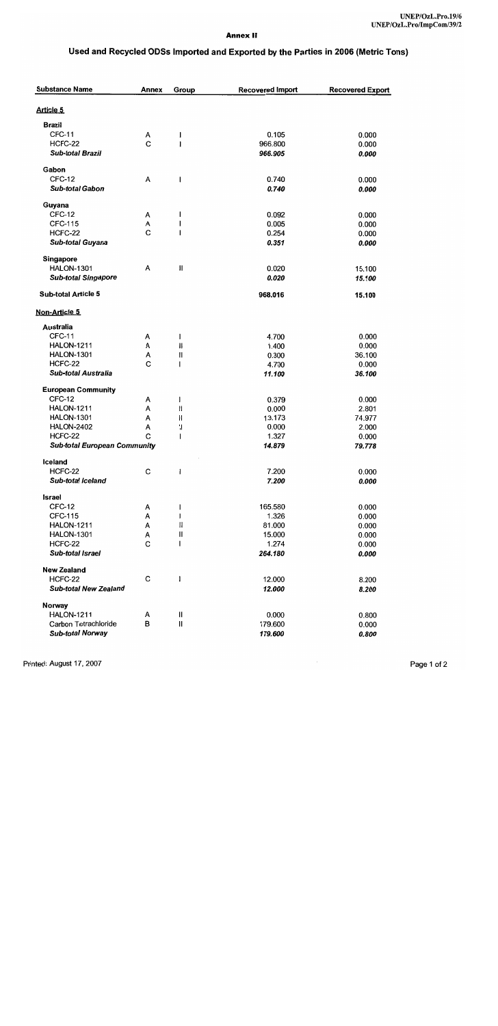#### **Annex II**

## Used and Recycled ODSs Imported and Exported by the Parties in 2006 (Metric Tons)

| <b>Substance Name</b>                   | Annex       | Group                    | <b>Recovered Import</b> | <b>Recovered Export</b> |
|-----------------------------------------|-------------|--------------------------|-------------------------|-------------------------|
| Article 5                               |             |                          |                         |                         |
| <b>Brazil</b>                           |             |                          |                         |                         |
| CFC-11                                  |             |                          | 0.105                   | 0.000                   |
| HCFC-22                                 | А<br>Ċ      | I<br>$\mathbf{I}$        | 966.800                 | 0.000                   |
|                                         |             |                          |                         |                         |
| <b>Sub-total Brazil</b>                 |             |                          | 966.905                 | 0.000                   |
| Gabon                                   |             |                          |                         |                         |
| <b>CFC-12</b>                           | A           | $\overline{\phantom{a}}$ | 0.740                   | 0.000                   |
| <b>Sub-total Gabon</b>                  |             |                          | 0.740                   | 0.000                   |
| Guyana                                  |             |                          |                         |                         |
| CFC-12                                  | А           | I                        | 0.092                   | 0.000                   |
| CFC-115                                 | А           | I                        | 0.005                   | 0.000                   |
| HCFC-22                                 | C           | ı                        | 0.254                   | 0.000                   |
| Sub-total Guyana                        |             |                          | 0.351                   | 0.000                   |
|                                         |             |                          |                         |                         |
| Singapore<br><b>HALON-1301</b>          |             | $\mathbf{H}$             |                         |                         |
|                                         | A           |                          | 0.020                   | 15.100                  |
| <b>Sub-total Singapore</b>              |             |                          | 0.020                   | 15.100                  |
| <b>Sub-total Article 5</b>              |             |                          | 968.016                 | 15.100                  |
| Non-Article 5                           |             |                          |                         |                         |
| Australia                               |             |                          |                         |                         |
| <b>CFC-11</b>                           | A           | $\mathbf{I}$             | 4.700                   | 0.000                   |
| <b>HALON-1211</b>                       | A           | ∦                        | 1.400                   | 0.000                   |
| <b>HALON-1301</b>                       | A           | $\mathbf{I}$             | 0.300                   | 36.100                  |
| HCFC-22                                 | C           | $\mathsf{I}$             | 4.700                   | 0.000                   |
| <b>Sub-total Australia</b>              |             |                          | 11.100                  | 36.100                  |
| <b>European Community</b>               |             |                          |                         |                         |
| <b>CFC-12</b>                           | А           | I                        | 0.379                   | 0.000                   |
| <b>HALON-1211</b>                       | A           | H                        | 0.000                   | 2.801                   |
| <b>HALON-1301</b>                       | A           | H                        | 13.173                  | 74.977                  |
| <b>HALON-2402</b>                       | A           | $\mathsf{I}$             | 0.000                   | 2.000                   |
| HCFC-22                                 | C           | ı                        | 1.327                   | 0.000                   |
| <b>Sub-total European Community</b>     |             |                          | 14.879                  | 79.778                  |
|                                         |             |                          |                         |                         |
| Iceland                                 |             |                          |                         |                         |
| HCFC-22                                 | C           | $\mathbf{I}$             | 7.200                   | 0.000                   |
| <b>Sub-total Iceland</b>                |             |                          | 7.200                   | 0.000                   |
| Israel                                  |             |                          |                         |                         |
| CFC-12                                  | A           | I                        | 165.580                 | 0.000                   |
| CFC-115                                 | A           | $\mathbf{I}$             | 1.326                   | 0.000                   |
| <b>HALON-1211</b>                       | А           | П                        | 81.000                  | 0.000                   |
| <b>HALON-1301</b>                       | А           | $\mathsf{II}$            | 15.000                  | 0.000                   |
| HCFC-22                                 | $\mathbf C$ | $\mathsf{I}$             | 1.274                   | 0.000                   |
| Sub-total Israel                        |             |                          | 264.180                 | 0.000                   |
|                                         |             |                          |                         |                         |
| <b>New Zealand</b>                      |             |                          |                         |                         |
| HCFC-22<br><b>Sub-total New Zealand</b> | C           | 1                        | 12.000<br>12.000        | 8.200<br>8.200          |
|                                         |             |                          |                         |                         |
| Norway                                  |             |                          |                         |                         |
| <b>HALON-1211</b>                       | А           | $\mathbf{I}$             | 0.000                   | 0.800                   |
| Carbon Tetrachloride                    | в           | $\mathbf{I}$             | 179.600                 | 0.000                   |
| <b>Sub-total Norwav</b>                 |             |                          | 179.600                 | 0.800                   |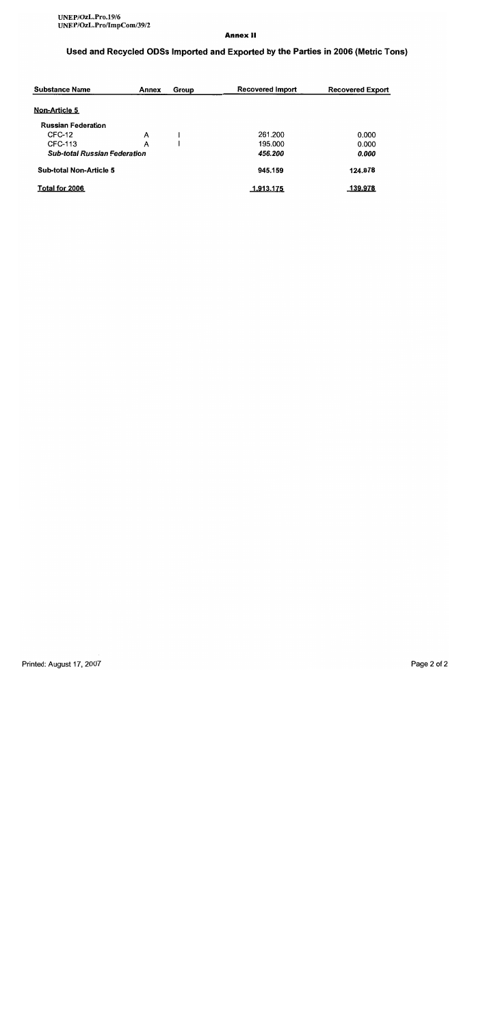#### **Annex II**

## Used and Recycled ODSs Imported and Exported by the Parties in 2006 (Metric Tons)

| <b>Substance Name</b>               | Annex | Group | <b>Recovered Import</b> | <b>Recovered Export</b> |
|-------------------------------------|-------|-------|-------------------------|-------------------------|
| Non-Article 5                       |       |       |                         |                         |
| <b>Russian Federation</b>           |       |       |                         |                         |
| $CFC-12$                            | A     |       | 261.200                 | 0.000                   |
| CFC-113                             | А     |       | 195.000                 | 0.000                   |
| <b>Sub-total Russian Federation</b> |       |       | 456.200                 | 0.000                   |
| <b>Sub-total Non-Article 5</b>      |       |       | 945.159                 | 124.878                 |
| Total for 2006                      |       |       | 1,913.175               | 139.978                 |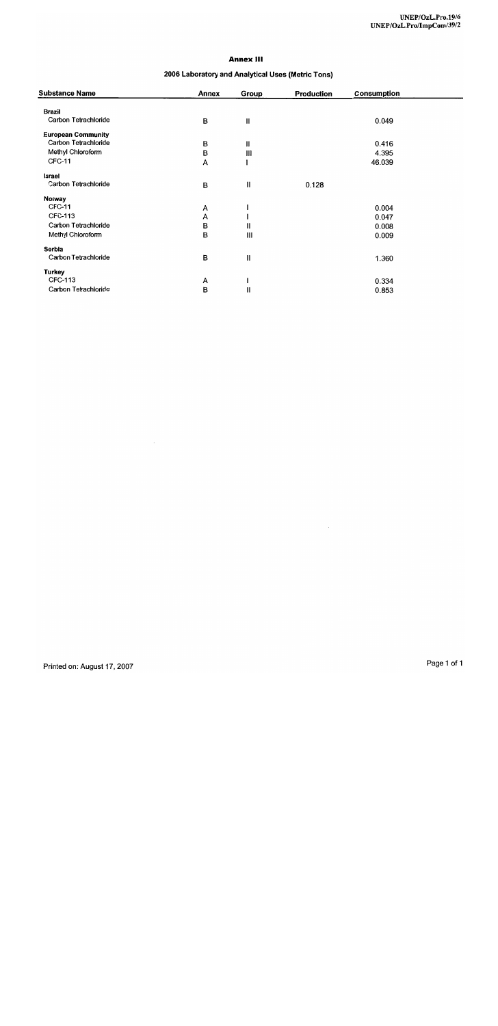#### **Annex III**

### 2006 Laboratory and Analytical Uses (Metric Tons)

| <b>Substance Name</b>     | Annex | Group        | <b>Production</b> | Consumption |  |
|---------------------------|-------|--------------|-------------------|-------------|--|
| <b>Brazil</b>             |       |              |                   |             |  |
| Carbon Tetrachloride      | В     | $\mathbf{I}$ |                   | 0.049       |  |
| <b>European Community</b> |       |              |                   |             |  |
| Carbon Tetrachloride      | В     | Ш            |                   | 0.416       |  |
| Methyl Chloroform         | В     | Ш            |                   | 4.395       |  |
| <b>CFC-11</b>             | A     |              |                   | 46.039      |  |
| Israel                    |       |              |                   |             |  |
| Carbon Tetrachloride      | В     | Ш            | 0.128             |             |  |
| Norway                    |       |              |                   |             |  |
| CFC-11                    | A     |              |                   | 0.004       |  |
| <b>CFC-113</b>            | A     |              |                   | 0.047       |  |
| Carbon Tetrachloride      | в     | Ш            |                   | 0.008       |  |
| Methyl Chloroform         | В     | Ш            |                   | 0.009       |  |
| <b>Serbia</b>             |       |              |                   |             |  |
| Carbon Tetrachloride      | В     | Ш            |                   | 1.360       |  |
| <b>Turkey</b>             |       |              |                   |             |  |
| <b>CFC-113</b>            | A     |              |                   | 0.334       |  |
| Carbon Tetrachioride      | в     | Ш            |                   | 0.853       |  |

 $\ddot{\phantom{a}}$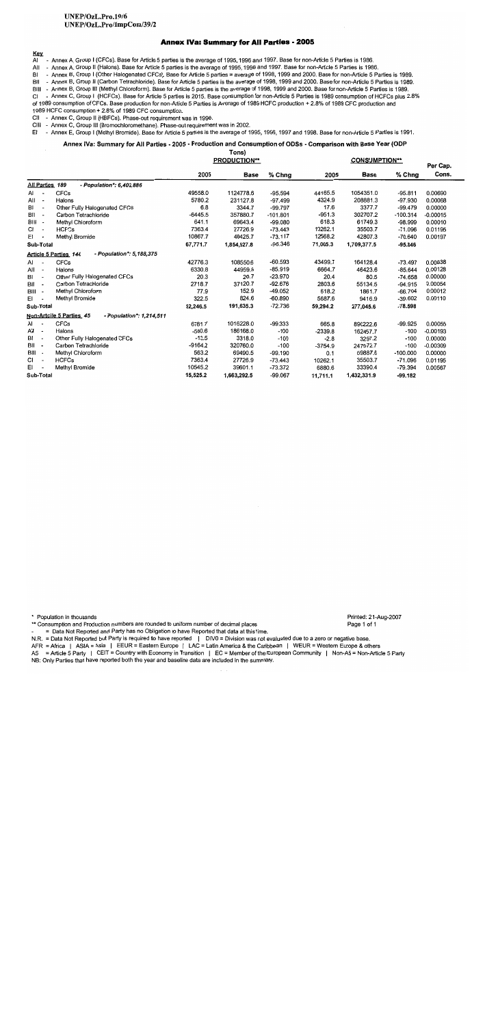#### **Annex IVa: Summary for All Parties - 2005**

<u>Kev</u>

-<br>- Annex A, Group I (CFCs). Base for Article 5 parties is the average of 1995, 1996 and 1997. Base for non-Article 5 Parties is 1986. AI

All - Annex A, Group II (Halons). Base for Article 5 parties is the average of 1995, 1996 and 1997. Base for non-Article 5 Parties is 1986.

- Annex B, Group I (Other Halogenated CFCs). Base for Article 5 parties = average of 1998, 1999 and 2000. Base for non-Article 5 Parties is 1989. **BL** 

BII - Annex B, Group II (Carbon Tetrachloride). Base for Article 5 parties is the average of 1998, 1999 and 2000. Base for non-Article 5 Parties is 1989.

BIII - Annex B, Group III (Methyl Chloroform). Base for Article 5 parties is the average of 1998, 1999 and 2000. Base for non-Article 5 Parties is 1989.

CI - Annex C, Group | (HCFCs). Base for Article 5 parties is 2015. Base consumption for non-Article 5 Parties is 1989 consumption of HCFCs plus 2.8% of 1989 consumption of CFCs. Base production for non-Article 5 Parties is Average of 1989 HCFC production + 2.8% of 1989 CFC production and

1989 HCFC consumption + 2.8% of 1989 CFC consumption.

CII - Annex C, Group II (HBFCs). Phase-out requirement was in 1996.

CIII - Annex C, Group III (Bromochloromethane). Phase-out requirement was in 2002.

El - Annex E, Group I (Methyl Bromide). Base for Article 5 parties is the average of 1995, 1996, 1997 and 1998. Base for non-Article 5 Parties is 1991.

#### Annex IVa: Summary for All Parties - 2005 - Production and Consumption of ODSs - Comparison with Base Year (ODP

Tons) **DRODUCTIONI** 

|                                                   |                                                      | <u>r novuu 11011 -</u> |             |            |           | <u>VUNJUME HUN </u> |            |                   |
|---------------------------------------------------|------------------------------------------------------|------------------------|-------------|------------|-----------|---------------------|------------|-------------------|
|                                                   |                                                      | 2005                   | <b>Base</b> | % Chng     | 2005      | <b>Base</b>         | % Chng     | Per Cap.<br>Cons. |
| All Parties 189                                   | - Population*: 6.402.886                             |                        |             |            |           |                     |            |                   |
| AI                                                | <b>CFCs</b>                                          | 49558.0                | 1124778.6   | $-95.594$  | 44165.5   | 1054351.0           | $-95.811$  | 0.00690           |
| All                                               | Halons                                               | 5780.2                 | 231127.8    | $-97.499$  | 4324.9    | 208881.3            | $-97.930$  | 0.00068           |
| BI                                                | Other Fully Halogenated CFCs                         | 6.8                    | 3344.7      | $-99.797$  | 17.6      | 3377.7              | $-99.479$  | 0.00000           |
| $BII -$                                           | Carbon Tetrachloride                                 | $-6445.5$              | 357880.7    | $-101.801$ | $-951.3$  | 302707.2            | $-100.314$ | $-0.00015$        |
| $BIII -$                                          | Methyl Chloroform                                    | 641.1                  | 69643.4     | $-99.080$  | 618.3     | 61749.3             | $-98.999$  | 0.00010           |
| СI                                                | <b>HCFCs</b>                                         | 7363.4                 | 27726.9     | $-73.443$  | 10262.1   | 35503.7             | $-71.096$  | 0.01195           |
| ΕI                                                | Methyl Bromide                                       | 10867.7                | 40425.7     | $-73.117$  | 12568.2   | 42807.3             | $-70.640$  | 0.00197           |
| Sub-Total                                         |                                                      | 67,771.7               | 1,854,927.8 | $-96.346$  | 71,005.3  | 1,709,377.5         | $-95.846$  |                   |
| Article 5 Parties 144<br>- Population*: 5,188,375 |                                                      |                        |             |            |           |                     |            |                   |
| AI                                                | <b>CFCs</b>                                          | 42776.3                | 108550.6    | $-60.593$  | 43499.7   | 164128.4            | $-73.497$  | 0.00838           |
| AII<br>$\overline{\phantom{a}}$                   | Halons                                               | 6330.8                 | 44959.8     | $-85.919$  | 6664.7    | 46423.6             | $-85.644$  | 0.00128           |
| BI                                                | Other Fully Halogenated CFCs                         | 20.3                   | 26.7        | $-23.970$  | 20.4      | 80.5                | $-74.658$  | 0.00000           |
| BII                                               | Carbon Tetrachloride                                 | 2718.7                 | 37120.7     | $-92.676$  | 2803.6    | 55134.5             | $-94.915$  | 0.00054           |
| BIII -                                            | Methyl Chloroform                                    | 77.9                   | 152.9       | -49.052    | 618.2     | 1861.7              | $-66.794$  | 0.00012           |
| EI                                                | Methyl Bromide                                       | 322.5                  | 824.6       | $-60.890$  | 5687.6    | 9416.9              | $-39.602$  | 0.00110           |
| Sub-Total                                         |                                                      | 52.246.5               | 191,635.3   | $-72.736$  | 59,294.2  | 277,045.6           | $-78.598$  |                   |
|                                                   | Non-Artcile 5 Parties 45<br>- Population*: 1,214,511 |                        |             |            |           |                     |            |                   |
| AI<br>$\overline{\phantom{a}}$                    | CFCs                                                 | 6781.7                 | 1016228.0   | $-99.333$  | 665.8     | 890222.6            | $-99.925$  | 0.00055           |
| All<br>$\overline{\phantom{a}}$                   | Halons                                               | $-550.6$               | 186168.0    | $-100$     | $-2339.8$ | 162457.7            | $-100$     | $-0.00193$        |
| BI<br>$\overline{\phantom{a}}$                    | Other Fully Halogenated CFCs                         | $-13.5$                | 3318.0      | $-100$     | $-2.8$    | 3297.2              | $-100$     | 0.00000           |
| BII<br>$\overline{\phantom{a}}$                   | Carbon Tetrachloride                                 | $-9164.2$              | 320760.0    | $-100$     | $-3754.9$ | 247572.7            | $-100$     | $-0.00309$        |
| BIII -                                            | Methyl Chloroform                                    | 563.2                  | 69490.5     | $-99.190$  | 0.1       | 59887.6             | $-100.000$ | 0.00000           |
| СI<br>$\overline{\phantom{a}}$                    | <b>HCFCs</b>                                         | 7363.4                 | 27726.9     | $-73.443$  | 10262.1   | 35503.7             | $-71.096$  | 0.01195           |
| EI                                                | Methyl Bromide                                       | 10545.2                | 39601.1     | $-73.372$  | 6880.6    | 33390.4             | $-79.394$  | 0.00567           |
| Sub-Total                                         |                                                      | 15,525.2               | 1,663,292.5 | $-99.067$  | 11,711.1  | 1,432,331.9         | $-99.182$  |                   |

\* Population in thousands

\*\* Consumption and Production numbers are rounded to uniform number of decimal places

= Data Not Reported and Party has no Obligation to have Reported that data at this time.

N.R. = Data Not Reported but Party is required to have reported | DIV0 = Division was not evaluated due to a zero or negative base.

AFR = Africa | ASIA = Asia | EEUR = Eastern Europe | LAC = Latin America & the Caribbean | WEUR = Western Europe & others

A5 = Article 5 Party | CEIT = Country with Economy in Transition | EC = Member of the European Community | Non-A5 = Non-Article 5 Party NB: Only Parties that have reported both the year and baseline data are included in the summary.

Printed: 21-Aug-2007 Page 1 of 1

**OOMOUNIDEIOMA**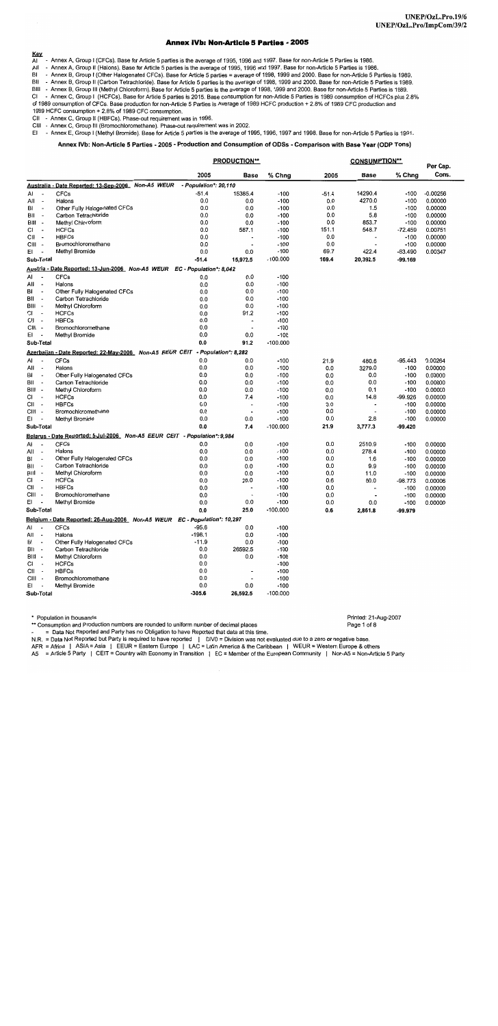#### **Annex IVb: Non-Article 5 Parties - 2005**

Key

Al - Annex A, Group I (CFCs). Base for Article 5 parties is the average of 1995, 1996 and 1997. Base for non-Article 5 Parties is 1986.

All - Annex A, Group II (Halons). Base for Article 5 parties is the average of 1995, 1996 and 1997. Base for non-Article 5 Parties is 1986.

BI. - Annex B, Group I (Other Halogenated CFCs). Base for Article 5 parties = average of 1998, 1999 and 2000. Base for non-Article 5 Parties is 1989.

BII - Annex B, Group II (Carbon Tetrachloride). Base for Article 5 parties is the average of 1998, 1999 and 2000. Base for non-Article 5 Parties is 1989.

BIII - Annex B, Group III (Methyl Chloroform). Base for Article 5 parties is the average of 1998, 1999 and 2000. Base for non-Article 5 Parties is 1989.

CI - Annex C, Group I (HCFCs). Base for Article 5 parties is 2015. Base consumption for non-Article 5 Parties is 1989 consumption of HCFCs plus 2.8% of 1989 consumption of CFCs. Base production for non-Article 5 Parties is Average of 1989 HCFC production + 2.8% of 1989 CFC production and 1989 HCFC consumption + 2.8% of 1989 CFC consumption.

CII - Annex C, Group II (HBFCs). Phase-out requirement was in 1996.

CIII - Annex C, Group III (Bromochloromethane). Phase-out requirement was in 2002.

El - Annex E, Group I (Methyl Bromide). Base for Article 5 parties is the average of 1995, 1996, 1997 and 1998. Base for non-Article 5 Parties is 1991.

Annex IVb: Non-Article 5 Parties - 2005 - Production and Consumption of ODSs - Comparison with Base Year (ODP Tons)

|                                  |                                                                                         |                       | <b>CONSUMPTION**</b><br><b>PRODUCTION**</b> |            | Per Cap. |             |           |            |
|----------------------------------|-----------------------------------------------------------------------------------------|-----------------------|---------------------------------------------|------------|----------|-------------|-----------|------------|
|                                  |                                                                                         | 2005                  | <b>Base</b>                                 | % Chng     | 2005     | <b>Base</b> | % Chng    | Cons.      |
|                                  | Australia - Date Reported: 13-Sep-2006_ Non-A5 WEUR                                     | - Population*: 20,110 |                                             |            |          |             |           |            |
| Al<br>$\overline{\phantom{a}}$   | <b>CFCs</b>                                                                             | $-51.4$               | 15385.4                                     | $-100$     | $-51.4$  | 14290.4     | $-100$    | $-0.00256$ |
| $\overline{\phantom{a}}$<br>Ail  | Halons                                                                                  | 0.0                   | 0.0                                         | $-100$     | 0.0      | 4270.0      | $-100$    | 0.00000    |
| BI<br>$\overline{\phantom{a}}$   | Other Fully Halogenated CFCs                                                            | 0.0                   | 0.0                                         | $-100$     | 0.0      | 1.5         | $-100$    | 0.00000    |
| BІІ<br>$\overline{\phantom{a}}$  | Carbon Tetrachloride                                                                    | 0.0                   | 0.0                                         | $-100$     | 0.0      | 5.8         | $-100$    | 0.00000    |
| BIII<br>$\overline{\phantom{a}}$ | Methyl Chloroform                                                                       | 0.0                   | 0.0                                         | $-100$     | 0.0      | 853.7       | $-100$    | 0.00000    |
| СI<br>$\overline{\phantom{a}}$   | <b>HCFCs</b>                                                                            | 0.0                   | 587.1                                       | $-100$     | 151.1    | 548.7       | $-72.459$ | 0.00751    |
| СII<br>$\overline{\phantom{a}}$  | <b>HBFCs</b>                                                                            | 0.0                   |                                             | $-100$     | 0.0      |             | $-100$    | 0.00000    |
| CIII -                           | Bromochloromethane                                                                      | 0.0                   |                                             | $-100$     | 0.0      |             | $-100$    | 0.00000    |
| EI<br>٠                          | Methyl Bromide                                                                          | 0.0                   | 0.0                                         | $-100$     | 69.7     | 422.4       | -83.490   | 0.00347    |
| Sub-Total                        |                                                                                         | -51.4                 | 15,972.5                                    | $-100.000$ | 169.4    | 20,392.5    | $-99.169$ |            |
|                                  | Austria - Date Reported: 13-Jun-2006 Non-A5 WEUR EC - Population*: 8,042                |                       |                                             |            |          |             |           |            |
| Al<br>$\overline{\phantom{a}}$   | <b>CFCs</b>                                                                             | 0.0                   | 0.0                                         | $-100$     |          |             |           |            |
| All<br>$\overline{\phantom{a}}$  | Halons                                                                                  | 0.0                   | 0.0                                         | $-100$     |          |             |           |            |
| BI                               | Other Fully Halogenated CFCs                                                            | 0.0                   | 0.0                                         | $-100$     |          |             |           |            |
| BII<br>$\overline{\phantom{a}}$  | Carbon Tetrachloride                                                                    | 0.0                   | 0.0                                         | $-100$     |          |             |           |            |
| BIII<br>$\overline{\phantom{a}}$ | Methyl Chloroform                                                                       | 0.0                   | 0.0                                         | $-100$     |          |             |           |            |
| СI<br>$\blacksquare$             | <b>HCFCs</b>                                                                            | 0.0                   | 91.2                                        | $-100$     |          |             |           |            |
| СII<br>$\overline{\phantom{a}}$  | <b>HBFCs</b>                                                                            | 0.0                   |                                             | $-100$     |          |             |           |            |
| CIII<br>$\overline{\phantom{a}}$ | Bromochloromethane                                                                      | 0.0                   | $\overline{a}$                              | $-100$     |          |             |           |            |
| EI                               | Methyl Bromide                                                                          | 0.0                   | 0.0                                         | $-100$     |          |             |           |            |
| Sub-Total                        |                                                                                         | 0.0                   | 91.2                                        | $-100.000$ |          |             |           |            |
|                                  | <u> Azerbaiian - Date Reported: 22-May-2006__Non-A5_EEUR_CEIT_ - Population*: 8,282</u> |                       |                                             |            |          |             |           |            |
| Al<br>$\overline{a}$             | <b>CFCs</b>                                                                             | 0.0                   | 0.0                                         | $-100$     | 21.9     | 480.6       | $-95.443$ | 0.00264    |
| All<br>$\overline{\phantom{a}}$  | Halons                                                                                  | 0.0                   | 0.0                                         | $-100$     | 0.0      | 3279.0      | $-100$    | 0.00000    |
| BI<br>$\overline{\phantom{a}}$   | Other Fully Halogenated CFCs                                                            | 0.0                   | 0.0                                         | $-100$     | 0.0      | 0.0         | $-100$    | 0.00000    |
| BII<br>$\overline{\phantom{a}}$  | Carbon Tetrachloride                                                                    | 0.0                   | 0.0                                         | $-100$     | 0.0      | 0.0         | $-100$    | 0.00000    |
| BIII<br>$\overline{\phantom{a}}$ | Methyl Chloroform                                                                       | 0.0                   | 0.0                                         | $-100$     | 0.0      | 0.1         | $-100$    | 0.00000    |
| СI<br>$\overline{\phantom{a}}$   | <b>HCFCs</b>                                                                            | 0.0                   | 7.4                                         | $-100$     | 0.0      | 14.8        | -99.926   | 0.00000    |
| CII<br>$\overline{\phantom{a}}$  | <b>HBFCs</b>                                                                            | 0.0                   |                                             | $-100$     | 0.0      |             | $-100$    | 0.00000    |
| CIII<br>$\qquad \qquad -$        | Bromochloromethane                                                                      | 0.0                   |                                             | $-100$     | 0.0      |             | $-100$    | 0.00000    |
| ΕI                               | Methyl Bromide                                                                          | 0.0                   | 0.0                                         | $-100$     | 0.0      | 2.8         | $-100$    | 0.00000    |
| Sub-Total                        |                                                                                         | 0.0                   | 7.4                                         | $-100.000$ | 21.9     | 3,777.3     | -99.420   |            |
|                                  | Belarus - Date Reported: 5-Jul-2006_ Non-A5 EEUR CEIT - Population*: 9,984              |                       |                                             |            |          |             |           |            |
| Al                               | <b>CFCs</b>                                                                             | 0.0                   | 0.0                                         | $-100$     | 0.0      | 2510.9      | $-100$    | 0.00000    |
| AII<br>$\overline{\phantom{a}}$  | Halons                                                                                  | 0.0                   | 0.0                                         | $-100$     | 0.0      | 278.4       | $-100$    | 0.00000    |
| BI<br>$\overline{\phantom{a}}$   | Other Fully Halogenated CFCs                                                            | 0.0                   | 0.0                                         | $-100$     | 0.0      | 1.6         | $-100$    | 0.00000    |
| BII<br>$\overline{\phantom{a}}$  | Carbon Tetrachloride                                                                    | 0.0                   | 0.0                                         | $-100$     | 0.0      | 9.9         | $-100$    | 0.00000    |
| BIII<br>$\sim$                   | Methyl Chloroform                                                                       | 0.0                   | 0.0                                         | -100       | 0.0      | 11.0        | $-100$    | 0.00000    |
| СI<br>$\overline{\phantom{a}}$   | <b>HCFCs</b>                                                                            | 0.0                   | 25.0                                        | -100       | 0.6      | 50.0        | -98.773   | 0.00006    |
| СII<br>$\overline{\phantom{a}}$  | <b>HBFCs</b>                                                                            | 0.0                   |                                             | $-100$     | 0.0      |             | $-100$    | 0.00000    |
| CIII -                           | Bromochloromethane                                                                      | 0.0                   |                                             | $-100$     | 0.0      |             | $-100$    | 0.00000    |
| EI                               | Methyl Bromide                                                                          | 0.0                   | 0.0                                         | $-100$     | 0.0      | 0.0         | $-100$    | 0.00000    |
| Sub-Total                        |                                                                                         | 0.0                   | 25.0                                        | $-100.000$ | 0.6      | 2,861.8     | -99.979   |            |
|                                  | Belgium - Date Reported: 26-Aug-2006 Non-A5 WEUR EC - Population*: 10,297               |                       |                                             |            |          |             |           |            |
| AI<br>$\overline{\phantom{a}}$   | <b>CFCs</b>                                                                             | $-95.6$               | 0.0                                         | $-100$     |          |             |           |            |
| All<br>$\overline{\phantom{a}}$  | Halons                                                                                  | $-198.1$              | 0.0                                         | $-100$     |          |             |           |            |
| BI<br>$\overline{\phantom{a}}$   | Other Fully Halogenated CFCs                                                            | $-11.9$               | 0.0                                         | $-100$     |          |             |           |            |
| BІІ<br>$\overline{\phantom{a}}$  | Carbon Tetrachloride                                                                    | 0.0                   | 26592.5                                     | $-100$     |          |             |           |            |
| BIII<br>$\overline{\phantom{a}}$ | Methyl Chloroform                                                                       | 0.0                   | 0.0                                         | $-100$     |          |             |           |            |
| СI<br>$\overline{\phantom{a}}$   | <b>HCFCs</b>                                                                            | 0.0                   |                                             | $-100$     |          |             |           |            |
| СII<br>$\overline{\phantom{a}}$  | <b>HBFCs</b>                                                                            | 0.0                   | $\overline{a}$                              | $-100$     |          |             |           |            |
| CIII<br>$\overline{\phantom{a}}$ | Bromochloromethane                                                                      | 0.0                   |                                             | $-100$     |          |             |           |            |
| EI<br>$\overline{\phantom{a}}$   | Methyl Bromide                                                                          | 0.0                   | 0.0                                         | $-100$     |          |             |           |            |
| Sub-Total                        |                                                                                         | $-305.6$              | 26.592.5                                    | $-100.000$ |          |             |           |            |

\* Population in thousands

\*\* Consumption and Production numbers are rounded to uniform number of decimal places

= Data Not Reported and Party has no Obligation to have Reported that data at this time.

N.R. = Data Not Reported but Party is required to have reported | DIV0 = Division was not evaluated due to a zero or negative base.<br>AFR = Africa | ASIA = Asia | EEUR = Eastern Europe | LAC = Latin America & the Caribbean |

A5 = Article 5 Party | CEIT = Country with Economy in Transition | EC = Member of the European Community | Non-A5 = Non-Article 5 Party

Printed: 21-Aug-2007

Page 1 of 8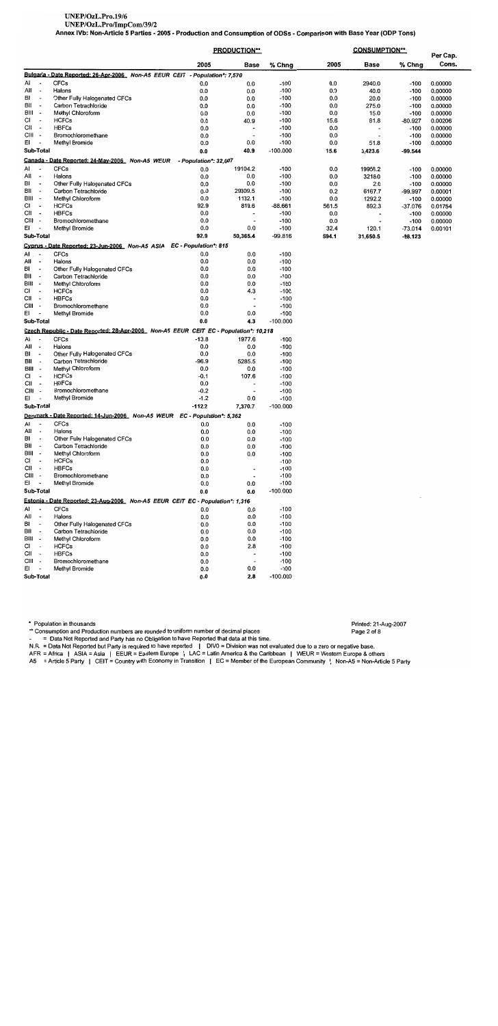## UNEP/OzL.Pro.19/6

UNEP/OzL.Pro/ImpCom/39/2

Annex IVb: Non-Article 5 Parties - 2005 - Production and Consumption of ODSs - Comparison with Base Year (ODP Tons)

|               |                                                      |                                                                                       |                       | <b>PRODUCTION**</b>      |                  |            | <b>CONSUMPTION**</b> |                  | Per Cap.           |
|---------------|------------------------------------------------------|---------------------------------------------------------------------------------------|-----------------------|--------------------------|------------------|------------|----------------------|------------------|--------------------|
|               |                                                      |                                                                                       | 2005                  | <b>Base</b>              | % Chng           | 2005       | Base                 | % Chng           | Cons.              |
|               |                                                      | Bulgaria - Date Reported: 26-Apr-2006 Non-A5 EEUR CEIT - Population*: 7,570           |                       |                          |                  |            |                      |                  |                    |
| Al            | $\overline{\phantom{a}}$                             | <b>CFCs</b>                                                                           | 0.0                   | 0.0                      | $-100$           | 0.0        | 2940.0               | -100             | 0.00000            |
| All           | $\overline{\phantom{a}}$                             | Halons                                                                                | 0.0                   | 0.0                      | $-100$           | 0.0        | 40.0                 | $-100$           | 0.00000            |
| BI            | $\overline{\phantom{a}}$                             | Other Fully Halogenated CFCs                                                          | 0.0                   | 0.0                      | $-100$           | 0.0        | 20.0                 | $-100$           | 0.00000            |
| BII<br>BIII - | $\overline{\phantom{a}}$                             | Carbon Tetrachloride<br>Methyl Chloroform                                             | 0.0<br>0.0            | 0.0<br>0.0               | $-100$<br>$-100$ | 0.0<br>0.0 | 275.0<br>15.0        | $-100$<br>$-100$ | 0.00000<br>0.00000 |
| СI            | $\overline{\phantom{a}}$                             | <b>HCFCs</b>                                                                          | 0.0                   | 40.9                     | $-100$           | 15.6       | 81.8                 | -80.927          | 0.00206            |
| CII           | $\overline{\phantom{a}}$                             | <b>HBFCs</b>                                                                          | 0.0                   |                          | $-100$           | 0.0        |                      | -100             | 0.00000            |
| CIII -        |                                                      | Bromochloromethane                                                                    | 0.0                   |                          | $-100$           | 0.0        |                      | $-100$           | 0.00000            |
| EL            |                                                      | Methyl Bromide                                                                        | 0.0                   | 0.0                      | $-100$           | 0.0        | 51.8                 | $-100$           | 0.00000            |
|               | Sub-Total                                            |                                                                                       | 0.0                   | 40.9                     | $-100.000$       | 15.6       | 3,423.6              | -99.544          |                    |
|               |                                                      | Canada - Date Reported: 24-May-2006 Non-A5 WEUR                                       | - Population*: 32,007 |                          |                  |            |                      |                  |                    |
| Al            | $\overline{\phantom{a}}$                             | <b>CFCs</b>                                                                           | 0.0                   | 19104.2                  | $-100$           | 0.0        | 19958.2              | $-100$           | 0.00000            |
| All           | $\overline{\phantom{a}}$                             | Halons                                                                                | 0.0                   | 0.0<br>0.0               | $-100$<br>$-100$ | 0.0        | 3218.0<br>2.0        | $-100$<br>$-100$ | 0.00000<br>0.00000 |
| BI<br>BII     | $\overline{\phantom{a}}$<br>$\overline{\phantom{a}}$ | Other Fully Halogenated CFCs<br>Carbon Tetrachloride                                  | 0.0<br>0.0            | 29309.5                  | $-100$           | 0.0<br>0.2 | 6167.7               | -99.997          | 0.00001            |
| BIII -        |                                                      | Methyl Chloroform                                                                     | 0.0                   | 1132.1                   | $-100$           | 0.0        | 1292.2               | $-100$           | 0.00000            |
| СI            | $\sim$                                               | <b>HCFCs</b>                                                                          | 92.9                  | 819.6                    | -88.661          | 561.5      | 892.3                | -37.076          | 0.01754            |
| СII           | $\overline{\phantom{a}}$                             | <b>HBFCs</b>                                                                          | 0.0                   |                          | $-100$           | 0.0        |                      | $-100$           | 0.00000            |
| CIII -        |                                                      | Bromochloromethane                                                                    | 0.0                   |                          | $-100$           | 0.0        |                      | $-100$           | 0.00000            |
| EI            |                                                      | Methyl Bromide                                                                        | 0.0                   | 0.0                      | $-100$           | 32.4       | 120.1                | $-73.014$        | 0.00101            |
|               | Sub-Total                                            |                                                                                       | 92.9                  | 50,365.4                 | $-99.816$        | 594.1      | 31,650.5             | $-98.123$        |                    |
|               |                                                      | Cvprus - Date Reported: 23-Jun-2006 Non-A5 ASIA EC - Population*: 815                 |                       |                          |                  |            |                      |                  |                    |
| AI.-          |                                                      | <b>CFCs</b>                                                                           | 0.0                   | 0.0                      | $-100$           |            |                      |                  |                    |
| All           | $\sim$                                               | Halons                                                                                | 0.0                   | 0.0                      | $-100$           |            |                      |                  |                    |
| BI<br>BII     | $\overline{\phantom{a}}$<br>$\overline{\phantom{a}}$ | Other Fully Halogenated CFCs<br>Carbon Tetrachloride                                  | 0.0<br>0.0            | 0.0<br>0.0               | $-100$<br>$-100$ |            |                      |                  |                    |
| BIII -        |                                                      | Methyl Chloroform                                                                     | 0.0                   | 0.0                      | $-100$           |            |                      |                  |                    |
| СI            |                                                      | <b>HCFCs</b>                                                                          | 0.0                   | 4.3                      | $-100$           |            |                      |                  |                    |
| CII -         |                                                      | <b>HBFCs</b>                                                                          | 0.0                   | ٠                        | $-100$           |            |                      |                  |                    |
| CIII -        |                                                      | Bromochloromethane                                                                    | 0.0                   | $\overline{\phantom{a}}$ | $-100$           |            |                      |                  |                    |
| EI            |                                                      | Methyl Bromide                                                                        | 0.0                   | 0.0                      | $-100$           |            |                      |                  |                    |
|               | Sub-Total                                            |                                                                                       | 0.0                   | 4.3                      | $-100.000$       |            |                      |                  |                    |
|               |                                                      | Czech Republic - Date Reported: 28-Apr-2006 Non-A5 EEUR CEIT EC - Population*: 10,218 |                       |                          |                  |            |                      |                  |                    |
| Al            |                                                      | <b>CFCs</b>                                                                           | $-13.8$               | 1977.6                   | $-100$           |            |                      |                  |                    |
| All           | $\overline{\phantom{a}}$                             | Halons                                                                                | 0.0                   | 0.0                      | $-100$           |            |                      |                  |                    |
| BI<br>BII     |                                                      | Other Fully Halogenated CFCs<br>Carbon Tetrachloride                                  | 0.0<br>-96.9          | 0.0<br>5285.5            | $-100$<br>-100   |            |                      |                  |                    |
| BIII -        |                                                      | Methyl Chloroform                                                                     | 0.0                   | 0.0                      | $-100$           |            |                      |                  |                    |
| СI            | $\blacksquare$                                       | <b>HCFCs</b>                                                                          | -0.1                  | 107.6                    | $-100$           |            |                      |                  |                    |
| CII -         |                                                      | <b>HBFCs</b>                                                                          | 0.0                   | ٠                        | $-100$           |            |                      |                  |                    |
| CIII -        |                                                      | Bromochloromethane                                                                    | -0.2                  | ٠                        | $-100$           |            |                      |                  |                    |
| EI            |                                                      | Methyl Bromide                                                                        | $-1.2$                | 0.0                      | $-100$           |            |                      |                  |                    |
|               | Sub-Total                                            |                                                                                       | $-112.2$              | 7,370.7                  | $-100.000$       |            |                      |                  |                    |
|               |                                                      | Denmark - Date Reported: 14-Jun-2006 Non-A5 WEUR EC - Population*: 5,362              |                       |                          |                  |            |                      |                  |                    |
| ΑI            | $\overline{\phantom{a}}$                             | <b>CFCs</b>                                                                           | 0.0                   | 0.0                      | -100             |            |                      |                  |                    |
| All<br>BI     | $\overline{\phantom{a}}$                             | Halons<br>Other Fully Halogenated CFCs                                                | 0.0                   | 0.0                      | $-100$<br>$-100$ |            |                      |                  |                    |
| ВII           | $\blacksquare$                                       | Carbon Tetrachloride                                                                  | 0.0<br>0.0            | 0.0<br>0.0               | -100             |            |                      |                  |                    |
| BIII -        |                                                      | Methyl Chloroform                                                                     | 0.0                   | 0.0                      | -100             |            |                      |                  |                    |
| СI            | $\rightarrow$                                        | <b>HCFCs</b>                                                                          | 0.0                   |                          | $-100$           |            |                      |                  |                    |
| CII-          |                                                      | <b>HBFCs</b>                                                                          | 0.0                   |                          | $-100$           |            |                      |                  |                    |
| CIII -        |                                                      | Bromochloromethane                                                                    | 0.0                   | $\overline{\phantom{a}}$ | $-100$           |            |                      |                  |                    |
| EI            | $\overline{\phantom{a}}$                             | <b>Methyl Bromide</b>                                                                 | 0.0                   | 0.0                      | $-100$           |            |                      |                  |                    |
|               | Sub-Total                                            |                                                                                       | 0.0                   | 0.0                      | $-100.000$       |            |                      |                  |                    |
|               |                                                      | Estonia - Date Reported: 23-Aug-2006 Non-A5 EEUR CEIT EC - Population*: 1,316         |                       |                          |                  |            |                      |                  |                    |
| Al            |                                                      | <b>CFCs</b>                                                                           | 0.0                   | 0.0                      | $-100$           |            |                      |                  |                    |
| All           | $\overline{\phantom{a}}$                             | Halons                                                                                | 0.0                   | 0.0                      | $-100$           |            |                      |                  |                    |
| BI<br>BII     | $\blacksquare$<br>$\overline{a}$                     | Other Fully Halogenated CFCs<br>Carbon Tetrachioride                                  | 0.0<br>0.0            | 0.0<br>0.0               | -100<br>-100     |            |                      |                  |                    |
| BIII -        |                                                      | Methyl Chloroform                                                                     | 0.0                   | 0.0                      | -100             |            |                      |                  |                    |
| СI            |                                                      | <b>HCFCs</b>                                                                          | 0.0                   | 2.8                      | $-100$           |            |                      |                  |                    |
| CII -         |                                                      | <b>HBFCs</b>                                                                          | 0.0                   | $\overline{\phantom{a}}$ | $-100$           |            |                      |                  |                    |
| CIII -        |                                                      | Bromochloromethane                                                                    | 0.0                   | $\overline{\phantom{a}}$ | $-100$           |            |                      |                  |                    |
| EI            |                                                      | Methyl Bromide                                                                        | 0.0                   | 0.0                      | $-100$           |            |                      |                  |                    |
|               | Sub-Total                                            |                                                                                       | 0.0                   | 2,8                      | $-100.000$       |            |                      |                  |                    |

\* Population in thousands

\*\* Consumption and Production numbers are rounded to uniform number of decimal places

= Data Not Reported and Party has no Obligation to have Reported that data at this time.

- Data Not Reported and Farty has no Obligation to have reported that data at this time.<br>
N.R. = Data Not Reported but Party is required to have reported | DIVO = Division was not evaluated due to a zero or negative base.<br>

#### Printed: 21-Aug-2007 Page 2 of 8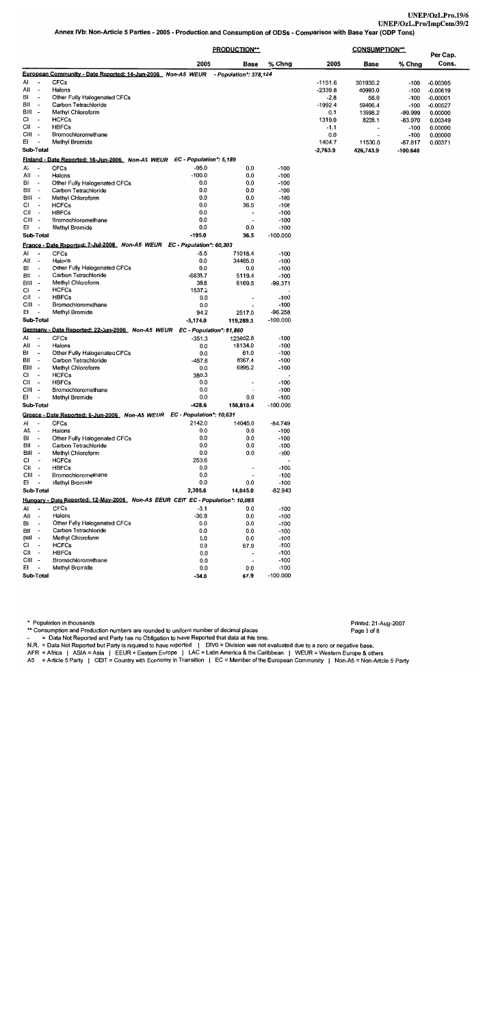|                                           |                                                                                              | <b>PRODUCTION**</b> |                          |                  | <b>CONSUMPTION**</b><br>Per Cap. |           |          |            |  |
|-------------------------------------------|----------------------------------------------------------------------------------------------|---------------------|--------------------------|------------------|----------------------------------|-----------|----------|------------|--|
|                                           |                                                                                              | 2005                | Base                     | % Chng           | 2005                             | Base      | % Chng   | Cons.      |  |
|                                           | European Community - Date Reported: 14-Jun-2006 _ Non-A5 WEUR                                |                     | - Population*: 378,124   |                  |                                  |           |          |            |  |
| AI<br>$\overline{\phantom{a}}$            | <b>CFCs</b>                                                                                  |                     |                          |                  | $-1151.6$                        | 301930.2  | -100     | $-0.00305$ |  |
| All<br>$\overline{\phantom{a}}$           | Halons                                                                                       |                     |                          |                  | -2339.8                          | 40993.0   | -100     | $-0.00619$ |  |
| ВI<br>$\overline{\phantom{a}}$            | Other Fully Halogenated CFCs                                                                 |                     |                          |                  | $-2.8$                           | 58.0      | $-100$   | $-0.00001$ |  |
| BII<br>$\overline{\phantom{a}}$           | Carbon Tetrachloride                                                                         |                     |                          |                  | $-1992.4$                        | 50406.4   | $-100$   | $-0.00527$ |  |
| BIII -                                    | Methyl Chloroform                                                                            |                     |                          |                  | 0.1                              | 13598.2   | -99.999  | 0.00000    |  |
| СI<br>$\overline{\phantom{a}}$            | <b>HCFCs</b>                                                                                 |                     |                          |                  | 1319.0                           | 8228.1    | -83.970  | 0.00349    |  |
| CII<br>$\overline{\phantom{a}}$           | <b>HBFCs</b>                                                                                 |                     |                          |                  | -1.1                             |           | $-100$   | 0.00000    |  |
| CIII -                                    | Bromochloromethane                                                                           |                     |                          |                  | 0.0                              |           | $-100$   | 0.00000    |  |
| ΕI<br>$\overline{\phantom{a}}$            | <b>Methyl Bromide</b>                                                                        |                     |                          |                  | 1404.7                           | 11530.0   | -87.817  | 0.00371    |  |
| Sub-Total                                 |                                                                                              |                     |                          |                  | $-2,763.9$                       | 426,743.9 | -100.648 |            |  |
|                                           | <u> Finland - Date Reported: 16-Jun-2006 Non-A5_WEUR             EC - Population*: 5,189</u> |                     |                          |                  |                                  |           |          |            |  |
| AI<br>$\blacksquare$                      | <b>CFCs</b>                                                                                  | $-95.0$             | 0.0                      | -100             |                                  |           |          |            |  |
| All<br>$\overline{\phantom{a}}$           | Halons                                                                                       | $-100.0$            | 0.0                      | $-100$           |                                  |           |          |            |  |
| BI<br>$\overline{\phantom{a}}$            | Other Fully Halogenated CFCs                                                                 | 0.0                 | 0.0                      | $-100$           |                                  |           |          |            |  |
| ВII<br>$\overline{\phantom{a}}$<br>BIII - | Carbon Tetrachloride                                                                         | 0.0<br>0.0          | 0.0<br>0.0               | $-100$<br>$-100$ |                                  |           |          |            |  |
| CI<br>$\overline{\phantom{a}}$            | Methyl Chloroform<br><b>HCFCs</b>                                                            | 0.0                 | 36.5                     | $-100$           |                                  |           |          |            |  |
| CII<br>$\overline{\phantom{a}}$           | <b>HBFCs</b>                                                                                 | 0.0                 | $\overline{\phantom{a}}$ | $-100$           |                                  |           |          |            |  |
| CIII -                                    | Bromochloromethane                                                                           | 0.0                 | $\overline{\phantom{a}}$ | $-100$           |                                  |           |          |            |  |
| EI<br>$\overline{\phantom{a}}$            | Methyl Bromide                                                                               | 0.0                 | 0.0                      | -100             |                                  |           |          |            |  |
| Sub-Total                                 |                                                                                              | $-195.0$            | 36.5                     | $-100.000$       |                                  |           |          |            |  |
|                                           | France - Date Reported: 7-Jul-2006_ Non-A5 WEUR EC - Population*: 60,303                     |                     |                          |                  |                                  |           |          |            |  |
| AI<br>$\overline{\phantom{a}}$            | <b>CFCs</b>                                                                                  | $-5.5$              | 71018.4                  | -100             |                                  |           |          |            |  |
| All<br>$\overline{\phantom{a}}$           | Halons                                                                                       | 0.0                 | 34465.0                  | $-100$           |                                  |           |          |            |  |
| BI<br>$\overline{\phantom{a}}$            | Other Fully Halogenated CFCs                                                                 | 0.0                 | 0.0                      | $-100$           |                                  |           |          |            |  |
| BII<br>$\overline{\phantom{a}}$           | Carbon Tetrachloride                                                                         | -6838.7             | 5119.4                   | $-100$           |                                  |           |          |            |  |
| BIII -                                    | Methyl Chloroform                                                                            | 38.8                | 6169.5                   | $-99.371$        |                                  |           |          |            |  |
| СI<br>$\overline{\phantom{a}}$            | <b>HCFCs</b>                                                                                 | 1537.2              |                          |                  |                                  |           |          |            |  |
| CII -                                     | <b>HBFCs</b>                                                                                 | 0.0                 | $\overline{\phantom{a}}$ | -100             |                                  |           |          |            |  |
| CIII -                                    | Bromochloromethane                                                                           | 0.0                 |                          | -100             |                                  |           |          |            |  |
| EI<br>$\overline{\phantom{a}}$            | Methyl Bromide                                                                               | 94.2                | 2517.0                   | $-96.258$        |                                  |           |          |            |  |
| Sub-Total                                 |                                                                                              | $-5,174.0$          | 119,289.3                | -100.000         |                                  |           |          |            |  |
|                                           | <u>Germany - Date Reported: 22-Jun-2006 </u> Non-A5 <i>WEUR    EC - Population*: 81,860</i>  |                     |                          |                  |                                  |           |          |            |  |
| Al<br>$\overline{\phantom{a}}$            | <b>CFCs</b>                                                                                  | $-351.3$            | 123652.8                 | $-100$           |                                  |           |          |            |  |
| All<br>$\overline{\phantom{a}}$           | Halons                                                                                       | 0.0                 | 18134.0                  | $-100$           |                                  |           |          |            |  |
| BI<br>$\overline{\phantom{a}}$            | Other Fully Halogenated CFCs                                                                 | 0.0                 | 61.0                     | $-100$           |                                  |           |          |            |  |
| BII<br>$\overline{\phantom{a}}$           | Carbon Tetrachloride                                                                         | -457.6              | 8067.4                   | $-100$           |                                  |           |          |            |  |
| BIII -                                    | Methyl Chloroform                                                                            | 0.0                 | 6895.2                   | $-100$           |                                  |           |          |            |  |
| СI<br>$\overline{\phantom{a}}$            | <b>HCFCs</b>                                                                                 | 380.3               |                          |                  |                                  |           |          |            |  |
| СII<br>$\overline{\phantom{a}}$           | <b>HBFCs</b>                                                                                 | 0.0                 |                          | $-100$           |                                  |           |          |            |  |
| CIII -                                    | Bromochloromethane                                                                           | 0.0                 |                          | $-100$           |                                  |           |          |            |  |
| ΕI<br>$\overline{\phantom{a}}$            | Methyl Bromide                                                                               | 0.0                 | 0.0                      | $-100$           |                                  |           |          |            |  |
| Sub-Total                                 |                                                                                              | -428.6              | 156,810.4                | $-100.000$       |                                  |           |          |            |  |
|                                           | Greece - Date Reported: 6-Jun-2006    Non-A5 WEUR    EC - Population*: 10,631                |                     |                          |                  |                                  |           |          |            |  |
| AI<br>$\overline{\phantom{a}}$            | CFCs                                                                                         | 2142.0              | 14045.0                  | $-84.749$        |                                  |           |          |            |  |
| All<br>$\overline{\phantom{a}}$           | Halons                                                                                       | 0.0                 | 0.0                      | $-100$           |                                  |           |          |            |  |
| BI<br>$\overline{\phantom{a}}$            | Other Fully Halogenated CFCs                                                                 | 0.0                 | 0.0                      | $-100$           |                                  |           |          |            |  |
| BII<br>$\overline{\phantom{a}}$           | Carbon Tetrachloride                                                                         | 0.0                 | 0.0                      | $-100$           |                                  |           |          |            |  |
| BIII<br>$\overline{\phantom{a}}$          | Methyl Chloroform                                                                            | 0.0                 | 0.0                      | $-100$           |                                  |           |          |            |  |
| СI<br>$\overline{\phantom{a}}$            | <b>HCFCs</b>                                                                                 | 253.6               |                          |                  |                                  |           |          |            |  |
| CII<br>$\sim$                             | <b>HBFCs</b>                                                                                 | 0.0                 | $\overline{a}$           | $-100$           |                                  |           |          |            |  |
| CIII -                                    | Bromochloromethane                                                                           | 0.0                 |                          | $-100$           |                                  |           |          |            |  |
| EH<br>$\overline{\phantom{a}}$            | Methyl Bromide                                                                               | 0.0                 | 0.0                      | $-100$           |                                  |           |          |            |  |
| Sub-Total                                 |                                                                                              | 2,395.6             | 14,045.0                 | $-82.943$        |                                  |           |          |            |  |
|                                           | Hungary - Date Reported: 12-May-2006 Non-A5 EEUR CEIT EC - Population*: 10,085               |                     |                          |                  |                                  |           |          |            |  |
| AI<br>$\overline{\phantom{a}}$            | <b>CFCs</b>                                                                                  | $-3.1$              | 0.0                      | $-100$           |                                  |           |          |            |  |
| AII<br>$\overline{\phantom{a}}$           | Halons                                                                                       | $-30.9$             | 0.0                      | $-100$           |                                  |           |          |            |  |
| BI<br>$\overline{\phantom{a}}$            | Other Fully Halogenated CFCs                                                                 | 0.0                 | 0.0                      | $-100$           |                                  |           |          |            |  |
| BII<br>$\overline{\phantom{a}}$           | Carbon Tetrachloride                                                                         | 0.0                 | 0.0                      | $-100$           |                                  |           |          |            |  |
| BIII -                                    | Methyl Chloroform                                                                            | 0.0                 | 0.0                      | $-100$           |                                  |           |          |            |  |
| СI<br>$\overline{\phantom{a}}$            | <b>HCFCs</b>                                                                                 | 0.0                 | 67.9<br>٠                | $-100$           |                                  |           |          |            |  |
| СII<br>$\sim$<br>CIII -                   | <b>HBFCs</b><br>Bromochloromethane                                                           | 0.0<br>0.0          | ÷,                       | $-100$<br>$-100$ |                                  |           |          |            |  |
| ΕI<br>$\overline{\phantom{a}}$            | Methyl Bromide                                                                               | 0.0                 | 0.0                      | $-100$           |                                  |           |          |            |  |
| Sub-Total                                 |                                                                                              | $-34.0$             | 67.9                     | $-100.000$       |                                  |           |          |            |  |
|                                           |                                                                                              |                     |                          |                  |                                  |           |          |            |  |

\* Population in thousands

\*\*\* Consumption and Production numbers are rounded to uniform number of decimal places

= Data Not Reported and Party has no Obligation to have Reported that data at this time.

N.R. = Data Not Reported but Party is required to have reported | DIVO = Division was not evaluated due to a zero or negative base.<br>AFR = Africa | ASIA = Asia | EEUR = Eastern Europe | LAC = Latin America & the Caribbean |

A5 = Article 5 Party | CEIT = Country with Economy in Transition | EC = Member of the European Community | Non-A5 = Non-Article 5 Party

Printed: 21-Aug-2007 Page 3 of 8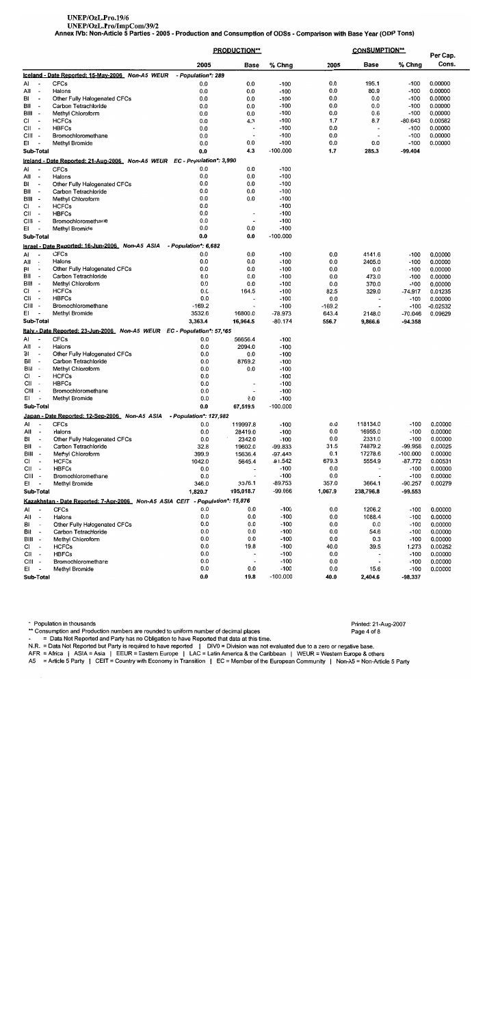## UNEP/OzL.Pro.19/6

UNEP/OzL.Pro/ImpCom/39/2<br>INEP/OzL.Pro/ImpCom/39/2<br>Annex IVb: Non-Article 5 Parties - 2005 - Production and Consumption of ODSs - Comparison with Base Year (ODP Tons)

|               |                                    |                                                                               | <b>PRODUCTION**</b><br><b>CONSUMPTION**</b> |                          |                  | Per Cap.   |                          |                  |                    |
|---------------|------------------------------------|-------------------------------------------------------------------------------|---------------------------------------------|--------------------------|------------------|------------|--------------------------|------------------|--------------------|
|               |                                    |                                                                               | 2005                                        | Base                     | % Chng           | 2005       | Base                     | % Chng           | Cons.              |
|               |                                    | Iceland - Date Reported: 15-May-2006_ Non-A5 WEUR                             | - Population*: 289                          |                          |                  |            |                          |                  |                    |
| Al            |                                    | <b>CFCs</b>                                                                   | 0.0                                         | 0.0                      | $-100$           | 0.0        | 195.1                    | $-100$           | 0.00000            |
| All           | $\blacksquare$                     | Halons                                                                        | 0.0                                         | 0.0                      | $-100$           | 0.0        | 80.9                     | $-100$           | 0.00000            |
| BI            | $\blacksquare$                     | Other Fully Halogenated CFCs                                                  | 0.0                                         | 0.0                      | $-100$           | 0.0        | 0.0                      | $-100$           | 0.00000            |
| ВII           | $\overline{\phantom{a}}$           | Carbon Tetrachloride                                                          | 0.0                                         | 0.0                      | $-100$           | 0.0        | 0.0                      | $-100$           | 0.00000            |
| BIII -        |                                    | Methyl Chloroform                                                             | 0.0                                         | 0.0                      | $-100$           | 0.0        | 0.6                      | -100             | 0.00000            |
| СI            | $\overline{\phantom{a}}$           | <b>HCFCs</b>                                                                  | 0.0                                         | 4.3                      | $-100$           | 1.7        | 8.7                      | -80.643          | 0.00582            |
| CII           | $\overline{\phantom{a}}$           | <b>HBFCs</b>                                                                  | 0.0                                         | $\overline{\phantom{a}}$ | $-100$           | 0.0        | $\overline{\phantom{a}}$ | $-100$           | 0.00000            |
| CIII -<br>EI  |                                    | Bromochloromethane                                                            | 0.0                                         | $\overline{\phantom{a}}$ | $-100$           | 0.0        | $\overline{\phantom{0}}$ | $-100$           | 0.00000            |
|               | Sub-Total                          | <b>Methyl Bromide</b>                                                         | 0.0                                         | 0.0                      | $-100$           | 0.0        | 0.0                      | $-100$           | 0.00000            |
|               |                                    |                                                                               | 0.0                                         | 4.3                      | $-100.000$       | 1.7        | 285.3                    | -99.404          |                    |
|               |                                    | Ireland - Date Reported: 21-Aug-2006 Non-A5 WEUR EC - Population*: 3,990      |                                             |                          |                  |            |                          |                  |                    |
| AI            |                                    | <b>CFCs</b>                                                                   | 0.0                                         | 0.0                      | $-100$           |            |                          |                  |                    |
| All           | $\overline{\phantom{a}}$           | Halons                                                                        | 0.0                                         | 0.0                      | $-100$           |            |                          |                  |                    |
| BI            | $\overline{\phantom{a}}$<br>$\sim$ | Other Fully Halogenated CFCs                                                  | 0.0                                         | 0.0                      | $-100$           |            |                          |                  |                    |
| BII<br>BIII - |                                    | Carbon Tetrachloride<br>Methyl Chloroform                                     | 0.0<br>0.0                                  | 0.0                      | $-100$           |            |                          |                  |                    |
| СI            | $\overline{\phantom{a}}$           | <b>HCFCs</b>                                                                  | 0.0                                         | 0.0                      | $-100$<br>$-100$ |            |                          |                  |                    |
| CII           | $\overline{\phantom{a}}$           | <b>HBFCs</b>                                                                  | 0.0                                         | $\blacksquare$           | -100             |            |                          |                  |                    |
| CIII -        |                                    | Bromochloromethane                                                            | 0.0                                         | $\overline{\phantom{a}}$ | $-100$           |            |                          |                  |                    |
| EI            |                                    | Methyl Bromide                                                                | 0.0                                         | 0.0                      | $-100$           |            |                          |                  |                    |
|               | Sub-Total                          |                                                                               | 0.0                                         | 0.0                      | $-100.000$       |            |                          |                  |                    |
|               |                                    | Israel - Date Reported: 16-Jun-2006 Non-A5 ASIA                               |                                             |                          |                  |            |                          |                  |                    |
| Al            |                                    | <b>CFCs</b>                                                                   | - Population*: 6,682<br>0.0                 |                          |                  |            |                          |                  |                    |
| All           | $\overline{\phantom{a}}$           | Halons                                                                        | 0.0                                         | 0.0<br>0.0               | $-100$<br>$-100$ | 0.0<br>0.0 | 4141.6<br>2405.0         | $-100$<br>$-100$ | 0.00000<br>0.00000 |
| BI            | $\overline{\phantom{a}}$           | Other Fully Halogenated CFCs                                                  | 0.0                                         | 0.0                      | $-100$           | 0.0        | 0.0                      | $-100$           | 0.00000            |
| BII           | $\overline{\phantom{a}}$           | Carbon Tetrachloride                                                          | 0.0                                         | 0.0                      | $-100$           | 0.0        | 473.0                    | $-100$           | 0.00000            |
| BIII -        |                                    | Methyl Chloroform                                                             | 0.0                                         | 0.0                      | $-100$           | 0.0        | 370.0                    | $-100$           | 0.00000            |
| СI            | $\overline{\phantom{a}}$           | <b>HCFCs</b>                                                                  | 0.0                                         | 164.5                    | $-100$           | 82.5       | 329.0                    | -74.917          | 0.01235            |
| СII           | $\sim$                             | <b>HBFCs</b>                                                                  | 0.0                                         | $\overline{a}$           | $-100$           | 0.0        | $\overline{\phantom{a}}$ | $-100$           | 0.00000            |
| CIII -        |                                    | Bromochloromethane                                                            | $-169.2$                                    | ٠                        | $-100$           | $-169.2$   |                          | $-100$           | $-0.02532$         |
| EI            |                                    | <b>Methyl Bromide</b>                                                         | 3532.6                                      | 16800.0                  | $-78.973$        | 643.4      | 2148.0                   | $-70.046$        | 0.09629            |
|               | Sub-Total                          |                                                                               | 3,363.4                                     | 16,964.5                 | $-80.174$        | 556.7      | 9,866.6                  | $-94.358$        |                    |
|               |                                    | Italy - Date Reported: 23-Jun-2006_ Non-A5 WEUR EC - Population*: 57,165      |                                             |                          |                  |            |                          |                  |                    |
| AI            | $\overline{\phantom{a}}$           | <b>CFCs</b>                                                                   | 0.0                                         | 56656.4                  | -100             |            |                          |                  |                    |
| All           | $\sim$                             | Halons                                                                        | 0.0                                         | 2094.0                   | $-100$           |            |                          |                  |                    |
| BI            | $\overline{\phantom{a}}$           | Other Fully Halogenated CFCs                                                  | 0.0                                         | 0.0                      | $-100$           |            |                          |                  |                    |
| BII           | $\overline{\phantom{a}}$           | Carbon Tetrachloride                                                          | 0.0                                         | 8769.2                   | $-100$           |            |                          |                  |                    |
| BIII -        |                                    | Methyl Chloroform                                                             | 0.0                                         | 0.0                      | $-100$           |            |                          |                  |                    |
| СI            | $\blacksquare$                     | <b>HCFCs</b>                                                                  | 0.0                                         |                          | -100             |            |                          |                  |                    |
| CII           | - -                                | <b>HBFCs</b>                                                                  | 0.0                                         | $\overline{a}$           | $-100$           |            |                          |                  |                    |
| $CIII -$      |                                    | Bromochloromethane                                                            | 0.0                                         | $\overline{a}$           | $-100$           |            |                          |                  |                    |
| EI            |                                    | Methyl Bromide                                                                | 0.0                                         | 0.0                      | $-100$           |            |                          |                  |                    |
|               | Sub-Total                          |                                                                               | 0.0                                         | 67,519.6                 | $-100.000$       |            |                          |                  |                    |
|               |                                    | Japan - Date Reported: 12-Sep-2006 Non-A5 ASIA                                | - Population*: 127,982                      |                          |                  |            |                          |                  |                    |
| AI            | $\overline{\phantom{a}}$           | <b>CFCs</b>                                                                   | 0.0                                         | 119997.8                 | $-100$           | 0.0        | 118134.0                 | $-100$           | 0.00000            |
| All           | $\overline{\phantom{a}}$           | Halons                                                                        | 0.0                                         | 28419.0                  | $-100$           | 0.0        | 16955.0                  | $-100$           | 0.00000            |
| BI            |                                    | Other Fully Halogenated CFCs                                                  | 0.0                                         | 2342.0                   | $-100$           | 0.0        | 2331.0                   | $-100$           | 0.00000            |
| BII           |                                    | Carbon Tetrachloride                                                          | 32.8                                        | 19602.0                  | -99.833          | 31.5       | 74879.2                  | $-99.958$        | 0.00025            |
| BIII -        |                                    | Methyl Chloroform                                                             | 399.9                                       | 15636.4                  | -97.443          | 0.1        | 17278.6                  | $-100.000$       | 0.00000            |
| СI            |                                    | <b>HCFCs</b>                                                                  | 1042.0                                      | 5645.4                   | -81.542          | 679.3      | 5554.9                   | $-87.772$        | 0.00531            |
| CII -         |                                    | <b>HBFCs</b>                                                                  | 0.0                                         |                          | $-100$           | 0.0        |                          | $-100$           | 0.00000            |
| CIII -        |                                    | Bromochloromethane                                                            | 0.0                                         |                          | $-100$           | 0.0        | $\overline{a}$           | $-100$           | 0.00000            |
| EI            | $\overline{\phantom{a}}$           | <b>Methyl Bromide</b>                                                         | 346.0                                       | 3376.1                   | $-89.753$        | 357.0      | 3664.1                   | $-90.257$        | 0.00279            |
|               | Sub-Total                          |                                                                               | 1,820.7                                     | 195,018.7                | $-99.066$        | 1,067.9    | 238,796.8                | -99.553          |                    |
|               |                                    | Kazakhstan - Date Reported: 7-Apr-2006 Non-A5 ASIA CEIT - Population*: 15,876 |                                             |                          |                  |            |                          |                  |                    |
| Al            |                                    | <b>CFCs</b>                                                                   | 0.0                                         | 0.0                      | $-100$           | 0.0        | 1206.2                   | $-100$           | 0.00000            |
| All           |                                    | Halons                                                                        | 0.0                                         | 0.0                      | $-100$           | 0.0        | 1088.4                   | $-100$           | 0.00000            |
| BI            |                                    | Other Fully Halogenated CFCs                                                  | 0.0                                         | 0.0                      | -100             | 0.0        | 0.0                      | $-100$           | 0.00000            |
| Bil           | $\blacksquare$                     | Carbon Tetrachloride                                                          | 0.0                                         | 0.0                      | $-100$           | 0.0        | 54.6                     | $-100$           | 0.00000            |
| BIII -        |                                    | Methyl Chloroform                                                             | 0.0                                         | 0.0                      | $-100$           | 0.0        | 0.3                      | $-100$           | 0.00000            |
| СI            | $\overline{\phantom{a}}$           | <b>HCFCs</b>                                                                  | 0.0                                         | 19.8                     | $-100$           | 40.0       | 39.5                     | 1.273            | 0.00252            |
| CII -         |                                    | <b>HBFCs</b>                                                                  | 0.0                                         | $\overline{\phantom{a}}$ | $-100$           | 0.0        | ×,                       | $-100$           | 0.00000            |
| CIII -        |                                    | Bromochloromethane                                                            | 0.0                                         | $\overline{a}$           | $-100$           | 0.0        |                          | $-100$           | 0.00000            |
| EI            | $\overline{\phantom{a}}$           | Methyl Bromide                                                                | 0.0                                         | 0.0                      | $-100$           | 0.0        | 15.6                     | $-100$           | 0.00000            |
|               | Sub-Total                          |                                                                               | 0.0                                         | 19.8                     | $-100.000$       | 40.0       | 2,404.6                  | -98.337          |                    |

\* Population in thousands

\*\* Consumption and Production numbers are rounded to uniform number of decimal places

Lonsumption and Production numbers are rounded to uniform number of decimal places<br>- = Data Not Reported and Party has no Obligation to have Reported that data at this time.<br>- N.R. = Data Not Reported but Party is required

Printed: 21-Aug-2007

Page 4 of 8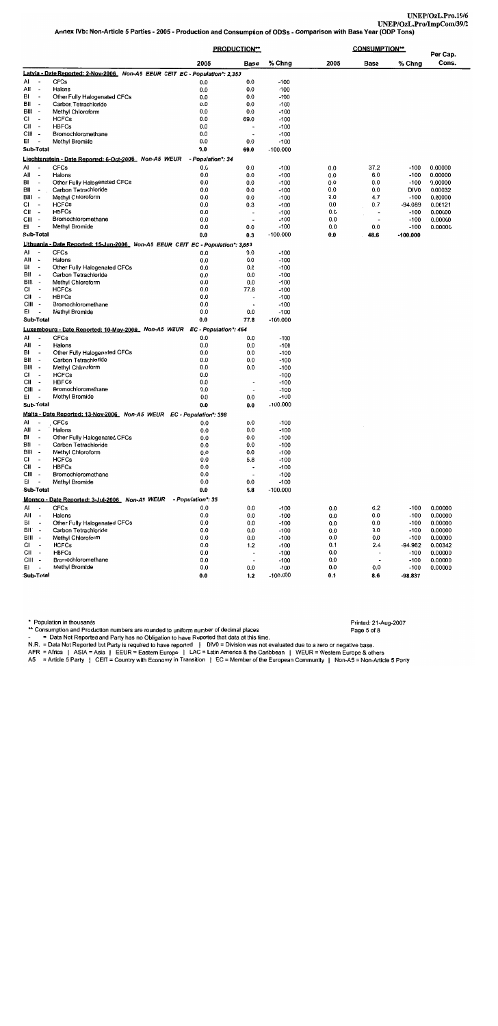|                |                                                      |                                                                                  |                   | <b>PRODUCTION**</b>      |                  |            | <b>CONSUMPTION**</b>     |                            | Per Cap.           |  |
|----------------|------------------------------------------------------|----------------------------------------------------------------------------------|-------------------|--------------------------|------------------|------------|--------------------------|----------------------------|--------------------|--|
|                |                                                      |                                                                                  | 2005              | Base                     | % Chng           | 2005       | Base                     | % Chng                     | Cons.              |  |
|                |                                                      | Latvia - Date Reported: 2-Nov-2006_ Non-A5 EEUR CEIT EC - Population*: 2,353     |                   |                          |                  |            |                          |                            |                    |  |
| AI             |                                                      | <b>CFCs</b>                                                                      | 0.0               | 0.0                      | $-100$           |            |                          |                            |                    |  |
| All            | $\overline{\phantom{a}}$                             | Halons                                                                           | 0.0               | 0.0                      | $-100$           |            |                          |                            |                    |  |
| в١             | $\overline{\phantom{a}}$                             | Other Fully Halogenated CFCs                                                     | 0.0               | 0.0                      | $-100$           |            |                          |                            |                    |  |
| BII<br>BIII -  | $\overline{\phantom{a}}$                             | Carbon Tetrachloride<br>Methyl Chloroform                                        | 0.0<br>0.0        | 0.0<br>0.0               | $-100$<br>$-100$ |            |                          |                            |                    |  |
| СI             | $\overline{\phantom{a}}$                             | <b>HCFCs</b>                                                                     | 0.0               | 69.0                     | $-100$           |            |                          |                            |                    |  |
| CII            | $\overline{\phantom{a}}$                             | <b>HBFCs</b>                                                                     | 0.0               | $\overline{\phantom{a}}$ | $-100$           |            |                          |                            |                    |  |
| CIII           | $\overline{\phantom{a}}$                             | Bromochloromethane                                                               | 0.0               |                          | $-100$           |            |                          |                            |                    |  |
| EI             | $\overline{\phantom{a}}$                             | Methyl Bromide                                                                   | 0.0               | 0.0                      | $-100$           |            |                          |                            |                    |  |
|                | Sub-Total                                            |                                                                                  | 0.0               | 69.0                     | $-100.000$       |            |                          |                            |                    |  |
|                |                                                      | Liechtenstein - Date Reported: 6-Oct-2006 Non-A5 WEUR                            | - Population*: 34 |                          |                  |            |                          |                            |                    |  |
| AI             |                                                      | <b>CFCs</b>                                                                      | 0.0               | 0.0                      | $-100$           | 0.0        | 37.2                     | $-100$                     | 0.00000            |  |
| All            | $\overline{\phantom{a}}$                             | Halons                                                                           | 0.0               | 0.0                      | $-100$           | 0.0        | 6.0                      | -100                       | 0.00000            |  |
| BI<br>BII      | $\blacksquare$<br>$\overline{\phantom{a}}$           | Other Fully Halogenated CFCs<br>Carbon Tetrachloride                             | 0.0<br>0.0        | 0.0<br>0.0               | $-100$<br>$-100$ | 0.0<br>0.0 | 0.0<br>0.0               | $-100$<br>DIV <sub>0</sub> | 0.00000<br>0.00032 |  |
| BIII           | $\overline{\phantom{a}}$                             | Methyl Chloroform                                                                | 0.0               | 0.0                      | $-100$           | 0.0        | 4.7                      | $-100$                     | 0.00000            |  |
| СI             | $\overline{\phantom{a}}$                             | <b>HCFCs</b>                                                                     | 0.0               | 0.3                      | $-100$           | 0.0        | 0.7                      | $-94.089$                  | 0.00121            |  |
| CII            | $\sim$                                               | <b>HBFCs</b>                                                                     | 0.0               | $\overline{\phantom{a}}$ | $-100$           | 0.0        | $\overline{\phantom{a}}$ | $-100$                     | 0.00000            |  |
| CIII -         |                                                      | Bromochloromethane                                                               | 0.0               |                          | $-100$           | 0.0        | $\overline{\phantom{a}}$ | $-100$                     | 0.00000            |  |
| EI             | $\overline{\phantom{a}}$                             | Methyl Bromide                                                                   | 0.0               | 0.0                      | $-100$           | 0.0        | 0.0                      | -100                       | 0.00000            |  |
|                | Sub-Total                                            |                                                                                  | 0.0               | 0.3                      | $-100.000$       | 0.0        | 48.6                     | $-100.000$                 |                    |  |
|                |                                                      | Lithuania - Date Reported: 15-Jun-2006_ Non-A5 EEUR CEIT EC - Population*: 3,653 |                   |                          |                  |            |                          |                            |                    |  |
| A١             |                                                      | <b>CFCs</b>                                                                      | 0.0               | 0.0                      | $-100$           |            |                          |                            |                    |  |
| AII            | $\tilde{\phantom{a}}$                                | Halons                                                                           | 0.0<br>0.0        | 0.0                      | $-100$           |            |                          |                            |                    |  |
| BI<br>BII      | $\overline{\phantom{a}}$<br>$\overline{\phantom{a}}$ | Other Fully Halogenated CFCs<br>Carbon Tetrachloride                             | 0.0               | 0.0<br>0.0               | $-100$<br>$-100$ |            |                          |                            |                    |  |
| BIII           | $\overline{\phantom{a}}$                             | Methyl Chloroform                                                                | 0.0               | 0.0                      | $-100$           |            |                          |                            |                    |  |
| СI             | $\overline{\phantom{a}}$                             | <b>HCFCs</b>                                                                     | 0.0               | 77.8                     | $-100$           |            |                          |                            |                    |  |
| CII            | $\overline{\phantom{a}}$                             | <b>HBFCs</b>                                                                     | 0.0               | $\overline{\phantom{a}}$ | $-100$           |            |                          |                            |                    |  |
| CIII           | $\overline{\phantom{a}}$                             | Bromochloromethane                                                               | 0.0               |                          | $-100$           |            |                          |                            |                    |  |
| EL             | $\tilde{\phantom{a}}$                                | Methyl Bromide                                                                   | 0.0               | 0.0                      | -100             |            |                          |                            |                    |  |
|                | Sub-Total                                            |                                                                                  | 0.0               | 77.8                     | $-100.000$       |            |                          |                            |                    |  |
|                |                                                      | Luxembourg - Date Reported: 10-May-2006 Non-A5 WEUR EC - Population*: 464        |                   |                          |                  |            |                          |                            |                    |  |
| AI             |                                                      | <b>CFCs</b>                                                                      | 0.0               | 0.0                      | $-100$           |            |                          |                            |                    |  |
| All            | $\overline{\phantom{a}}$                             | Halons                                                                           | 0.0               | 0.0                      | $-100$           |            |                          |                            |                    |  |
| BI<br>BII      | $\overline{\phantom{a}}$<br>$\overline{\phantom{a}}$ | Other Fully Halogenated CFCs<br>Carbon Tetrachloride                             | 0.0<br>0.0        | 0.0<br>0.0               | $-100$<br>$-100$ |            |                          |                            |                    |  |
| BIII           | $\overline{\phantom{a}}$                             | Methyl Chloroform                                                                | 0.0               | 0.0                      | $-100$           |            |                          |                            |                    |  |
| СI             | $\overline{\phantom{a}}$                             | <b>HCFCs</b>                                                                     | 0.0               |                          | $-100$           |            |                          |                            |                    |  |
| CII            | $\overline{\phantom{a}}$                             | <b>HBFCs</b>                                                                     | 0.0               | $\overline{\phantom{a}}$ | $-100$           |            |                          |                            |                    |  |
| CIII -         |                                                      | Bromochloromethane                                                               | 0.0               | $\overline{\phantom{0}}$ | $-100$           |            |                          |                            |                    |  |
| EL             | $\overline{\phantom{a}}$                             | Methyl Bromide                                                                   | 0.0               | 0.0                      | $-100$           |            |                          |                            |                    |  |
|                | Sub-Total                                            |                                                                                  | 0.0               | 0.0                      | -100.000         |            |                          |                            |                    |  |
|                |                                                      | Malta - Date Reported: 13-Nov-2006_ Non-A5 WEUR EC - Population*: 398            |                   |                          |                  |            |                          |                            |                    |  |
| AI             | $\frac{1}{2}$                                        | CFCs                                                                             | 0.0               | 0.0                      | $-100$           |            |                          |                            |                    |  |
| All            | $\overline{\phantom{a}}$                             | Halons                                                                           | 0.0               | 0.0                      | $-100$           |            |                          |                            |                    |  |
| BI<br>BII      | $\overline{\phantom{a}}$<br>$\overline{\phantom{a}}$ | Other Fully Halogenated CFCs<br>Carbon Tetrachloride                             | 0.0<br>0.0        | 0.0<br>0.0               | $-100$<br>$-100$ |            |                          |                            |                    |  |
| BIII           | $\overline{\phantom{a}}$                             | Methyl Chloroform                                                                | 0.0               | 0.0                      | $-100$           |            |                          |                            |                    |  |
| СI             | $\overline{a}$                                       | <b>HCFCs</b>                                                                     | 0.0               | 5.8                      | $-100$           |            |                          |                            |                    |  |
| CII            | $\overline{\phantom{a}}$                             | <b>HBFCs</b>                                                                     | 0.0               |                          | $-100$           |            |                          |                            |                    |  |
| CIII           | $\blacksquare$                                       | Bromochloromethane                                                               | 0.0               | $\overline{\phantom{a}}$ | $-100$           |            |                          |                            |                    |  |
| EL             | $\overline{\phantom{a}}$                             | Methyl Bromide                                                                   | 0.0               | 0.0                      | $-100$           |            |                          |                            |                    |  |
|                | Sub-Total                                            |                                                                                  | 0.0               | 5.8                      | $-100.000$       |            |                          |                            |                    |  |
|                |                                                      | Monaco - Date Reported: 3-Jul-2006_ Non-A5 WEUR                                  | - Population*: 35 |                          |                  |            |                          |                            |                    |  |
| Al             |                                                      | <b>CFCs</b>                                                                      | 0.0               | 0.0                      | $-100$           | 0.0        | 6.2                      | $-100$                     | 0.00000            |  |
| AII            | $\overline{\phantom{a}}$                             | Halons                                                                           | 0.0               | 0.0                      | $-100$           | 0.0        | 0.0                      | $-100$                     | 0.00000            |  |
| BI             | $\overline{\phantom{a}}$<br>$\overline{\phantom{a}}$ | Other Fully Halogenated CFCs                                                     | 0.0               | 0.0                      | $-100$<br>$-100$ | 0.0        | 0.0                      | -100                       | 0.00000            |  |
| BII.<br>BIII - |                                                      | Carbon Tetrachloride<br>Methyl Chloroform                                        | 0.0<br>0.0        | 0.0<br>0.0               | $-100$           | 0.0<br>0.0 | 0.0<br>0.0               | -100<br>$-100$             | 0.00000<br>0.00000 |  |
| СI             | $\blacksquare$                                       | <b>HCFCs</b>                                                                     | 0.0               | 1.2                      | $-100$           | 0.1        | 2.4                      | -94.962                    | 0.00342            |  |
| CII            | $\overline{\phantom{a}}$                             | <b>HBFCs</b>                                                                     | 0.0               | $\overline{\phantom{a}}$ | $-100$           | 0.0        |                          | -100                       | 0.00000            |  |
| CIII -         |                                                      | Bromochloromethane                                                               | 0.0               | $\overline{\phantom{a}}$ | $-100$           | 0.0        | $\overline{\phantom{a}}$ | -100                       | 0.00000            |  |
| EL             | $\overline{\phantom{a}}$                             | Methyl Bromide                                                                   | 0.0               | 0.0                      | $-100$           | 0.0        | 0.0                      | -100                       | 0.00000            |  |
|                | Sub-Total                                            |                                                                                  | 0.0               | $1.2$                    | $-100.000$       | 0.1        | 8.6                      | -98.837                    |                    |  |

\*\* Consumption and Production numbers are rounded to uniform number of decimal places

= Data Not Reported and Party has no Obligation to have Reported that data at this time.

N.R. = Data Not Reported but Party is required to have reported | DIVO = Division was not evaluated due to a zero or negative base.<br>AFR = Africa | ASIA = Asia | EEUR = Eastern Europe | LAC = Latin America & the Caribbean |

A5 = Article 5 Party | CEIT = Country with Economy in Transition | EC = Member of the European Community | Non-A5 = Non-Article 5 Party

### Printed: 21-Aug-2007 Page 5 of 8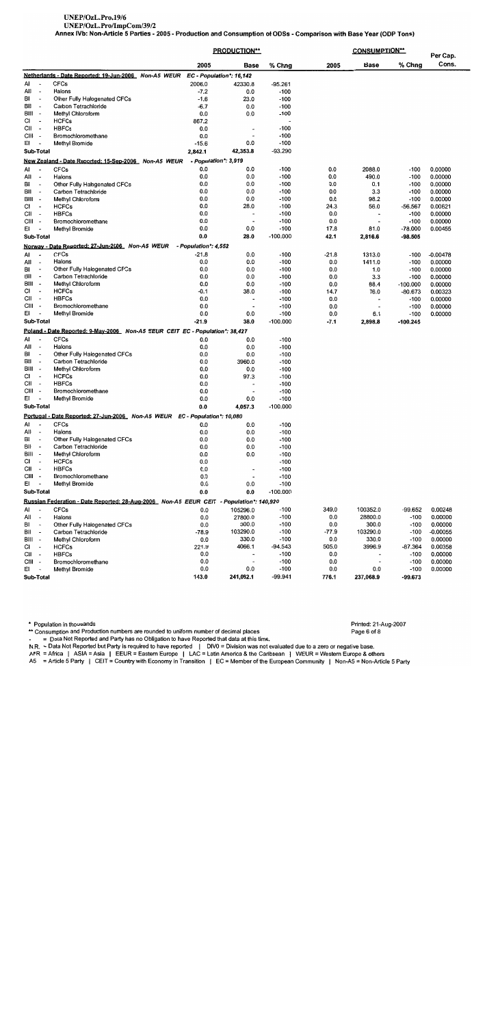### UNEP/OzL.Pro.19/6 UNEP/OzL.Pro/ImpCom/39/2

Annex IVb: Non-Article 5 Parties - 2005 - Production and Consumption of ODSs - Comparison with Base Year (ODP Tons)

|               |                                                      |                                                                                         |         | <b>PRODUCTION**</b>                           |                  |            | <b>CONSUMPTION**</b>            |                  | Per Cap.           |
|---------------|------------------------------------------------------|-----------------------------------------------------------------------------------------|---------|-----------------------------------------------|------------------|------------|---------------------------------|------------------|--------------------|
|               |                                                      |                                                                                         |         | 2005<br>Base                                  | % Chng           | 2005       | Base                            | % Chng           | Cons.              |
|               |                                                      | Netherlands - Date Reported: 19-Jun-2006 Non-A5 WEUR                                    |         | EC - Population*: 16,142                      |                  |            |                                 |                  |                    |
| AI            |                                                      | <b>CFCs</b>                                                                             | 2006.0  | 42330.8                                       | -95.261          |            |                                 |                  |                    |
| All           | $\overline{\phantom{a}}$                             | Halons                                                                                  |         | $-7.2$<br>0.0                                 | $-100$           |            |                                 |                  |                    |
| ВΙ            | $\overline{\phantom{a}}$                             | Other Fully Halogenated CFCs                                                            |         | $-1.6$<br>23.0                                | $-100$           |            |                                 |                  |                    |
| BII<br>BIII - | $\overline{\phantom{a}}$                             | Carbon Tetrachlonde<br>Methyl Chloroform                                                |         | -6.7<br>0.0<br>0.0<br>0.0                     | -100<br>-100     |            |                                 |                  |                    |
| СI            |                                                      | <b>HCFCs</b>                                                                            | 867.2   |                                               |                  |            |                                 |                  |                    |
| CII           | $\overline{\phantom{a}}$                             | <b>HBFCs</b>                                                                            |         | 0.0<br>$\overline{\phantom{a}}$               | $-100$           |            |                                 |                  |                    |
| CIII          | $\overline{\phantom{a}}$                             | Bromochloromethane                                                                      |         | 0.0<br>$\overline{\phantom{a}}$               | -100             |            |                                 |                  |                    |
| EI            |                                                      | Methyl Bromide                                                                          |         | $-15.6$<br>0.0                                | $-100$           |            |                                 |                  |                    |
|               | Sub-Total                                            |                                                                                         | 2,842.1 | 42,353.8                                      | -93.290          |            |                                 |                  |                    |
|               |                                                      | New Zealand - Date Reported: 15-Sep-2006 Non-A5 WEUR                                    |         | - Population*: 3,919                          |                  |            |                                 |                  |                    |
| AI            |                                                      | <b>CFCs</b>                                                                             |         | 0.0<br>0.0                                    | $-100$           | 0.0        | 2088.0                          | $-100$           | 0.00000            |
| AII<br>BI     | $\overline{\phantom{a}}$<br>$\overline{\phantom{a}}$ | Halons<br>Other Fully Halogenated CFCs                                                  |         | 0.0<br>0.0<br>0.0<br>0.0                      | $-100$<br>$-100$ | 0.0<br>0.0 | 490.0<br>0.1                    | $-100$           | 0.00000            |
| ВII           | $\overline{\phantom{a}}$                             | Carbon Tetrachloride                                                                    |         | 0.0<br>0.0                                    | $-100$           | 0.0        | 3.3                             | $-100$<br>$-100$ | 0.00000<br>0.00000 |
| BIII -        |                                                      | Methyl Chloroform                                                                       |         | 0.0<br>0.0                                    | $-100$           | 0.0        | 98.2                            | -100             | 0.00000            |
| СI            |                                                      | <b>HCFCs</b>                                                                            |         | 0.0<br>28.0                                   | $-100$           | 24.3       | 56.0                            | $-56.567$        | 0.00621            |
| CII           | $\overline{\phantom{a}}$                             | <b>HBFCs</b>                                                                            |         | 0.0<br>$\overline{a}$                         | $-100$           | 0.0        | $\ddot{\phantom{0}}$            | -100             | 0.00000            |
| CIII -        |                                                      | Bromochloromethane                                                                      |         | 0.0<br>$\overline{\phantom{a}}$               | -100             | 0.0        |                                 | -100             | 0.00000            |
| EI            |                                                      | Methyl Bromide                                                                          |         | 0.0<br>0.0                                    | $-100$           | 17.8       | 81.0                            | -78.000          | 0.00455            |
|               | Sub-Total                                            |                                                                                         |         | 0.0<br>28.0                                   | $-100.000$       | 42.1       | 2,816.6                         | $-98.505$        |                    |
|               |                                                      | Norway - Date Reported: 27-Jun-2006 Non-A5 WEUR                                         |         | - Population*: 4,552                          |                  |            |                                 |                  |                    |
| AI            |                                                      | <b>CFCs</b>                                                                             |         | -21.8<br>0.0                                  | $-100$           | $-21.8$    | 1313.0                          | $-100$           | $-0.00478$         |
| All<br>BI     | $\overline{\phantom{a}}$<br>$\cdot$                  | Halons<br>Other Fully Halogenated CFCs                                                  |         | 0.0<br>0.0<br>0.0<br>0.0                      | $-100$<br>$-100$ | 0.0<br>0.0 | 1411.0                          | $-100$           | 0.00000<br>0.00000 |
| BII           | $\overline{\phantom{a}}$                             | Carbon Tetrachlonde                                                                     |         | 0.0<br>0.0                                    | $-100$           | 0.0        | 1.0<br>3.3                      | $-100$<br>$-100$ | 0.00000            |
| BIII -        |                                                      | Methyl Chloroform                                                                       |         | 0.0<br>0.0                                    | -100             | 0.0        | 88.4                            | $-100.000$       | 0.00000            |
| сı            | $\overline{\phantom{a}}$                             | <b>HCFCs</b>                                                                            |         | -0.1<br>38.0                                  | $-100$           | 14.7       | 76.0                            | $-80.673$        | 0.00323            |
| CII           | $\overline{\phantom{a}}$                             | <b>HBFCs</b>                                                                            |         | 0.0<br>$\overline{a}$                         | $-100$           | 0.0        | $\overline{a}$                  | -100             | 0.00000            |
| CIII -        |                                                      | Bromochloromethane                                                                      |         | 0.0<br>٠                                      | $-100$           | 0.0        | ٠                               | $-100$           | 0.00000            |
| Εi            |                                                      | <b>Methyl Bromide</b>                                                                   |         | 0.0<br>0.0                                    | $-100$           | 0.0        | 6.1                             | $-100$           | 0.00000            |
|               | Sub-Total                                            |                                                                                         | -21.9   | 38.0                                          | $-100.000$       | -7.1       | 2,898.8                         | $-100.245$       |                    |
|               |                                                      | Poland - Date Reported: 9-May-2006_ Non-A5 EEUR CEIT EC - Population*: 38,427           |         |                                               |                  |            |                                 |                  |                    |
| AI<br>All     | $\overline{\phantom{a}}$<br>$\overline{\phantom{a}}$ | <b>CFCs</b><br>Halons                                                                   |         | 0.0<br>0.0<br>0.0<br>0.0                      | -100             |            |                                 |                  |                    |
| BI            | $\overline{\phantom{a}}$                             | Other Fully Halogenated CFCs                                                            |         | 0.0<br>0.0                                    | $-100$<br>$-100$ |            |                                 |                  |                    |
| BII           | $\overline{\phantom{a}}$                             | Carbon Tetrachloride                                                                    |         | 3960.0<br>0.0                                 | $-100$           |            |                                 |                  |                    |
| BIII          | $\overline{\phantom{a}}$                             | Methyl Chloroform                                                                       |         | 0.0<br>0.0                                    | $-100$           |            |                                 |                  |                    |
| СI            | $\overline{\phantom{a}}$                             | <b>HCFCs</b>                                                                            |         | 97.3<br>0.0                                   | $-100$           |            |                                 |                  |                    |
| CII           | ÷,                                                   | <b>HBFCs</b>                                                                            |         | 0.0<br>$\overline{\phantom{a}}$               | -100             |            |                                 |                  |                    |
| CIII -        |                                                      | Bromochloromethane                                                                      |         | 0.0<br>$\overline{\phantom{a}}$               | $-100$           |            |                                 |                  |                    |
| Eľ            |                                                      | <b>Methyl Bromide</b>                                                                   |         | 0.0<br>0.0                                    | $-100$           |            |                                 |                  |                    |
|               | Sub-Total                                            |                                                                                         |         | 0.0<br>4,057.3                                | $-100.000$       |            |                                 |                  |                    |
| AI            |                                                      | Portugal - Date Reported: 27-Jun-2006 Non-A5 WEUR EC - Population*: 10,080<br>CFCs      |         |                                               |                  |            |                                 |                  |                    |
| All           | $\overline{\phantom{a}}$                             | Halons                                                                                  |         | 0.0<br>0.0<br>0.0<br>0.0                      | -100<br>$-100$   |            |                                 |                  |                    |
| BI            |                                                      | Other Fully Halogenated CFCs                                                            |         | 0.0<br>0.0                                    | $-100$           |            |                                 |                  |                    |
| BII           |                                                      | Carbon Tetrachloride                                                                    |         | 0.0<br>0.0                                    | $-100$           |            |                                 |                  |                    |
| BIII -        |                                                      | Methyl Chloroform                                                                       |         | 0.0<br>0.0                                    | $-100$           |            |                                 |                  |                    |
| СI            | $\overline{\phantom{a}}$                             | <b>HCFCs</b>                                                                            |         | 0.0                                           | $-100$           |            |                                 |                  |                    |
| СII           | $\overline{\phantom{a}}$                             | <b>HBFCs</b>                                                                            |         | 0.0<br>$\overline{\phantom{a}}$               | $-100$           |            |                                 |                  |                    |
| CIII -<br>EI  | $\overline{\phantom{a}}$                             | Bromochloromethane<br>Methyl Bromide                                                    |         | 0.0<br>$\overline{\phantom{a}}$<br>0.0<br>0.0 | $-100$<br>$-100$ |            |                                 |                  |                    |
|               | Sub-Total                                            |                                                                                         |         | 0.0<br>0.0                                    | $-100.000$       |            |                                 |                  |                    |
|               |                                                      | Russian Federation - Date Reported: 28-Aug-2006 Non-A5 EEUR CEIT - Population*: 140,920 |         |                                               |                  |            |                                 |                  |                    |
| AI            |                                                      | <b>CFCs</b>                                                                             |         | 105296.0<br>0.0                               | $-100$           | 349.0      | 100352.0                        | $-99.652$        | 0.00248            |
| All           | $\overline{\phantom{a}}$                             | Halons                                                                                  |         | 0.0<br>27800.0                                | $-100$           | 0.0        | 28800.0                         | $-100$           | 0.00000            |
| BI            | Ĭ.                                                   | Other Fully Halogenated CFCs                                                            |         | 0.0<br>300.0                                  | $-100$           | 0.0        | 300.0                           | $-100$           | 0.00000            |
| BII           | $\blacksquare$                                       | Carbon Tetrachloride                                                                    |         | -78.9<br>103290.0                             | $-100$           | $-77.9$    | 103290.0                        | $-100$           | $-0.00055$         |
| BIII -        |                                                      | Methyl Chloroform                                                                       |         | 0.0<br>330.0                                  | $-100$           | 0.0        | 330.0                           | $-100$           | 0.00000            |
| СI            | $\overline{\phantom{a}}$                             | <b>HCFCs</b>                                                                            | 221.9   | 4066.1                                        | -94.543          | 505.0      | 3996.9                          | $-87.364$        | 0.00358            |
| СII           | $\overline{\phantom{a}}$                             | <b>HBFCs</b>                                                                            |         | 0.0                                           | $-100$<br>       | 0.0        |                                 | $-100$           | 0.00000            |
| CIII -<br>E١  |                                                      | Bromochloromethane<br><b>Methyl Bromide</b>                                             |         | 0.0<br>$\overline{\phantom{a}}$<br>0.0<br>0.0 | $-100$<br>$-100$ | 0.0<br>0.0 | $\overline{\phantom{a}}$<br>0.0 | $-100$<br>$-100$ | 0.00000<br>0.00000 |
|               | Sub-Total                                            |                                                                                         | 143.0   | 241,082.1                                     | -99.941          | 776.1      | 237,068.9                       | $-99.673$        |                    |
|               |                                                      |                                                                                         |         |                                               |                  |            |                                 |                  |                    |

\* Population in thousands

\*\* Consumption and Production numbers are rounded to uniform number of decimal places

Louisdinghion and Production numbers are rounded to uniform number of decimal places<br>- = Data Not Reported and Party has no Obligation to have Reported that data at this time.<br>- N.R. = Data Not Reported but Party is requir

Printed: 21-Aug-2007 Page 6 of 8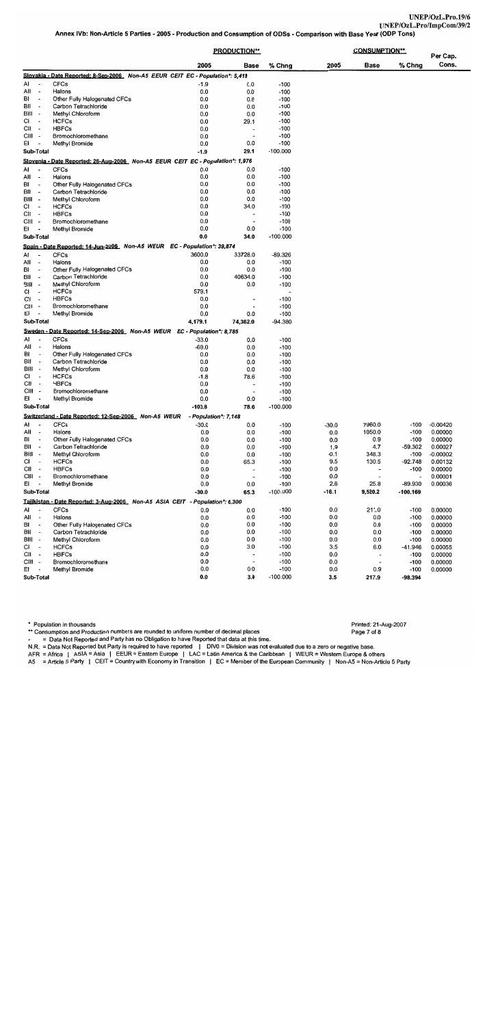|                                                                   |                                                                                |                      | <b>PRODUCTION**</b>          |                  |            | <b>CONSUMPTION**</b>                                 |                   | Per Cap.           |
|-------------------------------------------------------------------|--------------------------------------------------------------------------------|----------------------|------------------------------|------------------|------------|------------------------------------------------------|-------------------|--------------------|
|                                                                   |                                                                                | 2005                 | <b>Base</b>                  | % Chng           | 2005       | <b>Base</b>                                          | % Chng            | Cons.              |
|                                                                   | Slovakia - Date Reported: 8-Sep-2006_ Non-A5 EEUR CEIT EC - Population*: 5,419 |                      |                              |                  |            |                                                      |                   |                    |
| Al<br>$\overline{\phantom{a}}$                                    | <b>CFCs</b>                                                                    | -1.9                 | 0.0                          | $-100$           |            |                                                      |                   |                    |
| All<br>$\overline{\phantom{a}}$                                   | Halons                                                                         | 0.0                  | 0.0                          | $-100$           |            |                                                      |                   |                    |
| BI<br>$\overline{\phantom{a}}$                                    | Other Fully Halogenated CFCs                                                   | 0.0                  | 0.0                          | $-100$           |            |                                                      |                   |                    |
| BII<br>$\overline{\phantom{a}}$<br>BIII -                         | Carbon Tetrachloride<br>Methyl Chloroform                                      | 0.0<br>0.0           | 0.0<br>0.0                   | $-100$<br>$-100$ |            |                                                      |                   |                    |
| Сł<br>$\overline{\phantom{a}}$                                    | <b>HCFCs</b>                                                                   | 0.0                  | 29.1                         | $-100$           |            |                                                      |                   |                    |
| CII<br>$\overline{\phantom{a}}$                                   | <b>HBFCs</b>                                                                   | 0.0                  | $\overline{\phantom{0}}$     | $-100$           |            |                                                      |                   |                    |
| CIII -                                                            | Bromochloromethane                                                             | 0.0                  | $\overline{a}$               | $-100$           |            |                                                      |                   |                    |
| EI                                                                | Methyl Bromide                                                                 | 0.0                  | 0.0                          | $-100$           |            |                                                      |                   |                    |
| Sub-Total                                                         |                                                                                | $-1.9$               | 29.1                         | $-100.000$       |            |                                                      |                   |                    |
|                                                                   | Slovenia - Date Reported: 26-Aug-2006 Non-A5 EEUR CEIT EC - Population*: 1,976 |                      |                              |                  |            |                                                      |                   |                    |
| AI<br>$\overline{\phantom{a}}$                                    | <b>CFCs</b>                                                                    | 0.0                  | 0.0                          | $-100$           |            |                                                      |                   |                    |
| All<br>$\overline{\phantom{a}}$                                   | Halons                                                                         | 0.0                  | 0.0                          | $-100$           |            |                                                      |                   |                    |
| BI<br>$\overline{\phantom{a}}$<br>ВII<br>$\overline{\phantom{a}}$ | Other Fully Halogenated CFCs<br>Carbon Tetrachlonde                            | 0.0                  | 0.0                          | $-100$           |            |                                                      |                   |                    |
| BIII -                                                            | Methyl Chloroform                                                              | 0.0<br>0.0           | 0.0<br>0.0                   | $-100$<br>$-100$ |            |                                                      |                   |                    |
| СI<br>$\overline{\phantom{a}}$                                    | <b>HCFCs</b>                                                                   | 0.0                  | 34.0                         | $-100$           |            |                                                      |                   |                    |
| CII<br>$\overline{\phantom{a}}$                                   | <b>HBFCs</b>                                                                   | 0.0                  | $\overline{\phantom{a}}$     | $-100$           |            |                                                      |                   |                    |
| CIII -                                                            | Bromochloromethane                                                             | 0.0                  | $\overline{\phantom{a}}$     | $-100$           |            |                                                      |                   |                    |
| Eŀ                                                                | <b>Methyl Bromide</b>                                                          | 0.0                  | 0.0                          | $-100$           |            |                                                      |                   |                    |
| Sub-Total                                                         |                                                                                | 0.0                  | 34.0                         | $-100.000$       |            |                                                      |                   |                    |
|                                                                   | Spain - Date Reported: 14-Jun-2006 Non-A5 WEUR EC - Population*: 39,874        |                      |                              |                  |            |                                                      |                   |                    |
| Al                                                                | <b>CFCs</b>                                                                    | 3600.0               | 33728.0                      | $-89.326$        |            |                                                      |                   |                    |
| All<br>$\overline{\phantom{a}}$                                   | Halons                                                                         | 0.0                  | 0.0                          | $-100$           |            |                                                      |                   |                    |
| BI<br>$\overline{\phantom{a}}$                                    | Other Fully Halogenated CFCs                                                   | 0.0                  | 0.0                          | $-100$           |            |                                                      |                   |                    |
| ВII<br>$\overline{\phantom{a}}$<br>BIII -                         | Carbon Tetrachloride<br>Methyl Chloroform                                      | 0.0<br>0.0           | 40634.0<br>0.0               | $-100$<br>$-100$ |            |                                                      |                   |                    |
| СI<br>$\overline{\phantom{a}}$                                    | <b>HCFCs</b>                                                                   | 579.1                |                              |                  |            |                                                      |                   |                    |
| CII -                                                             | <b>HBFCs</b>                                                                   | 0.0                  | $\qquad \qquad \blacksquare$ | $-100$           |            |                                                      |                   |                    |
| CIII -                                                            | Bromochloromethane                                                             | 0.0                  | $\overline{\phantom{a}}$     | $-100$           |            |                                                      |                   |                    |
| Εŀ                                                                | Methyl Bromide                                                                 | 0.0                  | 0.0                          | $-100$           |            |                                                      |                   |                    |
| Sub-Total                                                         |                                                                                | 4,179.1              | 74,362.0                     | -94.380          |            |                                                      |                   |                    |
|                                                                   | Sweden - Date Reported: 14-Sep-2006 Non-A5 WEUR EC - Population*: 8,785        |                      |                              |                  |            |                                                      |                   |                    |
| Al<br>$\overline{\phantom{a}}$                                    | <b>CFCs</b>                                                                    | $-33.0$              | 0.0                          | -100             |            |                                                      |                   |                    |
| All<br>$\overline{\phantom{a}}$                                   | Halons                                                                         | $-69.0$              | 0.0                          | $-100$           |            |                                                      |                   |                    |
| BI<br>٠.                                                          | Other Fully Halogenated CFCs                                                   | 0.0                  | 0.0                          | $-100$           |            |                                                      |                   |                    |
| Bil                                                               | Carbon Tetrachloride                                                           | 0.0                  | 0.0                          | $-100$           |            |                                                      |                   |                    |
| BIII -<br>СI<br>$\overline{\phantom{a}}$                          | Methyl Chloroform<br><b>HCFCs</b>                                              | 0.0<br>-1.8          | 0.0<br>78.6                  | $-100$<br>$-100$ |            |                                                      |                   |                    |
| CII-                                                              | <b>HBFCs</b>                                                                   | 0.0                  | $\overline{\phantom{a}}$     | $-100$           |            |                                                      |                   |                    |
| $CIII -$                                                          | Bromochloromethane                                                             | 0.0                  | $\blacksquare$               | $-100$           |            |                                                      |                   |                    |
| EI<br>$\overline{\phantom{a}}$                                    | Methyl Bromide                                                                 | 0.0                  | 0.0                          | $-100$           |            |                                                      |                   |                    |
| Sub-Total                                                         |                                                                                | $-103.8$             | 78.6                         | $-100.000$       |            |                                                      |                   |                    |
|                                                                   | Switzerland - Date Reported: 12-Sep-2006_ Non-A5 WEUR                          | - Population*: 7,148 |                              |                  |            |                                                      |                   |                    |
| Al<br>$\overline{\phantom{a}}$                                    | <b>CFCs</b>                                                                    | -30.0                | 0.0                          | -100             | $-30.0$    | 7960.0                                               | $-100$            | $-0.00420$         |
| All<br>$\overline{\phantom{a}}$                                   | Halons                                                                         | 0.0                  | 0.0                          | $-100$           | 0.0        | 1050.0                                               | $-100$            | 0.00000            |
| BI<br>$\overline{\phantom{a}}$                                    | Other Fully Halogenated CFCs                                                   | 0.0                  | 0.0                          | $-100$           | 0.0        | 0.9                                                  | $-100$            | 0.00000            |
| BII<br>$\overline{\phantom{a}}$                                   | Carbon Tetrachloride                                                           | 0.0                  | 0.0                          | $-100$           | 1.9        | 4.7                                                  | $-59.302$         | 0.00027            |
| BIII -<br>СI<br>$\overline{\phantom{a}}$                          | <b>Methyl Chloroform</b><br><b>HCFCs</b>                                       | 0.0<br>0.0           | 0.0<br>65.3                  | $-100$           | -0.1       | 348.3                                                | -100              | $-0.00002$         |
| CII-                                                              | <b>HBFCs</b>                                                                   | 0.0                  | $\overline{\phantom{a}}$     | $-100$<br>$-100$ | 9.5<br>0.0 | 130.5<br>$\overline{\phantom{a}}$                    | $-92.748$<br>-100 | 0.00132<br>0.00000 |
| CIII -                                                            | Bromochloromethane                                                             | 0.0                  | $\overline{\phantom{a}}$     | $-100$           | 0.0        | $\overline{\phantom{a}}$                             | ٠                 | 0.00001            |
| EI<br>$\overline{\phantom{a}}$                                    | Methyl Bromide                                                                 | 0.0                  | 0.0                          | $-100$           | 2.6        | 25.8                                                 | -89.930           | 0.00036            |
| Sub-Total                                                         |                                                                                | -30.0                | 65.3                         | $-100.000$       | $-16.1$    | 9,520.2                                              | $-100.169$        |                    |
|                                                                   | Taiikistan - Date Reported: 3-Aug-2006_ Non-A5 ASIA CEIT - Population*: 6,300  |                      |                              |                  |            |                                                      |                   |                    |
| Al                                                                | <b>CFCs</b>                                                                    | 0.0                  | 0.0                          | $-100$           | 0.0        | 211.0                                                | $-100$            | 0.00000            |
| All<br>$\overline{\phantom{a}}$                                   | Halons                                                                         | 0.0                  | 0.0                          | $-100$           | 0.0        | 0.0                                                  | $-100$            | 0.00000            |
| BI<br>$\overline{\phantom{a}}$                                    | Other Fully Halogenated CFCs                                                   | 0.0                  | 0.0                          | $-100$           | 0.0        | 0.0                                                  | $-100$            | 0.00000            |
| BII<br>$\overline{\phantom{a}}$                                   | Carbon Tetrachloride                                                           | 0.0                  | 0.0                          | $-100$           | 0.0        | 0.0                                                  | $-100$            | 0.00000            |
| BIII -                                                            | <b>Methyl Chloroform</b>                                                       | 0.0                  | 0.0                          | $-100$           | 0.0        | 0.0                                                  | $-100$            | 0.00000            |
| СI<br>$\overline{\phantom{a}}$<br>CII -                           | <b>HCFCs</b><br><b>HBFCs</b>                                                   | 0.0<br>0.0           | 3.0<br>$\frac{1}{2}$         | $-100$<br>$-100$ | 3.5        | 6.0                                                  | $-41.946$         | 0.00055            |
| CIII -                                                            | Bromochloromethane                                                             | 0.0                  | $\overline{\phantom{a}}$     | $-100$           | 0.0<br>0.0 | $\overline{\phantom{a}}$<br>$\overline{\phantom{a}}$ | $-100$<br>$-100$  | 0.00000<br>0.00000 |
| EI<br>$\overline{\phantom{a}}$                                    | <b>Methyl Bromide</b>                                                          | 0.0                  | 0.0                          | $-100$           | 0.0        | 0.9                                                  | $-100$            | 0.00000            |
| Sub-Total                                                         |                                                                                | 0.0                  | 3.0                          | $-100.000$       | 3.5        | 217.9                                                | $-98.394$         |                    |

\*\* Consumption and Production numbers are rounded to uniform number of decimal places

Consumption and Production numbers are rounded to uniform number of decimal places<br>- = Data Not Reported and Party has no Obligation to have Reported that data at this time.<br>N.R. = Data Not Reported but Party is required t

### Printed: 21-Aug-2007 Page 7 of 8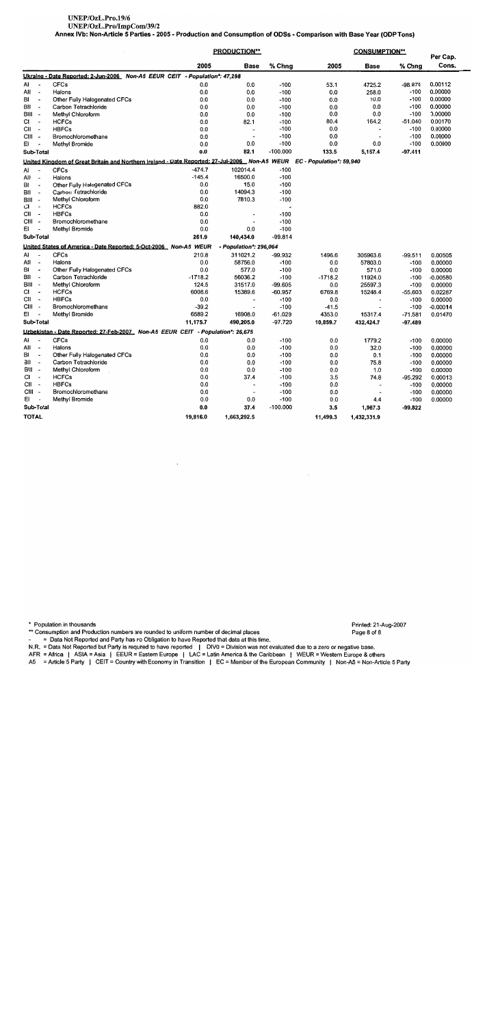### UNEP/OzL.Pro.19/6 UNEP/OzL.Pro/ImpCom/39/2

Annex IVb: Non-Article 5 Parties - 2005 - Production and Consumption of ODSs - Comparison with Base Year (ODP Tons)

|              |                          |                                                                                                                        |           | <b>PRODUCTION**</b>      |            |           | <b>CONSUMPTION**</b>     |           |                   |
|--------------|--------------------------|------------------------------------------------------------------------------------------------------------------------|-----------|--------------------------|------------|-----------|--------------------------|-----------|-------------------|
|              |                          |                                                                                                                        | 2005      | <b>Base</b>              | % Chng     | 2005      | <b>Base</b>              | % Chng    | Per Cap.<br>Cons. |
|              |                          | Ukraine - Date Reported: 2-Jun-2006 Non-A5 EEUR CEIT - Population*: 47,298                                             |           |                          |            |           |                          |           |                   |
| AI           |                          | <b>CFCs</b>                                                                                                            | 0.0       | 0.0                      | $-100$     | 53.1      | 4725.2                   | -98.876   | 0.00112           |
| All          | $\tilde{\phantom{a}}$    | Halons                                                                                                                 | 0.0       | 0.0                      | $-100$     | 0.0       | 258.0                    | $-100$    | 0.00000           |
| BI           | $\overline{\phantom{a}}$ | Other Fully Halogenated CFCs                                                                                           | 0.0       | 0.0                      | $-100$     | 0.0       | 10.0                     | $-100$    | 0.00000           |
| BII          | $\overline{a}$           | Carbon Tetrachloride                                                                                                   | 0.0       | 0.0                      | $-100$     | 0.0       | 0.0                      | $-100$    | 0.00000           |
| BIII -       |                          | Methyl Chloroform                                                                                                      | 0.0       | 0.0                      | $-100$     | 0.0       | 0.0                      | $-100$    | 0.00000           |
| СI           | $\overline{a}$           | <b>HCFCs</b>                                                                                                           | 0.0       | 82.1                     | $-100$     | 80.4      | 164.2                    | $-51.040$ | 0.00170           |
| CII          | $\overline{\phantom{a}}$ | <b>HBFCs</b>                                                                                                           | 0.0       | $\overline{a}$           | $-100$     | 0.0       | $\overline{\phantom{a}}$ | $-100$    | 0.00000           |
| CIII -       |                          | Bromochloromethane                                                                                                     | 0.0       | $\overline{a}$           | $-100$     | 0.0       | $\overline{\phantom{a}}$ | $-100$    | 0.00000           |
| EI           |                          | Methyl Bromide                                                                                                         | 0.0       | 0.0                      | $-100$     | 0.0       | 0.0                      | $-100$    | 0.00000           |
|              | Sub-Total                |                                                                                                                        | 0.0       | 82.1                     | $-100.000$ | 133.5     | 5,157.4                  | $-97,411$ |                   |
|              |                          | United Kingdom of Great Britain and Northern Ireland - Date Reported: 27-Jul-2006 Non-A5 WEUR EC - Population*: 59,940 |           |                          |            |           |                          |           |                   |
| AI           |                          | <b>CFCs</b>                                                                                                            | $-474.7$  | 102014.4                 | $-100$     |           |                          |           |                   |
| All          | $\overline{\phantom{a}}$ | Halons                                                                                                                 | $-145.4$  | 16500.0                  | $-100$     |           |                          |           |                   |
| BI           | $\blacksquare$           | Other Fully Halogenated CFCs                                                                                           | 0.0       | 15.0                     | $-100$     |           |                          |           |                   |
| BII          | $\blacksquare$           | Carbon Tetrachloride                                                                                                   | 0.0       | 14094.3                  | $-100$     |           |                          |           |                   |
| BIII         | $\overline{\phantom{a}}$ | Methyl Chloroform                                                                                                      | 0.0       | 7810.3                   | $-100$     |           |                          |           |                   |
| СI           | $\overline{\phantom{a}}$ | <b>HCFCs</b>                                                                                                           | 882.0     |                          |            |           |                          |           |                   |
| CII          | $\overline{\phantom{a}}$ | <b>HBFCs</b>                                                                                                           | 0.0       | $\overline{a}$           | $-100$     |           |                          |           |                   |
| CIII -       |                          | Bromochloromethane                                                                                                     | 0.0       |                          | $-100$     |           |                          |           |                   |
| EI           |                          | Methyl Bromide                                                                                                         | 0.0       | 0.0                      | $-100$     |           |                          |           |                   |
|              | Sub-Total                |                                                                                                                        | 261.9     | 140,434.0                | $-99.814$  |           |                          |           |                   |
|              |                          | United States of America - Date Reported: 5-Oct-2006 Non-A5 WEUR                                                       |           | - Population*: 296,064   |            |           |                          |           |                   |
| A١           |                          | <b>CFCs</b>                                                                                                            | 210.8     | 311021.2                 | $-99.932$  | 1496.6    | 305963.6                 | $-99.511$ | 0.00505           |
| All          | $\overline{\phantom{a}}$ | Halons                                                                                                                 | 0.0       | 58756.0                  | $-100$     | 0.0       | 57803.0                  | $-100$    | 0.00000           |
| BI           |                          | Other Fully Halogenated CFCs                                                                                           | 0.0       | 577.0                    | $-100$     | 0.0       | 571.0                    | $-100$    | 0.00000           |
| BII          |                          | Carbon Tetrachlonde                                                                                                    | $-1718.2$ | 56036.2                  | $-100$     | $-1718.2$ | 11924.0                  | $-100$    | $-0.00580$        |
| BIII         | $\overline{\phantom{a}}$ | Methyl Chloroform                                                                                                      | 124.5     | 31517.0                  | $-99.605$  | 0.0       | 25597.3                  | $-100$    | 0.00000           |
| СI           | $\overline{\phantom{a}}$ | <b>HCFCs</b>                                                                                                           | 6008.6    | 15389.6                  | $-60.957$  | 6769.8    | 15248.4                  | $-55.603$ | 0.02287           |
| CII          | $\overline{\phantom{a}}$ | <b>HBFCs</b>                                                                                                           | 0.0       | $\overline{\phantom{a}}$ | $-100$     | 0.0       |                          | $-100$    | 0.00000           |
| CIII -       |                          | Bromochloromethane                                                                                                     | $-39.2$   | $\overline{a}$           | $-100$     | $-41.5$   |                          | $-100$    | $-0.00014$        |
| EI           |                          | Methyl Bromide                                                                                                         | 6589.2    | 16908.0                  | $-61.029$  | 4353.0    | 15317.4                  | $-71.581$ | 0.01470           |
|              | Sub-Total                |                                                                                                                        | 11,175.7  | 490,205.0                | $-97.720$  | 10,859.7  | 432,424.7                | $-97.489$ |                   |
|              |                          | Uzbekistan - Date Reported: 27-Feb-2007_ Non-A5 EEUR CEIT - Population*: 26,675                                        |           |                          |            |           |                          |           |                   |
| A١           | $\blacksquare$           | <b>CFCs</b>                                                                                                            | 0.0       | 0.0                      | $-100$     | 0.0       | 1779.2                   | $-100$    | 0.00000           |
| All          | $\overline{\phantom{a}}$ | Halons                                                                                                                 | 0.0       | 0.0                      | $-100$     | 0.0       | 32.0                     | $-100$    | 0.00000           |
| BI           | $\blacksquare$           | Other Fully Halogenated CFCs                                                                                           | 0.0       | 0.0                      | $-100$     | 0.0       | 0.1                      | $-100$    | 0.00000           |
| BII          | $\overline{a}$           | Carbon Tetrachloride                                                                                                   | 0.0       | 0.0                      | $-100$     | 0.0       | 75.8                     | $-100$    | 0.00000           |
| BIII         | $\overline{\phantom{a}}$ | Methyl Chloroform                                                                                                      | 0.0       | 0.0                      | $-100$     | 0.0       | 1.0                      | $-100$    | 0.00000           |
| СI           | $\overline{\phantom{a}}$ | <b>HCFCs</b>                                                                                                           | 0.0       | 37.4                     | -100       | 3.5       | 74.8                     | -95.292   | 0.00013           |
| СII          | $\ddot{}$                | <b>HBFCs</b>                                                                                                           | 0.0       | $\overline{a}$           | $-100$     | 0.0       | $\overline{a}$           | $-100$    | 0.00000           |
| $CIII -$     |                          | Bromochloromethane                                                                                                     | 0.0       | $\overline{a}$           | $-100$     | 0.0       |                          | $-100$    | 0.00000           |
| EI           |                          | Methyl Bromide                                                                                                         | 0.0       | 0.0                      | $-100$     | 0.0       | 4.4                      | $-100$    | 0.00000           |
|              | Sub-Total                |                                                                                                                        | 0.0       | 37.4                     | $-100.000$ | 3.5       | 1,967.3                  | -99.822   |                   |
| <b>TOTAL</b> |                          |                                                                                                                        | 19,816.0  | 1,663,292.5              |            | 11,499.3  | 1,432,331.9              |           |                   |

\* Population in thousands

\*\* Consumption and Production numbers are rounded to uniform number of decimal places

- = Data Not Reported and Party has no Obligation to have Reported that data at this time.

N.R. = Data Not Reported but Party is required to have reported | DIVO = Division was not evaluated due to a zero or negative base.<br>AFR = Africa | ASIA = Asia | EEUR = Eastern Europe | LAC = Latin America & the Caribbean |

A5 = Article 5 Party | CEIT = Country with Economy in Transition | EC = Member of the European Community | Non-A5 = Non-Article 5 Party

Printed: 21-Aug-2007

Page 8 of 8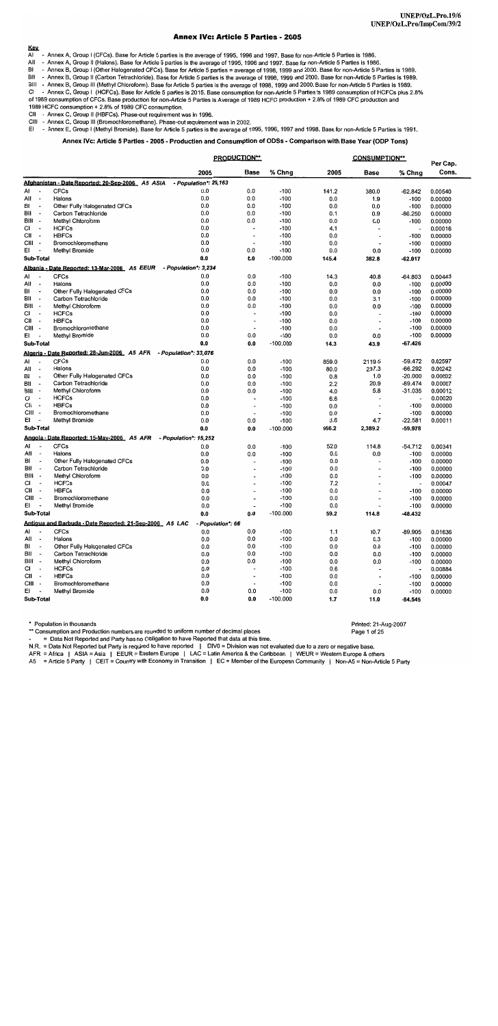### **Annex IVc: Article 5 Parties - 2005**

**Key** - Annex A, Group I (CFCs), Base for Article 5 parties is the average of 1995, 1996 and 1997. Base for non-Article 5 Parties is 1986.  $\overline{AI}$ 

All - Annex A, Group II (Halons). Base for Article 5 parties is the average of 1995, 1996 and 1997. Base for non-Article 5 Parties is 1986.

- Annex B, Group I (Other Halogenated CFCs). Base for Article 5 parties = average of 1998, 1999 and 2000. Base for non-Article 5 Parties is 1989. **RL** 

- Annex B, Group II (Carbon Tetrachloride). Base for Article 5 parties is the average of 1998, 1999 and 2000. Base for non-Article 5 Parties is 1989. BII

BIII - Annex B, Group III (Methyl Chloroform). Base for Article 5 parties is the average of 1998, 1999 and 2000. Base for non-Article 5 Parties is 1989.

 $C1$ - Annex C, Group | (HCFCs). Base for Article 5 parties is 2015. Base consumption for non-Article 5 Parties is 1989 consumption of HCFCs plus 2.8%

of 1989 consumption of CFCs. Base production for non-Article 5 Parties is Average of 1989 HCFC production + 2.8% of 1989 CFC production and 1989 HCFC consumption + 2.8% of 1989 CFC consumption.

CII - Annex C, Group II (HBFCs). Phase-out requirement was in 1996.

CIII - Annex C, Group III (Bromochloromethane). Phase-out requirement was in 2002.

EI - Annex E, Group I (Methyl Bromide). Base for Article 5 parties is the average of 1995, 1996, 1997 and 1998. Base for non-Article 5 Parties is 1991.

### Annex IVc: Article 5 Parties - 2005 - Production and Consumption of ODSs - Comparison with Base Year (ODP Tons)

|             |                          |                                                         |                       | <u>PRODUCTION**</u>      |            | <b>CONSUMPTION**</b> |                          |                          | Per Cap. |
|-------------|--------------------------|---------------------------------------------------------|-----------------------|--------------------------|------------|----------------------|--------------------------|--------------------------|----------|
|             |                          |                                                         | 2005                  | Base                     | % Chng     | 2005                 | Base                     | % Chng                   | Cons.    |
|             |                          | Afghanistan - Date Reported: 20-Sep-2006 A5 ASIA        | - Population*: 26,163 |                          |            |                      |                          |                          |          |
| Al          | $\blacksquare$           | <b>CFCs</b>                                             | 0.0                   | 0.0                      | $-100$     | 141.2                | 380.0                    | $-62.842$                | 0.00540  |
| All         | $\overline{\phantom{a}}$ | Halons                                                  | 0.0                   | 0.0                      | $-100$     | 0.0                  | 1.9                      | $-100$                   | 0.00000  |
| BI          | $\overline{\phantom{a}}$ | Other Fully Halogenated CFCs                            | 0.0                   | 0.0                      | $-100$     | 0.0                  | 0.0                      | $-100$                   | 0.00000  |
| BII         | $\overline{\phantom{a}}$ | Carbon Tetrachloride                                    | 0.0                   | 0.0                      | $-100$     | 0.1                  | 0.9                      | $-86.250$                | 0.00000  |
| BIII -      |                          | Methyl Chloroform                                       | 0.0                   | 0.0                      | $-100$     | 0.0                  | 0.0                      | $-100$                   | 0.00000  |
| СI          | $\overline{\phantom{a}}$ | <b>HCFCs</b>                                            | 0.0                   | $\blacksquare$           | $-100$     | 4.1                  |                          | $\overline{\phantom{a}}$ | 0.00016  |
| CII         | $\overline{\phantom{a}}$ | <b>HBFCs</b>                                            | 0.0                   | $\overline{\phantom{a}}$ | $-100$     | 0.0                  | $\overline{\phantom{a}}$ | $-100$                   | 0.00000  |
| CIII -      |                          | Bromochloromethane                                      | 0.0                   | $\overline{\phantom{a}}$ | $-100$     | 0.0                  | $\overline{\phantom{a}}$ | $-100$                   | 0.00000  |
| EI          |                          | Methyl Bromide                                          | 0.0                   | 0.0                      | $-100$     | 0.0                  | 0.0                      | $-100$                   | 0.00000  |
| Sub-Total   |                          |                                                         | 0.0                   | 0.0                      | $-100.000$ | 145.4                | 382.8                    | -62.017                  |          |
|             |                          | Albania - Date Reported: 13-Mar-2006 A5 EEUR            | - Population*: 3,234  |                          |            |                      |                          |                          |          |
| Al          | $\overline{\phantom{a}}$ | <b>CFCs</b>                                             | 0.0                   | 0.0                      | $-100$     | 14.3                 | 40.8                     | $-64.803$                | 0.00443  |
| All         | $\overline{\phantom{a}}$ | Halons                                                  | 0.0                   | 0.0                      | $-100$     | 0.0                  | 0.0                      | $-100$                   | 0.00000  |
| BI          | $\overline{\phantom{a}}$ | Other Fully Halogenated CFCs                            | 0.0                   | 0.0                      | $-100$     | 0.0                  | 0.0                      | $-100$                   | 0.00000  |
| Bll         | $\overline{\phantom{a}}$ | Carbon Tetrachloride                                    | 0.0                   | 0.0                      | $-100$     | 0.0                  | 3.1                      | $-100$                   | 0.00000  |
| BIII -      |                          | Methyl Chloroform                                       | 0.0                   | 0.0                      | $-100$     | 0.0                  | 0.0                      | $-100$                   | 0.00000  |
| CI          |                          | <b>HCFCs</b>                                            | 0.0                   | ÷,                       | $-100$     | 0.0                  | $\blacksquare$           | $-100$                   | 0.00000  |
| СII         | $\overline{\phantom{a}}$ | <b>HBFCs</b>                                            | 0.0                   | $\overline{\phantom{a}}$ | $-100$     | 0.0                  | $\blacksquare$           | $-100$                   | 0.00000  |
| CIII -      |                          | Bromochloromethane                                      | 0.0                   | $\overline{\phantom{a}}$ | $-100$     | 0.0                  | $\blacksquare$           | $-100$                   | 0.00000  |
| EI          |                          | Methyl Bromide                                          | 0.0                   | 0.0                      | $-100$     | 0.0                  | 0.0                      | $-100$                   | 0.00000  |
| Sub-Total   |                          |                                                         | 0.0                   | 0.0                      | $-100.000$ | 14.3                 | 43.9                     | -67.426                  |          |
|             |                          | Algeria - Date Reported: 28-Jun-2006 A5 AFR             | - Population*: 33,076 |                          |            |                      |                          |                          |          |
| Ał          | $\overline{\phantom{a}}$ | <b>CFCs</b>                                             | 0.0                   | 0.0                      | $-100$     | 859.0                | 2119.5                   | -59.472                  | 0.02597  |
| A11         | $\overline{\phantom{a}}$ | Halons                                                  | 0.0                   | 0.0                      | $-100$     | 80.0                 | 237.3                    | $-66.292$                | 0.00242  |
| BI          |                          | Other Fully Halogenated CFCs                            | 0.0                   | 0.0                      | $-100$     | 0.8                  | 1.0                      | $-20.000$                | 0.00002  |
| BII         |                          | Carbon Tetrachloride                                    | 0.0                   | 0.0                      | $-100$     | 2.2                  | 20.9                     | $-89.474$                | 0.00007  |
| <b>BIII</b> | $\overline{\phantom{a}}$ | Methyl Chloroform                                       | 0.0                   | 0.0                      | $-100$     | 4.0                  | 5.8                      | $-31.035$                | 0.00012  |
| СI          | $\overline{a}$           | <b>HCFCs</b>                                            | 0.0                   | $\overline{\phantom{a}}$ | $-100$     | 6.6                  |                          | ÷,                       | 0.00020  |
| СII         | $\blacksquare$           | <b>HBFCs</b>                                            | 0.0                   | $\overline{\phantom{a}}$ | $-100$     | 0.0                  | $\overline{\phantom{a}}$ | $-100$                   | 0.00000  |
| CIII -      |                          | Bromochloromethane                                      | 0.0                   | $\overline{\phantom{a}}$ | $-100$     | 0.0                  | $\overline{\phantom{a}}$ | $-100$                   | 0.00000  |
| EI          |                          | <b>Methyl Bromide</b>                                   | 0.0                   | 0.0                      | $-100$     | 3.6                  | 4.7                      | $-22.581$                | 0.00011  |
| Sub-Total   |                          |                                                         | 0.0                   | 0.0                      | $-100.000$ | 956.2                | 2,389.2                  | $-59.978$                |          |
|             |                          | Angola - Date Reported: 15-May-2006 A5 AFR              | - Population*: 15,252 |                          |            |                      |                          |                          |          |
| AI          |                          | <b>CFCs</b>                                             | 0.0                   | 0.0                      | $-100$     | 52.0                 | 114.8                    | $-54.712$                | 0.00341  |
| All         | $\overline{\phantom{a}}$ | Halons                                                  | 0.0                   | 0.0                      | $-100$     | 0.0                  | 0.0                      | $-100$                   | 0.00000  |
| BI          | à.                       | Other Fully Halogenated CFCs                            | 0.0                   | $\blacksquare$           | $-100$     | 0.0                  | ÷                        | $-100$                   | 0.00000  |
| BII         | $\blacksquare$           | Carbon Tetrachloride                                    | 0.0                   | $\blacksquare$           | $-100$     | 0.0                  | $\overline{\phantom{a}}$ | $-100$                   | 0.00000  |
| BIII        | $\overline{\phantom{a}}$ | Methyl Chloroform                                       | 0.0                   | $\blacksquare$           | $-100$     | 0.0                  | $\overline{\phantom{a}}$ | $-100$                   | 0.00000  |
| СI          | $\blacksquare$           | <b>HCFCs</b>                                            | 0.0                   | $\blacksquare$           | $-100$     | 7.2                  |                          | $\overline{\phantom{a}}$ | 0.00047  |
| CII         | $\overline{\phantom{a}}$ | <b>HBFCs</b>                                            | 0.0                   | $\overline{\phantom{a}}$ | $-100$     | 0.0                  | ÷                        | $-100$                   | 0.00000  |
| CIII -      |                          | Bromochloromethane                                      | 0.0                   | $\overline{\phantom{a}}$ | $-100$     | 0.0                  |                          | $-100$                   | 0.00000  |
| EI          |                          | Methyl Bromide                                          | 0.0                   | $\blacksquare$           | $-100$     | 0.0                  |                          | $-100$                   | 0.00000  |
|             | Sub-Total                |                                                         | 0.0                   | 0.0                      | $-100.000$ | 59.2                 | 114.8                    | $-48.432$                |          |
|             |                          | Antigua and Barbuda - Date Reported: 21-Sep-2006 A5 LAC | - Population*: 66     |                          |            |                      |                          |                          |          |
| Al          | $\overline{\phantom{a}}$ | <b>CFCs</b>                                             | 0.0                   | 0.0                      | $-100$     | 1.1                  | 10.7                     | -89.905                  | 0.01636  |
| All         | $\overline{\phantom{a}}$ | Halons                                                  | 0.0                   | 0.0                      | $-100$     | 0.0                  | 0.3                      | $-100$                   | 0.00000  |
| BI          | $\blacksquare$           | Other Fully Halogenated CFCs                            | 0.0                   | 0.0                      | $-100$     | 0.0                  | 0.0                      | $-100$                   | 0.00000  |
| BII         | $\blacksquare$           | Carbon Tetrachloride                                    | 0.0                   | 0.0                      | $-100$     | 0.0                  | 0.0                      | $-100$                   | 0.00000  |
| BIII -      |                          | Methyl Chloroform                                       | 0.0                   | 0.0                      | $-100$     | 0.0                  | 0.0                      | $-100$                   | 0.00000  |
| СI          | $\overline{\phantom{a}}$ | <b>HCFCs</b>                                            | 0.0                   | $\blacksquare$           | $-100$     | 0.6                  |                          | $\ddot{\phantom{a}}$     | 0.00884  |
| CII -       |                          | <b>HBFCs</b>                                            | 0.0                   | $\overline{\phantom{a}}$ | $-100$     | 0.0                  | $\overline{\phantom{a}}$ | $-100$                   | 0.00000  |
| CIII -      |                          | Bromochloromethane                                      | 0.0                   | $\overline{\phantom{a}}$ | $-100$     | 0.0                  |                          | $-100$                   | 0.00000  |
| EI          | $\overline{\phantom{a}}$ | Methyl Bromide                                          | 0.0                   | 0.0                      | $-100$     | 0.0                  | 0.0                      | $-100$                   | 0.00000  |
|             | Sub-Total                |                                                         | 0.0                   | 0.0                      | $-100.000$ | $1.7$                | 11.0                     | $-84.545$                |          |

\* Population in thousands

\*\* Consumption and Production numbers are rounded to uniform number of decimal places

= Data Not Reported and Party has no Obligation to have Reported that data at this time.

N.R. = Data Not Reported but Party is required to have reported | DIV0 = Division was not evaluated due to a zero or negative base.

AFR = Africa | ASIA = Asia | EEUR = Eastern Europe | LAC = Latin America & the Caribbean | WEUR = Western Europe & others

A5 = Article 5 Party | CEIT = Country with Economy in Transition | EC = Member of the European Community | Non-A5 = Non-Article 5 Party

### Printed: 21-Aug-2007 Page 1 of 25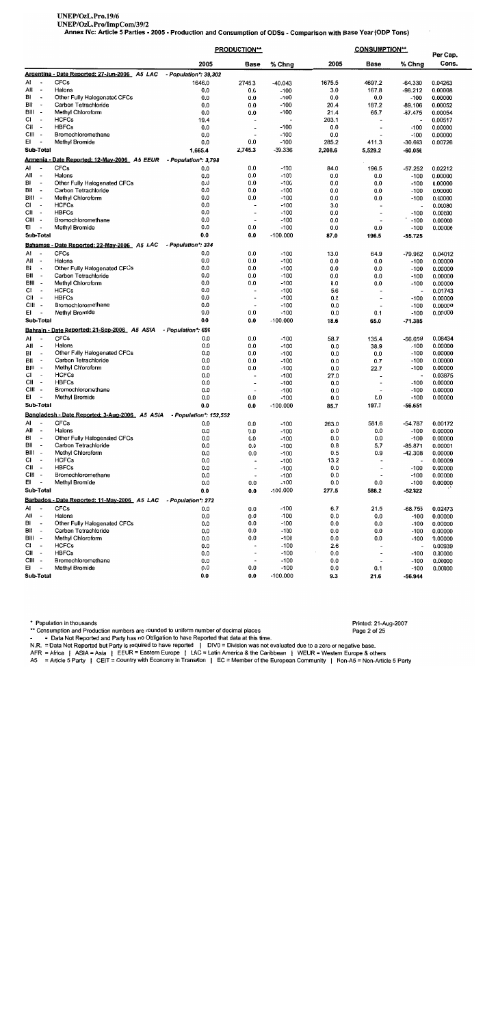# UNEP/OzL.Pro.19/6

UNEP/OzL.Pro/ImpCom/39/2

Annex IVc: Article 5 Parties - 2005 - Production and Consumption of ODSs - Comparison with Base Year (ODP Tons)

|                                                            |                                                |                        | <b>PRODUCTION**</b>                                  |                      |                  | <b>CONSUMPTION**</b>                       |                             |                    |
|------------------------------------------------------------|------------------------------------------------|------------------------|------------------------------------------------------|----------------------|------------------|--------------------------------------------|-----------------------------|--------------------|
|                                                            |                                                | 2005                   | Base                                                 | % Chng               | 2005             | Base                                       | % Chng                      | Per Cap.<br>Cons.  |
|                                                            | Argentina - Date Reported: 27-Jun-2006 A5 LAC  | - Population*: 39,302  |                                                      |                      |                  |                                            |                             |                    |
| Al                                                         | <b>CFCs</b>                                    | 1646.0                 | 2745.3                                               | -40.043              | 1675.5           | 4697.2                                     | $-64.330$                   | 0.04263            |
| AII<br>$\overline{\phantom{a}}$                            | Halons                                         | 0.0                    | 0.0                                                  | $-100$               | 3.0              | 167.8                                      | $-98.212$                   | 0.00008            |
| BI<br>$\overline{\phantom{a}}$<br>$\overline{\phantom{a}}$ | Other Fully Halogenated CFCs                   | 0.0                    | 0.0                                                  | $-100$               | 0.0              | 0.0                                        | $-100$                      | 0.00000            |
| BII<br>BIII -                                              | Carbon Tetrachlonde<br>Methyl Chloroform       | 0.0<br>0.0             | 0.0<br>0.0                                           | $-100$<br>$-100$     | 20.4             | 187.2                                      | $-89.106$                   | 0.00052            |
| СI                                                         | <b>HCFCs</b>                                   | 19.4                   |                                                      |                      | 21.4<br>203.1    | 65.7                                       | $-67.475$<br>$\blacksquare$ | 0.00054<br>0.00517 |
| СII                                                        | <b>HBFCs</b>                                   | 0.0                    | $\overline{\phantom{a}}$                             | $-100$               | 0.0              | $\overline{a}$                             | $-100$                      | 0.00000            |
| CIII                                                       | Bromochloromethane                             | 0.0                    | $\overline{\phantom{a}}$                             | $-100$               | 0.0              |                                            | $-100$                      | 0.00000            |
| EI                                                         | Methyl Bromide                                 | 0.0                    | 0.0                                                  | $-100$               | 285.2            | 411.3                                      | $-30.663$                   | 0.00726            |
| Sub-Total                                                  |                                                | 1,665.4                | 2,745.3                                              | $-39.336$            | 2,208.6          | 5,529.2                                    | $-60.056$                   |                    |
|                                                            | Armenia - Date Reported: 12-May-2006 A5 EEUR   | - Population*: 3,798   |                                                      |                      |                  |                                            |                             |                    |
| AI                                                         | <b>CFCs</b>                                    | 0.0                    | 0.0                                                  | $-100$               | 84.0             | 196.5                                      | $-57.252$                   | 0.02212            |
| All<br>$\overline{\phantom{a}}$                            | Halons                                         | 0.0                    | 0.0                                                  | $-100$               | 0.0              | 0.0                                        | $-100$                      | 0.00000            |
| BI<br>$\overline{\phantom{a}}$                             | Other Fully Halogenated CFCs                   | 0.0                    | 0.0                                                  | $-100$               | 0.0              | 0.0                                        | $-100$                      | 0.00000            |
| BII<br>$\overline{\phantom{a}}$<br>BIII -                  | Carbon Tetrachloride                           | 0.0                    | 0.0                                                  | $-100$               | 0.0              | 0.0                                        | $-100$                      | 0.00000            |
| СI                                                         | Methyl Chloroform<br><b>HCFCs</b>              | 0.0<br>0.0             | 0.0<br>-                                             | $-100$<br>$-100$     | 0.0              | 0.0                                        | $-100$                      | 0.00000            |
| CII -                                                      | <b>HBFCs</b>                                   | 0.0                    | $\overline{\phantom{a}}$                             | $-100$               | 3.0<br>0.0       | $\overline{\phantom{a}}$<br>$\overline{a}$ | $\blacksquare$<br>$-100$    | 0.00080<br>0.00000 |
| CIII -                                                     | Bromochloromethane                             | 0.0                    | $\overline{\phantom{a}}$                             | $-100$               | 0.0              |                                            | $-100$                      | 0.00000            |
| EI                                                         | Methyl Bromide                                 | 0.0                    | 0.0                                                  | $-100$               | 0.0              | 0.0                                        | $-100$                      | 0.00000            |
| Sub-Total                                                  |                                                | 0.0                    | 0.0                                                  | $-100.000$           | 87.0             | 196.5                                      | $-55.725$                   |                    |
|                                                            | Bahamas - Date Reported: 22-May-2006 A5 LAC    | - Population*: 324     |                                                      |                      |                  |                                            |                             |                    |
| Al                                                         | <b>CFCs</b>                                    | 0.0                    | 0.0                                                  | $-100$               | 13.0             | 64.9                                       | -79.962                     | 0.04012            |
| All<br>$\overline{\phantom{a}}$                            | Halons                                         | 0.0                    | 0.0                                                  | $-100$               | 0.0              | 0.0                                        | $-100$                      | 0.00000            |
| BI<br>$\overline{\phantom{a}}$                             | Other Fully Halogenated CFCs                   | 0.0                    | 0.0                                                  | $-100$               | 0.0              | 0.0                                        | $-100$                      | 0.00000            |
| BII<br>$\overline{\phantom{a}}$                            | Carbon Tetrachloride                           | 0.0                    | 0.0                                                  | $-100$               | 0.0              | 0.0                                        | $-100$                      | 0.00000            |
| BIII -<br>СI                                               | Methyl Chloroform                              | 0.0                    | 0.0                                                  | $-100$               | 0.0              | 0.0                                        | $-100$                      | 0.00000            |
| CII -                                                      | <b>HCFCs</b><br><b>HBFCs</b>                   | 0.0<br>0.0             | $\blacksquare$<br>$\overline{\phantom{a}}$           | $-100$<br>$-100$     | 5.6              |                                            | $\overline{\phantom{a}}$    | 0.01743            |
| CIII -                                                     | Bromochloromethane                             | 0.0                    | $\overline{\phantom{a}}$                             | $-100$               | 0.0<br>0.0       | $\overline{a}$<br>$\overline{\phantom{a}}$ | $-100$<br>$-100$            | 0.00000<br>0.00000 |
| EI<br>٠.                                                   | Methyl Bromide                                 | 0.0                    | 0.0                                                  | $-100$               | 0.0              | 0.1                                        | $-100$                      | 0.00000            |
| Sub-Total                                                  |                                                | 0.0                    | 0.0                                                  | $-100.000$           | 18.6             | 65.0                                       | $-71.385$                   |                    |
|                                                            | Bahrain - Date Reported: 21-Sep-2006 A5 ASIA   | - Population*: 696     |                                                      |                      |                  |                                            |                             |                    |
| AI                                                         | <b>CFCs</b>                                    | 0.0                    | 0.0                                                  | $-100$               | 58.7             | 135.4                                      | $-56.659$                   | 0.08434            |
| All<br>$\overline{\phantom{a}}$                            | Halons                                         | 0.0                    | 0.0                                                  | $-100$               | 0.0              | 38.9                                       | $-100$                      | 0.00000            |
| BI<br>$\overline{\phantom{a}}$                             | Other Fully Halogenated CFCs                   | 0.0                    | 0.0                                                  | $-100$               | 0.0              | 0.0                                        | $-100$                      | 0.00000            |
| BII<br>$\overline{\phantom{a}}$                            | Carbon Tetrachloride                           | 0.0                    | 0.0                                                  | $-100$               | 0.0              | 0.7                                        | $-100$                      | 0.00000            |
| BIII -                                                     | Methyl Chloroform                              | 0.0                    | 0.0                                                  | $-100$               | 0.0              | 22.7                                       | $-100$                      | 0.00000            |
| СI<br>$\sim$<br>CII-                                       | <b>HCFCs</b><br><b>HBFCs</b>                   | 0.0                    | $\overline{a}$                                       | $-100$               | 27.0             |                                            | $\overline{\phantom{a}}$    | 0.03875            |
| CIII -                                                     | Bromochloromethane                             | 0.0<br>0.0             | $\overline{\phantom{a}}$<br>$\overline{\phantom{a}}$ | $-100$<br>$-100$     | 0.0              | $\overline{a}$                             | $-100$                      | 0.00000            |
| EI<br>$\overline{\phantom{a}}$                             | Methyl Bromide                                 | 0.0                    | 0.0                                                  | $-100$               | 0.0<br>0.0       | 0.0                                        | $-100$<br>$-100$            | 0.00000<br>0.00000 |
| Sub-Total                                                  |                                                | 0.0                    | 0.0                                                  | $-100.000$           | 85.7             | 197.7                                      | $-56.651$                   |                    |
|                                                            | Bangladesh - Date Reported: 3-Aug-2006 A5 ASIA | - Population*: 152.552 |                                                      |                      |                  |                                            |                             |                    |
| ΑI                                                         | CFCs                                           | 0.0                    | 0.0                                                  | -100                 | 263.0            | 581.6                                      | $-54.787$                   | 0.00172            |
| Ail<br>$\overline{\phantom{a}}$                            | Halons                                         | 0.0                    | 0.0                                                  | -100                 | 0.0              | 0.0                                        | $-100$                      | 0.00000            |
| BI                                                         | Other Fully Halogenated CFCs                   | 0.0                    | 0.0                                                  | $-100$               | 0.0              | 0.0                                        | $-100$                      | 0.00000            |
| BII<br>$\overline{\phantom{a}}$                            | Carbon Tetrachloride                           | 0.0                    | 0.0                                                  | $-100$               | 0.8              | 5.7                                        | $-85.871$                   | 0.00001            |
| BIII -                                                     | Methyl Chloroform                              | 0.0                    | 0.0                                                  | $-100$               | 0.5              | 0.9                                        | $-42.308$                   | 0.00000            |
| CI<br>$\overline{\phantom{a}}$                             | <b>HCFCs</b>                                   | 0.0                    | $\overline{\phantom{a}}$                             | $-100$               | 13.2             |                                            | ÷                           | 0.00009            |
| СII<br>$\overline{\phantom{a}}$<br>CIII -                  | <b>HBFCs</b>                                   | 0.0                    | $\overline{a}$                                       | $-100$               | 0.0              | $\overline{\phantom{a}}$                   | $-100$                      | 0.00000            |
| EI<br>$\overline{\phantom{a}}$                             | Bromochloromethane<br>Methyl Bromide           | 0.0<br>0.0             | $\overline{\phantom{a}}$                             | $-100$               | 0.0              |                                            | $-100$                      | 0.00000            |
| Sub-Total                                                  |                                                | 0.0                    | 0.0<br>0.0                                           | $-100$<br>$-100.000$ | $0.0\,$<br>277.5 | 0.0<br>588.2                               | $-100$                      | 0.00000            |
|                                                            | Barbados - Date Reported: 11-Mav-2006 A5 LAC   | - Population*: 272     |                                                      |                      |                  |                                            | $-52.822$                   |                    |
| Al                                                         | <b>CFCs</b>                                    | 0.0                    | 0.0                                                  | $-100$               | 6.7              | 21.5                                       | $-68.755$                   | 0.02473            |
| All<br>$\overline{\phantom{a}}$                            | Halons                                         | 0.0                    | 0.0                                                  | $-100$               | 0.0              | 0.0                                        | $-100$                      | 0.00000            |
| BI<br>$\overline{\phantom{a}}$                             | Other Fully Halogenated CFCs                   | 0.0                    | 0.0                                                  | $-100$               | 0.0              | 0.0                                        | $-100$                      | 0.00000            |
| BII<br>$\sim$                                              | Carbon Tetrachloride                           | 0.0                    | 0.0                                                  | $-100$               | 0.0              | 0.0                                        | $-100$                      | 0.00000            |
| BIII -                                                     | Methyl Chloroform                              | 0.0                    | 0.0                                                  | $-100$               | 0.0              | 0.0                                        | $-100$                      | 0.00000            |
| СI<br>$\overline{\phantom{a}}$                             | <b>HCFCs</b>                                   | 0.0                    | $\overline{\phantom{a}}$                             | $-100$               | 2.6              |                                            | $\overline{a}$              | 0.00939            |
| CII -                                                      | <b>HBFCs</b>                                   | 0.0                    | $\overline{\phantom{a}}$                             | $-100$               | 0.0              | $\overline{\phantom{a}}$                   | $-100$                      | 0.00000            |
| CIII -<br>EI<br>$\overline{\phantom{a}}$                   | Bromochloromethane<br>Methyl Bromide           | 0.0<br>0.0             | $\overline{\phantom{a}}$                             | $-100$               | 0.0              | $\overline{\phantom{a}}$                   | $-100$                      | 0.00000            |
| Sub-Total                                                  |                                                | 0.0                    | 0.0<br>0.0                                           | $-100$<br>$-100.000$ | 0.0<br>9.3       | 0.1<br>216                                 | $-100$<br>56 QAA            | 0.00000            |

\* Population in thousands

\*\* Consumption and Production numbers are rounded to uniform number of decimal places

= Data Not Reported and Party has no Obligation to have Reported that data at this time.  $\mathbb{R}^2$ 

- = Data Not Reported and Party has no Obligation to have Reported that data at this unite.<br>N.R. = Data Not Reported but Party is required to have reported | DIVO = Division was not evaluated due to a zero or negative base

Printed: 21-Aug-2007 Page 2 of 25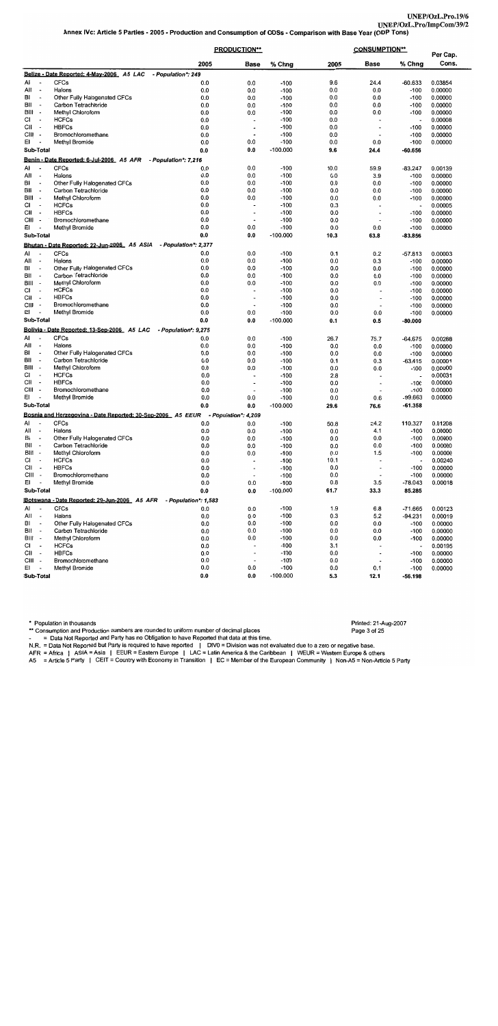|            |                                                      |                                                                                  |                             | <b>PRODUCTION**</b>      |                      | <b>CONSUMPTION**</b> |                          |                                    | Per Cap.           |
|------------|------------------------------------------------------|----------------------------------------------------------------------------------|-----------------------------|--------------------------|----------------------|----------------------|--------------------------|------------------------------------|--------------------|
|            |                                                      |                                                                                  | 2005                        | Base                     | % Chng               | 2005                 | <b>Base</b>              | % Chng                             | Cons.              |
|            |                                                      | Belize - Date Reported: 4-May-2006 A5 LAC                                        | - Population*: 249          |                          |                      |                      |                          |                                    |                    |
| A١         | $\overline{\phantom{a}}$                             | <b>CFCs</b>                                                                      | 0.0                         | 0.0                      | $-100$               | 9.6                  | 24.4                     | $-60.633$                          | 0.03854            |
| All        | $\overline{\phantom{a}}$                             | Halons                                                                           | 0.0                         | 0.0                      | $-100$               | 0.0                  | 0.0                      | $-100$                             | 0.00000            |
| BI         | $\overline{\phantom{a}}$                             | Other Fully Halogenated CFCs                                                     | 0.0                         | 0.0                      | $-100$               | 0.0                  | 0.0                      | $-100$                             | 0.00000            |
| BII        | $\overline{\phantom{a}}$                             | Carbon Tetrachloride                                                             | 0.0                         | 0.0                      | $-100$               | 0.0                  | 0.0                      | $-100$                             | 0.00000            |
| BIII<br>СI | $\blacksquare$<br>$\overline{\phantom{a}}$           | Methyl Chloroform<br><b>HCFCs</b>                                                | 0.0                         | 0.0                      | $-100$               | 0.0                  | 0.0                      | $-100$                             | 0.00000            |
| CII        | $\blacksquare$                                       | <b>HBFCs</b>                                                                     | 0.0<br>0.0                  | $\blacksquare$           | $-100$<br>$-100$     | 0.0<br>0.0           |                          | $\overline{\phantom{a}}$<br>$-100$ | 0.00008<br>0.00000 |
| CIII       | $\overline{\phantom{a}}$                             | Bromochloromethane                                                               | 0.0                         |                          | $-100$               | 0.0                  |                          | $-100$                             | 0.00000            |
| EI         |                                                      | Methyl Bromide                                                                   | 0.0                         | 0.0                      | $-100$               | 0.0                  | 0.0                      | $-100$                             | 0.00000            |
|            | Sub-Total                                            |                                                                                  | 0.0                         | 0.0                      | $-100.000$           | 9.6                  | 24.4                     | $-60.656$                          |                    |
|            |                                                      | Benin - Date Reported: 6-Jul-2006 A5 AFR                                         | - Population*: 7,216        |                          |                      |                      |                          |                                    |                    |
| A١         | $\tilde{\phantom{a}}$                                | <b>CFCs</b>                                                                      | 0.0                         | 0.0                      | $-100$               | 10.0                 | 59.9                     | $-83.247$                          | 0.00139            |
| AII        | $\overline{\phantom{a}}$                             | Halons                                                                           | 0.0                         | 0.0                      | $-100$               | 0.0                  | 3.9                      | $-100$                             | 0.00000            |
| BI         | $\qquad \qquad \blacksquare$                         | Other Fully Halogenated CFCs                                                     | 0.0                         | 0.0                      | $-100$               | 0.0                  | 0.0                      | $-100$                             | 0.00000            |
| BII        | $\overline{\phantom{a}}$                             | Carbon Tetrachloride                                                             | 0.0                         | 0.0                      | $-100$               | 0.0                  | 0.0                      | $-100$                             | 0.00000            |
| BIII       | $\overline{\phantom{a}}$                             | Methyl Chloroform                                                                | 0.0                         | 0.0                      | $-100$               | 0.0                  | 0.0                      | $-100$                             | 0.00000            |
| СI         | $\overline{\phantom{a}}$                             | <b>HCFCs</b>                                                                     | 0.0                         | $\overline{a}$           | $-100$               | 0.3                  |                          | $\overline{\phantom{a}}$           | 0.00005            |
| CII        | $\overline{a}$                                       | <b>HBFCs</b>                                                                     | 0.0                         | $\overline{\phantom{a}}$ | $-100$               | 0.0                  |                          | -100                               | 0.00000            |
| CIII       | $\overline{\phantom{a}}$                             | Bromochloromethane                                                               | 0.0                         | $\blacksquare$           | $-100$               | 0.0                  |                          | $-100$                             | 0.00000            |
| ΕI         | Sub-Total                                            | Methyl Bromide                                                                   | 0.0<br>0.0                  | 0.0                      | $-100$<br>$-100.000$ | 0.0                  | 0.0                      | $-100$                             | 0.00000            |
|            |                                                      | Bhutan - Date Reported: 22-Jun-2006 A5 ASIA                                      | - Population*: 2,377        | 0.0                      |                      | 10.3                 | 63.8                     | $-83.856$                          |                    |
| Al         | $\overline{a}$                                       | <b>CFCs</b>                                                                      | 0.0                         | 0.0                      | $-100$               | 0.1                  | 0.2                      | $-57.813$                          | 0.00003            |
| All        | $\overline{\phantom{a}}$                             | Halons                                                                           | 0.0                         | 0.0                      | $-100$               | 0.0                  | 0.3                      | $-100$                             | 0.00000            |
| BI         | $\overline{\phantom{a}}$                             | Other Fully Halogenated CFCs                                                     | 0.0                         | 0.0                      | $-100$               | 0.0                  | 0.0                      | $-100$                             | 0.00000            |
| <b>BII</b> | $\blacksquare$                                       | Carbon Tetrachloride                                                             | 0.0                         | 0.0                      | $-100$               | 0.0                  | 0.0                      | $-100$                             | 0.00000            |
| BIII       | $\overline{\phantom{a}}$                             | Methyl Chloroform                                                                | 0.0                         | 0.0                      | $-100$               | 0.0                  | 0.0                      | $-100$                             | 0.00000            |
| СI         | $\overline{a}$                                       | <b>HCFCs</b>                                                                     | 0.0                         |                          | $-100$               | 0.0                  |                          | $-100$                             | 0.00000            |
| CІІ        | $\overline{a}$                                       | <b>HBFCs</b>                                                                     | 0.0                         | $\overline{\phantom{a}}$ | $-100$               | 0.0                  |                          | $-100$                             | 0.00000            |
| CIII       | $\overline{\phantom{a}}$                             | Bromochloromethane                                                               | 0.0                         | $\overline{\phantom{a}}$ | $-100$               | 0.0                  |                          | $-100$                             | 0.00000            |
| ΕI         | Sub-Total                                            | Methyl Bromide                                                                   | 0.0                         | 0.0                      | $-100$               | 0.0                  | 0.0                      | $-100$                             | 0.00000            |
|            |                                                      | Bolivia - Date Reported: 13-Sep-2006 A5 LAC                                      | 0.0<br>- Population*: 9,275 | 0.0                      | $-100.000$           | 0.1                  | 0.5                      | $-80.000$                          |                    |
| AI         | $\overline{\phantom{a}}$                             | <b>CFCs</b>                                                                      | 0.0                         | 0.0                      | $-100$               | 26.7                 | 75.7                     | -64.675                            | 0.00288            |
| ΑII        | $\blacksquare$                                       | Halons                                                                           | 0.0                         | 0.0                      | $-100$               | 0.0                  | 0.0                      | $-100$                             | 0.00000            |
| BI         | $\overline{\phantom{a}}$                             | Other Fully Halogenated CFCs                                                     | 0.0                         | 0.0                      | $-100$               | 0.0                  | 0.0                      | -100                               | 0.00000            |
| ВII        | $\overline{\phantom{a}}$                             | Carbon Tetrachloride                                                             | 0.0                         | 0.0                      | $-100$               | 0.1                  | 0.3                      | -63.415                            | 0.00001            |
| BIII       | $\overline{\phantom{a}}$                             | Methyl Chloroform                                                                | 0.0                         | 0.0                      | $-100$               | 0.0                  | 0.0                      | $-100$                             | 0.00000            |
| СI         | $\overline{\phantom{a}}$                             | <b>HCFCs</b>                                                                     | 0.0                         | $\blacksquare$           | $-100$               | 2.8                  |                          | ÷,                                 | 0.00031            |
| CII        | $\overline{\phantom{a}}$                             | <b>HBFCs</b>                                                                     | 0.0                         | $\overline{\phantom{a}}$ | $-100$               | 0.0                  | $\hat{\phantom{a}}$      | $-100$                             | 0.00000            |
| CIII -     |                                                      | Bromochloromethane                                                               | 0.0                         | $\overline{\phantom{a}}$ | $-100$               | 0.0                  | $\overline{\phantom{0}}$ | $-100$                             | 0.00000            |
| ΕI         |                                                      | Methyl Bromide                                                                   | 0.0                         | 0.0                      | $-100$               | 0.0                  | 0.6                      | $-99.663$                          | 0.00000            |
|            | Sub-Total                                            |                                                                                  | 0.0                         | 0.0                      | $-100.000$           | 29.6                 | 76.6                     | $-61.358$                          |                    |
|            |                                                      | Bosnia and Herzegovina - Date Reported: 30-Sep-2006 A5 EEUR - Population*: 4,209 |                             |                          |                      |                      |                          |                                    |                    |
| Al         | $\overline{\phantom{a}}$                             | <b>CFCs</b>                                                                      | 0.0                         | 0.0                      | $-100$               | 50.8                 | 24.2                     | 110.327                            | 0.01208            |
| All<br>BI  | $\overline{\phantom{a}}$<br>$\overline{\phantom{a}}$ | Halons<br>Other Fully Halogenated CFCs                                           | 0.0                         | 0.0                      | $-100$               | 0.0                  | 4.1                      | $-100$                             | 0.00000            |
| BII        | $\overline{\phantom{a}}$                             | Carbon Tetrachloride                                                             | 0.0<br>0.0                  | 0.0<br>0.0               | $-100$<br>$-100$     | 0.0<br>0.0           | 0.0<br>0.0               | $-100$                             | 0.00000            |
| BIII -     |                                                      | Methyl Chloroform                                                                | 0.0                         | 0.0                      | $-100$               | 0.0                  | 1.5                      | $-100$<br>$-100$                   | 0.00000<br>0.00000 |
| СI         | $\overline{a}$                                       | <b>HCFCs</b>                                                                     | 0.0                         | $\overline{\phantom{a}}$ | $-100$               | 10.1                 |                          | $\overline{\phantom{a}}$           | 0.00240            |
| CII        | $\sim$                                               | <b>HBFCs</b>                                                                     | 0.0                         | $\overline{\phantom{a}}$ | $-100$               | 0.0                  | $\overline{\phantom{a}}$ | $-100$                             | 0.00000            |
| CIII -     |                                                      | Bromochloromethane                                                               | 0.0                         | $\hat{\phantom{a}}$      | $-100$               | 0.0                  | $\blacksquare$           | $-100$                             | 0.00000            |
| ΕI         |                                                      | Methyl Bromide                                                                   | 0.0                         | 0.0                      | $-100$               | 0.8                  | 3.5                      | $-78.043$                          | 0.00018            |
|            | Sub-Total                                            |                                                                                  | 0.0                         | 0.0                      | $-100.000$           | 61.7                 | 33.3                     | 85.285                             |                    |
|            |                                                      | Botswana - Date Reported: 29-Jun-2006 A5 AFR                                     | - Population*: 1,583        |                          |                      |                      |                          |                                    |                    |
| Al         |                                                      | <b>CFCs</b>                                                                      | 0.0                         | 0.0                      | $-100$               | 1.9                  | 6.8                      | $-71.665$                          | 0.00123            |
| All        | $\overline{\phantom{a}}$                             | Halons                                                                           | 0.0                         | 0.0                      | $-100$               | 0.3                  | 5.2                      | $-94.231$                          | 0.00019            |
| BI         | $\overline{\phantom{a}}$                             | Other Fully Halogenated CFCs                                                     | 0.0                         | 0.0                      | $-100$               | 0.0                  | 0.0                      | $-100$                             | 0.00000            |
| BII        | $\overline{\phantom{a}}$                             | Carbon Tetrachloride                                                             | 0.0                         | 0.0                      | $-100$               | 0.0                  | 0.0                      | $-100$                             | 0.00000            |
| BIII -     |                                                      | Methyl Chloroform                                                                | 0.0                         | 0.0                      | $-100$               | 0.0                  | 0.0                      | -100                               | 0.00000            |
| $CI -$     |                                                      | <b>HCFCs</b>                                                                     | 0.0                         | $\overline{\phantom{a}}$ | $-100$               | 3.1                  |                          | $\overline{\phantom{a}}$           | 0.00195            |

\*\* Consumption and Production numbers are rounded to uniform number of decimal places

 $\overline{\phantom{a}}$ 

**Sub-Total** 

**HBFCs** 

\* Population in thousands

Bromochloromethane

Methyl Bromide

 $CII$ 

CIII  $\overline{\phantom{a}}$ 

EI i,

= Data Not Reported and Party has no Obligation to have Reported that data at this time.

N.R. = Data Not Reported but Party is required to have reported | DIV0 = Division was not evaluated due to a zero or negative base.

 $_{\rm 0.0}$ 

 $0.0\,$ 

 $0.0$ 

 $0.0$ 

 $\overline{\phantom{a}}$ 

 $\overline{a}$ 

 $0.0\,$ 

 $0.0$ 

 $-100$ 

 $-100$ 

 $-100$ 

 $-100.000$ 

AFR = Africa | ASIA = Asia | EEUR = Eastern Europe | LAC = Latin America & the Caribbean | WEUR = Western Europe & others<br>AFR = Africa | ASIA = Asia | EEUR = Eastern Europe | LAC = Latin America & the Caribbean | WEUR = We

### Printed: 21-Aug-2007 Page 3 of 25

 $\overline{a}$ 

 $0.1$ 

 $12.1$ 

 $-100$ 

 $-100$ 

 $-100$ 

 $-56.198$ 

0.00000

0.00000

0.00000

 $0.0$ 

 $0.0$ 

 $0.0$ 

 $5.3$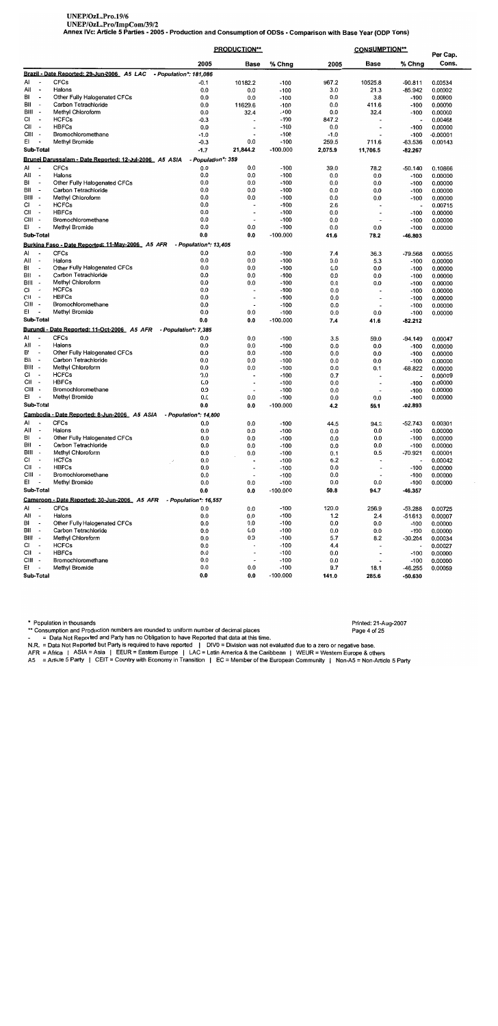# UNEP/OzL.Pro.19/6

UNER/OZEN TODOR<br>UNEP/OZL.Pro/ImpCom/39/2<br>Annex IVc: Article 5 Parties - 2005 - Production and Consumption of ODSs - Comparison with Base Year (ODP Tons)

|                                                                   |                                                                       |                              | <b>PRODUCTION**</b>            |                      |              | <b>CONSUMPTION**</b>                                 |                          | Per Cap.           |
|-------------------------------------------------------------------|-----------------------------------------------------------------------|------------------------------|--------------------------------|----------------------|--------------|------------------------------------------------------|--------------------------|--------------------|
|                                                                   |                                                                       | 2005                         | Base                           | % Chng               | 2005         | <b>Base</b>                                          | % Chng                   | Cons.              |
|                                                                   | Brazil - Date Reported: 29-Jun-2006 A5 LAC                            | - Population*: 181,086       |                                |                      |              |                                                      |                          |                    |
| Al<br>$\blacksquare$                                              | <b>CFCs</b>                                                           | -0.1                         | 10182.2                        | $-100$               | 967.2        | 10525.8                                              | $-90.811$                | 0.00534            |
| All<br>. .                                                        | Halons                                                                | 0.0                          | 0.0                            | $-100$               | 3.0          | 21.3                                                 | $-85.942$                | 0.00002            |
| BI                                                                | Other Fully Halogenated CFCs                                          | 0.0                          | 0.0                            | $-100$               | 0.0          | 3.8                                                  | $-100$                   | 0.00000            |
| BII<br>BIII -                                                     | Carbon Tetrachloride                                                  | 0.0                          | 11629.6                        | $-100$               | 0.0          | 411.6                                                | $-100$                   | 0.00000            |
| СI<br><b>.</b>                                                    | Methyl Chloroform<br><b>HCFCs</b>                                     | 0.0<br>$-0.3$                | 32.4<br>$\overline{a}$         | $-100$<br>$-100$     | 0.0<br>847.2 | 32.4                                                 | $-100$                   | 0.00000            |
| CII<br>$\overline{\phantom{a}}$                                   | <b>HBFCs</b>                                                          | 0.0                          | $\overline{\phantom{a}}$       | $-100$               | 0.0          | $\qquad \qquad \blacksquare$                         | $\frac{1}{2}$<br>-100    | 0.00468<br>0.00000 |
| CIII -                                                            | Bromochloromethane                                                    | $-1.0$                       |                                | $-100$               | $-1.0$       | $\overline{a}$                                       | $-100$                   | $-0.00001$         |
| EI                                                                | Methyl Bromide                                                        | $-0.3$                       | 0.0                            | $-100$               | 259.5        | 711.6                                                | -63.536                  | 0.00143            |
| Sub-Total                                                         |                                                                       | -1.7                         | 21,844.2                       | $-100.000$           | 2,075.9      | 11,706.5                                             | $-82.267$                |                    |
|                                                                   | Brunei Darussalam - Date Reported: 12-Jul-2006 A5 ASIA                | - Population*: 359           |                                |                      |              |                                                      |                          |                    |
| Al                                                                | <b>CFCs</b>                                                           | 0.0                          | 0.0                            | $-100$               | 39.0         | 78.2                                                 | $-50.140$                | 0.10866            |
| All<br>$\overline{\phantom{a}}$                                   | Halons                                                                | 0.0                          | 0.0                            | $-100$               | 0.0          | 0.0                                                  | $-100$                   | 0.00000            |
| BI                                                                | Other Fully Halogenated CFCs                                          | 0.0                          | 0.0                            | $-100$               | 0.0          | 0.0                                                  | -100                     | 0.00000            |
| BII<br>$\overline{\phantom{a}}$                                   | Carbon Tetrachloride                                                  | 0.0                          | 0.0                            | $-100$               | 0.0          | 0.0                                                  | $-100$                   | 0.00000            |
| BIII -<br>СI                                                      | Methyl Chloroform<br><b>HCFCs</b>                                     | 0.0                          | 0.0                            | $-100$               | 0.0          | 0.0                                                  | $-100$                   | 0.00000            |
| $\overline{\phantom{a}}$<br>CII<br>$\overline{\phantom{a}}$       | <b>HBFCs</b>                                                          | 0.0<br>0.0                   | ÷,<br>$\overline{\phantom{a}}$ | $-100$               | 2.6          | $\overline{a}$                                       | $\overline{\phantom{a}}$ | 0.00715            |
| CIII -                                                            | Bromochloromethane                                                    | 0.0                          | $\overline{\phantom{a}}$       | $-100$<br>$-100$     | 0.0<br>0.0   | $\overline{\phantom{a}}$<br>$\overline{\phantom{a}}$ | -100                     | 0.00000            |
| EI                                                                | Methyl Bromide                                                        | 0.0                          | 0.0                            | $-100$               | 0.0          | 0.0                                                  | $-100$<br>$-100$         | 0.00000<br>0.00000 |
| Sub-Total                                                         |                                                                       | 0.0                          | 0.0                            | $-100.000$           | 41.6         | 78.2                                                 | $-46.803$                |                    |
|                                                                   | Burkina Faso - Date Reported: 11-May-2006 A5 AFR                      | - Population*: 13,405        |                                |                      |              |                                                      |                          |                    |
| Al                                                                | <b>CFCs</b>                                                           | 0.0                          | 0.0                            | $-100$               | 7.4          | 36.3                                                 | $-79.568$                | 0.00055            |
| All<br>$\overline{\phantom{a}}$                                   | Halons                                                                | 0.0                          | 0.0                            | $-100$               | 0.0          | 5.3                                                  | $-100$                   | 0.00000            |
| BI<br>$\overline{\phantom{a}}$                                    | Other Fully Halogenated CFCs                                          | 0.0                          | 0.0                            | $-100$               | 0.0          | 0.0                                                  | $-100$                   | 0.00000            |
| BII<br>$\overline{\phantom{a}}$                                   | Carbon Tetrachloride                                                  | 0.0                          | 0.0                            | $-100$               | 0.0          | 0.0                                                  | $-100$                   | 0.00000            |
| Bill -                                                            | Methyl Chloroform                                                     | 0.0                          | 0.0                            | $-100$               | 0.0          | 0.0                                                  | $-100$                   | 0.00000            |
| СI<br>$\overline{\phantom{a}}$                                    | <b>HCFCs</b>                                                          | 0.0                          | $\overline{a}$                 | $-100$               | 0.0          | $\overline{a}$                                       | $-100$                   | 0.00000            |
| CII<br>$\overline{\phantom{a}}$                                   | <b>HBFCs</b>                                                          | 0.0                          | $\overline{\phantom{a}}$       | $-100$               | 0.0          | $\overline{\phantom{a}}$                             | $-100$                   | 0.00000            |
| CIII -<br>εı<br>$\overline{\phantom{a}}$                          | Bromochloromethane                                                    | 0.0                          | $\overline{\phantom{a}}$       | $-100$               | 0.0          |                                                      | $-100$                   | 0.00000            |
| Sub-Total                                                         | Methyl Bromide                                                        | 0.0<br>0.0                   | 0.0<br>0.0                     | $-100$<br>$-100.000$ | 0.0<br>7.4   | 0.0                                                  | $-100$                   | 0.00000            |
|                                                                   | Burundi - Date Reported: 11-Oct-2006 A5 AFR                           | - Population*: 7,385         |                                |                      |              | 41.6                                                 | -82.212                  |                    |
| Al<br>$\overline{\phantom{a}}$                                    | <b>CFCs</b>                                                           |                              |                                |                      |              |                                                      |                          |                    |
| All<br>$\overline{\phantom{a}}$                                   | Halons                                                                | 0.0<br>0.0                   | 0.0<br>0.0                     | $-100$<br>$-100$     | 3.5<br>0.0   | 59.0<br>0.0                                          | $-94.149$                | 0.00047            |
| BI<br>$\overline{\phantom{a}}$                                    | Other Fully Halogenated CFCs                                          | 0.0                          | 0.0                            | $-100$               | 0.0          | 0.0                                                  | $-100$<br>$-100$         | 0.00000<br>0.00000 |
| BII<br>$\overline{\phantom{a}}$                                   | Carbon Tetrachloride                                                  | 0.0                          | 0.0                            | $-100$               | 0.0          | 0.0                                                  | -100                     | 0.00000            |
| BIII -                                                            | <b>Methyl Chloroform</b>                                              | 0.0                          | 0.0                            | $-100$               | 0.0          | 0.1                                                  | $-68.822$                | 0.00000            |
| СI<br>$\overline{\phantom{a}}$                                    | <b>HCFCs</b>                                                          | 0.0                          | $\overline{\phantom{a}}$       | $-100$               | 0.7          | $\overline{\phantom{a}}$                             | $\overline{\phantom{a}}$ | 0.00009            |
| СII<br>$\overline{\phantom{a}}$                                   | <b>HBFCs</b>                                                          | 0.0                          | $\overline{\phantom{a}}$       | $-100$               | 0.0          | $\overline{\phantom{a}}$                             | $-100$                   | 0.00000            |
| CIII -                                                            | Bromochloromethane                                                    | 0.0                          | $\overline{\phantom{a}}$       | $-100$               | 0.0          | $\overline{\phantom{a}}$                             | $-100$                   | 0.00000            |
| ΕI<br>$\overline{\phantom{a}}$                                    | <b>Methyl Bromide</b>                                                 | 0.0                          | 0.0                            | $-100$               | 0.0          | 0.0                                                  | $-100$                   | 0.00000            |
| Sub-Total                                                         |                                                                       | 0.0                          | 0.0                            | $-100.000$           | 4.2          | 59.1                                                 | $-92.893$                |                    |
|                                                                   | <u> Cambodia - Date Reported: 8-Jun-2006 _ A5_ASIA</u><br><b>CFCs</b> | <i>- Population*: 14,800</i> |                                |                      |              |                                                      |                          |                    |
| Al<br>$\overline{\phantom{a}}$<br>All<br>$\overline{\phantom{a}}$ | Halons                                                                | 0.0<br>0.0                   | 0.0                            | -100                 | 44.5         | 94.2                                                 | -52.743                  | 0.00301            |
| BI<br>$\overline{\phantom{a}}$                                    | Other Fully Halogenated CFCs                                          | 0.0                          | 0.0<br>0.0                     | $-100$<br>$-100$     | 0.0<br>0.0   | 0.0<br>0.0                                           | $-100$<br>$-100$         | 0.00000            |
| BII<br>$\overline{\phantom{a}}$                                   | Carbon Tetrachloride                                                  | 0.0                          | 0.0                            | $-100$               | 0.0          | 0.0                                                  | $-100$                   | 0.00000<br>0.00000 |
| BIII -                                                            | Methyl Chloroform                                                     | 0.0                          | 0.0                            | $-100$               | 0.1          | 0.5                                                  | $-70.921$                | 0.00001            |
| СI<br>$\overline{\phantom{a}}$                                    | <b>HCFCs</b>                                                          | 0.0<br>$\epsilon^{\prime}$   | $\overline{\phantom{a}}$       | $-100$               | 6.2          | $\ddot{\phantom{0}}$                                 | $\overline{\phantom{a}}$ | 0.00042            |
| СII<br>$\overline{\phantom{a}}$                                   | <b>HBFCs</b>                                                          | 0.0                          | $\overline{\phantom{a}}$       | $-100$               | 0.0          | $\overline{\phantom{a}}$                             | $-100$                   | 0.00000            |
| CIII -                                                            | Bromochloromethane                                                    | 0.0                          | $\overline{\phantom{a}}$       | $-100$               | 0.0          | $\overline{\phantom{a}}$                             | $-100$                   | 0.00000            |
| ΕI<br>$\overline{\phantom{a}}$                                    | Methyl Bromide                                                        | 0.0                          | 0.0                            | $-100$               | 0.0          | 0.0                                                  | $-100$                   | 0.00000            |
| Sub-Total                                                         |                                                                       | 0.0                          | 0.0                            | $-100.000$           | 50.8         | 94.7                                                 | $-46.357$                |                    |
|                                                                   | Cameroon - Date Reported: 30-Jun-2006 A5 AFR                          | - Population*: 16.557        |                                |                      |              |                                                      |                          |                    |
| Al<br>$\overline{\phantom{a}}$                                    | <b>CFCs</b>                                                           | 0.0                          | 0.0                            | $-100$               | 120.0        | 256.9                                                | $-53.288$                | 0.00725            |
| All<br>$\overline{\phantom{a}}$                                   | Halons                                                                | 0.0                          | 0.0                            | $-100$               | 1.2          | 2.4                                                  | $-51.613$                | 0.00007            |
| BI<br>$\overline{\phantom{a}}$<br>BII<br>$\overline{\phantom{a}}$ | Other Fully Halogenated CFCs<br>Carbon Tetrachloride                  | 0.0                          | 0.0                            | $-100$               | 0.0          | 0.0                                                  | $-100$                   | 0.00000            |
| BIII -                                                            | Methyl Chloroform                                                     | 0.0<br>0.0                   | 0.0<br>0.0                     | $-100$<br>$-100$     | 0.0          | 0.0                                                  | $-100$                   | 0.00000            |
| СI<br>$\overline{\phantom{a}}$                                    | <b>HCFCs</b>                                                          | 0.0                          | $\overline{\phantom{a}}$       | $-100$               | 5.7<br>4.4   | 8.2<br>$\ddot{\phantom{0}}$                          | $-30.204$<br>×,          | 0.00034<br>0.00027 |
| СII<br>$\overline{\phantom{a}}$                                   | <b>HBFCs</b>                                                          | 0.0                          | $\overline{\phantom{0}}$       | $-100$               | 0.0          | $\tilde{}$                                           | $-100$                   | 0.00000            |
| CIII -                                                            | Bromochloromethane                                                    | 0.0                          | $\overline{\phantom{m}}$       | $-100$               | 0.0          |                                                      | $-100$                   | 0.00000            |
| El<br>$\overline{\phantom{a}}$                                    | Methyl Bromide                                                        | 0.0                          | 0.0                            | $-100$               | 9.7          | 18.1                                                 | $-46.255$                | 0.00059            |
| Sub-Total                                                         |                                                                       | 0.0                          | 0.0                            | $-100.000$           | 141.0        | 285.6                                                | $-50.630$                |                    |

\* Population in thousands

\*\* Consumption and Production numbers are rounded to uniform number of decimal places<br>- = Data Not Reported and Party has no Obligation to have Reported that data at this time.

N.R. = Data Not Reported but Party is required to have reported in the data of this time.<br>AFR = Africa | ASIA = Asia | EEUR = Eastem Europe | LAC = Latin America & the Caribbean | WEUR = Western Europe & others<br>A5 = Articl

### Printed: 21-Aug-2007 Page 4 of 25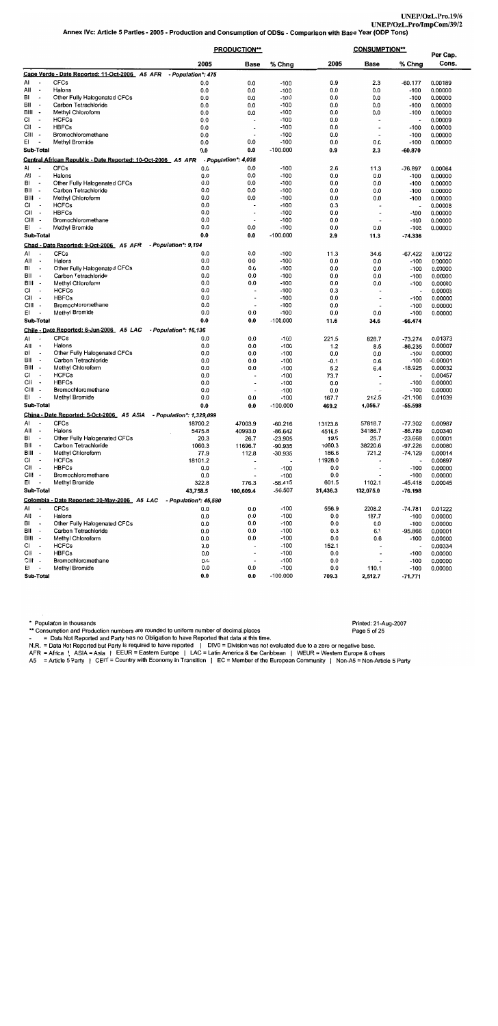|                                                              |                                                              |                                 | <b>PRODUCTION**</b>      |                      |                   | <b>CONSUMPTION**</b>                       |                          |                    |
|--------------------------------------------------------------|--------------------------------------------------------------|---------------------------------|--------------------------|----------------------|-------------------|--------------------------------------------|--------------------------|--------------------|
|                                                              |                                                              | 2005                            | Base                     | % Chng               | 2005              | Base                                       | % Chng                   | Per Cap.<br>Cons.  |
|                                                              | Cape Verde - Date Reported: 11-Oct-2006 A5 AFR               | - Population*: 475              |                          |                      |                   |                                            |                          |                    |
| AI                                                           | <b>CFCs</b>                                                  | 0.0                             | 0.0                      | $-100$               | 0.9               | 2.3                                        | $-60.177$                | 0.00189            |
| All<br>Ĭ.                                                    | Halons                                                       | 0.0                             | 0.0                      | $-100$               | 0.0               | 0.0                                        | $-100$                   | 0.00000            |
| вı<br>$\overline{\phantom{a}}$                               | Other Fully Halogenated CFCs                                 | 0.0                             | 0.0                      | $-100$               | 0.0               | 0.0                                        | $-100$                   | 0.00000            |
| ВII<br>$\overline{a}$                                        | Carbon Tetrachloride                                         | 0.0                             | 0.0                      | $-100$               | 0.0               | 0.0                                        | $-100$                   | 0.00000            |
| BIII<br>$\overline{\phantom{a}}$<br>$\overline{\phantom{a}}$ | Methyl Chloroform                                            | 0.0                             | 0.0                      | $-100$               | 0.0               | 0.0                                        | $-100$                   | 0.00000            |
| CI<br>CII<br>$\overline{\phantom{a}}$                        | <b>HCFCs</b><br><b>HBFCs</b>                                 | 0.0<br>0.0                      |                          | $-100$<br>$-100$     | 0.0               | $\overline{\phantom{a}}$                   | $\ddot{\phantom{0}}$     | 0.00009            |
| CIII<br>$\ddot{\phantom{0}}$                                 | Bromochloromethane                                           | 0.0                             | $\overline{a}$           | $-100$               | 0.0<br>0.0        | $\overline{\phantom{a}}$<br>$\blacksquare$ | $-100$<br>$-100$         | 0.00000<br>0.00000 |
| EL                                                           | Methyl Bromide                                               | 0.0                             | 0.0                      | $-100$               | 0.0               | 0.0                                        | $-100$                   | 0.00000            |
| Sub-Total                                                    |                                                              | 0.0                             | 0.0                      | $-100.000$           | 0.9               | 2.3                                        | -60.870                  |                    |
|                                                              | Central African Republic - Date Reported: 10-Oct-2006 A5 AFR | - Population*: 4,035            |                          |                      |                   |                                            |                          |                    |
| AI                                                           | <b>CFCs</b>                                                  | 0.0                             | 0.0                      | $-100$               | 2.6               | 11.3                                       | $-76.897$                | 0.00064            |
| All<br>$\overline{\phantom{a}}$                              | Halons                                                       | 0.0                             | 0.0                      | $-100$               | 0.0               | 0.0                                        | -100                     | 0.00000            |
| В۱<br>$\tilde{\phantom{a}}$                                  | Other Fully Halogenated CFCs                                 | 0.0                             | 0.0                      | $-100$               | 0.0               | 0.0                                        | -100                     | 0.00000            |
| BII<br>$\overline{\phantom{a}}$                              | Carbon Tetrachloride                                         | 0.0                             | 0.0                      | $-100$               | 0.0               | 0.0                                        | -100                     | 0.00000            |
| BIII<br>$\overline{\phantom{a}}$                             | Methyl Chloroform                                            | 0.0                             | 0.0                      | $-100$               | 0.0               | 0.0                                        | -100                     | 0.00000            |
| СI<br>$\overline{\phantom{a}}$                               | <b>HCFCs</b>                                                 | 0.0                             |                          | $-100$               | 0.3               | $\overline{a}$                             | $\overline{\phantom{a}}$ | 0.00008            |
| CII<br>$\overline{a}$<br>CIII<br>٠.                          | <b>HBFCs</b><br>Bromochloromethane                           | 0.0                             | $\blacksquare$           | $-100$               | 0.0               | $\overline{\phantom{a}}$                   | $-100$                   | 0.00000            |
| EI                                                           | Methyl Bromide                                               | 0.0<br>0.0                      | $\blacksquare$<br>0.0    | $-100$<br>$-100$     | 0.0               |                                            | -100                     | 0.00000            |
| Sub-Total                                                    |                                                              | 0.0                             | 0.0                      | $-100.000$           | 0.0<br>2.9        | 0.0<br>11.3                                | $-100$                   | 0.00000            |
|                                                              | Chad - Date Reported: 9-Oct-2006 A5 AFR                      | - Population*: 9,194            |                          |                      |                   |                                            | $-74.336$                |                    |
| Al                                                           | <b>CFCs</b>                                                  | 0.0                             | 0.0                      | $-100$               | 11.3              | 34.6                                       | $-67.422$                | 0.00122            |
| All<br>$\blacksquare$                                        | Halons                                                       | 0.0                             | 0.0                      | $-100$               | 0.0               | 0.0                                        | $-100$                   | 0.00000            |
| BI<br>$\overline{\phantom{a}}$                               | Other Fully Halogenated CFCs                                 | 0.0                             | 0.0                      | $-100$               | 0.0               | 0.0                                        | -100                     | 0.00000            |
| BII<br>$\overline{a}$                                        | Carbon Tetrachloride                                         | 0.0                             | 0.0                      | $-100$               | 0.0               | 0.0                                        | $-100$                   | 0.00000            |
| BIII -                                                       | Methyl Chloroform                                            | 0.0                             | 0.0                      | $-100$               | 0.0               | 0.0                                        | -100                     | 0.00000            |
| СI<br>$\overline{a}$                                         | <b>HCFCs</b>                                                 | 0.0                             | $\blacksquare$           | $-100$               | 0.3               |                                            | ×,                       | 0.00003            |
| CII<br>$\overline{\phantom{a}}$                              | <b>HBFCs</b>                                                 | 0.0                             | $\blacksquare$           | $-100$               | 0.0               | $\blacksquare$                             | $-100$                   | 0.00000            |
| CIII<br>٠.                                                   | Bromochloromethane                                           | 0.0                             | $\overline{a}$           | $-100$               | 0.0               | $\blacksquare$                             | $-100$                   | 0.00000            |
| ΕI<br>Sub-Total                                              | <b>Methyl Bromide</b>                                        | 0.0<br>0.0                      | 0.0<br>0.0               | $-100$<br>$-100.000$ | 0.0<br>11.6       | 0.0<br>34.6                                | $-100$                   | 0.00000            |
|                                                              | Chile - Date Reported: 6-Jun-2006 A5 LAC                     | - Population*: 16,136           |                          |                      |                   |                                            | -66.474                  |                    |
| AI                                                           | <b>CFCs</b>                                                  | 0.0                             | 0.0                      | $-100$               | 221.5             | 828.7                                      | $-73.274$                | 0.01373            |
| All<br>$\blacksquare$                                        | Halons                                                       | 0.0                             | 0.0                      | $-100$               | 1.2               | 8.5                                        | $-86.235$                | 0.00007            |
| BI<br>$\overline{\phantom{a}}$                               | Other Fully Halogenated CFCs                                 | 0.0                             | 0.0                      | $-100$               | 0.0               | 0.0                                        | -100                     | 0.00000            |
| ВII<br>$\overline{\phantom{a}}$                              | Carbon Tetrachloride                                         | 0.0                             | 0.0                      | $-100$               | $-0.1$            | 0.6                                        | $-100$                   | $-0.00001$         |
| BIII<br>$\blacksquare$                                       | Methyl Chloroform                                            | 0.0                             | 0.0                      | $-100$               | 5.2               | 6.4                                        | $-18.925$                | 0.00032            |
| СI<br>$\blacksquare$                                         | <b>HCFCs</b>                                                 | 0.0                             |                          | $-100$               | 73.7              | $\overline{\phantom{a}}$                   | $\blacksquare$           | 0.00457            |
| CII<br>$\overline{\phantom{a}}$                              | <b>HBFCs</b>                                                 | 0.0                             | $\blacksquare$           | $-100$               | 0.0               | $\overline{a}$                             | -100                     | 0.00000            |
| CIII -                                                       | Bromochloromethane                                           | 0.0                             |                          | $-100$               | 0.0               |                                            | -100                     | 0.00000            |
| EI<br>Sub-Total                                              | Methyl Bromide                                               | 0.0                             | 0.0                      | $-100$<br>$-100.000$ | 167.7             | 212.5                                      | $-21.106$                | 0.01039            |
|                                                              | China - Date Reported: 5-Oct-2006 A5 ASIA                    | 0.0<br>- Population*: 1,329,099 | 0.0                      |                      | 469.2             | 1,056.7                                    | $-55.598$                |                    |
| ΑI<br>$\overline{a}$                                         | <b>CFCs</b>                                                  | 18700.2                         |                          |                      |                   |                                            | $-77.302$                | 0.00987            |
| All<br>$\overline{\phantom{a}}$                              | Halons                                                       | 5475.8                          | 47003.9<br>40993.0       | -60.216<br>-86.642   | 13123.8<br>4516.5 | 57818.7<br>34186.7                         | -86.789                  | 0.00340            |
| BI                                                           | Other Fully Halogenated CFCs                                 | 20.3                            | 26.7                     | $-23.905$            | 19.6              | 25.7                                       | $-23.668$                | 0.00001            |
| BII<br>$\overline{a}$                                        | Carbon Tetrachloride                                         | 1060.3                          | 11696.7                  | -90.935              | 1060.3            | 38220.6                                    | $-97.226$                | 0.00080            |
| BIII -                                                       | Methyl Chloroform                                            | 77.9                            | 112.8                    | -30.935              | 186.6             | 721.2                                      | -74.129                  | 0.00014            |
| СI<br>$\overline{\phantom{a}}$                               | <b>HCFCs</b>                                                 | 18101.2                         |                          |                      | 11928.0           |                                            | $\overline{\phantom{a}}$ | 0.00897            |
| CII                                                          | <b>HBFCs</b>                                                 | 0.0                             | $\overline{\phantom{a}}$ | -100                 | 0.0               |                                            | -100                     | 0.00000            |
| CIII -                                                       | Bromochloromethane                                           | 0.0                             |                          | -100                 | 0.0               |                                            | -100                     | 0.00000            |
| EI                                                           | Methyl Bromide                                               | 322.8                           | 776.3                    | -58.415              | 601.5             | 1102.1                                     | -45.418                  | 0.00045            |
| Sub-Total                                                    |                                                              | 43,758.5                        | 100,609.4                | $-56.507$            | 31,436.3          | 132,075.0                                  | $-76.198$                |                    |
|                                                              | Colombia - Date Reported: 30-May-2006 A5 LAC                 | - Population*: 45,580           |                          |                      |                   |                                            |                          |                    |
| AI<br>All<br>$\overline{\phantom{a}}$                        | <b>CFCs</b><br>Halons                                        | 0.0                             | 0.0                      | -100                 | 556.9             | 2208.2                                     | $-74.781$                | 0.01222            |
| BI<br>$\tilde{}$                                             | Other Fully Halogenated CFCs                                 | 0.0<br>0.0                      | 0.0<br>0.0               | -100<br>$-100$       | 0.0<br>0.0        | 187.7                                      | $-100$                   | 0.00000            |
| ВII<br>$\blacksquare$                                        | Carbon Tetrachloride                                         | 0.0                             | 0.0                      | $-100$               | 0.3               | 0.0<br>6.1                                 | $-100$<br>-95.866        | 0.00000<br>0.00001 |
| BIII -                                                       | Methyl Chloroform                                            | 0.0                             | 0.0                      | -100                 | 0.0               | 0.6                                        | $-100$                   | 0.00000            |
| СI<br>$\overline{\phantom{a}}$                               | <b>HCFCs</b>                                                 | 0.0                             | $\overline{\phantom{m}}$ | -100                 | 152.1             |                                            | $\overline{\phantom{a}}$ | 0.00334            |
| CII<br>$\overline{\phantom{a}}$                              | <b>HBFCs</b>                                                 | 0.0                             | $\overline{\phantom{a}}$ | $-100$               | 0.0               | $\overline{\phantom{a}}$                   | -100                     | 0.00000            |
| CIII -                                                       | Bromochloromethane                                           | 0.0                             | $\overline{\phantom{a}}$ | $-100$               | 0.0               |                                            | $-100$                   | 0.00000            |
| EL<br>$\blacksquare$                                         | <b>Methyl Bromide</b>                                        | 0.0                             | 0.0                      | $-100$               | 0.0               | 110.1                                      | $-100$                   | 0.00000            |
| Sub-Total                                                    |                                                              | 0.0                             | 0.0                      | $-100.000$           | 709.3             | 2,512.7                                    | $-71.771$                |                    |

\*\* Consumption and Production numbers are rounded to uniform number of decimal places

= Data Not Reported and Party has no Obligation to have Reported that data at this time.

- = Data Not Reported and Party rias no Obigation to have Reported that data at this time.<br>N.R. = Data Not Reported but Party is required to have reported | DIVO = Division was not evaluated due to a zero or negative base.

### Printed: 21-Aug-2007 Page 5 of 25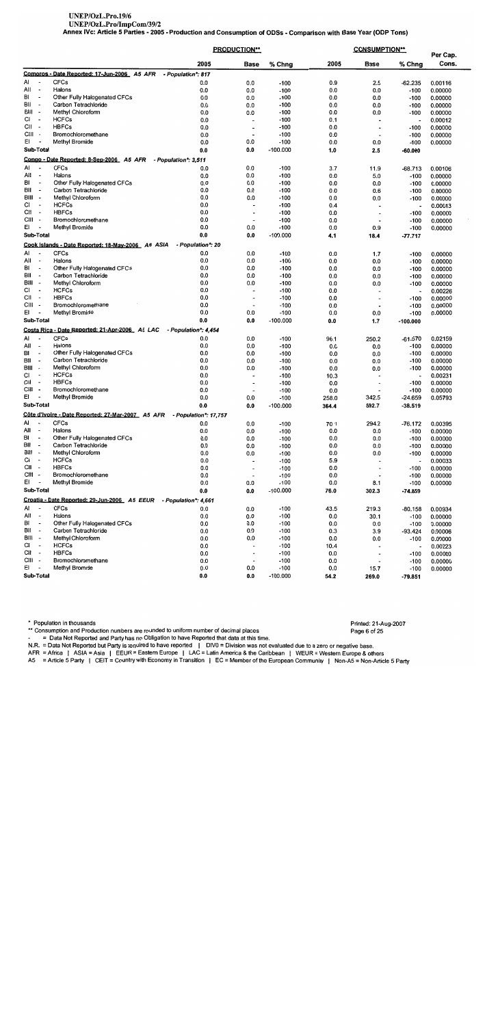# UNEP/OzL.Pro.19/6

UNEP/OzL.Pro/ImpCom/39/2

Annex IVc: Article 5 Parties - 2005 - Production and Consumption of ODSs - Comparison with Base Year (ODP Tons)

|                                                                  |                                                           |                              | <b>PRODUCTION**</b>                               |                      |            | <b>CONSUMPTION**</b>                       |                          |                    |
|------------------------------------------------------------------|-----------------------------------------------------------|------------------------------|---------------------------------------------------|----------------------|------------|--------------------------------------------|--------------------------|--------------------|
|                                                                  |                                                           | 2005                         | Base                                              | % Chng               | 2005       | Base                                       | % Chng                   | Per Cap.<br>Cons.  |
|                                                                  | Comoros - Date Reported: 17-Jun-2006 A5 AFR               | - Population*: 817           |                                                   |                      |            |                                            |                          |                    |
| Al                                                               | <b>CFCs</b>                                               | 0.0                          | 0.0                                               | $-100$               | 0.9        | 2.5                                        | $-62.235$                | 0.00116            |
| All<br>$\overline{\phantom{a}}$                                  | Halons                                                    | 0.0                          | 0.0                                               | $-100$               | 0.0        | 0.0                                        | $-100$                   | 0.00000            |
| BI<br>$\overline{\phantom{a}}$                                   | Other Fully Halogenated CFCs                              | 0.0                          | 0.0                                               | $-100$               | 0.0        | 0.0                                        | $-100$                   | 0.00000            |
| ВII<br>$\overline{\phantom{a}}$                                  | Carbon Tetrachlonde                                       | 0.0                          | 0.0                                               | $-100$               | 0.0        | 0.0                                        | $-100$                   | 0.00000            |
| BIII -                                                           | Methyl Chloroform                                         | 0.0                          | 0.0                                               | $-100$               | 0.0        | 0.0                                        | $-100$                   | 0.00000            |
| СI<br>$\overline{\phantom{a}}$                                   | <b>HCFCs</b><br><b>HBFCs</b>                              | 0.0                          | $\overline{\phantom{a}}$                          | $-100$               | 0.1        | $\overline{\phantom{a}}$                   | $\overline{a}$           | 0.00012            |
| CII<br>$\overline{\phantom{a}}$<br>CIII -                        | Bromochloromethane                                        | 0.0<br>0.0                   | $\overline{\phantom{a}}$<br>$\tilde{\phantom{a}}$ | $-100$<br>$-100$     | 0.0<br>0.0 | $\blacksquare$<br>$\overline{\phantom{a}}$ | $-100$<br>$-100$         | 0.00000<br>0.00000 |
| EI                                                               | Methyl Bromide                                            | 0.0                          | 0.0                                               | $-100$               | 0.0        | 0.0                                        | $-100$                   | 0.00000            |
| Sub-Total                                                        |                                                           | 0.0                          | 0.0                                               | $-100.000$           | 1.0        | 2.5                                        | -60.000                  |                    |
|                                                                  | Congo - Date Reported: 8-Sep-2006 A5 AFR                  | - Population*: 3,511         |                                                   |                      |            |                                            |                          |                    |
| AI                                                               | <b>CFCs</b>                                               | 0.0                          | 0.0                                               | $-100$               | 3.7        | 11.9                                       | $-68.713$                | 0.00106            |
| All<br>$\sim$                                                    | Halons                                                    | 0.0                          | 0.0                                               | $-100$               | 0.0        | 5.0                                        | $-100$                   | 0.00000            |
| BI<br>$\overline{\phantom{a}}$                                   | Other Fully Halogenated CFCs                              | 0.0                          | 0.0                                               | $-100$               | 0.0        | 0.0                                        | $-100$                   | 0.00000            |
| ВII<br>. .                                                       | Carbon Tetrachloride                                      | 0.0                          | 0.0                                               | $-100$               | 0.0        | 0.6                                        | $-100$                   | 0.00000            |
| BIII -                                                           | Methyl Chloroform                                         | 0.0                          | 0.0                                               | $-100$               | 0.0        | 0.0                                        | $-100$                   | 0.00000            |
| СI<br>$\overline{\phantom{a}}$                                   | <b>HCFCs</b>                                              | 0.0                          | $\blacksquare$                                    | $-100$               | 0.4        | $\overline{\phantom{0}}$                   | $\overline{\phantom{a}}$ | 0.00013            |
| СII<br>$\overline{\phantom{a}}$                                  | <b>HBFCs</b>                                              | 0.0                          | $\blacksquare$                                    | $-100$               | 0.0        | $\overline{\phantom{a}}$                   | $-100$                   | 0.00000            |
| CIII -                                                           | Bromochloromethane                                        | 0.0                          | $\overline{\phantom{a}}$                          | $-100$               | 0.0        | $\overline{\phantom{a}}$                   | $-100$                   | 0.00000            |
| EI                                                               | Methyl Bromide                                            | 0.0                          | 0.0                                               | $-100$               | 0.0        | 0.9                                        | -100                     | 0.00000            |
| Sub-Total                                                        |                                                           | 0.0                          | 0.0                                               | $-100.000$           | 4.1        | 18.4                                       | $-77.717$                |                    |
|                                                                  | Cook Islands - Date Reported: 18-May-2006 A5 ASIA         | - Population*: 20            |                                                   |                      |            |                                            |                          |                    |
| AI                                                               | <b>CFCs</b>                                               | 0.0                          | 0.0                                               | $-100$               | 0.0        | 1.7                                        | $-100$                   | 0.00000            |
| All<br>$\overline{\phantom{a}}$                                  | Halons                                                    | 0.0                          | 0.0                                               | $-100$               | 0.0        | 0.0                                        | $-100$                   | 0.00000            |
| BI<br>$\overline{\phantom{a}}$<br>BІ<br>$\overline{\phantom{a}}$ | Other Fully Halogenated CFCs<br>Carbon Tetrachloride      | 0.0<br>0.0                   | 0.0                                               | $-100$<br>$-100$     | 0.0<br>0.0 | 0.0<br>0.0                                 | $-100$<br>$-100$         | 0.00000<br>0.00000 |
| BIII -                                                           | Methyl Chloroform                                         | 0.0                          | 0.0<br>0.0                                        | $-100$               | 0.0        | 0.0                                        | $-100$                   | 0.00000            |
| СI<br>$\overline{\phantom{a}}$                                   | <b>HCFCs</b>                                              | 0.0                          | $\overline{\phantom{a}}$                          | $-100$               | 0.0        | $\overline{\phantom{a}}$                   | $\overline{\phantom{a}}$ | 0.00226            |
| CII<br>$\overline{\phantom{a}}$                                  | <b>HBFCs</b>                                              | 0.0                          | $\overline{\phantom{a}}$                          | $-100$               | 0.0        | $\overline{\phantom{a}}$                   | $-100$                   | 0.00000            |
| CIII -                                                           | Bromochloromethane                                        | 0.0                          | $\overline{\phantom{a}}$                          | $-100$               | 0.0        | $\blacksquare$                             | $-100$                   | 0.00000            |
| EI                                                               | Methyl Bromide                                            | 0.0                          | 0.0                                               | $-100$               | 0.0        | 0.0                                        | $-100$                   | 0.00000            |
| <b>Sub-Total</b>                                                 |                                                           | 0.0                          | 0.0                                               | $-100.000$           | 0.0        | 1.7                                        | $-100.000$               |                    |
|                                                                  | Costa Rica - Date Reported: 21-Apr-2006 A5 LAC            | - Population*: 4,454         |                                                   |                      |            |                                            |                          |                    |
| AI                                                               | <b>CFCs</b>                                               | 0.0                          | 0.0                                               | $-100$               | 96.1       | 250.2                                      | $-61.570$                | 0.02159            |
| All<br>$\overline{\phantom{a}}$                                  | Halons                                                    | 0.0                          | 0.0                                               | $-100$               | 0.0        | 0.0                                        | $-100$                   | 0.00000            |
| BI<br>$\overline{\phantom{a}}$                                   | Other Fully Halogenated CFCs                              | 0.0                          | 0.0                                               | $-100$               | 0.0        | 0.0                                        | $-100$                   | 0.00000            |
| BII<br>$\overline{\phantom{a}}$                                  | Carbon Tetrachloride                                      | 0.0                          | 0.0                                               | $-100$               | 0.0        | 0.0                                        | $-100$                   | 0.00000            |
| BIII -                                                           | Methyl Chloroform                                         | 0.0                          | 0.0                                               | $-100$               | 0.0        | 0.0                                        | $-100$                   | 0.00000            |
| СI<br>$\overline{\phantom{a}}$                                   | <b>HCFCs</b>                                              | 0.0                          | $\overline{a}$                                    | $-100$               | 10.3       |                                            | $\overline{a}$           | 0.00231            |
| СII<br>$\overline{\phantom{a}}$                                  | <b>HBFCs</b>                                              | 0.0                          | $\blacksquare$                                    | $-100$               | 0.0        | $\qquad \qquad \blacksquare$               | $-100$                   | 0.00000            |
| CIII-                                                            | Bromochloromethane                                        | 0.0                          | $\blacksquare$                                    | $-100$               | 0.0        | $\qquad \qquad \blacksquare$               | $-100$                   | 0.00000            |
| EI                                                               | Methyl Bromide                                            | 0.0                          | 0.0                                               | $-100$<br>$-100.000$ | 258.0      | 342.5                                      | $-24.659$                | 0.05793            |
| Sub-Total                                                        |                                                           | 0.0<br>- Population*: 17.757 | 0.0                                               |                      | 364.4      | 592.7                                      | $-38.519$                |                    |
| Al<br>$\overline{\phantom{a}}$                                   | Côte d'Ivoire - Date Reported: 27-Mar-2007 A5 AFR<br>CFCs | 0.0                          | 0.0                                               | $-100$               | 70.1       | 294.2                                      |                          |                    |
| All<br>$\overline{\phantom{a}}$                                  | Halons                                                    | 0.0                          | 0.0                                               | $-100$               | 0.0        | 0.0                                        | -76.172<br>$-100$        | 0.00395<br>0.00000 |
| BI<br>$\overline{\phantom{a}}$                                   | Other Fully Halogenated CFCs                              | 0.0                          | 0.0                                               | $-100$               | 0.0        | 0.0                                        | $-100$                   | 0.00000            |
| BII<br>$\overline{a}$                                            | Carbon Tetrachloride                                      | 0.0                          | 0.0                                               | $-100$               | 0.0        | 0.0                                        | $-100$                   | 0.00000            |
| BIII -                                                           | Methyl Chloroform                                         | 0.0                          | 0.0                                               | $-100$               | 0.0        | 0.0                                        | $-100$                   | 0.00000            |
| СI<br>$\overline{a}$                                             | <b>HCFCs</b>                                              | 0.0                          | $\overline{\phantom{a}}$                          | $-100$               | 5.9        |                                            | $\overline{a}$           | 0.00033            |
| CII -                                                            | <b>HBFCs</b>                                              | 0.0                          | $\overline{\phantom{a}}$                          | $-100$               | 0.0        | $\overline{\phantom{a}}$                   | $-100$                   | 0.00000            |
| CIII -                                                           | Bromochloromethane                                        | 0.0                          | $\overline{\phantom{a}}$                          | $-100$               | 0.0        | $\overline{\phantom{a}}$                   | -100                     | 0.00000            |
| EI                                                               | Methyl Bromide                                            | 0.0                          | 0.0                                               | $-100$               | 0.0        | 8.1                                        | $-100$                   | 0.00000            |
| Sub-Total                                                        |                                                           | 0.0                          | 0.0                                               | $-100.000$           | 76.0       | 302.3                                      | $-74.859$                |                    |
|                                                                  | Croatia - Date Reported: 29-Jun-2006 A5 EEUR              | - Population*: 4.661         |                                                   |                      |            |                                            |                          |                    |
| Al                                                               | <b>CFCs</b>                                               | 0.0                          | 0.0                                               | $-100$               | 43.5       | 219.3                                      | $-80.158$                | 0.00934            |
| All<br>$\overline{\phantom{a}}$                                  | Halons                                                    | 0.0                          | 0.0                                               | $-100$               | 0.0        | 30.1                                       | $-100$                   | 0.00000            |
| BI<br>$\overline{\phantom{a}}$                                   | Other Fully Halogenated CFCs                              | 0.0                          | 0.0                                               | $-100$               | 0.0        | 0.0                                        | $-100$                   | 0.00000            |
| BII<br>$\overline{\phantom{a}}$                                  | Carbon Tetrachloride                                      | 0.0                          | 0.0                                               | $-100$               | 0.3        | 3.9                                        | $-93.424$                | 0.00006            |
| BIII -                                                           | Methyl Chloroform                                         | 0.0                          | 0.0                                               | $-100$               | 0.0        | 0.0                                        | $-100$                   | 0.00000            |
| СI<br>$\overline{\phantom{a}}$                                   | <b>HCFCs</b>                                              | 0.0                          | $\blacksquare$                                    | $-100$               | 10.4       | $\overline{\phantom{a}}$                   | $\overline{\phantom{a}}$ | 0.00223            |
| CII -                                                            | <b>HBFCs</b>                                              | 0.0                          | $\overline{\phantom{a}}$                          | $-100$               | 0.0        | $\overline{\phantom{a}}$                   | $-100$                   | 0.00000            |
| CIII -<br>EL                                                     | Bromochloromethane                                        | 0.0                          | $\overline{\phantom{a}}$                          | -100                 | 0.0        |                                            | -100                     | 0.00000            |
| Sub-Total                                                        | Methyl Bromide                                            | 0.0<br>0.0                   | 0.0<br>0.0                                        | $-100$<br>$-100.000$ | 0.0        | 15.7                                       | $-100$                   | 0.00000            |
|                                                                  |                                                           |                              |                                                   |                      | 54.2       | 269.0                                      | $-79.851$                |                    |

\* Population in thousands

<sup>\*\*</sup> Consumption and Production numbers are rounded to uniform number of decimal places<br>- = Data Not Reported and Party has no Obligation to have Reported that data at this time.

-<br>N.R. = Data Not Reported but Party is required to have reported | DIV0 = Division was not evaluated due to a zero or negative base.<br>AFR = Africa | ASIA = Asia | EEUR = Eastern Europe | LAC = Latin America & the Caribbean

### Printed: 21-Aug-2007 Page 6 of 25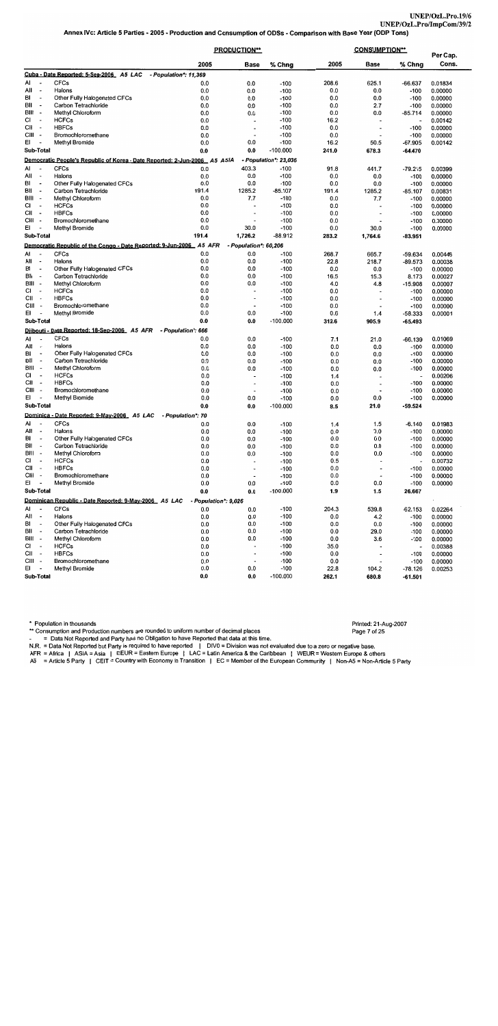|           |                                                      |                                                                           |                       | <b>PRODUCTION**</b>      |                       |             | <u>CONSUMPTION**</u>     |                          |                    |
|-----------|------------------------------------------------------|---------------------------------------------------------------------------|-----------------------|--------------------------|-----------------------|-------------|--------------------------|--------------------------|--------------------|
|           |                                                      |                                                                           | 2005                  | <b>Base</b>              | % Chng                | 2005        | Base                     | % Chng                   | Per Cap.<br>Cons.  |
|           |                                                      | Cuba - Date Reported: 5-Sep-2006 A5 LAC                                   | - Population*: 11,369 |                          |                       |             |                          |                          |                    |
| Al        | $\overline{\phantom{a}}$                             | <b>CFCs</b>                                                               | 0.0                   | 0.0                      | $-100$                | 208.6       | 625.1                    | -66.637                  | 0.01834            |
| All       | $\overline{\phantom{a}}$                             | Halons                                                                    | 0.0                   | 0.0                      | $-100$                | 0.0         | 0.0                      | $-100$                   | 0.00000            |
| BI<br>BII | ÷<br>$\overline{\phantom{a}}$                        | Other Fully Halogenated CFCs<br>Carbon Tetrachloride                      | 0.0<br>0.0            | 0.0                      | $-100$                | 0.0         | 0.0                      | $-100$                   | 0.00000            |
| BIII      | $\overline{\phantom{a}}$                             | Methyl Chloroform                                                         | 0.0                   | 0.0<br>0.0               | $-100$<br>$-100$      | 0.0<br>0.0  | 2.7<br>0.0               | $-100$<br>$-85.714$      | 0.00000<br>0.00000 |
| СI        | $\overline{\phantom{a}}$                             | <b>HCFCs</b>                                                              | 0.0                   | $\overline{\phantom{a}}$ | $-100$                | 16.2        | $\overline{\phantom{a}}$ | ÷                        | 0.00142            |
| СII       | $\overline{a}$                                       | <b>HBFCs</b>                                                              | 0.0                   | $\overline{\phantom{a}}$ | $-100$                | 0.0         | $\overline{\phantom{a}}$ | $-100$                   | 0.00000            |
| CIII -    |                                                      | Bromochloromethane                                                        | 0.0                   | $\overline{\phantom{a}}$ | $-100$                | 0.0         | $\blacksquare$           | -100                     | 0.00000            |
| EI        |                                                      | Methyl Bromide                                                            | 0.0                   | 0.0                      | $-100$                | 16.2        | 50.5                     | $-67.905$                | 0.00142            |
|           | Sub-Total                                            |                                                                           | 0.0                   | 0.0                      | $-100.000$            | 241.0       | 678.3                    | $-64.470$                |                    |
|           |                                                      | Democratic People's Republic of Korea - Date Reported: 2-Jun-2006 A5 ASIA |                       |                          | - Population*: 23,036 |             |                          |                          |                    |
| AI<br>All | $\overline{\phantom{a}}$<br>$\rightarrow$            | <b>CFCs</b><br>Halons                                                     | 0.0                   | 403.3                    | $-100$                | 91.8        | 441.7                    | $-79.215$                | 0.00399            |
| BI        | $\overline{\phantom{a}}$                             | Other Fully Halogenated CFCs                                              | 0.0<br>0.0            | 0.0<br>0.0               | $-100$<br>$-100$      | 0.0<br>0.0  | 0.0<br>0.0               | $-100$                   | 0.00000            |
| BII       | $\overline{\phantom{a}}$                             | Carbon Tetrachloride                                                      | 191.4                 | 1285.2                   | $-85.107$             | 191.4       | 1285.2                   | $-100$<br>$-85.107$      | 0.00000<br>0.00831 |
| BIII -    |                                                      | Methyl Chloroform                                                         | 0.0                   | 7.7                      | $-100$                | 0.0         | 7.7                      | $-100$                   | 0.00000            |
| СI        | $\overline{\phantom{a}}$                             | <b>HCFCs</b>                                                              | 0.0                   | $\overline{\phantom{a}}$ | $-100$                | 0.0         | $\overline{a}$           | $-100$                   | 0.00000            |
| CII       | $\overline{\phantom{a}}$                             | <b>HBFCs</b>                                                              | 0.0                   | $\overline{\phantom{a}}$ | $-100$                | 0.0         | $\overline{\phantom{a}}$ | $-100$                   | 0.00000            |
| CIII -    |                                                      | Bromochloromethane                                                        | 0.0                   |                          | $-100$                | 0.0         |                          | $-100$                   | 0.00000            |
| EI        |                                                      | Methyl Bromide                                                            | 0.0                   | 30.0                     | $-100$                | 0.0         | 30.0                     | $-100$                   | 0.00000            |
|           | Sub-Total                                            |                                                                           | 191.4                 | 1,726.2                  | -88.912               | 283.2       | 1,764.6                  | $-83.951$                |                    |
|           |                                                      | Democratic Republic of the Congo - Date Reported: 9-Jun-2006 A5 AFR       |                       | - Population*: 60,206    |                       |             |                          |                          |                    |
| A١<br>All | $\overline{\phantom{a}}$<br>$\overline{\phantom{a}}$ | <b>CFCs</b><br>Halons                                                     | 0.0                   | 0.0                      | $-100$                | 268.7       | 665.7                    | -59.634                  | 0.00446            |
| BI        | $\overline{\phantom{a}}$                             | Other Fully Halogenated CFCs                                              | 0.0<br>0.0            | 0.0<br>0.0               | $-100$<br>$-100$      | 22.8<br>0.0 | 218.7<br>0.0             | $-89.573$<br>$-100$      | 0.00038<br>0.00000 |
| BII       | $\overline{\phantom{a}}$                             | Carbon Tetrachloride                                                      | 0.0                   | 0.0                      | $-100$                | 16.5        | 15.3                     | 8.173                    | 0.00027            |
| BIII -    |                                                      | Methyl Chloroform                                                         | 0.0                   | 0.0                      | $-100$                | 4.0         | 4.8                      | $-15.908$                | 0.00007            |
| СI        | $\overline{\phantom{a}}$                             | <b>HCFCs</b>                                                              | 0.0                   | ÷                        | $-100$                | 0.0         | $\tilde{\phantom{a}}$    | -100                     | 0.00000            |
| CII       | $\overline{\phantom{a}}$                             | <b>HBFCs</b>                                                              | 0.0                   | $\blacksquare$           | $-100$                | 0.0         | $\blacksquare$           | $-100$                   | 0.00000            |
| CIII -    |                                                      | Bromochloromethane                                                        | 0.0                   | $\overline{\phantom{a}}$ | $-100$                | 0.0         |                          | $-100$                   | 0.00000            |
| EI        |                                                      | Methyl Bromide                                                            | 0.0                   | 0.0                      | $-100$                | 0.6         | 1.4                      | $-58.333$                | 0.00001            |
|           | Sub-Total                                            |                                                                           | 0.0                   | 0.0                      | $-100.000$            | 312.6       | 905.9                    | $-65.493$                |                    |
|           |                                                      | Diibouti - Date Reported: 18-Sep-2006_ A5 AFR                             | - Population*: 666    |                          |                       |             |                          |                          |                    |
| ΑI<br>All | $\overline{\phantom{a}}$<br>$\overline{\phantom{a}}$ | <b>CFCs</b><br>Halons                                                     | 0.0<br>0.0            | 0.0                      | $-100$                | 7.1         | 21.0                     | $-66.139$                | 0.01069            |
| BI        | $\tilde{\phantom{a}}$                                | Other Fully Halogenated CFCs                                              | 0.0                   | 0.0<br>0.0               | $-100$<br>$-100$      | 0.0<br>0.0  | 0.0<br>0.0               | $-100$<br>$-100$         | 0.00000<br>0.00000 |
| BII       |                                                      | Carbon Tetrachloride                                                      | 0.0                   | 0.0                      | $-100$                | 0.0         | 0.0                      | $-100$                   | 0.00000            |
| BIII -    |                                                      | Methyl Chloroform                                                         | 0.0                   | 0.0                      | $-100$                | 0.0         | 0.0                      | $-100$                   | 0.00000            |
| CI        | $\overline{\phantom{a}}$                             | <b>HCFCs</b>                                                              | 0.0                   | $\overline{\phantom{a}}$ | $-100$                | 1.4         |                          | $\overline{\phantom{m}}$ | 0.00206            |
| CII       | $\overline{\phantom{a}}$                             | <b>HBFCs</b>                                                              | 0.0                   | $\overline{\phantom{a}}$ | $-100$                | 0.0         | $\blacksquare$           | $-100$                   | 0.00000            |
| CIII -    |                                                      | Bromochloromethane                                                        | 0.0                   | $\overline{\phantom{0}}$ | $-100$                | 0.0         | $\ddot{\phantom{0}}$     | $-100$                   | 0.00000            |
| EI        |                                                      | Methyl Bromide                                                            | 0.0                   | 0.0                      | $-100$                | 0.0         | 0.0                      | $-100$                   | 0.00000            |
|           | Sub-Total                                            |                                                                           | 0.0                   | 0.0                      | $-100.000$            | 8.5         | 21.0                     | $-59.524$                |                    |
| Al        |                                                      | Dominica - Date Reported: 9-May-2006 A5 LAC<br><b>CFCs</b>                | - Population*: 70     |                          |                       |             |                          |                          |                    |
| All       | $\overline{\phantom{a}}$<br>$\overline{\phantom{a}}$ | Halons                                                                    | 0.0<br>0.0            | 0.0<br>0.0               | $-100$<br>$-100$      | 1.4<br>0.0  | 1.5<br>0.0               | $-6.140$                 | 0.01983            |
| BI        | $\overline{a}$                                       | Other Fully Halogenated CFCs                                              | 0.0                   | 0.0                      | $-100$                | 0.0         | 0.0                      | $-100$<br>$-100$         | 0.00000<br>0.00000 |
| BII       | $\overline{\phantom{a}}$                             | Carbon Tetrachloride                                                      | 0.0                   | 0.0                      | $-100$                | 0.0         | 0.0                      | -100                     | 0.00000            |
| BIII -    |                                                      | Methyl Chloroform                                                         | 0.0                   | 0.0                      | $-100$                | 0.0         | 0.0                      | $-100$                   | 0.00000            |
| CI        | $\overline{\phantom{a}}$                             | <b>HCFCs</b>                                                              | 0.0                   | $\overline{a}$           | $-100$                | 0.5         | $\overline{\phantom{a}}$ | $\overline{\phantom{a}}$ | 0.00732            |
| CII       | $\overline{\phantom{a}}$                             | <b>HBFCs</b>                                                              | 0.0                   | ÷,                       | $-100$                | 0.0         | $\overline{\phantom{a}}$ | $-100$                   | 0.00000            |
| CIII -    |                                                      | Bromochloromethane                                                        | 0.0                   | $\overline{a}$           | $-100$                | 0.0         | $\overline{\phantom{a}}$ | $-100$                   | 0.00000            |
| EI        | $\overline{\phantom{a}}$                             | Methyl Bromide                                                            | 0.0                   | 0.0                      | $-100$                | 0.0         | 0.0                      | $-100$                   | 0.00000            |
|           | Sub-Total                                            |                                                                           | 0.0                   | 0.0                      | $-100.000$            | 1.9         | 1.5                      | 26.667                   |                    |
|           |                                                      | Dominican Republic - Date Reported: 9-May-2006 A5 LAC                     | - Population*: 9,026  |                          |                       |             |                          |                          |                    |
| Al<br>All | $\overline{\phantom{a}}$                             | <b>CFCs</b><br>Halons                                                     | 0.0                   | 0.0                      | $-100$                | 204.3       | 539.8                    | $-62.153$                | 0.02264            |
| B1        | $\overline{\phantom{a}}$                             | Other Fully Halogenated CFCs                                              | 0.0<br>0.0            | 0.0<br>0.0               | $-100$<br>$-100$      | 0.0<br>0.0  | 4.2                      | $-100$                   | 0.00000            |
| BII       | $\sim$                                               | Carbon Tetrachloride                                                      | 0.0                   | 0.0                      | $-100$                | 0.0         | 0.0<br>29.0              | $-100$<br>$-100$         | 0.00000<br>0.00000 |
| BIII -    |                                                      | Methyl Chloroform                                                         | 0.0                   | 0.0                      | $-100$                | 0.0         | 3.6                      | $-100$                   | 0.00000            |
| Сł        | $\sim$                                               | <b>HCFCs</b>                                                              | 0.0                   | $\overline{\phantom{a}}$ | $-100$                | 35.0        |                          | $\overline{a}$           | 0.00388            |
| CII       | $\overline{\phantom{a}}$                             | <b>HBFCs</b>                                                              | 0.0                   | $\overline{\phantom{a}}$ | $-100$                | 0.0         | $\overline{\phantom{a}}$ | $-100$                   | 0.00000            |
| CIII -    |                                                      | Bromochloromethane                                                        | 0.0                   | $\overline{a}$           | $-100$                | 0.0         |                          | $-100$                   | 0.00000            |
| EI        | $\overline{\phantom{a}}$                             | Methyl Bromide                                                            | 0.0                   | 0.0                      | $-100$                | 22.8        | 104.2                    | $-78.126$                | 0.00253            |
|           | Sub-Total                                            |                                                                           | $0.0\,$               | 0.0                      | $-100.000$            | 262.1       | 680.8                    | -61.501                  |                    |

\*\* Consumption and Production numbers are rounded to uniform number of decimal places

= Data Not Reported and Party has no Obligation to have Reported that data at this time.

- Bata Not Reported and Farty has no Obligation to have Reported that data at this time.<br>N.R. = Data Not Reported but Party is required to have reported | DIVO = Division was not evaluated due to a zero or negative base.<br>A

### Printed: 21-Aug-2007 Page 7 of 25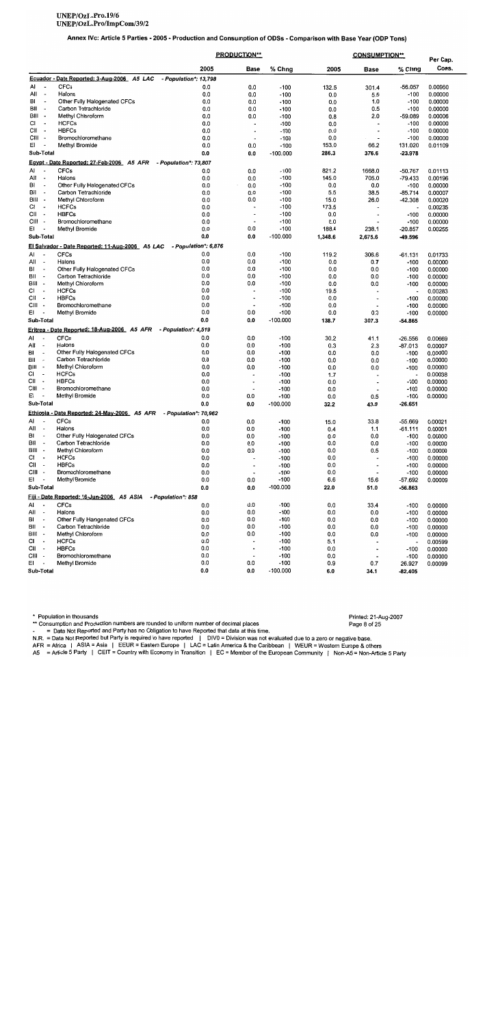### UNEP/OzL.Pro.19/6 UNEP/OzL.Pro/ImpCom/39/2

## Annex IVc: Article 5 Parties - 2005 - Production and Consumption of ODSs - Comparison with Base Year (ODP Tons)

|                                                                   |                                                 |                           | <b>PRODUCTION**</b>             |                  | <b>CONSUMPTION**</b> |                              |                          | Per Cap.           |
|-------------------------------------------------------------------|-------------------------------------------------|---------------------------|---------------------------------|------------------|----------------------|------------------------------|--------------------------|--------------------|
|                                                                   |                                                 | 2005                      | Base                            | % Chng           | 2005                 | <b>Base</b>                  | % Chng                   | Cons.              |
|                                                                   | Ecuador - Date Reported: 3-Aug-2006 A5 LAC      | - Population*: 13,798     |                                 |                  |                      |                              |                          |                    |
| Al<br>$\overline{\phantom{a}}$                                    | <b>CFCs</b>                                     | 0.0                       | 0.0                             | $-100$           | 132.5                | 301.4                        | -56.057                  | 0.00960            |
| All<br>$\overline{\phantom{a}}$                                   | Halons                                          | 0.0                       | 0.0                             | $-100$           | 0.0                  | 5.5                          | $-100$                   | 0.00000            |
| BI                                                                | Other Fully Halogenated CFCs                    | 0.0                       | 0.0                             | $-100$           | 0.0                  | 1.0                          | $-100$                   | 0.00000            |
| BII<br>٠.                                                         | Carbon Tetrachloride                            | 0.0                       | 0.0                             | $-100$           | 0.0                  | 0.5                          | $-100$                   | 0.00000            |
| BIII -                                                            | Methyl Chloroform                               | 0.0                       | 0.0                             | $-100$           | 0.8                  | 2.0                          | $-59.089$                | 0.00006            |
| СI<br>٠.<br>CII -                                                 | <b>HCFCs</b><br><b>HBFCs</b>                    | 0.0<br>0.0                | $\overline{a}$                  | $-100$           | 0.0                  | $\overline{\phantom{a}}$     | $-100$                   | 0.00000            |
| CIII -                                                            | Bromochloromethane                              | 0.0                       | $\overline{\phantom{a}}$        | $-100$<br>$-100$ | 0.0                  | $\overline{\phantom{0}}$     | $-100$                   | 0.00000            |
| EI<br>$\overline{\phantom{a}}$                                    | Methyl Bromide                                  | 0.0                       | $\overline{\phantom{a}}$<br>0.0 | $-100$           | 0.0<br>153.0         | $\overline{a}$<br>66.2       | $-100$<br>131.020        | 0.00000            |
| Sub-Total                                                         |                                                 | 0.0                       | 0.0                             | $-100.000$       | 286.3                | 376.6                        |                          | 0.01109            |
|                                                                   |                                                 |                           |                                 |                  |                      |                              | $-23.978$                |                    |
|                                                                   | Egypt - Date Reported: 27-Feb-2006 A5 AFR       | - Population*: 73,807     |                                 |                  |                      |                              |                          |                    |
| AI<br>$\overline{\phantom{a}}$<br>All<br>$\overline{\phantom{a}}$ | <b>CFCs</b><br>Halons                           | 0.0<br>0.0                | 0.0                             | $-100$           | 821.2                | 1668.0                       | -50.767                  | 0.01113            |
| BI<br>$\overline{\phantom{a}}$                                    | Other Fully Halogenated CFCs                    | 0.0                       | 0.0<br>0.0                      | $-100$<br>$-100$ | 145.0<br>0.0         | 705.0<br>0.0                 | $-79.433$                | 0.00196            |
| Bil<br>$\overline{\phantom{a}}$                                   | Carbon Tetrachloride                            | 0.0                       | 0.0                             | $-100$           | 5.5                  | 38.5                         | $-100$<br>$-85.714$      | 0.00000<br>0.00007 |
| BIII<br>$\overline{\phantom{a}}$                                  | Methyl Chloroform                               | 0.0                       | 0.0                             | $-100$           | 15.0                 | 26.0                         | -42.308                  | 0.00020            |
| Сı<br>$\overline{\phantom{a}}$                                    | <b>HCFCs</b>                                    | 0.0                       | $\ddot{\phantom{0}}$            | $-100$           | 173.5                | $\overline{a}$               | $\overline{\phantom{a}}$ | 0.00235            |
| СII<br>$\overline{\phantom{a}}$                                   | <b>HBFCs</b>                                    | 0.0                       | $\blacksquare$                  | $-100$           | 0.0                  | $\overline{a}$               | $-100$                   | 0.00000            |
| CIII -                                                            | Bromochloromethane                              | 0.0                       | $\overline{a}$                  | $-100$           | 0.0                  |                              | $-100$                   | 0.00000            |
| ΕI<br>٠.                                                          | <b>Methyl Bromide</b>                           | 0.0                       | 0.0                             | $-100$           | 188.4                | 238.1                        | $-20.857$                | 0.00255            |
| Sub-Total                                                         |                                                 | 0.0                       | 0.0                             | $-100.000$       | 1,348.6              | 2,675.6                      | -49.596                  |                    |
|                                                                   | El Salvador - Date Reported: 11-Aug-2006 A5 LAC | - Population*: 6,876      |                                 |                  |                      |                              |                          |                    |
| AI<br>$\overline{\phantom{a}}$                                    | <b>CFCs</b>                                     | 0.0                       | 0.0                             | $-100$           | 119.2                | 306.6                        | $-61.131$                | 0.01733            |
| All<br>$\overline{\phantom{a}}$                                   | Halons                                          | 0.0                       | 0.0                             | $-100$           | 0.0                  | 0.7                          | $-100$                   | 0.00000            |
| BI<br>$\overline{\phantom{a}}$                                    | Other Fully Halogenated CFCs                    | 0.0                       | 0.0                             | $-100$           | 0.0                  | 0.0                          | $-100$                   | 0.00000            |
| BII<br>$\overline{\phantom{a}}$                                   | Carbon Tetrachloride                            | 0.0                       | 0.0                             | $-100$           | 0.0                  | 0.0                          | $-100$                   | 0.00000            |
| BIII<br>$\overline{\phantom{a}}$                                  | Methyl Chioroform                               | 0.0                       | 0.0                             | $-100$           | 0.0                  | 0.0                          | $-100$                   | 0.00000            |
| СI<br>$\overline{\phantom{a}}$                                    | <b>HCFCs</b>                                    | 0.0                       | $\overline{\phantom{a}}$        | $-100$           | 19.5                 | $\overline{a}$               | $\tilde{\phantom{a}}$    | 0.00283            |
| CII<br>$\overline{\phantom{a}}$                                   | <b>HBFCs</b>                                    | 0.0                       | $\overline{\phantom{a}}$        | $-100$           | 0.0                  | $\overline{\phantom{a}}$     | $-100$                   | 0.00000            |
| CIII -<br>EI                                                      | Bromochloromethane                              | 0.0                       | $\overline{\phantom{a}}$        | $-100$           | 0.0                  |                              | $-100$                   | 0.00000            |
| <b>Sub-Total</b>                                                  | Methyl Bromide                                  | 0.0<br>0.0                | 0.0                             | $-100$           | 0.0                  | 0.0                          | $-100$                   | 0.00000            |
|                                                                   | Eritrea - Date Reported: 18-Aug-2006 A5 AFR     | - Population*: 4,519      | 0.0                             | $-100.000$       | 138.7                | 307.3                        | -54.865                  |                    |
| Al                                                                | <b>CFCs</b>                                     |                           |                                 |                  |                      |                              |                          |                    |
| All<br>$\overline{\phantom{a}}$                                   | Halons                                          | 0.0<br>0.0                | 0.0<br>0.0                      | $-100$<br>$-100$ | 30.2<br>0.3          | 41.1<br>2.3                  | $-26.556$                | 0.00669            |
| BI<br>$\overline{\phantom{a}}$                                    | Other Fully Halogenated CFCs                    | 0.0                       | 0.0                             | $-100$           | 0.0                  | 0.0                          | $-87.013$<br>$-100$      | 0.00007<br>0.00000 |
| BII<br>$\overline{\phantom{a}}$                                   | Carbon Tetrachloride                            | 0.0                       | 0.0                             | $-100$           | 0.0                  | 0.0                          | $-100$                   | 0.00000            |
| BIII<br>$\overline{\phantom{a}}$                                  | Methyl Chloroform                               | 0.0                       | 0.0                             | $-100$           | 0.0                  | 0.0                          | $-100$                   | 0.00000            |
| СI<br>$\overline{\phantom{a}}$                                    | <b>HCFCs</b>                                    | 0.0                       | $\overline{\phantom{a}}$        | $-100$           | 1.7                  |                              | ÷,                       | 0.00038            |
| СII<br>$\overline{\phantom{a}}$                                   | <b>HBFCs</b>                                    | 0.0                       | $\overline{\phantom{a}}$        | $-100$           | 0.0                  |                              | $-100$                   | 0.00000            |
| CIII<br>$\overline{\phantom{a}}$                                  | Bromochloromethane                              | 0.0                       | $\blacksquare$                  | $-100$           | 0.0                  | $\overline{\phantom{a}}$     | $-100$                   | 0.00000            |
| ΕI<br>$\overline{\phantom{a}}$                                    | <b>Methyl Bromide</b>                           | 0.0                       | 0.0                             | $-100$           | 0.0                  | 0.5                          | $-100$                   | 0.00000            |
| Sub-Total                                                         |                                                 | 0.0                       | 0.0                             | $-100.000$       | 32.2                 | 43.9                         | $-26.651$                |                    |
|                                                                   | Ethiopia - Date Reported: 24-May-2006    A5 AFR | - Population*: 70.962     |                                 |                  |                      |                              |                          |                    |
| AI<br>$\overline{\phantom{a}}$                                    | <b>CFCs</b>                                     | 0.0                       | 0.0                             | $-100$           | 15.0                 | 33.8                         | $-55.669$                | 0.00021            |
| All                                                               | Halons                                          | 0.0                       | 0.0                             | $-100$           | 0.4                  | 1.1                          | -61.111                  | 0.00001            |
| BI<br>$\overline{\phantom{a}}$                                    | Other Fully Halogenated CFCs                    | 0.0                       | 0.0                             | $-100$           | 0.0                  | 0.0                          | $-100$                   | 0.00000            |
| ВIJ<br>$\overline{\phantom{a}}$                                   | Carbon Tetrachloride                            | 0.0                       | 0.0                             | $-100$           | 0.0                  | 0.0                          | $-100$                   | 0.00000            |
| BIII -                                                            | Methyl Chloroform                               | 0.0                       | 0.0                             | $-100$           | 0.0                  | 0.5                          | $-100$                   | 0.00000            |
| CI<br>$\overline{\phantom{a}}$                                    | <b>HCFCs</b>                                    | 0.0                       | $\overline{\phantom{a}}$        | $-100$           | 0.0                  |                              | $-100$                   | 0.00000            |
| CII<br>$\overline{\phantom{a}}$                                   | <b>HBFCs</b>                                    | 0.0                       | $\blacksquare$                  | $-100$           | 0.0                  | $\qquad \qquad \blacksquare$ | $-100$                   | 0.00000            |
| CIII -                                                            | Bromochloromethane                              | 0.0                       | $\overline{\phantom{a}}$        | $-100$           | 0.0                  | $\overline{\phantom{a}}$     | -100                     | 0.00000            |
| Е1<br>$\overline{\phantom{a}}$                                    | Methyl Bromide                                  | 0.0                       | 0.0                             | $-100$           | 6.6                  | 15.6                         | $-57.692$                | 0.00009            |
| Sub-Total                                                         |                                                 | 0.0                       | 0.0                             | $-100.000$       | 22.0                 | 51.0                         | -56.863                  |                    |
| Al<br>$\overline{\phantom{a}}$                                    | <b>CFCs</b>                                     | - Population*: 858<br>0.0 | 0.0                             | $-100$           | 0.0                  | 33.4                         | -100                     | 0.00000            |
| All<br>$\overline{\phantom{a}}$                                   | Halons                                          | 0.0                       | 0.0                             | $-100$           | 0.0                  | 0.0                          | -100                     | 0.00000            |
| BI<br>$\overline{\phantom{a}}$                                    | Other Fully Halogenated CFCs                    | 0.0                       | 0.0                             | -100             | 0.0                  | 0.0                          | $-100$                   | 0.00000            |
| BII<br>$\overline{\phantom{a}}$                                   | Carbon Tetrachloride                            | 0.0                       | 0.0                             | $-100$           | 0.0                  | 0.0                          | $-100$                   | 0.00000            |
| BIII -                                                            | Methyl Chloroform                               | 0.0                       | 0.0                             | $-100$           | 0.0                  | 0.0                          | $-100$                   | 0.00000            |
| СI<br>$\overline{\phantom{a}}$                                    | <b>HCFCs</b>                                    | 0.0                       | $\qquad \qquad \blacksquare$    | -100             | 5.1                  |                              | $\overline{a}$           | 0.00599            |
| CII<br>$\overline{\phantom{a}}$                                   | <b>HBFCs</b>                                    | 0.0                       | $\overline{\phantom{a}}$        | $-100$           | 0.0                  | $\overline{\phantom{a}}$     | $-100$                   | 0.00000            |
| CIII -                                                            | Bromochloromethane                              | 0.0                       | $\overline{\phantom{a}}$        | -100             | 0.0                  | $\overline{\phantom{a}}$     | $-100$                   | 0.00000            |
| EI<br>$\overline{\phantom{a}}$                                    | Methyl Bromide                                  | 0.0                       | 0.0                             | -100             | 0.9                  | 0.7                          | 26.927                   | 0.00099            |
| Sub-Total                                                         |                                                 | 0.0                       | 0.0                             | $-100.000$       | 6.0                  | 34.1                         | $-82.405$                |                    |

\* Population in thousands

\*\* Consumption and Production numbers are rounded to uniform number of decimal places

- Consumption and Production numbers are rounded to uniform number of decimal places<br>- = Data Not Reported and Party has no Obligation to have Reported that data at this time.<br>N.R. = Data Not Reported but Party is required

Printed: 21-Aug-2007 Page 8 of 25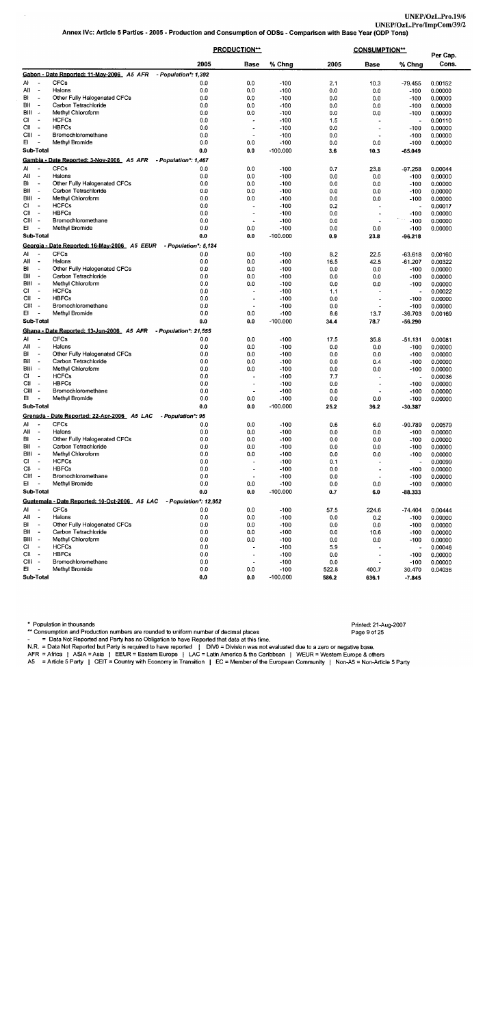|                                                                                     |                                                                                                                 |                                            |                  |            |                                            |                          | UNEP/OzL.Pro.19/6        |
|-------------------------------------------------------------------------------------|-----------------------------------------------------------------------------------------------------------------|--------------------------------------------|------------------|------------|--------------------------------------------|--------------------------|--------------------------|
|                                                                                     |                                                                                                                 |                                            |                  |            |                                            |                          | UNEP/OzL.Pro/ImpCom/39/2 |
|                                                                                     | Annex IVc: Article 5 Parties - 2005 - Production and Consumption of ODSs - Comparison with Base Year (ODP Tons) |                                            |                  |            |                                            |                          |                          |
|                                                                                     |                                                                                                                 | <b>PRODUCTION**</b>                        |                  |            | <b>CONSUMPTION**</b>                       |                          | Per Cap.                 |
|                                                                                     | 2005                                                                                                            | Base                                       | % Chng           | 2005       | Base                                       | % Chng                   | Cons.                    |
| Gabon - Date Reported: 11-May-2006_ A5 AFR - Population*: 1,392                     |                                                                                                                 |                                            |                  |            |                                            |                          |                          |
| A١<br><b>CFCs</b><br>$\blacksquare$                                                 | 0.0                                                                                                             | 0.0                                        | $-100$           | 2.1        | 10.3                                       | -79.455                  | 0.00152                  |
| All<br>$\sim$<br>Halons                                                             | 0.0                                                                                                             | 0.0                                        | $-100$           | 0.0        | 0.0                                        | -100                     | 0.00000                  |
| BI<br>Other Fully Halogenated CFCs<br>$\blacksquare$                                | 0.0                                                                                                             | 0.0                                        | $-100$           | 0.0        | 0.0                                        | $-100$                   | 0.00000                  |
| BН<br>Carbon Tetrachloride<br>$\overline{\phantom{a}}$                              | 0.0                                                                                                             | 0.0                                        | $-100$           | 0.0        | 0.0                                        | $-100$                   | 0.00000                  |
| BIII<br>Methyl Chloroform<br>$\overline{\phantom{a}}$                               | 0.0                                                                                                             | 0.0                                        | $-100$           | 0.0        | 0.0                                        | $-100$                   | 0.00000                  |
| СI<br><b>HCFCs</b><br>$\blacksquare$                                                | 0.0                                                                                                             |                                            | $-100$           | 1.5        | $\overline{\phantom{a}}$                   | $\overline{\phantom{a}}$ | 0.00110                  |
| <b>HBFCs</b><br>СII<br>$\sim$                                                       | 0.0                                                                                                             | $\blacksquare$                             | $-100$           | 0.0        | $\overline{\phantom{a}}$                   | $-100$                   | 0.00000                  |
| CIII -<br>Bromochloromethane                                                        | 0.0                                                                                                             | $\overline{a}$                             | $-100$           | 0.0        | $\overline{\phantom{a}}$                   | $-100$                   | 0.00000                  |
| EI<br>Methyl Bromide                                                                | 0.0                                                                                                             | 0.0                                        | $-100$           | 0.0        | 0.0                                        | $-100$                   | 0.00000                  |
| Sub-Total                                                                           | 0.0                                                                                                             | 0.0                                        | $-100.000$       | 3.6        | 10.3                                       | $-65.049$                |                          |
| Gambia - Date Reported: 3-Nov-2006 A5 AFR                                           | - Population*: 1,467                                                                                            |                                            |                  |            |                                            |                          |                          |
| <b>CFCs</b><br>AI<br>$\blacksquare$                                                 | 0.0                                                                                                             | 0.0                                        | $-100$           | 0.7        | 23.8                                       | $-97.258$                | 0.00044                  |
| All<br>$\sim$<br>Halons                                                             | 0.0                                                                                                             | 0.0                                        | $-100$           | 0.0        | 0.0                                        | -100                     | 0.00000                  |
| BI<br>Other Fully Halogenated CFCs<br>$\overline{\phantom{a}}$                      | 0.0                                                                                                             | 0.0                                        | $-100$           | 0.0        | 0.0                                        | $-100$                   | 0.00000                  |
| BII<br>Carbon Tetrachloride<br>$\sim$                                               | 0.0                                                                                                             | 0.0                                        | $-100$           | 0.0        | 0.0                                        | -100                     | 0.00000                  |
| BIII -<br>Methyl Chloroform<br>СI<br><b>HCFCs</b><br>$\blacksquare$                 | 0.0                                                                                                             | 0.0                                        | $-100$           | 0.0        | 0.0                                        | $-100$                   | 0.00000                  |
| <b>HBFCs</b><br>CII<br>$\blacksquare$                                               | 0.0<br>0.0                                                                                                      | $\overline{\phantom{a}}$<br>$\overline{a}$ | $-100$<br>$-100$ | 0.2<br>0.0 | $\blacksquare$                             | ۰                        | 0.00017                  |
| CIII -<br>Bromochloromethane                                                        | 0.0                                                                                                             | $\ddot{\phantom{0}}$                       | -100             | 0.0        | $\overline{\phantom{a}}$<br>$\blacksquare$ | $-100$<br>$-100$         | 0.00000<br>0.00000       |
| EI.<br>Methyl Bromide                                                               | 0.0                                                                                                             | 0.0                                        | $-100$           | 0.0        | 0.0                                        | $-100$                   | 0.00000                  |
| Sub-Total                                                                           | 0.0                                                                                                             | 0.0                                        | $-100.000$       | 0.9        | 23.8                                       | -96.218                  |                          |
|                                                                                     |                                                                                                                 |                                            |                  |            |                                            |                          |                          |
| Georgia - Date Reported: 16-May-2006 A5 EEUR<br><b>CFCs</b><br>AI<br>$\blacksquare$ | - Population*: 5,124                                                                                            |                                            |                  |            |                                            |                          |                          |
| AII<br>Halons<br>$\sim$                                                             | 0.0                                                                                                             | 0.0                                        | $-100$           | 8.2        | 22.5                                       | $-63.618$                | 0.00160                  |
| BI<br>Other Fully Halogenated CFCs<br>$\overline{\phantom{a}}$                      | 0.0<br>0.0                                                                                                      | 00<br>0.0                                  | $-100$<br>$-100$ | 16.5       | 42.5                                       | $-61.207$                | 0.00322                  |
| ВII<br>Carbon Tetrachloride<br>$\sim$                                               | 0.0                                                                                                             | 0.0                                        | $-100$           | 0.0<br>0.0 | 0.0<br>0.0                                 | $-100$<br>$-100$         | 0.00000<br>0.00000       |
| BIIL<br>Methyl Chloroform<br>$\sim$                                                 | 0.0                                                                                                             | 0.0                                        | $-100$           | 0.0        | 0.0                                        | $-100$                   | 0.00000                  |
| СI<br><b>HCFCs</b><br>$\overline{\phantom{a}}$                                      | 0.0                                                                                                             | $\blacksquare$                             | -100             | 1.1        | $\overline{\phantom{a}}$                   | $\overline{\phantom{a}}$ | 0.00022                  |
| CII<br><b>HBFCs</b><br>$\overline{a}$                                               | 0.0                                                                                                             | $\overline{\phantom{a}}$                   | $-100$           | 0.0        | $\overline{\phantom{a}}$                   | $-100$                   | 0.00000                  |
| CIII -<br>Bromochloromethane                                                        | 0.0                                                                                                             | $\ddot{\phantom{0}}$                       | $-100$           | 0.0        | $\overline{\phantom{a}}$                   | -100                     | 0.00000                  |
| EI<br>Methyl Bromide                                                                | 0.0                                                                                                             | 0.0                                        | $-100$           | 8.6        | 13.7                                       | $-36.703$                | 0.00169                  |
| Sub-Total                                                                           | 0.0                                                                                                             | 0.0                                        | $-100.000$       | 34.4       | 78.7                                       | $-56.290$                |                          |
| Ghana - Date Reported: 13-Jun-2006 A5 AFR                                           | - Population*: 21,555                                                                                           |                                            |                  |            |                                            |                          |                          |
| <b>CFCs</b><br>AI<br>$\blacksquare$                                                 | 0.0                                                                                                             | 0.0                                        | $-100$           | 17.5       | 35.8                                       | $-51.131$                | 0.00081                  |
| AII<br>Halons<br>$\overline{\phantom{a}}$                                           | 0.0                                                                                                             | 0.0                                        | $-100$           | 0.0        | 0.0                                        | $-100$                   | 0.00000                  |
| BI<br>Other Fully Halogenated CFCs<br>$\overline{\phantom{a}}$                      | 0.0                                                                                                             | 0.0                                        | $-100$           | 0.0        | 0.0                                        | $-100$                   | 0.00000                  |
| BII<br>Carbon Tetrachloride<br>$\sim$                                               | 0.0                                                                                                             | 0.0                                        | $-100$           | 0.0        | 0.4                                        | $-100$                   | 0.00000                  |
| BIII<br>Methyl Chloroform<br>$\sim$                                                 | 0.0                                                                                                             | 0.0                                        | $-100$           | 0.0        | 0.0                                        | $-100$                   | 0.00000                  |
| СI<br><b>HCFCs</b><br>$\blacksquare$                                                | 0.0                                                                                                             | $\blacksquare$                             | $-100$           | 7.7        |                                            | $\ddot{\phantom{0}}$     | 0.00036                  |
| <b>HBFCs</b><br>СII<br>$\overline{\phantom{a}}$                                     | 0.0                                                                                                             | $\blacksquare$                             | $-100$           | 0.0        |                                            | -100                     | 0.00000                  |
| CIII<br>$\overline{\phantom{a}}$<br>Bromochloromethane                              | 0.0                                                                                                             | $\overline{a}$                             | -100             | 0.0        |                                            | -100                     | 0.00000                  |
| EI.<br>Methyl Bromide<br>$\sim$                                                     | 0.0                                                                                                             | 0.0                                        | $-100$           | 0.0        | 0.0                                        | -100                     | 0.00000                  |
| Sub-Total                                                                           | 0.0                                                                                                             | 0.0                                        | $-100.000$       | 25.2       | 36.2                                       | $-30.387$                |                          |
| Grenada - Date Reported: 22-Apr-2006 A5 LAC                                         | - Population*: 95                                                                                               |                                            |                  |            |                                            |                          |                          |
| <b>CFCs</b><br>AI<br>$\bullet$                                                      | 0.0                                                                                                             | 0.0                                        | $-100$           | 0.6        | 6.0                                        | -90.789                  | 0.00579                  |
| All<br>Halons<br>$\sim$                                                             | 0.0                                                                                                             | 0.0                                        | $-100$           | 0.0        | 0.0                                        | -100                     | 0.00000                  |
| BI<br>Other Fully Halogenated CFCs<br>$\overline{a}$                                | 0.0                                                                                                             | 0.0                                        | $-100$           | 0.0        | 0.0                                        | -100                     | 0.00000                  |
| ВII<br>Carbon Tetrachloride<br>$\hat{\phantom{a}}$                                  | 0.0                                                                                                             | 0.0                                        | $-100$           | 0.0        | 0.0                                        | -100                     | 0.00000                  |
| BIII -<br>Methyl Chloroform                                                         | 0.0                                                                                                             | 0.0                                        | $-100$           | 0.0        | 0.0                                        | -100                     | 0.00000                  |
| <b>HCFCs</b><br>СI<br>$\overline{\phantom{a}}$                                      | 0.0                                                                                                             | $\blacksquare$                             | $-100$           | 0.1        |                                            |                          | 0.00099                  |
| CII<br><b>HBFCs</b><br>$\sim$                                                       | 0.0                                                                                                             | $\overline{\phantom{a}}$                   | $-100$           | 0.0        | $\blacksquare$                             | $-100$                   | 0.00000                  |
| CIII -<br>Bromochloromethane                                                        | 0.0                                                                                                             | $\overline{a}$                             | $-100$           | 0.0        | $\overline{\phantom{a}}$                   | -100                     | 0.00000                  |
| EL<br>Methyl Bromide                                                                | 0.0                                                                                                             | 0.0                                        | $-100$           | 0.0        | 0.0                                        | -100                     | 0.00000                  |
| Sub-Total                                                                           | 0.0                                                                                                             | 0.0                                        | $-100.000$       | 0.7        | 6.0                                        | -88.333                  |                          |
| Guatemala - Date Reported: 10-Oct-2006 A5 LAC - Population*: 12,952                 |                                                                                                                 |                                            |                  |            |                                            |                          |                          |

\*\* Consumption and Production numbers are rounded to uniform number of decimal places = Data Not Reported and Party has no Obligation to have Reported that data at this time.

 $AI$ 

All  $\overline{\phantom{a}}$ 

BI

BII  $\overline{a}$ 

BIII  $\overline{\phantom{a}}$ 

 $\mathsf{CI}$ 

 $CII$  $\ddot{\phantom{1}}$ 

 $CIII$  $\overline{\phantom{a}}$ 

 $EI$  $\overline{\phantom{a}}$ 

 $\overline{\phantom{a}}$ 

ŀ,

Sub-Total

 $CFCs$ 

Halons

**HCFCs** 

**HBFCs** 

\* Population in thousands

Other Fully Halogenated CFCs

Carbon Tetrachloride

Bromochloromethane

Methyl Bromide

Methyl Chloroform

N.R. = Data Not Reported but Party is required to have reported | DIV0 = Division was not evaluated due to a zero or negative base.

AFR = Africa | ASIA = Asia | EEUR = Eastern Europe | LAC = Latin America & the Caribbean | WEUR = Western Europe & others

 $0.0$ 

 $0.0$ 

 $0.0\,$ 

 $0.0\,$ 

 $\bf 0.0$ 

 $0.0\,$ 

 $0.0\,$ 

 $0.0$ 

 $0.0$ 

 $\boldsymbol{0.0}$ 

 $0.0$ 

 $0.0$ 

 $0.0\,$ 

 $0.0\,$ 

 $0.0\,$ 

 $\overline{\phantom{a}}$ 

 $\overline{\phantom{a}}$ 

 $\sim$ 

 $0.0$ 

 $\bf 0.0$ 

 $-100$ 

 $-100$ 

 $-100$ 

 $-100$ 

 $-100$ 

 $-100$ 

 $-100$ 

 $-100$ 

 $-100$ 

 $-100.000$ 

57.5

 $0.0$ 

 $0.0$ 

 $0.0\,$ 

 $0.0\,$ 

5.9

 $0.0$ 

 $0.0$ 

522.8

586.2

A5 = Article 5 Party | CEIT = Country with Economy in Transition | EC = Member of the European Community | Non-A5 = Non-Article 5 Party

Printed: 21-Aug-2007 Page 9 of 25

224.6

 $0.2\,$ 

 $0.0\,$ 

10.6

 $0.0\,$ 

400.7

636.1

 $\tilde{\phantom{a}}$ 

 $-74.404$ 

 $-100$ 

 $-100$ 

 $-100$ 

 $-100$ 

 $-100$ 

 $-100$ 

30.470

 $-7.845$ 

0.00444

 $0.00000$ 

 $0.00000$ 

0.00000

 $0.00000$ 

0.00046

0.00000

0.00000

0.04036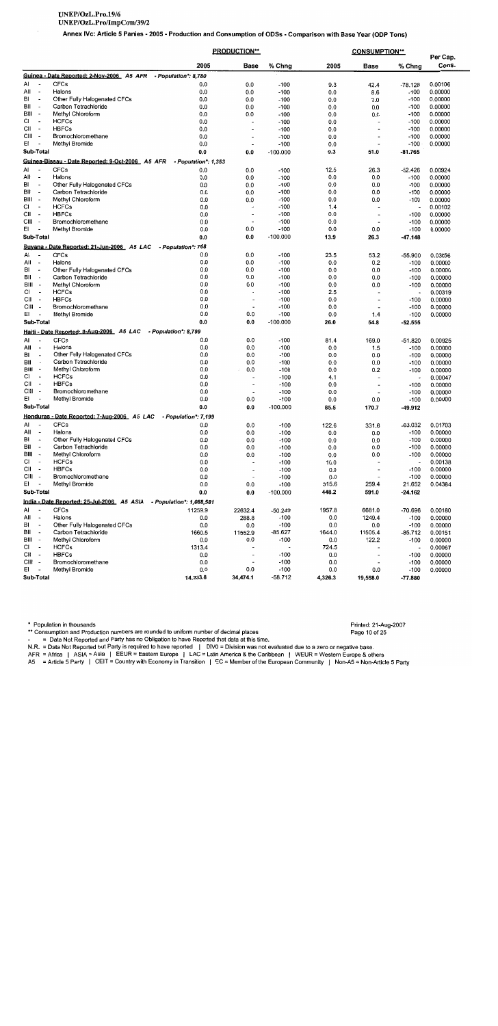### UNEP/OzL.Pro.19/6 UNEP/OzL.Pro/ImpCom/39/2

Annex IVc: Article 5 Parties - 2005 - Production and Consumption of ODSs - Comparison with Base Year (ODP Tons)

|                                                                   |                                                  |                          | <b>PRODUCTION**</b>                        |                  |            | <b>CONSUMPTION**</b>                                 |                          |                    |
|-------------------------------------------------------------------|--------------------------------------------------|--------------------------|--------------------------------------------|------------------|------------|------------------------------------------------------|--------------------------|--------------------|
|                                                                   |                                                  | 2005                     | <b>Base</b>                                | % Chng           | 2005       | Base                                                 | % Chng                   | Per Cap.<br>Cons.  |
|                                                                   | Guinea - Date Reported: 2-Nov-2006 A5 AFR        | - Population*: 8,780     |                                            |                  |            |                                                      |                          |                    |
| Al                                                                | <b>CFCs</b>                                      | 0.0                      | 0.0                                        | $-100$           | 9.3        | 42.4                                                 | $-78.128$                | 0.00106            |
| All<br>$\overline{\phantom{a}}$                                   | Halons                                           | 0.0                      | 0.0                                        | $-100$           | 0.0        | 8.6                                                  | $-100$                   | 0.00000            |
| BI<br>$\overline{\phantom{a}}$                                    | Other Fully Halogenated CFCs                     | 0.0                      | 0.0                                        | $-100$           | 0.0        | 0.0                                                  | $-100$                   | 0.00000            |
| BII<br>$\overline{\phantom{a}}$<br>BIII -                         | Carbon Tetrachloride                             | 0.0                      | 0.0                                        | $-100$           | 0.0        | 0.0                                                  | $-100$                   | 0.00000            |
| CI<br>$\overline{\phantom{a}}$                                    | Methyl Chloroform<br><b>HCFCs</b>                | 0.0<br>0.0               | 0.0                                        | $-100$           | 0.0        | 0.0                                                  | $-100$                   | 0.00000            |
| CII<br>$\overline{\phantom{a}}$                                   | <b>HBFCs</b>                                     | 0.0                      | $\blacksquare$<br>$\blacksquare$           | $-100$<br>$-100$ | 0.0<br>0.0 | ä,                                                   | $-100$                   | 0.00000<br>0.00000 |
| CIII -                                                            | Bromochloromethane                               | 0.0                      | $\blacksquare$                             | $-100$           | 0.0        | $\overline{\phantom{a}}$<br>$\overline{\phantom{a}}$ | $-100$<br>$-100$         | 0.00000            |
| Eľ                                                                | Methyl Bromide                                   | 0.0                      | $\overline{\phantom{a}}$                   | $-100$           | 0.0        | $\overline{\phantom{a}}$                             | $-100$                   | 0.00000            |
| Sub-Total                                                         |                                                  | 0.0                      | 0.0                                        | $-100.000$       | 9.3        | 51.0                                                 | -81.765                  |                    |
|                                                                   | Guinea-Bissau - Date Reported: 9-Oct-2006 A5 AFR | - Population*: 1,353     |                                            |                  |            |                                                      |                          |                    |
| AI                                                                | <b>CFCs</b>                                      | 0.0                      | 0.0                                        | $-100$           | 12.5       | 26.3                                                 | $-52.426$                | 0.00924            |
| All<br>$\overline{\phantom{a}}$                                   | Halons                                           | 0.0                      | 0.0                                        | $-100$           | 0.0        | 0.0                                                  | $-100$                   | 0.00000            |
| BI<br>$\overline{\phantom{a}}$                                    | Other Fully Halogenated CFCs                     | 0.0                      | 0.0                                        | $-100$           | 0.0        | 0.0                                                  | $-100$                   | 0.00000            |
| BII<br>$\overline{\phantom{a}}$                                   | Carbon Tetrachloride                             | 0.0                      | 0.0                                        | $-100$           | 0.0        | 0.0                                                  | $-100$                   | 0.00000            |
| BIII -                                                            | Methyl Chloroform                                | 0.0                      | 0.0                                        | $-100$           | 0.0        | 0.0                                                  | $-100$                   | 0.00000            |
| СI<br>$\overline{\phantom{a}}$                                    | <b>HCFCs</b>                                     | 0.0                      | $\overline{\phantom{a}}$                   | $-100$           | 1.4        | $\qquad \qquad \blacksquare$                         |                          | 0.00102            |
| СII<br>$\overline{\phantom{a}}$                                   | <b>HBFCs</b>                                     | 0.0                      | $\overline{\phantom{a}}$                   | $-100$           | 0.0        | $\overline{\phantom{a}}$                             | $-100$                   | 0.00000            |
| CIII -                                                            | Bromochloromethane                               | 0.0                      | $\blacksquare$                             | $-100$           | 0.0        | $\overline{\phantom{a}}$                             | $-100$                   | 0.00000            |
| EI                                                                | Methyl Bromide                                   | 0.0                      | 0.0                                        | $-100$           | 0.0        | 0.0                                                  | $-100$                   | 0.00000            |
| Sub-Total                                                         |                                                  | 0.0                      | 0.0                                        | $-100.000$       | 13.9       | 26.3                                                 | -47.148                  |                    |
|                                                                   | Guvana - Date Reported: 21-Jun-2006 A5 LAC       | - Population*: 768       |                                            |                  |            |                                                      |                          |                    |
| Al<br>All<br>$\overline{\phantom{a}}$                             | <b>CFCs</b><br>Halons                            | 0.0                      | 0.0                                        | $-100$           | 23.5       | 53.2                                                 | -55.900                  | 0.03056            |
| BI<br>$\tilde{\phantom{a}}$                                       | Other Fully Halogenated CFCs                     | 0.0<br>0.0               | 0.0<br>0.0                                 | $-100$<br>$-100$ | 0.0<br>0.0 | 0.2<br>0.0                                           | $-100$                   | 0.00000            |
| BII<br>$\overline{\phantom{a}}$                                   | Carbon Tetrachloride                             | 0.0                      | 0.0                                        | $-100$           | 0.0        | 0.0                                                  | $-100$<br>$-100$         | 0.00000<br>0.00000 |
| BIII -                                                            | Methyl Chloroform                                | 0.0                      | 0.0                                        | $-100$           | 0.0        | 0.0                                                  | $-100$                   | 0.00000            |
| CI<br>$\overline{\phantom{a}}$                                    | <b>HCFCs</b>                                     | 0.0                      | $\overline{\phantom{a}}$                   | $-100$           | 2.5        | $\overline{\phantom{a}}$                             | $\tilde{\phantom{a}}$    | 0.00319            |
| СII<br>$\overline{\phantom{a}}$                                   | <b>HBFCs</b>                                     | 0.0                      | $\overline{\phantom{a}}$                   | $-100$           | 0.0        | $\overline{\phantom{a}}$                             | $-100$                   | 0.00000            |
| CIII -                                                            | Bromochloromethane                               | 0.0                      | $\overline{\phantom{a}}$                   | $-100$           | 0.0        | $\overline{\phantom{0}}$                             | $-100$                   | 0.00000            |
| EI                                                                | Methyl Bromide                                   | 0.0                      | 0.0                                        | $-100$           | 0.0        | 1.4                                                  | $-100$                   | 0.00000            |
| Sub-Total                                                         |                                                  | 0.0                      | 0.0                                        | $-100.000$       | 26.0       | 54.8                                                 | $-52.555$                |                    |
|                                                                   | Haiti - Date Reported: 8-Aug-2006 A5 LAC         | - Population*: 8,799     |                                            |                  |            |                                                      |                          |                    |
| AI<br>$\overline{\phantom{a}}$                                    | <b>CFCs</b>                                      | 0.0                      | 0.0                                        | $-100$           | 81.4       | 169.0                                                | $-51.820$                | 0.00925            |
| ΑIΙ<br>$\overline{\phantom{a}}$                                   | Halons                                           | 0.0                      | 0.0                                        | $-100$           | 0.0        | 1.5                                                  | $-100$                   | 0.00000            |
| BI<br>$\overline{\phantom{a}}$                                    | Other Fully Halogenated CFCs                     | 0.0                      | 0.0                                        | $-100$           | 0.0        | 0.0                                                  | $-100$                   | 0.00000            |
| BII<br>$\overline{\phantom{a}}$                                   | Carbon Tetrachloride                             | 0.0                      | 0.0                                        | $-100$           | 0.0        | 0.0                                                  | $-100$                   | 0.00000            |
| BIII -                                                            | Methyl Chloroform                                | 0.0                      | 0.0                                        | $-100$           | 0.0        | 0.2                                                  | $-100$                   | 0.00000            |
| СI<br>$\overline{\phantom{a}}$                                    | <b>HCFCs</b>                                     | 0.0                      | $\overline{\phantom{a}}$                   | $-100$           | 4.1        | $\overline{\phantom{a}}$                             | $\cdot$                  | 0.00047            |
| CII<br>$\overline{\phantom{a}}$                                   | <b>HBFCs</b>                                     | 0.0                      | $\overline{\phantom{a}}$                   | $-100$           | 0.0        | $\overline{\phantom{a}}$                             | $-100$                   | 0.00000            |
| CIII<br>$\overline{\phantom{a}}$                                  | Bromochloromethane                               | 0.0                      | $\overline{\phantom{a}}$                   | $-100$           | 0.0        |                                                      | $-100$                   | 0.00000            |
| EI<br>Sub-Total                                                   | Methyl Bromide                                   | 0.0                      | 0.0                                        | $-100$           | 0.0        | 0.0                                                  | $-100$                   | 0.00000            |
|                                                                   |                                                  | 0.0                      | 0.0                                        | $-100.000$       | 85.5       | 170.7                                                | -49.912                  |                    |
|                                                                   | Honduras - Date Reported: 7-Aug-2006 A5 LAC      | - Population*: 7,199     |                                            |                  |            |                                                      |                          |                    |
| Al<br>$\overline{\phantom{a}}$<br>All<br>$\overline{\phantom{a}}$ | <b>CFCs</b><br>Halons                            | 0.0<br>0.0               | $0.0\,$<br>$0.0\,$                         | $-100$<br>$-100$ | 122.6      | 331.6                                                | $-63.032$                | 0.01703            |
| BI<br>$\overline{a}$                                              | Other Fully Halogenated CFCs                     | 0.0                      | 0.0                                        | $-100$           | 0.0<br>0.0 | 0.0<br>0.0                                           | $-100$<br>$-100$         | 0.00000            |
| BII<br>$\overline{\phantom{a}}$                                   | Carbon Tetrachloride                             | 0.0                      | 0.0                                        | $-100$           | 0.0        | 0.0                                                  | $-100$                   | 0.00000<br>0.00000 |
| BIII -                                                            | Methyl Chloroform                                | 0.0                      | 0.0                                        | $-100$           | 0.0        | 0.0                                                  | $-100$                   | 0.00000            |
| CI<br>$\overline{\phantom{a}}$                                    | <b>HCFCs</b>                                     | 0.0                      |                                            | $-100$           | 10.0       |                                                      | $\overline{\phantom{a}}$ | 0.00138            |
| CII<br>$\overline{\phantom{a}}$                                   | <b>HBFCs</b>                                     | 0.0                      | $\blacksquare$                             | $-100$           | 0.0        | $\overline{\phantom{a}}$                             | $-100$                   | 0.00000            |
| CIII -                                                            | Bromochloromethane                               | 0.0                      |                                            | $-100$           | 0.0        | $\overline{a}$                                       | $-100$                   | 0.00000            |
| Eŀ<br>$\overline{\phantom{a}}$                                    | Methyl Bromide                                   | 0.0                      | 0.0                                        | $-100$           | 315.6      | 259.4                                                | 21.652                   | 0.04384            |
| Sub-Total                                                         |                                                  | 0.0                      | 0.0                                        | $-100.000$       | 448.2      | 591.0                                                | -24.162                  |                    |
|                                                                   | India - Date Reported: 25-Jul-2006 A5 ASIA       | - Population*: 1,088,581 |                                            |                  |            |                                                      |                          |                    |
| Al                                                                | <b>CFCs</b>                                      | 11259.9                  | 22632.4                                    | $-50.249$        | 1957.8     | 6681.0                                               | -70.696                  | 0.00180            |
| All<br>$\overline{\phantom{a}}$                                   | Halons                                           | 0.0                      | 288.8                                      | $-100$           | 0.0        | 1249.4                                               | $-100$                   | 0.00000            |
| BI<br>$\overline{\phantom{a}}$                                    | Other Fully Halogenated CFCs                     | 0.0                      | 0.0                                        | $-100$           | 0.0        | 0.0                                                  | $-100$                   | 0.00000            |
| BII<br>$\overline{\phantom{a}}$                                   | Carbon Tetrachloride                             | 1660.5                   | 11552.9                                    | -85.627          | 1644.0     | 11505.4                                              | $-85.712$                | 0.00151            |
| BIII -<br>CI<br>$\overline{\phantom{a}}$                          | Methyl Chloroform<br><b>HCFCs</b>                | 0.0                      | 0.0                                        | $-100$           | 0.0        | 122.2                                                | $-100$                   | 0.00000            |
| СII<br>$\overline{\phantom{a}}$                                   | <b>HBFCs</b>                                     | 1313.4<br>0.0            | $\blacksquare$<br>$\overline{\phantom{a}}$ |                  | 724.5      | $\overline{\phantom{a}}$                             | $\overline{a}$           | 0.00067            |
| CIII -                                                            | Bromochloromethane                               | 0.0                      | $\overline{\phantom{a}}$                   | $-100$<br>$-100$ | 0.0<br>0.0 | $\overline{\phantom{a}}$<br>$\overline{\phantom{a}}$ | $-100$<br>$-100$         | 0.00000            |
| EI<br>$\overline{\phantom{a}}$                                    | Methyl Bromide                                   | 0.0                      | 0.0                                        | $-100$           | 0.0        | 0.0                                                  | $-100$                   | 0.00000<br>0.00000 |
| Sub-Total                                                         |                                                  | 14.233.8                 | 34 474 1                                   | $-58712$         | 4 326 3    | 195580                                               | -77 880                  |                    |

\* Population in thousands

\*\* Consumption and Production numbers are rounded to uniform number of decimal places

= Data Not Reported and Party has no Obligation to have Reported that data at this time.

- Data Not Reported but Party is equired to have reported in the data at this time.<br>N.R. = Data Not Reported but Party is required to have reported | DIVO = Division was not evaluated due to a zero or negative base.<br>AFR =

Printed: 21-Aug-2007 Page 10 of 25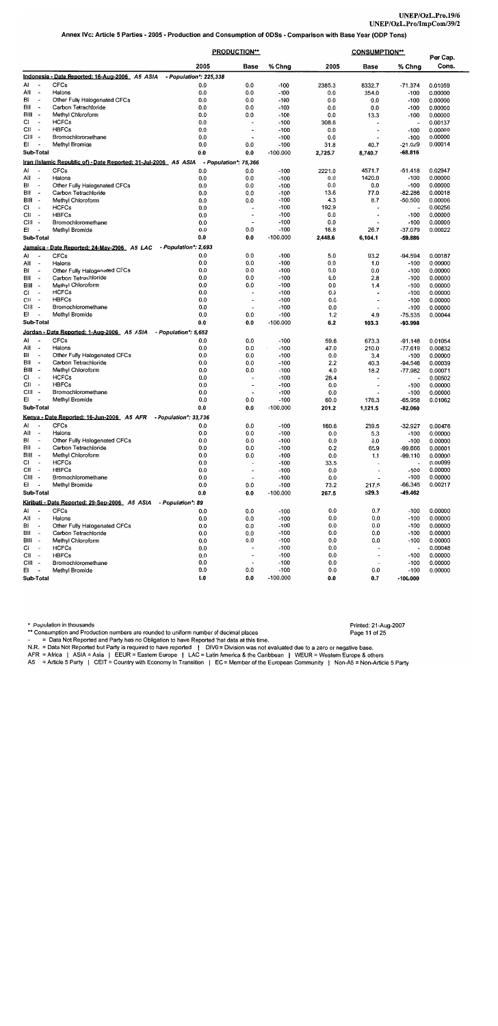|                                                                   |                                                                         |                              | <b>PRODUCTION**</b>                                  |                  | <b>CONSUMPTION**</b> |                                  |                                     | Per Cap.           |
|-------------------------------------------------------------------|-------------------------------------------------------------------------|------------------------------|------------------------------------------------------|------------------|----------------------|----------------------------------|-------------------------------------|--------------------|
|                                                                   |                                                                         | 2005                         | Base                                                 | % Chng           | 2005                 | Base                             | % Chng                              | Cons.              |
|                                                                   | Indonesia - Date Reported: 16-Aug-2006 A5 ASIA                          | - Population*: 225,338       |                                                      |                  |                      |                                  |                                     |                    |
| AI                                                                | CFCs                                                                    | 0.0                          | 0.0                                                  | $-100$           | 2385.3               | 8332.7                           | $-71.374$                           | 0.01059            |
| All<br>$\overline{\phantom{a}}$<br>BI<br>$\blacksquare$           | Halons<br>Other Fully Halogenated CFCs                                  | 0.0<br>0.0                   | 0.0<br>0.0                                           | $-100$<br>$-100$ | 0.0                  | 354.0                            | $-100$                              | 0.00000            |
| BII<br>$\overline{a}$                                             | Carbon Tetrachloride                                                    | 0.0                          | 0.0                                                  | $-100$           | 0.0<br>0.0           | 0.0<br>0.0                       | -100<br>-100                        | 0.00000<br>0.00000 |
| BIII -                                                            | Methyl Chloroform                                                       | 0.0                          | 0.0                                                  | $-100$           | 0.0                  | 13.3                             | -100                                | 0.00000            |
| СI<br>$\overline{\phantom{a}}$                                    | <b>HCFCs</b>                                                            | 0.0                          | $\blacksquare$                                       | $-100$           | 308.6                |                                  | $\overline{\phantom{a}}$            | 0.00137            |
| CII<br>$\overline{\phantom{a}}$                                   | <b>HBFCs</b>                                                            | 0.0                          | $\overline{\phantom{a}}$                             | $-100$           | 0.0                  | $\overline{\phantom{a}}$         | $-100$                              | 0.00000            |
| CIII -                                                            | Bromochloromethane                                                      | 0.0                          | $\blacksquare$                                       | $-100$           | 0.0                  | $\blacksquare$                   | $-100$                              | 0.00000            |
| EL.                                                               | Methyl Bromide                                                          | 0.0                          | 0.0                                                  | $-100$           | 31.8                 | 40.7                             | $-21.829$                           | 0.00014            |
| Sub-Total                                                         |                                                                         | 0.0                          | 0.0                                                  | $-100.000$       | 2,725.7              | 8,740.7                          | -68.816                             |                    |
| AI                                                                | Iran (Islamic Republic of) - Date Reported: 31-Jul-2006 A5 ASIA<br>CFCs | - Population*: 75,366<br>0.0 | 0.0                                                  | $-100$           | 2221.0               |                                  |                                     |                    |
| All<br>$\overline{\phantom{a}}$                                   | Halons                                                                  | 0.0                          | 0.0                                                  | $-100$           | 0.0                  | 4571.7<br>1420.0                 | $-51.418$<br>$-100$                 | 0.02947<br>0.00000 |
| BI<br>$\overline{\phantom{a}}$                                    | Other Fully Halogenated CFCs                                            | 0.0                          | 0.0                                                  | $-100$           | 0.0                  | 0.0                              | $-100$                              | 0.00000            |
| BII<br>$\overline{\phantom{a}}$                                   | Carbon Tetrachloride                                                    | 0.0                          | 0.0                                                  | $-100$           | 13.6                 | 77.0                             | -82.286                             | 0.00018            |
| BIII -                                                            | Methyl Chloroform                                                       | 0.0                          | 0.0                                                  | $-100$           | 4.3                  | 8.7                              | $-50.500$                           | 0.00006            |
| CI<br>$\sim$                                                      | <b>HCFCs</b>                                                            | 0.0                          | $\overline{\phantom{a}}$                             | $-100$           | 192.9                |                                  | $\overline{\phantom{a}}$            | 0.00256            |
| CII<br>$\overline{\phantom{a}}$<br>CIII -                         | <b>HBFCs</b>                                                            | 0.0                          | $\blacksquare$                                       | $-100$           | 0.0                  | $\tilde{\phantom{a}}$            | $-100$                              | 0.00000            |
| EI                                                                | Bromochloromethane<br>Methyl Bromide                                    | 0.0<br>0.0                   | $\overline{\phantom{0}}$<br>0.0                      | $-100$<br>$-100$ | 0.0<br>16.8          | $\overline{\phantom{0}}$<br>26.7 | $-100$<br>$-37.079$                 | 0.00000<br>0.00022 |
| Sub-Total                                                         |                                                                         | 0.0                          | 0.0                                                  | $-100.000$       | 2,448.6              | 6,104.1                          | -59.886                             |                    |
|                                                                   | Jamaica - Date Reported: 24-May-2006 A5 LAC                             | - Population*: 2.693         |                                                      |                  |                      |                                  |                                     |                    |
| A١                                                                | <b>CFCs</b>                                                             | 0.0                          | 0.0                                                  | $-100$           | 5.0                  | 93.2                             | -94.594                             | 0.00187            |
| All<br>$\overline{\phantom{a}}$                                   | Halons                                                                  | 0.0                          | 0.0                                                  | $-100$           | 0.0                  | 1.0                              | $-100$                              | 0.00000            |
| BI<br>$\overline{\phantom{a}}$                                    | Other Fully Halogenated CFCs                                            | 0.0                          | 0.0                                                  | $-100$           | 0.0                  | 0.0                              | $-100$                              | 0.00000            |
| BII<br>$\overline{\phantom{a}}$                                   | Carbon Tetrachloride                                                    | 0.0                          | 0.0                                                  | $-100$           | 0.0                  | 2.8                              | $-100$                              | 0.00000            |
| BIII -                                                            | Methyl Chloroform                                                       | 0.0                          | 0.0                                                  | $-100$           | 0.0                  | 1.4                              | $-100$                              | 0.00000            |
| СI<br>$\blacksquare$<br>CII<br>$\overline{\phantom{a}}$           | <b>HCFCs</b><br><b>HBFCs</b>                                            | 0.0                          | $\blacksquare$                                       | $-100$           | 0.0                  | $\overline{\phantom{a}}$         | $-100$                              | 0.00000            |
| CIII -                                                            | Bromochloromethane                                                      | 0.0<br>0.0                   | $\overline{\phantom{a}}$<br>$\overline{\phantom{a}}$ | $-100$<br>$-100$ | 0.0<br>0.0           | $\overline{\phantom{a}}$         | $-100$<br>$-100$                    | 0.00000<br>0.00000 |
| EL                                                                | Methyl Bromide                                                          | 0.0                          | 0.0                                                  | $-100$           | 1.2                  | 4.9                              | $-75.535$                           | 0.00044            |
| Sub-Total                                                         |                                                                         | 0.0                          | 0.0                                                  | $-100.000$       | 6.2                  | 103.3                            | -93.998                             |                    |
|                                                                   | Jordan - Date Reported: 1-Aug-2006 A5 ASIA                              | - Population*: 5.652         |                                                      |                  |                      |                                  |                                     |                    |
| AI                                                                | <b>CFCs</b>                                                             | 0.0                          | 0.0                                                  | $-100$           | 59.6                 | 673.3                            | $-91.148$                           | 0.01054            |
| All<br>$\overline{\phantom{a}}$                                   | Halons                                                                  | 0.0                          | 0.0                                                  | $-100$           | 47.0                 | 210.0                            | $-77.619$                           | 0.00832            |
| BI<br>$\overline{\phantom{a}}$                                    | Other Fully Halogenated CFCs                                            | 0.0                          | 0.0                                                  | $-100$           | 0.0                  | 3.4                              | $-100$                              | 0.00000            |
| BII<br>$\tilde{\phantom{a}}$                                      | Carbon Tetrachloride                                                    | 0.0                          | 0.0                                                  | $-100$           | 2.2                  | 40.3                             | -94.546                             | 0.00039            |
| BIII -<br>СI<br>$\blacksquare$                                    | Methyl Chloroform<br><b>HCFCs</b>                                       | 0.0<br>0.0                   | 0.0<br>$\overline{\phantom{a}}$                      | $-100$<br>$-100$ | 4.0<br>28.4          | 18.2<br>$\blacksquare$           | -77.982<br>$\overline{\phantom{a}}$ | 0.00071<br>0.00502 |
| CII<br>$\sim$                                                     | <b>HBFCs</b>                                                            | 0.0                          | $\blacksquare$                                       | $-100$           | 0.0                  | $\blacksquare$                   | $-100$                              | 0.00000            |
| CIII -                                                            | Bromochloromethane                                                      | 0.0                          | $\overline{\phantom{a}}$                             | $-100$           | 0.0                  |                                  | $-100$                              | 0.00000            |
| EI                                                                | Methyl Bromide                                                          | 0.0                          | 0.0                                                  | $-100$           | 60.0                 | 176.3                            | $-65.958$                           | 0.01062            |
| Sub-Total                                                         |                                                                         | 0.0                          | 0.0                                                  | $-100.000$       | 201.2                | 1,121.5                          | -82.060                             |                    |
|                                                                   | Kenya - Date Reported: 16-Jun-2006 A5 AFR                               | - Population*: 33,736        |                                                      |                  |                      |                                  |                                     |                    |
| Al<br>$\overline{\phantom{a}}$                                    | <b>CFCs</b>                                                             | 0.0                          | 0.0                                                  | $-100$           | 160.6                | 239.5                            | $-32.927$                           | 0.00476            |
| All<br>$\overline{\phantom{a}}$                                   | Halons                                                                  | 0.0                          | 0.0                                                  | $-100$           | 0.0                  | 5.3                              | $-100$                              | 0.00000            |
| BI<br>$\overline{\phantom{a}}$<br>BII<br>$\overline{\phantom{a}}$ | Other Fully Halogenated CFCs<br>Carbon Tetrachloride                    | 0.0                          | 0.0                                                  | $-100$           | 0.0                  | 0.0                              | $-100$                              | 0.00000            |
| BIII -                                                            | Methyl Chloroform                                                       | 0.0<br>0.0                   | 0.0<br>0.0                                           | $-100$<br>$-100$ | 0.2<br>0.0           | 65.9<br>1.1                      | -99.666<br>$-99.110$                | 0.00001<br>0.00000 |
| СI<br>$\tilde{\phantom{a}}$                                       | <b>HCFCs</b>                                                            | 0.0                          | $\overline{\phantom{a}}$                             | $-100$           | 33.5                 |                                  | $\overline{\phantom{a}}$            | 0.00099            |
| CII -                                                             | <b>HBFCs</b>                                                            | 0.0                          | $\overline{\phantom{a}}$                             | $-100$           | 0.0                  | $\overline{\phantom{a}}$         | $-100$                              | 0.00000            |
| CIII -                                                            | Bromochloromethane                                                      | 0.0                          | $\overline{\phantom{a}}$                             | -100             | 0.0                  | $\overline{\phantom{a}}$         | $-100$                              | 0.00000            |
| EI-                                                               | Methyl Bromide                                                          | 0.0                          | 0.0                                                  | $-100$           | 73.2                 | 217.5                            | -66.345                             | 0.00217            |
| Sub-Total                                                         |                                                                         | 0.0                          | 0.0                                                  | $-100.000$       | 267.5                | 529.3                            | -49.462                             |                    |
|                                                                   | Kiribati - Date Reported: 29-Sep-2006 A5 ASIA                           | - Population*: 89            |                                                      |                  |                      |                                  |                                     |                    |
| AI                                                                | <b>CFCs</b>                                                             | 0.0                          | 0.0                                                  | $-100$           | 0.0                  | 0.7                              | $-100$                              | 0.00000            |
| All<br>$\overline{\phantom{a}}$<br>BI<br>$\overline{\phantom{a}}$ | Halons<br>Other Fully Halogenated CFCs                                  | 0.0<br>0.0                   | 0.0<br>0.0                                           | $-100$<br>$-100$ | 0.0<br>0.0           | 0.0<br>0.0                       | -100<br>$-100$                      | 0.00000<br>0.00000 |
| BII<br>$\overline{\phantom{a}}$                                   | Carbon Tetrachloride                                                    | 0.0                          | 0.0                                                  | $-100$           | 0.0                  | 0.0                              | $-100$                              | 0.00000            |
| BIII -                                                            | Methyl Chloroform                                                       | 0.0                          | 0.0                                                  | $-100$           | 0.0                  | 0.0                              | $-100$                              | 0.00000            |
| CI<br>$\overline{\phantom{a}}$                                    | <b>HCFCs</b>                                                            | 0.0                          | $\overline{\phantom{a}}$                             | $-100$           | 0.0                  |                                  | $\overline{a}$                      | 0.00048            |
| CII -                                                             | <b>HBFCs</b>                                                            | 0.0                          | $\overline{\phantom{a}}$                             | $-100$           | 0.0                  | $\overline{\phantom{a}}$         | -100                                | 0.00000            |
| CIII -                                                            | Bromochloromethane                                                      | 0.0                          | $\blacksquare$                                       | $-100$           | 0.0                  | $\overline{\phantom{a}}$         | $-100$                              | 0.00000            |
| EI                                                                | Methyl Bromide                                                          | 0.0                          | 0.0                                                  | $-100$           | 0.0                  | 0.0                              | $-100$                              | 0.00000            |
| Sub-Total                                                         |                                                                         | 0.0                          | 0.0                                                  | $-100.000$       | 0.0                  | 0.7                              | $-100.000$                          |                    |

<sup>\*\*</sup> Consumption and Production numbers are rounded to uniform number of decimal places<br>- = Data Not Reported and Party has no Obligation to have Reported that at this time.

- Data Not Reported but Party its HD Obligation to have Reported that data at this time.<br>N.R. = Data Not Reported but Party is required to have reported | DIVO = Division was not evaluated due to a zero or negative base.<br>A

Printed: 21-Aug-2007 Page 11 of 25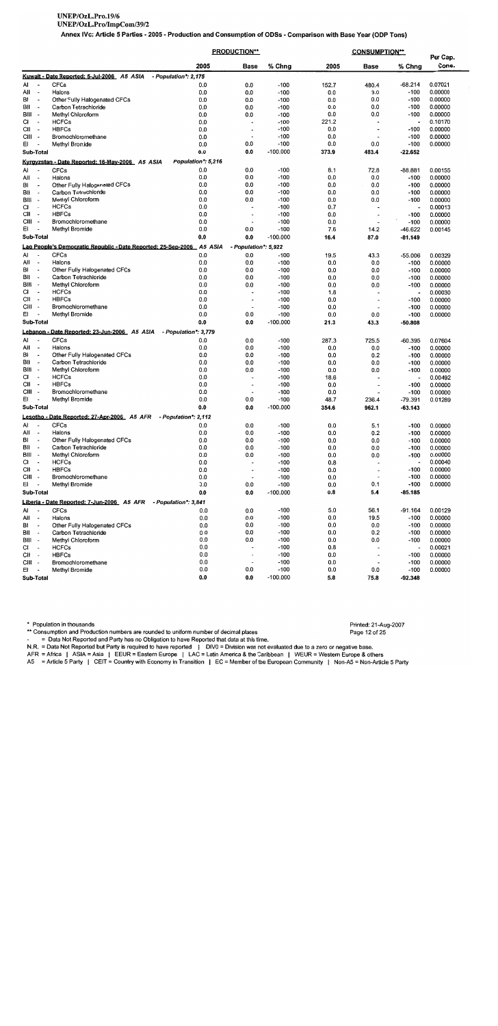### UNEP/OzL.Pro.19/6 UNEP/OzL.Pro/ImpCom/39/2

Annex IVc: Article 5 Parties - 2005 - Production and Consumption of ODSs - Comparison with Base Year (ODP Tons)

|               |                                                      |                                                                       |                      | <b>PRODUCTION**</b>              |                      |              | <b>CONSUMPTION**</b>            |                                | Per Cap.           |
|---------------|------------------------------------------------------|-----------------------------------------------------------------------|----------------------|----------------------------------|----------------------|--------------|---------------------------------|--------------------------------|--------------------|
|               |                                                      |                                                                       | 2005                 | Base                             | % Chng               | 2005         | Base                            | % Chng                         | Cons.              |
|               |                                                      | Kuwait - Date Reported: 5-Jul-2006 A5 ASIA                            | - Population*: 2,175 |                                  |                      |              |                                 |                                |                    |
| AI            | $\overline{\phantom{a}}$                             | <b>CFCs</b>                                                           | 0.0                  | 0.0                              | $-100$               | 152.7        | 480.4                           | $-68.214$                      | 0.07021            |
| All           | $\overline{\phantom{a}}$                             | Halons                                                                | 0.0                  | 0.0                              | $-100$               | 0.0          | 3.0                             | $-100$                         | 0.00000            |
| BI            | $\overline{\phantom{a}}$                             | Other Fully Halogenated CFCs                                          | 0.0                  | 0.0                              | $-100$               | 0.0          | 0.0                             | $-100$                         | 0.00000            |
| ВII           | $\overline{\phantom{a}}$                             | Carbon Tetrachloride                                                  | 0.0                  | 0.0                              | $-100$               | 0.0          | 0.0                             | $-100$                         | 0.00000            |
| BIII -        | $\overline{\phantom{a}}$                             | Methyl Chloroform                                                     | 0.0                  | 0.0                              | $-100$               | 0.0          | 0.0                             | $-100$                         | 0.00000            |
| СI<br>CII     | $\overline{\phantom{a}}$                             | <b>HCFCs</b><br><b>HBFCs</b>                                          | 0.0<br>0.0           | $\blacksquare$<br>$\overline{a}$ | $-100$<br>$-100$     | 221.2<br>0.0 | -<br>$\overline{a}$             | $\blacksquare$<br>$-100$       | 0.10170            |
| CIII -        |                                                      | Bromochloromethane                                                    | 0.0                  | $\overline{\phantom{a}}$         | $-100$               | 0.0          | $\overline{a}$                  | $-100$                         | 0.00000<br>0.00000 |
| EI            |                                                      | Methyl Bromide                                                        | 0.0                  | 0.0                              | $-100$               | 0.0          | 0.0                             | $-100$                         | 0.00000            |
|               | <b>Sub-Total</b>                                     |                                                                       | 0.0                  | 0.0                              | $-100.000$           | 373.9        | 483.4                           | -22.652                        |                    |
|               |                                                      | Kyrgyzstan - Date Reported: 16-May-2006 A5 ASIA                       | - Population*: 5,216 |                                  |                      |              |                                 |                                |                    |
| AI            |                                                      | <b>CFCs</b>                                                           | 0.0                  | 0.0                              | $-100$               | 8.1          | 72.8                            | $-88.881$                      | 0.00155            |
| All           | $\overline{\phantom{a}}$                             | Halons                                                                | 0.0                  | 0.0                              | $-100$               | 0.0          | 0.0                             | $-100$                         | 0.00000            |
| BI            | $\overline{\phantom{a}}$                             | Other Fully Halogenated CFCs                                          | 0.0                  | 0.0                              | $-100$               | 0.0          | 0.0                             | $-100$                         | 0.00000            |
| ΒIΙ           | $\overline{\phantom{a}}$                             | Carbon Tetrachloride                                                  | 0.0                  | 0.0                              | $-100$               | 0.0          | 0.0                             | $-100$                         | 0.00000            |
| BIII -        |                                                      | Methyl Chloroform                                                     | 0.0                  | 0.0                              | $-100$               | 0.0          | 0.0                             | $-100$                         | 0.00000            |
| СI            | $\blacksquare$                                       | <b>HCFCs</b>                                                          | 0.0                  | $\overline{a}$                   | $-100$               | 0.7          | $\overline{\phantom{a}}$        | $\overline{\phantom{a}}$       | 0.00013            |
| CII-          |                                                      | <b>HBFCs</b>                                                          | 0.0                  | $\overline{\phantom{a}}$         | $-100$               | 0.0          | $\overline{\phantom{a}}$        | $-100$                         | 0.00000            |
| CIII -<br>EI  |                                                      | Bromochloromethane                                                    | 0.0                  |                                  | $-100$               | 0.0          | $\overline{a}$                  | $-100$                         | 0.00000            |
|               | Sub-Total                                            | Methyl Bromide                                                        | 0.0<br>0.0           | 0.0<br>0.0                       | $-100$<br>$-100.000$ | 7.6<br>16.4  | 14.2<br>87.0                    | -46.622<br>$-81.149$           | 0.00145            |
|               |                                                      | Lao People's Democratic Republic - Date Reported: 25-Sep-2006 A5 ASIA |                      | - Population*: 5,922             |                      |              |                                 |                                |                    |
| AI            |                                                      | <b>CFCs</b>                                                           | 0.0                  | 0.0                              | $-100$               | 19.5         | 43.3                            | -55.006                        | 0.00329            |
| All           | $\overline{\phantom{a}}$                             | Halons                                                                | 0.0                  | 0.0                              | $-100$               | 0.0          | 0.0                             | $-100$                         | 0.00000            |
| BI            | $\overline{\phantom{a}}$                             | Other Fully Halogenated CFCs                                          | 0.0                  | 0.0                              | $-100$               | 0.0          | 0.0                             | $-100$                         | 0.00000            |
| BII           | $\ddot{\phantom{0}}$                                 | Carbon Tetrachloride                                                  | 0.0                  | 0.0                              | $-100$               | 0.0          | 0.0                             | $-100$                         | 0.00000            |
| BIII -        |                                                      | Methyl Chloroform                                                     | 0.0                  | 0.0                              | $-100$               | 0.0          | 0.0                             | $-100$                         | 0.00000            |
| СI            | $\cdot$                                              | <b>HCFCs</b>                                                          | 0.0                  | $\overline{\phantom{a}}$         | $-100$               | 1.8          | $\blacksquare$                  | $\overline{\phantom{a}}$       | 0.00030            |
| CII -         |                                                      | <b>HBFCs</b>                                                          | 0.0                  | $\overline{\phantom{a}}$         | $-100$               | 0.0          | $\overline{a}$                  | $-100$                         | 0.00000            |
| CIII -        |                                                      | Bromochloromethane                                                    | 0.0                  | $\overline{\phantom{a}}$         | $-100$               | 0.0          |                                 | $-100$                         | 0.00000            |
| EL            |                                                      | Methyl Bromide                                                        | 0.0                  | 0.0                              | $-100$               | 0.0          | 0.0                             | $-100$                         | 0.00000            |
|               | Sub-Total                                            |                                                                       | 0.0                  | 0.0                              | $-100.000$           | 21.3         | 43.3                            | -50.808                        |                    |
|               |                                                      | Lebanon - Date Reported: 23-Jun-2006 A5 ASIA                          | - Population": 3,779 |                                  |                      |              |                                 |                                |                    |
| Al            |                                                      | <b>CFCs</b>                                                           | 0.0                  | 0.0                              | $-100$               | 287.3        | 725.5                           | $-60.395$                      | 0.07604            |
| AII<br>Βŀ     | $\overline{\phantom{a}}$<br>$\overline{\phantom{a}}$ | Halons<br>Other Fully Halogenated CFCs                                | 0.0<br>0.0           | 0.0<br>0.0                       | $-100$               | 0.0          | 0.0                             | $-100$                         | 0.00000            |
| BII           | $\overline{\phantom{a}}$                             | Carbon Tetrachloride                                                  | 0.0                  | 0.0                              | $-100$<br>$-100$     | 0.0<br>0.0   | 0.2<br>0.0                      | $-100$<br>$-100$               | 0.00000<br>0.00000 |
| BIII -        |                                                      | Methyl Chloroform                                                     | 0.0                  | 0.0                              | $-100$               | 0.0          | 0.0                             | $-100$                         | 0.00000            |
| СI            | $\overline{\phantom{a}}$                             | <b>HCFCs</b>                                                          | 0.0                  | L,                               | $-100$               | 18.6         | $\overline{a}$                  | $\blacksquare$                 | 0.00492            |
| CII -         |                                                      | <b>HBFCs</b>                                                          | 0.0                  | $\overline{\phantom{a}}$         | $-100$               | 0.0          | $\overline{a}$                  | $-100$                         | 0.00000            |
| CIII -        |                                                      | Bromochloromethane                                                    | 0.0                  | $\hat{\phantom{a}}$              | $-100$               | 0.0          | $\overline{a}$                  | $-100$                         | 0.00000            |
| EI            |                                                      | Methyl Bromide                                                        | 0.0                  | 0.0                              | $-100$               | 48.7         | 236.4                           | $-79.391$                      | 0.01289            |
|               | Sub-Total                                            |                                                                       | 0.0                  | 0.0                              | $-100.000$           | 354.6        | 962.1                           | $-63.143$                      |                    |
|               |                                                      | Lesotho - Date Reported: 27-Apr-2006 A5 AFR                           | - Population*: 2,112 |                                  |                      |              |                                 |                                |                    |
| AI            |                                                      | <b>CFCs</b>                                                           | 0.0                  | 0.0                              | -100                 | 0.0          | 5.1                             | -100                           | 0.00000            |
| All           | $\overline{\phantom{a}}$                             | Halons                                                                | 0.0                  | 0.0                              | $-100$               | 0.0          | 0.2                             | $-100$                         | 0.00000            |
| BI            | $\overline{\phantom{a}}$                             | Other Fully Halogenated CFCs                                          | 0.0                  | 0.0                              | $-100$               | 0.0          | 0.0                             | $-100$                         | 0.00000            |
| BII<br>BIII - | $\overline{\phantom{a}}$                             | Carbon Tetrachloride                                                  | 0.0                  | 0.0                              | $-100$               | 0.0          | 0.0                             | $-100$                         | 0.00000            |
| СI            | $\overline{\phantom{a}}$                             | Methyl Chloroform<br><b>HCFCs</b>                                     | 0.0<br>0.0           | 0.0<br>$\overline{a}$            | $-100$<br>$-100$     | 0.0          | 0.0<br>$\overline{a}$           | $-100$<br>$\ddot{\phantom{0}}$ | 0.00000            |
| CII           | $\overline{\phantom{a}}$                             | <b>HBFCs</b>                                                          | 0.0                  | $\overline{\phantom{a}}$         | $-100$               | 0.8<br>0.0   | $\overline{\phantom{a}}$        | $-100$                         | 0.00040<br>0.00000 |
| CIII -        |                                                      | Bromochloromethane                                                    | 0.0                  | $\overline{\phantom{a}}$         | $-100$               | 0.0          | $\overline{a}$                  | $-100$                         | 0.00000            |
| EI            | $\overline{\phantom{a}}$                             | Methyl Bromide                                                        | 0.0                  | 0.0                              | $-100$               | 0.0          | 0.1                             | $-100$                         | 0.00000            |
|               | Sub-Total                                            |                                                                       | 0.0                  | 0.0                              | $-100.000$           | 0.8          | 5.4                             | $-85.185$                      |                    |
|               |                                                      | Liberia - Date Reported: 7-Jun-2006 A5 AFR                            | - Population*: 3,841 |                                  |                      |              |                                 |                                |                    |
| Al            |                                                      | <b>CFCs</b>                                                           | 0.0                  | 0.0                              | $-100$               | 5.0          | 56.1                            | $-91.164$                      | 0.00129            |
| All           | $\overline{\phantom{a}}$                             | Halons                                                                | 0.0                  | 0.0                              | $-100$               | 0.0          | 19.5                            | $-100$                         | 0.00000            |
| BI            | $\overline{\phantom{a}}$                             | Other Fully Halogenated CFCs                                          | 0.0                  | 0.0                              | $-100$               | 0.0          | 0.0                             | $-100$                         | 0.00000            |
| BII           | $\overline{\phantom{a}}$                             | Carbon Tetrachloride                                                  | 0.0                  | 0.0                              | $-100$               | 0.0          | 0.2                             | $-100$                         | 0.00000            |
| BIII -        |                                                      | Methyl Chloroform                                                     | 0.0                  | 0.0                              | $-100$               | 0.0          | 0.0                             | $-100$                         | 0.00000            |
| СI            | $\overline{\phantom{a}}$                             | <b>HCFCs</b>                                                          | 0.0                  | $\overline{a}$                   | $-100$               | 0.8          | $\overline{a}$                  | $\overline{a}$                 | 0.00021            |
| CII -         |                                                      | <b>HBFCs</b>                                                          | 0.0                  | $\overline{a}$                   | $-100$               | 0.0          | $\overline{a}$                  | $-100$                         | 0.00000            |
| CIII -<br>EI  | $\overline{\phantom{a}}$                             | Bromochloromethane<br>Methyl Bromide                                  | 0.0<br>0.0           | $\overline{\phantom{a}}$<br>0.0  | $-100$<br>$-100$     | 0.0<br>0.0   | $\overline{\phantom{a}}$<br>0.0 | $-100$<br>$-100$               | 0.00000<br>0.00000 |
|               | Cub Total                                            |                                                                       | n n                  | n n                              | 100,000              | r o          | <b>75 Q</b>                     | 00.240                         |                    |

\* Population in thousands

\*\* Consumption and Production numbers are rounded to uniform number of decimal places

= Data Not Reported and Party has no Obligation to have Reported that data at this time.

N.R. = Data Not Reported but Party is required to have reported | DIV0 = Division was not evaluated due to a zero or negative base.

AFR = Africa | ASIA = Asia | EEUR = Eastern Europe | LAC = Latin America & the Caribbean | WEUR = Western Europe & others

A5 = Article 5 Party | CEIT = Country with Economy in Transition | EC = Member of the European Community | Non-A5 = Non-Article 5 Party

Printed: 21-Aug-2007 Page 12 of 25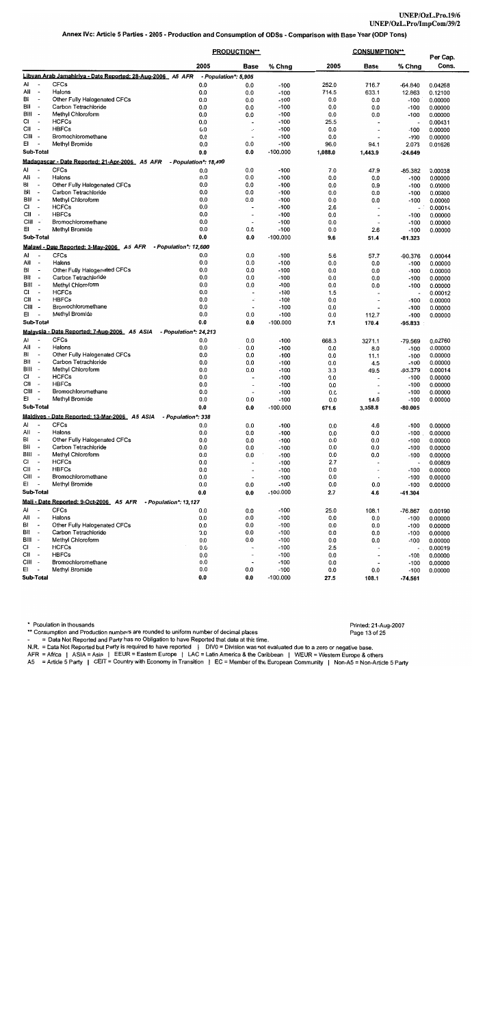## Annex IVc: Article 5 Parties - 2005 - Production and Consumption of ODSs - Comparison with Base Year (ODP Tons)

|                                                                   |                                                            |                       | <b>PRODUCTION**</b>             |                  |            | <b>CONSUMPTION**</b>            |                                | Per Cap.           |
|-------------------------------------------------------------------|------------------------------------------------------------|-----------------------|---------------------------------|------------------|------------|---------------------------------|--------------------------------|--------------------|
|                                                                   |                                                            | 2005                  | <b>Base</b>                     | % Chng           | 2005       | Base                            | % Chng                         | Cons.              |
|                                                                   | Libyan Arab Jamahiriya - Date Reported: 28-Aug-2006 A5 AFR | - Population*: 5,905  |                                 |                  |            |                                 |                                |                    |
| AI<br>$\overline{\phantom{a}}$                                    | <b>CFCs</b>                                                | 0.0                   | 0.0                             | $-100$           | 252.0      | 716.7                           | -64.840                        | 0.04268            |
| All<br>$\overline{\phantom{a}}$                                   | Halons                                                     | 0.0                   | 0.0                             | $-100$           | 714.5      | 633.1                           | 12.863                         | 0.12100            |
| BI<br>$\overline{\phantom{a}}$<br>BII<br>$\overline{\phantom{a}}$ | Other Fully Halogenated CFCs<br>Carbon Tetrachloride       | 0.0<br>0.0            | 0.0                             | $-100$           | 0.0        | 0.0                             | $-100$                         | 0.00000            |
| BIII -                                                            | Methyl Chloroform                                          | 0.0                   | 0.0<br>0.0                      | $-100$<br>$-100$ | 0.0<br>0.0 | 0.0<br>0.0                      | $-100$<br>$-100$               | 0.00000<br>0.00000 |
| СI<br>$\overline{\phantom{a}}$                                    | <b>HCFCs</b>                                               | 0.0                   | $\overline{\phantom{a}}$        | $-100$           | 25.5       | $\overline{a}$                  | ÷,                             | 0.00431            |
| CII<br>. .                                                        | <b>HBFCs</b>                                               | 0.0                   | $\overline{a}$                  | $-100$           | 0.0        | $\overline{a}$                  | $-100$                         | 0.00000            |
| CIII -                                                            | Bromochloromethane                                         | 0.0                   | $\overline{\phantom{a}}$        | $-100$           | 0.0        | $\overline{a}$                  | $-100$                         | 0.00000            |
| EI                                                                | Methyl Bromide                                             | 0.0                   | 0.0                             | $-100$           | 96.0       | 94.1                            | 2.073                          | 0.01626            |
| Sub-Total                                                         |                                                            | 0.0                   | 0.0                             | $-100.000$       | 1,088.0    | 1,443.9                         | $-24.649$                      |                    |
|                                                                   | Madagascar - Date Reported: 21-Apr-2006 A5 AFR             | - Population*: 18,400 |                                 |                  |            |                                 |                                |                    |
| AI                                                                | <b>CFCs</b>                                                | 0.0                   | 0.0                             | $-100$           | 7.0        | 47.9                            | $-85.382$                      | 0.00038            |
| All<br>$\overline{\phantom{a}}$                                   | Halons                                                     | 0.0                   | 0.0                             | $-100$           | 0.0        | 0.0                             | $-100$                         | 0.00000            |
| BI<br>$\overline{\phantom{a}}$<br>BII<br>$\overline{\phantom{a}}$ | Other Fully Halogenated CFCs<br>Carbon Tetrachloride       | 0.0                   | 0.0                             | $-100$           | 0.0        | 0.9                             | $-100$                         | 0.00000            |
| BIII -                                                            | Methyl Chloroform                                          | 0.0<br>0.0            | 0.0<br>0.0                      | $-100$<br>$-100$ | 0.0        | 0.0                             | $-100$                         | 0.00000            |
| СI<br>$\overline{\phantom{a}}$                                    | <b>HCFCs</b>                                               | 0.0                   | $\overline{\phantom{a}}$        | $-100$           | 0.0<br>2.6 | 0.0<br>$\blacksquare$           | $-100$<br>$ \cdot$             | 0.00000<br>0.00014 |
| CII -                                                             | <b>HBFCs</b>                                               | 0.0                   | $\overline{a}$                  | $-100$           | 0.0        | $\overline{\phantom{a}}$        | $-100$                         | 0.00000            |
| CIII -                                                            | Bromochloromethane                                         | 0.0                   |                                 | $-100$           | 0.0        |                                 | $-100$                         | 0.00000            |
| EI                                                                | Methyl Bromide                                             | 0.0                   | 0.0                             | $-100$           | 0.0        | 2.6                             | -100                           | 0.00000            |
| Sub-Total                                                         |                                                            | 0.0                   | 0.0                             | $-100.000$       | 9.6        | 51.4                            | -81.323                        |                    |
|                                                                   | Malawi - Date Reported: 3-May-2006 A5 AFR                  | - Population*: 12.600 |                                 |                  |            |                                 |                                |                    |
| Al                                                                | <b>CFCs</b>                                                | 0.0                   | 0.0                             | $-100$           | 5.6        | 57.7                            | $-90.376$                      | 0.00044            |
| АII<br>$\overline{\phantom{a}}$                                   | Halons                                                     | 0.0                   | 0.0                             | $-100$           | 0.0        | 0.0                             | $-100$                         | 0.00000            |
| BI<br>$\overline{\phantom{a}}$                                    | Other Fully Halogenated CFCs                               | 0.0                   | 0.0                             | $-100$           | 0.0        | 0.0                             | $-100$                         | 0.00000            |
| Bll<br>$\overline{a}$<br>BIII -                                   | Carbon Tetrachloride<br>Methyl Chloroform                  | 0.0                   | 0.0                             | $-100$           | 0.0        | 0.0                             | $-100$                         | 0.00000            |
| CI                                                                | <b>HCFCs</b>                                               | 0.0<br>0.0            | 0.0                             | $-100$<br>$-100$ | 0.0<br>1.5 | 0.0<br>$\overline{\phantom{a}}$ | $-100$<br>$\ddot{\phantom{0}}$ | 0.00000            |
| CII-                                                              | <b>HBFCs</b>                                               | 0.0                   | $\overline{\phantom{a}}$        | $-100$           | 0.0        | $\overline{a}$                  | $-100$                         | 0.00012<br>0.00000 |
| CIII -                                                            | Bromochloromethane                                         | 0.0                   | $\ddot{\phantom{0}}$            | $-100$           | 0.0        | $\overline{a}$                  | $-100$                         | 0.00000            |
| EI<br>$\overline{\phantom{a}}$                                    | Methyl Bromide                                             | 0.0                   | 0.0                             | $-100$           | 0.0        | 112.7                           | $-100$                         | 0.00000            |
| Sub-Total                                                         |                                                            | 0.0                   | 0.0                             | $-100.000$       | 7.1        | 170.4                           | -95.833                        |                    |
|                                                                   | Malaysia - Date Reported: 7-Aug-2006 A5 ASIA               | - Population*: 24,213 |                                 |                  |            |                                 |                                |                    |
| Al                                                                | <b>CFCs</b>                                                | 0.0                   | 0.0                             | $-100$           | 668.3      | 3271.1                          | $-79.569$                      | 0.02760            |
| All<br>$\overline{\phantom{a}}$                                   | Halons                                                     | 0.0                   | 0.0                             | $-100$           | 0.0        | 8.0                             | $-100$                         | 0.00000            |
| BI                                                                | Other Fully Halogenated CFCs                               | 0.0                   | 0.0                             | $-100$           | 0.0        | 11.1                            | $-100$                         | 0.00000            |
| BII<br>$\overline{\phantom{a}}$                                   | Carbon Tetrachloride                                       | 0.0                   | 0.0                             | $-100$           | 0.0        | 4.5                             | $-100$                         | 0.00000            |
| BIII -<br>СI<br>$\overline{\phantom{a}}$                          | Methyl Chloroform<br><b>HCFCs</b>                          | 0.0<br>0.0            | 0.0                             | $-100$           | 3.3        | 49.5                            | $-93.379$                      | 0.00014            |
| СII<br>$\sim$                                                     | <b>HBFCs</b>                                               | 0.0                   | $\blacksquare$                  | $-100$<br>$-100$ | 0.0<br>0.0 | $\overline{\phantom{a}}$        | $-100$<br>$-100$               | 0.00000<br>0.00000 |
| CIII -                                                            | Bromochloromethane                                         | 0.0                   | $\overline{\phantom{a}}$        | $-100$           | 0.0        |                                 | $-100$                         | 0.00000            |
| ΕI<br>$\overline{\phantom{a}}$                                    | Methyl Bromide                                             | 0.0                   | 0.0                             | $-100$           | 0.0        | 14.6                            | $-100$                         | 0.00000            |
| Sub-Total                                                         |                                                            | 0.0                   | 0.0                             | $-100.000$       | 671.6      | 3,358.8                         | -80.005                        |                    |
|                                                                   | Maldives - Date Reported: 13-Mar-2006 A5 ASIA              | - Population*: 338    |                                 |                  |            |                                 |                                |                    |
| AI<br>$\overline{\phantom{a}}$                                    | <b>CFCs</b>                                                | 0.0                   | 0.0                             | $-100$           | 0.0        | 4.6                             | $-100$                         | 0.00000            |
| All<br>$\overline{\phantom{a}}$                                   | Halons                                                     | 0.0                   | 0.0                             | $-100$           | 0.0        | 0.0                             | $-100$                         | 0.00000            |
| BI                                                                | Other Fully Halogenated CFCs                               | 0.0                   | 0.0                             | $-100$           | 0.0        | 0.0                             | $-100$                         | 0.00000            |
| BII<br>$\overline{\phantom{a}}$                                   | Carbon Tetrachloride                                       | 0.0                   | 0.0                             | $-100$           | 0.0        | 0.0                             | $-100$                         | 0.00000            |
| BIII -                                                            | Methyl Chloroform                                          | 0.0                   | 0.0                             | $-100$           | 0.0        | 0.0                             | $-100$                         | 0.00000            |
| СI<br>$\overline{\phantom{a}}$<br>CII<br>$\overline{\phantom{a}}$ | <b>HCFCs</b><br><b>HBFCs</b>                               | 0.0                   | $\overline{\phantom{a}}$        | $-100$           | 2.7        |                                 | $\tilde{\phantom{a}}$          | 0.00809            |
| CIII -                                                            | Bromochloromethane                                         | 0.0<br>0.0            | ÷<br>$\overline{\phantom{a}}$   | $-100$<br>$-100$ | 0.0<br>0.0 | $\overline{\phantom{a}}$        | $-100$<br>$-100$               | 0.00000            |
| EI<br>$\overline{\phantom{a}}$                                    | Methyl Bromide                                             | 0.0                   | 0.0                             | $-100$           | 0.0        | 0.0                             | -100                           | 0.00000<br>0.00000 |
| Sub-Total                                                         |                                                            | 0.0                   | 0.0                             | $-100.000$       | 2.7        | 4.6                             | $-41.304$                      |                    |
|                                                                   | Mali - Date Reported: 9-Oct-2006 A5 AFR                    | - Population*: 13.127 |                                 |                  |            |                                 |                                |                    |
| Al                                                                | <b>CFCs</b>                                                | 0.0                   | 0.0                             | $-100$           | 25.0       | 108.1                           | $-76.867$                      | 0.00190            |
| All<br>$\overline{\phantom{a}}$                                   | Halons                                                     | 0.0                   | 0.0                             | $-100$           | 0.0        | 0.0                             | $-100$                         | 0.00000            |
| BI<br>$\overline{\phantom{a}}$                                    | Other Fully Halogenated CFCs                               | 0.0                   | 0.0                             | $-100$           | 0.0        | 0.0                             | $-100$                         | 0.00000            |
| BII<br>$\overline{\phantom{a}}$                                   | Carbon Tetrachloride                                       | 0.0                   | 0.0                             | $-100$           | 0.0        | 0.0                             | $-100$                         | 0.00000            |
| BIII -                                                            | Methyl Chloroform                                          | 0.0                   | $0.0\,$                         | $-100$           | 0.0        | 0.0                             | $-100$                         | 0.00000            |
| СI<br>$\overline{\phantom{a}}$                                    | <b>HCFCs</b>                                               | 0.0                   | $\tilde{\phantom{a}}$           | $-100$           | 2.5        |                                 | $\overline{\phantom{a}}$       | 0.00019            |
| СII<br>$\overline{\phantom{a}}$<br>CIII -                         | <b>HBFCs</b><br>Bromochloromethane                         | 0.0<br>0.0            | $\overline{\phantom{a}}$        | $-100$           | 0.0        | $\ddot{\phantom{0}}$            | $-100$                         | 0.00000            |
| EI<br>$\overline{\phantom{a}}$                                    | Methyl Bromide                                             | 0.0                   | $\overline{\phantom{a}}$<br>0.0 | $-100$<br>$-100$ | 0.0<br>0.0 | 0.0                             | $-100$<br>$-100$               | 0.00000<br>0.00000 |
| Sub-Total                                                         |                                                            | 0.0                   | 0.0                             | $-100.000$       | 27.5       | 108.1                           | $-74.561$                      |                    |

\* Population in thousands

\*\* Consumption and Production numbers are rounded to uniform number of decimal places

= Data Not Reported and Party has no Obligation to have Reported that data at this time.

N.R. = Data Not Reported but Party is required to have reported | DIVO = Division was not evaluated due to a zero or negative base.<br>AFR = Africa | ASIA = Asia | EEUR = Eastern Europe | LAC = Latin America & the Caribbean |

A5 = Article 5 Party | CEIT = Country with Economy in Transition | EC = Member of the European Community | Non-A5 = Non-Article 5 Party

Printed: 21-Aug-2007 Page 13 of 25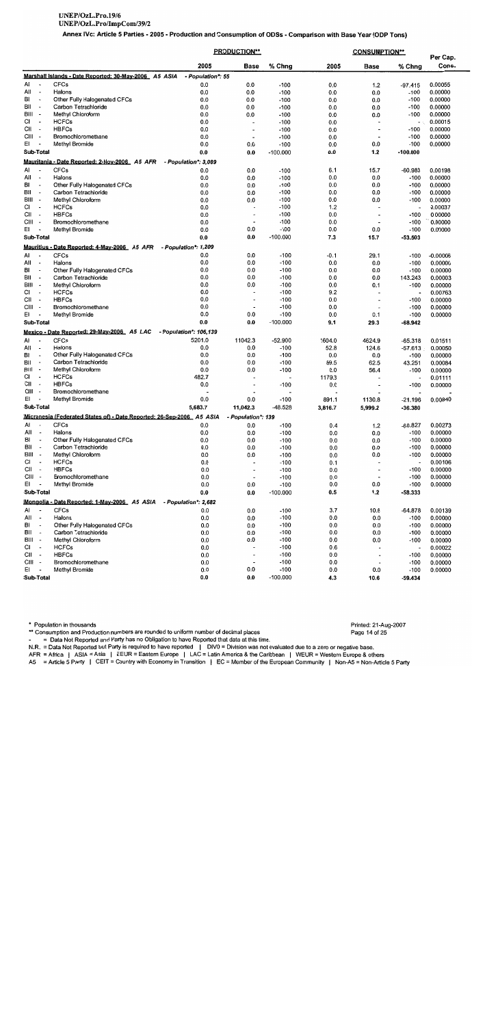### UNEP/OzL.Pro.19/6 UNEP/OzL.Pro/ImpCom/39/2

Annex IVc: Article 5 Parties - 2005 - Production and Consumption of ODSs - Comparison with Base Year (ODP Tons)

|               |                                            |                                                                       |                        | <b>PRODUCTION**</b>                                  |                      |                | <b>CONSUMPTION**</b>                                 |                                | Per Cap.              |
|---------------|--------------------------------------------|-----------------------------------------------------------------------|------------------------|------------------------------------------------------|----------------------|----------------|------------------------------------------------------|--------------------------------|-----------------------|
|               |                                            |                                                                       | 2005                   | <b>Base</b>                                          | % Chng               | 2005           | Base                                                 | % Chng                         | Cons.                 |
|               |                                            | Marshall Islands - Date Reported: 30-May-2006 A5 ASIA                 | - Population*: 55      |                                                      |                      |                |                                                      |                                |                       |
| Al            |                                            | <b>CFCs</b>                                                           | 0.0                    | 0.0                                                  | $-100$               | 0.0            | 1.2                                                  | $-97.415$                      | 0.00055               |
| All           | $\ddot{\phantom{a}}$                       | Halons                                                                | 0.0                    | 0.0                                                  | $-100$               | 0.0            | 0.0                                                  | $-100$                         | 0.00000               |
| BI            | $\tilde{\phantom{a}}$                      | Other Fully Halogenated CFCs                                          | 0.0                    | 0.0                                                  | $-100$               | 0.0            | 0.0                                                  | $-100$                         | 0.00000               |
| BII           | $\overline{\phantom{a}}$                   | Carbon Tetrachloride                                                  | 0.0                    | 0.0                                                  | $-100$               | 0.0            | 0.0                                                  | $-100$                         | 0.00000               |
| BIII -        |                                            | Methyl Chloroform                                                     | 0.0                    | 0.0                                                  | $-100$               | 0.0            | 0.0                                                  | $-100$                         | 0.00000               |
| CI<br>CII     | $\overline{\phantom{a}}$                   | <b>HCFCs</b><br><b>HBFCs</b>                                          | 0.0                    | $\overline{\phantom{a}}$                             | $-100$               | 0.0            | $\overline{\phantom{a}}$                             | $\sim$                         | 0.00015               |
| CIII          |                                            | Bromochloromethane                                                    | 0.0<br>0.0             | $\overline{\phantom{a}}$<br>$\overline{\phantom{a}}$ | -100<br>$-100$       | 0.0<br>0.0     | $\overline{\phantom{m}}$<br>$\overline{\phantom{a}}$ | $-100$<br>$-100$               | 0.00000<br>0.00000    |
| EI            |                                            | <b>Methyl Bromide</b>                                                 | 0.0                    | 0.0                                                  | $-100$               | 0.0            | 0.0                                                  | $-100$                         | 0.00000               |
|               | Sub-Total                                  |                                                                       | 0.0                    | 0.0                                                  | $-100.000$           | 0.0            | $1.2$                                                | $-100.000$                     |                       |
|               |                                            | Mauritania - Date Reported: 2-Noy-2006 A5 AFR                         | - Population*: 3,089   |                                                      |                      |                |                                                      |                                |                       |
| AI            |                                            | <b>CFCs</b>                                                           | 0.0                    | 0.0                                                  | $-100$               | 6.1            | 15.7                                                 | $-60.983$                      | 0.00198               |
| All           | $\overline{\phantom{a}}$                   | Halons                                                                | 0.0                    | 0.0                                                  | $-100$               | 0.0            | 0.0                                                  | $-100$                         | 0.00000               |
| BI            | $\overline{\phantom{a}}$                   | Other Fully Halogenated CFCs                                          | 0.0                    | 0.0                                                  | $-100$               | 0.0            | 0.0                                                  | $-100$                         | 0.00000               |
| BII           | $\overline{\phantom{a}}$                   | Carbon Tetrachloride                                                  | 0.0                    | 0.0                                                  | $-100$               | 0.0            | 0.0                                                  | $-100$                         | 0.00000               |
| BIII -        |                                            | Methyl Chloroform                                                     | 0.0                    | 0.0                                                  | $-100$               | 0.0            | 0.0                                                  | $-100$                         | 0.00000               |
| СI            |                                            | <b>HCFCs</b>                                                          | 0.0                    | $\overline{\phantom{m}}$                             | $-100$               | 1.2            | $\overline{\phantom{a}}$                             | $\overline{\phantom{a}}$       | 0.00037               |
| CII           | $\overline{\phantom{a}}$                   | <b>HBFCs</b>                                                          | 0.0                    | $\overline{\phantom{a}}$                             | $-100$               | 0.0            | $\overline{\phantom{a}}$                             | $-100$                         | 0.00000               |
| CIII<br>EI    | $\overline{\phantom{a}}$                   | Bromochloromethane                                                    | 0.0                    | $\overline{a}$                                       | $-100$               | 0.0            | $\overline{\phantom{a}}$                             | -100                           | 0.00000               |
|               | Sub-Total                                  | Methyl Bromide                                                        | 0.0<br>0,0             | 0.0<br>0.0                                           | $-100$<br>$-100.000$ | 0.0            | 0.0                                                  | $-100$                         | 0.00000               |
|               |                                            | Mauritius - Date Reported: 4-May-2006 A5 AFR                          | - Population*: 1.209   |                                                      |                      | 7.3            | 15.7                                                 | -53.503                        |                       |
| AI            |                                            | <b>CFCs</b>                                                           | 0.0                    | 0.0                                                  | $-100$               |                |                                                      |                                |                       |
| All           | $\overline{\phantom{a}}$                   | Halons                                                                | 0.0                    | 0.0                                                  | $-100$               | -0.1<br>0.0    | 29.1<br>0.0                                          | $-100$<br>$-100$               | $-0.00006$<br>0.00000 |
| BI            | $\overline{\phantom{a}}$                   | Other Fully Halogenated CFCs                                          | 0.0                    | 0.0                                                  | $-100$               | 0.0            | 0.0                                                  | $-100$                         | 0.00000               |
| ВII           |                                            | Carbon Tetrachloride                                                  | 0.0                    | 0.0                                                  | -100                 | 0.0            | 0.0                                                  | 143.243                        | 0.00003               |
| BIII -        |                                            | Methyl Chloroform                                                     | 0.0                    | 0.0                                                  | $-100$               | 0.0            | 0.1                                                  | $-100$                         | 0.00000               |
| СI            | $\overline{\phantom{a}}$                   | <b>HCFCs</b>                                                          | 0.0                    | $\overline{\phantom{a}}$                             | -100                 | 9.2            | $\blacksquare$                                       | $\overline{\phantom{a}}$       | 0.00763               |
| CII           | $\ddot{\phantom{a}}$                       | <b>HBFCs</b>                                                          | 0.0                    | $\overline{\phantom{a}}$                             | $-100$               | 0.0            | $\overline{\phantom{a}}$                             | $-100$                         | 0.00000               |
| CIII -        |                                            | Bromochloromethane                                                    | 0.0                    | $\blacksquare$                                       | $-100$               | 0.0            |                                                      | -100                           | 0.00000               |
| E۱            |                                            | Methyl Bromide                                                        | 0.0                    | 0.0                                                  | $-100$               | 0.0            | 0.1                                                  | $-100$                         | 0.00000               |
|               | Sub-Total                                  |                                                                       | 0.0                    | 0.0                                                  | $-100.000$           | 9.1            | 29.3                                                 | -68.942                        |                       |
|               |                                            | Mexico - Date Reported: 29-May-2006 A5 LAC                            | - Population*: 106,139 |                                                      |                      |                |                                                      |                                |                       |
| AI            | $\overline{a}$                             | <b>CFCs</b>                                                           | 5201.0                 | 11042.3                                              | -52.900              | 1604.0         | 4624.9                                               | -65.318                        | 0.01511               |
| All<br>BI     | $\overline{\phantom{a}}$<br>$\blacksquare$ | Halons<br>Other Fully Halogenated CFCs                                | 0.0<br>0.0             | 0.0                                                  | $-100$               | 52.8           | 124.6                                                | -57.613                        | 0.00050               |
| BII           | $\overline{\phantom{a}}$                   | Carbon Tetrachloride                                                  | 0.0                    | 0.0<br>0.0                                           | $-100$<br>$-100$     | 0.0<br>89.5    | 0.0<br>62.5                                          | $-100$<br>43.251               | 0.00000<br>0.00084    |
| BIII -        |                                            | Methyl Chloroform                                                     | 0.0                    | 0.0                                                  | $-100$               | 0.0            | 56.4                                                 | $-100$                         | 0.00000               |
| СI            | $\overline{\phantom{a}}$                   | <b>HCFCs</b>                                                          | 482.7                  |                                                      |                      | 1179.3         |                                                      |                                | 0.01111               |
| СII           | $\blacksquare$                             | <b>HBFCs</b>                                                          | 0.0                    | $\overline{a}$                                       | -100                 | 0.0            |                                                      | $-100$                         | 0.00000               |
| CIII -        |                                            | Bromochloromethane                                                    | $\overline{a}$         |                                                      |                      |                |                                                      |                                |                       |
| EI            | $\blacksquare$                             | Methyl Bromide                                                        | 0.0                    | 0.0                                                  | $-100$               | 891.1          | 1130.8                                               | -21.196                        | 0.00840               |
|               | Sub-Total                                  |                                                                       | 5,683.7                | 11,042.3                                             | -48.528              | 3,816.7        | 5,999.2                                              | -36.380                        |                       |
|               |                                            | Micronesia (Federated States of) - Date Reported: 26-Sep-2006 A5 ASIA |                        | - Population*: 139                                   |                      |                |                                                      |                                |                       |
| A1            |                                            | CFCs                                                                  | 0.0                    | 0.0                                                  | -100                 | 0.4            | 1.2                                                  | -68.827                        | 0.00273               |
| All           | $\overline{\phantom{a}}$                   | Halons                                                                | 0.0                    | 0.0                                                  | $-100$               | 0.0            | 0.0                                                  | $-100$                         | 0.00000               |
| B             |                                            | Other Fully Halogenated CFCs                                          | 0.0                    | 0.0                                                  | $-100$               | 0.0            | 0.0                                                  | $-100$                         | 0.00000               |
| BII<br>BIII - | $\overline{\phantom{a}}$                   | Carbon Tetrachloride<br>Methyl Chloroform                             | 0.0                    | 0.0                                                  | $-100$               | 0.0            | 0.0                                                  | $-100$                         | 0.00000               |
| СI            | $\overline{\phantom{a}}$                   | <b>HCFCs</b>                                                          | 0.0<br>0.0             | 0.0<br>$\overline{a}$                                | $-100$<br>$-100$     | 0.0<br>0.1     | 0.0<br>$\overline{\phantom{a}}$                      | $-100$<br>$\ddot{\phantom{0}}$ | 0.00000<br>0.00106    |
| CII           | $\overline{\phantom{a}}$                   | <b>HBFCs</b>                                                          | 0.0                    | $\overline{\phantom{a}}$                             | $-100$               | 0.0            | $\overline{\phantom{a}}$                             | $-100$                         | 0.00000               |
| CIII -        |                                            | Bromochloromethane                                                    | 0.0                    | $\overline{\phantom{a}}$                             | $-100$               | 0.0            | $\overline{\phantom{a}}$                             | $-100$                         | 0.00000               |
| ΕI            | $\overline{\phantom{a}}$                   | Methyl Bromide                                                        | 0.0                    | 0.0                                                  | $-100$               | 0.0            | 0.0                                                  | $-100$                         | 0.00000               |
|               | Sub-Total                                  |                                                                       | 0.0                    | 0.0                                                  | $-100.000$           | 0.5            | 1.2                                                  | -58.333                        |                       |
|               |                                            | Mongolia - Date Reported: 1-May-2006 A5 ASIA                          | - Population*: 2,682   |                                                      |                      |                |                                                      |                                |                       |
| AI            |                                            | <b>CFCs</b>                                                           | 0.0                    | 0.0                                                  | $-100$               | 3.7            | 10.6                                                 | -64.878                        | 0.00139               |
| All           | $\overline{\phantom{a}}$                   | Halons                                                                | 0.0                    | 0.0                                                  | $-100$               | 0.0            | 0.0                                                  | $-100$                         | 0.00000               |
| BI            |                                            | Other Fully Halogenated CFCs                                          | 0.0                    | 0.0                                                  | $-100$               | 0.0            | 0.0                                                  | $-100$                         | 0.00000               |
| BII<br>BIII - | $\overline{\phantom{a}}$                   | Carbon Tetrachloride                                                  | 0.0                    | 0.0                                                  | -100                 | 0.0            | 0.0                                                  | -100                           | 0.00000               |
| СI            | $\overline{\phantom{a}}$                   | Methyl Chloroform<br><b>HCFCs</b>                                     | 0.0<br>0.0             | 0.0<br>$\overline{\phantom{a}}$                      | -100<br>$-100$       | 0.0<br>0.6     | 0.0                                                  | $-100$                         | 0.00000               |
| CII -         |                                            | <b>HBFCs</b>                                                          | 0.0                    | $\overline{\phantom{a}}$                             | $-100$               | 0.0            | $\overline{\phantom{a}}$                             | $-100$                         | 0.00022<br>0.00000    |
| CIII -        |                                            | Bromochloromethane                                                    | 0.0                    | $\overline{\phantom{a}}$                             | $-100$               | 0.0            |                                                      | $-100$                         | 0.00000               |
| EI            | $\overline{\phantom{a}}$                   | Methyl Bromide                                                        | 0.0                    | 0.0                                                  | $-100$               | 0.0            | 0.0                                                  | $-100$                         | 0.00000               |
|               | Sub-Total                                  |                                                                       | 0.0                    | 0 U                                                  | $-100.000$           | $\overline{1}$ | 10 R                                                 | <b>50 121</b>                  |                       |

\* Population in thousands

\*\* Consumption and Production numbers are rounded to uniform number of decimal places

= Data Not Reported and Party has no Obligation to have Reported that data at this time.  $\overline{a}$ 

N.R. = Data Not Reported but Party is required to have reported  $\parallel$  DIVO = Division was not evaluated due to a zero or negative base.<br>AFR = Africa | ASIA = Asia | EEUR = Eastern Europe | LAC = Latin America & the Caribbe

Printed: 21-Aug-2007 Page 14 of 25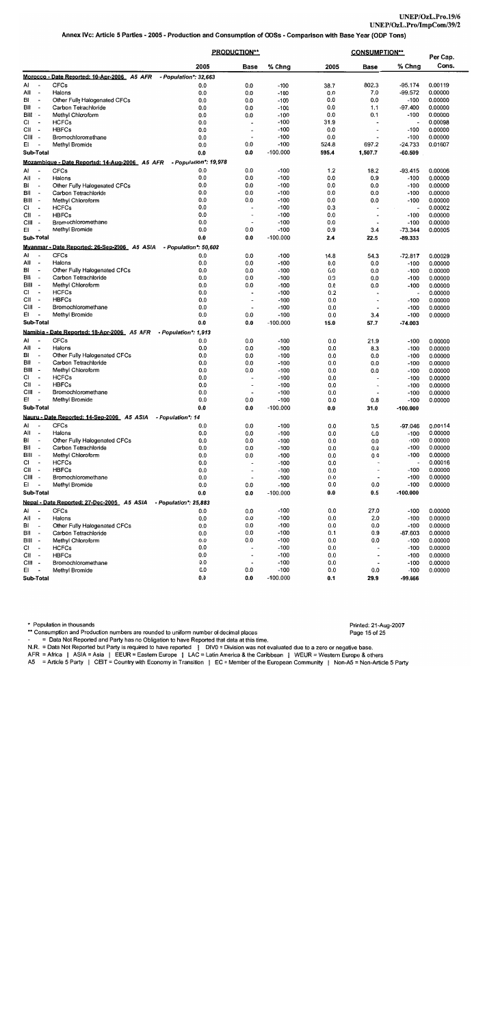|           |                                                      |                                                |                       | <b>PRODUCTION**</b>                                  |                      |            | <b>CONSUMPTION**</b>                       |                                    |                    |
|-----------|------------------------------------------------------|------------------------------------------------|-----------------------|------------------------------------------------------|----------------------|------------|--------------------------------------------|------------------------------------|--------------------|
|           |                                                      |                                                | 2005                  | <b>Base</b>                                          | % Chng               | 2005       | Base                                       | % Chng                             | Per Cap.<br>Cons.  |
|           |                                                      | Morocco - Date Reported: 10-Apr-2006 A5 AFR    | - Population*: 32.663 |                                                      |                      |            |                                            |                                    |                    |
| AI        |                                                      | <b>CFCs</b>                                    | 0.0                   | 0.0                                                  | $-100$               | 38.7       | 802.3                                      | $-95.174$                          | 0.00119            |
| All       | $\overline{\phantom{a}}$                             | Halons                                         | 0.0                   | 0.0                                                  | $-100$               | 0.0        | 7.0                                        | $-99.572$                          | 0.00000            |
| BI        |                                                      | Other Fully Halogenated CFCs                   | 0.0                   | 0.0                                                  | $-100$               | 0.0        | 0.0                                        | $-100$                             | 0.00000            |
| BII       |                                                      | Carbon Tetrachloride                           | 0.0                   | 0.0                                                  | $-100$               | 0.0        | 1.1                                        | $-97.400$                          | 0.00000            |
| Bill -    |                                                      | Methyl Chloroform                              | 0.0                   | 0.0                                                  | $-100$               | 0.0        | 0.1                                        | $-100$                             | 0.00000            |
| СI<br>СII | $\overline{\phantom{a}}$<br>$\overline{\phantom{a}}$ | <b>HCFCs</b><br><b>HBFCs</b>                   | 0.0<br>0.0            | L,                                                   | $-100$               | 31.9       |                                            | $\overline{\phantom{a}}$           | 0.00098            |
| CIII -    |                                                      | Bromochloromethane                             | 0.0                   | $\overline{\phantom{a}}$<br>$\overline{\phantom{a}}$ | $-100$<br>$-100$     | 0.0<br>0.0 | $\overline{\phantom{a}}$                   | $-100$                             | 0.00000            |
| EL        |                                                      | Methyl Bromide                                 | 0.0                   | 0.0                                                  | $-100$               | 524.8      | 697.2                                      | $-100$<br>$-24.733$                | 0.00000<br>0.01607 |
|           | Sub-Total                                            |                                                | 0.0                   | 0.0                                                  | $-100.000$           | 595.4      | 1,507.7                                    | $-60.509$                          |                    |
|           |                                                      | Mozambique - Date Reported: 14-Aug-2006 A5 AFR | - Population*: 19,978 |                                                      |                      |            |                                            |                                    |                    |
| Al        |                                                      | <b>CFCs</b>                                    | 0.0                   | 0.0                                                  | $-100$               | 1.2        | 18.2                                       | $-93.415$                          | 0.00006            |
| All       | $\overline{\phantom{a}}$                             | Halons                                         | 0.0                   | 0.0                                                  | $-100$               | 0.0        | 0.9                                        | -100                               | 0.00000            |
| BI        |                                                      | Other Fully Halogenated CFCs                   | 0.0                   | 0.0                                                  | $-100$               | 0.0        | 0.0                                        | $-100$                             | 0.00000            |
| BII       |                                                      | Carbon Tetrachloride                           | 0.0                   | 0.0                                                  | $-100$               | 0.0        | 0.0                                        | $-100$                             | 0.00000            |
| BIII      | $\overline{\phantom{a}}$                             | Methyl Chloroform                              | 0.0                   | 0.0                                                  | $-100$               | 0.0        | 0.0                                        | $-100$                             | 0.00000            |
| СI        | $\blacksquare$                                       | <b>HCFCs</b>                                   | 0.0                   |                                                      | $-100$               | 0.3        |                                            | $\overline{\phantom{a}}$           | 0.00002            |
| СII       | $\ddot{\phantom{1}}$                                 | <b>HBFCs</b>                                   | 0.0                   | $\ddot{\phantom{0}}$                                 | $-100$               | 0.0        | $\overline{\phantom{a}}$                   | $-100$                             | 0.00000            |
| CIII -    |                                                      | Bromochloromethane                             | 0.0                   | $\overline{\phantom{a}}$                             | $-100$               | 0.0        |                                            | $-100$                             | 0.00000            |
| EL        |                                                      | Methyl Bromide                                 | 0.0                   | 0.0                                                  | $-100$               | 0.9        | 3.4                                        | $-73.344$                          | 0.00005            |
|           | Sub-Total                                            |                                                | 0.0                   | 0.0                                                  | $-100.000$           | 2.4        | 22.5                                       | $-89.333$                          |                    |
|           |                                                      | Myanmar - Date Reported: 26-Sep-2006 A5 ASIA   | - Population*: 50,602 |                                                      |                      |            |                                            |                                    |                    |
| AI        |                                                      | <b>CFCs</b>                                    | 0.0                   | 0.0                                                  | $-100$               | 14.8       | 54.3                                       | $-72.817$                          | 0.00029            |
| All       | $\sim$                                               | Halons                                         | 0.0                   | 0.0                                                  | $-100$               | 0.0        | 0.0                                        | $-100$                             | 0.00000            |
| BI        | $\tilde{\phantom{a}}$                                | Other Fully Halogenated CFCs                   | 0.0                   | 0.0                                                  | $-100$               | 0.0        | 0.0                                        | -100                               | 0.00000            |
| ВII       | $\blacksquare$                                       | Carbon Tetrachloride                           | 0.0                   | 0.0                                                  | $-100$               | 0.0        | 0.0                                        | $-100$                             | 0.00000            |
| BIII -    | $\tilde{\phantom{a}}$                                | Methyl Chloroform<br><b>HCFCs</b>              | 0.0                   | 0.0                                                  | $-100$               | 0.0        | 0.0                                        | $-100$                             | 0.00000            |
| СI<br>СII | $\overline{\phantom{a}}$                             | <b>HBFCs</b>                                   | 0.0<br>0.0            | $\overline{\phantom{a}}$<br>$\overline{\phantom{a}}$ | $-100$<br>$-100$     | 0.2<br>0.0 |                                            | $\overline{\phantom{a}}$<br>$-100$ | 0.00000<br>0.00000 |
| CIII -    |                                                      | Bromochloromethane                             | 0.0                   | $\blacksquare$                                       | $-100$               | 0.0        | $\overline{\phantom{m}}$<br>$\overline{a}$ | $-100$                             | 0.00000            |
| EL.       |                                                      | Methyl Bromide                                 | 0.0                   | 0.0                                                  | $-100$               | 0.0        | 3.4                                        | $-100$                             | 0.00000            |
|           | Sub-Total                                            |                                                | 0.0                   | 0.0                                                  | $-100.000$           | 15.0       | 57.7                                       | $-74.003$                          |                    |
|           |                                                      | Namibia - Date Reported: 18-Apr-2006 A5 AFR    | - Population*: 1,913  |                                                      |                      |            |                                            |                                    |                    |
| AI        | $\sim$                                               | <b>CFCs</b>                                    | 0.0                   | 0.0                                                  | $-100$               | 0.0        | 21.9                                       | $-100$                             | 0.00000            |
| All       | $\overline{\phantom{a}}$                             | Halons                                         | 0.0                   | 0.0                                                  | $-100$               | 0.0        | 8.3                                        | $-100$                             | 0.00000            |
| BI        | $\overline{\phantom{a}}$                             | Other Fully Halogenated CFCs                   | 0.0                   | 0.0                                                  | $-100$               | 0.0        | 0.0                                        | $-100$                             | 0.00000            |
| BII       | $\sim$                                               | Carbon Tetrachloride                           | 0.0                   | 0.0                                                  | $-100$               | 0.0        | 0.0                                        | $-100$                             | 0.00000            |
| BIII -    |                                                      | Methyl Chloroform                              | 0.0                   | 0.0                                                  | $-100$               | 0.0        | 0.0                                        | $-100$                             | 0.00000            |
| СI        | $\overline{\phantom{a}}$                             | <b>HCFCs</b>                                   | 0.0                   | $\blacksquare$                                       | $-100$               | 0.0        |                                            | $-100$                             | 0.00000            |
| СII       | $\overline{\phantom{a}}$                             | <b>HBFCs</b>                                   | 0.0                   | $\overline{\phantom{a}}$                             | $-100$               | 0.0        | $\blacksquare$                             | -100                               | 0.00000            |
| CIII -    |                                                      | Bromochloromethane                             | 0.0                   | $\overline{\phantom{a}}$                             | $-100$               | 0.0        |                                            | $-100$                             | 0.00000            |
| EL.       |                                                      | Methyl Bromide                                 | 0.0                   | 0.0                                                  | $-100$               | 0.0        | 0.8                                        | $-100$                             | 0.00000            |
|           | Sub-Total                                            |                                                | 0.0                   | 0.0                                                  | $-100.000$           | 0.0        | 31.0                                       | $-100.000$                         |                    |
|           |                                                      | Nauru - Date Reported: 14-Sep-2006 A5 ASIA     | - Population*: 14     |                                                      |                      |            |                                            |                                    |                    |
| Al        | $\overline{\phantom{a}}$                             | CFCs                                           | 0.0                   | 0.0                                                  | $-100$               | 0.0        | 0.5                                        | -97.046                            | 0.00114            |
| All       | $\overline{\phantom{a}}$                             | Halons                                         | 0.0                   | 0.0                                                  | $-100$               | 0.0        | 0.0                                        | $-100$                             | 0.00000            |
| BI        | $\overline{\phantom{a}}$                             | Other Fully Halogenated CFCs                   | 0.0                   | 0.0                                                  | $-100$               | 0.0        | 0.0                                        | $-100$                             | 0.00000            |
| BII       | $\overline{\phantom{a}}$                             | Carbon Tetrachloride                           | 0.0                   | 0.0                                                  | $-100$               | 0.0        | 0.0                                        | $-100$                             | 0.00000            |
| BIII -    |                                                      | Methyl Chloroform                              | 0.0                   | $0.0\,$                                              | $-100$               | 0.0        | 0.0                                        | $-100$                             | 0.00000            |
| СI        | $\overline{\phantom{a}}$                             | <b>HCFCs</b>                                   | 0.0                   | $\overline{\phantom{a}}$                             | $-100$               | 0.0        | $\overline{a}$                             | $\blacksquare$                     | 0.00016            |
| CII -     |                                                      | <b>HBFCs</b>                                   | 0.0                   | $\overline{\phantom{a}}$                             | $-100$               | 0.0        | $\overline{\phantom{a}}$                   | $-100$                             | 0.00000            |
| $CIII -$  |                                                      | Bromochloromethane                             | 0.0                   | $\overline{\phantom{a}}$                             | $-100$               | 0.0        |                                            | $-100$                             | 0.00000            |
| EL        | Sub-Total                                            | Methyl Bromide                                 | 0.0<br>0.0            | 0.0<br>0.0                                           | $-100$<br>$-100.000$ | 0.0<br>0.0 | 0.0<br>0.5                                 | $-100$<br>-100.000                 | 0.00000            |
|           |                                                      |                                                |                       |                                                      |                      |            |                                            |                                    |                    |
|           |                                                      | Nepal - Date Reported: 27-Dec-2005 A5 ASIA     | - Population*: 25,883 |                                                      |                      |            |                                            |                                    |                    |
| AI        |                                                      | <b>CFCs</b>                                    | 0.0                   | 0.0                                                  | $-100$               | 0.0        | 27.0                                       | $-100$                             | 0.00000            |
| All<br>BI | $\overline{\phantom{a}}$<br>$\overline{\phantom{a}}$ | Halons<br>Other Fully Halogenated CFCs         | 0.0<br>0.0            | 0.0                                                  | $-100$               | 0.0        | 2.0                                        | $-100$                             | 0.00000            |
| Bll       | $\overline{\phantom{a}}$                             | Carbon Tetrachloride                           | 0.0                   | 0.0<br>0.0                                           | $-100$<br>$-100$     | 0.0        | 0.0<br>0.9                                 | $-100$                             | 0.00000            |
| BIII -    |                                                      | Methyl Chloroform                              | 0.0                   | 0.0                                                  | $-100$               | 0.1<br>0.0 | 0.0                                        | $-87.603$<br>$-100$                | 0.00000            |
| CI        | $\overline{\phantom{a}}$                             | <b>HCFCs</b>                                   | 0.0                   | ÷,                                                   | $-100$               | 0.0        | $\overline{a}$                             | $-100$                             | 0.00000<br>0.00000 |
| CII -     |                                                      | <b>HBFCs</b>                                   | 0.0                   | $\overline{\phantom{a}}$                             | $-100$               | 0.0        | $\overline{a}$                             | $-100$                             | 0.00000            |
| CIII -    |                                                      | Bromochloromethane                             | 0.0                   | $\overline{\phantom{a}}$                             | $-100$               | 0.0        | $\blacksquare$                             | $-100$                             | 0.00000            |
| EL        |                                                      | Methyl Bromide                                 | 0.0                   | 0.0                                                  | $-100$               | 0.0        | 0.0                                        | $-100$                             | 0.00000            |
|           | Sub-Total                                            |                                                | 0.0                   | 0.0                                                  | $-100.000$           | 0.1        | 29.9                                       | -99.666                            |                    |

- reputation and Production numbers are rounded to uniform number of decimal places<br>- Consumption and Production numbers are rounded to uniform number of decimal places<br>- ⇒ Data Not Reported and Party has no Obligation to

= Data Not Reported and Party has no Obligation to have Reported that data at this time.

N.R. = Data Not Reported but Party is required to have reported | DIVO = Division was not evaluated due to a zero or negative base.<br>AFR = Africa | ASIA = Asia | EEUR = Eastern Europe | LAC = Latin America & the Caribbean |

A5 = Article 5 Party | CEIT = Country with Economy in Transition | EC = Member of the European Community | Non-A5 = Non-Article 5 Party

Printed: 21-Aug-2007 Page 15 of 25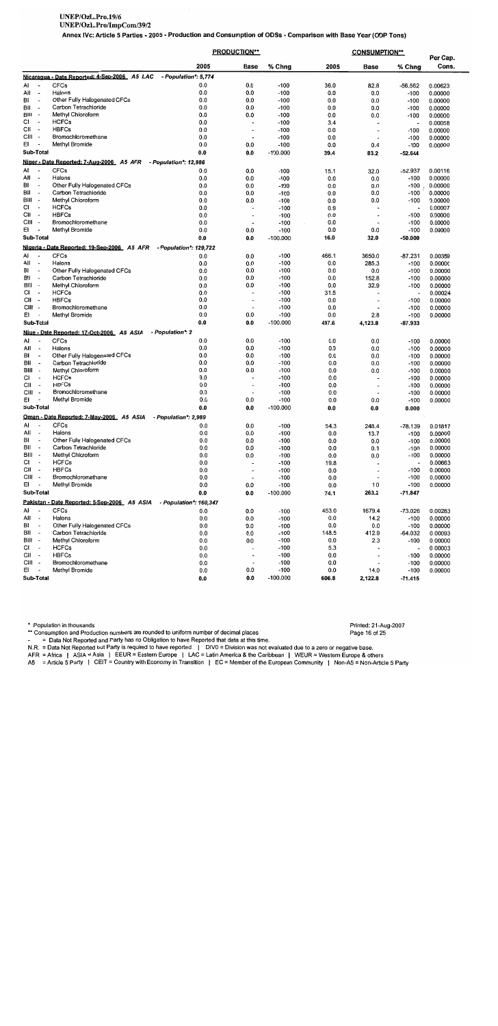# UNEP/OzL.Pro.19/6

UNEP/OzL.Pro/ImpCom/39/2

Annex IVc: Article 5 Parties - 2005 - Production and Consumption of ODSs - Comparison with Base Year (ODP Tons)

|                                          |                                                      |                        | <b>PRODUCTION**</b>      |                  |            | <b>CONSUMPTION**</b>         |                          | Per Cap.           |
|------------------------------------------|------------------------------------------------------|------------------------|--------------------------|------------------|------------|------------------------------|--------------------------|--------------------|
|                                          |                                                      | 2005                   | <b>Base</b>              | % Chng           | 2005       | <b>Base</b>                  | % Chng                   | Cons.              |
|                                          | Nicaragua - Date Reported: 4-Sep-2006 A5 LAC         | - Population*: 5,774   |                          |                  |            |                              |                          |                    |
| Al                                       | <b>CFCs</b>                                          | 0.0                    | 0.0                      | $-100$           | 36.0       | 82.8                         | -56.562                  | 0.00623            |
| All<br>$\overline{\phantom{a}}$          | Halons                                               | 0.0                    | 0.0                      | $-100$           | 0.0        | 0.0                          | $-100$                   | 0.00000            |
| BI                                       | Other Fully Halogenated CFCs                         | 0.0                    | 0.0                      | $-100$           | 0.0        | 0.0                          | $-100$                   | 0.00000            |
| BII<br>$\overline{\phantom{a}}$          | Carbon Tetrachloride                                 | 0.0                    | 0.0                      | $-100$           | 0.0        | 0.0                          | $-100$                   | 0.00000            |
| Bill -                                   | Methyl Chloroform                                    | 0.0                    | 0.0                      | $-100$           | 0.0        | 0.0                          | $-100$                   | 0.00000            |
| СI<br>$\overline{\phantom{a}}$           | <b>HCFCs</b>                                         | 0.0                    | $\tilde{\phantom{a}}$    | $-100$           | 3.4        | $\overline{\phantom{a}}$     | $\overline{\phantom{a}}$ | 0.00058            |
| CII -                                    | <b>HBFCs</b>                                         | 0.0                    | $\overline{\phantom{a}}$ | $-100$           | 0.0        | $\overline{\phantom{a}}$     | $-100$                   | 0.00000            |
| CIII -<br>EI<br>$\overline{\phantom{a}}$ | Bromochloromethane                                   | 0.0                    | $\overline{\phantom{a}}$ | $-100$           | 0.0        | $\overline{\phantom{a}}$     | $-100$                   | 0.00000            |
| Sub-Total                                | Methyl Bromide                                       | 0.0                    | 0.0                      | $-100$           | 0.0        | 0.4                          | $-100$                   | 0.00000            |
|                                          | Niger - Date Reported: 7-Aug-2006 A5 AFR             | 0.0                    | 0.0                      | $-100.000$       | 39.4       | 83.2                         | $-52.644$                |                    |
|                                          | <b>CFCs</b>                                          | - Population*: 12,986  |                          |                  |            |                              |                          |                    |
| Al<br>All<br>$\sim$                      | Halons                                               | 0.0<br>0.0             | 0.0                      | $-100$           | 15.1       | 32.0                         | $-52.937$                | 0.00116            |
| BI                                       | Other Fully Halogenated CFCs                         | 0.0                    | 0.0<br>0.0               | $-100$<br>$-100$ | 0.0<br>0.0 | 0.0                          | $-100$                   | 0.00000            |
| BII<br>$\overline{\phantom{a}}$          | Carbon Tetrachloride                                 | 0.0                    | 0.0                      | $-100$           | 0.0        | 0.0<br>0.0                   | $-100$ .                 | 0.00000            |
| BIII -                                   | Methyl Chloroform                                    | 0.0                    | 0.0                      | $-100$           | 0.0        | 0.0                          | $-100$<br>$-100$         | 0.00000<br>0.00000 |
| СI<br>$\sim$                             | <b>HCFCs</b>                                         | 0.0                    | ÷,                       | $-100$           | 0.9        |                              | $\overline{a}$           | 0.00007            |
| CII -                                    | <b>HBFCs</b>                                         | 0.0                    | $\overline{\phantom{a}}$ | $-100$           | 0.0        | $\overline{\phantom{a}}$     | $-100$                   | 0.00000            |
| CIII -                                   | Bromochloromethane                                   | 0.0                    | $\overline{\phantom{a}}$ | $-100$           | 0.0        | $\overline{\phantom{a}}$     | $-100$                   | 0.00000            |
| EI                                       | Methyl Bromide                                       | 0.0                    | 0.0                      | $-100$           | 0.0        | 0.0                          | $-100$                   | 0.00000            |
| Sub-Total                                |                                                      | 0.0                    | 0.0                      | $-100.000$       | 16.0       | 32.0                         | $-50.000$                |                    |
|                                          | Nigeria - Date Reported: 19-Sep-2006 A5 AFR          | - Population*: 129,722 |                          |                  |            |                              |                          |                    |
| AI                                       | <b>CFCs</b>                                          | 0.0                    | 0.0                      | $-100$           | 466.1      | 3650.0                       | $-87.231$                | 0.00359            |
| All<br>$\overline{\phantom{a}}$          | Halons                                               | 0.0                    | 0.0                      | $-100$           | 0.0        | 285.3                        | $-100$                   | 0.00000            |
| BI<br>$\overline{\phantom{a}}$           | Other Fully Halogenated CFCs                         | 0.0                    | 0.0                      | $-100$           | 0.0        | 0.0                          | $-100$                   | 0.00000            |
| BII<br>$\overline{\phantom{a}}$          | Carbon Tetrachlonde                                  | 0.0                    | 0.0                      | $-100$           | 0.0        | 152.8                        | $-100$                   | 0.00000            |
| BIII -                                   | Methyl Chloroform                                    | 0.0                    | 0.0                      | $-100$           | 0.0        | 32.9                         | $-100$                   | 0.00000            |
| СI<br>$\overline{\phantom{a}}$           | <b>HCFCs</b>                                         | 0.0                    | $\overline{\phantom{0}}$ | $-100$           | 31.5       | $\overline{\phantom{a}}$     | $\ddot{\phantom{a}}$     | 0.00024            |
| СII<br>$\overline{\phantom{a}}$          | <b>HBFCs</b>                                         | 0.0                    | $\overline{\phantom{a}}$ | $-100$           | 0.0        | $\qquad \qquad \blacksquare$ | $-100$                   | 0.00000            |
| CIII -                                   | Bromochloromethane                                   | 0.0                    | $\overline{\phantom{a}}$ | $-100$           | 0.0        | $\overline{\phantom{a}}$     | $-100$                   | 0.00000            |
| EI<br>$\overline{\phantom{a}}$           | Methyl Bromide                                       | 0.0                    | 0.0                      | $-100$           | 0.0        | 2.8                          | $-100$                   | 0.00000            |
| Sub-Total                                |                                                      | 0.0                    | 0.0                      | $-100.000$       | 497.6      | 4,123.8                      | $-87.933$                |                    |
|                                          | Niue - Date Reported: 17-Oct-2006   A5 ASIA          | - Population*: 2       |                          |                  |            |                              |                          |                    |
| Al<br>$\overline{\phantom{a}}$           | <b>CFCs</b>                                          | 0.0                    | 0.0                      | $-100$           | 0.0        | 0.0                          | $-100$                   | 0.00000            |
| All<br>$\sim$                            | Halons                                               | 0.0                    | 0.0                      | $-100$           | 0.0        | 0.0                          | $-100$                   | 0.00000            |
| BI<br>$\overline{\phantom{a}}$           | Other Fully Halogenated CFCs                         | 0.0                    | 0.0                      | $-100$           | 0.0        | 0.0                          | $-100$                   | 0.00000            |
| BII<br>$\overline{\phantom{a}}$          | Carbon Tetrachloride                                 | 0.0                    | 0.0                      | $-100$           | 0.0        | 0.0                          | $-100$                   | 0.00000            |
| BIII -                                   | Methyl Chloroform                                    | 0.0                    | 0.0                      | $-100$           | 0.0        | 0.0                          | $-100$                   | 0.00000            |
| СI<br>$\overline{\phantom{a}}$           | <b>HCFCs</b>                                         | 0.0                    | $\overline{\phantom{a}}$ | $-100$           | 0.0        | $\overline{\phantom{a}}$     | $-100$                   | 0.00000            |
| СII<br>$\overline{\phantom{a}}$          | <b>HBFCs</b>                                         | 0.0                    | $\overline{\phantom{a}}$ | $-100$           | 0.0        | $\overline{\phantom{a}}$     | $-100$                   | 0.00000            |
| CIII -                                   | Bromochloromethane                                   | 0.0                    | $\overline{\phantom{a}}$ | $-100$           | 0.0        | $\overline{\phantom{a}}$     | $-100$                   | 0.00000            |
| EI<br>$\overline{\phantom{a}}$           | Methyl Bromide                                       | 0.0                    | 0.0                      | $-100$           | 0.0        | 0.0                          | $-100$                   | 0.00000            |
| Sub-Total                                |                                                      | 0.0                    | 0.0                      | $-100.000$       | 0.0        | 0.0                          | 0.000                    |                    |
|                                          | Oman - Date Reported: 7-Mav-2006_ A5 ASIA            | - Population*: 2,989   |                          |                  |            |                              |                          |                    |
| Aŀ                                       | <b>CFCs</b>                                          | 0.0                    | 0.0                      | $-100$           | 54.3       | 248.4                        | -78.139                  | 0.01817            |
| All<br>$\overline{\phantom{a}}$          | Halons                                               | 0.0                    | 0.0                      | $-100$           | 0.0        | 13.7                         | $-100$                   | 0.00000            |
| BI<br>$\overline{\phantom{a}}$           | Other Fully Halogenated CFCs                         | 0.0                    | 0.0                      | $-100$           | 0.0        | 0.0                          | $-100$                   | 0.00000            |
| BII<br>$\overline{\phantom{a}}$          | Carbon Tetrachloride                                 | 0.0                    | 0.0                      | $-100$           | 0.0        | 0.1                          | $-100$                   | 0.00000            |
| BIII -                                   | Methyl Chloroform                                    | 0.0                    | 0.0                      | $-100$           | 0.0        | 0.0                          | $-100$                   | 0.00000            |
| СI<br>$\sim$                             | <b>HCFCs</b>                                         | 0.0                    | $\overline{\phantom{a}}$ | $-100$           | 19.8       |                              | $\overline{\phantom{a}}$ | 0.00663            |
| CII -                                    | <b>HBFCs</b>                                         | 0.0                    | $\overline{\phantom{a}}$ | $-100$           | 0.0        | $\overline{\phantom{a}}$     | $-100$                   | 0.00000            |
| CIII -                                   | Bromochloromethane                                   | 0.0                    | $\overline{\phantom{a}}$ | $-100$           | 0.0        |                              | $-100$                   | 0.00000            |
| EI<br>$\overline{\phantom{a}}$           | Methyl Bromide                                       | 0.0                    | 0.0                      | $-100$           | 0.0        | 1.0                          | $-100$                   | 0.00000            |
| Sub-Total                                |                                                      | 0.0                    | 0.0                      | $-100.000$       | 74.1       | 263.2                        | $-71.847$                |                    |
|                                          | <u> Pakistan - Date Reported: 5-Sep-2006 A5 ASIA</u> | - Population*: 160,347 |                          |                  |            |                              |                          |                    |
| AI<br>$\overline{\phantom{a}}$           | <b>CFCs</b>                                          | 0.0                    | 0.0                      | $-100$           | 453.0      | 1679.4                       | $-73.026$                | 0.00283            |
| ΑIΙ<br>$\overline{\phantom{a}}$          | Halons                                               | 0.0                    | 0.0                      | $-100$           | 0.0        | 14.2                         | $-100$                   | 0.00000            |
| BI<br>$\blacksquare$                     | Other Fully Halogenated CFCs                         | 0.0                    | 0.0                      | $-100$           | 0.0        | 0.0                          | $-100$                   | 0.00000            |
| ΒIΙ<br>$\overline{a}$                    | Carbon Tetrachloride                                 | 0.0                    | 0.0                      | $-100$           | 148.5      | 412.9                        | $-64.032$                | 0.00093            |
| BIII -                                   | Methyl Chloroform                                    | 0.0                    | 0.0                      | $-100$           | 0.0        | 2.3                          | $-100$                   | 0.00000            |
| СI<br>$\overline{\phantom{a}}$           | <b>HCFCs</b>                                         | 0.0                    | $\overline{\phantom{a}}$ | $-100$           | 5.3        |                              | $\overline{\phantom{a}}$ | 0.00003            |
| CII -                                    | <b>HBFCs</b>                                         | 0.0                    | $\overline{\phantom{a}}$ | $-100$           | 0.0        |                              | $-100$                   | 0.00000            |
| CIII -                                   | Bromochloromethane                                   | 0.0                    | $\overline{\phantom{a}}$ | $-100$           | 0.0        |                              | $-100$                   | 0.00000            |
| EI<br>$\sim$                             | Methyl Bromide                                       | 0.0                    | 0.0                      | $-100$           | 0.0        | 14.0                         | $-100$                   | 0.00000            |
| Sub-Total                                |                                                      | n n                    | 00                       | $-100.000$       | 8.303      | 2422R                        | 74 445                   |                    |

\* Population in thousands<br>\*\* Consumption and Production numbers are rounded to uniform number of decimal places

= Data Not Reported and Party has no Obligation to have Reported that data at this time.

- Bala Not Reported and Party has no Obligation to have Reported That data at this time.<br>N.R. = Data Not Reported but Party is required to have reported | DIVO = Division was not evaluated due to a zero or negative base.<br>A

### Printed: 21-Aug-2007 Page 16 of 25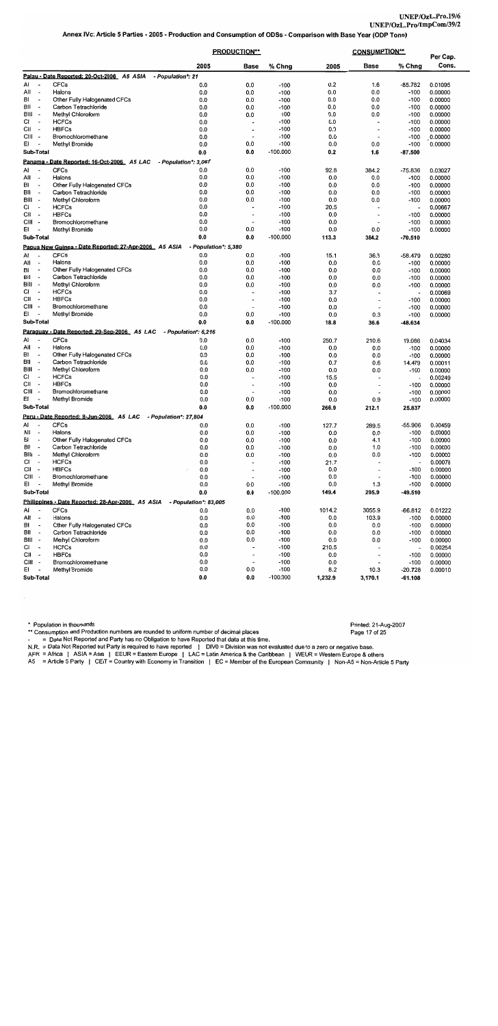| 2005<br>Cons.<br><b>Base</b><br>% Chng<br>2005<br>% Chng<br>Base<br>Palau - Date Reported: 20-Oct-2006 A5 ASIA<br>- Population*: 21<br>Al<br><b>CFCs</b><br>0.0<br>$\tilde{\phantom{a}}$<br>0.0<br>$-100$<br>0.2<br>1.6<br>-85.782<br>0.01095<br>All<br>Halons<br>0.0<br>0.0<br>$-100$<br>0.0<br>0.0<br>$\overline{\phantom{a}}$<br>$-100$<br>0.00000<br>BI<br>Other Fully Halogenated CFCs<br>0.0<br>0.0<br>$-100$<br>$\overline{\phantom{a}}$<br>0.0<br>0.0<br>$-100$<br>0.00000<br>Carbon Tetrachloride<br>BII<br>0.0<br>0.0<br>$-100$<br>$\overline{\phantom{a}}$<br>0.0<br>0.0<br>$-100$<br>0.00000<br>BIII<br>Methyl Chloroform<br>0.0<br>0.0<br>$-100$<br>$\overline{\phantom{a}}$<br>0.0<br>0.0<br>$-100$<br>0.00000<br>СI<br><b>HCFCs</b><br>$\overline{\phantom{a}}$<br>0.0<br>$-100$<br>0.0<br>0.00000<br>$-100$<br>$\overline{\phantom{a}}$<br>$\overline{\phantom{a}}$<br><b>HBFCs</b><br>СII<br>0.0<br>$\overline{a}$<br>$-100$<br>0.0<br>$-100$<br>0.00000<br>$\blacksquare$<br>$\overline{\phantom{a}}$<br>CIII<br>Bromochloromethane<br>0.0<br>$-100$<br>0.0<br>$\overline{\phantom{a}}$<br>$-100$<br>0.00000<br>$\overline{\phantom{a}}$<br>$\overline{\phantom{a}}$<br>EI<br><b>Methyl Bromide</b><br>0.0<br>$-100$<br>0.0<br>0.0<br>0.0<br>$-100$<br>0.00000<br>Sub-Total<br>0.0<br>$-100.000$<br>0.0<br>0.2<br>1.6<br>$-87.500$<br>Panama - Date Reported: 16-Oct-2006 A5 LAC<br>- Population*: 3.067<br><b>CFCs</b><br>AI<br>0.0<br>0.0<br>$-100$<br>92.8<br>384.2<br>-75.836<br>0.03027<br>ΑII<br>Halons<br>$\overline{\phantom{a}}$<br>0.0<br>0.0<br>$-100$<br>0.0<br>0.0<br>$-100$<br>0.00000<br>BI<br>Other Fully Halogenated CFCs<br>$\overline{\phantom{a}}$<br>0.0<br>0.0<br>$-100$<br>0.0<br>0.0<br>0.00000<br>$-100$<br>ВII<br>Carbon Tetrachloride<br>$-100$<br>$\overline{\phantom{a}}$<br>0.0<br>0.0<br>0.0<br>0.0<br>$-100$<br>0.00000<br>Bill -<br>Methyl Chloroform<br>0.0<br>0.0<br>$-100$<br>0.0<br>0.0<br>$-100$<br>0.00000<br>СI<br><b>HCFCs</b><br>0.0<br>$\overline{\phantom{a}}$<br>$-100$<br>20.5<br>0.00667<br>$\overline{\phantom{a}}$<br>$\blacksquare$<br>$\overline{\phantom{a}}$<br>СII<br><b>HBFCs</b><br>0.0<br>$\overline{\phantom{a}}$<br>$-100$<br>0.0<br>0.00000<br>$-100$<br>$\overline{\phantom{a}}$<br>$\overline{\phantom{a}}$<br>CIII -<br>Bromochloromethane<br>0.0<br>$-100$<br>0.0<br>0.00000<br>$-100$<br>$\overline{\phantom{a}}$<br>EI<br>0.0<br>Methyl Bromide<br>$-100$<br>0.0<br>0.0<br>0.0<br>$-100$<br>0.00000<br>Sub-Total<br>0.0<br>$-100.000$<br>0.0<br>113.3<br>384.2<br>$-70.510$<br>Papua New Guinea - Date Reported: 27-Apr-2006 A5 ASIA<br>- Population*: 5,380<br>A١<br><b>CFCs</b><br>0.0<br>0.0<br>$-100$<br>15.1<br>36.3<br>$-58.479$<br>0.00280<br>A⊪<br>Halons<br>0.0<br>0.0<br>$-100$<br>$\overline{\phantom{a}}$<br>0.0<br>0.0<br>$-100$<br>0.00000<br>BI<br>Other Fully Halogenated CFCs<br>0.0<br>0.0<br>$-100$<br>$\overline{\phantom{a}}$<br>0.0<br>0.0<br>$-100$<br>0.00000<br>BII<br>Carbon Tetrachlonde<br>0.0<br>0.0<br>$-100$<br>0.0<br>0.0<br>$-100$<br>0.00000<br>BIII -<br>Methyl Chloroform<br>0.0<br>0.0<br>$-100$<br>0.0<br>0.0<br>$-100$<br>0.00000<br>СI<br><b>HCFCs</b><br>0.0<br>$-100$<br>$\overline{\phantom{a}}$<br>3.7<br>0.00069<br>$\overline{\phantom{a}}$<br>$\overline{\phantom{a}}$<br>$\overline{\phantom{a}}$<br>CII<br><b>HBFCs</b><br>0.0<br>$-100$<br>$\overline{\phantom{a}}$<br>0.0<br>$-100$<br>0.00000<br>$\overline{\phantom{a}}$<br>$\overline{\phantom{a}}$<br>CIII -<br>Bromochloromethane<br>0.0<br>$-100$<br>0.0<br>0.00000<br>$-100$<br>EI<br><b>Methyl Bromide</b><br>0.0<br>0.0<br>$-100$<br>0.0<br>0.3<br>$-100$<br>0.00000<br>Sub-Total<br>0.0<br>0.0<br>$-100.000$<br>18.8<br>36.6<br>-48.634<br>Paraguay - Date Reported: 29-Sep-2006 A5 LAC<br>- Population*: 6,216<br><b>CFCs</b><br>AI<br>0.0<br>$\overline{\phantom{a}}$<br>0.0<br>$-100$<br>250.7<br>210.6<br>19.086<br>0.04034<br>All<br>Halons<br>0.0<br>$-100$<br>$\overline{\phantom{a}}$<br>0.0<br>0.0<br>0.0<br>0.00000<br>$-100$<br>B1<br>Other Fully Halogenated CFCs<br>0.0<br>0.0<br>$-100$<br>0.0<br>0.0<br>$\overline{\phantom{a}}$<br>$-100$<br>0.00000<br>BII<br>Carbon Tetrachlonde<br>0.0<br>0.0<br>$-100$<br>0.7<br>0.6<br>$\overline{\phantom{a}}$<br>0.00011<br>14.479<br>BIII -<br>Methyl Chloroform<br>0.0<br>0.0<br>$-100$<br>0.0<br>0.0<br>$-100$<br>0.00000<br>СI<br><b>HCFCs</b><br>0.0<br>$-100$<br>$\overline{a}$<br>15.5<br>0.00249<br>$\overline{\phantom{a}}$<br>CII<br><b>HBFCs</b><br>0.0<br>$-100$<br>$\overline{\phantom{a}}$<br>0.0<br>$-100$<br>0.00000<br>$\overline{\phantom{a}}$<br>٠<br>CIII-<br>Bromochloromethane<br>0.0<br>$-100$<br>0.0<br>$-100$<br>0.00000<br>$\overline{a}$<br>EI<br>Methyl Bromide<br>0.0<br>0.0<br>$-100$<br>0.0<br>0.9<br>$-100$<br>0.00000<br>Sub-Total<br>0.0<br>0.0<br>$-100.000$<br>266.9<br>212.1<br>25.837<br>Peru - Date Reported: 8-Jun-2006 A5 LAC - Population*: 27.804<br>AI<br>CFCs<br>0.0<br>0.0<br>$-100$<br>127.7<br>289.5<br>$\overline{\phantom{a}}$<br>$-55.906$<br>0.00459<br>All<br>Halons<br>0.0<br>$\overline{\phantom{a}}$<br>0.0<br>$-100$<br>0.0<br>0.0<br>$-100$<br>0.00000<br>BI<br>Other Fully Halogenated CFCs<br>0.0<br>0.0<br>$-100$<br>0.0<br>4.1<br>$-100$<br>0.00000<br>BII<br>Carbon Tetrachloride<br>0.0<br>0.0<br>$-100$<br>0.0<br>1.0<br>$-100$<br>0.00000<br>BIII -<br>Methyl Chloroform<br>0.0<br>0.0<br>$-100$<br>0.0<br>0.0<br>$-100$<br>0.00000<br>CI<br><b>HCFCs</b><br>0.0<br>$-100$<br>21.7<br>0.00078<br>$\overline{\phantom{a}}$<br>$\overline{\phantom{a}}$<br><b>HBFCs</b><br>CII -<br>0.0<br>$-100$<br>0.0<br>$\cdot$<br>$-100$<br>0.00000<br>$\overline{\phantom{a}}$<br>$\overline{\phantom{a}}$<br>CIII -<br>Bromochloromethane<br>0.0<br>$-100$<br>0.0<br>$-100$<br>0.00000<br>$\overline{\phantom{a}}$<br>E1<br>Methyl Bromide<br>0.0<br>0.0<br>$-100$<br>$\overline{\phantom{a}}$<br>0.0<br>1.3<br>-100<br>0.00000<br>Sub-Total<br>0.0<br>0.0<br>$-100.000$<br>149.4<br>295.9<br>-49.510<br>Philippines - Date Reported: 28-Apr-2006 A5 ASIA<br>- Population*: $83,005$<br>Al<br><b>CFCs</b><br>0.0<br>0.0<br>-100<br>1014.2<br>3055.9<br>$-66.812$<br>0.01222<br>All<br>Halons<br>0.0<br>0.0<br>$-100$<br>$\overline{\phantom{a}}$<br>0.0<br>103.9<br>$-100$<br>0.00000<br>BI<br>Other Fully Halogenated CFCs<br>0.0<br>0.0<br>$-100$<br>0.0<br>0.0<br>$-100$<br>0.00000<br>BII<br>Carbon Tetrachloride<br>0.0<br>0.0<br>$-100$<br>$\overline{\phantom{a}}$<br>0.0<br>0.0<br>$-100$<br>0.00000<br>BIII -<br>Methyl Chloroform<br>0.0<br>0.0<br>-100<br>0.0<br>0.0<br>$-100$<br>0.00000<br>СI<br><b>HCFCs</b><br>0.0<br>$-100$<br>$\overline{\phantom{a}}$<br>$\overline{\phantom{a}}$<br>210.5<br>0.00254<br>$\overline{\phantom{a}}$<br>CII -<br><b>HBFCs</b><br>0.0<br>$-100$<br>0.0<br>$-100$<br>0.00000<br>$\overline{\phantom{a}}$<br>$\overline{\phantom{a}}$<br>CIII -<br>Bromochloromethane<br>0.0<br>$-100$<br>0.0<br>$-100$<br>0.00000<br>$\overline{\phantom{a}}$<br>EI<br>Methyl Bromide<br>0.0<br>$\ddot{\phantom{1}}$<br>0.0<br>$-100$<br>8.2<br>10.3<br>$-20.728$<br>0.00010<br>Sub-Total<br>0.0<br>0.0<br>$-100.000$<br>1,232.9<br>3,170.1<br>$-61.108$ |  |  | <b>PRODUCTION**</b> |  | <b>CONSUMPTION**</b> | Per Cap. |
|------------------------------------------------------------------------------------------------------------------------------------------------------------------------------------------------------------------------------------------------------------------------------------------------------------------------------------------------------------------------------------------------------------------------------------------------------------------------------------------------------------------------------------------------------------------------------------------------------------------------------------------------------------------------------------------------------------------------------------------------------------------------------------------------------------------------------------------------------------------------------------------------------------------------------------------------------------------------------------------------------------------------------------------------------------------------------------------------------------------------------------------------------------------------------------------------------------------------------------------------------------------------------------------------------------------------------------------------------------------------------------------------------------------------------------------------------------------------------------------------------------------------------------------------------------------------------------------------------------------------------------------------------------------------------------------------------------------------------------------------------------------------------------------------------------------------------------------------------------------------------------------------------------------------------------------------------------------------------------------------------------------------------------------------------------------------------------------------------------------------------------------------------------------------------------------------------------------------------------------------------------------------------------------------------------------------------------------------------------------------------------------------------------------------------------------------------------------------------------------------------------------------------------------------------------------------------------------------------------------------------------------------------------------------------------------------------------------------------------------------------------------------------------------------------------------------------------------------------------------------------------------------------------------------------------------------------------------------------------------------------------------------------------------------------------------------------------------------------------------------------------------------------------------------------------------------------------------------------------------------------------------------------------------------------------------------------------------------------------------------------------------------------------------------------------------------------------------------------------------------------------------------------------------------------------------------------------------------------------------------------------------------------------------------------------------------------------------------------------------------------------------------------------------------------------------------------------------------------------------------------------------------------------------------------------------------------------------------------------------------------------------------------------------------------------------------------------------------------------------------------------------------------------------------------------------------------------------------------------------------------------------------------------------------------------------------------------------------------------------------------------------------------------------------------------------------------------------------------------------------------------------------------------------------------------------------------------------------------------------------------------------------------------------------------------------------------------------------------------------------------------------------------------------------------------------------------------------------------------------------------------------------------------------------------------------------------------------------------------------------------------------------------------------------------------------------------------------------------------------------------------------------------------------------------------------------------------------------------------------------------------------------------------------------------------------------------------------------------------------------------------------------------------------------------------------------------------------------------------------------------------------------------------------------------------------------------------------------------------------------------------------------------------------------------------------------------------------------------------------------------------------------------------------------------------------------------------------------------------------------------------------------------------------------------------------------------------------------------------------------------------------------------------------------------------------------------------------------------------------------------------------------------------------------------------------------------------------------------------------------------------------------------------------------------------------------------------------------------------------------------------------------------------------------------------------------------------------------------------------------------------------------------------------------------------------------------------------------------------------------------------------------------------------------------------------------------------------------------------------------------------------------------------------------------------------------------------------------------------------------------------------------------------------------------------------------------------------------------------------------------------------------------------------------------------------------------------------------------------------------------------------------------------------------------------------------------|--|--|---------------------|--|----------------------|----------|
|                                                                                                                                                                                                                                                                                                                                                                                                                                                                                                                                                                                                                                                                                                                                                                                                                                                                                                                                                                                                                                                                                                                                                                                                                                                                                                                                                                                                                                                                                                                                                                                                                                                                                                                                                                                                                                                                                                                                                                                                                                                                                                                                                                                                                                                                                                                                                                                                                                                                                                                                                                                                                                                                                                                                                                                                                                                                                                                                                                                                                                                                                                                                                                                                                                                                                                                                                                                                                                                                                                                                                                                                                                                                                                                                                                                                                                                                                                                                                                                                                                                                                                                                                                                                                                                                                                                                                                                                                                                                                                                                                                                                                                                                                                                                                                                                                                                                                                                                                                                                                                                                                                                                                                                                                                                                                                                                                                                                                                                                                                                                                                                                                                                                                                                                                                                                                                                                                                                                                                                                                                                                                                                                                                                                                                                                                                                                                                                                                                                                                                                                                                                                                                                                                                                                                                                                                                                                                                                                                                                                                                                                                                                                                                                                      |  |  |                     |  |                      |          |
|                                                                                                                                                                                                                                                                                                                                                                                                                                                                                                                                                                                                                                                                                                                                                                                                                                                                                                                                                                                                                                                                                                                                                                                                                                                                                                                                                                                                                                                                                                                                                                                                                                                                                                                                                                                                                                                                                                                                                                                                                                                                                                                                                                                                                                                                                                                                                                                                                                                                                                                                                                                                                                                                                                                                                                                                                                                                                                                                                                                                                                                                                                                                                                                                                                                                                                                                                                                                                                                                                                                                                                                                                                                                                                                                                                                                                                                                                                                                                                                                                                                                                                                                                                                                                                                                                                                                                                                                                                                                                                                                                                                                                                                                                                                                                                                                                                                                                                                                                                                                                                                                                                                                                                                                                                                                                                                                                                                                                                                                                                                                                                                                                                                                                                                                                                                                                                                                                                                                                                                                                                                                                                                                                                                                                                                                                                                                                                                                                                                                                                                                                                                                                                                                                                                                                                                                                                                                                                                                                                                                                                                                                                                                                                                                      |  |  |                     |  |                      |          |
|                                                                                                                                                                                                                                                                                                                                                                                                                                                                                                                                                                                                                                                                                                                                                                                                                                                                                                                                                                                                                                                                                                                                                                                                                                                                                                                                                                                                                                                                                                                                                                                                                                                                                                                                                                                                                                                                                                                                                                                                                                                                                                                                                                                                                                                                                                                                                                                                                                                                                                                                                                                                                                                                                                                                                                                                                                                                                                                                                                                                                                                                                                                                                                                                                                                                                                                                                                                                                                                                                                                                                                                                                                                                                                                                                                                                                                                                                                                                                                                                                                                                                                                                                                                                                                                                                                                                                                                                                                                                                                                                                                                                                                                                                                                                                                                                                                                                                                                                                                                                                                                                                                                                                                                                                                                                                                                                                                                                                                                                                                                                                                                                                                                                                                                                                                                                                                                                                                                                                                                                                                                                                                                                                                                                                                                                                                                                                                                                                                                                                                                                                                                                                                                                                                                                                                                                                                                                                                                                                                                                                                                                                                                                                                                                      |  |  |                     |  |                      |          |
|                                                                                                                                                                                                                                                                                                                                                                                                                                                                                                                                                                                                                                                                                                                                                                                                                                                                                                                                                                                                                                                                                                                                                                                                                                                                                                                                                                                                                                                                                                                                                                                                                                                                                                                                                                                                                                                                                                                                                                                                                                                                                                                                                                                                                                                                                                                                                                                                                                                                                                                                                                                                                                                                                                                                                                                                                                                                                                                                                                                                                                                                                                                                                                                                                                                                                                                                                                                                                                                                                                                                                                                                                                                                                                                                                                                                                                                                                                                                                                                                                                                                                                                                                                                                                                                                                                                                                                                                                                                                                                                                                                                                                                                                                                                                                                                                                                                                                                                                                                                                                                                                                                                                                                                                                                                                                                                                                                                                                                                                                                                                                                                                                                                                                                                                                                                                                                                                                                                                                                                                                                                                                                                                                                                                                                                                                                                                                                                                                                                                                                                                                                                                                                                                                                                                                                                                                                                                                                                                                                                                                                                                                                                                                                                                      |  |  |                     |  |                      |          |
|                                                                                                                                                                                                                                                                                                                                                                                                                                                                                                                                                                                                                                                                                                                                                                                                                                                                                                                                                                                                                                                                                                                                                                                                                                                                                                                                                                                                                                                                                                                                                                                                                                                                                                                                                                                                                                                                                                                                                                                                                                                                                                                                                                                                                                                                                                                                                                                                                                                                                                                                                                                                                                                                                                                                                                                                                                                                                                                                                                                                                                                                                                                                                                                                                                                                                                                                                                                                                                                                                                                                                                                                                                                                                                                                                                                                                                                                                                                                                                                                                                                                                                                                                                                                                                                                                                                                                                                                                                                                                                                                                                                                                                                                                                                                                                                                                                                                                                                                                                                                                                                                                                                                                                                                                                                                                                                                                                                                                                                                                                                                                                                                                                                                                                                                                                                                                                                                                                                                                                                                                                                                                                                                                                                                                                                                                                                                                                                                                                                                                                                                                                                                                                                                                                                                                                                                                                                                                                                                                                                                                                                                                                                                                                                                      |  |  |                     |  |                      |          |
|                                                                                                                                                                                                                                                                                                                                                                                                                                                                                                                                                                                                                                                                                                                                                                                                                                                                                                                                                                                                                                                                                                                                                                                                                                                                                                                                                                                                                                                                                                                                                                                                                                                                                                                                                                                                                                                                                                                                                                                                                                                                                                                                                                                                                                                                                                                                                                                                                                                                                                                                                                                                                                                                                                                                                                                                                                                                                                                                                                                                                                                                                                                                                                                                                                                                                                                                                                                                                                                                                                                                                                                                                                                                                                                                                                                                                                                                                                                                                                                                                                                                                                                                                                                                                                                                                                                                                                                                                                                                                                                                                                                                                                                                                                                                                                                                                                                                                                                                                                                                                                                                                                                                                                                                                                                                                                                                                                                                                                                                                                                                                                                                                                                                                                                                                                                                                                                                                                                                                                                                                                                                                                                                                                                                                                                                                                                                                                                                                                                                                                                                                                                                                                                                                                                                                                                                                                                                                                                                                                                                                                                                                                                                                                                                      |  |  |                     |  |                      |          |
|                                                                                                                                                                                                                                                                                                                                                                                                                                                                                                                                                                                                                                                                                                                                                                                                                                                                                                                                                                                                                                                                                                                                                                                                                                                                                                                                                                                                                                                                                                                                                                                                                                                                                                                                                                                                                                                                                                                                                                                                                                                                                                                                                                                                                                                                                                                                                                                                                                                                                                                                                                                                                                                                                                                                                                                                                                                                                                                                                                                                                                                                                                                                                                                                                                                                                                                                                                                                                                                                                                                                                                                                                                                                                                                                                                                                                                                                                                                                                                                                                                                                                                                                                                                                                                                                                                                                                                                                                                                                                                                                                                                                                                                                                                                                                                                                                                                                                                                                                                                                                                                                                                                                                                                                                                                                                                                                                                                                                                                                                                                                                                                                                                                                                                                                                                                                                                                                                                                                                                                                                                                                                                                                                                                                                                                                                                                                                                                                                                                                                                                                                                                                                                                                                                                                                                                                                                                                                                                                                                                                                                                                                                                                                                                                      |  |  |                     |  |                      |          |
|                                                                                                                                                                                                                                                                                                                                                                                                                                                                                                                                                                                                                                                                                                                                                                                                                                                                                                                                                                                                                                                                                                                                                                                                                                                                                                                                                                                                                                                                                                                                                                                                                                                                                                                                                                                                                                                                                                                                                                                                                                                                                                                                                                                                                                                                                                                                                                                                                                                                                                                                                                                                                                                                                                                                                                                                                                                                                                                                                                                                                                                                                                                                                                                                                                                                                                                                                                                                                                                                                                                                                                                                                                                                                                                                                                                                                                                                                                                                                                                                                                                                                                                                                                                                                                                                                                                                                                                                                                                                                                                                                                                                                                                                                                                                                                                                                                                                                                                                                                                                                                                                                                                                                                                                                                                                                                                                                                                                                                                                                                                                                                                                                                                                                                                                                                                                                                                                                                                                                                                                                                                                                                                                                                                                                                                                                                                                                                                                                                                                                                                                                                                                                                                                                                                                                                                                                                                                                                                                                                                                                                                                                                                                                                                                      |  |  |                     |  |                      |          |
|                                                                                                                                                                                                                                                                                                                                                                                                                                                                                                                                                                                                                                                                                                                                                                                                                                                                                                                                                                                                                                                                                                                                                                                                                                                                                                                                                                                                                                                                                                                                                                                                                                                                                                                                                                                                                                                                                                                                                                                                                                                                                                                                                                                                                                                                                                                                                                                                                                                                                                                                                                                                                                                                                                                                                                                                                                                                                                                                                                                                                                                                                                                                                                                                                                                                                                                                                                                                                                                                                                                                                                                                                                                                                                                                                                                                                                                                                                                                                                                                                                                                                                                                                                                                                                                                                                                                                                                                                                                                                                                                                                                                                                                                                                                                                                                                                                                                                                                                                                                                                                                                                                                                                                                                                                                                                                                                                                                                                                                                                                                                                                                                                                                                                                                                                                                                                                                                                                                                                                                                                                                                                                                                                                                                                                                                                                                                                                                                                                                                                                                                                                                                                                                                                                                                                                                                                                                                                                                                                                                                                                                                                                                                                                                                      |  |  |                     |  |                      |          |
|                                                                                                                                                                                                                                                                                                                                                                                                                                                                                                                                                                                                                                                                                                                                                                                                                                                                                                                                                                                                                                                                                                                                                                                                                                                                                                                                                                                                                                                                                                                                                                                                                                                                                                                                                                                                                                                                                                                                                                                                                                                                                                                                                                                                                                                                                                                                                                                                                                                                                                                                                                                                                                                                                                                                                                                                                                                                                                                                                                                                                                                                                                                                                                                                                                                                                                                                                                                                                                                                                                                                                                                                                                                                                                                                                                                                                                                                                                                                                                                                                                                                                                                                                                                                                                                                                                                                                                                                                                                                                                                                                                                                                                                                                                                                                                                                                                                                                                                                                                                                                                                                                                                                                                                                                                                                                                                                                                                                                                                                                                                                                                                                                                                                                                                                                                                                                                                                                                                                                                                                                                                                                                                                                                                                                                                                                                                                                                                                                                                                                                                                                                                                                                                                                                                                                                                                                                                                                                                                                                                                                                                                                                                                                                                                      |  |  |                     |  |                      |          |
|                                                                                                                                                                                                                                                                                                                                                                                                                                                                                                                                                                                                                                                                                                                                                                                                                                                                                                                                                                                                                                                                                                                                                                                                                                                                                                                                                                                                                                                                                                                                                                                                                                                                                                                                                                                                                                                                                                                                                                                                                                                                                                                                                                                                                                                                                                                                                                                                                                                                                                                                                                                                                                                                                                                                                                                                                                                                                                                                                                                                                                                                                                                                                                                                                                                                                                                                                                                                                                                                                                                                                                                                                                                                                                                                                                                                                                                                                                                                                                                                                                                                                                                                                                                                                                                                                                                                                                                                                                                                                                                                                                                                                                                                                                                                                                                                                                                                                                                                                                                                                                                                                                                                                                                                                                                                                                                                                                                                                                                                                                                                                                                                                                                                                                                                                                                                                                                                                                                                                                                                                                                                                                                                                                                                                                                                                                                                                                                                                                                                                                                                                                                                                                                                                                                                                                                                                                                                                                                                                                                                                                                                                                                                                                                                      |  |  |                     |  |                      |          |
|                                                                                                                                                                                                                                                                                                                                                                                                                                                                                                                                                                                                                                                                                                                                                                                                                                                                                                                                                                                                                                                                                                                                                                                                                                                                                                                                                                                                                                                                                                                                                                                                                                                                                                                                                                                                                                                                                                                                                                                                                                                                                                                                                                                                                                                                                                                                                                                                                                                                                                                                                                                                                                                                                                                                                                                                                                                                                                                                                                                                                                                                                                                                                                                                                                                                                                                                                                                                                                                                                                                                                                                                                                                                                                                                                                                                                                                                                                                                                                                                                                                                                                                                                                                                                                                                                                                                                                                                                                                                                                                                                                                                                                                                                                                                                                                                                                                                                                                                                                                                                                                                                                                                                                                                                                                                                                                                                                                                                                                                                                                                                                                                                                                                                                                                                                                                                                                                                                                                                                                                                                                                                                                                                                                                                                                                                                                                                                                                                                                                                                                                                                                                                                                                                                                                                                                                                                                                                                                                                                                                                                                                                                                                                                                                      |  |  |                     |  |                      |          |
|                                                                                                                                                                                                                                                                                                                                                                                                                                                                                                                                                                                                                                                                                                                                                                                                                                                                                                                                                                                                                                                                                                                                                                                                                                                                                                                                                                                                                                                                                                                                                                                                                                                                                                                                                                                                                                                                                                                                                                                                                                                                                                                                                                                                                                                                                                                                                                                                                                                                                                                                                                                                                                                                                                                                                                                                                                                                                                                                                                                                                                                                                                                                                                                                                                                                                                                                                                                                                                                                                                                                                                                                                                                                                                                                                                                                                                                                                                                                                                                                                                                                                                                                                                                                                                                                                                                                                                                                                                                                                                                                                                                                                                                                                                                                                                                                                                                                                                                                                                                                                                                                                                                                                                                                                                                                                                                                                                                                                                                                                                                                                                                                                                                                                                                                                                                                                                                                                                                                                                                                                                                                                                                                                                                                                                                                                                                                                                                                                                                                                                                                                                                                                                                                                                                                                                                                                                                                                                                                                                                                                                                                                                                                                                                                      |  |  |                     |  |                      |          |
|                                                                                                                                                                                                                                                                                                                                                                                                                                                                                                                                                                                                                                                                                                                                                                                                                                                                                                                                                                                                                                                                                                                                                                                                                                                                                                                                                                                                                                                                                                                                                                                                                                                                                                                                                                                                                                                                                                                                                                                                                                                                                                                                                                                                                                                                                                                                                                                                                                                                                                                                                                                                                                                                                                                                                                                                                                                                                                                                                                                                                                                                                                                                                                                                                                                                                                                                                                                                                                                                                                                                                                                                                                                                                                                                                                                                                                                                                                                                                                                                                                                                                                                                                                                                                                                                                                                                                                                                                                                                                                                                                                                                                                                                                                                                                                                                                                                                                                                                                                                                                                                                                                                                                                                                                                                                                                                                                                                                                                                                                                                                                                                                                                                                                                                                                                                                                                                                                                                                                                                                                                                                                                                                                                                                                                                                                                                                                                                                                                                                                                                                                                                                                                                                                                                                                                                                                                                                                                                                                                                                                                                                                                                                                                                                      |  |  |                     |  |                      |          |
|                                                                                                                                                                                                                                                                                                                                                                                                                                                                                                                                                                                                                                                                                                                                                                                                                                                                                                                                                                                                                                                                                                                                                                                                                                                                                                                                                                                                                                                                                                                                                                                                                                                                                                                                                                                                                                                                                                                                                                                                                                                                                                                                                                                                                                                                                                                                                                                                                                                                                                                                                                                                                                                                                                                                                                                                                                                                                                                                                                                                                                                                                                                                                                                                                                                                                                                                                                                                                                                                                                                                                                                                                                                                                                                                                                                                                                                                                                                                                                                                                                                                                                                                                                                                                                                                                                                                                                                                                                                                                                                                                                                                                                                                                                                                                                                                                                                                                                                                                                                                                                                                                                                                                                                                                                                                                                                                                                                                                                                                                                                                                                                                                                                                                                                                                                                                                                                                                                                                                                                                                                                                                                                                                                                                                                                                                                                                                                                                                                                                                                                                                                                                                                                                                                                                                                                                                                                                                                                                                                                                                                                                                                                                                                                                      |  |  |                     |  |                      |          |
|                                                                                                                                                                                                                                                                                                                                                                                                                                                                                                                                                                                                                                                                                                                                                                                                                                                                                                                                                                                                                                                                                                                                                                                                                                                                                                                                                                                                                                                                                                                                                                                                                                                                                                                                                                                                                                                                                                                                                                                                                                                                                                                                                                                                                                                                                                                                                                                                                                                                                                                                                                                                                                                                                                                                                                                                                                                                                                                                                                                                                                                                                                                                                                                                                                                                                                                                                                                                                                                                                                                                                                                                                                                                                                                                                                                                                                                                                                                                                                                                                                                                                                                                                                                                                                                                                                                                                                                                                                                                                                                                                                                                                                                                                                                                                                                                                                                                                                                                                                                                                                                                                                                                                                                                                                                                                                                                                                                                                                                                                                                                                                                                                                                                                                                                                                                                                                                                                                                                                                                                                                                                                                                                                                                                                                                                                                                                                                                                                                                                                                                                                                                                                                                                                                                                                                                                                                                                                                                                                                                                                                                                                                                                                                                                      |  |  |                     |  |                      |          |
|                                                                                                                                                                                                                                                                                                                                                                                                                                                                                                                                                                                                                                                                                                                                                                                                                                                                                                                                                                                                                                                                                                                                                                                                                                                                                                                                                                                                                                                                                                                                                                                                                                                                                                                                                                                                                                                                                                                                                                                                                                                                                                                                                                                                                                                                                                                                                                                                                                                                                                                                                                                                                                                                                                                                                                                                                                                                                                                                                                                                                                                                                                                                                                                                                                                                                                                                                                                                                                                                                                                                                                                                                                                                                                                                                                                                                                                                                                                                                                                                                                                                                                                                                                                                                                                                                                                                                                                                                                                                                                                                                                                                                                                                                                                                                                                                                                                                                                                                                                                                                                                                                                                                                                                                                                                                                                                                                                                                                                                                                                                                                                                                                                                                                                                                                                                                                                                                                                                                                                                                                                                                                                                                                                                                                                                                                                                                                                                                                                                                                                                                                                                                                                                                                                                                                                                                                                                                                                                                                                                                                                                                                                                                                                                                      |  |  |                     |  |                      |          |
|                                                                                                                                                                                                                                                                                                                                                                                                                                                                                                                                                                                                                                                                                                                                                                                                                                                                                                                                                                                                                                                                                                                                                                                                                                                                                                                                                                                                                                                                                                                                                                                                                                                                                                                                                                                                                                                                                                                                                                                                                                                                                                                                                                                                                                                                                                                                                                                                                                                                                                                                                                                                                                                                                                                                                                                                                                                                                                                                                                                                                                                                                                                                                                                                                                                                                                                                                                                                                                                                                                                                                                                                                                                                                                                                                                                                                                                                                                                                                                                                                                                                                                                                                                                                                                                                                                                                                                                                                                                                                                                                                                                                                                                                                                                                                                                                                                                                                                                                                                                                                                                                                                                                                                                                                                                                                                                                                                                                                                                                                                                                                                                                                                                                                                                                                                                                                                                                                                                                                                                                                                                                                                                                                                                                                                                                                                                                                                                                                                                                                                                                                                                                                                                                                                                                                                                                                                                                                                                                                                                                                                                                                                                                                                                                      |  |  |                     |  |                      |          |
|                                                                                                                                                                                                                                                                                                                                                                                                                                                                                                                                                                                                                                                                                                                                                                                                                                                                                                                                                                                                                                                                                                                                                                                                                                                                                                                                                                                                                                                                                                                                                                                                                                                                                                                                                                                                                                                                                                                                                                                                                                                                                                                                                                                                                                                                                                                                                                                                                                                                                                                                                                                                                                                                                                                                                                                                                                                                                                                                                                                                                                                                                                                                                                                                                                                                                                                                                                                                                                                                                                                                                                                                                                                                                                                                                                                                                                                                                                                                                                                                                                                                                                                                                                                                                                                                                                                                                                                                                                                                                                                                                                                                                                                                                                                                                                                                                                                                                                                                                                                                                                                                                                                                                                                                                                                                                                                                                                                                                                                                                                                                                                                                                                                                                                                                                                                                                                                                                                                                                                                                                                                                                                                                                                                                                                                                                                                                                                                                                                                                                                                                                                                                                                                                                                                                                                                                                                                                                                                                                                                                                                                                                                                                                                                                      |  |  |                     |  |                      |          |
|                                                                                                                                                                                                                                                                                                                                                                                                                                                                                                                                                                                                                                                                                                                                                                                                                                                                                                                                                                                                                                                                                                                                                                                                                                                                                                                                                                                                                                                                                                                                                                                                                                                                                                                                                                                                                                                                                                                                                                                                                                                                                                                                                                                                                                                                                                                                                                                                                                                                                                                                                                                                                                                                                                                                                                                                                                                                                                                                                                                                                                                                                                                                                                                                                                                                                                                                                                                                                                                                                                                                                                                                                                                                                                                                                                                                                                                                                                                                                                                                                                                                                                                                                                                                                                                                                                                                                                                                                                                                                                                                                                                                                                                                                                                                                                                                                                                                                                                                                                                                                                                                                                                                                                                                                                                                                                                                                                                                                                                                                                                                                                                                                                                                                                                                                                                                                                                                                                                                                                                                                                                                                                                                                                                                                                                                                                                                                                                                                                                                                                                                                                                                                                                                                                                                                                                                                                                                                                                                                                                                                                                                                                                                                                                                      |  |  |                     |  |                      |          |
|                                                                                                                                                                                                                                                                                                                                                                                                                                                                                                                                                                                                                                                                                                                                                                                                                                                                                                                                                                                                                                                                                                                                                                                                                                                                                                                                                                                                                                                                                                                                                                                                                                                                                                                                                                                                                                                                                                                                                                                                                                                                                                                                                                                                                                                                                                                                                                                                                                                                                                                                                                                                                                                                                                                                                                                                                                                                                                                                                                                                                                                                                                                                                                                                                                                                                                                                                                                                                                                                                                                                                                                                                                                                                                                                                                                                                                                                                                                                                                                                                                                                                                                                                                                                                                                                                                                                                                                                                                                                                                                                                                                                                                                                                                                                                                                                                                                                                                                                                                                                                                                                                                                                                                                                                                                                                                                                                                                                                                                                                                                                                                                                                                                                                                                                                                                                                                                                                                                                                                                                                                                                                                                                                                                                                                                                                                                                                                                                                                                                                                                                                                                                                                                                                                                                                                                                                                                                                                                                                                                                                                                                                                                                                                                                      |  |  |                     |  |                      |          |
|                                                                                                                                                                                                                                                                                                                                                                                                                                                                                                                                                                                                                                                                                                                                                                                                                                                                                                                                                                                                                                                                                                                                                                                                                                                                                                                                                                                                                                                                                                                                                                                                                                                                                                                                                                                                                                                                                                                                                                                                                                                                                                                                                                                                                                                                                                                                                                                                                                                                                                                                                                                                                                                                                                                                                                                                                                                                                                                                                                                                                                                                                                                                                                                                                                                                                                                                                                                                                                                                                                                                                                                                                                                                                                                                                                                                                                                                                                                                                                                                                                                                                                                                                                                                                                                                                                                                                                                                                                                                                                                                                                                                                                                                                                                                                                                                                                                                                                                                                                                                                                                                                                                                                                                                                                                                                                                                                                                                                                                                                                                                                                                                                                                                                                                                                                                                                                                                                                                                                                                                                                                                                                                                                                                                                                                                                                                                                                                                                                                                                                                                                                                                                                                                                                                                                                                                                                                                                                                                                                                                                                                                                                                                                                                                      |  |  |                     |  |                      |          |
|                                                                                                                                                                                                                                                                                                                                                                                                                                                                                                                                                                                                                                                                                                                                                                                                                                                                                                                                                                                                                                                                                                                                                                                                                                                                                                                                                                                                                                                                                                                                                                                                                                                                                                                                                                                                                                                                                                                                                                                                                                                                                                                                                                                                                                                                                                                                                                                                                                                                                                                                                                                                                                                                                                                                                                                                                                                                                                                                                                                                                                                                                                                                                                                                                                                                                                                                                                                                                                                                                                                                                                                                                                                                                                                                                                                                                                                                                                                                                                                                                                                                                                                                                                                                                                                                                                                                                                                                                                                                                                                                                                                                                                                                                                                                                                                                                                                                                                                                                                                                                                                                                                                                                                                                                                                                                                                                                                                                                                                                                                                                                                                                                                                                                                                                                                                                                                                                                                                                                                                                                                                                                                                                                                                                                                                                                                                                                                                                                                                                                                                                                                                                                                                                                                                                                                                                                                                                                                                                                                                                                                                                                                                                                                                                      |  |  |                     |  |                      |          |
|                                                                                                                                                                                                                                                                                                                                                                                                                                                                                                                                                                                                                                                                                                                                                                                                                                                                                                                                                                                                                                                                                                                                                                                                                                                                                                                                                                                                                                                                                                                                                                                                                                                                                                                                                                                                                                                                                                                                                                                                                                                                                                                                                                                                                                                                                                                                                                                                                                                                                                                                                                                                                                                                                                                                                                                                                                                                                                                                                                                                                                                                                                                                                                                                                                                                                                                                                                                                                                                                                                                                                                                                                                                                                                                                                                                                                                                                                                                                                                                                                                                                                                                                                                                                                                                                                                                                                                                                                                                                                                                                                                                                                                                                                                                                                                                                                                                                                                                                                                                                                                                                                                                                                                                                                                                                                                                                                                                                                                                                                                                                                                                                                                                                                                                                                                                                                                                                                                                                                                                                                                                                                                                                                                                                                                                                                                                                                                                                                                                                                                                                                                                                                                                                                                                                                                                                                                                                                                                                                                                                                                                                                                                                                                                                      |  |  |                     |  |                      |          |
|                                                                                                                                                                                                                                                                                                                                                                                                                                                                                                                                                                                                                                                                                                                                                                                                                                                                                                                                                                                                                                                                                                                                                                                                                                                                                                                                                                                                                                                                                                                                                                                                                                                                                                                                                                                                                                                                                                                                                                                                                                                                                                                                                                                                                                                                                                                                                                                                                                                                                                                                                                                                                                                                                                                                                                                                                                                                                                                                                                                                                                                                                                                                                                                                                                                                                                                                                                                                                                                                                                                                                                                                                                                                                                                                                                                                                                                                                                                                                                                                                                                                                                                                                                                                                                                                                                                                                                                                                                                                                                                                                                                                                                                                                                                                                                                                                                                                                                                                                                                                                                                                                                                                                                                                                                                                                                                                                                                                                                                                                                                                                                                                                                                                                                                                                                                                                                                                                                                                                                                                                                                                                                                                                                                                                                                                                                                                                                                                                                                                                                                                                                                                                                                                                                                                                                                                                                                                                                                                                                                                                                                                                                                                                                                                      |  |  |                     |  |                      |          |
|                                                                                                                                                                                                                                                                                                                                                                                                                                                                                                                                                                                                                                                                                                                                                                                                                                                                                                                                                                                                                                                                                                                                                                                                                                                                                                                                                                                                                                                                                                                                                                                                                                                                                                                                                                                                                                                                                                                                                                                                                                                                                                                                                                                                                                                                                                                                                                                                                                                                                                                                                                                                                                                                                                                                                                                                                                                                                                                                                                                                                                                                                                                                                                                                                                                                                                                                                                                                                                                                                                                                                                                                                                                                                                                                                                                                                                                                                                                                                                                                                                                                                                                                                                                                                                                                                                                                                                                                                                                                                                                                                                                                                                                                                                                                                                                                                                                                                                                                                                                                                                                                                                                                                                                                                                                                                                                                                                                                                                                                                                                                                                                                                                                                                                                                                                                                                                                                                                                                                                                                                                                                                                                                                                                                                                                                                                                                                                                                                                                                                                                                                                                                                                                                                                                                                                                                                                                                                                                                                                                                                                                                                                                                                                                                      |  |  |                     |  |                      |          |
|                                                                                                                                                                                                                                                                                                                                                                                                                                                                                                                                                                                                                                                                                                                                                                                                                                                                                                                                                                                                                                                                                                                                                                                                                                                                                                                                                                                                                                                                                                                                                                                                                                                                                                                                                                                                                                                                                                                                                                                                                                                                                                                                                                                                                                                                                                                                                                                                                                                                                                                                                                                                                                                                                                                                                                                                                                                                                                                                                                                                                                                                                                                                                                                                                                                                                                                                                                                                                                                                                                                                                                                                                                                                                                                                                                                                                                                                                                                                                                                                                                                                                                                                                                                                                                                                                                                                                                                                                                                                                                                                                                                                                                                                                                                                                                                                                                                                                                                                                                                                                                                                                                                                                                                                                                                                                                                                                                                                                                                                                                                                                                                                                                                                                                                                                                                                                                                                                                                                                                                                                                                                                                                                                                                                                                                                                                                                                                                                                                                                                                                                                                                                                                                                                                                                                                                                                                                                                                                                                                                                                                                                                                                                                                                                      |  |  |                     |  |                      |          |
|                                                                                                                                                                                                                                                                                                                                                                                                                                                                                                                                                                                                                                                                                                                                                                                                                                                                                                                                                                                                                                                                                                                                                                                                                                                                                                                                                                                                                                                                                                                                                                                                                                                                                                                                                                                                                                                                                                                                                                                                                                                                                                                                                                                                                                                                                                                                                                                                                                                                                                                                                                                                                                                                                                                                                                                                                                                                                                                                                                                                                                                                                                                                                                                                                                                                                                                                                                                                                                                                                                                                                                                                                                                                                                                                                                                                                                                                                                                                                                                                                                                                                                                                                                                                                                                                                                                                                                                                                                                                                                                                                                                                                                                                                                                                                                                                                                                                                                                                                                                                                                                                                                                                                                                                                                                                                                                                                                                                                                                                                                                                                                                                                                                                                                                                                                                                                                                                                                                                                                                                                                                                                                                                                                                                                                                                                                                                                                                                                                                                                                                                                                                                                                                                                                                                                                                                                                                                                                                                                                                                                                                                                                                                                                                                      |  |  |                     |  |                      |          |
|                                                                                                                                                                                                                                                                                                                                                                                                                                                                                                                                                                                                                                                                                                                                                                                                                                                                                                                                                                                                                                                                                                                                                                                                                                                                                                                                                                                                                                                                                                                                                                                                                                                                                                                                                                                                                                                                                                                                                                                                                                                                                                                                                                                                                                                                                                                                                                                                                                                                                                                                                                                                                                                                                                                                                                                                                                                                                                                                                                                                                                                                                                                                                                                                                                                                                                                                                                                                                                                                                                                                                                                                                                                                                                                                                                                                                                                                                                                                                                                                                                                                                                                                                                                                                                                                                                                                                                                                                                                                                                                                                                                                                                                                                                                                                                                                                                                                                                                                                                                                                                                                                                                                                                                                                                                                                                                                                                                                                                                                                                                                                                                                                                                                                                                                                                                                                                                                                                                                                                                                                                                                                                                                                                                                                                                                                                                                                                                                                                                                                                                                                                                                                                                                                                                                                                                                                                                                                                                                                                                                                                                                                                                                                                                                      |  |  |                     |  |                      |          |
|                                                                                                                                                                                                                                                                                                                                                                                                                                                                                                                                                                                                                                                                                                                                                                                                                                                                                                                                                                                                                                                                                                                                                                                                                                                                                                                                                                                                                                                                                                                                                                                                                                                                                                                                                                                                                                                                                                                                                                                                                                                                                                                                                                                                                                                                                                                                                                                                                                                                                                                                                                                                                                                                                                                                                                                                                                                                                                                                                                                                                                                                                                                                                                                                                                                                                                                                                                                                                                                                                                                                                                                                                                                                                                                                                                                                                                                                                                                                                                                                                                                                                                                                                                                                                                                                                                                                                                                                                                                                                                                                                                                                                                                                                                                                                                                                                                                                                                                                                                                                                                                                                                                                                                                                                                                                                                                                                                                                                                                                                                                                                                                                                                                                                                                                                                                                                                                                                                                                                                                                                                                                                                                                                                                                                                                                                                                                                                                                                                                                                                                                                                                                                                                                                                                                                                                                                                                                                                                                                                                                                                                                                                                                                                                                      |  |  |                     |  |                      |          |
|                                                                                                                                                                                                                                                                                                                                                                                                                                                                                                                                                                                                                                                                                                                                                                                                                                                                                                                                                                                                                                                                                                                                                                                                                                                                                                                                                                                                                                                                                                                                                                                                                                                                                                                                                                                                                                                                                                                                                                                                                                                                                                                                                                                                                                                                                                                                                                                                                                                                                                                                                                                                                                                                                                                                                                                                                                                                                                                                                                                                                                                                                                                                                                                                                                                                                                                                                                                                                                                                                                                                                                                                                                                                                                                                                                                                                                                                                                                                                                                                                                                                                                                                                                                                                                                                                                                                                                                                                                                                                                                                                                                                                                                                                                                                                                                                                                                                                                                                                                                                                                                                                                                                                                                                                                                                                                                                                                                                                                                                                                                                                                                                                                                                                                                                                                                                                                                                                                                                                                                                                                                                                                                                                                                                                                                                                                                                                                                                                                                                                                                                                                                                                                                                                                                                                                                                                                                                                                                                                                                                                                                                                                                                                                                                      |  |  |                     |  |                      |          |
|                                                                                                                                                                                                                                                                                                                                                                                                                                                                                                                                                                                                                                                                                                                                                                                                                                                                                                                                                                                                                                                                                                                                                                                                                                                                                                                                                                                                                                                                                                                                                                                                                                                                                                                                                                                                                                                                                                                                                                                                                                                                                                                                                                                                                                                                                                                                                                                                                                                                                                                                                                                                                                                                                                                                                                                                                                                                                                                                                                                                                                                                                                                                                                                                                                                                                                                                                                                                                                                                                                                                                                                                                                                                                                                                                                                                                                                                                                                                                                                                                                                                                                                                                                                                                                                                                                                                                                                                                                                                                                                                                                                                                                                                                                                                                                                                                                                                                                                                                                                                                                                                                                                                                                                                                                                                                                                                                                                                                                                                                                                                                                                                                                                                                                                                                                                                                                                                                                                                                                                                                                                                                                                                                                                                                                                                                                                                                                                                                                                                                                                                                                                                                                                                                                                                                                                                                                                                                                                                                                                                                                                                                                                                                                                                      |  |  |                     |  |                      |          |
|                                                                                                                                                                                                                                                                                                                                                                                                                                                                                                                                                                                                                                                                                                                                                                                                                                                                                                                                                                                                                                                                                                                                                                                                                                                                                                                                                                                                                                                                                                                                                                                                                                                                                                                                                                                                                                                                                                                                                                                                                                                                                                                                                                                                                                                                                                                                                                                                                                                                                                                                                                                                                                                                                                                                                                                                                                                                                                                                                                                                                                                                                                                                                                                                                                                                                                                                                                                                                                                                                                                                                                                                                                                                                                                                                                                                                                                                                                                                                                                                                                                                                                                                                                                                                                                                                                                                                                                                                                                                                                                                                                                                                                                                                                                                                                                                                                                                                                                                                                                                                                                                                                                                                                                                                                                                                                                                                                                                                                                                                                                                                                                                                                                                                                                                                                                                                                                                                                                                                                                                                                                                                                                                                                                                                                                                                                                                                                                                                                                                                                                                                                                                                                                                                                                                                                                                                                                                                                                                                                                                                                                                                                                                                                                                      |  |  |                     |  |                      |          |
|                                                                                                                                                                                                                                                                                                                                                                                                                                                                                                                                                                                                                                                                                                                                                                                                                                                                                                                                                                                                                                                                                                                                                                                                                                                                                                                                                                                                                                                                                                                                                                                                                                                                                                                                                                                                                                                                                                                                                                                                                                                                                                                                                                                                                                                                                                                                                                                                                                                                                                                                                                                                                                                                                                                                                                                                                                                                                                                                                                                                                                                                                                                                                                                                                                                                                                                                                                                                                                                                                                                                                                                                                                                                                                                                                                                                                                                                                                                                                                                                                                                                                                                                                                                                                                                                                                                                                                                                                                                                                                                                                                                                                                                                                                                                                                                                                                                                                                                                                                                                                                                                                                                                                                                                                                                                                                                                                                                                                                                                                                                                                                                                                                                                                                                                                                                                                                                                                                                                                                                                                                                                                                                                                                                                                                                                                                                                                                                                                                                                                                                                                                                                                                                                                                                                                                                                                                                                                                                                                                                                                                                                                                                                                                                                      |  |  |                     |  |                      |          |
|                                                                                                                                                                                                                                                                                                                                                                                                                                                                                                                                                                                                                                                                                                                                                                                                                                                                                                                                                                                                                                                                                                                                                                                                                                                                                                                                                                                                                                                                                                                                                                                                                                                                                                                                                                                                                                                                                                                                                                                                                                                                                                                                                                                                                                                                                                                                                                                                                                                                                                                                                                                                                                                                                                                                                                                                                                                                                                                                                                                                                                                                                                                                                                                                                                                                                                                                                                                                                                                                                                                                                                                                                                                                                                                                                                                                                                                                                                                                                                                                                                                                                                                                                                                                                                                                                                                                                                                                                                                                                                                                                                                                                                                                                                                                                                                                                                                                                                                                                                                                                                                                                                                                                                                                                                                                                                                                                                                                                                                                                                                                                                                                                                                                                                                                                                                                                                                                                                                                                                                                                                                                                                                                                                                                                                                                                                                                                                                                                                                                                                                                                                                                                                                                                                                                                                                                                                                                                                                                                                                                                                                                                                                                                                                                      |  |  |                     |  |                      |          |
|                                                                                                                                                                                                                                                                                                                                                                                                                                                                                                                                                                                                                                                                                                                                                                                                                                                                                                                                                                                                                                                                                                                                                                                                                                                                                                                                                                                                                                                                                                                                                                                                                                                                                                                                                                                                                                                                                                                                                                                                                                                                                                                                                                                                                                                                                                                                                                                                                                                                                                                                                                                                                                                                                                                                                                                                                                                                                                                                                                                                                                                                                                                                                                                                                                                                                                                                                                                                                                                                                                                                                                                                                                                                                                                                                                                                                                                                                                                                                                                                                                                                                                                                                                                                                                                                                                                                                                                                                                                                                                                                                                                                                                                                                                                                                                                                                                                                                                                                                                                                                                                                                                                                                                                                                                                                                                                                                                                                                                                                                                                                                                                                                                                                                                                                                                                                                                                                                                                                                                                                                                                                                                                                                                                                                                                                                                                                                                                                                                                                                                                                                                                                                                                                                                                                                                                                                                                                                                                                                                                                                                                                                                                                                                                                      |  |  |                     |  |                      |          |
|                                                                                                                                                                                                                                                                                                                                                                                                                                                                                                                                                                                                                                                                                                                                                                                                                                                                                                                                                                                                                                                                                                                                                                                                                                                                                                                                                                                                                                                                                                                                                                                                                                                                                                                                                                                                                                                                                                                                                                                                                                                                                                                                                                                                                                                                                                                                                                                                                                                                                                                                                                                                                                                                                                                                                                                                                                                                                                                                                                                                                                                                                                                                                                                                                                                                                                                                                                                                                                                                                                                                                                                                                                                                                                                                                                                                                                                                                                                                                                                                                                                                                                                                                                                                                                                                                                                                                                                                                                                                                                                                                                                                                                                                                                                                                                                                                                                                                                                                                                                                                                                                                                                                                                                                                                                                                                                                                                                                                                                                                                                                                                                                                                                                                                                                                                                                                                                                                                                                                                                                                                                                                                                                                                                                                                                                                                                                                                                                                                                                                                                                                                                                                                                                                                                                                                                                                                                                                                                                                                                                                                                                                                                                                                                                      |  |  |                     |  |                      |          |
|                                                                                                                                                                                                                                                                                                                                                                                                                                                                                                                                                                                                                                                                                                                                                                                                                                                                                                                                                                                                                                                                                                                                                                                                                                                                                                                                                                                                                                                                                                                                                                                                                                                                                                                                                                                                                                                                                                                                                                                                                                                                                                                                                                                                                                                                                                                                                                                                                                                                                                                                                                                                                                                                                                                                                                                                                                                                                                                                                                                                                                                                                                                                                                                                                                                                                                                                                                                                                                                                                                                                                                                                                                                                                                                                                                                                                                                                                                                                                                                                                                                                                                                                                                                                                                                                                                                                                                                                                                                                                                                                                                                                                                                                                                                                                                                                                                                                                                                                                                                                                                                                                                                                                                                                                                                                                                                                                                                                                                                                                                                                                                                                                                                                                                                                                                                                                                                                                                                                                                                                                                                                                                                                                                                                                                                                                                                                                                                                                                                                                                                                                                                                                                                                                                                                                                                                                                                                                                                                                                                                                                                                                                                                                                                                      |  |  |                     |  |                      |          |
|                                                                                                                                                                                                                                                                                                                                                                                                                                                                                                                                                                                                                                                                                                                                                                                                                                                                                                                                                                                                                                                                                                                                                                                                                                                                                                                                                                                                                                                                                                                                                                                                                                                                                                                                                                                                                                                                                                                                                                                                                                                                                                                                                                                                                                                                                                                                                                                                                                                                                                                                                                                                                                                                                                                                                                                                                                                                                                                                                                                                                                                                                                                                                                                                                                                                                                                                                                                                                                                                                                                                                                                                                                                                                                                                                                                                                                                                                                                                                                                                                                                                                                                                                                                                                                                                                                                                                                                                                                                                                                                                                                                                                                                                                                                                                                                                                                                                                                                                                                                                                                                                                                                                                                                                                                                                                                                                                                                                                                                                                                                                                                                                                                                                                                                                                                                                                                                                                                                                                                                                                                                                                                                                                                                                                                                                                                                                                                                                                                                                                                                                                                                                                                                                                                                                                                                                                                                                                                                                                                                                                                                                                                                                                                                                      |  |  |                     |  |                      |          |
|                                                                                                                                                                                                                                                                                                                                                                                                                                                                                                                                                                                                                                                                                                                                                                                                                                                                                                                                                                                                                                                                                                                                                                                                                                                                                                                                                                                                                                                                                                                                                                                                                                                                                                                                                                                                                                                                                                                                                                                                                                                                                                                                                                                                                                                                                                                                                                                                                                                                                                                                                                                                                                                                                                                                                                                                                                                                                                                                                                                                                                                                                                                                                                                                                                                                                                                                                                                                                                                                                                                                                                                                                                                                                                                                                                                                                                                                                                                                                                                                                                                                                                                                                                                                                                                                                                                                                                                                                                                                                                                                                                                                                                                                                                                                                                                                                                                                                                                                                                                                                                                                                                                                                                                                                                                                                                                                                                                                                                                                                                                                                                                                                                                                                                                                                                                                                                                                                                                                                                                                                                                                                                                                                                                                                                                                                                                                                                                                                                                                                                                                                                                                                                                                                                                                                                                                                                                                                                                                                                                                                                                                                                                                                                                                      |  |  |                     |  |                      |          |
|                                                                                                                                                                                                                                                                                                                                                                                                                                                                                                                                                                                                                                                                                                                                                                                                                                                                                                                                                                                                                                                                                                                                                                                                                                                                                                                                                                                                                                                                                                                                                                                                                                                                                                                                                                                                                                                                                                                                                                                                                                                                                                                                                                                                                                                                                                                                                                                                                                                                                                                                                                                                                                                                                                                                                                                                                                                                                                                                                                                                                                                                                                                                                                                                                                                                                                                                                                                                                                                                                                                                                                                                                                                                                                                                                                                                                                                                                                                                                                                                                                                                                                                                                                                                                                                                                                                                                                                                                                                                                                                                                                                                                                                                                                                                                                                                                                                                                                                                                                                                                                                                                                                                                                                                                                                                                                                                                                                                                                                                                                                                                                                                                                                                                                                                                                                                                                                                                                                                                                                                                                                                                                                                                                                                                                                                                                                                                                                                                                                                                                                                                                                                                                                                                                                                                                                                                                                                                                                                                                                                                                                                                                                                                                                                      |  |  |                     |  |                      |          |
|                                                                                                                                                                                                                                                                                                                                                                                                                                                                                                                                                                                                                                                                                                                                                                                                                                                                                                                                                                                                                                                                                                                                                                                                                                                                                                                                                                                                                                                                                                                                                                                                                                                                                                                                                                                                                                                                                                                                                                                                                                                                                                                                                                                                                                                                                                                                                                                                                                                                                                                                                                                                                                                                                                                                                                                                                                                                                                                                                                                                                                                                                                                                                                                                                                                                                                                                                                                                                                                                                                                                                                                                                                                                                                                                                                                                                                                                                                                                                                                                                                                                                                                                                                                                                                                                                                                                                                                                                                                                                                                                                                                                                                                                                                                                                                                                                                                                                                                                                                                                                                                                                                                                                                                                                                                                                                                                                                                                                                                                                                                                                                                                                                                                                                                                                                                                                                                                                                                                                                                                                                                                                                                                                                                                                                                                                                                                                                                                                                                                                                                                                                                                                                                                                                                                                                                                                                                                                                                                                                                                                                                                                                                                                                                                      |  |  |                     |  |                      |          |
|                                                                                                                                                                                                                                                                                                                                                                                                                                                                                                                                                                                                                                                                                                                                                                                                                                                                                                                                                                                                                                                                                                                                                                                                                                                                                                                                                                                                                                                                                                                                                                                                                                                                                                                                                                                                                                                                                                                                                                                                                                                                                                                                                                                                                                                                                                                                                                                                                                                                                                                                                                                                                                                                                                                                                                                                                                                                                                                                                                                                                                                                                                                                                                                                                                                                                                                                                                                                                                                                                                                                                                                                                                                                                                                                                                                                                                                                                                                                                                                                                                                                                                                                                                                                                                                                                                                                                                                                                                                                                                                                                                                                                                                                                                                                                                                                                                                                                                                                                                                                                                                                                                                                                                                                                                                                                                                                                                                                                                                                                                                                                                                                                                                                                                                                                                                                                                                                                                                                                                                                                                                                                                                                                                                                                                                                                                                                                                                                                                                                                                                                                                                                                                                                                                                                                                                                                                                                                                                                                                                                                                                                                                                                                                                                      |  |  |                     |  |                      |          |
|                                                                                                                                                                                                                                                                                                                                                                                                                                                                                                                                                                                                                                                                                                                                                                                                                                                                                                                                                                                                                                                                                                                                                                                                                                                                                                                                                                                                                                                                                                                                                                                                                                                                                                                                                                                                                                                                                                                                                                                                                                                                                                                                                                                                                                                                                                                                                                                                                                                                                                                                                                                                                                                                                                                                                                                                                                                                                                                                                                                                                                                                                                                                                                                                                                                                                                                                                                                                                                                                                                                                                                                                                                                                                                                                                                                                                                                                                                                                                                                                                                                                                                                                                                                                                                                                                                                                                                                                                                                                                                                                                                                                                                                                                                                                                                                                                                                                                                                                                                                                                                                                                                                                                                                                                                                                                                                                                                                                                                                                                                                                                                                                                                                                                                                                                                                                                                                                                                                                                                                                                                                                                                                                                                                                                                                                                                                                                                                                                                                                                                                                                                                                                                                                                                                                                                                                                                                                                                                                                                                                                                                                                                                                                                                                      |  |  |                     |  |                      |          |
|                                                                                                                                                                                                                                                                                                                                                                                                                                                                                                                                                                                                                                                                                                                                                                                                                                                                                                                                                                                                                                                                                                                                                                                                                                                                                                                                                                                                                                                                                                                                                                                                                                                                                                                                                                                                                                                                                                                                                                                                                                                                                                                                                                                                                                                                                                                                                                                                                                                                                                                                                                                                                                                                                                                                                                                                                                                                                                                                                                                                                                                                                                                                                                                                                                                                                                                                                                                                                                                                                                                                                                                                                                                                                                                                                                                                                                                                                                                                                                                                                                                                                                                                                                                                                                                                                                                                                                                                                                                                                                                                                                                                                                                                                                                                                                                                                                                                                                                                                                                                                                                                                                                                                                                                                                                                                                                                                                                                                                                                                                                                                                                                                                                                                                                                                                                                                                                                                                                                                                                                                                                                                                                                                                                                                                                                                                                                                                                                                                                                                                                                                                                                                                                                                                                                                                                                                                                                                                                                                                                                                                                                                                                                                                                                      |  |  |                     |  |                      |          |
|                                                                                                                                                                                                                                                                                                                                                                                                                                                                                                                                                                                                                                                                                                                                                                                                                                                                                                                                                                                                                                                                                                                                                                                                                                                                                                                                                                                                                                                                                                                                                                                                                                                                                                                                                                                                                                                                                                                                                                                                                                                                                                                                                                                                                                                                                                                                                                                                                                                                                                                                                                                                                                                                                                                                                                                                                                                                                                                                                                                                                                                                                                                                                                                                                                                                                                                                                                                                                                                                                                                                                                                                                                                                                                                                                                                                                                                                                                                                                                                                                                                                                                                                                                                                                                                                                                                                                                                                                                                                                                                                                                                                                                                                                                                                                                                                                                                                                                                                                                                                                                                                                                                                                                                                                                                                                                                                                                                                                                                                                                                                                                                                                                                                                                                                                                                                                                                                                                                                                                                                                                                                                                                                                                                                                                                                                                                                                                                                                                                                                                                                                                                                                                                                                                                                                                                                                                                                                                                                                                                                                                                                                                                                                                                                      |  |  |                     |  |                      |          |
|                                                                                                                                                                                                                                                                                                                                                                                                                                                                                                                                                                                                                                                                                                                                                                                                                                                                                                                                                                                                                                                                                                                                                                                                                                                                                                                                                                                                                                                                                                                                                                                                                                                                                                                                                                                                                                                                                                                                                                                                                                                                                                                                                                                                                                                                                                                                                                                                                                                                                                                                                                                                                                                                                                                                                                                                                                                                                                                                                                                                                                                                                                                                                                                                                                                                                                                                                                                                                                                                                                                                                                                                                                                                                                                                                                                                                                                                                                                                                                                                                                                                                                                                                                                                                                                                                                                                                                                                                                                                                                                                                                                                                                                                                                                                                                                                                                                                                                                                                                                                                                                                                                                                                                                                                                                                                                                                                                                                                                                                                                                                                                                                                                                                                                                                                                                                                                                                                                                                                                                                                                                                                                                                                                                                                                                                                                                                                                                                                                                                                                                                                                                                                                                                                                                                                                                                                                                                                                                                                                                                                                                                                                                                                                                                      |  |  |                     |  |                      |          |
|                                                                                                                                                                                                                                                                                                                                                                                                                                                                                                                                                                                                                                                                                                                                                                                                                                                                                                                                                                                                                                                                                                                                                                                                                                                                                                                                                                                                                                                                                                                                                                                                                                                                                                                                                                                                                                                                                                                                                                                                                                                                                                                                                                                                                                                                                                                                                                                                                                                                                                                                                                                                                                                                                                                                                                                                                                                                                                                                                                                                                                                                                                                                                                                                                                                                                                                                                                                                                                                                                                                                                                                                                                                                                                                                                                                                                                                                                                                                                                                                                                                                                                                                                                                                                                                                                                                                                                                                                                                                                                                                                                                                                                                                                                                                                                                                                                                                                                                                                                                                                                                                                                                                                                                                                                                                                                                                                                                                                                                                                                                                                                                                                                                                                                                                                                                                                                                                                                                                                                                                                                                                                                                                                                                                                                                                                                                                                                                                                                                                                                                                                                                                                                                                                                                                                                                                                                                                                                                                                                                                                                                                                                                                                                                                      |  |  |                     |  |                      |          |
|                                                                                                                                                                                                                                                                                                                                                                                                                                                                                                                                                                                                                                                                                                                                                                                                                                                                                                                                                                                                                                                                                                                                                                                                                                                                                                                                                                                                                                                                                                                                                                                                                                                                                                                                                                                                                                                                                                                                                                                                                                                                                                                                                                                                                                                                                                                                                                                                                                                                                                                                                                                                                                                                                                                                                                                                                                                                                                                                                                                                                                                                                                                                                                                                                                                                                                                                                                                                                                                                                                                                                                                                                                                                                                                                                                                                                                                                                                                                                                                                                                                                                                                                                                                                                                                                                                                                                                                                                                                                                                                                                                                                                                                                                                                                                                                                                                                                                                                                                                                                                                                                                                                                                                                                                                                                                                                                                                                                                                                                                                                                                                                                                                                                                                                                                                                                                                                                                                                                                                                                                                                                                                                                                                                                                                                                                                                                                                                                                                                                                                                                                                                                                                                                                                                                                                                                                                                                                                                                                                                                                                                                                                                                                                                                      |  |  |                     |  |                      |          |
|                                                                                                                                                                                                                                                                                                                                                                                                                                                                                                                                                                                                                                                                                                                                                                                                                                                                                                                                                                                                                                                                                                                                                                                                                                                                                                                                                                                                                                                                                                                                                                                                                                                                                                                                                                                                                                                                                                                                                                                                                                                                                                                                                                                                                                                                                                                                                                                                                                                                                                                                                                                                                                                                                                                                                                                                                                                                                                                                                                                                                                                                                                                                                                                                                                                                                                                                                                                                                                                                                                                                                                                                                                                                                                                                                                                                                                                                                                                                                                                                                                                                                                                                                                                                                                                                                                                                                                                                                                                                                                                                                                                                                                                                                                                                                                                                                                                                                                                                                                                                                                                                                                                                                                                                                                                                                                                                                                                                                                                                                                                                                                                                                                                                                                                                                                                                                                                                                                                                                                                                                                                                                                                                                                                                                                                                                                                                                                                                                                                                                                                                                                                                                                                                                                                                                                                                                                                                                                                                                                                                                                                                                                                                                                                                      |  |  |                     |  |                      |          |
|                                                                                                                                                                                                                                                                                                                                                                                                                                                                                                                                                                                                                                                                                                                                                                                                                                                                                                                                                                                                                                                                                                                                                                                                                                                                                                                                                                                                                                                                                                                                                                                                                                                                                                                                                                                                                                                                                                                                                                                                                                                                                                                                                                                                                                                                                                                                                                                                                                                                                                                                                                                                                                                                                                                                                                                                                                                                                                                                                                                                                                                                                                                                                                                                                                                                                                                                                                                                                                                                                                                                                                                                                                                                                                                                                                                                                                                                                                                                                                                                                                                                                                                                                                                                                                                                                                                                                                                                                                                                                                                                                                                                                                                                                                                                                                                                                                                                                                                                                                                                                                                                                                                                                                                                                                                                                                                                                                                                                                                                                                                                                                                                                                                                                                                                                                                                                                                                                                                                                                                                                                                                                                                                                                                                                                                                                                                                                                                                                                                                                                                                                                                                                                                                                                                                                                                                                                                                                                                                                                                                                                                                                                                                                                                                      |  |  |                     |  |                      |          |
|                                                                                                                                                                                                                                                                                                                                                                                                                                                                                                                                                                                                                                                                                                                                                                                                                                                                                                                                                                                                                                                                                                                                                                                                                                                                                                                                                                                                                                                                                                                                                                                                                                                                                                                                                                                                                                                                                                                                                                                                                                                                                                                                                                                                                                                                                                                                                                                                                                                                                                                                                                                                                                                                                                                                                                                                                                                                                                                                                                                                                                                                                                                                                                                                                                                                                                                                                                                                                                                                                                                                                                                                                                                                                                                                                                                                                                                                                                                                                                                                                                                                                                                                                                                                                                                                                                                                                                                                                                                                                                                                                                                                                                                                                                                                                                                                                                                                                                                                                                                                                                                                                                                                                                                                                                                                                                                                                                                                                                                                                                                                                                                                                                                                                                                                                                                                                                                                                                                                                                                                                                                                                                                                                                                                                                                                                                                                                                                                                                                                                                                                                                                                                                                                                                                                                                                                                                                                                                                                                                                                                                                                                                                                                                                                      |  |  |                     |  |                      |          |
|                                                                                                                                                                                                                                                                                                                                                                                                                                                                                                                                                                                                                                                                                                                                                                                                                                                                                                                                                                                                                                                                                                                                                                                                                                                                                                                                                                                                                                                                                                                                                                                                                                                                                                                                                                                                                                                                                                                                                                                                                                                                                                                                                                                                                                                                                                                                                                                                                                                                                                                                                                                                                                                                                                                                                                                                                                                                                                                                                                                                                                                                                                                                                                                                                                                                                                                                                                                                                                                                                                                                                                                                                                                                                                                                                                                                                                                                                                                                                                                                                                                                                                                                                                                                                                                                                                                                                                                                                                                                                                                                                                                                                                                                                                                                                                                                                                                                                                                                                                                                                                                                                                                                                                                                                                                                                                                                                                                                                                                                                                                                                                                                                                                                                                                                                                                                                                                                                                                                                                                                                                                                                                                                                                                                                                                                                                                                                                                                                                                                                                                                                                                                                                                                                                                                                                                                                                                                                                                                                                                                                                                                                                                                                                                                      |  |  |                     |  |                      |          |
|                                                                                                                                                                                                                                                                                                                                                                                                                                                                                                                                                                                                                                                                                                                                                                                                                                                                                                                                                                                                                                                                                                                                                                                                                                                                                                                                                                                                                                                                                                                                                                                                                                                                                                                                                                                                                                                                                                                                                                                                                                                                                                                                                                                                                                                                                                                                                                                                                                                                                                                                                                                                                                                                                                                                                                                                                                                                                                                                                                                                                                                                                                                                                                                                                                                                                                                                                                                                                                                                                                                                                                                                                                                                                                                                                                                                                                                                                                                                                                                                                                                                                                                                                                                                                                                                                                                                                                                                                                                                                                                                                                                                                                                                                                                                                                                                                                                                                                                                                                                                                                                                                                                                                                                                                                                                                                                                                                                                                                                                                                                                                                                                                                                                                                                                                                                                                                                                                                                                                                                                                                                                                                                                                                                                                                                                                                                                                                                                                                                                                                                                                                                                                                                                                                                                                                                                                                                                                                                                                                                                                                                                                                                                                                                                      |  |  |                     |  |                      |          |
|                                                                                                                                                                                                                                                                                                                                                                                                                                                                                                                                                                                                                                                                                                                                                                                                                                                                                                                                                                                                                                                                                                                                                                                                                                                                                                                                                                                                                                                                                                                                                                                                                                                                                                                                                                                                                                                                                                                                                                                                                                                                                                                                                                                                                                                                                                                                                                                                                                                                                                                                                                                                                                                                                                                                                                                                                                                                                                                                                                                                                                                                                                                                                                                                                                                                                                                                                                                                                                                                                                                                                                                                                                                                                                                                                                                                                                                                                                                                                                                                                                                                                                                                                                                                                                                                                                                                                                                                                                                                                                                                                                                                                                                                                                                                                                                                                                                                                                                                                                                                                                                                                                                                                                                                                                                                                                                                                                                                                                                                                                                                                                                                                                                                                                                                                                                                                                                                                                                                                                                                                                                                                                                                                                                                                                                                                                                                                                                                                                                                                                                                                                                                                                                                                                                                                                                                                                                                                                                                                                                                                                                                                                                                                                                                      |  |  |                     |  |                      |          |
|                                                                                                                                                                                                                                                                                                                                                                                                                                                                                                                                                                                                                                                                                                                                                                                                                                                                                                                                                                                                                                                                                                                                                                                                                                                                                                                                                                                                                                                                                                                                                                                                                                                                                                                                                                                                                                                                                                                                                                                                                                                                                                                                                                                                                                                                                                                                                                                                                                                                                                                                                                                                                                                                                                                                                                                                                                                                                                                                                                                                                                                                                                                                                                                                                                                                                                                                                                                                                                                                                                                                                                                                                                                                                                                                                                                                                                                                                                                                                                                                                                                                                                                                                                                                                                                                                                                                                                                                                                                                                                                                                                                                                                                                                                                                                                                                                                                                                                                                                                                                                                                                                                                                                                                                                                                                                                                                                                                                                                                                                                                                                                                                                                                                                                                                                                                                                                                                                                                                                                                                                                                                                                                                                                                                                                                                                                                                                                                                                                                                                                                                                                                                                                                                                                                                                                                                                                                                                                                                                                                                                                                                                                                                                                                                      |  |  |                     |  |                      |          |
|                                                                                                                                                                                                                                                                                                                                                                                                                                                                                                                                                                                                                                                                                                                                                                                                                                                                                                                                                                                                                                                                                                                                                                                                                                                                                                                                                                                                                                                                                                                                                                                                                                                                                                                                                                                                                                                                                                                                                                                                                                                                                                                                                                                                                                                                                                                                                                                                                                                                                                                                                                                                                                                                                                                                                                                                                                                                                                                                                                                                                                                                                                                                                                                                                                                                                                                                                                                                                                                                                                                                                                                                                                                                                                                                                                                                                                                                                                                                                                                                                                                                                                                                                                                                                                                                                                                                                                                                                                                                                                                                                                                                                                                                                                                                                                                                                                                                                                                                                                                                                                                                                                                                                                                                                                                                                                                                                                                                                                                                                                                                                                                                                                                                                                                                                                                                                                                                                                                                                                                                                                                                                                                                                                                                                                                                                                                                                                                                                                                                                                                                                                                                                                                                                                                                                                                                                                                                                                                                                                                                                                                                                                                                                                                                      |  |  |                     |  |                      |          |
|                                                                                                                                                                                                                                                                                                                                                                                                                                                                                                                                                                                                                                                                                                                                                                                                                                                                                                                                                                                                                                                                                                                                                                                                                                                                                                                                                                                                                                                                                                                                                                                                                                                                                                                                                                                                                                                                                                                                                                                                                                                                                                                                                                                                                                                                                                                                                                                                                                                                                                                                                                                                                                                                                                                                                                                                                                                                                                                                                                                                                                                                                                                                                                                                                                                                                                                                                                                                                                                                                                                                                                                                                                                                                                                                                                                                                                                                                                                                                                                                                                                                                                                                                                                                                                                                                                                                                                                                                                                                                                                                                                                                                                                                                                                                                                                                                                                                                                                                                                                                                                                                                                                                                                                                                                                                                                                                                                                                                                                                                                                                                                                                                                                                                                                                                                                                                                                                                                                                                                                                                                                                                                                                                                                                                                                                                                                                                                                                                                                                                                                                                                                                                                                                                                                                                                                                                                                                                                                                                                                                                                                                                                                                                                                                      |  |  |                     |  |                      |          |
|                                                                                                                                                                                                                                                                                                                                                                                                                                                                                                                                                                                                                                                                                                                                                                                                                                                                                                                                                                                                                                                                                                                                                                                                                                                                                                                                                                                                                                                                                                                                                                                                                                                                                                                                                                                                                                                                                                                                                                                                                                                                                                                                                                                                                                                                                                                                                                                                                                                                                                                                                                                                                                                                                                                                                                                                                                                                                                                                                                                                                                                                                                                                                                                                                                                                                                                                                                                                                                                                                                                                                                                                                                                                                                                                                                                                                                                                                                                                                                                                                                                                                                                                                                                                                                                                                                                                                                                                                                                                                                                                                                                                                                                                                                                                                                                                                                                                                                                                                                                                                                                                                                                                                                                                                                                                                                                                                                                                                                                                                                                                                                                                                                                                                                                                                                                                                                                                                                                                                                                                                                                                                                                                                                                                                                                                                                                                                                                                                                                                                                                                                                                                                                                                                                                                                                                                                                                                                                                                                                                                                                                                                                                                                                                                      |  |  |                     |  |                      |          |

\*\* Consumption and Production numbers are rounded to uniform number of decimal places

= Data Not Reported and Party has no Obligation to have Reported that data at this time.

- = Data Not Reported and Party has no Congation to have Reported that data at this time.<br>N.R. = Data Not Reported but Party is required to have reported | DIVO = Division was not evaluated due to a zero or negative base.<br>

Printed: 21-Aug-2007 Page 17 of 25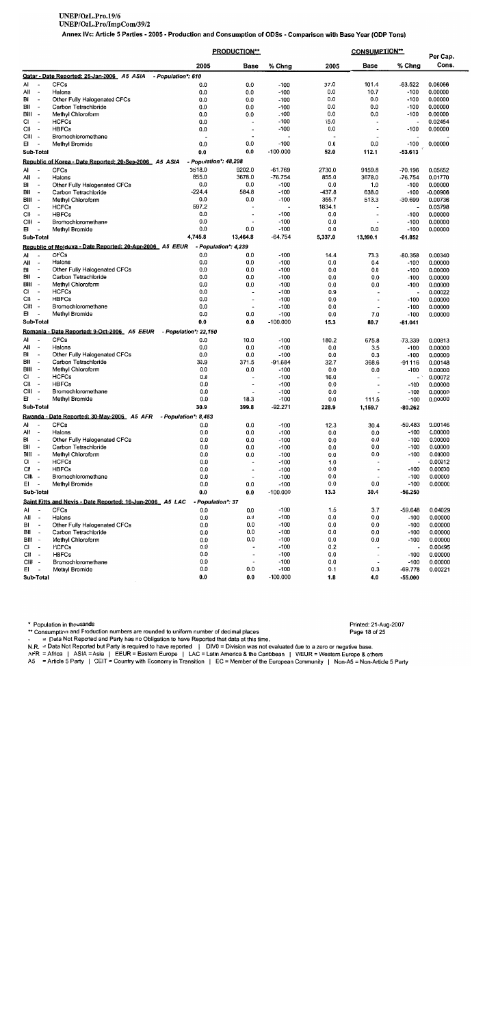### UNEP/OzL.Pro.19/6 UNEP/OzL.Pro/ImpCom/39/2

Annex IVc: Article 5 Parties - 2005 - Production and Consumption of ODSs - Comparison with Base Year (ODP Tons)

|               |                                                      |                                                           |                       |                          | <b>PRODUCTION**</b>                        |                  |            | <b>CONSUMPTION**</b>              |                          | Per Cap.           |
|---------------|------------------------------------------------------|-----------------------------------------------------------|-----------------------|--------------------------|--------------------------------------------|------------------|------------|-----------------------------------|--------------------------|--------------------|
|               |                                                      |                                                           |                       | 2005                     | <b>Base</b>                                | % Chng           | 2005       | Base                              | % Chng                   | Cons.              |
|               |                                                      | Qatar - Date Reported: 25-Jan-2006 A5 ASIA                | - Population*: 610    |                          |                                            |                  |            |                                   |                          |                    |
| AI            |                                                      | <b>CFCs</b>                                               |                       | 0.0                      | 0.0                                        | $-100$           | 37.0       | 101.4                             | -63.522                  | 0.06066            |
| All           | $\overline{\phantom{a}}$                             | Halons                                                    |                       | 0.0                      | 0.0                                        | $-100$           | 0.0        | 10.7                              | $-100$                   | 0.00000            |
| BI            | $\overline{a}$                                       | Other Fully Halogenated CFCs                              |                       | 0.0                      | 0.0                                        | $-100$           | 0.0        | 0.0                               | $-100$                   | 0.00000            |
| BII           | ÷                                                    | Carbon Tetrachloride                                      |                       | 0.0                      | 0.0                                        | $-100$           | 0.0        | 0.0                               | $-100$                   | 0.00000            |
| BIII -        |                                                      | Methyl Chloroform                                         |                       | 0.0                      | 0.0                                        | $-100$           | 0.0        | 0.0                               | $-100$                   | 0.00000            |
| СI<br>C⊪      | $\overline{\phantom{a}}$<br>$\overline{\phantom{a}}$ | <b>HCFCs</b><br><b>HBFCs</b>                              |                       | 0.0<br>0.0               | ٠                                          | $-100$           | 15.0       | $\overline{\phantom{a}}$          | ÷                        | 0.02454            |
| CIII.         | $\overline{\phantom{a}}$                             | Bromochloromethane                                        |                       | $\overline{\phantom{a}}$ | $\overline{\phantom{a}}$                   | $-100$           | 0.0<br>٠   | $\overline{\phantom{a}}$          | $-100$                   | 0.00000            |
| EI            |                                                      | Methyl Bromide                                            |                       | 0.0                      | 0.0                                        | $-100$           | 0.0        | 0.0                               | $-100$                   | 0.00000            |
|               | Sub-Total                                            |                                                           |                       | 0.0                      | 0.0                                        | $-100.000$       | 52.0       | 112.1                             | $-53.613$                |                    |
|               |                                                      | Republic of Korea - Date Reported: 20-Sep-2006 A5 ASIA    |                       |                          | - Population*: 48,298                      |                  |            |                                   |                          |                    |
| AI            |                                                      | <b>CFCs</b>                                               |                       | 3518.0                   | 9202.0                                     | $-61.769$        | 2730.0     | 9159.8                            | $-70.196$                | 0.05652            |
| All           | $\overline{\phantom{a}}$                             | Halons                                                    |                       | 855.0                    | 3678.0                                     | $-76.754$        | 855.0      | 3678.0                            | $-76.754$                | 0.01770            |
| BI            | $\overline{\phantom{a}}$                             | Other Fully Halogenated CFCs                              |                       | 0.0                      | 0.0                                        | $-100$           | 0.0        | 1.0                               | $-100$                   | 0.00000            |
| BII           | $\overline{\phantom{a}}$                             | Carbon Tetrachlonde                                       |                       | -224.4                   | 584.8                                      | $-100$           | $-437.8$   | 638.0                             | $-100$                   | $-0.00906$         |
| BIII -        |                                                      | Methyl Chloroform                                         |                       | 0.0                      | 0.0                                        | $-100$           | 355.7      | 513.3                             | $-30.699$                | 0.00736            |
| СI            | $\overline{\phantom{a}}$                             | <b>HCFCs</b>                                              |                       | 597.2                    |                                            | L,               | 1834.1     |                                   | $\overline{\phantom{a}}$ | 0.03798            |
| CII           | $\overline{\phantom{a}}$                             | <b>HBFCs</b>                                              |                       | 0.0                      | $\overline{a}$                             | $-100$           | 0.0        | $\overline{\phantom{a}}$          | $-100$                   | 0.00000            |
| CIII -        |                                                      | Bromochloromethane                                        |                       | 0.0                      |                                            | -100             | 0.0        |                                   | $-100$                   | 0.00000            |
| EI            |                                                      | Methyl Bromide                                            |                       | 0.0                      | 0.0                                        | $-100$           | 0.0        | 0.0                               | $-100$                   | 0.00000            |
|               | Sub-Total                                            |                                                           |                       | 4,745.8                  | 13,464.8                                   | $-64.754$        | 5,337.0    | 13,990.1                          | $-61.852$                |                    |
|               |                                                      | Republic of Moldova - Date Reported: 20-Apr-2006 A5 EEUR  |                       |                          | - Population*: 4,239                       |                  |            |                                   |                          |                    |
| AI            |                                                      | <b>CFCs</b>                                               |                       | 0.0                      | 0.0                                        | $-100$           | 14.4       | 73.3                              | $-80.358$                | 0.00340            |
| All           | $\overline{\phantom{a}}$                             | Halons                                                    |                       | 0.0                      | 0.0                                        | $-100$           | 0.0        | 0.4                               | $-100$                   | 0.00000            |
| BI<br>BII     | $\overline{\phantom{a}}$<br>$\overline{\phantom{a}}$ | Other Fully Halogenated CFCs<br>Carbon Tetrachloride      |                       | 0.0<br>0.0               | 0.0<br>0.0                                 | $-100$           | 0.0        | 0.0                               | $-100$                   | 0.00000            |
| BIII -        |                                                      | Methyl Chloroform                                         |                       | 0.0                      | 0.0                                        | $-100$<br>$-100$ | 0.0<br>0.0 | 0.0<br>0.0                        | $-100$<br>$-100$         | 0.00000<br>0.00000 |
| Сŀ            | $\overline{\phantom{a}}$                             | <b>HCFCs</b>                                              |                       | 0.0                      | ÷,                                         | $-100$           | 0.9        | $\overline{a}$                    | $\overline{\phantom{a}}$ | 0.00022            |
| CII           | $\overline{a}$                                       | <b>HBFCs</b>                                              |                       | 0.0                      | $\overline{\phantom{a}}$                   | $-100$           | 0.0        | $\overline{\phantom{a}}$          | $-100$                   | 0.00000            |
| CIII -        |                                                      | Bromochloromethane                                        |                       | 0.0                      | $\overline{\phantom{a}}$                   | $-100$           | 0.0        | $\overline{\phantom{0}}$          | $-100$                   | 0.00000            |
| ΕI            |                                                      | Methyl Bromide                                            |                       | 0.0                      | 0.0                                        | $-100$           | 0.0        | 7.0                               | $-100$                   | 0.00000            |
|               | Sub-Total                                            |                                                           |                       | 0.0                      | 0.0                                        | $-100.000$       | 15.3       | 80.7                              | -81.041                  |                    |
|               |                                                      | Romania - Date Reported: 9-Oct-2006 A5 EEUR               | - Population*: 22,150 |                          |                                            |                  |            |                                   |                          |                    |
| AI            |                                                      | <b>CFCs</b>                                               |                       | 0.0                      | 10.0                                       | $-100$           | 180.2      | 675.8                             | $-73.339$                | 0.00813            |
| All           | $\overline{\phantom{a}}$                             | Halons                                                    |                       | 0.0                      | 0.0                                        | $-100$           | 0.0        | 3.5                               | $-100$                   | 0.00000            |
| BI            | $\overline{\phantom{a}}$                             | Other Fully Halogenated CFCs                              |                       | 0.0                      | 0.0                                        | $-100$           | 0.0        | 0.3                               | $-100$                   | 0.00000            |
| ВII           | $\overline{\phantom{a}}$                             | Carbon Tetrachloride                                      |                       | 30.9                     | 371.5                                      | $-91.684$        | 32.7       | 368.6                             | $-91.116$                | 0.00148            |
| BIII -        |                                                      | Methyl Chloroform                                         |                       | 0.0                      | 0.0                                        | $-100$           | 0.0        | 0.0                               | $-100$                   | 0.00000            |
| СI            | $\overline{\phantom{a}}$                             | <b>HCFCs</b>                                              |                       | 0.0                      | $\overline{\phantom{a}}$                   | $-100$           | 16.0       |                                   | $-$                      | 0.00072            |
| CII<br>CIII - | $\overline{\phantom{a}}$                             | <b>HBFCs</b><br>Bromochloromethane                        |                       | 0.0<br>0.0               | $\overline{\phantom{a}}$<br>$\overline{a}$ | $-100$           | 0.0        | $\qquad \qquad \blacksquare$      | $-100$                   | 0.00000            |
| EI            |                                                      | Methyl Bromide                                            |                       | 0.0                      | 18.3                                       | $-100$<br>$-100$ | 0.0<br>0.0 | $\overline{\phantom{0}}$<br>111.5 | $-100$<br>$-100$         | 0.00000<br>0.00000 |
|               | Sub-Total                                            |                                                           |                       | 30.9                     | 399.8                                      | -92.271          | 228.9      | 1,159.7                           | $-80.262$                |                    |
|               |                                                      | Rwanda - Date Reported: 30-May-2006 A5 AFR                | - Population*: 8,453  |                          |                                            |                  |            |                                   |                          |                    |
| AI            | $\overline{\phantom{a}}$                             | <b>CFCs</b>                                               |                       | 0.0                      | 0.0                                        | $-100$           | 12.3       | 30.4                              | $-59.483$                |                    |
| All           | $\overline{\phantom{a}}$                             | Halons                                                    |                       | 0.0                      | 0.0                                        | -100             | 0.0        | 0.0                               | $-100$                   | 0.00146<br>0.00000 |
| BI            |                                                      | Other Fully Halogenated CFCs                              |                       | 0.0                      | 0.0                                        | -100             | 0.0        | 0.0                               | $-100$                   | 0.00000            |
| BII           |                                                      | Carbon Tetrachloride                                      |                       | 0.0                      | 0.0                                        | $-100$           | 0.0        | 0.0                               | $-100$                   | 0.00000            |
| BIII -        |                                                      | Methyl Chloroform                                         |                       | 0.0                      | 0.0                                        | $-100$           | 0.0        | 0.0                               | $-100$                   | 0.00000            |
| СI            |                                                      | <b>HCFCs</b>                                              |                       | 0.0                      | $\overline{a}$                             | $-100$           | 1.0        |                                   | $\overline{a}$           | 0.00012            |
| CII -         |                                                      | <b>HBFCs</b>                                              |                       | 0.0                      | $\overline{\phantom{a}}$                   | $-100$           | 0.0        | $\overline{\phantom{a}}$          | $-100$                   | 0.00000            |
| CIII -        |                                                      | Bromochloromethane                                        |                       | 0.0                      | $\overline{a}$                             | $-100$           | 0.0        |                                   | $-100$                   | 0.00000            |
| EI            |                                                      | Methyl Bromide                                            |                       | 0.0                      | $0.0\,$                                    | $-100$           | 0.0        | 0.0                               | $-100$                   | 0.00000            |
|               | Sub-Total                                            |                                                           |                       | 0.0                      | 0.0                                        | $-100.000$       | 13.3       | 30.4                              | $-56.250$                |                    |
|               |                                                      | Saint Kitts and Nevis - Date Reported: 16-Jun-2006 A5 LAC |                       | - Population*: 37        |                                            |                  |            |                                   |                          |                    |
| Al            |                                                      | <b>CFCs</b>                                               |                       | 0.0                      | 0.0                                        | $-100$           | 1.5        | 3.7                               | $-59.648$                | 0.04029            |
| All           | ÷,                                                   | Halons                                                    |                       | 0.0                      | 0.0                                        | $-100$           | 0.0        | 0.0                               | $-100$                   | 0.00000            |
| BI            | $\overline{\phantom{a}}$                             | Other Fully Halogenated CFCs                              |                       | 0.0                      | 0.0                                        | $-100$           | 0.0        | 0.0                               | $-100$                   | 0.00000            |
| BII           | $\overline{\phantom{a}}$                             | Carbon Tetrachloride                                      |                       | 0.0                      | 0.0                                        | $-100$           | 0.0        | 0.0                               | $-100$                   | 0.00000            |
| BIII -<br>СI  | $\overline{\phantom{a}}$                             | Methyl Chloroform<br><b>HCFCs</b>                         |                       | 0.0<br>0.0               | 0.0<br>$\frac{1}{2}$                       | $-100$<br>$-100$ | 0.0<br>0.2 | 0.0<br>÷,                         | $-100$<br>$\overline{a}$ | 0.00000            |
| CII -         |                                                      | <b>HBFCs</b>                                              |                       | 0.0                      | $\overline{\phantom{a}}$                   | $-100$           | 0.0        | $\overline{\phantom{a}}$          | $-100$                   | 0.00495<br>0.00000 |
| CIII -        |                                                      | Bromochloromethane                                        |                       | 0.0                      | $\overline{\phantom{a}}$                   | $-100$           | 0.0        |                                   | $-100$                   | 0.00000            |
| ΕI            | $\overline{\phantom{a}}$                             | Methyl Bromide                                            |                       | 0.0                      | 0.0                                        | $-100$           | 0.1        | 0.3                               | -69.778                  | 0.00221            |
|               | Sub-Total                                            |                                                           |                       | 0.0                      | 0.0                                        | $-100.000$       | 1.8        | 4.0                               | $-55.000$                |                    |

\* Population in thousands

\*\* Consumption and Production numbers are rounded to uniform number of decimal places

Consumption and Production numbers are rounded to uniform number of decimal places<br>- = Data Not Reported and Party has no Obligation to have Reported that data at this time.<br>N.R. = Data Not Reported but Party is required t

Printed: 21-Aug-2007 Page 18 of 25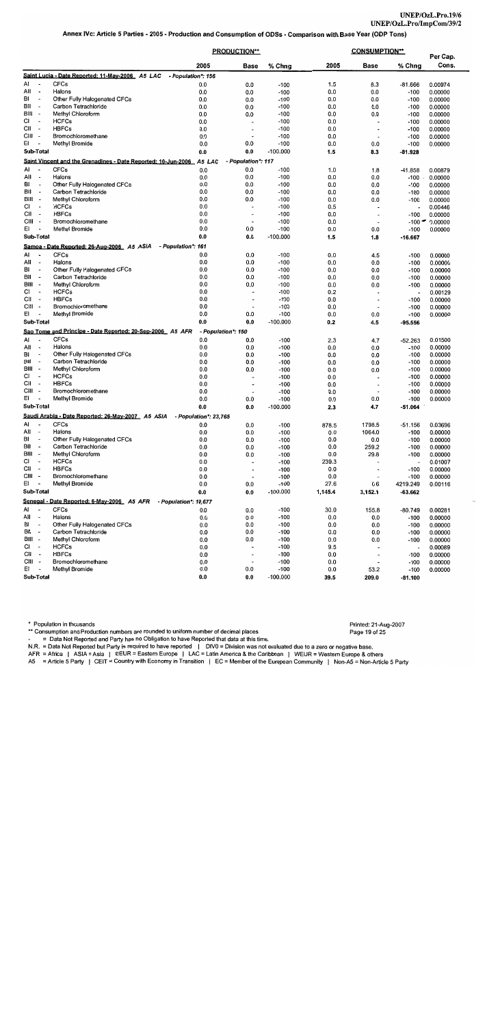|                                                                   |                                                                      |                       | <b>PRODUCTION**</b>                        |                  |            | <b>CONSUMPTION**</b>                                 |                          |                    |
|-------------------------------------------------------------------|----------------------------------------------------------------------|-----------------------|--------------------------------------------|------------------|------------|------------------------------------------------------|--------------------------|--------------------|
|                                                                   |                                                                      | 2005                  | <b>Base</b>                                | % Chng           | 2005       | <b>Base</b>                                          | % Chng                   | Per Cap.<br>Cons.  |
|                                                                   | Saint Lucia - Date Reported: 11-May-2006 A5 LAC                      | - Population*: 156    |                                            |                  |            |                                                      |                          |                    |
| Al                                                                | <b>CFCs</b>                                                          | 0.0                   | 0.0                                        | $-100$           | 1.5        | 8.3                                                  | -81.666                  | 0.00974            |
| ΑIΙ<br>$\overline{\phantom{a}}$                                   | Halons                                                               | 0.0                   | 0.0                                        | $-100$           | 0.0        | 0.0                                                  | $-100$                   | 0.00000            |
| BI<br>$\overline{\phantom{a}}$                                    | Other Fully Halogenated CFCs                                         | 0.0                   | 0.0                                        | $-100$           | 0.0        | 0.0                                                  | $-100$                   | 0.00000            |
| BII<br>$\blacksquare$                                             | Carbon Tetrachloride                                                 | 0.0                   | 0.0                                        | $-100$           | 0.0        | 0.0                                                  | $-100$                   | 0.00000            |
| BIII -<br>СI<br>$\sim$                                            | Methyl Chloroform                                                    | 0.0                   | 0.0                                        | $-100$           | 0.0        | 0.0                                                  | $-100$                   | 0.00000            |
| CII<br>$\sim$                                                     | <b>HCFCs</b><br><b>HBFCs</b>                                         | 0.0                   | $\overline{\phantom{a}}$                   | $-100$           | 0.0        | $\overline{a}$                                       | $-100$                   | 0.00000            |
| CIII -                                                            | Bromochloromethane                                                   | 0.0<br>0.0            | $\blacksquare$<br>$\overline{\phantom{a}}$ | -100<br>$-100$   | 0.0<br>0.0 | $\overline{\phantom{a}}$<br>$\overline{\phantom{a}}$ | $-100$                   | 0.00000<br>0.00000 |
| ΕL                                                                | Methyl Bromide                                                       | 0.0                   | 0.0                                        | $-100$           | 0.0        | 0.0                                                  | $-100$<br>$-100$         | 0.00000            |
| Sub-Total                                                         |                                                                      | 0.0                   | 0.0                                        | $-100.000$       | 1.5        | 8.3                                                  | $-81.928$                |                    |
|                                                                   | Saint Vincent and the Grenadines - Date Reported: 10-Jun-2006 A5 LAC |                       | - Population*: 117                         |                  |            |                                                      |                          |                    |
| AI<br>$\overline{\phantom{a}}$                                    | <b>CFCs</b>                                                          | 0.0                   | 0.0                                        | $-100$           | 1.0        | 1.8                                                  | -41.858                  | 0.00879            |
| Ail<br>$\overline{\phantom{a}}$                                   | Halons                                                               | 0.0                   | 0.0                                        | $-100$           | 0.0        | 0.0                                                  | $-100 -$                 | 0.00000            |
| BI<br>$\overline{\phantom{a}}$                                    | Other Fully Halogenated CFCs                                         | 0.0                   | 0.0                                        | $-100$           | 0.0        | 0.0                                                  | $-100$                   | 0.00000            |
| BII<br>$\sim$                                                     | Carbon Tetrachloride                                                 | 0.0                   | 0.0                                        | $-100$           | 0.0        | 0.0                                                  | $-100$                   | 0.00000            |
| BIII -                                                            | Methyl Chloroform                                                    | 0.0                   | 0.0                                        | $-100$           | 0.0        | 0.0                                                  | $-100$                   | 0.00000            |
| СI<br>$\overline{\phantom{a}}$                                    | <b>HCFCs</b>                                                         | 0.0                   | $\overline{\phantom{a}}$                   | $-100$           | 0.5        | $\overline{\phantom{a}}$                             | $\overline{\phantom{a}}$ | 0.00446            |
| СII<br>. —                                                        | <b>HBFCs</b>                                                         | 0.0                   | $\overline{\phantom{a}}$                   | $-100$           | 0.0        | $\overline{\phantom{a}}$                             | $-100$                   | 0.00000            |
| CIII -                                                            | Bromochloromethane                                                   | 0.0                   | $\blacksquare$                             | $-100$           | 0.0        | $\overline{\phantom{a}}$                             |                          | $-100 - 0.00000$   |
| EI.                                                               | Methyl Bromide                                                       | 0.0                   | 0.0                                        | $-100$           | 0.0        | 0.0                                                  | -100                     | 0.00000            |
| Sub-Total                                                         |                                                                      | 0.0                   | 0.0                                        | $-100.000$       | 1.5        | 1.8                                                  | -16.667                  |                    |
|                                                                   | Samoa - Date Reported: 26-Aug-2006 A5 ASIA                           | - Population*: 161    |                                            |                  |            |                                                      |                          |                    |
| AI                                                                | <b>CFCs</b>                                                          | 0.0                   | 0.0                                        | $-100$           | 0.0        | 4.5                                                  | $-100$                   | 0.00000            |
| All<br>$\overline{\phantom{a}}$                                   | Halons                                                               | 0.0                   | 0.0                                        | $-100$           | 0.0        | 0.0                                                  | $-100$                   | 0.00000            |
| BI<br>$\tilde{\phantom{a}}$<br>вı<br>$\overline{\phantom{0}}$     | Other Fully Halogenated CFCs<br>Carbon Tetrachloride                 | 0.0                   | 0.0                                        | -100             | 0.0        | 0.0                                                  | $-100$                   | 0.00000            |
| BIII -                                                            | Methyl Chloroform                                                    | 0.0<br>0.0            | 0.0<br>0.0                                 | $-100$<br>$-100$ | 0.0        | 0.0                                                  | $-100$                   | 0.00000            |
| СI<br>$\overline{\phantom{a}}$                                    | <b>HCFCs</b>                                                         | 0.0                   | $\overline{\phantom{0}}$                   | $-100$           | 0.0<br>0.2 | 0.0<br>$\overline{\phantom{a}}$                      | $-100$<br>$\cdot$        | 0.00000<br>0.00129 |
| СII<br>$\overline{\phantom{a}}$                                   | <b>HBFCs</b>                                                         | 0.0                   | $\overline{a}$                             | $-100$           | 0.0        | $\overline{a}$                                       | $-100$                   | 0.00000            |
| CIII<br>÷.                                                        | Bromochloromethane                                                   | 0.0                   | $\overline{a}$                             | $-100$           | 0.0        | $\overline{\phantom{a}}$                             | $-100$                   | 0.00000            |
| EI                                                                | Methyl Bromide                                                       | 0.0                   | 0.0                                        | $-100$           | 0.0        | 0.0                                                  | $-100$                   | 0.00000            |
| Sub-Total                                                         |                                                                      | 0.0                   | 0.0                                        | $-100.000$       | 0.2        | 4.5                                                  | -95.556                  |                    |
|                                                                   | Sao Tome and Principe - Date Reported: 20-Sep-2006 A5 AFR            | - Population*: 150    |                                            |                  |            |                                                      |                          |                    |
| AI<br>$\overline{\phantom{a}}$                                    | <b>CFCs</b>                                                          | 0.0                   | 0.0                                        | $-100$           | 2.3        | 4.7                                                  | $-52.263$                | 0.01500            |
| All<br>$\overline{\phantom{a}}$                                   | Halons                                                               | 0.0                   | 0.0                                        | $-100$           | 0.0        | 0.0                                                  | $-100$                   | 0.00000            |
| BI<br>$\overline{\phantom{a}}$                                    | Other Fully Halogenated CFCs                                         | 0.0                   | 0.0                                        | $-100$           | 0.0        | 0.0                                                  | $-100$                   | 0.00000            |
| BII<br>$\overline{\phantom{a}}$                                   | Carbon Tetrachloride                                                 | 0.0                   | 0.0                                        | -100             | 0.0        | 0.0                                                  | $-100$                   | 0.00000            |
| BIII -                                                            | Methyl Chloroform                                                    | 0.0                   | 0.0                                        | -100             | 0.0        | 0.0                                                  | $-100$                   | 0.00000            |
| CI.<br>$\overline{\phantom{a}}$                                   | <b>HCFCs</b>                                                         | 0.0                   | ٠                                          | -100             | 0.0        | $\overline{\phantom{a}}$                             | $-100$                   | 0.00000            |
| СH<br>$\overline{\phantom{a}}$                                    | <b>HBFCs</b>                                                         | 0.0                   | $\blacksquare$                             | $-100$           | 0.0        | $\blacksquare$                                       | $-100$                   | 0.00000            |
| CIII -<br>ΕI                                                      | Bromochloromethane                                                   | 0.0                   | $\overline{\phantom{a}}$                   | -100             | 0.0        | $\blacksquare$                                       | $-100$                   | 0.00000            |
| Sub-Total                                                         | Methyl Bromide                                                       | 0.0                   | 0.0                                        | $-100$           | 0.0        | 0.0                                                  | -100                     | 0.00000            |
|                                                                   |                                                                      | 0.0                   | 0.0                                        | $-100.000$       | 2.3        | 4.7                                                  | -51.064                  |                    |
|                                                                   | Saudi Arabia - Date Reported: 26-May-2007 A5 ASIA                    | - Population*: 23,765 |                                            |                  |            |                                                      |                          |                    |
| Al<br>$\overline{\phantom{a}}$                                    | CFCs                                                                 | 0.0                   | 0.0                                        | -100             | 878.5      | 1798.5                                               | -51.156                  | 0.03696            |
| All<br>$\overline{\phantom{a}}$<br>BI<br>$\overline{\phantom{a}}$ | Halons<br>Other Fully Halogenated CFCs                               | 0.0                   | 0.0                                        | -100             | 0.0        | 1064.0                                               | $-100$                   | 0.00000            |
| BII<br>$\overline{\phantom{a}}$                                   | Carbon Tetrachlonde                                                  | 0.0<br>0.0            | 0.0<br>0.0                                 | $-100$<br>-100   | 0.0<br>0.0 | 0.0                                                  | $-100$                   | 0.00000            |
| BIII -                                                            | Methyl Chloroform                                                    | 0.0                   | $0.0\,$                                    | -100             | 0.0        | 259.2<br>29.8                                        | $-100$<br>-100           | 0.00000<br>0.00000 |
| СI<br>$\overline{\phantom{a}}$                                    | <b>HCFCs</b>                                                         | 0.0                   | $\overline{\phantom{a}}$                   | $-100$           | 239.3      |                                                      | $\overline{a}$           | 0.01007            |
| СII<br>$\sim$                                                     | <b>HBFCs</b>                                                         | 0.0                   | $\overline{a}$                             | $-100$           | 0.0        | $\overline{a}$                                       | $-100$                   | 0.00000            |
| CIII -                                                            | Bromochloromethane                                                   | 0.0                   | $\overline{\phantom{a}}$                   | $-100$           | 0.0        | $\ddot{\phantom{0}}$                                 | -100                     | 0.00000            |
| EL<br>$\overline{\phantom{a}}$                                    | Methyl Bromide                                                       | 0.0                   | 0.0                                        | $-100$           | 27.6       | 0.6                                                  | 4219.249                 | 0.00116            |
| Sub-Total                                                         |                                                                      | 0.0                   | 0.0                                        | $-100.000$       | 1,145.4    | 3.152.1                                              | -63.662                  |                    |
|                                                                   | Senegal - Date Reported: 6-May-2006 A5 AFR                           | - Population*: 10,677 |                                            |                  |            |                                                      |                          |                    |
| Al                                                                | <b>CFCs</b>                                                          | 0.0                   | 0.0                                        | $-100$           | 30.0       | 155.8                                                | $-80.749$                | 0.00281            |
| All<br>$\overline{\phantom{a}}$                                   | Halons                                                               | 0.0                   | 0.0                                        | $-100$           | 0.0        | 0.0                                                  | $-100$                   | 0.00000            |
| BI<br>$\overline{\phantom{a}}$                                    | Other Fully Halogenated CFCs                                         | 0.0                   | 0.0                                        | -100             | 0.0        | 0.0                                                  | $-100$                   | 0.00000            |
| BII<br>$\overline{\phantom{a}}$                                   | Carbon Tetrachloride                                                 | 0.0                   | 0.0                                        | $-100$           | 0.0        | 0.0                                                  | -100                     | 0.00000            |
| BIII -                                                            | Methyl Chloroform                                                    | 0.0                   | 0.0                                        | -100             | 0.0        | 0.0                                                  | $-100$                   | 0.00000            |
| СI<br>$\overline{\phantom{a}}$                                    | <b>HCFCs</b>                                                         | 0.0                   | $\overline{\phantom{a}}$                   | $-100$           | 9.5        | ÷,                                                   | $\overline{a}$           | 0.00089            |
| СII<br>$\sim$                                                     | <b>HBFCs</b>                                                         | 0.0                   | $\overline{\phantom{a}}$                   | -100             | 0.0        | $\overline{a}$                                       | -100                     | 0.00000            |
| CIII -                                                            | Bromochloromethane                                                   | 0.0                   | $\overline{\phantom{a}}$                   | $-100$           | 0.0        |                                                      | $-100$                   | 0.00000            |
| EI                                                                | Methyl Bromide                                                       | 0.0                   | 0.0                                        | $-100$           | 0.0        | 53.2                                                 | $-100$                   | 0.00000            |
| Sub-Total                                                         |                                                                      | 0.0                   | 0.0                                        | $-100.000$       | 39.5       | 209.0                                                | $-81.100$                |                    |

\*\* Consumption and Production numbers are rounded to uniform number of decimal places

Consumption and Production numbers are rounded to uniform number of decimal places<br>- = Data Not Reported and Party has no Obligation to have Reported that data at this time.<br>N.R. = Data Not Reported but Party is required t

Printed: 21-Aug-2007 Page 19 of 25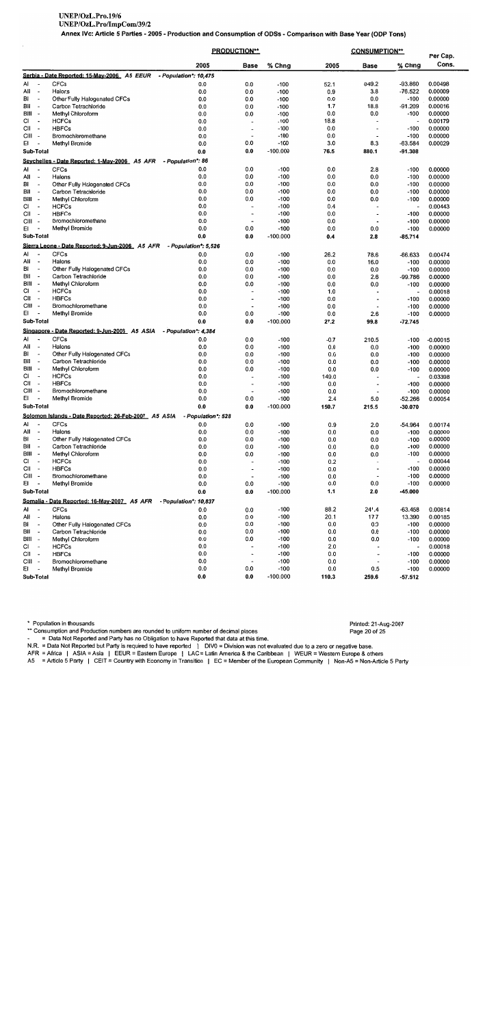# UNEP/OzL.Pro.19/6

UNEP/OzL.Pro/ImpCom/39/2

Annex IVc: Article 5 Parties - 2005 - Production and Consumption of ODSs - Comparison with Base Year (ODP Tons)

|                                                             |                                                              |                       | PRODUCTION**                                         |                  |            | <b>CONSUMPTION**</b>                             |                          | Per Cap.           |
|-------------------------------------------------------------|--------------------------------------------------------------|-----------------------|------------------------------------------------------|------------------|------------|--------------------------------------------------|--------------------------|--------------------|
|                                                             |                                                              | 2005                  | <b>Base</b>                                          | % Chng           | 2005       | Base                                             | % Chng                   | Cons.              |
|                                                             | Serbia - Date Reported: 15-May-2006 A5 EEUR                  | - Population*: 10,475 |                                                      |                  |            |                                                  |                          |                    |
| Al<br>$\overline{\phantom{a}}$                              | CFCs                                                         | 0.0                   | 0.0                                                  | $-100$           | 52.1       | 849.2                                            | -93.860                  | 0.00498            |
| All<br>$\sim$                                               | Halons                                                       | 0.0                   | 0.0                                                  | $-100$           | 0.9        | 3.8                                              | $-76.522$                | 0.00009            |
| BI<br>$\overline{\phantom{a}}$                              | Other Fully Halogenated CFCs                                 | 0.0                   | 0.0                                                  | $-100$           | 0.0        | 0.0                                              | -100                     | 0.00000            |
| Bli<br>$\overline{\phantom{a}}$                             | Carbon Tetrachloride                                         | 0.0                   | 0.0                                                  | $-100$           | 1.7        | 18.8                                             | $-91.209$                | 0.00016            |
| BIII -                                                      | Methyl Chloroform                                            | 0.0                   | 0.0                                                  | $-100$           | 0.0        | 0.0                                              | $-100$                   | 0.00000            |
| СI<br>$\overline{\phantom{a}}$                              | <b>HCFCs</b>                                                 | 0.0                   | $\sim$                                               | $-100$           | 18.8       | $\overline{a}$                                   | $\overline{\phantom{a}}$ | 0.00179            |
| CII<br>$\sim$                                               | <b>HBFCs</b>                                                 | 0.0                   | $\overline{\phantom{a}}$                             | $-100$           | 0.0        | $\overline{\phantom{a}}$                         | $-100$                   | 0.00000            |
| CIII -                                                      | Bromochloromethane                                           | 0.0                   | $\overline{a}$                                       | $-100$           | 0.0        | $\blacksquare$                                   | $-100$                   | 0.00000            |
| EI                                                          | Methyl Bromide                                               | 0.0                   | 0.0                                                  | $-100$           | 3.0        | 8.3                                              | $-63.584$                | 0.00029            |
| Sub-Total                                                   |                                                              | 0.0                   | 0.0                                                  | $-100.000$       | 76.5       | 880.1                                            | $-91.308$                |                    |
|                                                             | Seychelles - Date Reported: 1-May-2006 A5 AFR                | - Population*: 86     |                                                      |                  |            |                                                  |                          |                    |
| Al                                                          | <b>CFCs</b>                                                  | 0.0                   | 0.0                                                  | $-100$           | 0.0        | 2.8                                              | $-100$                   | 0.00000            |
| All<br>$\overline{a}$                                       | Halons                                                       | 0.0                   | 0.0                                                  | $-100$           | 0.0        | 0.0                                              | $-100$                   | 0.00000            |
| BI<br>$\overline{\phantom{a}}$                              | Other Fully Halogenated CFCs                                 | 0.0                   | 0.0                                                  | $-100$           | 0.0        | 0.0                                              | $-100$                   | 0.00000            |
| BII<br>$\overline{\phantom{a}}$<br>BIII -                   | Carbon Tetrachloride                                         | 0.0                   | 0.0                                                  | $-100$           | 0.0        | 0.0                                              | $-100$                   | 0.00000            |
| CI<br>$\overline{\phantom{a}}$                              | Methyl Chloroform<br><b>HCFCs</b>                            | 0.0                   | 0.0<br>$\ddot{\phantom{0}}$                          | $-100$           | 0.0        | 0.0                                              | $-100$                   | 0.00000            |
| CII<br>$\overline{\phantom{a}}$                             | <b>HBFCs</b>                                                 | 0.0<br>0.0            | $\overline{\phantom{a}}$                             | $-100$           | 0.4        |                                                  | $\overline{a}$           | 0.00443            |
| CIII -                                                      | Bromochloromethane                                           | 0.0                   | $\overline{\phantom{a}}$                             | $-100$<br>$-100$ | 0.0        | $\overline{\phantom{a}}$<br>$\ddot{\phantom{0}}$ | $-100$                   | 0.00000            |
| EI<br>$\overline{\phantom{a}}$                              | Methyl Bromide                                               | 0.0                   | 0.0                                                  | $-100$           | 0.0<br>0.0 |                                                  | $-100$                   | 0.00000            |
| Sub-Total                                                   |                                                              | 0.0                   |                                                      | $-100.000$       |            | 0.0                                              | $-100$                   | 0.00000            |
|                                                             |                                                              |                       | 0.0                                                  |                  | 0.4        | 2.8                                              | $-85.714$                |                    |
|                                                             | Sierra Leone - Date Reported: 9-Jun-2006 A5 AFR              | - Population*: 5,526  |                                                      |                  |            |                                                  |                          |                    |
| Al                                                          | <b>CFCs</b>                                                  | 0.0                   | 0.0                                                  | $-100$           | 26.2       | 78.6                                             | $-66.633$                | 0.00474            |
| All<br>$\overline{\phantom{a}}$                             | Halons                                                       | 0.0                   | 0.0                                                  | $-100$           | 0.0        | 16.0                                             | $-100$                   | 0.00000            |
| BI<br>$\overline{\phantom{a}}$                              | Other Fully Halogenated CFCs                                 | 0.0                   | 0.0                                                  | $-100$           | 0.0        | 0.0                                              | -100                     | 0.00000            |
| BII<br>$\sim$                                               | Carbon Tetrachloride                                         | 0.0                   | 0.0                                                  | $-100$           | 0.0        | 2.6                                              | $-99.786$                | 0.00000            |
| BIII -<br>СI                                                | Methyl Chloroform                                            | 0.0                   | 0.0                                                  | $-100$           | 0.0        | 0.0                                              | $-100$                   | 0.00000            |
| $\overline{\phantom{a}}$<br>CII<br>$\overline{\phantom{a}}$ | <b>HCFCs</b><br><b>HBFCs</b>                                 | 0.0                   | $\blacksquare$                                       | $-100$           | 1.0        | $\ddot{\phantom{0}}$                             | $\overline{\phantom{a}}$ | 0.00018            |
| CIII -                                                      | Bromochloromethane                                           | 0.0<br>0.0            | $\overline{\phantom{a}}$<br>$\overline{\phantom{a}}$ | $-100$<br>$-100$ | 0.0<br>0.0 |                                                  | $-100$                   | 0.00000            |
| EI<br>$\overline{\phantom{a}}$                              | Methyl Bromide                                               | 0.0                   | 0.0                                                  | $-100$           | 0.0        | 2.6                                              | $-100$<br>$-100$         | 0.00000<br>0.00000 |
| Sub-Total                                                   |                                                              | 0.0                   | 0.0                                                  | $-100.000$       | 27.2       | 99.8                                             | $-72.745$                |                    |
|                                                             |                                                              |                       |                                                      |                  |            |                                                  |                          |                    |
| Al<br>$\overline{\phantom{a}}$                              | Singapore - Date Reported: 9-Jun-2006 A5 ASIA<br><b>CFCs</b> | - Population*: 4,384  |                                                      |                  |            |                                                  |                          |                    |
| All<br>$\sim$                                               | Halons                                                       | 0.0<br>0.0            | 0.0                                                  | $-100$           | $-0.7$     | 210.5                                            | $-100$                   | $-0.00015$         |
| BI<br>$\overline{\phantom{a}}$                              | Other Fully Halogenated CFCs                                 | 0.0                   | 0.0<br>0.0                                           | $-100$<br>$-100$ | 0.0<br>0.0 | 0.0<br>0.0                                       | $-100$<br>$-100$         | 0.00000<br>0.00000 |
| BII<br>$\sim$                                               | Carbon Tetrachloride                                         | 0.0                   | 0.0                                                  | $-100$           | 0.0        | 0.0                                              | $-100$                   | 0.00000            |
| BIII -                                                      | Methyl Chloroform                                            | 0.0                   | 0.0                                                  | $-100$           | 0.0        | 0.0                                              | $-100$                   | 0.00000            |
| СI<br>$\overline{a}$                                        | <b>HCFCs</b>                                                 | 0.0                   | $\overline{\phantom{a}}$                             | $-100$           | 149.0      |                                                  | $\overline{a}$           | 0.03398            |
| СII<br>$\overline{\phantom{a}}$                             | <b>HBFCs</b>                                                 | 0.0                   | $\overline{\phantom{a}}$                             | $-100$           | 0.0        | $\overline{\phantom{a}}$                         | $-100$                   | 0.00000            |
| CIII -                                                      | Bromochloromethane                                           | 0.0                   | $\overline{\phantom{a}}$                             | $-100$           | 0.0        | $\overline{\phantom{a}}$                         | $-100$                   | 0.00000            |
| EI<br>$\overline{\phantom{a}}$                              | Methyl Bromide                                               | 0.0                   | 0.0                                                  | $-100$           | 2.4        | 5.0                                              | $-52.266$                | 0.00054            |
| Sub-Total                                                   |                                                              | 0.0                   | 0.0                                                  | $-100.000$       | 150.7      | 215.5                                            | -30.070                  |                    |
|                                                             | Solomon Islands - Date Reported: 26-Feb-2007 A5 ASIA         | - Population*: 528    |                                                      |                  |            |                                                  |                          |                    |
| Al<br>$\overline{\phantom{a}}$                              | CFCs                                                         | 0.0                   | 0.0                                                  | -100             | 0.9        | 2.0                                              | -54.964                  | 0.00174            |
| All<br>$\overline{\phantom{a}}$                             | Halons                                                       | 0.0                   | 0.0                                                  | $-100$           | 0.0        | 0.0                                              | $-100$                   | 0.00000            |
| BI<br>$\blacksquare$                                        | Other Fully Halogenated CFCs                                 | 0.0                   | 0.0                                                  | $-100$           | 0.0        | 0.0                                              | $-100$                   | 0.00000            |
| BII<br>$\sim$                                               | Carbon Tetrachloride                                         | 0.0                   | 0.0                                                  | $-100$           | 0.0        | 0.0                                              | $-100$                   | 0.00000            |
| Bill -                                                      | Methyl Chloroform                                            | 0.0                   | 0.0                                                  | $-100$           | 0.0        | 0.0                                              | $-100$                   | 0.00000            |
| СI<br>$\overline{\phantom{a}}$                              | <b>HCFCs</b>                                                 | 0.0                   | $\blacksquare$                                       | $-100$           | 0.2        |                                                  | $\overline{a}$           | 0.00044            |
| СII<br>$\sim$                                               | <b>HBFCs</b>                                                 | 0.0                   | $\overline{\phantom{a}}$                             | $-100$           | 0.0        | $\overline{\phantom{a}}$                         | $-100$                   | 0.00000            |
| CIII -                                                      | Bromochloromethane                                           | 0.0                   | $\overline{\phantom{a}}$                             | $-100$           | 0.0        |                                                  | $-100$                   | 0.00000            |
| ΕI<br>$\overline{\phantom{a}}$                              | Methyl Bromide                                               | 0.0                   | 0.0                                                  | $-100$           | 0.0        | 0.0                                              | $-100$                   | 0.00000            |
| Sub-Total                                                   |                                                              | 0.0                   | 0.0                                                  | $-100.000$       | 1,1        | 2.0                                              | -45.000                  |                    |
|                                                             | Somalia - Date Reported: 16-May-2007_ A5 AFR                 | - Population*: 10,837 |                                                      |                  |            |                                                  |                          |                    |
| AI<br>$\overline{\phantom{a}}$                              | CFCs                                                         | 0.0                   | 0.0                                                  | $-100$           | 88.2       | 241.4                                            | -63.458                  | 0.00814            |
| All<br>$\overline{\phantom{a}}$                             | Halons                                                       | 0.0                   | 0.0                                                  | $-100$           | 20.1       | 17.7                                             | 13.390                   | 0.00185            |
| BI<br>$\overline{\phantom{a}}$                              | Other Fully Halogenated CFCs                                 | 0.0                   | 0.0                                                  | $-100$           | 0.0        | 0.0                                              | $-100$                   | 0.00000            |
| BII<br>$\overline{\phantom{a}}$                             | Carbon Tetrachloride                                         | 0.0                   | 0.0                                                  | $-100$           | 0.0        | 0.0                                              | $-100$                   | 0.00000            |
| BIII -                                                      | Methyl Chloroform                                            | 0.0                   | 0.0                                                  | $-100$           | 0.0        | 0.0                                              | $-100$                   | 0.00000            |
| СI<br>$\overline{\phantom{a}}$                              | <b>HCFCs</b>                                                 | 0.0                   | $\overline{\phantom{a}}$                             | $-100$           | 2.0        |                                                  | $\blacksquare$           | 0.00018            |
| CII<br>$\sim$                                               | <b>HBFCs</b>                                                 | 0.0                   | $\tilde{\phantom{a}}$                                | $-100$           | 0.0        | $\overline{\phantom{a}}$                         | $-100$                   | 0.00000            |
| CIII -                                                      | Bromochloromethane                                           | 0.0                   | $\overline{\phantom{a}}$                             | $-100$           | 0.0        |                                                  | -100                     | 0.00000            |
| ΕI<br>$\overline{\phantom{a}}$                              | Methyl Bromide                                               | 0.0                   | 0.0                                                  | $-100$           | 0.0        | 0.5                                              | $-100$                   | 0.00000            |
| Sub-Total                                                   |                                                              | 00                    | n n                                                  | -100.000         | 110.3      | <b>250 B</b>                                     | <b>57 512</b>            |                    |

\* Population in thousands

\*\* Consumption and Production numbers are rounded to uniform number of decimal places

= Data Not Reported and Party has no Obligation to have Reported that data at this time.

N.R. = Data Not Reported but Party is required to have reported | DIVO = Division was not evaluated due to a zero or negative base.<br>AFR = Africa | ASIA = Asia | EEUR = Eastern Europe | LAC = Latin America & the Caribbean |

A5 = Article 5 Party | CEIT = Country with Economy in Transition | EC = Member of the European Community | Non-A5 = Non-Article 5 Party

Printed: 21-Aug-2007

Page 20 of 25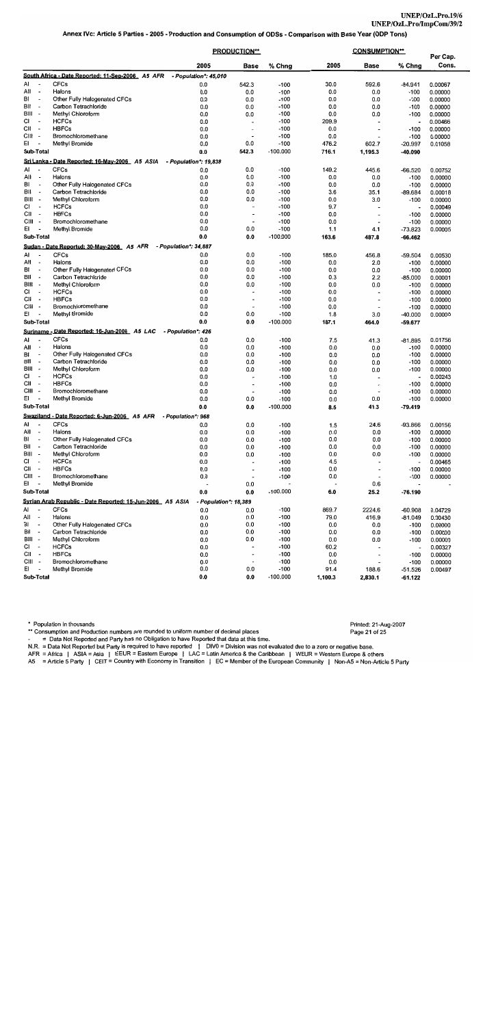|                                                 |                                                               |                       | <b>PRODUCTION**</b>                                  |                  |              | <b>CONSUMPTION**</b>     |                          | Per Cap.           |
|-------------------------------------------------|---------------------------------------------------------------|-----------------------|------------------------------------------------------|------------------|--------------|--------------------------|--------------------------|--------------------|
|                                                 |                                                               | 2005                  | Base                                                 | % Chng           | 2005         | Base                     | % Chna                   | Cons.              |
|                                                 | South Africa - Date Reported: 11-Sep-2006 A5 AFR              | - Population*: 45,010 |                                                      |                  |              |                          |                          |                    |
| AI                                              | CFCs                                                          | 0.0                   | 542.3                                                | $-100$           | 30.0         | 592.6                    | $-94.941$                | 0.00067            |
| All<br>$\blacksquare$                           | Halons                                                        | 0.0                   | 0.0                                                  | $-100$           | 0.0          | 0.0                      | $-100$                   | 0.00000            |
| BI<br>$\overline{\phantom{a}}$                  | Other Fully Halogenated CFCs                                  | 0.0                   | 0.0                                                  | $-100$           | 0.0          | 0.0                      | $-100$                   | 0.00000            |
| BII<br>$\overline{\phantom{a}}$                 | Carbon Tetrachloride                                          | 0.0                   | 0.0                                                  | $-100$           | 0.0          | 0.0                      | -100                     | 0.00000            |
| BIII -                                          | Methyl Chloroform                                             | 0.0                   | 0.0                                                  | $-100$           | 0.0          | 0.0                      | -100                     | 0.00000            |
| CI<br>$\sim$<br>СII<br>$\overline{\phantom{a}}$ | <b>HCFCs</b><br><b>HBFCs</b>                                  | 0.0                   | $\blacksquare$                                       | $-100$           | 209.9        | ÷                        |                          | 0.00466            |
| CIII -                                          | Bromochloromethane                                            | 0.0<br>0.0            | $\blacksquare$                                       | $-100$           | 0.0          | $\blacksquare$           | $-100$                   | 0.00000            |
| EL                                              | Methyl Bromide                                                | 0.0                   | 0.0                                                  | $-100$<br>$-100$ | 0.0<br>476.2 |                          | $-100$                   | 0.00000<br>0.01058 |
| Sub-Total                                       |                                                               | 0.0                   | 542.3                                                | $-100.000$       |              | 602.7                    | $-20.997$                |                    |
|                                                 |                                                               |                       |                                                      |                  | 716.1        | 1,195.3                  | -40.090                  |                    |
|                                                 | Sri Lanka - Date Reported: 16-May-2006 A5 ASIA<br><b>CFCs</b> | - Population*: 19,838 |                                                      |                  |              |                          |                          |                    |
| AI<br>Ali<br>$\sim$                             | Halons                                                        | 0.0<br>0.0            | 0.0                                                  | $-100$<br>$-100$ | 149.2        | 445.6                    | -66.520                  | 0.00752            |
| BI<br>$\overline{\phantom{a}}$                  | Other Fully Halogenated CFCs                                  | 0.0                   | 0.0<br>0.0                                           | $-100$           | 0.0<br>0.0   | 0.0                      | $-100$                   | 0.00000            |
| BII<br>$\overline{\phantom{a}}$                 | Carbon Tetrachloride                                          | 0.0                   | 0.0                                                  | $-100$           | 3.6          | 0.0                      | $-100$                   | 0.00000            |
| BIII -                                          | Methyl Chloroform                                             | 0.0                   | 0.0                                                  | $-100$           | 0.0          | 35.1<br>3.0              | $-89.684$<br>$-100$      | 0.00018<br>0.00000 |
| СI<br>$\overline{\phantom{a}}$                  | <b>HCFCs</b>                                                  | 0.0                   | $\overline{\phantom{a}}$                             | $-100$           | 9.7          | $\overline{a}$           |                          | 0.00049            |
| СII<br>$\overline{\phantom{a}}$                 | <b>HBFCs</b>                                                  | 0.0                   | $\overline{\phantom{a}}$                             | $-100$           | 0.0          | $\overline{\phantom{a}}$ | $-100$                   | 0.00000            |
| CIII -                                          | Bromochloromethane                                            | 0.0                   | $\blacksquare$                                       | $-100$           | 0.0          | $\overline{\phantom{a}}$ | $-100$                   | 0.00000            |
| EL                                              | Methyl Bromide                                                | 0.0                   | 0.0                                                  | $-100$           | 1.1          | 4.1                      | $-73.823$                | 0.00005            |
| Sub-Total                                       |                                                               | 0.0                   | 0.0                                                  | $-100.000$       | 163.6        | 487.8                    | $-66.462$                |                    |
|                                                 | Sudan - Date Reported: 30-May-2006_ A5 AFR                    | - Population*: 34.887 |                                                      |                  |              |                          |                          |                    |
| AI                                              | CFCs                                                          | 0.0                   | 0.0                                                  | $-100$           | 185.0        | 456.8                    | $-59.504$                | 0.00530            |
| All<br>$\overline{\phantom{a}}$                 | Halons                                                        | 0.0                   | 0.0                                                  | $-100$           | 0.0          | 2.0                      | $-100$                   | 0.00000            |
| BI<br>$\overline{\phantom{a}}$                  | Other Fully Halogenated CFCs                                  | 0.0                   | 0.0                                                  | $-100$           | 0.0          | 0.0                      | $-100$                   | 0.00000            |
| BII<br>$\overline{\phantom{a}}$                 | Carbon Tetrachloride                                          | 0.0                   | 0.0                                                  | $-100$           | 0.3          | 2.2                      | $-85.000$                | 0.00001            |
| BIII -                                          | Methyl Chloroform                                             | 0.0                   | 0.0                                                  | $-100$           | 0.0          | 0.0                      | $-100$                   | 0.00000            |
| СI<br>$\sim$                                    | <b>HCFCs</b>                                                  | 0.0                   | $\overline{\phantom{a}}$                             | $-100$           | 0.0          | $\ddot{\phantom{1}}$     | $-100$                   | 0.00000            |
| CII<br>$\overline{\phantom{a}}$                 | <b>HBFCs</b>                                                  | 0.0                   | $\overline{\phantom{a}}$                             | $-100$           | 0.0          | $\overline{\phantom{a}}$ | $-100$                   | 0.00000            |
| CIII<br>$\overline{\phantom{a}}$                | Bromochloromethane                                            | 0.0                   | $\blacksquare$                                       | $-100$           | 0.0          |                          | $-100$                   | 0.00000            |
| ΕI                                              | Methyl Bromide                                                | 0.0                   | 0.0                                                  | $-100$           | 1.8          | 3.0                      | $-40.000$                | 0.00005            |
| Sub-Total                                       |                                                               | 0.0                   | 0.0                                                  | $-100.000$       | 187.1        | 464.0                    | -59.677                  |                    |
|                                                 | Suriname - Date Reported: 16-Jun-2006 A5 LAC                  | - Population*: 426    |                                                      |                  |              |                          |                          |                    |
| AI<br>$\overline{\phantom{a}}$                  | <b>CFCs</b>                                                   | 0.0                   | 0.0                                                  | $-100$           | 7.5          | 41.3                     | $-81.895$                | 0.01756            |
| ΑIΙ<br>$\overline{\phantom{a}}$                 | Halons                                                        | 0.0                   | 0.0                                                  | $-100$           | 0.0          | 0.0                      | $-100$                   | 0.00000            |
| BI<br>$\blacksquare$                            | Other Fully Halogenated CFCs                                  | 0.0                   | 0.0                                                  | $-100$           | 0.0          | 0.0                      | $-100$                   | 0.00000            |
| BII<br>$\overline{\phantom{a}}$                 | Carbon Tetrachlonde                                           | 0.0                   | 0.0                                                  | $-100$           | 0.0          | 0.0                      | $-100$                   | 0.00000            |
| BIII -                                          | Methyl Chloroform                                             | 0.0                   | 0.0                                                  | $-100$           | 0.0          | 0.0                      | $-100$                   | 0.00000            |
| СI<br>$\overline{\phantom{a}}$                  | <b>HCFCs</b>                                                  | 0.0                   |                                                      | $-100$           | 1.0          | $\overline{\phantom{a}}$ | $\tilde{\phantom{a}}$    | 0.00243            |
| CII<br>$\overline{\phantom{a}}$                 | <b>HBFCs</b>                                                  | 0.0                   | $\blacksquare$                                       | $-100$           | 0.0          |                          | $-100$                   | 0.00000            |
| CIII -                                          | Bromochloromethane                                            | 0.0                   | $\ddot{\phantom{0}}$                                 | $-100$           | 0.0          |                          | $-100$                   | 0.00000            |
| EI<br>$\overline{\phantom{a}}$                  | Methyl Bromide                                                | 0.0                   | 0.0                                                  | $-100$           | 0.0          | 0.0                      | $-100$                   | 0.00000            |
| Sub-Total                                       |                                                               | 0.0                   | 0.0                                                  | $-100.000$       | 8.5          | 41.3                     | -79.419                  |                    |
|                                                 | Swaziland - Date Reported: 6-Jun-2006 A5 AFR                  | - Population*: 968    |                                                      |                  |              |                          |                          |                    |
| AI<br>$\overline{\phantom{a}}$                  | CFCs                                                          | 0.0                   | 0.0                                                  | $-100$           | 1.5          | 24.6                     | -93.866                  | 0.00156            |
| AII<br>$\overline{\phantom{a}}$                 | Halons                                                        | 0.0                   | 0.0                                                  | $-100$           | 0.0          | 0.0                      | $-100$                   | 0.00000            |
| BI<br>$\overline{\phantom{a}}$                  | Other Fully Halogenated CFCs                                  | 0.0                   | 0.0                                                  | $-100$           | 0.0          | 0.0                      | $-100$                   | 0.00000            |
| BII<br>BIII -                                   | Carbon Tetrachloride                                          | 0.0                   | 0.0                                                  | $-100$           | 0.0          | 0.0                      | $-100$                   | 0.00000            |
| СI<br>$\overline{\phantom{a}}$                  | Methyl Chloroform<br><b>HCFCs</b>                             | 0.0                   | 0.0                                                  | $-100$           | 0.0          | 0.0                      | $-100$                   | 0.00000            |
| СII<br>$\overline{\phantom{a}}$                 | <b>HBFCs</b>                                                  | 0.0<br>0.0            | $\overline{\phantom{a}}$                             | -100             | 4.5          |                          | $\overline{\phantom{a}}$ | 0.00465            |
| CIII -                                          | Bromochloromethane                                            | 0.0                   | $\overline{\phantom{a}}$<br>$\overline{\phantom{a}}$ | $-100$<br>$-100$ | 0.0          | $\overline{\phantom{a}}$ | $-100$                   | 0.00000            |
| ΕI<br>$\blacksquare$                            | Methyl Bromide                                                |                       | 0.0                                                  |                  | 0.0          | 0.6                      | $-100$                   | 0.00000            |
| Sub-Total                                       |                                                               | 0.0                   | 0.0                                                  | $-100.000$       | 6.0          | 25.2                     | -76.190                  |                    |
|                                                 | Syrian Arab Republic - Date Reported: 15-Jun-2006 A5 ASIA     | - Population*: 18,389 |                                                      |                  |              |                          |                          |                    |
| AI                                              | <b>CFCs</b>                                                   | 0.0                   | 0.0                                                  | $-100$           | 869.7        | 2224.6                   | -60.908                  | 0.04729            |
| All<br>$\overline{\phantom{a}}$                 | Halons                                                        | 0.0                   | 0.0                                                  | $-100$           | 79.0         | 416.9                    | $-81.049$                | 0.00430            |
| BI<br>$\overline{a}$                            | Other Fully Halogenated CFCs                                  | 0.0                   | 0.0                                                  | $-100$           | 0.0          | 0.0                      | $-100$                   | 0.00000            |
| BII<br>$\overline{\phantom{a}}$                 | Carbon Tetrachloride                                          | 0.0                   | 0.0                                                  | $-100$           | 0.0          | 0.0                      | $-100$                   | 0.00000            |
| BIII -                                          | Methyl Chloroform                                             | 0.0                   | 0.0                                                  | $-100$           | 0.0          | 0.0                      | $-100$                   | 0.00000            |
| CI<br>$\overline{\phantom{a}}$                  | <b>HCFCs</b>                                                  | 0.0                   | $\overline{a}$                                       | $-100$           | 60.2         |                          | $\overline{\phantom{a}}$ | 0.00327            |
| СII<br>$\sim$                                   | <b>HBFCs</b>                                                  | 0.0                   | $\overline{\phantom{a}}$                             | $-100$           | 0.0          | $\overline{\phantom{a}}$ | $-100$                   | 0.00000            |
| CIII -                                          | Bromochloromethane                                            | 0.0                   | $\overline{\phantom{a}}$                             | $-100$           | 0.0          |                          | $-100$                   | 0.00000            |
| EI<br>$\overline{\phantom{a}}$                  | Methyl Bromide                                                | 0.0                   | 0.0                                                  | $-100$           | 91.4         | 188.6                    | -51.526                  | 0.00497            |
| Sub-Total                                       |                                                               | 0.0                   | 0.0                                                  | $-100.000$       | 1,100.3      | 2,830.1                  | -61.122                  |                    |

\*\* Consumption and Production numbers are rounded to uniform number of decimal places

Fage 21 of 25<br>
The Data Not Reported and Party has no Obligation to have Reported that data at this time.<br>
N.R. = Data Not Reported but Party is required to have reported | DIVO = Division was not evaluated due to a zero

A5 = Article 5 Party | CEIT = Country with Economy in Transition | EC = Member of the European Community | Non-A5 = Non-Article 5 Party

Printed: 21-Aug-2007 Page 21 of 25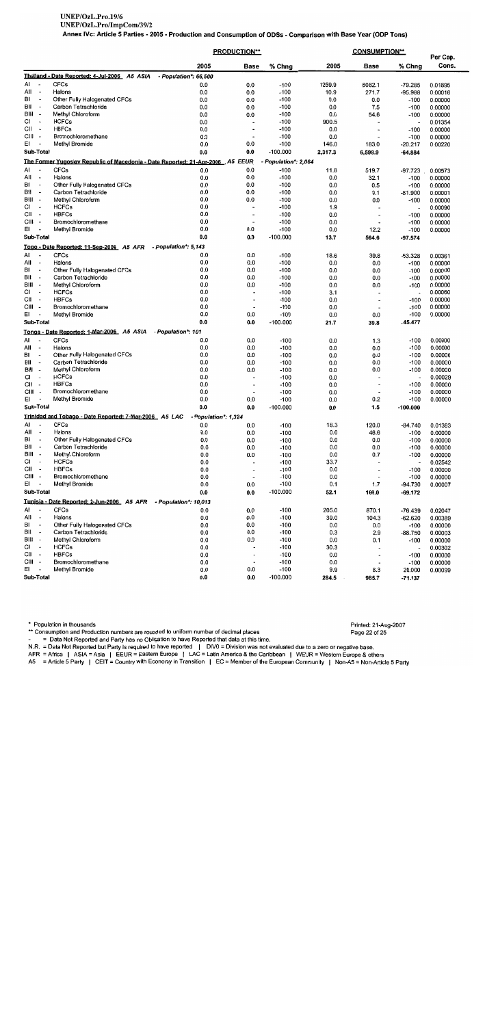# UNEP/OzL.Pro.19/6

UNEP/OzL.Pro/ImpCom/39/2

Annex IVc: Article 5 Parties - 2005 - Production and Consumption of ODSs - Comparison with Base Year (ODP Tons)

|                                                                            |                                                                                  |                       | <b>PRODUCTION**</b>                                  |                      |             | <b>CONSUMPTION**</b>             |                                    | Per Cap.           |
|----------------------------------------------------------------------------|----------------------------------------------------------------------------------|-----------------------|------------------------------------------------------|----------------------|-------------|----------------------------------|------------------------------------|--------------------|
|                                                                            |                                                                                  | 2005                  | <b>Base</b>                                          | % Chng               | 2005        | Base                             | % Chng                             | Cons.              |
|                                                                            | Thailand - Date Reported: 4-Jul-2006 A5 ASIA                                     | - Population*: 66,500 |                                                      |                      |             |                                  |                                    |                    |
| Al<br>$\overline{\phantom{a}}$                                             | <b>CFCs</b>                                                                      | 0.0                   | 0.0                                                  | $-100$               | 1259.9      | 6082.1                           | -79.285                            | 0.01895            |
| All<br>$\overline{\phantom{a}}$                                            | Halons                                                                           | 0.0                   | 0.0                                                  | $-100$               | 10.9        | 271.7                            | $-95.988$                          | 0.00016            |
| BI<br>$\overline{\phantom{a}}$                                             | Other Fully Halogenated CFCs                                                     | 0.0                   | 0.0                                                  | $-100$               | 0.0         | 0.0                              | $-100$                             | 0.00000            |
| BII<br>$\blacksquare$<br>BIII -                                            | Carbon Tetrachloride                                                             | 0.0<br>0.0            | 0.0<br>0.0                                           | $-100$<br>$-100$     | 0.0<br>0.0  | 7.5<br>54.6                      | $-100$<br>-100                     | 0.00000<br>0.00000 |
| CI<br>$\overline{\phantom{a}}$                                             | Methyl Chloroform<br><b>HCFCs</b>                                                | 0.0                   | ٠                                                    | $-100$               | 900.5       |                                  | $\overline{\phantom{a}}$           | 0.01354            |
| CII<br>$\tilde{\phantom{a}}$                                               | <b>HBFCs</b>                                                                     | 0.0                   | $\overline{\phantom{a}}$                             | $-100$               | 0.0         | $\overline{a}$                   | $-100$                             | 0.00000            |
| CIII<br>$\overline{\phantom{a}}$                                           | Bromochloromethane                                                               | 0.0                   | $\blacksquare$                                       | -100                 | 0.0         |                                  | -100                               | 0.00000            |
| EI                                                                         | Methyl Bromide                                                                   | 0.0                   | 0.0                                                  | $-100$               | 146.0       | 183.0                            | $-20.217$                          | 0.00220            |
| Sub-Total                                                                  |                                                                                  | 0.0                   | 0.0                                                  | $-100.000$           | 2,317.3     | 6,598.9                          | $-64.884$                          |                    |
|                                                                            | The Former Yugoslav Republic of Macedonia - Date Reported: 21-Apr-2006 _ A5 EEUR |                       |                                                      | - Population*: 2,064 |             |                                  |                                    |                    |
| Al                                                                         | <b>CFCs</b>                                                                      | 0.0                   | 0.0                                                  | $-100$               | 11.8        | 519.7                            | -97.723                            | 0.00573            |
| All<br>$\overline{\phantom{a}}$                                            | Halons                                                                           | 0.0                   | 0.0                                                  | $-100$               | 0.0         | 32.1                             | $-100$                             | 0.00000            |
| BI<br>$\overline{\phantom{a}}$                                             | Other Fully Halogenated CFCs                                                     | 0.0                   | 0.0                                                  | $-100$               | 0.0         | 0.5                              | $-100$                             | 0.00000            |
| BII<br>$\overline{\phantom{a}}$                                            | Carbon Tetrachloride                                                             | 0.0                   | 0.0                                                  | $-100$               | 0.0         | 0.1                              | $-81.900$                          | 0.00001            |
| BIII -<br>СI                                                               | Methyl Chloroform<br><b>HCFCs</b>                                                | 0.0<br>0.0            | 0.0<br>$\overline{a}$                                | $-100$<br>$-100$     | 0.0<br>1.9  | 0.0<br>$\overline{a}$            | $-100$<br>$\blacksquare$           | 0.00000<br>0.00090 |
| CII<br>$\blacksquare$                                                      | <b>HBFCs</b>                                                                     | 0.0                   | $\overline{\phantom{a}}$                             | -100                 | 0.0         | $\overline{\phantom{a}}$         | -100                               | 0.00000            |
| CIII -                                                                     | Bromochloromethane                                                               | 0.0                   | $\blacksquare$                                       | $-100$               | 0.0         | $\ddot{\phantom{0}}$             | -100                               | 0.00000            |
| EL<br>$\overline{\phantom{a}}$                                             | Methyl Bromide                                                                   | 0.0                   | 0.0                                                  | $-100$               | 0.0         | 12.2                             | -100                               | 0.00000            |
| Sub-Total                                                                  |                                                                                  | 0.0                   | 0.0                                                  | $-100.000$           | 13.7        | 564.6                            | $-97.574$                          |                    |
|                                                                            | Togo - Date Reported: 11-Sep-2006 A5 AFR                                         | - Population*: 5,143  |                                                      |                      |             |                                  |                                    |                    |
| AI                                                                         | <b>CFCs</b>                                                                      | 0.0                   | 0.0                                                  | $-100$               | 18.6        | 39.8                             | $-53.328$                          | 0.00361            |
| All<br>$\hat{\phantom{a}}$                                                 | Halons                                                                           | 0.0                   | 0.0                                                  | $-100$               | 0.0         | 0.0                              | $-100$                             | 0.00000            |
| BI<br>$\overline{\phantom{a}}$                                             | Other Fully Halogenated CFCs                                                     | 0.0                   | 0.0                                                  | $-100$               | 0.0         | 0.0                              | $-100$                             | 0.00000            |
| BII<br>$\blacksquare$                                                      | Carbon Tetrachloride                                                             | 0.0                   | 0.0                                                  | $-100$               | 0.0         | 0.0                              | -100                               | 0.00000            |
| BIII -<br>СI<br>÷,                                                         | Methyl Chloroform<br><b>HCFCs</b>                                                | 0.0<br>0.0            | 0.0<br>$\overline{a}$                                | $-100$<br>$-100$     | 0.0<br>3.1  | 0.0<br>$\overline{\phantom{a}}$  | $-100$<br>$\overline{a}$           | 0.00000<br>0.00060 |
| CII<br>$\overline{\phantom{a}}$                                            | <b>HBFCs</b>                                                                     | 0.0                   | $\overline{\phantom{a}}$                             | $-100$               | 0.0         | ×,                               | -100                               | 0.00000            |
| CIII<br>$\overline{\phantom{a}}$                                           | Bromochloromethane                                                               | 0.0                   | $\overline{\phantom{a}}$                             | $-100$               | 0.0         | $\overline{\phantom{a}}$         | $-100$                             | 0.00000            |
| EI<br>$\overline{\phantom{a}}$                                             | Methyl Bromide                                                                   | 0.0                   | 0.0                                                  | $-100$               | 0.0         | 0.0                              | $-100$                             | 0.00000            |
| Sub-Total                                                                  |                                                                                  | 0.0                   | 0.0                                                  | $-100.000$           | 21.7        | 39.8                             | $-45.477$                          |                    |
|                                                                            | Tonga - Date Reported: 1-Mar-2006 A5 ASIA                                        | - Population*: 101    |                                                      |                      |             |                                  |                                    |                    |
| AI                                                                         | <b>CFCs</b>                                                                      | 0.0                   | 0.0                                                  | $-100$               | 0.0         | 1.3                              | $-100$                             | 0.00000            |
| $\overline{\phantom{a}}$<br>All                                            | Halons                                                                           | 0.0                   | 0.0                                                  | $-100$               | 0.0         | 0.0                              | $-100$                             | 0.00000            |
| BI<br>$\overline{\phantom{a}}$                                             | Other Fully Halogenated CFCs                                                     | 0.0                   | 0.0                                                  | $-100$               | 0.0         | 0.0                              | $-100$                             | 0.00000            |
| BII<br>$\overline{\phantom{a}}$                                            | Carbon Tetrachloride                                                             | 0.0                   | 0.0                                                  | $-100$               | 0.0         | 0.0                              | $-100$                             | 0.00000            |
| BIII<br>$\overline{\phantom{a}}$                                           | Methyl Chloroform                                                                | 0.0                   | 0.0                                                  | $-100$               | 0.0         | 0.0                              | $-100$                             | 0.00000            |
| CI<br>$\tilde{\phantom{a}}$                                                | <b>HCFCs</b><br><b>HBFCs</b>                                                     | 0.0<br>0.0            | ÷                                                    | $-100$<br>$-100$     | 0.0<br>0.0  | $\blacksquare$<br>$\blacksquare$ | $\overline{\phantom{a}}$<br>$-100$ | 0.00029            |
| СII<br>$\overline{\phantom{a}}$<br><b>CIII</b><br>$\overline{\phantom{a}}$ | Bromochloromethane                                                               | 0.0                   | $\overline{\phantom{a}}$<br>$\overline{\phantom{a}}$ | $-100$               | 0.0         | $\overline{\phantom{a}}$         | $-100$                             | 0.00000<br>0.00000 |
| EL<br>$\overline{a}$                                                       | Methyl Bromide                                                                   | 0.0                   | 0.0                                                  | $-100$               | 0.0         | 0.2                              | $-100$                             | 0.00000            |
| Sub-Total                                                                  |                                                                                  | 0.0                   | 0.0                                                  | $-100.000$           | 0.0         | 1.5                              | $-100.000$                         |                    |
|                                                                            | Trinidad and Tobago - Date Reported: 7-Mar-2006 A5 LAC                           | - Population*: 1,324  |                                                      |                      |             |                                  |                                    |                    |
| ΑI<br>$\overline{\phantom{a}}$                                             | CFCs                                                                             | 0.0                   | 0.0                                                  | $-100$               | 18.3        | 120.0                            | -84.740                            | 0.01383            |
| All<br>$\overline{\phantom{a}}$                                            | Halons                                                                           | 0.0                   | 0.0                                                  | $-100$               | 0.0         | 46.6                             | $-100$                             | 0.00000            |
| BI<br>$\overline{a}$                                                       | Other Fully Halogenated CFCs                                                     | 0.0                   | 0.0                                                  | $-100$               | 0.0         | 0.0                              | $-100$                             | 0.00000            |
| BII<br>$\overline{\phantom{a}}$                                            | Carbon Tetrachloride                                                             | 0.0                   | 0.0                                                  | $-100$               | 0.0         | 0.0                              | $-100$                             | 0.00000            |
| BIII<br>$\overline{\phantom{a}}$                                           | Methyl Chloroform                                                                | 0.0                   | 0.0                                                  | $-100$               | 0.0         | 0.7                              | -100                               | 0.00000            |
| CI.<br>$\overline{a}$                                                      | <b>HCFCs</b>                                                                     | 0.0                   | ÷,                                                   | -100                 | 33.7        | $\overline{\phantom{a}}$         | $\overline{\phantom{a}}$           | 0.02542            |
| CII<br>$\overline{\phantom{a}}$<br>CIII<br>$\overline{\phantom{a}}$        | <b>HBFCs</b>                                                                     | 0.0                   | $\overline{\phantom{a}}$                             | $-100$               | 0.0         | $\blacksquare$                   | $-100$                             | 0.00000            |
| EI<br>÷,                                                                   | Bromochloromethane<br>Methyl Bromide                                             | 0.0<br>0.0            | $\overline{\phantom{a}}$<br>0.0                      | $-100$<br>$-100$     | 0.0<br>0.1  | $\overline{a}$<br>1.7            | $-100$<br>-94.730                  | 0.00000<br>0.00007 |
| Sub-Total                                                                  |                                                                                  | 0.0                   | 0.0                                                  | $-100.000$           | 52.1        | 169.0                            | -69.172                            |                    |
|                                                                            | Tunisia - Date Reported: 2-Jun-2006 A5 AFR                                       | - Population*: 10,013 |                                                      |                      |             |                                  |                                    |                    |
| Al<br>$\blacksquare$                                                       | <b>CFCs</b>                                                                      | 0.0                   | 0.0                                                  | $-100$               | 205.0       | 870.1                            | $-76.439$                          | 0.02047            |
| AII<br>$\overline{\phantom{a}}$                                            | Halons                                                                           | 0.0                   | 0.0                                                  | $-100$               | 39.0        | 104.3                            | $-62.620$                          | 0.00389            |
| BI<br>$\overline{\phantom{a}}$                                             | Other Fully Halogenated CFCs                                                     | 0.0                   | 0.0                                                  | $-100$               | 0.0         | 0.0                              | $-100$                             | 0.00000            |
| BII<br>$\overline{\phantom{a}}$                                            | Carbon Tetrachloride                                                             | 0.0                   | 0.0                                                  | -100                 | 0.3         | 2.9                              | $-88.750$                          | 0.00003            |
| BIII<br>$\sim$                                                             | Methyl Chloroform                                                                | 0.0                   | 0.0                                                  | -100                 | 0.0         | 0.1                              | $-100$                             | 0.00000            |
| СI<br>$\overline{\phantom{a}}$<br>CII<br>$\overline{\phantom{a}}$          | <b>HCFCs</b><br><b>HBFCs</b>                                                     | 0.0<br>0.0            | ÷,<br>$\overline{\phantom{a}}$                       | $-100$<br>$-100$     | 30.3<br>0.0 | $\overline{a}$                   | ٠                                  | 0.00302            |
| CIII -                                                                     | Bromochloromethane                                                               | 0.0                   | $\overline{\phantom{a}}$                             | $-100$               | 0.0         | $\overline{\phantom{a}}$         | $-100$<br>$-100$                   | 0.00000<br>0.00000 |
| EI<br>$\overline{\phantom{a}}$                                             | Methyl Bromide                                                                   | 0.0                   | 0.0                                                  | $-100$               | 9.9         | 8.3                              | 20.000                             | 0.00099            |
| Sub-Total                                                                  |                                                                                  | 0.0                   | 0.0                                                  | $-100.000$           | 284.5       | 985.7                            | $-71.137$                          |                    |

\* Population in thousands

\*\* Consumption and Production numbers are rounded to uniform number of decimal places

= Data Not Reported and Party has no Obligation to have Reported that data at this time.

- Data Not Reported and Farty has no Obligation to have reported that data at this time.<br>N.R. = Data Not Reported but Party is required to have reported | DIVO = Division was not evaluated due to a zero or negative base.<br>A

A5 = Article 5 Party | CEIT = Country with Economy in Transition | EC = Member of the European Community | Non-A5 = Non-Article 5 Party

Printed: 21-Aug-2007 Page 22 of 25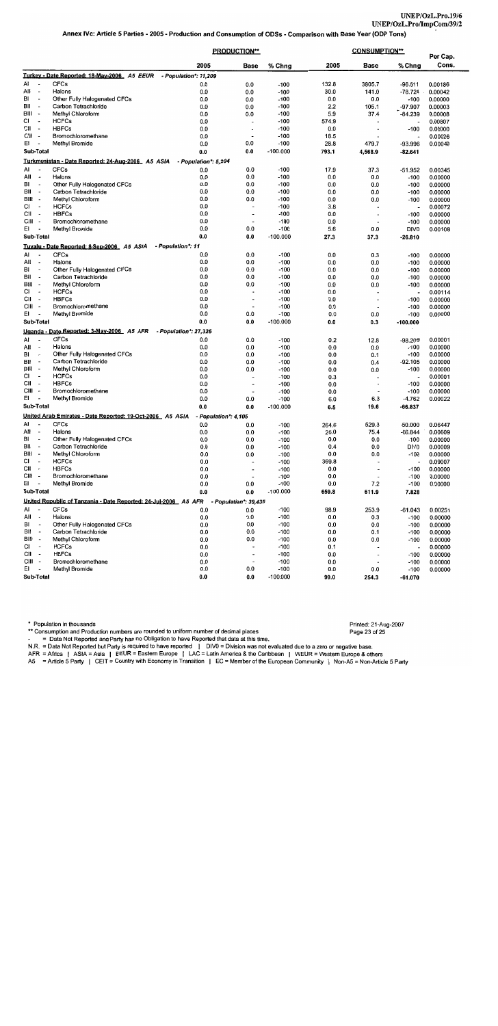|                                       |                                                                 |                       | <b>PRODUCTION**</b>      |                      |            | <b>CONSUMPTION**</b>     |                          | Per Cap.           |
|---------------------------------------|-----------------------------------------------------------------|-----------------------|--------------------------|----------------------|------------|--------------------------|--------------------------|--------------------|
|                                       |                                                                 | 2005                  | <b>Base</b>              | % Chng               | 2005       | Base                     | % Chng                   | Cons.              |
|                                       | Turkey - Date Reported: 18-May-2006 A5 EEUR                     | - Population*: 71,209 |                          |                      |            |                          |                          |                    |
| Á١                                    | <b>CFCs</b>                                                     | 0.0                   | 0.0                      | $-100$               | 132.8      | 3805.7                   | $-96.511$                | 0.00186            |
| All<br>$\overline{\phantom{a}}$       | Halons                                                          | 0.0                   | 0.0                      | $-100$               | 30.0       | 141.0                    | -78.724                  | 0.00042            |
| BI<br>$\overline{\phantom{a}}$        | Other Fully Halogenated CFCs                                    | 0.0                   | 0.0                      | $-100$               | 0.0        | 0.0                      | $-100$                   | 0.00000            |
| BII<br>$\overline{\phantom{a}}$       | Carbon Tetrachloride                                            | 0.0                   | 0.0                      | $-100$               | 2.2        | 105.1                    | $-97.907$                | 0.00003            |
| BIII -                                | Methyl Chloroform                                               | 0.0                   | 0.0                      | $-100$               | 5.9        | 37.4                     | $-84.239$                | 0.00008            |
| СI<br>$\overline{\phantom{a}}$        | <b>HCFCs</b>                                                    | 0.0                   | $\overline{a}$           | $-100$               | 574.9      |                          | $\overline{\phantom{a}}$ | 0.00807            |
| СII<br>$\blacksquare$<br>CIII -       | <b>HBFCs</b>                                                    | 0.0                   | $\overline{\phantom{a}}$ | $-100$               | 0.0        | $\blacksquare$           | $-100$                   | 0.00000            |
| EI                                    | Bromochloromethane<br>Methyl Bromide                            | 0.0<br>0.0            | $\overline{\phantom{a}}$ | $-100$               | 18.5       |                          | ٠                        | 0.00026            |
| Sub-Total                             |                                                                 |                       | 0.0                      | $-100$               | 28.8       | 479.7                    | $-93.996$                | 0.00040            |
|                                       |                                                                 | 0.0                   | 0.0                      | -100.000             | 793.1      | 4,568.9                  | -82.641                  |                    |
|                                       | Turkmenistan - Date Reported: 24-Aug-2006_ A5 ASIA              | - Population*: 5,204  |                          |                      |            |                          |                          |                    |
| AI<br>ΑIΙ<br>$\overline{\phantom{a}}$ | <b>CFCs</b><br>Halons                                           | 0.0                   | 0.0                      | $-100$               | 17.9       | 37.3                     | $-51.952$                | 0.00345            |
| BI<br>$\overline{\phantom{a}}$        | Other Fully Halogenated CFCs                                    | 0.0                   | 0.0                      | $-100$               | 0.0        | 0.0                      | -100                     | 0.00000            |
| BII<br>$\sim$                         | Carbon Tetrachloride                                            | 0.0<br>0.0            | 0.0<br>0.0               | $-100$<br>$-100$     | 0.0<br>0.0 | 0.0                      | $-100$                   | 0.00000            |
| BIII -                                | Methyl Chloroform                                               | 0.0                   | 0.0                      | $-100$               | 0.0        | 0.0<br>0.0               | -100<br>$-100$           | 0.00000            |
| СI<br>$\sim$                          | <b>HCFCs</b>                                                    | 0.0                   | $\overline{\phantom{a}}$ | $-100$               | 3.8        | $\overline{\phantom{a}}$ | $\overline{\phantom{a}}$ | 0.00000<br>0.00072 |
| CII<br>$\overline{\phantom{a}}$       | <b>HBFCs</b>                                                    | 0.0                   | $\overline{\phantom{a}}$ | $-100$               | 0.0        | $\blacksquare$           | $-100$                   | 0.00000            |
| CIII -                                | Bromochloromethane                                              | 0.0                   | $\blacksquare$           | $-100$               | 0.0        | $\overline{\phantom{a}}$ | $-100$                   | 0.00000            |
| EL                                    | Methyl Bromide                                                  | 0.0                   | 0.0                      | $-100$               | 5.6        | 0.0                      | DIV <sub>0</sub>         | 0.00108            |
| Sub-Total                             |                                                                 | 0.0                   | 0.0                      | $-100.000$           | 27.3       | 37.3                     | -26.810                  |                    |
|                                       | Tuvalu - Date Reported: 8-Sep-2006 A5 ASIA                      | - Population*: 11     |                          |                      |            |                          |                          |                    |
| AI                                    | <b>CFCs</b>                                                     | 0.0                   | 0.0                      | $-100$               | 0.0        | 0.3                      | $-100$                   | 0.00000            |
| All<br>$\overline{\phantom{a}}$       | Halons                                                          | 0.0                   | 0.0                      | $-100$               | 0.0        | 0.0                      | $-100$                   | 0.00000            |
| BI<br>$\sim$                          | Other Fully Halogenated CFCs                                    | 0.0                   | 0.0                      | $-100$               | 0.0        | 0.0                      | $-100$                   | 0.00000            |
| BII<br>$\sim$                         | Carbon Tetrachloride                                            | 0.0                   | 0.0                      | -100                 | 0.0        | 0.0                      | $-100$                   | 0.00000            |
| BIII -                                | Methyl Chloroform                                               | 0.0                   | 0.0                      | $-100$               | 0.0        | 0.0                      | -100                     | 0.00000            |
| Сi<br>$\overline{\phantom{a}}$        | <b>HCFCs</b>                                                    | 0.0                   | $\tilde{\phantom{a}}$    | $-100$               | 0.0        | ٠                        | $\overline{\phantom{a}}$ | 0.00114            |
| СII<br>$\overline{\phantom{a}}$       | <b>HBFCs</b>                                                    | 0.0                   | $\overline{\phantom{a}}$ | $-100$               | 0.0        | $\tilde{\phantom{a}}$    | -100                     | 0.00000            |
| CIII -                                | Bromochloromethane                                              | 0.0                   | $\overline{\phantom{a}}$ | $-100$               | 0.0        |                          | $-100$                   | 0.00000            |
| EL                                    | Methyl Bromide                                                  | 0.0                   | 0.0                      | $-100$               | 0.0        | 0.0                      | $-100$                   | 0.00000            |
| Sub-Total                             |                                                                 | 0.0                   | 0.0                      | -100.000             | 0.0        | 0.3                      | $-100.000$               |                    |
|                                       | Uganda - Date Reported: 3-May-2006 A5 AFR                       | - Population*: 27,326 |                          |                      |            |                          |                          |                    |
| Al                                    | <b>CFCs</b>                                                     | 0.0                   | 0.0                      | $-100$               | 0.2        | 12.8                     | -98.209                  | 0.00001            |
| All<br>$\sim$                         | Halons                                                          | 0.0                   | 0.0                      | $-100$               | 0.0        | 0.0                      | $-100$                   | 0.00000            |
| BI<br>$\blacksquare$                  | Other Fully Halogenated CFCs                                    | 0.0                   | 0.0                      | $-100$               | 0.0        | 0.1                      | $-100$                   | 0.00000            |
| BII<br>$\overline{\phantom{a}}$       | Carbon Tetrachloride                                            | 0.0                   | 0.0                      | $-100$               | 0.0        | 0.4                      | $-92.105$                | 0.00000            |
| BIII -                                | Methyl Chloroform                                               | 0.0                   | 0.0                      | $-100$               | 0.0        | 0.0                      | $-100$                   | 0.00000            |
| СI<br>$\overline{\phantom{a}}$        | <b>HCFCs</b>                                                    | 0.0                   | ٠                        | $-100$               | 0.3        |                          | $\overline{a}$           | 0.00001            |
| CII<br>$\sim$                         | <b>HBFCs</b>                                                    | 0.0                   | $\overline{\phantom{a}}$ | $-100$               | 0.0        | $\blacksquare$           | -100                     | 0.00000            |
| CIII -                                | Bromochloromethane                                              | 0.0                   | $\overline{\phantom{a}}$ | $-100$               | 0.0        | ÷                        | $-100$                   | 0.00000            |
| EL<br>٠.                              | Methyl Bromide                                                  | 0.0                   | 0.0                      | $-100$               | 6.0        | 6.3                      | $-4.762$                 | 0.00022            |
| <b>Sub-Total</b>                      |                                                                 | 0.0                   | 0.0                      | $-100.000$           | 6.5        | 19.6                     | -66.837                  |                    |
|                                       | United Arab Emirates - Date Reported: 19-Oct-2006 _ A5 ASIA     | - Population*: 4,105  |                          |                      |            |                          |                          |                    |
| AI<br>$\overline{\phantom{a}}$        | CFCs                                                            | 0.0                   | 0.0                      | $-100$               | 264.6      | 529.3                    | $-50.000$                | 0.06447            |
| All<br>$\overline{\phantom{a}}$       | Halons                                                          | 0.0                   | 0.0                      | $-100$               | 25.0       | 75.4                     | $-66.844$                | 0.00609            |
| BI                                    | Other Fully Halogenated CFCs                                    | 0.0                   | 0.0                      | $-100$               | 0.0        | 0.0                      | $-100$                   | 0.00000            |
| BII<br>$\overline{\phantom{a}}$       | Carbon Tetrachloride                                            | 0.0                   | 0.0                      | $-100$               | 0.4        | 0.0                      | DIV <sub>0</sub>         | 0.00009            |
| BIII -                                | Methyl Chloroform                                               | 0.0                   | 0.0                      | $-100$               | 0.0        | 0.0                      | $-100$                   | 0.00000            |
| СI<br>$\overline{\phantom{a}}$<br>CII | <b>HCFCs</b><br><b>HBFCs</b>                                    | 0.0                   | $\blacksquare$           | $-100$               | 369.8      |                          | $\overline{a}$           | 0.09007            |
| $\sim$<br>CIII -                      | Bromochloromethane                                              | 0.0                   | $\overline{\phantom{a}}$ | $-100$               | 0.0        | $\overline{\phantom{a}}$ | $-100$                   | 0.00000            |
| EL<br>$\overline{\phantom{a}}$        | Methyl Bromide                                                  | 0.0                   | $\overline{\phantom{a}}$ | $-100$               | 0.0        | $\overline{\phantom{a}}$ | $-100$                   | 0.00000            |
| Sub-Total                             |                                                                 | 0.0<br>0.0            | 0.0<br>0.0               | $-100$<br>$-100.000$ | 0.0        | 7.2                      | -100                     | 0.00000            |
|                                       | United Republic of Tanzania - Date Reported: 24-Jul-2006 A5 AFR |                       | - Population*: 39,435    |                      | 659.8      | 611.9                    | 7.828                    |                    |
| AI                                    | <b>CFCs</b>                                                     | 0.0                   |                          |                      |            |                          |                          |                    |
| All<br>$\overline{\phantom{a}}$       | Halons                                                          | 0.0                   | 0.0<br>0.0               | $-100$<br>$-100$     | 98.9       | 253.9                    | $-61.043$                | 0.00251            |
| BI<br>$\overline{\phantom{a}}$        | Other Fully Halogenated CFCs                                    | 0.0                   | 0.0                      | $-100$               | 0.0<br>0.0 | 0.3                      | $-100$                   | 0.00000            |
| BII<br>$\overline{\phantom{a}}$       | Carbon Tetrachloride                                            | 0.0                   | 0.0                      | $-100$               | 0.0        | 0.0                      | -100                     | 0.00000            |
| BIII -                                | Methyl Chloroform                                               | 0.0                   | 0.0                      | $-100$               | 0.0        | 0.1<br>0.0               | $-100$<br>$-100$         | 0.00000            |
| СI<br>$\overline{\phantom{a}}$        | <b>HCFCs</b>                                                    | 0.0                   | ÷,                       | $-100$               | 0.1        | $\overline{\phantom{a}}$ | $\overline{\phantom{a}}$ | 0.00000<br>0.00000 |
| СII<br>$\sim$                         | <b>HBFCs</b>                                                    | 0.0                   | $\overline{\phantom{a}}$ | $-100$               | 0.0        | $\overline{\phantom{a}}$ | $-100$                   | 0.00000            |
| CIII -                                | Bromochloromethane                                              | 0.0                   | $\overline{\phantom{a}}$ | $-100$               | 0.0        | ÷,                       | $-100$                   | 0.00000            |
| ΕI<br>$\sim$                          | Methyl Bromide                                                  | 0.0                   | 0.0                      | $-100$               | 0.0        | 0.0                      | $-100$                   | 0.00000            |
| Sub-Total                             |                                                                 | 0.0                   | 0.0                      | $-100.000$           | 99.0       | 254.3                    | $-61.070$                |                    |

\*\* Consumption and Production numbers are rounded to uniform number of decimal places

Example of and Frequency in the term of the control of the term of the state of the data at this time.<br>N.R. = Data Not Reported but Party is required to have reported | DIVO = Division was not evaluated due to a zero or ne

A5 = Article 5 Party | CEIT = Country with Economy in Transition | EC = Member of the European Community | Non-A5 = Non-Article 5 Party

Printed: 21-Aug-2007 Page 23 of 25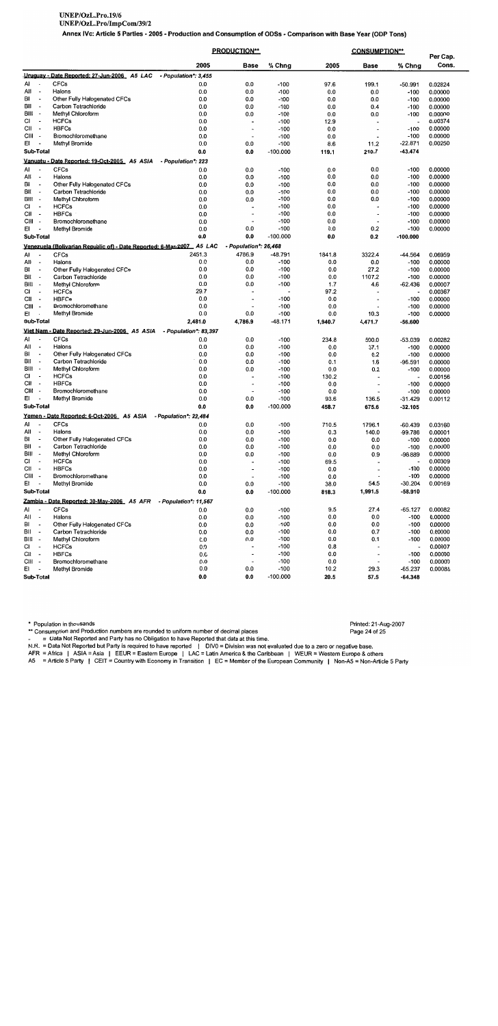# UNEP/OzL.Pro.19/6

UNEP/OzL.Pro/ImpCom/39/2

Annex IVc: Article 5 Parties - 2005 - Production and Consumption of ODSs - Comparison with Base Year (ODP Tons)

|              |                                    |                                                                                       |                       | <b>PRODUCTION**</b>                                  |                      |             | <b>CONSUMPTION**</b>     |                                    | Per Cap.           |
|--------------|------------------------------------|---------------------------------------------------------------------------------------|-----------------------|------------------------------------------------------|----------------------|-------------|--------------------------|------------------------------------|--------------------|
|              |                                    |                                                                                       | 2005                  | Base                                                 | % Chng               | 2005        | Base                     | % Chng                             | Cons.              |
|              |                                    | Uruguay - Date Reported: 27-Jun-2006 A5 LAC                                           | - Population*: 3.455  |                                                      |                      |             |                          |                                    |                    |
| Al           | $\overline{\phantom{a}}$           | <b>CFCs</b>                                                                           | 0.0                   | 0.0                                                  | -100                 | 97.6        | 199.1                    | -50.991                            | 0.02824            |
| All          | $\overline{a}$                     | Halons                                                                                | 0.0                   | 0.0                                                  | $-100$               | 0.0         | 0.0                      | $-100$                             | 0.00000            |
| BI           | $\overline{\phantom{a}}$           | Other Fully Halogenated CFCs                                                          | 0.0                   | 0.0                                                  | $-100$               | 0.0         | 0.0                      | $-100$                             | 0.00000            |
| ВII          | $\overline{\phantom{a}}$           | Carbon Tetrachloride                                                                  | 0.0                   | 0.0                                                  | $-100$               | 0.0         | 0.4                      | $-100$                             | 0.00000            |
| BIII -       | $\blacksquare$                     | Methyl Chloroform                                                                     | 0.0                   | 0.0                                                  | $-100$               | 0.0         | 0.0                      | $-100$                             | 0.00000            |
| СI<br>CII -  |                                    | <b>HCFCs</b><br><b>HBFCs</b>                                                          | 0.0<br>0.0            | $\overline{\phantom{a}}$                             | $-100$<br>$-100$     | 12.9<br>0.0 |                          | $\overline{\phantom{a}}$<br>$-100$ | 0.00374            |
| CIII -       |                                    | Bromochloromethane                                                                    | 0.0                   | $\blacksquare$<br>$\overline{\phantom{a}}$           | $-100$               | 0.0         |                          | $-100$                             | 0.00000<br>0.00000 |
| EI           |                                    | Methyl Bromide                                                                        | 0.0                   | 0.0                                                  | $-100$               | 8.6         | 11.2                     | $-22.871$                          | 0.00250            |
|              | Sub-Total                          |                                                                                       | 0.0                   | 0.0                                                  | $-100.000$           | 119.1       | 210.7                    | $-43.474$                          |                    |
|              |                                    | Vanuatu - Date Reported: 19-Oct-2005 A5 ASIA                                          | - Population*: 223    |                                                      |                      |             |                          |                                    |                    |
| AI           |                                    | <b>CFCs</b>                                                                           | 0.0                   | 0.0                                                  | -100                 | 0.0         | 0.0                      | $-100$                             | 0.00000            |
| All          | $\overline{\phantom{a}}$           | Halons                                                                                | 0.0                   | 0.0                                                  | $-100$               | 0.0         | 0.0                      | $-100$                             | 0.00000            |
| BI           | $\overline{\phantom{a}}$           | Other Fully Halogenated CFCs                                                          | 0.0                   | 0.0                                                  | $-100$               | 0.0         | 0.0                      | $-100$                             | 0.00000            |
| BII          | $\overline{\phantom{a}}$           | Carbon Tetrachloride                                                                  | 0.0                   | 0.0                                                  | $-100$               | 0.0         | 0.0                      | $-100$                             | 0.00000            |
| BIII -       |                                    | Methyl Chloroform                                                                     | 0.0                   | 0.0                                                  | $-100$               | 0.0         | 0.0                      | $-100$                             | 0.00000            |
| СI           | $\overline{\phantom{a}}$           | <b>HCFCs</b>                                                                          | 0.0                   | ÷                                                    | $-100$               | 0.0         |                          | $-100$                             | 0.00000            |
| CII          |                                    | <b>HBFCs</b>                                                                          | 0.0                   | $\overline{\phantom{a}}$                             | $-100$               | 0.0         | $\ddot{\phantom{0}}$     | $-100$                             | 0.00000            |
| CIII -<br>EI |                                    | Bromochloromethane                                                                    | 0.0                   | $\overline{\phantom{a}}$                             | $-100$               | 0.0         | $\overline{\phantom{0}}$ | $-100$                             | 0.00000            |
|              | Sub-Total                          | Methyl Bromide                                                                        | 0.0<br>0.0            | 0.0<br>0.0                                           | $-100$<br>$-100.000$ | 0.0         | 0.2                      | $-100$                             | 0.00000            |
|              |                                    |                                                                                       |                       |                                                      |                      | 0.0         | 0.2                      | $-100.000$                         |                    |
| AI           |                                    | Venezuela (Bolivarian Republic of) - Date Reported: 6-Mar-2007  A5 LAC<br><b>CFCs</b> | 2451.3                | - Population*: 26,468<br>4786.9                      | $-48.791$            | 1841.8      | 3322.4                   |                                    | 0.06959            |
| All          | $\overline{\phantom{a}}$           | Halons                                                                                | 0.0                   | 0.0                                                  | $-100$               | 0.0         | 0.0                      | -44.564<br>$-100$                  | 0.00000            |
| BI           | $\sim$                             | Other Fully Halogenated CFCs                                                          | 0.0                   | 0.0                                                  | $-100$               | 0.0         | 27.2                     | $-100$                             | 0.00000            |
| ВII          | $\overline{\phantom{a}}$           | Carbon Tetrachloride                                                                  | 0.0                   | 0.0                                                  | $-100$               | 0.0         | 1107.2                   | $-100$                             | 0.00000            |
| BIII -       |                                    | Methyl Chloroform                                                                     | 0.0                   | 0.0                                                  | $-100$               | 1.7         | 4.6                      | $-62.436$                          | 0.00007            |
| СI           |                                    | <b>HCFCs</b>                                                                          | 29.7                  | $\overline{a}$                                       |                      | 97.2        |                          | $\overline{\phantom{a}}$           | 0.00367            |
| CII          | $\sim$                             | <b>HBFCs</b>                                                                          | 0.0                   | $\overline{a}$                                       | $-100$               | 0.0         | $\blacksquare$           | $-100$                             | 0.00000            |
| CIII -       |                                    | Bromochloromethane                                                                    | 0.0                   | $\overline{\phantom{a}}$                             | $-100$               | 0.0         |                          | $-100$                             | 0.00000            |
| ΕI           | ٠.                                 | Methyl Bromide                                                                        | 0.0                   | 0.0                                                  | $-100$               | 0.0         | 10.3                     | $-100$                             | 0.00000            |
|              | Sub-Total                          |                                                                                       | 2,481.0               | 4,786.9                                              | $-48.171$            | 1,940.7     | 4,471.7                  | $-56.600$                          |                    |
|              |                                    | Viet Nam - Date Reported: 29-Jun-2006 A5 ASIA                                         | - Population*: 83,397 |                                                      |                      |             |                          |                                    |                    |
| Al           |                                    | <b>CFCs</b>                                                                           | 0.0                   | 0.0                                                  | $-100$               | 234.8       | 500.0                    | $-53.039$                          | 0.00282            |
| All<br>BI    | $\sim$<br>$\overline{\phantom{a}}$ | Halons<br>Other Fully Halogenated CFCs                                                | 0.0<br>0.0            | 0.0<br>0.0                                           | $-100$<br>$-100$     | 0.0<br>0.0  | 37.1<br>0.2              | $-100$<br>$-100$                   | 0.00000            |
| <b>BII</b>   | $\tilde{\phantom{a}}$              | Carbon Tetrachloride                                                                  | 0.0                   | 0.0                                                  | $-100$               | 0.1         | 1.6                      | $-96.591$                          | 0.00000<br>0.00000 |
| BIII -       |                                    | Methyl Chloroform                                                                     | 0.0                   | 0.0                                                  | $-100$               | 0.0         | 0.2                      | $-100$                             | 0.00000            |
| СI           | $\overline{\phantom{a}}$           | <b>HCFCs</b>                                                                          | 0.0                   | ÷                                                    | $-100$               | 130.2       |                          | $\overline{\phantom{a}}$           | 0.00156            |
| CII          | $\overline{\phantom{a}}$           | <b>HBFCs</b>                                                                          | 0.0                   | $\overline{\phantom{a}}$                             | $-100$               | 0.0         |                          | $-100$                             | 0.00000            |
| CIII -       |                                    | Bromochloromethane                                                                    | 0.0                   | $\overline{\phantom{a}}$                             | $-100$               | 0.0         | $\ddot{\phantom{0}}$     | $-100$                             | 0.00000            |
| EI           |                                    | Methyl Bromide                                                                        | 0.0                   | 0.0                                                  | $-100$               | 93.6        | 136.5                    | $-31.429$                          | 0.00112            |
|              | Sub-Total                          |                                                                                       | 0.0                   | 0.0                                                  | $-100.000$           | 458.7       | 675.6                    | $-32.105$                          |                    |
|              |                                    | Yemen - Date Reported: 6-Oct-2006 A5 ASIA                                             | - Population*: 22,484 |                                                      |                      |             |                          |                                    |                    |
| ΑI           |                                    | <b>CFCs</b>                                                                           | 0.0                   | 0.0                                                  | -100                 | 710.5       | 1796.1                   | -60.439                            | 0.03160            |
| All          | $\overline{\phantom{a}}$           | Halons                                                                                | 0.0                   | 0.0                                                  | $-100$               | 0.3         | 140.0                    | -99.786                            | 0.00001            |
| BI<br>BII    | $\overline{\phantom{a}}$<br>$\sim$ | Other Fully Halogenated CFCs<br>Carbon Tetrachloride                                  | 0.0                   | 0.0                                                  | $-100$               | 0.0         | 0.0                      | $-100$                             | 0.00000            |
| BIII -       |                                    | Methyl Chloroform                                                                     | 0.0<br>0.0            | 0.0<br>0.0                                           | $-100$<br>$-100$     | 0.0<br>0.0  | 0.0<br>0.9               | $-100$<br>$-98.889$                | 0.00000            |
| СI           | $\overline{\phantom{a}}$           | <b>HCFCs</b>                                                                          | 0.0                   | $\overline{\phantom{a}}$                             | $-100$               | 69.5        |                          | $\overline{\phantom{a}}$           | 0.00000<br>0.00309 |
| CII -        |                                    | <b>HBFCs</b>                                                                          | 0.0                   | $\overline{\phantom{a}}$                             | $-100$               | 0.0         | $\overline{\phantom{a}}$ | $-100$                             | 0.00000            |
| CIII -       |                                    | Bromochloromethane                                                                    | 0.0                   | $\overline{\phantom{a}}$                             | $-100$               | 0.0         |                          | $-100$                             | 0.00000            |
| EI           | $\overline{\phantom{a}}$           | Methyl Bromide                                                                        | 0.0                   | 0.0                                                  | $-100$               | 38.0        | 54.5                     | $-30.204$                          | 0.00169            |
|              | Sub-Total                          |                                                                                       | 0.0                   | 0.0                                                  | $-100.000$           | 818.3       | 1,991.5                  | $-58.910$                          |                    |
|              |                                    | Zambia - Date Reported: 30-May-2006 A5 AFR                                            | - Population*: 11,567 |                                                      |                      |             |                          |                                    |                    |
| AI           | $\overline{\phantom{a}}$           | <b>CFCs</b>                                                                           | 0.0                   | 0.0                                                  | $-100$               | 9.5         | 27.4                     | $-65.127$                          | 0.00082            |
| All          | $\overline{\phantom{a}}$           | Halons                                                                                | 0.0                   | 0.0                                                  | $-100$               | 0.0         | 0.0                      | $-100$                             | 0.00000            |
| BI           | $\overline{\phantom{a}}$           | Other Fully Halogenated CFCs                                                          | 0.0                   | 0.0                                                  | $-100$               | 0.0         | 0.0                      | $-100$                             | 0.00000            |
| BII          | $\overline{a}$                     | Carbon Tetrachloride                                                                  | 0.0                   | 0.0                                                  | $-100$               | 0.0         | 0.7                      | $-100$                             | 0.00000            |
| BIII -<br>СI | $\overline{\phantom{a}}$           | Methyl Chloroform<br><b>HCFCs</b>                                                     | 0.0<br>0.0            | 0.0                                                  | $-100$<br>$-100$     | 0.0         | 0.1                      | $-100$                             | 0.00000            |
| СII          | $\sim$                             | <b>HBFCs</b>                                                                          | 0.0                   | $\overline{\phantom{a}}$<br>$\overline{\phantom{a}}$ | $-100$               | 0.8<br>0.0  | $\blacksquare$           | $\overline{\phantom{a}}$<br>$-100$ | 0.00007<br>0.00000 |
| CIII -       |                                    | Bromochloromethane                                                                    | 0.0                   | $\blacksquare$                                       | $-100$               | 0.0         |                          | $-100$                             | 0.00000            |
| ΕI           | $\overline{\phantom{a}}$           | Methyl Bromide                                                                        | 0.0                   | 0.0                                                  | $-100$               | 10.2        | 29.3                     | $-65.237$                          | 0.00088            |
|              | Sub-Total                          |                                                                                       | n n                   | n n                                                  | .100 000             | 20 E        | 57 E                     | <b>64 249</b>                      |                    |

\* Population in thousands

\*\* Consumption and Production numbers are rounded to uniform number of decimal places

= Data Not Reported and Party has no Obligation to have Reported that data at this time.

N.R. = Data Not Reported but Party is required to have reported | DIVO = Division was not evaluated due to a zero or negative base.<br>AFR = Africa | ASIA = Asia | EEUR = Eastern Europe | LAC = Latin America & the Caribbean |

A5 = Article 5 Party | CEIT = Country with Economy in Transition | EC = Member of the European Community | Non-A5 = Non-Article 5 Party

Printed: 21-Aug-2007 Page 24 of 25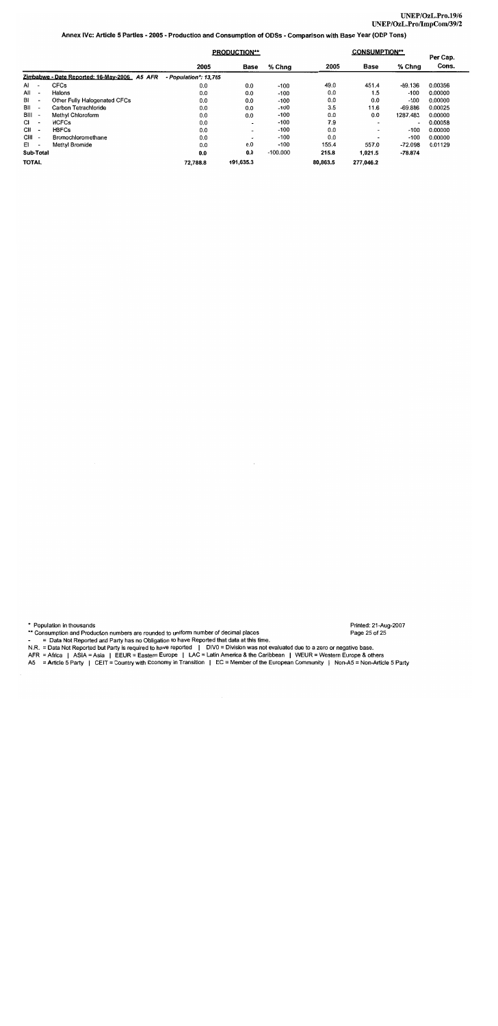## Annex IVc: Article 5 Parties - 2005 - Production and Consumption of ODSs - Comparison with Base Year (ODP Tons)

|              |                                              | <b>PRODUCTION**</b>   |                          |            |          | <b>CONSUMPTION**</b>     |           |                   |  |
|--------------|----------------------------------------------|-----------------------|--------------------------|------------|----------|--------------------------|-----------|-------------------|--|
|              |                                              | 2005                  | <b>Base</b>              | % Chna     | 2005     | <b>Base</b>              | % Chng    | Per Cap.<br>Cons. |  |
|              | Zimbabwe - Date Reported: 16-May-2006 A5 AFR | - Population*: 13.765 |                          |            |          |                          |           |                   |  |
| AI           | <b>CFCs</b>                                  | 0.0                   | 0.0                      | $-100$     | 49.0     | 451.4                    | $-89.136$ | 0.00356           |  |
| All          | Halons                                       | 0.0                   | 0.0                      | $-100$     | 0.0      | 1.5                      | $-100$    | 0.00000           |  |
| BI           | Other Fully Halogenated CFCs                 | 0.0                   | 0.0                      | -100       | 0.0      | 0.0                      | $-100$    | 0.00000           |  |
| BII          | Carbon Tetrachloride                         | 0.0                   | 0.0                      | $-100$     | 3.5      | 11.6                     | $-69.886$ | 0.00025           |  |
| $BIII -$     | <b>Methyl Chloroform</b>                     | 0.0                   | 0.0                      | $-100$     | 0.0      | 0.0                      | 1287.483  | 0.00000           |  |
| CI           | <b>HCFCs</b>                                 | 0.0                   | $\overline{\phantom{a}}$ | $-100$     | 7.9      | $\overline{a}$           | $\bullet$ | 0.00058           |  |
| СII          | <b>HBFCs</b>                                 | 0.0                   | $\overline{\phantom{a}}$ | $-100$     | 0.0      | $\overline{\phantom{a}}$ | $-100$    | 0.00000           |  |
| CIII -       | Bromochloromethane                           | 0.0                   | $\overline{\phantom{a}}$ | $-100$     | 0.0      | $\overline{\phantom{0}}$ | $-100$    | 0.00000           |  |
| ΕI           | <b>Methyl Bromide</b>                        | 0.0                   | 0.0                      | $-100$     | 155.4    | 557.0                    | $-72.098$ | 0.01129           |  |
| Sub-Total    |                                              | 0.0                   | 0.0                      | $-100.000$ | 215.8    | 1,021.5                  | $-78.874$ |                   |  |
| <b>TOTAL</b> |                                              | 72.788.8              | 191,635.3                |            | 80.863.5 | 277,046.2                |           |                   |  |

\* Population in thousands

\*\* Consumption and Production numbers are rounded to uniform number of decimal places

= Data Not Reported and Party has no Obligation to have Reported that data at this time.

- Data Not Reported but Party its no Obligation to have Reported that data at this time.<br>N.R. = Data Not Reported but Party is required to have reported | DIVO = Division was not evaluated due to a zero or negative base.<br>A

J.

Printed: 21-Aug-2007 Page 25 of 25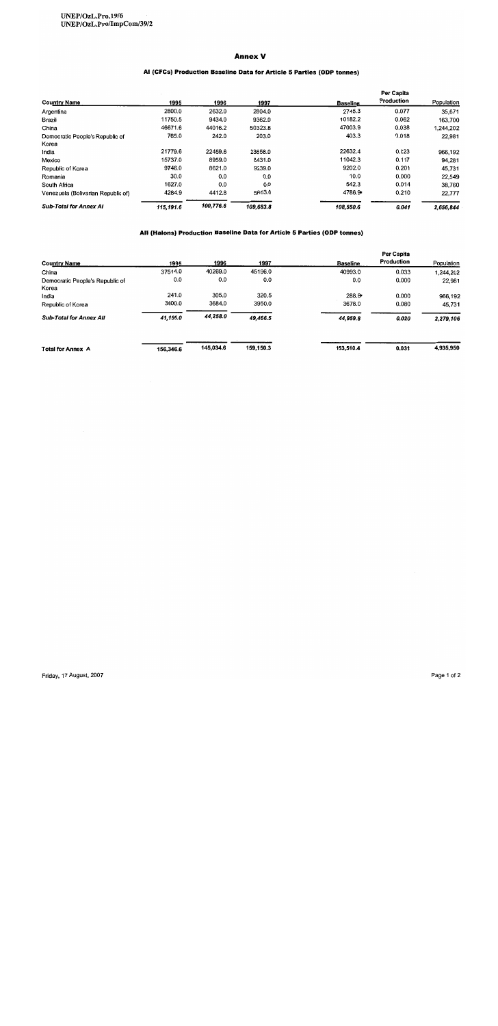## Al (CFCs) Production Baseline Data for Article 5 Parties (ODP tonnes)

|                                    |           |           |           |                 | <b>Per Capita</b><br>Production |            |
|------------------------------------|-----------|-----------|-----------|-----------------|---------------------------------|------------|
| <b>Country Name</b>                | 1995      | 1996      | 1997      | <b>Baseline</b> |                                 | Population |
| Argentina                          | 2800.0    | 2632.0    | 2804.0    | 2745.3          | 0.077                           | 35,671     |
| Brazil                             | 11750.5   | 9434.0    | 9362.0    | 10182.2         | 0.062                           | 163,700    |
| China                              | 46671.6   | 44016.2   | 50323.8   | 47003.9         | 0.038                           | 1.244.202  |
| Democratic People's Republic of    | 765.0     | 242.0     | 203.0     | 403.3           | 0.018                           | 22,981     |
| Korea                              |           |           |           |                 |                                 |            |
| India                              | 21779.6   | 22459.6   | 23658.0   | 22632.4         | 0.023                           | 966,192    |
| Mexico                             | 15737.0   | 8959.0    | 8431.0    | 11042.3         | 0.117                           | 94,281     |
| Republic of Korea                  | 9746.0    | 8621.0    | 9239.0    | 9202.0          | 0.201                           | 45,731     |
| Romania                            | 30.0      | 0.0       | 0.0       | 10.0            | 0.000                           | 22,549     |
| South Africa                       | 1627.0    | 0.0       | 0.0       | 542.3           | 0.014                           | 38,760     |
| Venezuela (Bolivarian Republic of) | 4284.9    | 4412.8    | 5663.0    | 4786.9*         | 0.210                           | 22,777     |
| <b>Sub-Total for Annex AI</b>      | 115.191.6 | 100,776.6 | 109.683.8 | 108.550.6       | 0.041                           | 2.656.844  |

# All (Halons) Production Baseline Data for Article 5 Parties (ODP tonnes)

| <b>Country Name</b>                      | 1995      | 1996      | 1997      | <b>Baseline</b> | Per Capita<br>Production | Population |
|------------------------------------------|-----------|-----------|-----------|-----------------|--------------------------|------------|
| China                                    | 37514.0   | 40269.0   | 45196.0   | 40993.0         | 0.033                    | 1.244.202  |
| Democratic People's Republic of<br>Korea | 0.0       | 0.0       | 0.0       | 0.0             | 0.000                    | 22,981     |
| India                                    | 241.0     | 305.0     | 320.5     | 288.8*          | 0.000                    | 966,192    |
| Republic of Korea                        | 3400.0    | 3684.0    | 3950.0    | 3678.0          | 0.080                    | 45,731     |
| <b>Sub-Total for Annex All</b>           | 41.155.0  | 44,258.0  | 49.466.5  | 44,959.8        | 0.020                    | 2,279,106  |
| <b>Total for Annex A</b>                 | 156,346.6 | 145,034.6 | 159,150.3 | 153,510.4       | 0.031                    | 4,935,950  |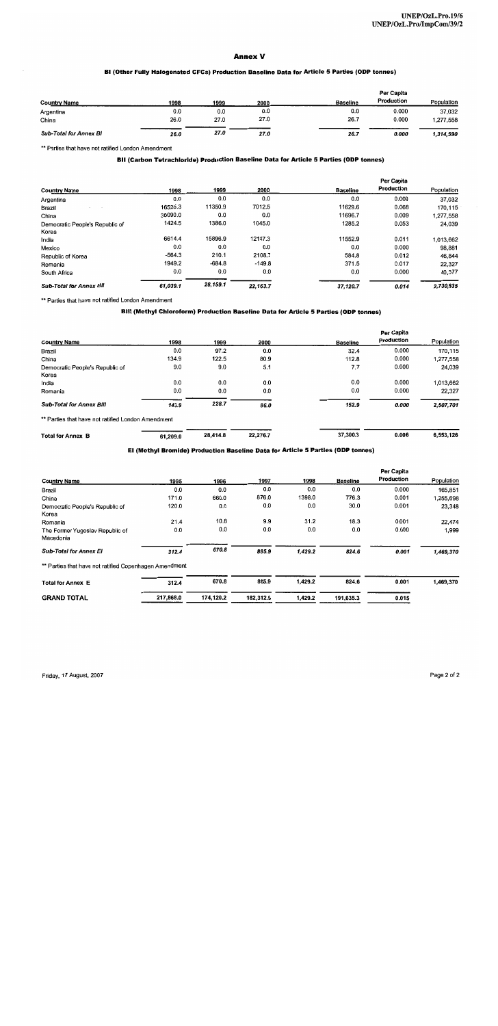### BI (Other Fully Halogenated CFCs) Production Baseline Data for Article 5 Parties (ODP tonnes)

| <b>Country Name</b>           | 1998 | 1999 | 2000 | <b>Baseline</b> | Per Capita<br>Production | Population |
|-------------------------------|------|------|------|-----------------|--------------------------|------------|
| Argentina                     | 0.0  | 0.0  | 0.0  | 0.0             | 0.000                    | 37,032     |
| China                         | 26.0 | 27.0 | 27.0 | 26.7            | 0.000                    | 1,277,558  |
|                               |      |      |      |                 |                          |            |
| <b>Sub-Total for Annex BI</b> | 26.0 | 27.0 | 27.0 | 26.7            | 0.000                    | 1,314,590  |

\*\* Parties that have not ratified London Amendment

## BII (Carbon Tetrachloride) Production Baseline Data for Article 5 Parties (ODP tonnes)

|                                 |          |          |          |                 | Per Capita |            |
|---------------------------------|----------|----------|----------|-----------------|------------|------------|
| <b>Country Name</b>             | 1998     | 1999     | 2000     | <b>Baseline</b> | Production | Population |
| Argentina                       | 0.0      | 0.0      | 0.0      | 0.0             | 0.000      | 37,032     |
| Brazil                          | 16525.3  | 11350.9  | 7012.5   | 11629.6         | 0.068      | 170,115    |
| China                           | 35090.0  | 0.0      | 0.0      | 11696.7         | 0.009      | 1,277,558  |
| Democratic People's Republic of | 1424.5   | 1386.0   | 1045.0   | 1285.2          | 0.053      | 24,039     |
| Korea                           |          |          |          |                 |            |            |
| India                           | 6614.4   | 15896.9  | 12147.3  | 11552.9         | 0.011      | 1,013,662  |
| Mexico                          | 0.0      | 0.0      | 0.0      | 0.0             | 0.000      | 98,881     |
| Republic of Korea               | $-564.3$ | 210.1    | 2108.7   | 584.8           | 0.012      | 46,844     |
| Romania                         | 1949.2   | $-684.8$ | $-149.8$ | 371.5           | 0.017      | 22,327     |
| South Africa                    | 0.0      | 0.0      | 0.0      | 0.0             | 0.000      | 40,377     |
| <b>Sub-Total for Annex Bill</b> | 61.039.1 | 28,159.1 | 22,163.7 | 37,120.7        | 0.014      | 2,730,835  |

\*\* Parties that have not ratified London Amendment

# BIII (Methyl Chloroform) Production Baseline Data for Article 5 Parties (ODP tonnes)

| <b>Country Name</b>                                | 1998     | 1999     | 2000     | <b>Baseline</b> | Per Capita<br>Production | Population |
|----------------------------------------------------|----------|----------|----------|-----------------|--------------------------|------------|
| Brazil                                             | 0.0      | 97.2     | 0.0      | 32.4            | 0.000                    | 170,115    |
| China                                              | 134.9    | 122.5    | 80.9     | 112.8           | 0.000                    | 1,277,558  |
| Democratic People's Republic of<br>Korea           | 9.0      | 9.0      | 5.1      | 7.7             | 0.000                    | 24,039     |
| India                                              | 0.0      | 0.0      | 0.0      | 0.0             | 0.000                    | 1,013,662  |
| Romania                                            | 0.0      | 0.0      | 0.0      | 0.0             | 0.000                    | 22,327     |
| <b>Sub-Total for Annex Bill</b>                    | 143.9    | 228.7    | 86.0     | 152.9           | 0.000                    | 2,507,701  |
| ** Parties that have not ratified London Amendment |          |          |          |                 |                          |            |
| <b>Total for Annex B</b>                           | 61,209.0 | 28,414.8 | 22,276.7 | 37,300.3        | 0.006                    | 6,553,126  |

### El (Methyl Bromide) Production Baseline Data for Article 5 Parties (ODP tonnes)

|                                                        |           |           |           |         |                 | Per Capita |            |
|--------------------------------------------------------|-----------|-----------|-----------|---------|-----------------|------------|------------|
| <b>Country Name</b>                                    | 1995      | 1996      | 1997      | 1998    | <b>Baseline</b> | Production | Population |
| Brazil                                                 | 0.0       | 0.0       | 0.0       | 0.0     | 0.0             | 0.000      | 165,851    |
| China                                                  | 171.0     | 660.0     | 876.0     | 1398.0  | 776.3           | 0.001      | 1,255,698  |
| Democratic People's Republic of<br>Korea               | 120.0     | 0.0       | 0.0       | 0.0     | 30.0            | 0.001      | 23,348     |
| Romania                                                | 21.4      | 10.8      | 9.9       | 31.2    | 18.3            | 0.001      | 22,474     |
| The Former Yugoslav Republic of                        | 0.0       | 0.0       | 0.0       | 0.0     | 0.0             | 0.000      | 1,999      |
| Macedonia                                              |           |           |           |         |                 |            |            |
| <b>Sub-Total for Annex El</b>                          | 312.4     | 670.8     | 885.9     | 1.429.2 | 824.6           | 0.001      | 1,469,370  |
| ** Parties that have not ratified Copenhagen Amendment |           |           |           |         |                 |            |            |
| <b>Total for Annex E</b>                               | 312.4     | 670.8     | 885.9     | 1,429.2 | 824.6           | 0.001      | 1,469,370  |
| <b>GRAND TOTAL</b>                                     | 217,868.0 | 174,120.2 | 182,312.9 | 1.429.2 | 191,635.3       | 0.015      |            |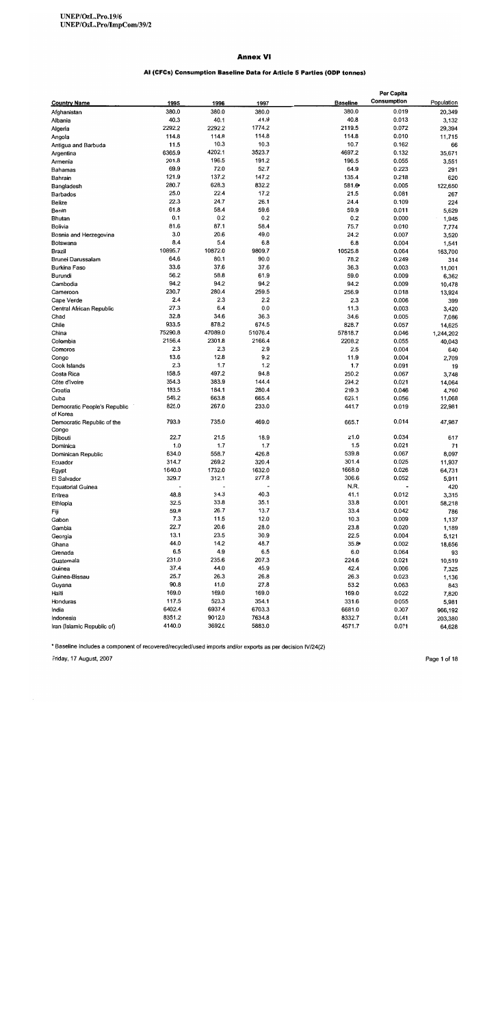## AI (CFCs) Consumption Baseline Data for Article 5 Parties (ODP tonnes)

|                                         |         |         |         |                 | Per Capita     |                   |
|-----------------------------------------|---------|---------|---------|-----------------|----------------|-------------------|
| <b>Country Name</b>                     | 1995    | 1996    | 1997    | <b>Baseline</b> | Consumption    | Population        |
| Afghanistan                             | 380.0   | 380.0   | 380.0   | 380.0           | 0.019          | 20,349            |
| Albania                                 | 40.3    | 40.1    | 41.9    | 40.8            | 0.013          | 3,132             |
| Algeria                                 | 2292.2  | 2292.2  | 1774.2  | 2119.5          | 0.072          | 29,394            |
| Angola                                  | 114.8   | 114.8   | 114.8   | 114.8           | 0.010          | 11,715            |
| Antigua and Barbuda                     | 11.5    | 10.3    | 10.3    | 10.7            | 0.162          | 66                |
| Argentina                               | 6365.9  | 4202.1  | 3523.7  | 4697.2          | 0.132          | 35,671            |
| Armenia                                 | 201.8   | 196.5   | 191.2   | 196.5           | 0.055          | 3,551             |
| Bahamas                                 | 69.9    | 72.0    | 52.7    | 64.9            | 0.223          | 291               |
| Bahrain                                 | 121.9   | 137.2   | 147.2   | 135.4           | 0.218          | 620               |
| Bangladesh                              | 280.7   | 628.3   | 832.2   | 581.6           | 0.005          | 122,650           |
| Barbados                                | 25.0    | 22.4    | 17.2    | 21.5            | 0.081          | 267               |
| <b>Belize</b>                           | 22.3    | 24.7    | 26.1    | 24.4            | 0.109          | 224               |
| Benin                                   | 61.8    | 58.4    | 59.6    | 59.9            | 0.011          | 5,629             |
| <b>Bhutan</b>                           | 0.1     | 0.2     | 0.2     | 0.2             | 0.000          | 1,945             |
| <b>Bolivia</b>                          | 81.6    | 87.1    | 58.4    | 75.7            | 0.010          | 7,774             |
| Bosnia and Herzegovina                  | 3.0     | 20.6    | 49.0    | 24.2            | 0.007          | 3,520             |
| Botswana                                | 8.4     | 5.4     | 6.8     | 6.8             | 0.004          | 1,541             |
| Brazil                                  | 10895.7 | 10872.0 | 9809.7  | 10525.8         | 0.064          | 163,700           |
| Brunei Darussalam                       | 64.6    | 80.1    | 90.0    | 78.2            | 0.249          | 314               |
| Burkina Faso                            | 33.6    | 37.6    | 37.6    | 36.3            | 0.003          |                   |
| Burundi                                 | 56.2    | 58.8    | 61.9    | 59.0            | 0.009          | 11,001            |
| Cambodia                                | 94.2    | 94.2    | 94.2    | 94.2            | 0.009          | 6,362             |
| Cameroon                                | 230.7   | 280.4   | 259.5   | 256.9           | 0.018          | 10,478            |
|                                         | 2.4     | 2.3     | 2.2     | 2.3             | 0.006          | 13,924            |
| Cape Verde                              | 27.3    | 6.4     | 0.0     | 11.3            | 0.003          | 399               |
| Central African Republic<br>Chad        | 32.8    | 34.6    | 36.3    | 34.6            | 0.005          | 3,420             |
| Chile                                   | 933.5   | 878.2   | 674.5   | 828.7           | 0.057          | 7,086             |
| China                                   | 75290.8 | 47089.0 | 51076.4 | 57818.7         | 0.046          | 14,625            |
|                                         | 2156.4  | 2301.8  | 2166.4  | 2208.2          | 0.055          | 1,244,202         |
| Colombia<br>Comoros                     | 2.3     | 2,3     | 2.9     | 2.5             | 0.004          | 40,043            |
|                                         | 13.6    | 12.8    | 9.2     | 11.9            | 0.004          | 640               |
| Congo<br>Cook Islands                   | 2.3     | 1.7     | 1.2     | 1.7             | 0.091          | 2,709             |
| Costa Rica                              | 158.5   | 497.2   | 94.8    | 250.2           | 0.067          | 19                |
| Côte d'Ivoire                           | 354.3   | 383.9   | 144.4   | 294.2           | 0.021          | 3,748             |
| Croatia                                 | 193.5   | 184.1   | 280.4   | 219.3           | 0.046          | 14,064            |
| Cuba                                    | 546.2   | 663.8   | 665.4   | 625.1           | 0.056          | 4,760             |
| Democratic People's Republic            | 825.0   | 267.0   | 233.0   | 441.7           | 0.019          | 11,068            |
| of Korea                                |         |         |         |                 |                | 22,981            |
| Democratic Republic of the              | 793.0   | 735.0   | 469.0   | 665.7           | 0.014          | 47,987            |
| Congo                                   |         |         |         |                 |                |                   |
| Djibouti                                | 22.7    | 21.5    | 18.9    | 21.0            | 0.034          | 617               |
| Dominica                                | 1.0     | 1.7     | 1.7     | 1.5             | 0.021          | 71                |
| Dominican Republic                      | 634.0   | 558.7   | 426.8   | 539.8           | 0.067          | 8,097             |
| Ecuador                                 | 314.7   | 269.2   | 320.4   | 301.4           | 0.025          | 11,937            |
| Egypt                                   | 1640.0  | 1732.0  | 1632.0  | 1668.0          | 0.026          | 64,731            |
| El Salvador                             | 329.7   | 312.1   | 277.8   | 306.6           | 0.052          | 5,911             |
| <b>Equatorial Guinea</b>                |         |         |         | N.R.            |                | 420               |
| Eritrea                                 | 48.8    | 34.3    | 40.3    | 41.1            | 0.012          | 3,315             |
| Ethiopia                                | 32.5    | 33.8    | 35.1    | 33.8            | 0.001          | 58,218            |
| Fiji                                    | 59.8    | 26.7    | 13.7    | 33.4            | 0.042          | 786               |
| Gabon                                   | 7.3     | 11.5    | 12.0    | 10.3            | 0.009          | 1,137             |
| Gambia                                  | 22.7    | 20.6    | 28.0    | 23.8            | 0.020          | 1,189             |
| Georgia                                 | 13.1    | 23.5    | 30.9    | 22.5            | 0.004          | 5,121             |
| Ghana                                   | 44.0    | 14.2    | 48.7    | $35.8*$         | 0.002          | 18,656            |
| Grenada                                 | 6.5     | 4.9     | 6.5     | 6.0             | 0.064          | 93                |
| Guatemala                               | 231.0   | 235.6   | 207.3   | 224.6           | 0.021          |                   |
| Guinea                                  | 37.4    | 44.0    | 45.9    | 42.4            | 0.006          | 10,519<br>7,325   |
| Guinea-Bissau                           | 25.7    | 26.3    | 26.8    | 26.3            | 0.023          |                   |
| Guyana                                  | 90.8    | 41.0    | 27.8    | 53.2            | 0.063          | 1,136             |
| Haiti                                   | 169.0   | 169.0   | 169.0   | 169.0           | 0.022          | 843               |
|                                         | 117.5   | 523.3   | 354.1   | 331.6           |                | 7,820             |
| Honduras<br>India                       | 6402.4  | 6937.4  | 6703.3  | 6681.0          | 0.055<br>0.007 | 5,981             |
|                                         | 8351.2  | 9012.0  | 7634.8  | 8332.7          | 0.041          | 966,192           |
| Indonesia<br>Iran (Islamic Republic of) | 4140.0  | 3692.0  | 5883.0  | 4571.7          | 0.071          | 203,380<br>64.628 |
|                                         |         |         |         |                 |                |                   |

\* Baseline includes a component of recovered/recycled/used imports and/or exports as per decision IV/24(2)

Friday, 17 August, 2007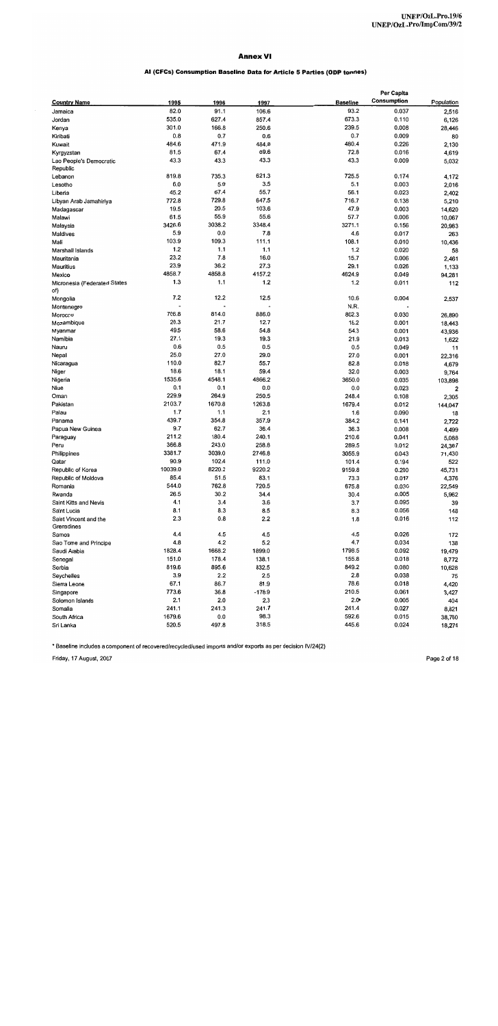## AI (CFCs) Consumption Baseline Data for Article 5 Parties (ODP tonnes)

|                              |         |        |          |                 | Per Capita         |            |
|------------------------------|---------|--------|----------|-----------------|--------------------|------------|
| <b>Country Name</b>          | 1995    | 1996   | 1997     | <b>Baseline</b> | <b>Consumption</b> | Population |
| Jamaica                      | 82.0    | 91.1   | 106.6    | 93.2            | 0.037              | 2,516      |
| Jordan                       | 535.0   | 627.4  | 857.4    | 673.3           | 0.110              | 6,126      |
| Kenya                        | 301.0   | 166.8  | 250.6    | 239.5           | 0.008              | 28,446     |
| Kiribati                     | 0.8     | 0.7    | 0.6      | 0.7             | 0.009              | 80         |
| Kuwait                       | 484.6   | 471.9  | 484.8    | 480.4           | 0.226              | 2,130      |
| Kyrgyzstan                   | 81.5    | 67.4   | 69.6     | 72.8            | 0.016              | 4,619      |
| Lao People's Democratic      | 43.3    | 43.3   | 43.3     | 43.3            | 0.009              |            |
| Republic                     |         |        |          |                 |                    | 5,032      |
| Lebanon                      | 819.8   | 735.3  | 621.3    | 725.5           | 0.174              |            |
| Lesotho                      | 6.0     | 5.9    | 3.5      | 5.1             | 0.003              | 4,172      |
| Libena                       | 45.2    | 67.4   | 55.7     | 56.1            | 0.023              | 2,016      |
| Libyan Arab Jamahiriya       | 772.8   | 729.8  | 647.5    | 716.7           |                    | 2,402      |
|                              | 19.5    | 20.5   | 103.6    |                 | 0.138              | 5,210      |
| Madagascar                   | 61.5    | 55.9   | 55.6     | 47.9            | 0.003              | 14,620     |
| Malawi                       |         |        |          | 57.7            | 0.006              | 10,067     |
| Malaysia                     | 3426.6  | 3038.2 | 3348.4   | 3271.1          | 0.156              | 20,983     |
| Maldives                     | 5.9     | 0.0    | 7.8      | 4.6             | 0.017              | 263        |
| Mali                         | 103.9   | 109.3  | 111.1    | 108.1           | 0.010              | 10,436     |
| Marshall Islands             | 1.2     | 1.1    | 1.1      | 1.2             | 0.020              | 58         |
| Mauritania                   | 23.2    | 7.8    | 16.0     | 15.7            | 0.006              | 2,461      |
| Mauritius                    | 23.9    | 36.2   | 27.3     | 29.1            | 0.026              | 1,133      |
| Mexico                       | 4858.7  | 4858.8 | 4157.2   | 4624.9          | 0.049              | 94,281     |
| Micronesia (Federated States | 1.3     | 1.1    | 1.2      | 1.2             | 0.011              | 112        |
| of)                          |         |        |          |                 |                    |            |
| Mongolia                     | 7.2     | 12.2   | 12.5     | 10.6            | 0.004              | 2,537      |
| Montenegro                   |         |        |          | N.R.            |                    |            |
| Morocco                      | 706.8   | 814.0  | 886.0    | 802.3           | 0.030              | 26,890     |
| Mozambique                   | 20.3    | 21.7   | 12.7     | 18.2            | 0.001              | 18,443     |
| Myanmar                      | 49.5    | 58.6   | 54.8     | 54.3            | 0.001              | 43,936     |
| Namibia                      | 27.1    | 19.3   | 19.3     | 21.9            | 0.013              | 1,622      |
| Nauru                        | 0.6     | 0.5    | 0.5      | 0.5             | 0.049              | 11         |
| Nepal                        | 25.0    | 27.0   | 29.0     | 27.0            | 0.001              | 22,316     |
| Nicaragua                    | 110.0   | 82.7   | 55.7     | 82.8            | 0.018              | 4,679      |
| Niger                        | 18.6    | 18.1   | 59.4     | 32.0            | 0.003              | 9,764      |
| Nigeria                      | 1535.6  | 4548.1 | 4866.2   | 3650.0          | 0.035              | 103,898    |
| Niue                         | 0.1     | 0.1    | 0.0      | 0.0             | 0.023              | 2          |
| Oman                         | 229.9   | 264.9  | 250.5    | 248.4           | 0.108              | 2,305      |
| Pakistan                     | 2103.7  | 1670.8 | 1263.8   | 1679.4          | 0.012              | 144,047    |
| Palau                        | 1.7     | 1.1    | 2.1      | 1.6             | 0.090              | 18         |
| Panama                       | 439.7   | 354.8  | 357.9    | 384.2           | 0.141              | 2,722      |
| Papua New Guinea             | 9.7     | 62.7   | 36.4     | 36.3            | 0.008              | 4,499      |
| Paraguay                     | 211.2   | 180.4  | 240.1    | 210.6           | 0.041              | 5,088      |
| Peru                         | 366.8   | 243.0  | 258.8    | 289.5           | 0.012              | 24,367     |
| Philippines                  | 3381.7  | 3039.0 | 2746.8   | 3055.9          | 0.043              | 71,430     |
| Qatar                        | 90.9    | 102.4  | 111.0    | 101.4           | 0.194              | 522        |
| Republic of Korea            | 10039.0 | 8220.2 | 9220.2   | 9159.8          | 0.200              | 45,731     |
| Republic of Moldova          | 85.4    | 51.5   | 83.1     | 73.3            | 0.017              |            |
| Romania                      | 544.0   | 762.8  | 720.5    | 675.8           | 0.030              | 4,376      |
| Rwanda                       | 26.5    | 30.2   | 34.4     | 30.4            |                    | 22,549     |
| Saint Kitts and Nevis        | 4.1     | 3.4    | 3.6      |                 | 0.005              | 5,962      |
|                              | 8.1     | 8.3    |          | 3.7             | 0.095              | 39         |
| Saint Lucia                  |         |        | 8.5      | 8.3             | 0.056              | 148        |
| Saint Vincent and the        | 2.3     | 0.8    | 2.2      | 1.8             | 0.016              | 112        |
| Grenadines                   | 4.4     | 4.5    |          |                 |                    |            |
| Samoa                        |         | 4.2    | 4.5      | 4.5             | 0.026              | 172        |
| Sao Tome and Principe        | 4.8     |        | 5.2      | 4.7             | 0.034              | 138        |
| Saudi Arabia                 | 1828.4  | 1668.2 | 1899.0   | 1798.5          | 0.092              | 19,479     |
| Senegal                      | 151.0   | 178.4  | 138.1    | 155.8           | 0.018              | 8,772      |
| Serbia                       | 819.6   | 895.6  | 832.5    | 849.2           | 0.080              | 10,628     |
| Seychelles                   | 3.9     | 2.2    | 2.5      | 2.8             | 0.038              | 75         |
| Sierra Leone                 | 67.1    | 86.7   | 81.9     | 78.6            | 0.018              | 4,420      |
| Singapore                    | 773.6   | 36.8   | $-178.9$ | 210.5           | 0.061              | 3,427      |
| Solomon Islands              | 2.1     | 2.0    | 2.3      | $2.0*$          | 0.005              | 404        |
| Somalia                      | 241.1   | 241.3  | 241.7    | 241.4           | 0.027              | 8,821      |
| South Africa                 | 1679.6  | 0.0    | 98.3     | 592.6           | 0.015              | 38,760     |
| Sri Lanka                    | 520.5   | 497.8  | 318.5    | 445.6           | 0.024              | 18,274     |

\* Baseline includes a component of recovered/recycled/used imports and/or exports as per decision IV/24(2)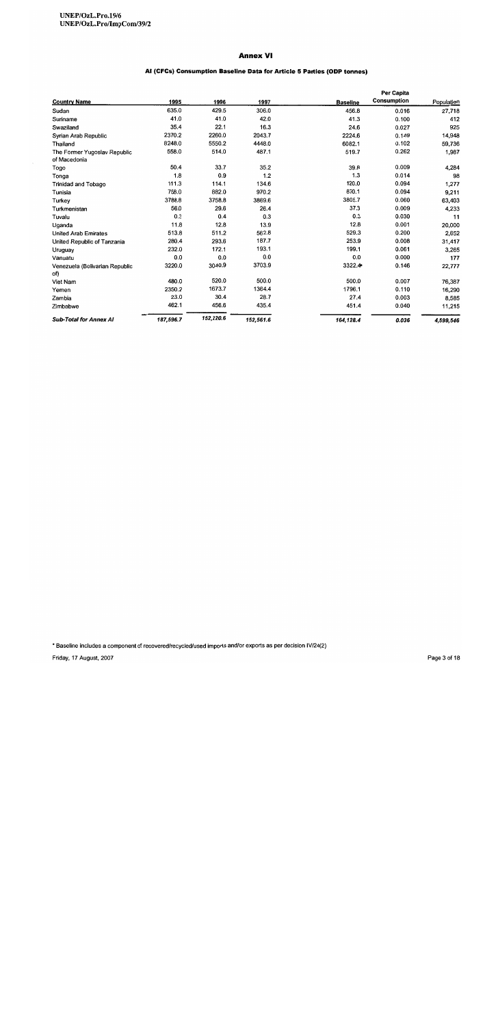# Al (CFCs) Consumption Baseline Data for Article 5 Parties (ODP tonnes)

|                                              |           |           |           |                 | <b>Per Capita</b> |            |
|----------------------------------------------|-----------|-----------|-----------|-----------------|-------------------|------------|
| <b>Country Name</b>                          | 1995      | 1996      | 1997      | <b>Baseline</b> | Consumption       | Population |
| Sudan                                        | 635.0     | 429.5     | 306.0     | 456.8           | 0.016             | 27,718     |
| Suriname                                     | 41.0      | 41.0      | 42.0      | 41.3            | 0.100             | 412        |
| Swaziland                                    | 35.4      | 22.1      | 16.3      | 24.6            | 0.027             | 925        |
| Syrian Arab Republic                         | 2370.2    | 2260.0    | 2043.7    | 2224.6          | 0.149             | 14,948     |
| Thailand                                     | 8248.0    | 5550.2    | 4448.0    | 6082.1          | 0.102             | 59,736     |
| The Former Yugoslav Republic<br>of Macedonia | 558.0     | 514.0     | 487.1     | 519.7           | 0.262             | 1,987      |
| Togo                                         | 50.4      | 33.7      | 35.2      | 39.8            | 0.009             | 4,284      |
| Tonga                                        | 1.8       | 0.9       | 1.2       | 1.3             | 0.014             | 98         |
| Trinidad and Tobago                          | 111.3     | 114.1     | 134.6     | 120.0           | 0.094             | 1,277      |
| Tunisia                                      | 758.0     | 882.0     | 970.2     | 870.1           | 0.094             | 9,211      |
| Turkey                                       | 3788.8    | 3758.8    | 3869.6    | 3805.7          | 0.060             | 63,403     |
| Turkmenistan                                 | 56.0      | 29.6      | 26.4      | 37.3            | 0.009             | 4,233      |
| Tuvalu                                       | 0.3       | 0.4       | 0.3       | 0.3             | 0.030             | 11         |
| Uganda                                       | 11.8      | 12.8      | 13.9      | 12.8            | 0.001             | 20,000     |
| United Arab Emirates                         | 513.8     | 511.2     | 562.8     | 529.3           | 0.200             | 2,652      |
| United Republic of Tanzania                  | 280.4     | 293.6     | 187.7     | 253.9           | 0.008             | 31,417     |
| Uruguay                                      | 232.0     | 172.1     | 193.1     | 199.1           | 0.061             | 3,265      |
| Vanuatu                                      | 0.0       | 0.0       | 0.0       | 0.0             | 0.000             | 177        |
| Venezuela (Bolivarian Republic<br>of)        | 3220.0    | 3040.9    | 3703.9    | 3322.4          | 0.146             | 22,777     |
| Viet Nam                                     | 480.0     | 520.0     | 500.0     | 500.0           | 0.007             | 76,387     |
| Yemen                                        | 2350.2    | 1673.7    | 1364.4    | 1796.1          | 0.110             | 16,290     |
| Zambia                                       | 23.0      | 30.4      | 28.7      | 27.4            | 0.003             | 8,585      |
| Zimbabwe                                     | 462.1     | 456.6     | 435.4     | 451.4           | 0.040             | 11,215     |
| <b>Sub-Total for Annex AI</b>                | 187,596.7 | 152,220.6 | 152,561.6 | 164,128.4       | 0.036             | 4,599,546  |

\* Baseline includes a component of recovered/recycled/used imports and/or exports as per decision IV/24(2)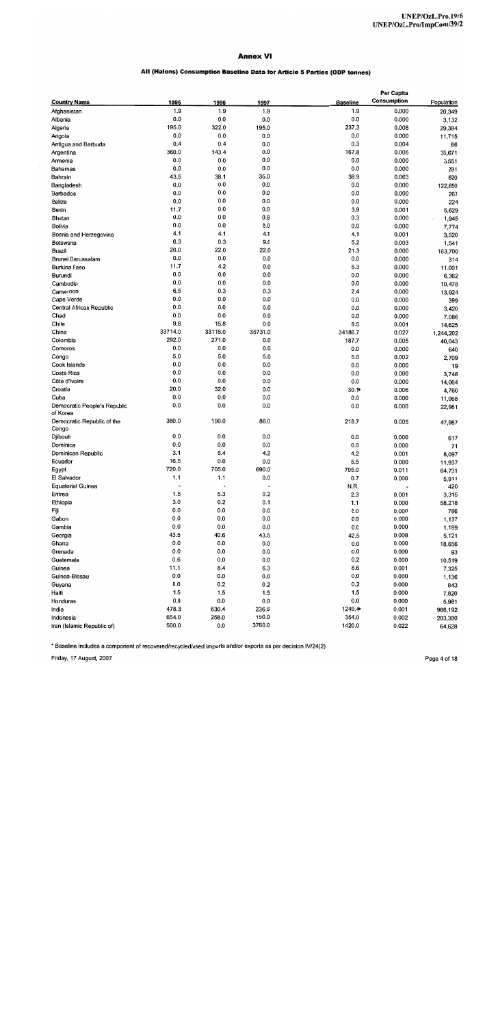## All (Haions) Consumption Baseline Data for Article 5 Parties (ODP tonnes)

|                              |                          |                          |         |                 | Per Capita         |                    |
|------------------------------|--------------------------|--------------------------|---------|-----------------|--------------------|--------------------|
| <b>Country Name</b>          | 1995                     | 1996                     | 1997    | <b>Baseline</b> | <b>Consumption</b> | Population         |
| Afghanistan                  | 1.9                      | 1.9                      | 1.9     | 1.9             | 0.000              | 20,349             |
| Albania                      | 0.0                      | 0.0                      | 0.0     | 0.0             | 0.000              | 3,132              |
| Algeria                      | 195.0                    | 322.0                    | 195.0   | 237.3           | 0.008              | 29,394             |
| Angola                       | 0.0                      | 0.0                      | 0.0     | 0.0             | 0.000              | 11,715             |
| Antigua and Barbuda          | 0.4                      | 0.4                      | 0.0     | 0.3             | 0.004              |                    |
| Argentina                    | 360.0                    | 143.4                    | 0.0     | 167.8           | 0.005              | 66                 |
| Armenia                      | 0.0                      | 0.0                      | 0.0     | 0.0             |                    | 35,671             |
|                              | 0.0                      | 0.0                      | 0.0     |                 | 0.000              | 3,551              |
| Bahamas                      | 43.5                     | 38.1                     |         | 0.0             | 0.000              | 291                |
| Bahrain                      | 0.0                      | 0.0                      | 35.0    | 38.9            | 0.063              | 620                |
| Bangladesh                   |                          |                          | 0.0     | 0.0             | 0.000              | 122,650            |
| Barbados                     | 0.0                      | 0.0                      | 0.0     | 0.0             | 0.000              | 267                |
| Belize                       | 0.0                      | 0.0                      | 0.0     | 0.0             | 0.000              | 224                |
| Benin                        | 11.7                     | 0.0                      | 0.0     | 3.9             | 0.001              | 5,629              |
| Bhutan                       | 0.0                      | 0.0                      | 0.8     | 0.3             | 0.000              | 1,945<br>$\cdot$ . |
| Bolivia                      | 0.0                      | 0.0                      | 0.0     | 0.0             | 0.000              | 7,774              |
| Bosnia and Herzegovina       | 4.1                      | 4.1                      | 4.1     | 4.1             | 0.001              | 3,520              |
| Botswana                     | 6.3                      | 0.3                      | 9.0     | 5.2             | 0.003              | 1,541              |
| Brazil                       | 20.0                     | 22.0                     | 22.0    | 21.3            | 0.000              | 163,700            |
| Brunei Darussalam            | 0.0                      | 0.0                      | 0.0     | 0.0             | 0.000              | 314                |
| Burkina Faso                 | 11.7                     | 4.2                      | 0.0     | 5.3             | 0.000              | 11.001             |
| Burundi                      | 0.0                      | 0.0                      | 0.0     | 0.0             | 0.000              | 6,362              |
| Cambodia                     | 0.0                      | 0.0                      | 0.0     | 0.0             | 0.000              | 10,478             |
| Cameroon                     | 6.5                      | 0.3                      | 0.3     | 2.4             | 0.000              | 13,924             |
| Cape Verde                   | 0.0                      | 0.0                      | 0.0     | 0.0             | 0.000              | 399                |
| Central African Republic     | 0.0                      | 0.0                      | 0.0     | 0.0             | 0.000              | 3,420              |
| Chad                         | 0.0                      | 0.0                      | 0.0     | 0.0             | 0.000              |                    |
| Chile                        | 9.8                      | 15.8                     | 0.0     | 8.5             |                    | 7.086              |
| China                        | 33714.0                  | 33115.0                  | 35731.0 | 34186.7         | 0.001              | 14,625             |
|                              | 292.0                    | 271.0                    | 0.0     |                 | 0.027              | 1,244,202          |
| Colombia                     | 0.0                      |                          |         | 187.7           | 0.005              | 40,043             |
| Comoros                      |                          | 0.0                      | 0.0     | 0.0             | 0.000              | 640                |
| Congo                        | 5.0                      | 5.0                      | 5.0     | 5.0             | 0.002              | 2,709              |
| Cook Islands                 | 0.0                      | 0.0                      | 0.0     | 0.0             | 0.000              | 19                 |
| Costa Rica                   | 0.0                      | 0.0                      | 0.0     | 0.0             | 0.000              | 3,748              |
| Côte d'Ivoire                | 0.0                      | 0.0                      | 0.0     | 0.0             | 0.000              | 14,064             |
| Croatia                      | 20.0                     | 32.0                     | 0.0     | $30.1*$         | 0.006              | 4,760              |
| Cuba                         | 0.0                      | 0.0                      | 0.0     | 0.0             | 0.000              | 11,068             |
| Democratic People's Republic | 0.0                      | 0.0                      | 0.0     | 0.0             | 0.000              | 22,981             |
| of Korea                     |                          |                          |         |                 |                    |                    |
| Democratic Republic of the   | 380.0                    | 190.0                    | 86.0    | 218.7           | 0.005              | 47,987             |
| Congo                        |                          |                          |         |                 |                    |                    |
| Djibouti                     | 0.0                      | 0.0                      | 0.0     | 0.0             | 0.000              | 617                |
| Dominica                     | 0.0                      | 0.0                      | 0.0     | 0.0             | 0.000              | 71                 |
| Dominican Republic           | 3.1                      | 5.4                      | 4.2     | 4.2             | 0.001              | 8,097              |
| Ecuador                      | 16.5                     | 0.0                      | 0.0     | 5.5             | 0.000              | 11,937             |
| Egypt                        | 720.0                    | 705.0                    | 690.0   | 705.0           | 0.011              | 64,731             |
| El Salvador                  | 1.1                      | 1.1                      | 0.0     | 0.7             | 0.000              | 5,911              |
| <b>Equatorial Guinea</b>     | $\overline{\phantom{a}}$ | $\overline{\phantom{a}}$ |         | N.R.            |                    | 420                |
| Eritrea                      | 1.5                      | 5.3                      | 0.2     | 2.3             | 0.001              | 3,315              |
| Ethiopia                     | 3.0                      | 0.2                      | 0.1     | 1.1             | 0.000              | 58,218             |
| Fiji                         | 0.0                      | 0.0                      | 0.0     | 0.0             | 0.000              |                    |
| Gabon                        | 0.0                      | 0.0                      | 0.0     | 0.0             | 0.000              | 786                |
| Gambia                       | 0.0                      | 0.0                      | 0.0     | 0.0             | 0.000              | 1,137              |
|                              | 43.5                     | 40.6                     |         |                 |                    | 1,189              |
| Georgia                      |                          |                          | 43.5    | 42.5            | 0.008              | 5,121              |
| Ghana                        | 0.0                      | 0.0                      | 0.0     | 0.0             | 0.000              | 18,656             |
| Grenada                      | 0.0                      | 0.0                      | 0.0     | 0.0             | 0.000              | 93                 |
| Guatemala                    | 0.6                      | 0.0                      | $0.0\,$ | 0.2             | 0.000              | 10,519             |
| Guinea                       | 11.1                     | 8.4                      | 6.3     | 8.6             | 0.001              | 7,325              |
| Guinea-Bissau                | 0.0                      | 0.0                      | 0.0     | 0.0             | 0.000              | 1,136              |
| Guyana                       | 0.0                      | 0.2                      | 0.2     | 0.2             | 0.000              | 843                |
| Haiti                        | 1.5                      | 1.5                      | 1.5     | 1.5             | 0.000              | 7,820              |
| Honduras                     | 0.0                      | 0.0                      | 0.0     | 0.0             | 0.000              | 5,981              |
| India                        | 478.3                    | 630.4                    | 236.5   | 1249.4          | 0.001              | 966,192            |
| Indonesia                    | 654.0                    | 258.0                    | 150.0   | 354.0           | 0.002              | 203,380            |
| Iran (Islamic Republic of)   | 500.0                    | 0.0                      | 3760.0  | 1420.0          | 0.022              | 64.628             |

\* Baseline includes a component of recovered/recycled/used imports and/or exports as per decision IV/24(2)

Friday, 17 August, 2007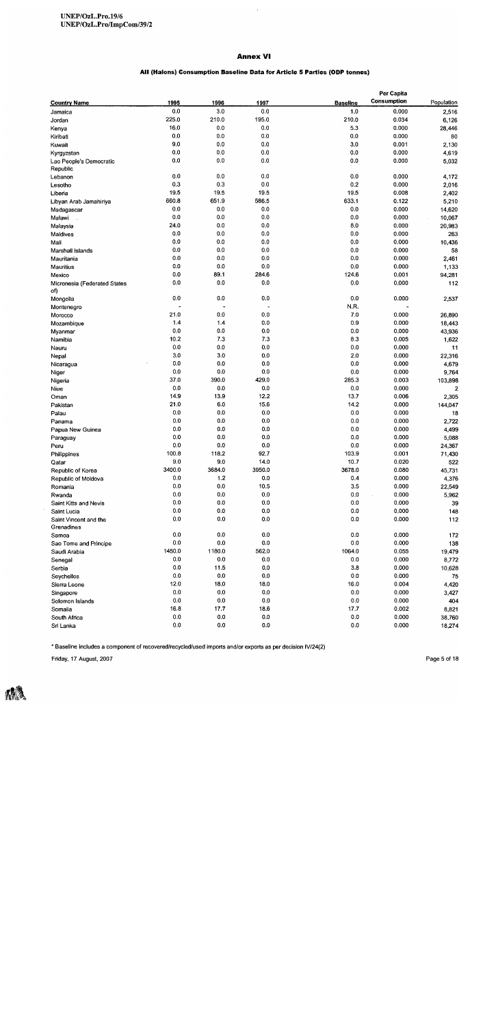$\hat{\mathbf{r}}$ 

## All (Halons) Consumption Baseline Data for Article 5 Parties (ODP tonnes)

|                                     |         |        |        |                 | Per Capita  |                |
|-------------------------------------|---------|--------|--------|-----------------|-------------|----------------|
| <b>Country Name</b>                 | 1995    | 1996   | 1997   | <b>Baseline</b> | Consumption | Population     |
| Jamaica                             | 0.0     | 3.0    | 0.0    | 1.0             | 0.000       | 2,516          |
| Jordan                              | 225.0   | 210.0  | 195.0  | 210.0           | 0.034       | 6,126          |
| Kenya                               | 16.0    | 0.0    | 0.0    | 5.3             | 0.000       | 28,446         |
| Kiribati                            | 0.0     | 0.0    | 0.0    | 0.0             | 0.000       | 80             |
| Kuwait                              | 9.0     | 0.0    | 0.0    | 3.0             | 0.001       | 2,130          |
|                                     | 0.0     | 0.0    | 0.0    | 0.0             | 0.000       | 4,619          |
| Kyrgyzstan                          | 0.0     | 0.0    | 0.0    | 0.0             | 0.000       |                |
| Lao People's Democratic<br>Republic |         |        |        |                 |             | 5,032          |
| Lebanon                             | 0.0     | 0.0    | 0.0    | 0.0             | 0.000       | 4,172          |
| Lesotho                             | 0.3     | 0.3    | 0.0    | 0.2             | 0.000       |                |
|                                     | 19.5    | 19.5   | 19.5   | 19.5            | 0.008       | 2,016          |
| Liberia                             | 660.8   | 651.9  | 586.5  |                 |             | 2,402          |
| Libyan Arab Jamahiriya              |         |        |        | 633.1           | 0.122       | 5,210          |
| Madagascar                          | 0.0     | 0.0    | 0.0    | 0.0             | 0.000       | 14,620         |
| Malawi                              | 0.0     | 0.0    | 0.0    | 0.0             | 0.000       | 10,067         |
| Malaysia                            | 24.0    | 0.0    | 0.0    | 8.0             | 0.000       | 20,983         |
| Maldives                            | 0.0     | 0.0    | 0.0    | 0.0             | 0.000       | 263            |
| Mali                                | 0.0     | 0.0    | 0.0    | 0.0             | 0.000       | 10,436         |
| Marshall Islands                    | 0.0     | 0.0    | 0.0    | 0.0             | 0.000       | 58             |
| Mauritania                          | 0.0     | 0.0    | 0.0    | 0.0             | 0.000       | 2,461          |
| Mauritius                           | 0.0     | 0.0    | 0.0    | 0.0             | 0.000       | 1,133          |
| Mexico                              | 0.0     | 89.1   | 284.6  | 124.6           | 0.001       | 94,281         |
| Micronesia (Federated States        | 0.0     | 0.0    | 0.0    | 0.0             | 0.000       | 112            |
| of)                                 | 0.0     | 0.0    | 0.0    | 0.0             |             |                |
| Mongolia                            |         |        |        |                 | 0.000       | 2,537          |
| Montenegro                          |         |        |        | N.R.            |             |                |
| Morocco                             | 21.0    | 0.0    | 0.0    | 7.0             | 0.000       | 26,890         |
| Mozambique                          | 1.4     | 1.4    | 0.0    | 0.9             | 0.000       | 18,443         |
| Myanmar                             | 0.0     | 0.0    | 0.0    | 0.0             | 0.000       | 43,936         |
| Namibia                             | 10.2    | 7.3    | 7.3    | 83              | 0.005       | 1.622          |
| Nauru                               | 0.0     | 0.0    | 0.0    | 0.0             | 0.000       | 11             |
| Nepal                               | 3.0     | 3.0    | 0.0    | 2.0             | 0.000       | 22,316         |
| Nicaragua                           | 0.0     | 0.0    | 0.0    | 0.0             | 0.000       | 4,679          |
| Niger                               | 0.0     | 0.0    | 0.0    | 0.0             | 0.000       | 9,764          |
| Nigena                              | 37.0    | 390.0  | 429.0  | 285.3           | 0.003       | 103,898        |
| Niue                                | 0.0     | 0.0    | 0.0    | 0.0             | 0.000       | $\overline{2}$ |
| Oman                                | 149     | 13.9   | 12.2   | 13.7            | 0.006       | 2,305          |
| Pakistan                            | 21.0    | 6.0    | 15.6   | 14.2            | 0.000       | 144,047        |
| Palau                               | 0.0     | 0.0    | 0.0    | 0.0             | 0.000       | 18             |
| Panama                              | 0.0     | 0.0    | 0.0    | 0.0             | 0.000       | 2,722          |
| Papua New Guinea                    | 0.0     | 0.0    | 0.0    | 0.0             | 0.000       | 4,499          |
| Paraguay                            | 0.0     | 0.0    | 0.0    | 0.0             | 0.000       | 5,088          |
| Peru                                | 0.0     | 0.0    | 0.0    | 0.0             | 0.000       | 24,367         |
| Philippines                         | 100.8   | 118.2  | 92.7   | 103.9           | 0.001       | 71,430         |
| Qatar                               | 9.0     | 9.0    | 14.0   | 10.7            | 0.020       | 522            |
| Republic of Korea                   | 3400.0  | 3684.0 | 3950.0 | 3678.0          | 0.080       | 45,731         |
| Republic of Moldova                 | 0.0     | 1.2    | 0.0    | 0.4             | 0.000       | 4,376          |
| Romania                             | 0.0     | 0.0    | 10.5   | 3.5             | 0.000       | 22,549         |
| Rwanda                              | 0.0     | 0.0    | 0.0    | 0.0             | 0.000       | 5,962          |
| Saint Kitts and Nevis               | 0.0     | 0.0    | 0.0    | 0.0             | 0.000       | 39             |
| Saint Lucia                         | 0.0     | 0.0    | 0.0    | 0.0             | 0.000       | 148            |
| Saint Vincent and the               | 0.0     | 0.0    | 0.0    | 0.0             | 0.000       | 112            |
| Grenadines                          |         |        |        |                 |             |                |
| Samoa                               | 0.0     | 0.0    | 0.0    | 0.0             | 0.000       | 172            |
| Sao Tome and Principe               | 0.0     | 0.0    | 0.0    | 0.0             | 0.000       | 138            |
| Saudi Arabia                        | 1450.0  | 1180.0 | 562.0  | 1064.0          | 0.055       | 19,479         |
| Senegal                             | 0.0     | 0.0    | 0.0    | 0.0             | 0.000       | 8,772          |
| Serbia                              | 0.0     | 11.5   | 0.0    | 3.8             | 0.000       | 10,628         |
| Seychelles                          | $0.0\,$ | 0.0    | 0.0    | 0.0             | 0.000       | 75             |
| Sierra Leone                        | 12.0    | 18.0   | 18.0   | 16.0            | 0.004       | 4,420          |
| Singapore                           | 0.0     | 0.0    | 0.0    | 0.0             | 0.000       | 3,427          |
| Solomon Islands                     | 0.0     | 0.0    | 0.0    | 0.0             | 0.000       | 404            |
| Somalia                             | 16.8    | 17.7   | 18.6   | 17.7            | 0.002       | 8,821          |
| South Africa                        | 0.0     | 0.0    | 0.0    | 0.0             | 0.000       | 38,760         |
|                                     | $0.0\,$ | 0.0    | 0.0    | 0.0             | 0.000       |                |
| Sri Lanka                           |         |        |        |                 |             | 18,274         |

\* Baseline includes a component of recovered/recycled/used imports and/or exports as per decision IV/24(2)

Friday, 17 August, 2007

KA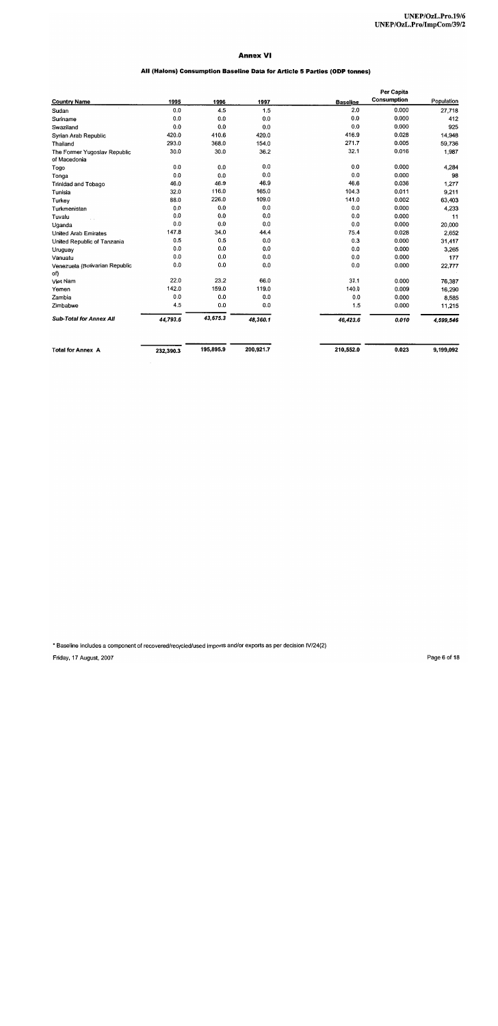#### All (Halons) Consumption Baseline Data for Article 5 Parties (ODP tonnes)

|                                              |           |           |           |                 | Per Capita  |            |
|----------------------------------------------|-----------|-----------|-----------|-----------------|-------------|------------|
| <b>Country Name</b>                          | 1995      | 1996      | 1997      | <b>Baseline</b> | Consumption | Population |
| Sudan                                        | 0.0       | 4.5       | 1.5       | 2.0             | 0.000       | 27,718     |
| Suriname                                     | 0.0       | 0.0       | 0.0       | 0.0             | 0.000       | 412        |
| Swaziland                                    | 0.0       | 0.0       | 0.0       | 0.0             | 0.000       | 925        |
| Syrian Arab Republic                         | 420.0     | 410.6     | 420.0     | 416.9           | 0.028       | 14,948     |
| Thailand                                     | 293.0     | 368.0     | 154.0     | 271.7           | 0.005       | 59,736     |
| The Former Yugoslav Republic<br>of Macedonia | 30.0      | 30.0      | 36.2      | 32.1            | 0.016       | 1,987      |
| Togo                                         | 0.0       | 0.0       | 0.0       | 0.0             | 0.000       | 4,284      |
| Tonga                                        | 0.0       | 0.0       | 0.0       | 0.0             | 0.000       | 98         |
| <b>Trinidad and Tobago</b>                   | 46.0      | 46.9      | 46.9      | 46.6            | 0.036       | 1,277      |
| Tunisia                                      | 32.0      | 116.0     | 165.0     | 104.3           | 0.011       | 9,211      |
| Turkey                                       | 88.0      | 226.0     | 109.0     | 141.0           | 0.002       | 63,403     |
| Turkmenistan                                 | 0.0       | 0.0       | 0.0       | 0.0             | 0.000       | 4,233      |
| Tuvalu                                       | 0.0       | 0.0       | 0.0       | 0.0             | 0.000       | 11         |
| Uganda                                       | 0.0       | 0.0       | 0.0       | 0.0             | 0.000       | 20,000     |
| <b>United Arab Emirates</b>                  | 147.8     | 34.0      | 44.4      | 75.4            | 0.028       | 2,652      |
| United Republic of Tanzania                  | 0.5       | 0.5       | 0.0       | 0.3             | 0.000       | 31,417     |
| Uruguay                                      | 0.0       | 0.0       | 0.0       | 0.0             | 0.000       | 3,265      |
| Vanuatu                                      | 0.0       | 0.0       | 0.0       | 0.0             | 0.000       | 177        |
| Venezuela (Bolivarian Republic<br>of)        | 0.0       | 0.0       | 0.0       | 0.0             | 0.000       | 22,777     |
| Viet Nam                                     | 22.0      | 23.2      | 66.0      | 37.1            | 0.000       | 76,387     |
| Yemen                                        | 142.0     | 159.0     | 119.0     | 140.0           | 0.009       | 16,290     |
| Zambia                                       | 0.0       | 0.0       | 0.0       | 0.0             | 0.000       | 8,585      |
| Zimbabwe                                     | 4.5       | 0.0       | 0.0       | 1.5             | 0.000       | 11,215     |
| <b>Sub-Total for Annex All</b>               | 44,793.6  | 43,675.3  | 48,360.1  | 46,423.6        | 0.010       | 4,599,546  |
| <b>Total for Annex A</b>                     | 232,390.3 | 195,895.9 | 200,921.7 | 210,552.0       | 0.023       | 9,199,092  |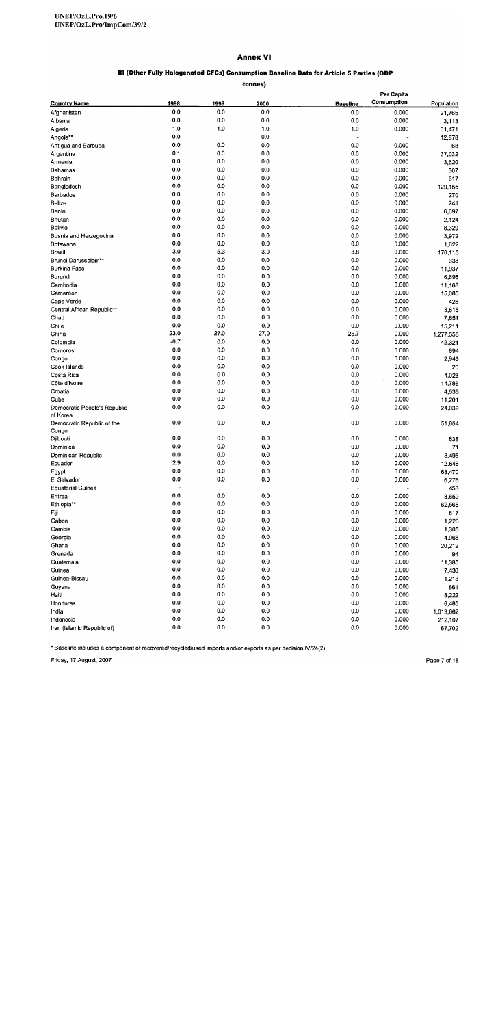## BI (Other Fully Halogenated CFCs) Consumption Baseline Data for Article 5 Parties (ODP

tonnes)

|                                          |                          |         |                          |                 | Per Capita  |            |
|------------------------------------------|--------------------------|---------|--------------------------|-----------------|-------------|------------|
| <b>Country Name</b>                      | 1998                     | 1999    | 2000                     | <b>Baseline</b> | Consumption | Population |
| Afghanistan                              | 0.0                      | 0.0     | 0.0                      | 0.0             | 0.000       | 21,765     |
| Albania                                  | 0.0                      | 0.0     | 0.0                      | 0.0             | 0.000       | 3,113      |
| Algeria                                  | 1.0                      | 1.0     | 1.0                      | 1.0             | 0.000       | 31,471     |
| Angola**                                 | 0.0                      | ÷,      | 0.0                      | L.              |             | 12,878     |
| Antigua and Barbuda                      | 0.0                      | 0.0     | 0.0                      | 0.0             | 0.000       | 68         |
| Argentina                                | 0.1                      | 0.0     | 0.0                      | 0.0             | 0.000       | 37,032     |
| Armenia                                  | 0.0                      | 0.0     | 0.0                      | 0.0             | 0.000       | 3,520      |
| Bahamas                                  | 0.0                      | 0.0     | 0.0                      | 0.0             | 0.000       | 307        |
| Bahrain                                  | 0.0                      | 0.0     | 0.0                      | 0.0             | 0.000       | 617        |
| Bangladesh                               | 0.0                      | 0.0     | 0.0                      | 0.0             | 0.000       | 129,155    |
| Barbados                                 | 0.0                      | 0.0     | 0.0                      | 0.0             | 0.000       | 270        |
| Belize                                   | 0.0                      | 0.0     | 0.0                      | 0.0             | 0.000       | 241        |
| Benin                                    | 0.0                      | 0.0     | 0.0                      | 0.0             | 0.000       | 6,097      |
| Bhutan                                   | 0.0                      | 0.0     | 0.0                      | 0.0             | 0.000       | 2,124      |
| Bolivia                                  | 0.0                      | 0.0     | 0.0                      | 0.0             | 0.000       | 8,329      |
| Bosnia and Herzegovina                   | 0.0                      | 0.0     | 0.0                      | 0.0             | 0.000       | 3,972      |
| Botswana                                 | 0.0                      | 0.0     | 0.0                      | 0.0             | 0.000       | 1,622      |
| Brazil                                   | 3.0                      | 5.3     | 3.0                      | 3.8             | 0.000       | 170,115    |
| Brunei Darussalam**                      | 0.0                      | 0.0     | 0.0                      | 0.0             | 0.000       | 338        |
| Burkina Faso                             | 0.0                      | 0.0     | 0.0                      | 0.0             | 0.000       | 11,937     |
| Burundi                                  | 0.0                      | 0.0     | 0.0                      | 0.0             | 0.000       | 6,695      |
| Cambodia                                 | 0.0                      | 0.0     | 0.0                      | 0.0             | 0.000       | 11,168     |
| Cameroon                                 | 0.0                      | 0.0     | 0.0                      | 0.0             | 0.000       | 15,085     |
| Cape Verde                               | 0.0                      | 0.0     | 0.0                      | 0.0             | 0.000       | 428        |
| Central African Republic**               | 0.0                      | 0.0     | 0.0                      | 0.0             | 0.000       | 3,615      |
| Chad                                     | 0.0                      | 0.0     | 0.0                      | 0.0             | 0.000       | 7,651      |
| Chile                                    | 0.0                      | 0.0     | 0.0                      | 0.0             | 0.000       | 15,211     |
| China                                    | 23.0                     | 27.0    | 27.0                     | 25.7            | 0.000       | 1,277,558  |
| Colombia                                 | $-0.7$                   | 0.0     | 0.0                      | 0.0             | 0.000       | 42,321     |
| Comoros                                  | 0.0                      | 0.0     | 0.0                      | 0.0             | 0.000       | 694        |
| Congo                                    | 0.0                      | 0.0     | 0.0                      | 0.0             | 0.000       | 2,943      |
| Cook Islands                             | 0.0                      | 0.0     | 0.0                      | 0.0             | 0.000       | 20         |
| Costa Rica                               | 0.0                      | 0.0     | 0.0                      | 0.0             | 0.000       | 4,023      |
| Côte d'Ivoire                            | 0.0                      | 0.0     | 0.0                      | 0.0             | 0.000       | 14,786     |
| Croatia                                  | 0.0                      | 0.0     | 0.0                      | 0.0             | 0.000       | 4,535      |
| Cuba                                     | 0.0                      | 0.0     | 0.0                      | 0.0             | 0.000       | 11,201     |
| Democratic People's Republic<br>of Korea | 0.0                      | 0.0     | 0.0                      | 0.0             | 0.000       | 24,039     |
| Democratic Republic of the<br>Congo      | 0.0                      | 0.0     | 0.0                      | 0.0             | 0.000       | 51,654     |
| Djibouti                                 | 0.0                      | 0.0     | 0.0                      | 0.0             | 0.000       | 638        |
| Dominica                                 | 0.0                      | 0.0     | 0.0                      | 0.0             | 0.000       | 71         |
| Dominican Republic                       | 0.0                      | 0.0     | 0.0                      | 0.0             | 0.000       | 8,495      |
| Ecuador                                  | 2.9                      | 0.0     | 0.0                      | 1.0             | 0.000       | 12,646     |
| Egypt                                    | $0.0\,$                  | $0.0\,$ | $0.0\,$                  | 0.0             | 0.000       | 68,470     |
| El Salvador                              | 0.0                      | 0.0     | $0.0\,$                  | $0.0\,$         | 0.000       | 6,276      |
| <b>Equatorial Guinea</b>                 | $\overline{\phantom{a}}$ |         | $\overline{\phantom{a}}$ | Ĭ.              |             | 453        |
| Eritrea                                  | 0.0                      | 0.0     | 0.0                      | 0.0             | 0.000       | 3,659      |
| Ethiopia**                               | 0.0                      | 0.0     | 0.0                      | 0.0             | 0.000       | 62,565     |
| Fiji                                     | 0.0                      | 0.0     | 0.0                      | 0.0             | 0.000       | 817        |
| Gabon                                    | $0.0\,$                  | 0.0     | 0.0                      | 0.0             | 0.000       | 1,226      |
| Gambia                                   | 0.0                      | 0.0     | 0.0                      | 0.0             | 0.000       | 1,305      |
| Georgia                                  | 0.0                      | 0.0     | 0.0                      | 0.0             | 0.000       | 4,968      |
| Ghana                                    | 0.0                      | 0.0     | $0.0\,$                  | 0.0             | 0.000       | 20,212     |
| Grenada                                  | 0.0                      | 0.0     | 0.0                      | 0.0             | 0.000       | 94         |
| Guatemala                                | 0.0                      | 0.0     | 0.0                      | 0.0             | 0.000       | 11,385     |
| Guinea                                   | 0.0                      | 0.0     | 0.0                      | 0.0             | 0.000       | 7,430      |
| Guinea-Bissau                            | 0.0                      | 0.0     | 0.0                      | 0.0             | 0.000       | 1,213      |
| Guyana                                   | 0.0                      | 0.0     | 0.0                      | 0.0             | 0.000       | 861        |
| Haiti                                    | 0.0                      | 0.0     | 0.0                      | 0.0             | 0.000       | 8,222      |
| Honduras                                 | 0.0                      | $0.0\,$ | 0.0                      | 0.0             | 0.000       | 6,485      |
| India                                    | 0.0                      | 0.0     | 0.0                      | 0.0             | 0.000       | 1,013,662  |
| Indonesia                                | 0.0                      | 0.0     | 0.0                      | 0.0             | 0.000       | 212,107    |
| Iran (Islamic Republic of)               | 0.0                      | 0.0     | 0.0                      | 0.0             | 0.000       | 67,702     |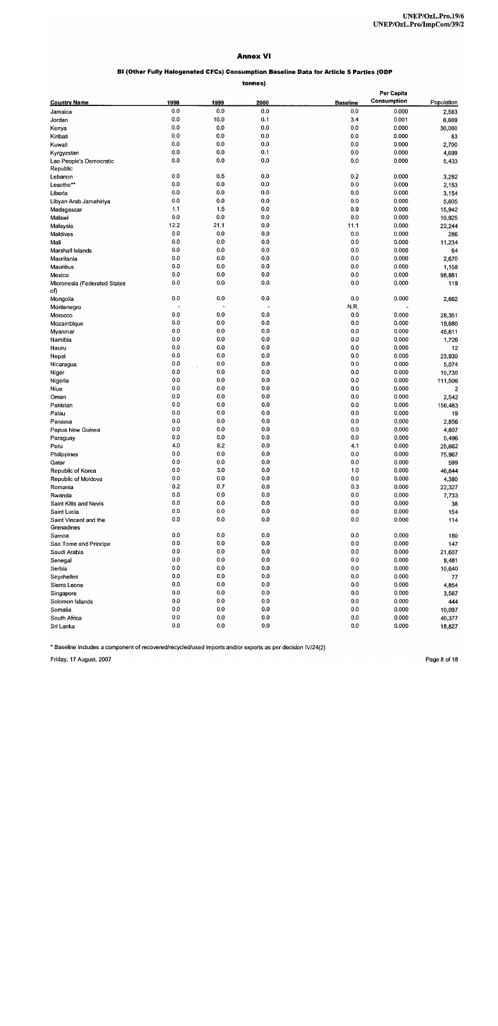## BI (Other Fully Halogenated CFCs) Consumption Baseline Data for Article 5 Parties (ODP

## tonnes)

|                              |         |         |         |                 | Per Capita  |            |
|------------------------------|---------|---------|---------|-----------------|-------------|------------|
| <b>Country Name</b>          | 1998    | 1999    | 2000    | <b>Baseline</b> | Consumption | Population |
| Jamaica                      | 0.0     | 0.0     | 0.0     | 0.0             | 0.000       | 2,583      |
| Jordan                       | 0.0     | 10.0    | 0.1     | 3.4             | 0.001       | 6,669      |
| Kenya                        | 0.0     | 0.0     | 0.0     | 0.0             | 0.000       | 30,080     |
| Kiribati                     | 0.0     | 0.0     | 0.0     | 0.0             | 0.000       | 83         |
| Kuwait                       | 0.0     | 0.0     | 0.0     | 0.0             | 0.000       | 2,700      |
|                              | 0.0     | 0.0     | 0.1     | 0.0             | 0.000       |            |
| Kyrgyzstan                   | 0.0     | 0.0     | 0.0     | 0.0             | 0.000       | 4,699      |
| Lao People's Democratic      |         |         |         |                 |             | 5,433      |
| Republic                     | 0.0     | 0.5     | 0.0     | 0.2             | 0.000       |            |
| Lebanon                      | 0.0     | 0.0     | 0.0     | 0.0             | 0.000       | 3,282      |
| Lesotho**                    | 0.0     | 0.0     | 0.0     |                 |             | 2,153      |
| Liberia                      |         |         |         | 0.0             | 0.000       | 3,154      |
| Libyan Arab Jamahiriya       | 0.0     | 0.0     | 0.0     | 0.0             | 0.000       | 5,605      |
| Madagascar                   | 1.1     | 1.5     | 0.0     | 0.9             | 0.000       | 15,942     |
| Malawi                       | 0.0     | 0.0     | 0.0     | 0.0             | 0.000       | .10,925    |
| Malaysia                     | 12.2    | 21.1    | 0.0     | 11.1            | 0.000       | 22,244     |
| Maldives                     | 0.0     | 0.0     | 0.0     | 0.0             | 0.000       | 286        |
| Mali                         | 0.0     | 0.0     | 0.0     | 0.0             | 0.000       | 11,234     |
| Marshall Islands             | 0.0     | 0.0     | 0.0     | 0.0             | 0.000       | 64         |
| Mauritania                   | 0.0     | 0.0     | 0.0     | 0.0             | 0.000       | 2,670      |
| Mauritius                    | 0.0     | 0.0     | 0.0     | 0.0             | 0.000       | 1,158      |
| Mexico                       | 0.0     | 0.0     | 0.0     | 0.0             | 0.000       | 98,881     |
| Micronesia (Federated States | 0.0     | 0.0     | 0.0     | 0.0             | 0.000       | 119        |
| of)                          |         |         |         |                 |             |            |
| Mongolia                     | 0.0     | 0.0     | 0.0     | 0.0             | 0.000       | 2,662      |
| Montenegro                   |         |         |         | N.R.            |             |            |
| Morocco                      | 0.0     | 0.0     | 0.0     | 0.0             | 0.000       | 28,351     |
| Mozambique                   | 0.0     | 0.0     | 0.0     | 0.0             | 0.000       | 19,680     |
| Myanmar                      | 0.0     | 0.0     | 0.0     | 0.0             | 0.000       | 45,611     |
| Namibia                      | 0.0     | 0.0     | 0.0     | 0.0             | 0.000       |            |
|                              | 0.0     | 0.0     | 0.0     | 0.0             | 0.000       | 1,726      |
| Nauru                        | 0.0     | 0.0     | 0.0     |                 |             | 12         |
| Nepal                        |         |         |         | 0.0             | 0.000       | 23,930     |
| Nicaragua                    | 0.0     | 0.0     | 0.0     | 0.0             | 0.000       | 5,074      |
| Niger                        | 0.0     | 0.0     | 0.0     | 0.0             | 0.000       | 10,730     |
| Nigeria                      | 0.0     | 0.0     | 0.0     | 0.0             | 0.000       | 111,506    |
| Niue                         | 0.0     | 0.0     | 0.0     | 0.0             | 0.000       | 2          |
| Oman                         | 0.0     | 0.0     | 0.0     | 0.0             | 0.000       | 2,542      |
| Pakistan                     | 0.0     | 0.0     | 0.0     | 0.0             | 0.000       | 156,483    |
| Palau                        | 0.0     | 0.0     | 0.0     | 0.0             | 0.000       | 19         |
| Panama                       | 0.0     | 0.0     | 0.0     | 0.0             | 0.000       | 2,856      |
| Papua New Guinea             | 0.0     | 0.0     | 0.0     | 0.0             | 0.000       | 4,807      |
| Paraguay                     | 0.0     | 0.0     | 0.0     | 0.0             | 0.000       | 5,496      |
| Peru                         | 4.0     | 8.2     | 0.0     | 4.1             | 0.000       | 25,662     |
| Philippines                  | 00      | 0.0     | 0.0     | $0.0\,$         | 0.000       | 75,967     |
| Qatar                        | 0:0     | 0.0     | 0.0     | 0.0             | 0.000       | 599        |
| Republic of Korea            | 0.0     | 3.0     | 0.0     | $1.0$           | 0.000       | 46,844     |
| Republic of Moldova          | 0.0     | $0.0\,$ | 0.0     | $0.0\,$         | 0.000       | 4,380      |
| Romania                      | 0.2     | 0.7     | 0.0     | 0.3             | 0.000       | 22,327     |
| Rwanda                       | $0.0\,$ | $0.0\,$ | 0.0     | $0.0\,$         | 0.000       | 7,733      |
| Saint Kitts and Nevis        | $0.0\,$ | 0.0     | 0.0     | 0.0             | 0.000       | 38         |
| Saint Lucia                  | $0.0\,$ | 0.0     | 0.0     | 0.0             | 0.000       |            |
|                              | 0.0     | 0.0     | 0.0     |                 |             | 154        |
| Saint Vincent and the        |         |         |         | 0.0             | 0.000       | 114        |
| Grenadines                   | 0.0     | 0.0     | 0.0     | $0.0\,$         |             |            |
| Samoa                        |         |         |         |                 | 0.000       | 180        |
| Sao Tome and Principe        | 0.0     | 0.0     | 0.0     | 0.0             | 0.000       | 147        |
| Saudi Arabia                 | 0.0     | 0.0     | 0.0     | 0.0             | 0.000       | 21,607     |
| Senegal                      | 0.0     | 0.0     | $0.0\,$ | 0.0             | 0.000       | 9,481      |
| Serbia                       | 0.0     | 0.0     | 0.0     | 0.0             | 0.000       | 10,640     |
| Seychelles                   | 0.0     | 0.0     | 0.0     | 0.0             | 0.000       | 77         |
| Sierra Leone                 | 0.0     | 0.0     | 0.0     | 0.0             | 0.000       | 4,854      |
| Singapore                    | 0.0     | 0.0     | 0.0     | 0.0             | 0.000       | 3,567      |
| Solomon Islands              | 0.0     | 0.0     | $0.0\,$ | 0.0             | 0.000       | 444        |
| Somalia                      | 0.0     | 0.0     | 0.0     | 0.0             | 0.000       | 10,097     |
| South Africa                 | 0.0     | 0.0     | 0.0     | 0.0             | 0.000       | 40,377     |
| Sri Lanka                    | 0.0     | 0.0     | 0.0     | 0,0             | 0.000       | 18,827     |

\* Baseline includes a component of recovered/recycled/used imports and/or exports as per decision IV/24(2)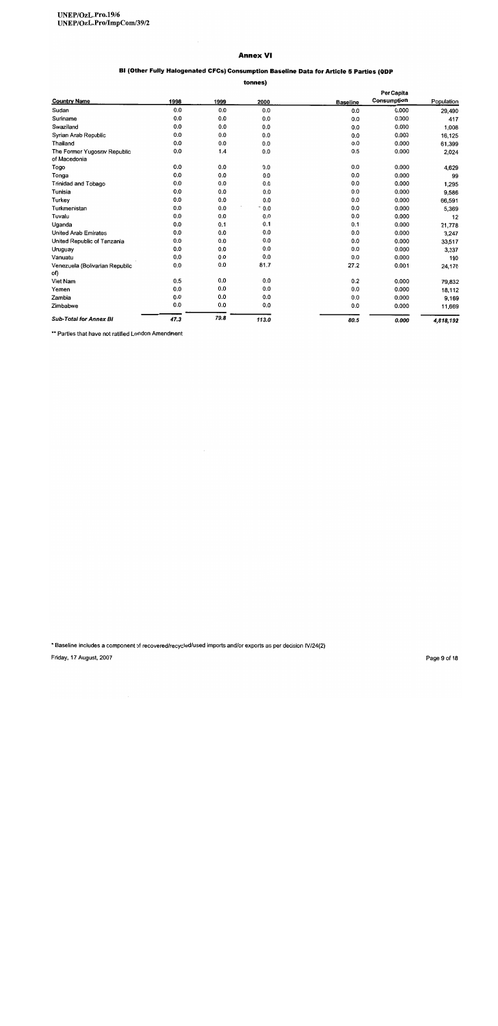# BI (Other Fully Halogenated CFCs) Consumption Baseline Data for Article 5 Parties (ODP

#### tonnes)

|                                              |      |      |          |                 | Per Capita  |            |
|----------------------------------------------|------|------|----------|-----------------|-------------|------------|
| <b>Country Name</b>                          | 1998 | 1999 | 2000     | <b>Baseline</b> | Consumption | Population |
| Sudan                                        | 0.0  | 0.0  | 0.0      | 0.0             | 0.000       | 29,490     |
| Sunname                                      | 0.0  | 0.0  | 0.0      | 0.0             | 0.000       | 417        |
| Swaziland                                    | 0.0  | 0.0  | 0.0      | 0.0             | 0.000       | 1,008      |
| Syrian Arab Republic                         | 0.0  | 0.0  | 0.0      | 0.0             | 0.000       | 16,125     |
| Thailand                                     | 0.0  | 0.0  | 0.0      | 0.0             | 0.000       | 61,399     |
| The Former Yugoslav Republic<br>of Macedonia | 0.0  | 1.4  | 0.0      | 0.5             | 0.000       | 2,024      |
| Togo                                         | 0.0  | 0.0  | 0.0      | 0.0             | 0.000       | 4.629      |
| Tonga                                        | 0.0  | 0.0  | 0.0      | 0.0             | 0.000       | 99         |
| Trinidad and Tobago                          | 0.0  | 0.0  | 0.0      | 0.0             | 0.000       | 1,295      |
| Tunisia                                      | 0.0  | 0.0  | 0.0      | 0.0             | 0.000       | 9,586      |
| Turkey                                       | 0.0  | 0.0  | 0.0      | 0.0             | 0.000       | 66,591     |
| Turkmenistan                                 | 0.0  | 0.0  | ÷<br>0.0 | 0.0             | 0.000       | 5,369      |
| Tuvalu                                       | 0.0  | 0.0  | 0.0      | 0.0             | 0.000       | 12         |
| Uganda                                       | 0.0  | 0.1  | 0.1      | 0.1             | 0.000       | 21,778     |
| <b>United Arab Emirates</b>                  | 0.0  | 0.0  | 0.0      | 0.0             | 0.000       | 3.247      |
| United Republic of Tanzania                  | 0.0  | 0.0  | 0.0      | 0.0             | 0.000       | 33,517     |
| Uruguay                                      | 0.0  | 0.0  | 0.0      | 0.0             | 0.000       | 3,337      |
| Vanuatu                                      | 0.0  | 0.0  | 0.0      | 0.0             | 0.000       | 190        |
| Venezuela (Bolivanan Republic<br>of)         | 0.0  | 0.0  | 81.7     | 27.2            | 0.001       | 24,170     |
| Viet Nam                                     | 0.5  | 0.0  | 0.0      | 0.2             | 0.000       | 79.832     |
| Yemen                                        | 0.0  | 0.0  | 0.0      | 0.0             | 0.000       | 18,112     |
| Zambia                                       | 0.0  | 0.0  | 0.0      | 0.0             | 0.000       | 9,169      |
| Zimbabwe                                     | 0.0  | 0.0  | 0.0      | 0.0             | 0.000       | 11,669     |
| <b>Sub-Total for Annex BI</b>                | 47.3 | 79.8 | 113.0    | 80.5            | 0.000       | 4,818,192  |

\*\* Parties that have not ratified London Amendment

\* Baseline includes a component of recovered/recycled/used imports and/or exports as per decision IV/24(2)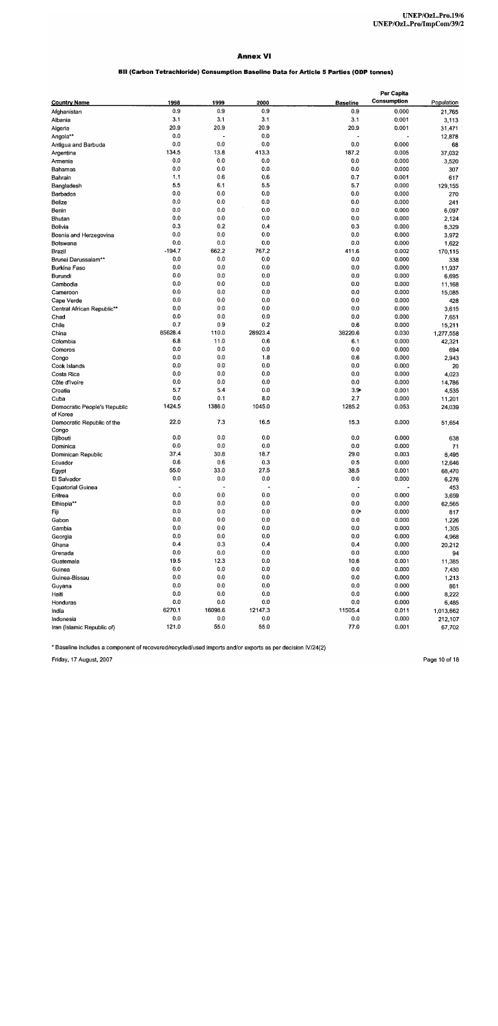## Bli (Carbon Tetrachloride) Consumption Baseline Data for Article 5 Parties (ODP tonnes)

|                              |                      |            |            |                 | Per Capita     |               |
|------------------------------|----------------------|------------|------------|-----------------|----------------|---------------|
| <b>Country Name</b>          | 1998                 | 1999       | 2000       | <b>Baseline</b> | Consumption    | Population    |
| Afghanistan                  | 0.9                  | 0.9        | 0.9        | 0.9             | 0.000          | 21,765        |
| Albania                      | 3.1                  | 3.1        | 3.1        | 3.1             | 0.001          | 3,113         |
| Algeria                      | 20.9                 | 20.9       | 20.9       | 20.9            | 0.001          | 31,471        |
| Angola**                     | 0.0                  |            | 0.0        |                 | $\overline{a}$ | 12,878        |
| Antigua and Barbuda          | 0.0                  | 0.0        | 0.0        | 0.0             | 0.000          | 68            |
| Argentina                    | 134.5                | 13.8       | 413.3      | 187.2           | 0.005          | 37,032        |
| Armenia                      | 0.0                  | 0.0        | 0.0        | 0.0             | 0.000          | 3,520         |
| Bahamas                      | 0.0                  | 0.0        | 0.0        | 0.0             | 0.000          | 307           |
| Bahrain                      | 1.1                  | 0.6        | 0.6        | 0.7             | 0.001          | 617           |
| Bangladesh                   | 5.5                  | 6.1        | 5.5        | 5.7             | 0.000          | 129,155       |
| Barbados                     | 0.0                  | 0.0        | 0.0        | 0.0             | 0.000          | 270           |
| Belize                       | 0.0                  | 0.0        | 0.0        | 0.0             | 0.000          | 241           |
| Benin                        | 0.0                  | 0.0        | 0.0        | 0.0             | 0.000          | 6,097         |
| Bhutan                       | 0.0                  | 0.0        | 0.0        | 0.0             | 0.000          | 2,124         |
| Bolivia                      | 0.3                  | 0.2        | 0.4        | 0.3             | 0.000          | 8,329         |
| Bosnia and Herzegovina       | 0.0                  | 0.0        | 0.0        | 0.0             | 0.000          | 3,972         |
| Botswana                     | 0.0                  | 0.0        | 0.0        | 0.0             | 0.000          | 1,622         |
| Brazil                       | $-194.7$             | 662.2      | 767.2      | 411.6           | 0.002          | 170.115       |
| Brunei Darussalam**          | 0.0                  | 0.0        | 0.0        | 0.0             | 0.000          | 338           |
| <b>Burkina Faso</b>          | 0.0                  | 0.0        | 0.0        | 0.0             | 0.000          | 11,937        |
| Burundi                      | 0.0                  | 0.0        | 0.0        | 0.0             | 0.000          | 6,695         |
| Cambodia                     | 0.0                  | 0.0        | 0.0        | 0.0             | 0.000          | 11,168        |
| Cameroon                     | 0.0                  | 0.0        | 0.0        | 0.0             | 0.000          | 15,085        |
| Cape Verde                   | 0.0                  | 0.0        | 0.0        | 0.0             | 0.000          | 428           |
| Central African Republic**   | 0.0                  | 0.0        | 0.0        | 0.0             | 0.000          | 3,615         |
| Chad                         | 0.0<br>0.7           | 0.0<br>0.9 | 0.0<br>0.2 | 0.0             | 0.000          | 7,651         |
| Chile                        | 85628.4              | 110.0      | 28923.4    | 0.6<br>38220.6  | 0.000<br>0.030 | 15,211        |
| China<br>Colombia            | 6.8                  | 11.0       | 0.6        | 6.1             | 0.000          | 1,277,558     |
| Comoros                      | 0.0                  | 0.0        | 0.0        | 0.0             | 0.000          | 42,321<br>694 |
| Congo                        | 0.0                  | 0.0        | 1.8        | 0.6             | 0.000          | 2,943         |
| Cook Islands                 | 0.0                  | 0.0        | 0.0        | 0.0             | 0.000          | 20            |
| Costa Rica                   | 0.0                  | 0.0        | 0.0        | 0.0             | 0.000          | 4,023         |
| Côte d'Ivoire                | 0.0                  | 0.0        | 0.0        | 0.0             | 0.000          | 14,786        |
| Croatia                      | 5.7                  | 5.4        | 0.0        | $3.9*$          | 0.001          | 4,535         |
| Cuba                         | 0.0                  | 0.1        | 8.0        | 2.7             | 0.000          | 11,201        |
| Democratic People's Republic | 1424.5               | 1386.0     | 1045.0     | 1285.2          | 0.053          | 24,039        |
| of Korea                     |                      |            |            |                 |                |               |
| Democratic Republic of the   | 22.0                 | 7.3        | 16.5       | 15.3            | 0.000          | 51,654        |
| Congo                        |                      |            |            |                 |                |               |
| Djibouti                     | 0.0                  | 0.0        | 0.0        | 0.0             | 0.000          | 638           |
| Dominica                     | 0.0                  | 0.0        | 0.0        | 0.0             | 0.000          | 71            |
| Dominican Republic           | 37.4                 | 30.8       | 18.7       | 29.0            | 0.003          | 8,495         |
| Ecuador                      | 0.6                  | 0.6        | 0.3        | 0.5             | 0.000          | 12,646        |
| Egypt                        | 55.0                 | 33.0       | 27.5       | 38.5            | 0.001          | 68,470        |
| El Salvador                  | $0.0\,$              | $0.0\,$    | $0.0\,$    | $0.0\,$         | 0.000          | 6,276         |
| <b>Equatorial Guinea</b>     | $\ddot{\phantom{1}}$ |            | ٠          | $\blacksquare$  |                | 453           |
| Eritrea                      | 0.0                  | 0.0        | 0.0        | 0.0             | 0.000          | 3,659         |
| Ethiopia**                   | 0.0                  | 0.0        | 0.0        | 0.0             | 0.000          | 62,565        |
| Fiji                         | 0.0<br>0.0           | $0.0\,$    | $0.0\,$    | $0.0*$          | 0.000          | 817           |
| Gabon<br>Gambia              | 0.0                  | 0.0<br>0.0 | 0.0<br>0.0 | 0.0<br>0.0      | 0.000          | 1,226         |
|                              | 0.0                  | 0.0        | 0.0        | 0.0             | 0.000<br>0.000 | 1,305         |
| Georgia<br>Ghana             | 0.4                  | 0.3        | 0.4        | 0.4             | 0.000          | 4,968         |
| Grenada                      | 0.0                  | 0.0        | 0.0        | 0.0             | 0.000          | 20,212<br>94  |
| Guatemala                    | 19.5                 | 12.3       | 0.0        | 10.6            | 0.001          | 11,385        |
| Guinea                       | 0.0                  | 0.0        | 0.0        | $0.0\,$         | 0.000          | 7,430         |
| Guinea-Bissau                | 0.0                  | 0.0        | 0.0        | 0.0             | 0.000          | 1,213         |
| Guyana                       | 0.0                  | 0.0        | 0.0        | 0.0             | 0.000          | 861           |
| Haiti                        | 0.0                  | 0.0        | 0.0        | 0.0             | 0.000          | 8,222         |
| Honduras                     | 0.0                  | 0.0        | 0.0        | 0.0             | 0.000          | 6,485         |
| India                        | 6270.1               | 16098.6    | 12147.3    | 11505.4         | 0.011          | 1,013,662     |
| Indonesia                    | 0.0                  | 0.0        | 0.0        | 0.0             | 0.000          | 212,107       |
| Iran (Islamic Republic of)   | 121.0                | 55.0       | 55.0       | 77.0            | 0.001          | 67,702        |

\* Baseline includes a component of recovered/recycled/used imports and/or exports as per decision IV/24(2)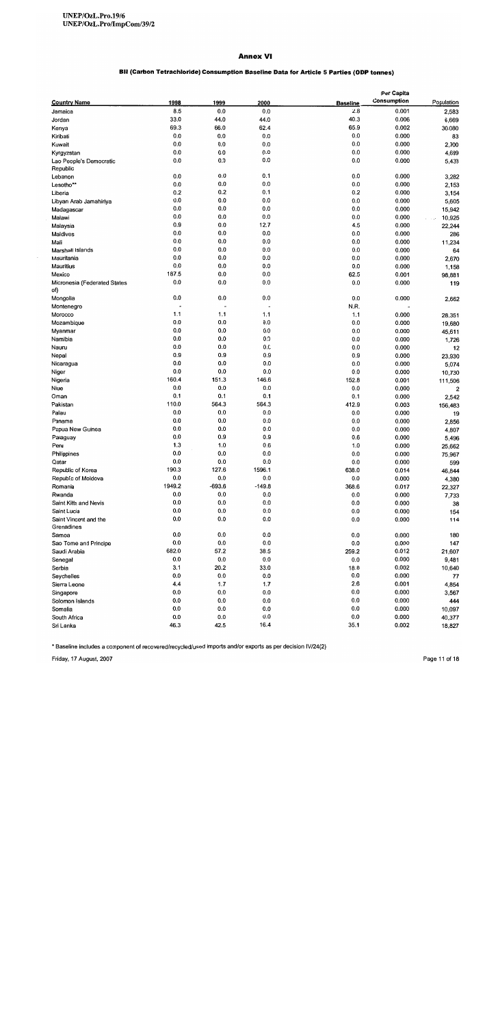## BII (Carbon Tetrachloride) Consumption Baseline Data for Article 5 Parties (ODP tonnes)

|                                     |                          |                |                          |                 | Per Capita<br><b>Consumption</b> |                |
|-------------------------------------|--------------------------|----------------|--------------------------|-----------------|----------------------------------|----------------|
| <b>Country Name</b>                 | 1998                     | 1999           | 2000                     | <b>Baseline</b> |                                  | Population     |
| Jamaica                             | 8.5                      | 0.0            | 0.0                      | 2.8             | 0.001                            | 2,583          |
| Jordan                              | 33.0                     | 44.0           | 44.0                     | 40.3            | 0.006                            | 6,669          |
| Kenya                               | 69.3                     | 66.0           | 62.4                     | 659             | 0.002                            | 30,080         |
| Kiribati                            | 0.0                      | 0.0            | 0.0                      | 0.0             | 0.000                            | 83             |
| Kuwait                              | 0.0                      | 0.0            | 0.0                      | 0.0             | 0.000                            | 2,700          |
| Kyrgyzstan                          | 0.0                      | 0.0            | 0.0                      | 0.0             | 0.000                            | 4,699          |
| Lao People's Democratic             | 0.0                      | 0.0            | 0.0                      | 0.0             | 0.000                            | 5,433          |
| Republic                            |                          |                |                          |                 |                                  |                |
| Lebanon                             | 0.0                      | 0.0            | 0.1                      | 0.0             | 0.000                            | 3,282          |
| Lesotho**                           | 0.0                      | 0.0            | 0.0                      | 0.0             | 0.000                            | 2,153          |
| Liberia                             | 0.2                      | 0.2            | 0.1                      | 0.2             | 0.000                            | 3,154          |
| Libyan Arab Jamahiriya              | 0.0                      | 0.0            | 0.0                      | 0.0             | 0.000                            | 5,605          |
| Madagascar                          | 0.0                      | 0.0            | 0.0                      | 0.0             | 0.000                            | 15,942         |
| Malawi                              | 0.0                      | 0.0            | 0.0                      | 0.0             | 0.000                            | 10,925<br>a na |
| Malaysia                            | 0.9                      | 0.0            | 12.7                     | 4.5             | 0.000                            | 22,244         |
| Maldives                            | 0.0                      | 0.0            | 0.0                      | 0.0             | 0.000                            | 286            |
| Mali                                | 0.0                      | 0.0            | 0.0                      | 0.0             | 0.000                            | 11,234         |
| Marshall Islands                    | 0.0                      | 0.0            | 0.0                      | 0.0             | 0.000                            | 64             |
| Mauritania                          | 0.0                      | 0.0            | 0.0                      | 0.0             | 0.000                            | 2,670          |
| Mauritius                           | 0.0                      | 0.0            | 0.0                      | 0.0             | 0.000                            | 1,158          |
| Mexico                              | 187.5                    | 0.0            | 0.0                      | 62.5            | 0.001                            | 98,881         |
| Micronesia (Federated States<br>of) | 0.0                      | 0.0            | 0.0                      | 0.0             | 0.000                            | 119            |
| Mongolia                            | 0.0                      | 0.0            | 0.0                      | 0.0             | 0.000                            | 2,662          |
| Montenegro                          | $\overline{\phantom{a}}$ | $\blacksquare$ | $\overline{\phantom{a}}$ | N.R.            |                                  |                |
| Morocco                             | 1.1                      | 1.1            | 1.1                      | 1.1             | 0.000                            | 28.351         |
| Mozambique                          | 0.0                      | 0.0            | 0.0                      | 0.0             | 0.000                            | 19,680         |
| Myanmar                             | 0.0                      | 0.0            | 0.0                      | 0.0             | 0.000                            | 45,611         |
| Namibia                             | 0.0                      | 0.0            | 0.0                      | 0.0             | 0.000                            | 1,726          |
| Nauru                               | 0.0                      | 0.0            | 0.0                      | 0.0             | 0.000                            | 12             |
| Nepal                               | 0.9                      | 0.9            | 0.9                      | 0.9             | 0.000                            | 23,930         |
| Nicaragua                           | 0.0                      | 0.0            | 0.0                      | 0.0             | 0.000                            | 5,074          |
| Niger                               | 0.0                      | 0.0            | 0.0                      | 0.0             | 0.000                            | 10,730         |
| Nigeria                             | 160.4                    | 151.3          | 146.6                    | 152.8           | 0.001                            | 111,506        |
| Niue                                | 0.0                      | 0.0            | 0.0                      | 0.0             | 0.000                            | 2              |
| Oman                                | 0.1                      | 0.1            | 0.1                      | 0.1             | 0.000                            | 2,542          |
| Pakistan                            | 110.0                    | 564.3          | 564.3                    | 412.9           | 0.003                            | 156,483        |
| Palau                               | 0.0                      | 0.0            | 0.0                      | 0.0             | 0.000                            | 19             |
| Panama                              | 0.0                      | 0.0            | 0.0                      | 0.0             | 0.000                            | 2,856          |
| Papua New Guinea                    | 0.0                      | 0.0            | 0.0                      | 0.0             | 0.000                            | 4,807          |
| Paraguay                            | 0.0                      | 0.9            | 0.9                      | 0.6             | 0.000                            | 5,496          |
| Peru                                | 1.3                      | 1.0            | 0.6                      | 1.0             | 0.000                            | 25,662         |
| Philippines                         | 0.0                      | 0.0            | 0.0                      | 0.0             | 0.000                            | 75,967         |
| Qatar                               | 0.0                      | 0.0            | 0.0                      | $0.0\,$         | 0.000                            | 599            |
| Republic of Korea                   | 190.3                    | 127.6          | 1596.1                   | 638.0           | 0.014                            | 46,844         |
| Republic of Moldova                 | 0.0                      | 0.0            | 0.0                      | $0.0\,$         | 0.000                            |                |
| Romania                             | 1949.2                   | $-693.6$       | $-149.8$                 | 368.6           | 0.017                            | 4,380          |
| Rwanda                              | 0.0                      | 0.0            | 0.0                      | 0.0             | 0.000                            | 22,327         |
| Saint Kitts and Nevis               | 0.0                      | 0.0            | 0.0                      | 0.0             | 0.000                            | 7,733          |
| Saint Lucia                         | 0.0                      | 0.0            | 0.0                      | 0.0             |                                  | 38             |
| Saint Vincent and the               | 0.0                      | 0.0            | 0.0                      | 0.0             | 0.000<br>0.000                   | 154<br>114     |
| Grenadines                          |                          |                |                          |                 |                                  |                |
| Samoa                               | 0.0                      | 0.0            | 0.0                      | 0.0             | 0.000                            | 180            |
| Sao Tome and Principe               | $0.0\,$                  | 0.0            | 0.0                      | 0.0             | 0.000                            | 147            |
| Saudi Arabia                        | 682.0                    | 57.2           | 38.5                     | 259.2           | 0.012                            | 21,607         |
| Senegal                             | $0.0\,$                  | 0.0            | 0.0                      | 0.0             | 0.000                            | 9,481          |
| Serbia                              | 3.1                      | 20.2           | 33.0                     | 18.8            | 0.002                            | 10,640         |
| Seychelles                          | 0.0                      | $0.0\,$        | 0.0                      | 0.0             | 0.000                            | 77             |
| Sierra Leone                        | 4.4                      | 1.7            | 1.7                      | 2.6             | 0.001                            | 4,854          |
| Singapore                           | 0.0                      | 0.0            | 0.0                      | 0.0             | 0.000                            | 3,567          |
| Solomon Islands                     | 0.0                      | 0.0            | 0.0                      | 0.0             | 0.000                            | 444            |
| Somalia                             | 0.0                      | 0.0            | 0.0                      | 0.0             | 0.000                            | 10,097         |
| South Africa                        | $0.0\,$                  | 0.0            | 0.0                      | 0.0             | 0.000                            | 40,377         |
| Sri Lanka                           | 46.3                     | 42.5           | 16.4                     | 35.1            | 0.002                            | 18,827         |
|                                     |                          |                |                          |                 |                                  |                |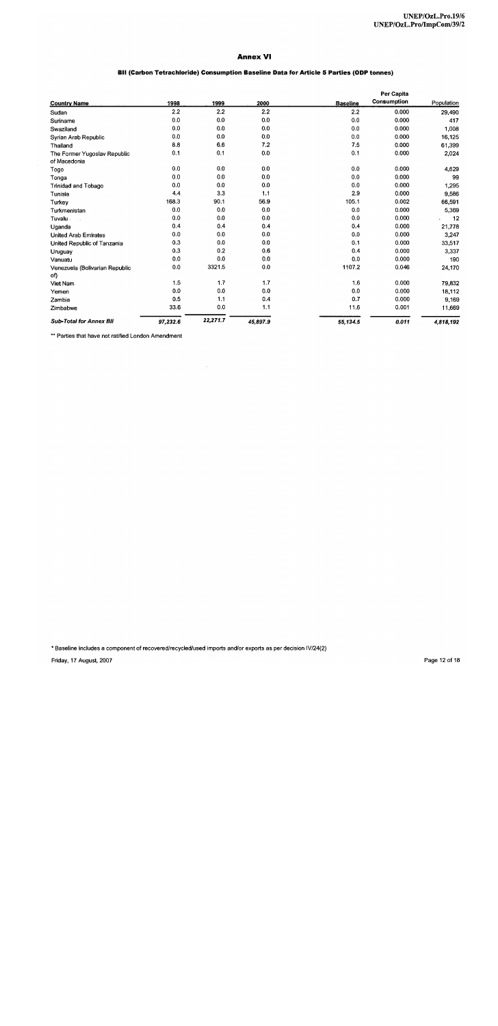#### BII (Carbon Tetrachloride) Consumption Baseline Data for Article 5 Parties (ODP tonnes)

|                                              |          |          |          |                 | Per Capita  |            |
|----------------------------------------------|----------|----------|----------|-----------------|-------------|------------|
| <b>Country Name</b>                          | 1998     | 1999     | 2000     | <b>Baseline</b> | Consumption | Population |
| Sudan                                        | 2.2      | 2.2      | 2.2      | 2.2             | 0.000       | 29,490     |
| Suriname                                     | 0.0      | 0.0      | 0.0      | 0.0             | 0.000       | 417        |
| Swaziland                                    | 0.0      | 0.0      | 0.0      | 0.0             | 0.000       | 1,008      |
| Syrian Arab Republic                         | 0.0      | 0.0      | 0.0      | 0.0             | 0.000       | 16,125     |
| Thailand                                     | 8.8      | 6.6      | 7.2      | 7.5             | 0.000       | 61,399     |
| The Former Yugoslav Republic<br>of Macedonia | 0.1      | 0.1      | 0.0      | 0.1             | 0.000       | 2,024      |
| Togo                                         | 0.0      | 0.0      | 0.0      | 0.0             | 0.000       | 4,629      |
| Tonga                                        | 0.0      | 0.0      | 0.0      | 0.0             | 0.000       | 99         |
| <b>Trinidad and Tobago</b>                   | 0.0      | 0.0      | 0.0      | 0.0             | 0.000       | 1,295      |
| Tunisia                                      | 4.4      | 3.3      | 1.1      | 2.9             | 0.000       | 9,586      |
| Turkev                                       | 168.3    | 90.1     | 56.9     | 105.1           | 0.002       | 66,591     |
| Turkmenistan                                 | 0.0      | 0.0      | 0.0      | 0.0             | 0.000       | 5,369      |
| Tuvalu<br>$\sim$                             | 0.0      | 0.0      | 0.0      | 0.0             | 0.000       | 12         |
| Uganda                                       | 0.4      | 0.4      | 0.4      | 0.4             | 0.000       | 21,778     |
| <b>United Arab Emirates</b>                  | 0.0      | 0.0      | 0.0      | 0.0             | 0.000       | 3,247      |
| United Republic of Tanzania                  | 0.3      | 0.0      | 0.0      | 0.1             | 0.000       | 33,517     |
| Uruguay                                      | 0.3      | 0.2      | 0.6      | 0.4             | 0.000       | 3,337      |
| Vanuatu                                      | 0.0      | 0.0      | 0.0      | 0.0             | 0.000       | 190        |
| Venezuela (Bolivarian Republic<br>of)        | 0.0      | 3321.5   | 0.0      | 1107.2          | 0.046       | 24,170     |
| Viet Nam                                     | 1.5      | 1.7      | 1.7      | 1.6             | 0.000       | 79.832     |
| Yemen                                        | 0.0      | 0.0      | 0.0      | 0.0             | 0.000       | 18,112     |
| Zambia                                       | 0.5      | 1.1      | 0.4      | 0.7             | 0.000       | 9,169      |
| Zimbabwe                                     | 33.6     | 0.0      | 1.1      | 11.6            | 0.001       | 11,669     |
| <b>Sub-Total for Annex Bil</b>               | 97,232.6 | 22,271.7 | 45,897.9 | 55,134.5        | 0.011       | 4,818,192  |

\*\* Parties that have not ratified London Amendment

\* Baseline includes a component of recovered/recycled/used imports and/or exports as per decision IV/24(2)

 $\mathcal{L}^{\pm}$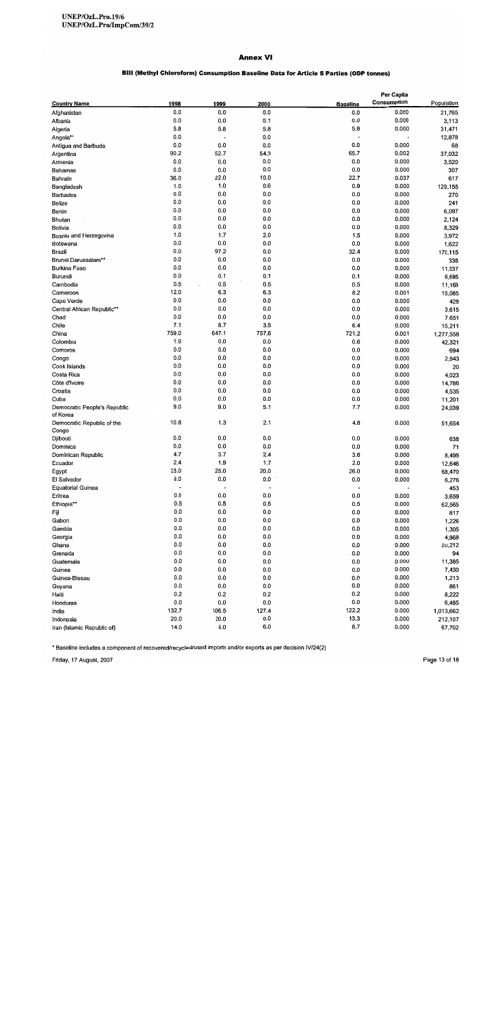## BIII (Methyl Chloroform) Consumption Baseline Data for Article 5 Parties (ODP tonnes)

|                                          |                          |                      |         |                          | Per Capita  |            |
|------------------------------------------|--------------------------|----------------------|---------|--------------------------|-------------|------------|
| <b>Country Name</b>                      | 1998                     | 1999                 | 2000    | <b>Baseline</b>          | Consumption | Population |
| Afghanistan                              | 0.0                      | 0.0                  | 0.0     | 0.0                      | 0.000       | 21,765     |
| Albania                                  | 0.0                      | 0.0                  | 0.1     | 0.0                      | 0.000       | 3,113      |
| Algenia                                  | 5.8                      | 5.8                  | 5.8     | 5.8                      | 0.000       | 31,471     |
| Angola**                                 | 0.0                      | $\ddot{\phantom{0}}$ | 0.0     | $\overline{a}$           |             | 12,878     |
| Antigua and Barbuda                      | 0.0                      | 0.0                  | 0.0     | 0.0                      | 0.000       | 68         |
| Argentina                                | 90.2                     | 52.7                 | 54.3    | 65.7                     | 0.002       | 37,032     |
| Armenia                                  | 0.0                      | 0.0                  | 0.0     | 0.0                      | 0.000       | 3,520      |
| Bahamas                                  | 0.0                      | 0.0                  | 0.0     | 0.0                      | 0.000       | 307        |
| Bahrain                                  | 36.0                     | 22.0                 | 10.0    | 22.7                     | 0.037       | 617        |
| Bangladesh                               | 1.0                      | 1.0                  | 0.6     | 0.9                      | 0.000       | 129,155    |
| Barbados                                 | 0.0                      | 0.0                  | 0.0     | 0.0                      | 0.000       | 270        |
| Belize                                   | 0.0                      | 0.0                  | 0.0     | 0.0                      | 0.000       | 241        |
| Benin                                    | 0.0                      | 0.0                  | 0.0     | 0.0                      | 0.000       | 6,097      |
| Bhutan                                   | 0.0                      | 0.0                  | 0.0     | 0.0                      | 0.000       | 2,124      |
| Bolivia                                  | 0.0                      | 0.0                  | 0.0     | 0.0                      | 0.000       | 8,329      |
| Bosnia and Herzegovina                   | 1.0                      | 1.7                  | 2.0     | 1.5                      | 0.000       | 3,972      |
| Botswana                                 | 0.0                      | 0.0                  | 0.0     | 0.0                      | 0.000       | 1,622      |
| Brazil                                   | 0.0                      | 97.2                 | 0.0     | 32.4                     | 0.000       | 170,115    |
| Brunei Darussalam**                      | 0.0                      | 0.0                  | 0.0     | 0.0                      | 0.000       | 338        |
| Burkina Faso                             | 0.0                      | 0.0                  | 0.0     | 0.0                      | 0.000       | 11,937     |
| Burundi                                  | 0.0                      | 0.1                  | 0.1     | 0.1                      | 0.000       | 6,695      |
| Cambodia                                 | 0.5                      | 0.5                  | 0.5     | 0.5                      | 0.000       | 11,168     |
| Cameroon                                 | 12.0                     | 6.3                  | 6.3     | 8.2                      | 0.001       | 15,085     |
| Cape Verde                               | 0.0                      | 0.0                  | $0.0\,$ | 0.0                      | 0.000       | 428        |
| Central African Republic**               | 0.0                      | 0.0                  | 0.0     | 0.0                      | 0.000       | 3,615      |
| Chad                                     | 0.0                      | 0.0                  | 0.0     | 0.0                      | 0.000       | 7.651      |
| Chile                                    | 7.1                      | 8.7                  | 3.5     | 6.4                      | 0.000       | 15,211     |
| China                                    | 759.0                    | 647.1                | 757.6   | 721.2                    | 0.001       | 1,277,558  |
| Colombia                                 | 1.9                      | 0.0                  | 0.0     | 0.6                      | 0.000       | 42,321     |
| Comoros                                  | 0.0                      | 0.0                  | 0.0     | 0.0                      | 0.000       | 694        |
| Congo                                    | 0.0                      | 0.0                  | 0.0     | 0.0                      | 0.000       | 2,943      |
| Cook Islands                             | 0.0                      | 0.0                  | 0.0     | 0.0                      | 0.000       | 20         |
| Costa Rica                               | 0.0                      | 0.0                  | 0.0     | 0.0                      | 0.000       | 4,023      |
| Côte d'Ivoire                            | 0.0                      | 0.0                  | 0.0     | 0.0                      | 0.000       | 14,786     |
| Croatia                                  | 0.0                      | 0.0                  | 0.0     | 0.0                      | 0.000       | 4,535      |
| Cuba                                     | 0.0                      | 0.0                  | 0.0     | 0.0                      | 0.000       | 11,201     |
| Democratic People's Republic<br>of Korea | 9.0                      | 9.0                  | 5.1     | 7.7                      | 0.000       | 24,039     |
| Democratic Republic of the<br>Congo      | 10.8                     | 1.3                  | 2.1     | 4.8                      | 0.000       | 51,654     |
| Djibouti                                 | 0.0                      | 0.0                  | 0.0     | 0.0                      | 0.000       | 638        |
| Dominica                                 | 0.0                      | 0.0                  | 0.0     | 0.0                      | 0.000       | 71         |
| Dominican Republic                       | 4.7                      | 3.7                  | 2.4     | 3.6                      | 0.000       | 8,495      |
| Ecuador                                  | 2.4                      | 1.9                  | 1.7     | 2.0                      | 0.000       | 12,646     |
| Egypt                                    | 33.0                     | 25.0                 | 20.0    | 26.0                     | 0.000       | 68,470     |
| El Salvador                              | 0.0                      | 0.0                  | 0.0     | 0.0                      | 0.000       | 6,276      |
| <b>Equatorial Guinea</b>                 | $\overline{\phantom{a}}$ |                      |         | $\overline{\phantom{a}}$ |             | 453        |
| Entrea                                   | 0.0                      | 0.0                  | 0.0     | 0.0                      | 0.000       | 3,659      |
| Ethiopia**                               | 0.5                      | 0.5                  | 0.5     | 0.5                      | 0.000       | 62,565     |
| Fiji                                     | 0.0                      | 0.0                  | 0.0     | 0.0                      | 0.000       | 817        |
| Gabon                                    | 0.0                      | 0.0                  | 0.0     | 0.0                      | 0.000       | 1,226      |
| Gambia                                   | 0.0                      | 0.0                  | 0.0     | 0.0                      | 0.000       | 1,305      |
| Georgia                                  | 0.0                      | 0.0                  | 0.0     | 0.0                      | 0.000       | 4,968      |
| Ghana                                    | 0.0                      | 0.0                  | 0.0     | 0.0                      | 0.000       | 20,212     |
| Grenada                                  | 0.0                      | 0.0                  | 0.0     | .0.0                     | 0.000       | 94         |
| Guatemala                                | 0.0                      | 0.0                  | 0.0     | 0.0                      | 0.000       | 11,385     |
| Guinea                                   | 0.0                      | 0.0                  | 0.0     | 0.0                      | 0.000       | 7,430      |
| Guinea-Bissau                            | 0.0                      | 0.0                  | 0.0     | 0.0                      | 0.000       | 1,213      |
| Guyana                                   | 0.0                      | 0.0                  | 0.0     | 0.0                      | 0.000       | 861        |
| Haiti                                    | 0.2                      | 0.2                  | 0.2     | 0.2                      | 0.000       | 8,222      |
| Honduras                                 | $_{0.0}$                 | 0.0                  | 0.0     | 0.0                      | 0.000       | 6,485      |
| India                                    | 132.7                    | 106.5                | 127.4   | 122.2                    | 0.000       | 1,013,662  |
| Indonesia                                | 20.0                     | 20.0                 | 0.0     | 13.3                     | 0.000       | 212,107    |
| Iran (Islamic Republic of)               | 14.0                     | 6.0                  | 6.0     | 8.7                      | 0.000       | 67,702     |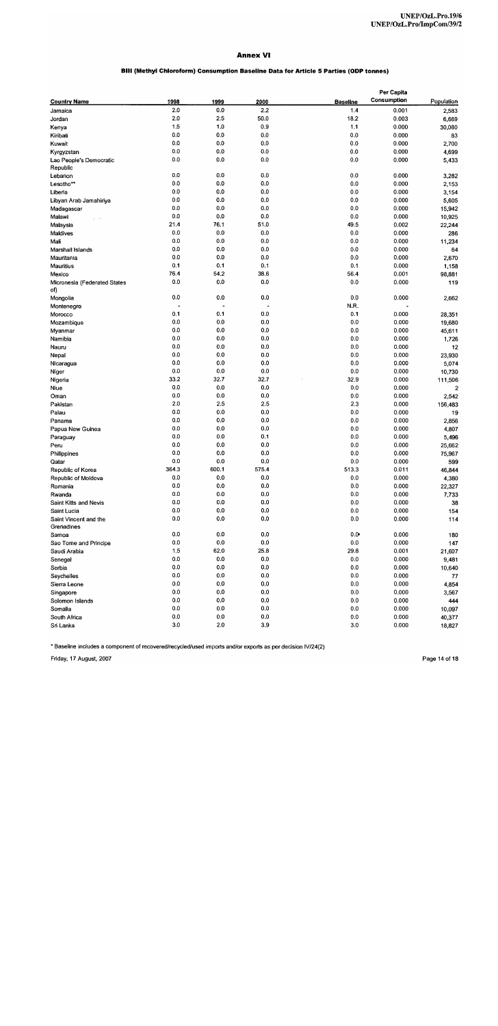## BIII (Methyl Chloroform) Consumption Baseline Data for Article 5 Parties (ODP tonnes)

|                                     |         |       |          |                 | <b>Per Capita</b> |                |
|-------------------------------------|---------|-------|----------|-----------------|-------------------|----------------|
| <b>Country Name</b>                 | 1998    | 1999  | 2000     | <b>Baseline</b> | Consumption       | Population     |
| Jamaica                             | 2.0     | 0.0   | 2.2      | 1.4             | 0.001             | 2,583          |
| Jordan                              | 2.0     | 2.5   | 50.0     | 18.2            | 0.003             | 6,669          |
| Kenya                               | 1.5     | 1.0   | 0.9      | $1.1$           | 0.000             | 30,080         |
| Kiribati                            | 0.0     | 0.0   | 0.0      | 0.0             | 0.000             | 83             |
| Kuwait                              | 0.0     | 0.0   | 0.0      | 0.0             | 0.000             | 2,700          |
| Kyrgyzstan                          | 0.0     | 0.0   | 0.0      | 0.0             | 0.000             | 4,699          |
| Lao People's Democratic             | 0.0     | 0.0   | 0.0      | 0.0             | 0.000             | 5,433          |
| Republic                            |         |       |          |                 |                   |                |
| Lebanon                             | 0.0     | 0.0   | 0.0      | 0.0             | 0.000             | 3,282          |
| Lesotho**                           | 0.0     | 0.0   | 0.0      | 0.0             | 0.000             | 2,153          |
| Liberia                             | 0.0     | 0.0   | 0.0      | 0.0             | 0.000             | 3,154          |
| Libyan Arab Jamahiriya              | 0.0     | 0.0   | 0.0      | 0.0             | 0.000             | 5,605          |
| Madagascar                          | 0.0     | 0.0   | 0.0      | 0.0             | 0.000             | 15,942         |
| Malawi<br>$\mathbb{R}^{n \times n}$ | 0.0     | 0.0   | 0.0      | 0.0             | 0.000             | 10,925         |
| Malaysia                            | 21.4    | 76.1  | 51.0     | 49.5            | 0.002             | 22,244         |
| Maldives                            | 0.0     | 0.0   | 0.0      | 0.0             | 0.000             | 286            |
| Mali                                | 0.0     | 0.0   | 0.0      | 0.0             | 0.000             | 11,234         |
| Marshall Islands                    | 0.0     | 0.0   | 0.0      | 0.0             | 0.000             | 64             |
| Mauritania                          | 0.0     | 0.0   | 0.0      | 0.0             | 0.000             | 2,670          |
| Mauritius                           | 0.1     | 0.1   | 0.1      | 0.1             | 0.000             | 1,158          |
| Mexico                              | 76.4    | 54.2  | 38.6     | 56.4            | 0.001             | 98,881         |
| Micronesia (Federated States        | 0.0     | 0.0   | 0.0      | 0.0             | 0.000             | 119            |
| of)                                 |         |       |          |                 |                   |                |
| Mongolia                            | 0.0     | 0.0   | 0.0      | 0.0             | 0.000             | 2,662          |
| Montenegro                          |         |       |          | N.R.            |                   |                |
| Morocco                             | 0.1     | 0.1   | 0.0      | 0.1             | 0.000             | 28,351         |
| Mozambique                          | 0.0     | 0.0   | 0.0      | 0.0             | 0.000             | 19,680         |
| Myanmar                             | 0.0     | 0.0   | 0.0      | 0.0             | 0.000             | 45,611         |
| Namibia                             | 0.0     | 0.0   | 0.0      | 0.0             | 0.000             | 1,726          |
| Nauru                               | 0.0     | 0.0   | 0.0      | 0.0             | 0.000             | 12             |
| Nepal                               | 0.0     | 0.0   | 0.0      | 0.0             | 0.000             | 23,930         |
| Nicaragua                           | 0.0     | 0.0   | 0.0      | 0.0             | 0.000             | 5,074          |
| Niger                               | 0.0     | 0.0   | 0.0      | 0.0             | 0.000             | 10,730         |
| Nigeria                             | 33.2    | 32.7  | 32.7     | 32.9            | 0.000             | 111,506        |
| Niue                                | 0.0     | 0.0   | 0.0      | 0.0             | 0.000             | $\overline{2}$ |
| Oman                                | 0.0     | 0.0   | 0.0      | 0.0             | 0.000             | 2,542          |
| Pakistan                            | 2.0     | 2.5   | 2.5      | 2.3             | 0.000             | 156,483        |
| Palau                               | 0.0     | 0.0   | 0.0      | 0.0             | 0.000             | 19             |
| Panama                              | 0.0     | 0.0   | 0.0      | 0.0             | 0.000             | 2,856          |
| Papua New Guinea                    | 0.0     | 0.0   | 0.0      | 0.0             | 0.000             | 4,807          |
| Paraguay                            | 0.0     | 0.0   | 0.1      | 0.0             | 0.000             | 5,496          |
| Peru                                | 0.0     | 0.0   | 0.0      | 0.0             | 0.000             | 25,662         |
| Philippines                         | 0.0     | 0.0   | 0.0      | 0.0             | 0.000             | 75,967         |
| Qatar                               | 0.0     | 0.0   | 0.0      | 0.0             | 0.000             | 599            |
| Republic of Korea                   | 364.3   | 600.1 | 575.4    | 513.3           | 0.011             | 46,844         |
| Republic of Moldova                 | 0.0     | 0.0   | $_{0.0}$ | 0.0             | 0.000             | 4,380          |
| Romania                             | 0.0     | 0.0   | 0.0      | 0.0             | 0.000             | 22,327         |
| Rwanda                              | 0.0     | 0.0   | $0.0\,$  | 0.0             | 0.000             | 7,733          |
| Saint Kitts and Nevis               | 0.0     | 0.0   | 0.0      | 0.0             | 0.000             | 38             |
| Saint Lucia                         | 0.0     | 0.0   | $0.0\,$  | 0.0             | 0.000             | 154            |
| Saint Vincent and the               | 0.0     | 0.0   | 0.0      | 0.0             | 0.000             | 114            |
| Grenadines                          |         |       |          |                 |                   |                |
| Samoa                               | 0.0     | 0.0   | 0.0      | $0.0*$          | 0.000             | 180            |
| Sao Tome and Principe               | 0.0     | 0.0   | 0.0      | 0.0             | 0.000             | 147            |
| Saudi Arabia                        | 1.5     | 62.0  | 25.8     | 29.8            | 0.001             | 21,607         |
| Senegal                             | $0.0\,$ | 0.0   | 0.0      | 0.0             | 0.000             | 9,481          |
| Serbia                              | 0.0     | 0.0   | 0.0      | 0.0             | 0.000             |                |
| Seychelles                          | 0.0     | 0.0   | 0.0      | 0.0             | 0.000             | 10,640         |
|                                     | 0.0     | 0.0   | $0.0\,$  | 0.0             | 0.000             | 77             |
| Sierra Leone                        | 0.0     | 0.0   | 0.0      |                 |                   | 4,854          |
| Singapore                           | 0.0     | 0.0   | 0.0      | 0.0             | 0.000             | 3,567          |
| Solomon Islands                     | 0.0     | 0.0   | 0.0      | 0.0             | 0.000             | 444            |
| Somalia                             | 0.0     | 0.0   | 0.0      | 0.0             | 0.000             | 10,097         |
| South Africa                        | 3.0     |       |          | 0.0             | 0.000             | 40,377         |
| Sri Lanka                           |         | 2.0   | 3.9      | 3.0             | 0.000             | 18,827         |

\* Baseline includes a component of recovered/recycled/used imports and/or exports as per decision IV/24(2)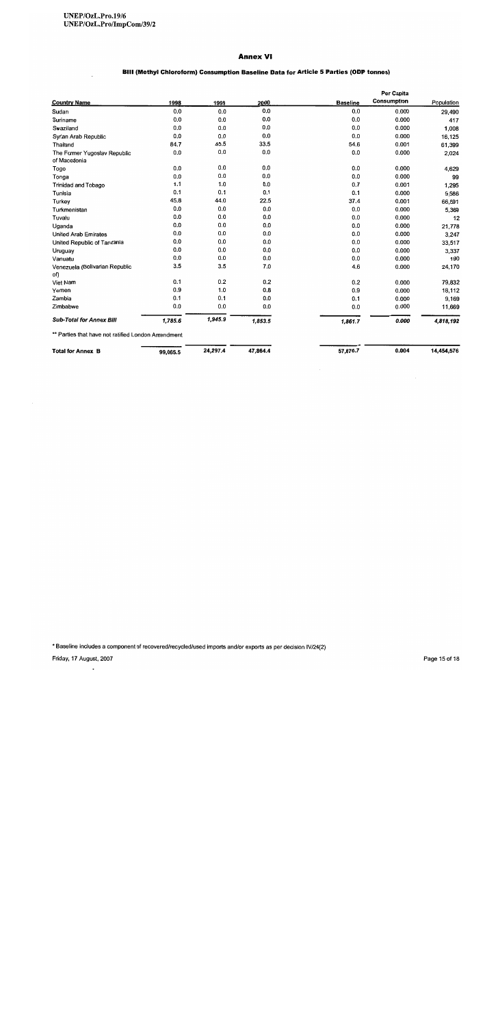## BIII (Methyl Chloroform) Consumption Baseline Data for Article 5 Parties (ODP tonnes)

|                                                    |          |          |          |                 | Per Capita  |            |
|----------------------------------------------------|----------|----------|----------|-----------------|-------------|------------|
| <b>Country Name</b>                                | 1998     | 1999     | 2000     | <b>Baseline</b> | Consumption | Population |
| Sudan                                              | 0,0      | 0.0      | 0.0      | 0.0             | 0.000       | 29,490     |
| Suriname                                           | 0.0      | 0.0      | 0.0      | 0.0             | 0.000       | 417        |
| Swaziland                                          | 0.0      | 0.0      | 0.0      | 0.0             | 0.000       | 1,008      |
| Syrian Arab Republic                               | 0.0      | 0.0      | 0.0      | 0.0             | 0.000       | 16,125     |
| Thailand                                           | 84.7     | 45.5     | 33.5     | 54.6            | 0.001       | 61,399     |
| The Former Yugoslav Republic<br>of Macedonia       | 0.0      | 0.0      | 0.0      | 0.0             | 0.000       | 2,024      |
| Togo                                               | 0.0      | 0.0      | 0.0      | 0.0             | 0.000       | 4,629      |
| Tonga                                              | 0.0      | 0.0      | 0.0      | 0.0             | 0.000       | 99         |
| Trinidad and Tobago                                | 1.1      | 1.0      | 0.0      | 0.7             | 0.001       | 1,295      |
| Tunisia                                            | 0.1      | 0.1      | 0.1      | 0.1             | 0.000       | 9,586      |
| Turkey                                             | 45.8     | 44.0     | 22.5     | 37.4            | 0.001       | 66,591     |
| Turkmenistan                                       | 0.0      | 0.0      | 0.0      | 0,0             | 0.000       | 5,369      |
| Tuvalu                                             | 0.0      | 0.0      | 0.0      | 0.0             | 0.000       | 12         |
| Uganda                                             | 0.0      | 0.0      | 0.0      | 0.0             | 0.000       | 21,778     |
| <b>United Arab Emirates</b>                        | 0.0      | 0.0      | 0.0      | 0.0             | 0.000       | 3,247      |
| United Republic of Tanzania                        | 0.0      | 0.0      | 0.0      | 0.0             | 0.000       | 33,517     |
| Uruguay                                            | 0.0      | 0.0      | 0.0      | 0.0             | 0.000       | 3,337      |
| Vanuatu                                            | 0.0      | 0.0      | 0.0      | 0.0             | 0.000       | 190        |
| Venezuela (Bolivarian Republic<br>of)              | 3.5      | 3.5      | 7.0      | 4.6             | 0.000       | 24,170     |
| Viet Nam                                           | 0.1      | 0.2      | 0.2      | 0.2             | 0.000       | 79,832     |
| Yemen                                              | 0.9      | 1.0      | 0.8      | 0.9             | 0.000       | 18,112     |
| Zambia                                             | 0.1      | 0.1      | 0.0      | 0.1             | 0.000       | 9,169      |
| Zimbabwe                                           | 0.0      | 0.0      | 0.0      | 0.0             | 0.000       | 11,669     |
| <b>Sub-Total for Annex Bill</b>                    | 1,785.6  | 1,945.9  | 1,853.5  | 1,861.7         | 0.000       | 4,818,192  |
| ** Parties that have not ratified London Amendment |          |          |          |                 |             |            |
| <b>Total for Annex B</b>                           | 99,065.5 | 24,297.4 | 47,864.4 | 57,076.7        | 0.004       | 14,454,576 |

\* Baseline includes a component of recovered/recycled/used imports and/or exports as per decision IV/24(2)

 $\overline{\phantom{a}}$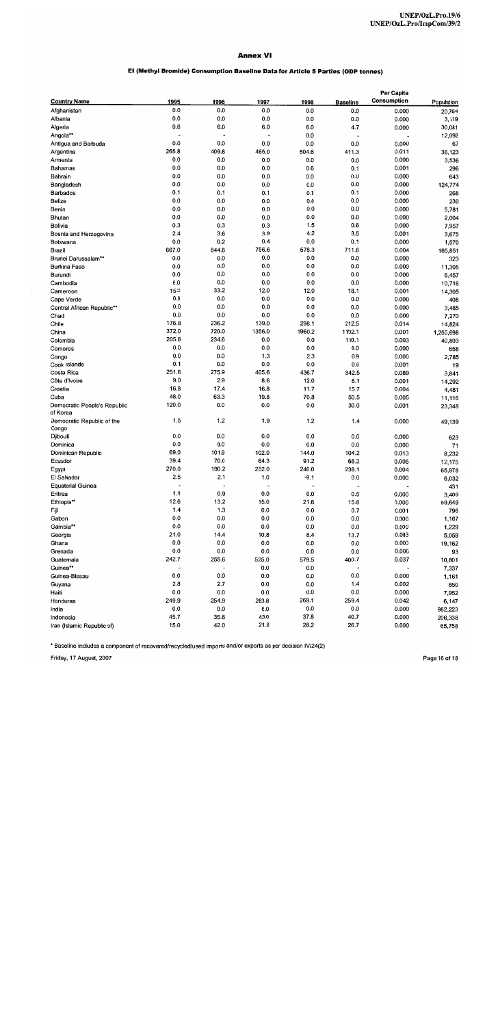# El (Methyl Bromide) Consumption Baseline Data for Article 5 Parties (ODP tonnes)

|                              |                          |                          |                          |                          |                 | Per Capita     |            |
|------------------------------|--------------------------|--------------------------|--------------------------|--------------------------|-----------------|----------------|------------|
| <b>Country Name</b>          | 1995                     | 1996                     | 1997                     | 1998                     | <b>Baseline</b> | Consumption    | Population |
| Afghanistan                  | 0.0                      | 0.0                      | 0.0                      | 0.0                      | 0.0             | 0.000          | 20,764     |
| Albania                      | 0.0                      | 0.0                      | 0.0                      | 0.0                      | 0.0             | 0.000          | 3,119      |
| Algeria                      | 0.6                      | 6.0                      | 6.0                      | 6.0                      | 4.7             | 0.000          | 30,081     |
| Angola**                     |                          |                          |                          | 0.0                      |                 |                | 12,092     |
| Antigua and Barbuda          | 0.0                      | 0.0                      | 0.0                      | 0.0                      | 0.0             | 0.000          | 67         |
| Argentina                    | 265.8                    | 409.8                    | 465.0                    | 504.6                    | 411.3           | 0.011          | 36,123     |
| Armenia                      | 0.0                      | 0.0                      | 0.0                      | 0.0                      | 0.0             | 0.000          | 3,536      |
| Bahamas                      | 0.0                      | 0.0                      | 0.0                      | 0.6                      | 0.1             | 0.001          | 296        |
| Bahrain                      | 0.0                      | 0.0                      | 0.0                      | 0.0                      | 0.0             | 0.000          |            |
| Bangladesh                   | 0.0                      | 0.0                      | 0.0                      | 0.0                      | 0.0             |                | 643        |
|                              | 0.1                      | 0.1                      | 0.1                      | 0.1                      |                 | 0.000          | 124,774    |
| Barbados<br><b>Belize</b>    | 0.0                      | 0.0                      |                          |                          | 0.1             | 0.000          | 268        |
|                              | 0.0                      |                          | 0.0                      | 0.0                      | 0.0             | 0.000          | 230        |
| Benin                        |                          | 0.0                      | 0.0                      | 0.0                      | 0.0             | 0.000          | 5,781      |
| <b>Bhutan</b>                | 0.0                      | 0.0                      | 0.0                      | 0.0                      | 0.0             | 0.000          | 2,004      |
| Bolivia                      | 0.3                      | 0.3                      | 0.3                      | 1.5                      | 0.6             | 0.000          | 7,957      |
| Bosnia and Herzegovina       | 2.4                      | 3.6                      | 3.9                      | 4.2                      | 3.5             | 0.001          | 3,675      |
| Botswana                     | 0.0                      | 0.2                      | 0.4                      | 0.0                      | 0.1             | 0.000          | 1,570      |
| Brazil                       | 667.0                    | 844.6                    | 756.6                    | 578.3                    | 711.6           | 0.004          | 165,851    |
| Brunei Darussalam**          | 0.0                      | 0.0                      | 0.0                      | 0.0                      | 0.0             | 0.000          | 323        |
| Burkina Faso                 | 0.0                      | 0.0                      | 0.0                      | 0.0                      | 0.0             | 0.000          | 11,305     |
| Burundi                      | 0.0                      | 0.0                      | 0.0                      | 0.0                      | 0.0             | 0.000          | 6,457      |
| Cambodia                     | 0.0                      | 0.0                      | 0.0                      | 0.0                      | 0.0             | 0.000          | 10,716     |
| Cameroon                     | 15.2                     | 33.2                     | 12.0                     | 12.0                     | 18.1            | 0.001          | 14,305     |
| Cape Verde                   | 0.0                      | 0.0                      | 0.0                      | 0.0                      | 0.0             | 0.000          | 408        |
| Central African Republic**   | 0.0                      | 0.0                      | 0.0                      | 0.0                      | 0.0             | 0.000          | 3,485      |
| Chad                         | 0.0                      | 0.0                      | 0.0                      | 0.0                      | 0.0             | 0.000          | 7,270      |
| Chile                        | 176.8                    | 236.2                    | 139.0                    | 298.1                    | 212.5           | 0.014          | 14,824     |
| China                        | 372.0                    | 720.0                    | 1356.0                   | 1960.2                   | 1102.1          | 0.001          | 1,255,698  |
| Colombia                     | 205.8                    | 234.6                    | 0.0                      | 0.0                      | 110.1           | 0.003          | 40,803     |
| Comoros                      | 0.0                      | 0.0                      | 0.0                      | 0.0                      | 0.0             | 0.000          | 658        |
| Congo                        | 0.0                      | 0.0                      | 1.3                      | 2.3                      | 0.9             | 0.000          | 2,785      |
| Cook Islands                 | 0.1                      | 0.0                      | 0.0                      | 0.0                      | 0.0             | 0.001          | 19         |
| Costa Rica                   | 251.6                    | 275.9                    | 405.6                    | 436.7                    | 342.5           | 0.089          | 3,841      |
| Côte d'Ivoire                | 9.0                      | 2.9                      | 8.6                      | 12.0                     | 8.1             | 0.001          | 14,292     |
| Croatia                      | 16.8                     | 17.4                     | 16.8                     | 11.7                     | 15.7            | 0.004          | 4,481      |
| Cuba                         | 48.0                     | 63.3                     | 19.8                     | 70.8                     | 50.5            | 0.005          | 11,116     |
| Democratic People's Republic | 120.0                    | 0.0                      | 0.0                      | 0.0                      | 30.0            | 0.001          |            |
| of Korea                     |                          |                          |                          |                          |                 |                | 23,348     |
| Democratic Republic of the   | 1.5                      | 1.2                      | 1.9                      | 1.2                      | 1.4             | 0.000          | 49,139     |
| Congo                        |                          |                          |                          |                          |                 |                |            |
| Djibouti                     | 0.0                      | 0.0                      | 0.0                      | 0.0                      | 0.0             | 0.000          | 623        |
| Dominica                     | 0.0                      | 0.0                      | 0.0                      | 0.0                      | 0.0             | 0.000          | 71         |
| Dominican Republic           | 69.0                     | 101.9                    | 102.0                    | 144.0                    | 104.2           | 0.013          | 8,232      |
| Ecuador                      | 39.4                     | 70.0                     | 64.3                     | 91.2                     | 66.2            | 0.005          |            |
| Egypt                        | 270.0                    | 190.2                    | 252.0                    | 240.0                    | 238.1           | 0.004          | 12,175     |
| El Salvador                  | 2.5                      | 2.1                      | 1.0                      | $-9.1$                   | 0.0             |                | 65,978     |
|                              | $\blacksquare$           | $\overline{\phantom{a}}$ | $\overline{\phantom{a}}$ | $\overline{\phantom{a}}$ |                 | 0.000          | 6,032      |
| <b>Equatorial Guinea</b>     |                          |                          |                          |                          |                 |                | 431        |
| Eritrea                      | $1.1$                    | 0.9                      | 0.0                      | 0.0                      | 0.5             | 0.000          | 3,409      |
| Ethiopia**                   | 12.6                     | 13.2                     | 15.0                     | 21.6                     | 15.6            | 0.000          | 59,649     |
| Fiji                         | 1.4                      | 1.3                      | 0.0                      | $0.0\,$                  | 0.7             | 0.001          | 796        |
| Gabon                        | $0.0\,$                  | 0.0                      | 0.0                      | 0.0                      | 0.0             | 0.000          | 1,167      |
| Gambia**                     | 0.0                      | 0.0                      | 0.0                      | 0.0                      | 0.0             | 0.000          | 1,229      |
| Georgia                      | 21.0                     | 14.4                     | 10.8                     | 8.4                      | 13.7            | 0.003          | 5,059      |
| Ghana                        | 0.0                      | 0.0                      | 0.0                      | 0.0                      | 0.0             | 0.000          | 19,162     |
| Grenada                      | 0.0                      | 0.0                      | 0.0                      | 0.0                      | 0.0             | 0.000          | 93         |
| Guatemala                    | 242.7                    | 255.6                    | 525.0                    | 579.5                    | 400.7           | 0.037          | 10,801     |
| Guinea**                     | $\overline{\phantom{a}}$ | ÷,                       | 0.0                      | 0.0                      | $\bullet$       | $\blacksquare$ | 7,337      |
| Guinea-Bissau                | 0.0                      | 0.0                      | 0.0                      | 0.0                      | 0.0             | 0.000          | 1,161      |
| Guyana                       | 2.8                      | 2.7                      | 0.0                      | 0.0                      | 1.4             | 0.002          | 850        |
| Haiti                        | 0.0                      | $0.0\,$                  | 0.0                      | 0.0                      | 0.0             | 0.000          | 7,952      |
| Honduras                     | 249.9                    | 254.9                    | 263.8                    | 269.1                    | 259.4           | 0.042          | 6,147      |
| India                        | 0.0                      | 0.0                      | $_{0.0}$                 | 0.0                      | 0.0             | 0.000          | 982,223    |
| Indonesia                    | 45.7                     | 35.6                     | 43.6                     | 37.8                     | 40.7            | 0.000          | 206,338    |
| Iran (Islamic Republic of)   | 15.0                     | 42.0                     | 21.6                     | 28.2                     | 26.7            | 0.000          | 65.758     |

\* Baseline includes a component of recovered/recycled/used imports and/or exports as per decision IV/24(2)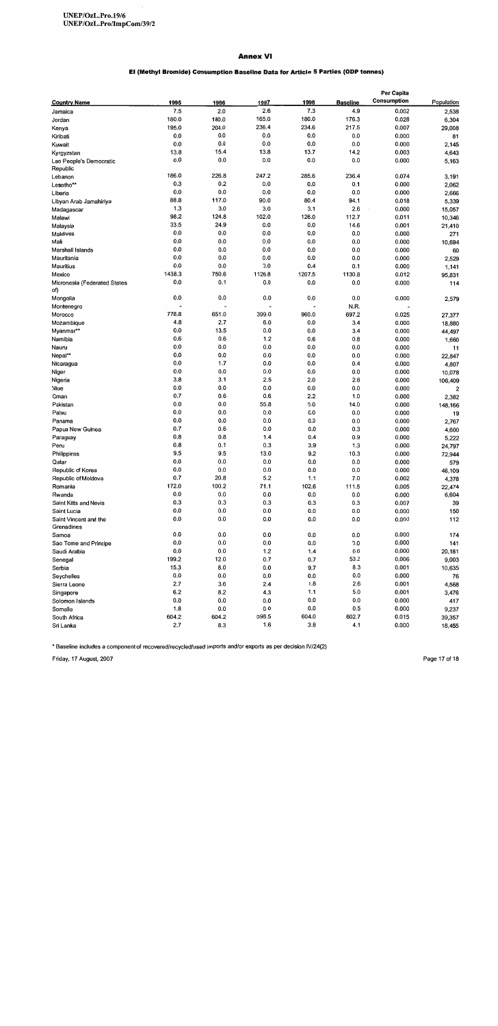## El (Methyl Bromide) Consumption Baseline Data for Article 5 Parties (ODP tonnes)

|                              |         |         |         |         |                 | Per Capita  |                |
|------------------------------|---------|---------|---------|---------|-----------------|-------------|----------------|
| <b>Country Name</b>          | 1995    | 1996    | 1997    | 1998    | <b>Baseline</b> | Consumption | Population     |
| Jamaica                      | 7.5     | 2.0     | 2.6     | 7.3     | 4.9             | 0.002       | 2,538          |
| Jordan                       | 180.0   | 180.0   | 165.0   | 180.0   | 176.3           | 0.028       | 6,304          |
|                              | 195.0   | 204.0   | 236.4   | 234.6   | 217.5           | 0.007       |                |
| Kenya                        | 0.0     | 0.0     | 0.0     | 0.0     |                 |             | 29,008         |
| Kiribati                     | 0.0     |         |         |         | 0.0             | 0.000       | 81             |
| Kuwait                       |         | 0.0     | 0.0     | 0.0     | 0.0             | 0.000       | 2,145          |
| Kyrgyzstan                   | 13.8    | 15.4    | 13.8    | 13.7    | 14.2            | 0.003       | 4,643          |
| Lao People's Democratic      | 0.0     | 0.0     | 0.0     | 0.0     | 0.0             | 0.000       | 5,163          |
| Republic                     |         |         |         |         |                 |             |                |
| Lebanon                      | 186.0   | 226.8   | 247.2   | 285.6   | 236.4           | 0.074       | 3,191          |
| Lesotho**                    | 0.3     | 0.2     | 0.0     | 0.0     | 0.1             | 0.000       | 2,062          |
| Liberia                      | 0.0     | 0.0     | 0.0     | 0.0     | 0.0             | 0.000       | 2,666          |
| Libyan Arab Jamahiriya       | 88.8    | 117.0   | 90.0    | 80.4    | 94.1            | 0.018       | 5,339          |
| Madagascar                   | 1.3     | 3.0     | 3.0     | 3.1     | 2.6             | 0.000       | 15,057         |
| Malawi                       | 98.2    | 124.8   | 102.0   | 126.0   | 112.7           | 0.011       | 10,346         |
| Malaysia                     | 33.5    | 24.9    | 0.0     | 0.0     | 14.6            | 0.001       | 21,410         |
| Maldives                     | 0.0     | 0.0     | 0.0     | 0.0     | 0.0             | 0.000       | 271            |
| Mali                         | 0.0     | 0.0     | 0.0     | 0.0     | 0.0             | 0.000       | 10,694         |
| Marshall Islands             | 0.0     | 0.0     | 0.0     | 0.0     | 0.0             | 0.000       | 60             |
| Mauritania                   | 0.0     | 0.0     | 0.0     | 0.0     | 0.0             | 0.000       | 2,529          |
| Mauritius                    | 0.0     | 0.0     | 0.0     | 0.4     | 0.1             | 0.000       | 1,141          |
| Mexico                       | 1438.3  | 750.6   | 1126.8  | 1207.5  | 1130.8          | 0.012       | 95,831         |
| Micronesia (Federated States | 0.0     | 0.1     | 0.0     | 0.0     | 0.0             | 0.000       | 114            |
| of)                          |         |         |         |         |                 |             |                |
| Mongolia                     | 0.0     | 0.0     | 0.0     | 0.0     | 0.0             | 0.000       | 2,579          |
| Montenegro                   |         |         |         |         | N.R.            |             |                |
| Morocco                      | 778.8   | 651.0   | 399.0   | 960.0   | 697.2           | 0.025       | 27,377         |
| Mozambique                   | 4.8     | 2.7     | 6.0     | 0.0     | 3.4             | 0.000       | 18,880         |
| Myanmar**                    | 0.0     | 13.5    | 0.0     | 0.0     | 3.4             | 0.000       | 44,497         |
| Namibia                      | 0.6     | 0.6     | 1.2     | 0.6     | 0.8             | 0.000       | 1,660          |
| Nauru                        | 0.0     | $0.0\,$ | 0.0     | 0.0     | 0.0             | 0.000       | 11             |
| Nepal**                      | 0.0     | 0.0     | 0.0     | 0.0     | 0.0             | 0.000       | 22,847         |
| Nicaragua                    | 0.0     | 1.7     | 0.0     | 0.0     | 0.4             | 0.000       | 4,807          |
| Niger                        | 0.0     | 0.0     | 0.0     | 0.0     | 0.0             | 0.000       | 10,078         |
| Nigena                       | 3.8     | 3.1     | 2.5     | 2.0     | 2.8             | 0.000       | 106,409        |
| Niue                         | 0.0     | 0.0     | 0.0     | 0.0     | 0.0             | 0.000       | $\overline{2}$ |
| Oman                         | 0.7     | 0.6     | 0.6     | 2.2     | 1.0             | 0.000       | 2,382          |
| Pakistan                     | 0.0     | 0.0     | 55.8    | 0.0     | 14.0            | 0.000       | 148,166        |
| Palau                        | 0.0     | 0.0     | 0.0     | 0.0     | 0.0             | 0.000       |                |
| Panama                       | 0.0     | 0.0     | 0.0     | 0.0     | 0.0             | 0.000       | 19             |
|                              | 0.7     | 0.6     | 0.0     | 0.0     | 0.3             | 0.000       | 2,767          |
| Papua New Guinea             | 0.8     | 0.8     | 1.4     | 0.4     | 0.9             |             | 4,600          |
| Paraguay                     | 0.8     | 0.1     | 0.3     | 3.9     | 1.3             | 0.000       | 5,222          |
| Peru                         | 9.5     | 9.5     | 13.0    |         |                 | 0.000       | 24,797         |
| Philippines                  |         |         |         | 9.2     | 10.3            | 0.000       | 72,944         |
| Qatar                        | 0.0     | 0.0     | 0.0     | 0.0     | 0.0             | 0.000       | 579            |
| Republic of Korea            | 0.0     | 0.0     | 0.0     | $0.0\,$ | 0.0             | 0.000       | 46,109         |
| Republic of Moldova          | 0.7     | 20.8    | $5.2\,$ | 1.1     | 7.0             | 0.002       | 4,378          |
| Romania                      | 172.0   | 100.2   | 71.1    | 102.6   | 111.5           | 0.005       | 22,474         |
| Rwanda                       | 0.0     | 0.0     | 0.0     | 0.0     | 0.0             | 0.000       | 6,604          |
| Saint Kitts and Nevis        | 0.3     | 0.3     | 0.3     | 0.3     | 0.3             | 0.007       | 39             |
| Saint Lucia                  | 0.0     | 0.0     | 0.0     | 0.0     | 0.0             | 0.000       | 150            |
| Saint Vincent and the        | 0.0     | 0.0     | 0.0     | 0.0     | 0.0             | 0.000       | 112            |
| Grenadines                   |         |         |         |         |                 |             |                |
| Samoa                        | 0.0     | 0.0     | 0.0     | 0.0     | 0.0             | 0.000       | 174            |
| Sao Tome and Principe        | 0.0     | 0.0     | 0.0     | 0.0     | $0.0\,$         | 0.000       | 141            |
| Saudi Arabia                 | $0.0\,$ | $0.0\,$ | 1.2     | 1.4     | 0.6             | 0.000       | 20,181         |
| Senegal                      | 199.2   | 12.0    | 0.7     | 0.7     | 53.2            | 0.006       | 9,003          |
| Serbia                       | 15.3    | 8.0     | 0.0     | 9.7     | 8.3             | 0.001       | 10,635         |
| Seychelles                   | 0.0     | 0.0     | 0.0     | 0.0     | 0.0             | 0.000       | 76             |
| Sierra Leone                 | 2.7     | 3.6     | 2.4     | 1.8     | 2.6             | 0.001       | 4,568          |
| Singapore                    | 6.2     | 8.2     | 4.3     | 1.1     | 5.0             | 0.001       | 3,476          |
| Solomon Islands              | 0.0     | 0.0     | 0.0     | 0.0     | 0.0             | 0.000       | 417            |
| Somalia                      | 1.8     | 0.0     | 0.0     | 0.0     | 0.5             | 0.000       | 9,237          |
| South Africa                 | 604.2   | 604.2   | 598.5   | 604.0   | 602.7           | 0.015       | 39,357         |
| Sri Lanka                    | 2.7     | 8.3     | 1.6     | 3.8     | 4.1             | 0.000       | 18,455         |
|                              |         |         |         |         |                 |             |                |